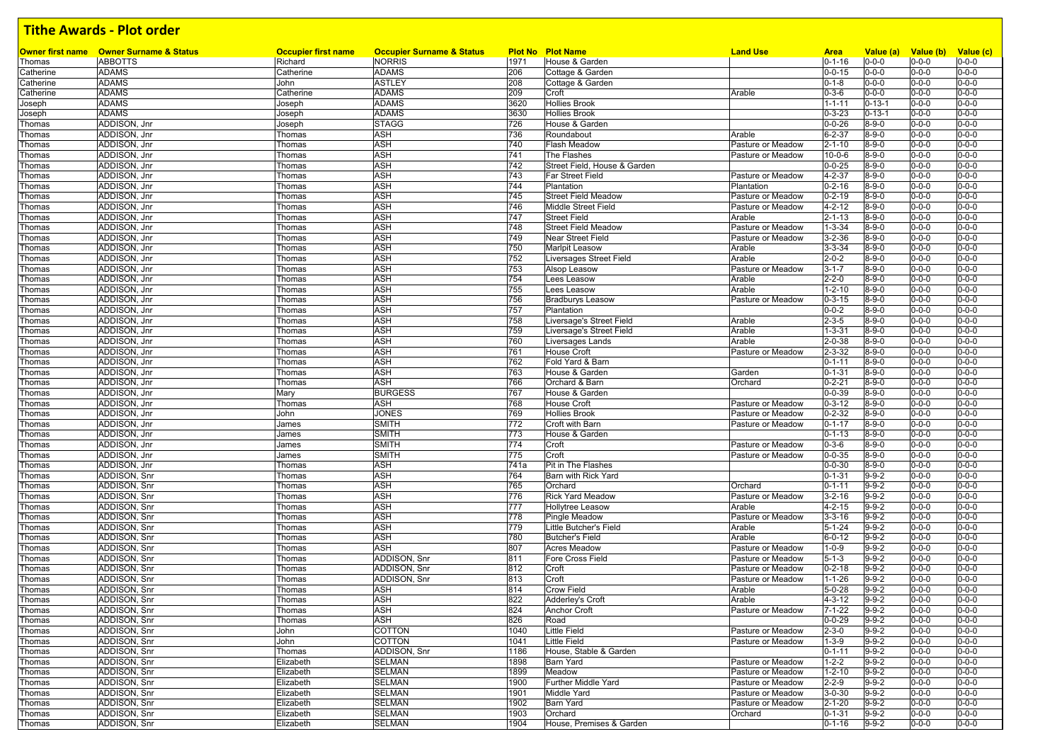| <b>Plot No Plot Name</b><br><b>Owner first name Owner Surname &amp; Status</b><br><b>ABBOTTS</b><br>Richard<br><b>NORRIS</b><br>1971<br>House & Garden<br>$0 - 1 - 16$<br>$0 - 0 - 0$<br>$0 - 0 - 0$<br>$0 - 0 - 0$<br>Thomas<br><b>ADAMS</b><br><b>ADAMS</b><br>$0 - 0 - 15$<br>$0 - 0 - 0$<br>$0 - 0 - 0$<br>$0 - 0 - 0$<br>Catherine<br>Catherine<br>206<br>Cottage & Garden<br><b>ADAMS</b><br><b>ASTLEY</b><br>208<br>$0 - 1 - 8$<br>$0 - 0 - 0$<br>$0 - 0 - 0$<br>Catherine<br>John<br>Cottage & Garden<br>$0 - 0 - 0$<br><b>ADAMS</b><br><b>ADAMS</b><br>209<br>$0 - 3 - 6$<br>$0 - 0 - 0$<br>$0 - 0 - 0$<br>Catherine<br>Catherine<br>Croft<br>Arable<br>$0 - 0 - 0$<br><b>ADAMS</b><br><b>ADAMS</b><br>3620<br><b>Hollies Brook</b><br>$0 - 13 - 1$<br>$0 - 0 - 0$<br>$0 - 0 - 0$<br>$1 - 1 - 11$<br>Joseph<br>Joseph<br>3630<br>$0 - 0 - 0$<br><b>ADAMS</b><br><b>ADAMS</b><br><b>Hollies Brook</b><br>$0 - 3 - 23$<br>$0 - 0 - 0$<br>$0 - 13 - 1$<br>Joseph<br>Joseph<br>ADDISON, Jnr<br><b>STAGG</b><br>726<br>$0 - 0 - 26$<br>$8 - 9 - 0$<br>$0 - 0 - 0$<br>$0 - 0 - 0$<br>House & Garden<br>Thomas<br>Joseph<br>ADDISON, Jnr<br><b>ASH</b><br>736<br>$0 - 0 - 0$<br>Thomas<br>Roundabout<br>Arable<br>$6 - 2 - 37$<br>$8 - 9 - 0$<br>$0 - 0 - 0$<br>Thomas<br><b>ASH</b><br>740<br>$8 - 9 - 0$<br>$0 - 0 - 0$<br>ADDISON, Jnr<br>Flash Meadow<br>Pasture or Meadow<br>$2 - 1 - 10$<br>$0 - 0 - 0$<br>Thomas<br>Thomas<br>ADDISON, Jnr<br>ASH<br>741<br>$8 - 9 - 0$<br>$0 - 0 - 0$<br>The Flashes<br>Pasture or Meadow<br>$10 - 0 - 6$<br>$0 - 0 - 0$<br>Thomas<br>Thomas<br><b>ASH</b><br>742<br>$0 - 0 - 25$<br>$0 - 0 - 0$<br>ADDISON, Jnr<br>Street Field, House & Garden<br>$8 - 9 - 0$<br>$0 - 0 - 0$<br>Thomas<br>Thomas<br>ASH<br>$0 - 0 - 0$<br>ADDISON, Jnr<br>743<br>$4 - 2 - 37$<br>$8 - 9 - 0$<br>Far Street Field<br>Pasture or Meadow<br>$0 - 0 - 0$<br>Thomas<br>Thomas<br>ADDISON, Jnr<br><b>ASH</b><br>744<br>$0 - 2 - 16$<br>$8 - 9 - 0$<br>$0 - 0 - 0$<br>Plantation<br>Plantation<br>$0 - 0 - 0$<br>Thomas<br>Thomas<br>ADDISON, Jnr<br><b>ASH</b><br>745<br>$0 - 2 - 19$<br>$8 - 9 - 0$<br>$0 - 0 - 0$<br><b>Street Field Meadow</b><br>Pasture or Meadow<br>$0 - 0 - 0$<br>Thomas<br>Thomas<br>ADDISON, Jnr<br>ASH<br>Middle Street Field<br>$4 - 2 - 12$<br>$8 - 9 - 0$<br>$0 - 0 - 0$<br>746<br>Pasture or Meadow<br>$0 - 0 - 0$<br>Thomas<br>Thomas<br><b>ASH</b><br>$0 - 0 - 0$<br>ADDISON, Jnr<br>747<br>$2 - 1 - 13$<br>$8 - 9 - 0$<br>$0 - 0 - 0$<br><b>Street Field</b><br>Arable<br>Thomas<br>Thomas<br>ADDISON, Jnr<br>ASH<br>748<br>$1 - 3 - 34$<br>$8 - 9 - 0$<br>$0 - 0 - 0$<br>$0 - 0 - 0$<br><b>Street Field Meadow</b><br>Pasture or Meadow<br>Thomas<br>Thomas<br><b>ASH</b><br>ADDISON, Jnr<br>749<br><b>Near Street Field</b><br>Pasture or Meadow<br>$3 - 2 - 36$<br>$8 - 9 - 0$<br>$0 - 0 - 0$<br>$0 - 0 - 0$<br>Thomas<br>Thomas<br><b>ASH</b><br>750<br>$0 - 0 - 0$<br>ADDISON, Jnr<br>Thomas<br><b>Marlpit Leasow</b><br>Arable<br>$3 - 3 - 34$<br>$8 - 9 - 0$<br>$0 - 0 - 0$<br>Thomas<br><b>ASH</b><br>$0 - 0 - 0$<br>ADDISON, Jnr<br>752<br>Arable<br>$2 - 0 - 2$<br>$8 - 9 - 0$<br>$0 - 0 - 0$<br>Liversages Street Field<br>Thomas<br>Thomas<br>ADDISON, Jnr<br><b>ASH</b><br>753<br>$8 - 9 - 0$<br>$0 - 0 - 0$<br>Alsop Leasow<br>Pasture or Meadow<br>$3 - 1 - 7$<br>$0 - 0 - 0$<br>Thomas<br>Thomas<br>ADDISON, Jnr<br><b>ASH</b><br>754<br>$2 - 2 - 0$<br>$8 - 9 - 0$<br>$0 - 0 - 0$<br>$0 - 0 - 0$<br>Lees Leasow<br>Arable<br>Thomas<br>Thomas<br><b>ASH</b><br>ADDISON, Jnr<br>755<br>$1 - 2 - 10$<br>$0 - 0 - 0$<br>Lees Leasow<br>Arable<br>$8 - 9 - 0$<br>$0 - 0 - 0$<br>Thomas<br>Thomas<br>ADDISON, Jnr<br><b>ASH</b><br>756<br>$0 - 3 - 15$<br>$8 - 9 - 0$<br>$0 - 0 - 0$<br>$0 - 0 - 0$<br><b>Bradburys Leasow</b><br>Pasture or Meadow<br>Thomas<br>Thomas<br>ADDISON, Jnr<br><b>ASH</b><br>757<br>$0 - 0 - 2$<br>$8 - 9 - 0$<br>$0 - 0 - 0$<br>Plantation<br>$0 - 0 - 0$<br>Thomas<br>Thomas<br>ADDISON, Jnr<br>ASH<br>758<br>$2 - 3 - 5$<br>$8 - 9 - 0$<br>$0 - 0 - 0$<br>Thomas<br>Liversage's Street Field<br>Arable<br>$0 - 0 - 0$<br>Thomas<br><b>ASH</b><br>$0 - 0 - 0$<br>759<br>ADDISON, Jnr<br>Liversage's Street Field<br>Arable<br>$1 - 3 - 31$<br>$8 - 9 - 0$<br>$0 - 0 - 0$<br>Thomas<br>Thomas<br>ASH<br>$2 - 0 - 38$<br>$8 - 9 - 0$<br>$0 - 0 - 0$<br>ADDISON, Jnr<br>760<br>Liversages Lands<br>Arable<br>$0 - 0 - 0$<br>Thomas<br>Thomas<br>ADDISON, Jnr<br><b>ASH</b><br>761<br>$8 - 9 - 0$<br>$0 - 0 - 0$<br><b>House Croft</b><br>Pasture or Meadow<br>$2 - 3 - 32$<br>$0 - 0 - 0$<br>Thomas<br>Thomas<br><b>ASH</b><br>762<br>$0 - 0 - 0$<br>ADDISON, Jnr<br>Thomas<br>Fold Yard & Barn<br>$0 - 1 - 11$<br>$8 - 9 - 0$<br>$0 - 0 - 0$<br>Thomas<br>ASH<br>$0 - 0 - 0$<br>763<br>$0 - 1 - 31$<br>$8 - 9 - 0$<br>ADDISON, Jnr<br>House & Garden<br>$0 - 0 - 0$<br>Thomas<br>Thomas<br>Garden<br>ADDISON, Jnr<br>ASH<br>$0 - 2 - 21$<br>$8 - 9 - 0$<br>$0 - 0 - 0$<br>$0 - 0 - 0$<br>766<br>Orchard & Barn<br>Orchard<br>Thomas<br>Thomas<br>767<br>$0 - 0 - 0$<br>ADDISON, Jnr<br><b>BURGESS</b><br>$0 - 0 - 39$<br>$8 - 9 - 0$<br>$0 - 0 - 0$<br>Mary<br>House & Garden<br>Thomas<br>ADDISON, Jnr<br>ASH<br>768<br>$0 - 3 - 12$<br>$8 - 9 - 0$<br>$0 - 0 - 0$<br>Thomas<br><b>House Croft</b><br>Pasture or Meadow<br>$0 - 0 - 0$<br>Thomas<br><b>JONES</b><br>769<br><b>Hollies Brook</b><br>$0 - 2 - 32$<br>$8 - 9 - 0$<br>$0 - 0 - 0$<br>$0 - 0 - 0$<br>ADDISON, Jnr<br>Pasture or Meadow<br>Thomas<br>John<br>$0 - 0 - 0$<br>ADDISON, Jnr<br><b>SMITH</b><br>$8 - 9 - 0$<br>$0 - 0 - 0$<br>772<br>Croft with Barn<br>Pasture or Meadow<br>$0 - 1 - 17$<br>Thomas<br>James<br>ADDISON, Jnr<br><b>SMITH</b><br>773<br>$0 - 1 - 13$<br>$8 - 9 - 0$<br>$0 - 0 - 0$<br>$0 - 0 - 0$<br>House & Garden<br>Thomas<br>James<br><b>SMITH</b><br>774<br>$0 - 0 - 0$<br>ADDISON, Jnr<br>James<br>Croft<br>Pasture or Meadow<br>$0 - 3 - 6$<br>$8 - 9 - 0$<br>$0 - 0 - 0$<br>Thomas<br>ADDISON, Jnr<br><b>SMITH</b><br>775<br>$0 - 0 - 35$<br>$8 - 9 - 0$<br>$0 - 0 - 0$<br>$0 - 0 - 0$<br>Croft<br>Pasture or Meadow<br>Thomas<br>James<br>ADDISON, Jnr<br>$8 - 9 - 0$<br>$0 - 0 - 0$<br>ASH<br>741a<br>Pit in The Flashes<br>$0 - 0 - 30$<br>$0 - 0 - 0$<br>Thomas<br>Thomas<br>ADDISON, Snr<br>ASH<br>764<br>$0 - 1 - 31$<br>$9 - 9 - 2$<br>$0 - 0 - 0$<br>$0 - 0 - 0$<br>Barn with Rick Yard<br>Thomas<br>Thomas<br>ASH<br>ADDISON, Snr<br>$9 - 9 - 2$<br>$0 - 0 - 0$<br>765<br>Orchard<br>Orchard<br>$0 - 1 - 11$<br>$0 - 0 - 0$<br>Thomas<br>Thomas<br>ASH<br>$9 - 9 - 2$<br>$0 - 0 - 0$<br>ADDISON, Snr<br>776<br><b>Rick Yard Meadow</b><br>Pasture or Meadow<br>$3 - 2 - 16$<br>$0 - 0 - 0$<br>Thomas<br>Thomas<br><b>ASH</b><br>$0 - 0 - 0$<br>ADDISON, Snr<br>777<br>$4 - 2 - 15$<br>$9 - 9 - 2$<br><b>Hollytree Leasow</b><br>Arable<br>$0 - 0 - 0$<br>Thomas<br>Thomas<br>ASH<br>$9 - 9 - 2$<br>$0 - 0 - 0$<br>ADDISON, Snr<br>778<br><b>Pingle Meadow</b><br>Pasture or Meadow<br>$3 - 3 - 16$<br>$0 - 0 - 0$<br>Thomas<br>Thomas<br><b>ASH</b><br>$0 - 0 - 0$<br>ADDISON, Snr<br>779<br>Little Butcher's Field<br>$5 - 1 - 24$<br>$9 - 9 - 2$<br>$0 - 0 - 0$<br>Arable<br>Thomas<br>Thomas<br>ADDISON, Snr<br>ASH<br>780<br><b>Butcher's Field</b><br>$6 - 0 - 12$<br>$9 - 9 - 2$<br>$0 - 0 - 0$<br>Arable<br>$0 - 0 - 0$<br>Thomas<br>Thomas<br>ADDISON, Snr<br>ASH<br>807<br>$0 - 0 - 0$<br><b>Acres Meadow</b><br>Pasture or Meadow<br>$1 - 0 - 9$<br>$9-9-2$<br>$0 - 0 - 0$<br>Thomas<br>Thomas<br>ADDISON, Snr<br>811<br>$5 - 1 - 3$<br>$9 - 9 - 2$<br>$0 - 0 - 0$<br>Thomas<br>ADDISON, Snr<br><b>Fore Cross Field</b><br>Pasture or Meadow<br>$0 - 0 - 0$<br>Thomas<br>$0 - 0 - 0$<br>ADDISON, Snr<br>ADDISON, Snr<br>812<br>$0 - 2 - 18$<br>$9 - 9 - 2$<br>Croft<br>Pasture or Meadow<br>$0 - 0 - 0$<br>Thomas<br>Thomas<br>ADDISON, Snr<br>ADDISON, Snr<br>813<br>Croft<br>$1 - 1 - 26$<br>$9 - 9 - 2$<br>$0 - 0 - 0$<br>$0 - 0 - 0$<br>Thomas<br>Thomas<br>Pasture or Meadow<br>ADDISON, Snr<br><b>ASH</b><br>814<br>$5 - 0 - 28$<br>$9 - 9 - 2$<br>$0 - 0 - 0$<br>Thomas<br><b>Crow Field</b><br>Arable<br>$0 - 0 - 0$<br>Thomas<br><b>ASH</b><br>822<br>$4 - 3 - 12$<br>$9 - 9 - 2$<br>$0 - 0 - 0$<br>ADDISON, Snr<br>Adderley's Croft<br>Arable<br>$0 - 0 - 0$<br>Thomas<br>Thomas<br>Thomas<br>ADDISON, Snr<br>Thomas<br>ASH<br>824<br>Anchor Croft<br>Pasture or Meadow<br>$7 - 1 - 22$<br>$9-9-2$<br>$0 - 0 - 0$<br>$0 - 0 - 0$<br>ADDISON, Snr<br><b>ASH</b><br>826<br>$0 - 0 - 29$<br>$9 - 9 - 2$<br>$0 - 0 - 0$<br>$0 - 0 - 0$<br>Thomas<br>Thomas<br>Road<br>ADDISON, Snr<br>1040<br><b>COTTON</b><br><b>Little Field</b><br>Pasture or Meadow<br>$2 - 3 - 0$<br>$9 - 9 - 2$<br>$0 - 0 - 0$<br>$0 - 0 - 0$<br>Thomas<br>John<br>ADDISON, Snr<br>John<br>COTTON<br>1041<br><b>Little Field</b><br>Pasture or Meadow<br>$1 - 3 - 9$<br>$9 - 9 - 2$<br>$0 - 0 - 0$<br>$0 - 0 - 0$<br>Thomas<br>$0 - 0 - 0$<br>ADDISON, Snr<br>ADDISON, Snr<br>1186<br>House, Stable & Garden<br>$0 - 1 - 11$<br>$9 - 9 - 2$<br>$0 - 0 - 0$<br>Thomas<br>Thomas<br>ADDISON, Snr<br>$0 - 0 - 0$<br>Elizabeth<br>SELMAN<br>1898<br>Barn Yard<br>Pasture or Meadow<br>$1 - 2 - 2$<br>$9 - 9 - 2$<br>0-0-0<br>Thomas<br>ADDISON, Snr<br>Elizabeth<br><b>SELMAN</b><br>1899<br>Meadow<br>Pasture or Meadow<br>$1 - 2 - 10$<br>$9 - 9 - 2$<br>$0 - 0 - 0$<br>$0 - 0 - 0$<br>Thomas<br>$0 - 0 - 0$<br>ADDISON, Snr<br><b>SELMAN</b><br>1900<br>Pasture or Meadow<br>$2 - 2 - 9$<br>$9 - 9 - 2$<br>$0 - 0 - 0$<br>Thomas<br>Elizabeth<br><b>Further Middle Yard</b><br>ADDISON, Snr<br><b>SELMAN</b><br>1901<br>Pasture or Meadow<br>$3 - 0 - 30$<br>$9 - 9 - 2$<br>$0 - 0 - 0$<br>$0 - 0 - 0$<br>Elizabeth<br>Middle Yard<br>Thomas<br>ADDISON, Snr<br>Elizabeth<br><b>SELMAN</b><br>Pasture or Meadow<br>$0 - 0 - 0$<br>Thomas<br>1902<br><b>Barn Yard</b><br>$2 - 1 - 20$<br>$9 - 9 - 2$<br>$0 - 0 - 0$<br>ADDISON, Snr<br><b>SELMAN</b><br>1903<br>Orchard<br>$9 - 9 - 2$<br>$0 - 0 - 0$<br>$0 - 0 - 0$<br>Elizabeth<br>Orchard<br>$0 - 1 - 31$<br>Thomas<br>$0 - 0 - 0$<br>1904<br>House, Premises & Garden<br>$9 - 9 - 2$<br>$0 - 0 - 0$ |        |              | <b>Occupier first name</b> | <b>Occupier Surname &amp; Status</b> |  | <b>Land Use</b> | <b>Area</b>  | Value (a) | Value (b) | Value (c) |
|---------------------------------------------------------------------------------------------------------------------------------------------------------------------------------------------------------------------------------------------------------------------------------------------------------------------------------------------------------------------------------------------------------------------------------------------------------------------------------------------------------------------------------------------------------------------------------------------------------------------------------------------------------------------------------------------------------------------------------------------------------------------------------------------------------------------------------------------------------------------------------------------------------------------------------------------------------------------------------------------------------------------------------------------------------------------------------------------------------------------------------------------------------------------------------------------------------------------------------------------------------------------------------------------------------------------------------------------------------------------------------------------------------------------------------------------------------------------------------------------------------------------------------------------------------------------------------------------------------------------------------------------------------------------------------------------------------------------------------------------------------------------------------------------------------------------------------------------------------------------------------------------------------------------------------------------------------------------------------------------------------------------------------------------------------------------------------------------------------------------------------------------------------------------------------------------------------------------------------------------------------------------------------------------------------------------------------------------------------------------------------------------------------------------------------------------------------------------------------------------------------------------------------------------------------------------------------------------------------------------------------------------------------------------------------------------------------------------------------------------------------------------------------------------------------------------------------------------------------------------------------------------------------------------------------------------------------------------------------------------------------------------------------------------------------------------------------------------------------------------------------------------------------------------------------------------------------------------------------------------------------------------------------------------------------------------------------------------------------------------------------------------------------------------------------------------------------------------------------------------------------------------------------------------------------------------------------------------------------------------------------------------------------------------------------------------------------------------------------------------------------------------------------------------------------------------------------------------------------------------------------------------------------------------------------------------------------------------------------------------------------------------------------------------------------------------------------------------------------------------------------------------------------------------------------------------------------------------------------------------------------------------------------------------------------------------------------------------------------------------------------------------------------------------------------------------------------------------------------------------------------------------------------------------------------------------------------------------------------------------------------------------------------------------------------------------------------------------------------------------------------------------------------------------------------------------------------------------------------------------------------------------------------------------------------------------------------------------------------------------------------------------------------------------------------------------------------------------------------------------------------------------------------------------------------------------------------------------------------------------------------------------------------------------------------------------------------------------------------------------------------------------------------------------------------------------------------------------------------------------------------------------------------------------------------------------------------------------------------------------------------------------------------------------------------------------------------------------------------------------------------------------------------------------------------------------------------------------------------------------------------------------------------------------------------------------------------------------------------------------------------------------------------------------------------------------------------------------------------------------------------------------------------------------------------------------------------------------------------------------------------------------------------------------------------------------------------------------------------------------------------------------------------------------------------------------------------------------------------------------------------------------------------------------------------------------------------------------------------------------------------------------------------------------------------------------------------------------------------------------------------------------------------------------------------------------------------------------------------------------------------------------------------------------------------------------------------------------------------------------------------------------------------------------------------------------------------------------------------------------------------------------------------------------------------------------------------------------------------------------------------------------------------------------------------------------------------------------------------------------------------------------------------------------------------------------------------------------------------------------------------------------------------------------------------------------------------------------------------------------------------------------------------------------------------------------------------------------------------------------------------------------------------------------------------------------------------------------------------------------------------------------------------------------------------------------------------------------------------------------------------------------------------------------------------------------------------------------------------------------------------------------------------------------------------------------------------------------------------------------------------------------------------------------------------------------------------------------------------------------------------------------------------------------------------------------------------------------------------------------------------------------------------------------------------------------------------------------------------------------------------------------------------------------------------------------------------------------------------------------------------------------------------------------------------------------------------------------------------------------------------------------------------------------------------------------------------------------------------------------------------------------------------------------------------------------------------------------------------------------------------------------------------------------------------------------------------------------------------------------------------------------------------------------------------------------------------------------------------------------------------------------------------------------------------------------------------------------------------------------------------------------------------------------------------------------------------------------------------------------------------------------------------------------------------------------------------------------------------------------------------------------------------------------------------------------------------------------------------------------------------------------------------------------------------------------------------------------------------------------------------------------------------------------------------------------------------------------------------------------------------------------------|--------|--------------|----------------------------|--------------------------------------|--|-----------------|--------------|-----------|-----------|-----------|
|                                                                                                                                                                                                                                                                                                                                                                                                                                                                                                                                                                                                                                                                                                                                                                                                                                                                                                                                                                                                                                                                                                                                                                                                                                                                                                                                                                                                                                                                                                                                                                                                                                                                                                                                                                                                                                                                                                                                                                                                                                                                                                                                                                                                                                                                                                                                                                                                                                                                                                                                                                                                                                                                                                                                                                                                                                                                                                                                                                                                                                                                                                                                                                                                                                                                                                                                                                                                                                                                                                                                                                                                                                                                                                                                                                                                                                                                                                                                                                                                                                                                                                                                                                                                                                                                                                                                                                                                                                                                                                                                                                                                                                                                                                                                                                                                                                                                                                                                                                                                                                                                                                                                                                                                                                                                                                                                                                                                                                                                                                                                                                                                                                                                                                                                                                                                                                                                                                                                                                                                                                                                                                                                                                                                                                                                                                                                                                                                                                                                                                                                                                                                                                                                                                                                                                                                                                                                                                                                                                                                                                                                                                                                                                                                                                                                                                                                                                                                                                                                                                                                                                                                                                                                                                                                                                                                                                                                                                                                                                                                                                                                                                                                                                                                                                                                                                                                                                                                                                                                                                                                                                                                                                                                                                                                                                                                                                                                                                                                                                                                                                                                                                                                                                                                                                                                                                                                                                                                                                                                                                                                                                                                                                                                                                                                                                                                                                                                                                                                                                                                                                                                                                                                                   |        |              |                            |                                      |  |                 |              |           |           |           |
|                                                                                                                                                                                                                                                                                                                                                                                                                                                                                                                                                                                                                                                                                                                                                                                                                                                                                                                                                                                                                                                                                                                                                                                                                                                                                                                                                                                                                                                                                                                                                                                                                                                                                                                                                                                                                                                                                                                                                                                                                                                                                                                                                                                                                                                                                                                                                                                                                                                                                                                                                                                                                                                                                                                                                                                                                                                                                                                                                                                                                                                                                                                                                                                                                                                                                                                                                                                                                                                                                                                                                                                                                                                                                                                                                                                                                                                                                                                                                                                                                                                                                                                                                                                                                                                                                                                                                                                                                                                                                                                                                                                                                                                                                                                                                                                                                                                                                                                                                                                                                                                                                                                                                                                                                                                                                                                                                                                                                                                                                                                                                                                                                                                                                                                                                                                                                                                                                                                                                                                                                                                                                                                                                                                                                                                                                                                                                                                                                                                                                                                                                                                                                                                                                                                                                                                                                                                                                                                                                                                                                                                                                                                                                                                                                                                                                                                                                                                                                                                                                                                                                                                                                                                                                                                                                                                                                                                                                                                                                                                                                                                                                                                                                                                                                                                                                                                                                                                                                                                                                                                                                                                                                                                                                                                                                                                                                                                                                                                                                                                                                                                                                                                                                                                                                                                                                                                                                                                                                                                                                                                                                                                                                                                                                                                                                                                                                                                                                                                                                                                                                                                                                                                                                   |        |              |                            |                                      |  |                 |              |           |           |           |
|                                                                                                                                                                                                                                                                                                                                                                                                                                                                                                                                                                                                                                                                                                                                                                                                                                                                                                                                                                                                                                                                                                                                                                                                                                                                                                                                                                                                                                                                                                                                                                                                                                                                                                                                                                                                                                                                                                                                                                                                                                                                                                                                                                                                                                                                                                                                                                                                                                                                                                                                                                                                                                                                                                                                                                                                                                                                                                                                                                                                                                                                                                                                                                                                                                                                                                                                                                                                                                                                                                                                                                                                                                                                                                                                                                                                                                                                                                                                                                                                                                                                                                                                                                                                                                                                                                                                                                                                                                                                                                                                                                                                                                                                                                                                                                                                                                                                                                                                                                                                                                                                                                                                                                                                                                                                                                                                                                                                                                                                                                                                                                                                                                                                                                                                                                                                                                                                                                                                                                                                                                                                                                                                                                                                                                                                                                                                                                                                                                                                                                                                                                                                                                                                                                                                                                                                                                                                                                                                                                                                                                                                                                                                                                                                                                                                                                                                                                                                                                                                                                                                                                                                                                                                                                                                                                                                                                                                                                                                                                                                                                                                                                                                                                                                                                                                                                                                                                                                                                                                                                                                                                                                                                                                                                                                                                                                                                                                                                                                                                                                                                                                                                                                                                                                                                                                                                                                                                                                                                                                                                                                                                                                                                                                                                                                                                                                                                                                                                                                                                                                                                                                                                                                                   |        |              |                            |                                      |  |                 |              |           |           |           |
|                                                                                                                                                                                                                                                                                                                                                                                                                                                                                                                                                                                                                                                                                                                                                                                                                                                                                                                                                                                                                                                                                                                                                                                                                                                                                                                                                                                                                                                                                                                                                                                                                                                                                                                                                                                                                                                                                                                                                                                                                                                                                                                                                                                                                                                                                                                                                                                                                                                                                                                                                                                                                                                                                                                                                                                                                                                                                                                                                                                                                                                                                                                                                                                                                                                                                                                                                                                                                                                                                                                                                                                                                                                                                                                                                                                                                                                                                                                                                                                                                                                                                                                                                                                                                                                                                                                                                                                                                                                                                                                                                                                                                                                                                                                                                                                                                                                                                                                                                                                                                                                                                                                                                                                                                                                                                                                                                                                                                                                                                                                                                                                                                                                                                                                                                                                                                                                                                                                                                                                                                                                                                                                                                                                                                                                                                                                                                                                                                                                                                                                                                                                                                                                                                                                                                                                                                                                                                                                                                                                                                                                                                                                                                                                                                                                                                                                                                                                                                                                                                                                                                                                                                                                                                                                                                                                                                                                                                                                                                                                                                                                                                                                                                                                                                                                                                                                                                                                                                                                                                                                                                                                                                                                                                                                                                                                                                                                                                                                                                                                                                                                                                                                                                                                                                                                                                                                                                                                                                                                                                                                                                                                                                                                                                                                                                                                                                                                                                                                                                                                                                                                                                                                                                   |        |              |                            |                                      |  |                 |              |           |           |           |
|                                                                                                                                                                                                                                                                                                                                                                                                                                                                                                                                                                                                                                                                                                                                                                                                                                                                                                                                                                                                                                                                                                                                                                                                                                                                                                                                                                                                                                                                                                                                                                                                                                                                                                                                                                                                                                                                                                                                                                                                                                                                                                                                                                                                                                                                                                                                                                                                                                                                                                                                                                                                                                                                                                                                                                                                                                                                                                                                                                                                                                                                                                                                                                                                                                                                                                                                                                                                                                                                                                                                                                                                                                                                                                                                                                                                                                                                                                                                                                                                                                                                                                                                                                                                                                                                                                                                                                                                                                                                                                                                                                                                                                                                                                                                                                                                                                                                                                                                                                                                                                                                                                                                                                                                                                                                                                                                                                                                                                                                                                                                                                                                                                                                                                                                                                                                                                                                                                                                                                                                                                                                                                                                                                                                                                                                                                                                                                                                                                                                                                                                                                                                                                                                                                                                                                                                                                                                                                                                                                                                                                                                                                                                                                                                                                                                                                                                                                                                                                                                                                                                                                                                                                                                                                                                                                                                                                                                                                                                                                                                                                                                                                                                                                                                                                                                                                                                                                                                                                                                                                                                                                                                                                                                                                                                                                                                                                                                                                                                                                                                                                                                                                                                                                                                                                                                                                                                                                                                                                                                                                                                                                                                                                                                                                                                                                                                                                                                                                                                                                                                                                                                                                                                                   |        |              |                            |                                      |  |                 |              |           |           |           |
|                                                                                                                                                                                                                                                                                                                                                                                                                                                                                                                                                                                                                                                                                                                                                                                                                                                                                                                                                                                                                                                                                                                                                                                                                                                                                                                                                                                                                                                                                                                                                                                                                                                                                                                                                                                                                                                                                                                                                                                                                                                                                                                                                                                                                                                                                                                                                                                                                                                                                                                                                                                                                                                                                                                                                                                                                                                                                                                                                                                                                                                                                                                                                                                                                                                                                                                                                                                                                                                                                                                                                                                                                                                                                                                                                                                                                                                                                                                                                                                                                                                                                                                                                                                                                                                                                                                                                                                                                                                                                                                                                                                                                                                                                                                                                                                                                                                                                                                                                                                                                                                                                                                                                                                                                                                                                                                                                                                                                                                                                                                                                                                                                                                                                                                                                                                                                                                                                                                                                                                                                                                                                                                                                                                                                                                                                                                                                                                                                                                                                                                                                                                                                                                                                                                                                                                                                                                                                                                                                                                                                                                                                                                                                                                                                                                                                                                                                                                                                                                                                                                                                                                                                                                                                                                                                                                                                                                                                                                                                                                                                                                                                                                                                                                                                                                                                                                                                                                                                                                                                                                                                                                                                                                                                                                                                                                                                                                                                                                                                                                                                                                                                                                                                                                                                                                                                                                                                                                                                                                                                                                                                                                                                                                                                                                                                                                                                                                                                                                                                                                                                                                                                                                                                   |        |              |                            |                                      |  |                 |              |           |           |           |
|                                                                                                                                                                                                                                                                                                                                                                                                                                                                                                                                                                                                                                                                                                                                                                                                                                                                                                                                                                                                                                                                                                                                                                                                                                                                                                                                                                                                                                                                                                                                                                                                                                                                                                                                                                                                                                                                                                                                                                                                                                                                                                                                                                                                                                                                                                                                                                                                                                                                                                                                                                                                                                                                                                                                                                                                                                                                                                                                                                                                                                                                                                                                                                                                                                                                                                                                                                                                                                                                                                                                                                                                                                                                                                                                                                                                                                                                                                                                                                                                                                                                                                                                                                                                                                                                                                                                                                                                                                                                                                                                                                                                                                                                                                                                                                                                                                                                                                                                                                                                                                                                                                                                                                                                                                                                                                                                                                                                                                                                                                                                                                                                                                                                                                                                                                                                                                                                                                                                                                                                                                                                                                                                                                                                                                                                                                                                                                                                                                                                                                                                                                                                                                                                                                                                                                                                                                                                                                                                                                                                                                                                                                                                                                                                                                                                                                                                                                                                                                                                                                                                                                                                                                                                                                                                                                                                                                                                                                                                                                                                                                                                                                                                                                                                                                                                                                                                                                                                                                                                                                                                                                                                                                                                                                                                                                                                                                                                                                                                                                                                                                                                                                                                                                                                                                                                                                                                                                                                                                                                                                                                                                                                                                                                                                                                                                                                                                                                                                                                                                                                                                                                                                                                                   |        |              |                            |                                      |  |                 |              |           |           |           |
|                                                                                                                                                                                                                                                                                                                                                                                                                                                                                                                                                                                                                                                                                                                                                                                                                                                                                                                                                                                                                                                                                                                                                                                                                                                                                                                                                                                                                                                                                                                                                                                                                                                                                                                                                                                                                                                                                                                                                                                                                                                                                                                                                                                                                                                                                                                                                                                                                                                                                                                                                                                                                                                                                                                                                                                                                                                                                                                                                                                                                                                                                                                                                                                                                                                                                                                                                                                                                                                                                                                                                                                                                                                                                                                                                                                                                                                                                                                                                                                                                                                                                                                                                                                                                                                                                                                                                                                                                                                                                                                                                                                                                                                                                                                                                                                                                                                                                                                                                                                                                                                                                                                                                                                                                                                                                                                                                                                                                                                                                                                                                                                                                                                                                                                                                                                                                                                                                                                                                                                                                                                                                                                                                                                                                                                                                                                                                                                                                                                                                                                                                                                                                                                                                                                                                                                                                                                                                                                                                                                                                                                                                                                                                                                                                                                                                                                                                                                                                                                                                                                                                                                                                                                                                                                                                                                                                                                                                                                                                                                                                                                                                                                                                                                                                                                                                                                                                                                                                                                                                                                                                                                                                                                                                                                                                                                                                                                                                                                                                                                                                                                                                                                                                                                                                                                                                                                                                                                                                                                                                                                                                                                                                                                                                                                                                                                                                                                                                                                                                                                                                                                                                                                                                   |        |              |                            |                                      |  |                 |              |           |           |           |
|                                                                                                                                                                                                                                                                                                                                                                                                                                                                                                                                                                                                                                                                                                                                                                                                                                                                                                                                                                                                                                                                                                                                                                                                                                                                                                                                                                                                                                                                                                                                                                                                                                                                                                                                                                                                                                                                                                                                                                                                                                                                                                                                                                                                                                                                                                                                                                                                                                                                                                                                                                                                                                                                                                                                                                                                                                                                                                                                                                                                                                                                                                                                                                                                                                                                                                                                                                                                                                                                                                                                                                                                                                                                                                                                                                                                                                                                                                                                                                                                                                                                                                                                                                                                                                                                                                                                                                                                                                                                                                                                                                                                                                                                                                                                                                                                                                                                                                                                                                                                                                                                                                                                                                                                                                                                                                                                                                                                                                                                                                                                                                                                                                                                                                                                                                                                                                                                                                                                                                                                                                                                                                                                                                                                                                                                                                                                                                                                                                                                                                                                                                                                                                                                                                                                                                                                                                                                                                                                                                                                                                                                                                                                                                                                                                                                                                                                                                                                                                                                                                                                                                                                                                                                                                                                                                                                                                                                                                                                                                                                                                                                                                                                                                                                                                                                                                                                                                                                                                                                                                                                                                                                                                                                                                                                                                                                                                                                                                                                                                                                                                                                                                                                                                                                                                                                                                                                                                                                                                                                                                                                                                                                                                                                                                                                                                                                                                                                                                                                                                                                                                                                                                                                                   |        |              |                            |                                      |  |                 |              |           |           |           |
|                                                                                                                                                                                                                                                                                                                                                                                                                                                                                                                                                                                                                                                                                                                                                                                                                                                                                                                                                                                                                                                                                                                                                                                                                                                                                                                                                                                                                                                                                                                                                                                                                                                                                                                                                                                                                                                                                                                                                                                                                                                                                                                                                                                                                                                                                                                                                                                                                                                                                                                                                                                                                                                                                                                                                                                                                                                                                                                                                                                                                                                                                                                                                                                                                                                                                                                                                                                                                                                                                                                                                                                                                                                                                                                                                                                                                                                                                                                                                                                                                                                                                                                                                                                                                                                                                                                                                                                                                                                                                                                                                                                                                                                                                                                                                                                                                                                                                                                                                                                                                                                                                                                                                                                                                                                                                                                                                                                                                                                                                                                                                                                                                                                                                                                                                                                                                                                                                                                                                                                                                                                                                                                                                                                                                                                                                                                                                                                                                                                                                                                                                                                                                                                                                                                                                                                                                                                                                                                                                                                                                                                                                                                                                                                                                                                                                                                                                                                                                                                                                                                                                                                                                                                                                                                                                                                                                                                                                                                                                                                                                                                                                                                                                                                                                                                                                                                                                                                                                                                                                                                                                                                                                                                                                                                                                                                                                                                                                                                                                                                                                                                                                                                                                                                                                                                                                                                                                                                                                                                                                                                                                                                                                                                                                                                                                                                                                                                                                                                                                                                                                                                                                                                                                   |        |              |                            |                                      |  |                 |              |           |           |           |
|                                                                                                                                                                                                                                                                                                                                                                                                                                                                                                                                                                                                                                                                                                                                                                                                                                                                                                                                                                                                                                                                                                                                                                                                                                                                                                                                                                                                                                                                                                                                                                                                                                                                                                                                                                                                                                                                                                                                                                                                                                                                                                                                                                                                                                                                                                                                                                                                                                                                                                                                                                                                                                                                                                                                                                                                                                                                                                                                                                                                                                                                                                                                                                                                                                                                                                                                                                                                                                                                                                                                                                                                                                                                                                                                                                                                                                                                                                                                                                                                                                                                                                                                                                                                                                                                                                                                                                                                                                                                                                                                                                                                                                                                                                                                                                                                                                                                                                                                                                                                                                                                                                                                                                                                                                                                                                                                                                                                                                                                                                                                                                                                                                                                                                                                                                                                                                                                                                                                                                                                                                                                                                                                                                                                                                                                                                                                                                                                                                                                                                                                                                                                                                                                                                                                                                                                                                                                                                                                                                                                                                                                                                                                                                                                                                                                                                                                                                                                                                                                                                                                                                                                                                                                                                                                                                                                                                                                                                                                                                                                                                                                                                                                                                                                                                                                                                                                                                                                                                                                                                                                                                                                                                                                                                                                                                                                                                                                                                                                                                                                                                                                                                                                                                                                                                                                                                                                                                                                                                                                                                                                                                                                                                                                                                                                                                                                                                                                                                                                                                                                                                                                                                                                                   |        |              |                            |                                      |  |                 |              |           |           |           |
|                                                                                                                                                                                                                                                                                                                                                                                                                                                                                                                                                                                                                                                                                                                                                                                                                                                                                                                                                                                                                                                                                                                                                                                                                                                                                                                                                                                                                                                                                                                                                                                                                                                                                                                                                                                                                                                                                                                                                                                                                                                                                                                                                                                                                                                                                                                                                                                                                                                                                                                                                                                                                                                                                                                                                                                                                                                                                                                                                                                                                                                                                                                                                                                                                                                                                                                                                                                                                                                                                                                                                                                                                                                                                                                                                                                                                                                                                                                                                                                                                                                                                                                                                                                                                                                                                                                                                                                                                                                                                                                                                                                                                                                                                                                                                                                                                                                                                                                                                                                                                                                                                                                                                                                                                                                                                                                                                                                                                                                                                                                                                                                                                                                                                                                                                                                                                                                                                                                                                                                                                                                                                                                                                                                                                                                                                                                                                                                                                                                                                                                                                                                                                                                                                                                                                                                                                                                                                                                                                                                                                                                                                                                                                                                                                                                                                                                                                                                                                                                                                                                                                                                                                                                                                                                                                                                                                                                                                                                                                                                                                                                                                                                                                                                                                                                                                                                                                                                                                                                                                                                                                                                                                                                                                                                                                                                                                                                                                                                                                                                                                                                                                                                                                                                                                                                                                                                                                                                                                                                                                                                                                                                                                                                                                                                                                                                                                                                                                                                                                                                                                                                                                                                                                   |        |              |                            |                                      |  |                 |              |           |           |           |
|                                                                                                                                                                                                                                                                                                                                                                                                                                                                                                                                                                                                                                                                                                                                                                                                                                                                                                                                                                                                                                                                                                                                                                                                                                                                                                                                                                                                                                                                                                                                                                                                                                                                                                                                                                                                                                                                                                                                                                                                                                                                                                                                                                                                                                                                                                                                                                                                                                                                                                                                                                                                                                                                                                                                                                                                                                                                                                                                                                                                                                                                                                                                                                                                                                                                                                                                                                                                                                                                                                                                                                                                                                                                                                                                                                                                                                                                                                                                                                                                                                                                                                                                                                                                                                                                                                                                                                                                                                                                                                                                                                                                                                                                                                                                                                                                                                                                                                                                                                                                                                                                                                                                                                                                                                                                                                                                                                                                                                                                                                                                                                                                                                                                                                                                                                                                                                                                                                                                                                                                                                                                                                                                                                                                                                                                                                                                                                                                                                                                                                                                                                                                                                                                                                                                                                                                                                                                                                                                                                                                                                                                                                                                                                                                                                                                                                                                                                                                                                                                                                                                                                                                                                                                                                                                                                                                                                                                                                                                                                                                                                                                                                                                                                                                                                                                                                                                                                                                                                                                                                                                                                                                                                                                                                                                                                                                                                                                                                                                                                                                                                                                                                                                                                                                                                                                                                                                                                                                                                                                                                                                                                                                                                                                                                                                                                                                                                                                                                                                                                                                                                                                                                                                                   |        |              |                            |                                      |  |                 |              |           |           |           |
|                                                                                                                                                                                                                                                                                                                                                                                                                                                                                                                                                                                                                                                                                                                                                                                                                                                                                                                                                                                                                                                                                                                                                                                                                                                                                                                                                                                                                                                                                                                                                                                                                                                                                                                                                                                                                                                                                                                                                                                                                                                                                                                                                                                                                                                                                                                                                                                                                                                                                                                                                                                                                                                                                                                                                                                                                                                                                                                                                                                                                                                                                                                                                                                                                                                                                                                                                                                                                                                                                                                                                                                                                                                                                                                                                                                                                                                                                                                                                                                                                                                                                                                                                                                                                                                                                                                                                                                                                                                                                                                                                                                                                                                                                                                                                                                                                                                                                                                                                                                                                                                                                                                                                                                                                                                                                                                                                                                                                                                                                                                                                                                                                                                                                                                                                                                                                                                                                                                                                                                                                                                                                                                                                                                                                                                                                                                                                                                                                                                                                                                                                                                                                                                                                                                                                                                                                                                                                                                                                                                                                                                                                                                                                                                                                                                                                                                                                                                                                                                                                                                                                                                                                                                                                                                                                                                                                                                                                                                                                                                                                                                                                                                                                                                                                                                                                                                                                                                                                                                                                                                                                                                                                                                                                                                                                                                                                                                                                                                                                                                                                                                                                                                                                                                                                                                                                                                                                                                                                                                                                                                                                                                                                                                                                                                                                                                                                                                                                                                                                                                                                                                                                                                                                   |        |              |                            |                                      |  |                 |              |           |           |           |
|                                                                                                                                                                                                                                                                                                                                                                                                                                                                                                                                                                                                                                                                                                                                                                                                                                                                                                                                                                                                                                                                                                                                                                                                                                                                                                                                                                                                                                                                                                                                                                                                                                                                                                                                                                                                                                                                                                                                                                                                                                                                                                                                                                                                                                                                                                                                                                                                                                                                                                                                                                                                                                                                                                                                                                                                                                                                                                                                                                                                                                                                                                                                                                                                                                                                                                                                                                                                                                                                                                                                                                                                                                                                                                                                                                                                                                                                                                                                                                                                                                                                                                                                                                                                                                                                                                                                                                                                                                                                                                                                                                                                                                                                                                                                                                                                                                                                                                                                                                                                                                                                                                                                                                                                                                                                                                                                                                                                                                                                                                                                                                                                                                                                                                                                                                                                                                                                                                                                                                                                                                                                                                                                                                                                                                                                                                                                                                                                                                                                                                                                                                                                                                                                                                                                                                                                                                                                                                                                                                                                                                                                                                                                                                                                                                                                                                                                                                                                                                                                                                                                                                                                                                                                                                                                                                                                                                                                                                                                                                                                                                                                                                                                                                                                                                                                                                                                                                                                                                                                                                                                                                                                                                                                                                                                                                                                                                                                                                                                                                                                                                                                                                                                                                                                                                                                                                                                                                                                                                                                                                                                                                                                                                                                                                                                                                                                                                                                                                                                                                                                                                                                                                                                                   |        |              |                            |                                      |  |                 |              |           |           |           |
|                                                                                                                                                                                                                                                                                                                                                                                                                                                                                                                                                                                                                                                                                                                                                                                                                                                                                                                                                                                                                                                                                                                                                                                                                                                                                                                                                                                                                                                                                                                                                                                                                                                                                                                                                                                                                                                                                                                                                                                                                                                                                                                                                                                                                                                                                                                                                                                                                                                                                                                                                                                                                                                                                                                                                                                                                                                                                                                                                                                                                                                                                                                                                                                                                                                                                                                                                                                                                                                                                                                                                                                                                                                                                                                                                                                                                                                                                                                                                                                                                                                                                                                                                                                                                                                                                                                                                                                                                                                                                                                                                                                                                                                                                                                                                                                                                                                                                                                                                                                                                                                                                                                                                                                                                                                                                                                                                                                                                                                                                                                                                                                                                                                                                                                                                                                                                                                                                                                                                                                                                                                                                                                                                                                                                                                                                                                                                                                                                                                                                                                                                                                                                                                                                                                                                                                                                                                                                                                                                                                                                                                                                                                                                                                                                                                                                                                                                                                                                                                                                                                                                                                                                                                                                                                                                                                                                                                                                                                                                                                                                                                                                                                                                                                                                                                                                                                                                                                                                                                                                                                                                                                                                                                                                                                                                                                                                                                                                                                                                                                                                                                                                                                                                                                                                                                                                                                                                                                                                                                                                                                                                                                                                                                                                                                                                                                                                                                                                                                                                                                                                                                                                                                                                   |        |              |                            |                                      |  |                 |              |           |           |           |
|                                                                                                                                                                                                                                                                                                                                                                                                                                                                                                                                                                                                                                                                                                                                                                                                                                                                                                                                                                                                                                                                                                                                                                                                                                                                                                                                                                                                                                                                                                                                                                                                                                                                                                                                                                                                                                                                                                                                                                                                                                                                                                                                                                                                                                                                                                                                                                                                                                                                                                                                                                                                                                                                                                                                                                                                                                                                                                                                                                                                                                                                                                                                                                                                                                                                                                                                                                                                                                                                                                                                                                                                                                                                                                                                                                                                                                                                                                                                                                                                                                                                                                                                                                                                                                                                                                                                                                                                                                                                                                                                                                                                                                                                                                                                                                                                                                                                                                                                                                                                                                                                                                                                                                                                                                                                                                                                                                                                                                                                                                                                                                                                                                                                                                                                                                                                                                                                                                                                                                                                                                                                                                                                                                                                                                                                                                                                                                                                                                                                                                                                                                                                                                                                                                                                                                                                                                                                                                                                                                                                                                                                                                                                                                                                                                                                                                                                                                                                                                                                                                                                                                                                                                                                                                                                                                                                                                                                                                                                                                                                                                                                                                                                                                                                                                                                                                                                                                                                                                                                                                                                                                                                                                                                                                                                                                                                                                                                                                                                                                                                                                                                                                                                                                                                                                                                                                                                                                                                                                                                                                                                                                                                                                                                                                                                                                                                                                                                                                                                                                                                                                                                                                                                                   |        |              |                            |                                      |  |                 |              |           |           |           |
|                                                                                                                                                                                                                                                                                                                                                                                                                                                                                                                                                                                                                                                                                                                                                                                                                                                                                                                                                                                                                                                                                                                                                                                                                                                                                                                                                                                                                                                                                                                                                                                                                                                                                                                                                                                                                                                                                                                                                                                                                                                                                                                                                                                                                                                                                                                                                                                                                                                                                                                                                                                                                                                                                                                                                                                                                                                                                                                                                                                                                                                                                                                                                                                                                                                                                                                                                                                                                                                                                                                                                                                                                                                                                                                                                                                                                                                                                                                                                                                                                                                                                                                                                                                                                                                                                                                                                                                                                                                                                                                                                                                                                                                                                                                                                                                                                                                                                                                                                                                                                                                                                                                                                                                                                                                                                                                                                                                                                                                                                                                                                                                                                                                                                                                                                                                                                                                                                                                                                                                                                                                                                                                                                                                                                                                                                                                                                                                                                                                                                                                                                                                                                                                                                                                                                                                                                                                                                                                                                                                                                                                                                                                                                                                                                                                                                                                                                                                                                                                                                                                                                                                                                                                                                                                                                                                                                                                                                                                                                                                                                                                                                                                                                                                                                                                                                                                                                                                                                                                                                                                                                                                                                                                                                                                                                                                                                                                                                                                                                                                                                                                                                                                                                                                                                                                                                                                                                                                                                                                                                                                                                                                                                                                                                                                                                                                                                                                                                                                                                                                                                                                                                                                                                   |        |              |                            |                                      |  |                 |              |           |           |           |
|                                                                                                                                                                                                                                                                                                                                                                                                                                                                                                                                                                                                                                                                                                                                                                                                                                                                                                                                                                                                                                                                                                                                                                                                                                                                                                                                                                                                                                                                                                                                                                                                                                                                                                                                                                                                                                                                                                                                                                                                                                                                                                                                                                                                                                                                                                                                                                                                                                                                                                                                                                                                                                                                                                                                                                                                                                                                                                                                                                                                                                                                                                                                                                                                                                                                                                                                                                                                                                                                                                                                                                                                                                                                                                                                                                                                                                                                                                                                                                                                                                                                                                                                                                                                                                                                                                                                                                                                                                                                                                                                                                                                                                                                                                                                                                                                                                                                                                                                                                                                                                                                                                                                                                                                                                                                                                                                                                                                                                                                                                                                                                                                                                                                                                                                                                                                                                                                                                                                                                                                                                                                                                                                                                                                                                                                                                                                                                                                                                                                                                                                                                                                                                                                                                                                                                                                                                                                                                                                                                                                                                                                                                                                                                                                                                                                                                                                                                                                                                                                                                                                                                                                                                                                                                                                                                                                                                                                                                                                                                                                                                                                                                                                                                                                                                                                                                                                                                                                                                                                                                                                                                                                                                                                                                                                                                                                                                                                                                                                                                                                                                                                                                                                                                                                                                                                                                                                                                                                                                                                                                                                                                                                                                                                                                                                                                                                                                                                                                                                                                                                                                                                                                                                                   |        |              |                            |                                      |  |                 |              |           |           |           |
|                                                                                                                                                                                                                                                                                                                                                                                                                                                                                                                                                                                                                                                                                                                                                                                                                                                                                                                                                                                                                                                                                                                                                                                                                                                                                                                                                                                                                                                                                                                                                                                                                                                                                                                                                                                                                                                                                                                                                                                                                                                                                                                                                                                                                                                                                                                                                                                                                                                                                                                                                                                                                                                                                                                                                                                                                                                                                                                                                                                                                                                                                                                                                                                                                                                                                                                                                                                                                                                                                                                                                                                                                                                                                                                                                                                                                                                                                                                                                                                                                                                                                                                                                                                                                                                                                                                                                                                                                                                                                                                                                                                                                                                                                                                                                                                                                                                                                                                                                                                                                                                                                                                                                                                                                                                                                                                                                                                                                                                                                                                                                                                                                                                                                                                                                                                                                                                                                                                                                                                                                                                                                                                                                                                                                                                                                                                                                                                                                                                                                                                                                                                                                                                                                                                                                                                                                                                                                                                                                                                                                                                                                                                                                                                                                                                                                                                                                                                                                                                                                                                                                                                                                                                                                                                                                                                                                                                                                                                                                                                                                                                                                                                                                                                                                                                                                                                                                                                                                                                                                                                                                                                                                                                                                                                                                                                                                                                                                                                                                                                                                                                                                                                                                                                                                                                                                                                                                                                                                                                                                                                                                                                                                                                                                                                                                                                                                                                                                                                                                                                                                                                                                                                                                   |        |              |                            |                                      |  |                 |              |           |           |           |
|                                                                                                                                                                                                                                                                                                                                                                                                                                                                                                                                                                                                                                                                                                                                                                                                                                                                                                                                                                                                                                                                                                                                                                                                                                                                                                                                                                                                                                                                                                                                                                                                                                                                                                                                                                                                                                                                                                                                                                                                                                                                                                                                                                                                                                                                                                                                                                                                                                                                                                                                                                                                                                                                                                                                                                                                                                                                                                                                                                                                                                                                                                                                                                                                                                                                                                                                                                                                                                                                                                                                                                                                                                                                                                                                                                                                                                                                                                                                                                                                                                                                                                                                                                                                                                                                                                                                                                                                                                                                                                                                                                                                                                                                                                                                                                                                                                                                                                                                                                                                                                                                                                                                                                                                                                                                                                                                                                                                                                                                                                                                                                                                                                                                                                                                                                                                                                                                                                                                                                                                                                                                                                                                                                                                                                                                                                                                                                                                                                                                                                                                                                                                                                                                                                                                                                                                                                                                                                                                                                                                                                                                                                                                                                                                                                                                                                                                                                                                                                                                                                                                                                                                                                                                                                                                                                                                                                                                                                                                                                                                                                                                                                                                                                                                                                                                                                                                                                                                                                                                                                                                                                                                                                                                                                                                                                                                                                                                                                                                                                                                                                                                                                                                                                                                                                                                                                                                                                                                                                                                                                                                                                                                                                                                                                                                                                                                                                                                                                                                                                                                                                                                                                                                                   |        |              |                            |                                      |  |                 |              |           |           |           |
|                                                                                                                                                                                                                                                                                                                                                                                                                                                                                                                                                                                                                                                                                                                                                                                                                                                                                                                                                                                                                                                                                                                                                                                                                                                                                                                                                                                                                                                                                                                                                                                                                                                                                                                                                                                                                                                                                                                                                                                                                                                                                                                                                                                                                                                                                                                                                                                                                                                                                                                                                                                                                                                                                                                                                                                                                                                                                                                                                                                                                                                                                                                                                                                                                                                                                                                                                                                                                                                                                                                                                                                                                                                                                                                                                                                                                                                                                                                                                                                                                                                                                                                                                                                                                                                                                                                                                                                                                                                                                                                                                                                                                                                                                                                                                                                                                                                                                                                                                                                                                                                                                                                                                                                                                                                                                                                                                                                                                                                                                                                                                                                                                                                                                                                                                                                                                                                                                                                                                                                                                                                                                                                                                                                                                                                                                                                                                                                                                                                                                                                                                                                                                                                                                                                                                                                                                                                                                                                                                                                                                                                                                                                                                                                                                                                                                                                                                                                                                                                                                                                                                                                                                                                                                                                                                                                                                                                                                                                                                                                                                                                                                                                                                                                                                                                                                                                                                                                                                                                                                                                                                                                                                                                                                                                                                                                                                                                                                                                                                                                                                                                                                                                                                                                                                                                                                                                                                                                                                                                                                                                                                                                                                                                                                                                                                                                                                                                                                                                                                                                                                                                                                                                                                   |        |              |                            |                                      |  |                 |              |           |           |           |
|                                                                                                                                                                                                                                                                                                                                                                                                                                                                                                                                                                                                                                                                                                                                                                                                                                                                                                                                                                                                                                                                                                                                                                                                                                                                                                                                                                                                                                                                                                                                                                                                                                                                                                                                                                                                                                                                                                                                                                                                                                                                                                                                                                                                                                                                                                                                                                                                                                                                                                                                                                                                                                                                                                                                                                                                                                                                                                                                                                                                                                                                                                                                                                                                                                                                                                                                                                                                                                                                                                                                                                                                                                                                                                                                                                                                                                                                                                                                                                                                                                                                                                                                                                                                                                                                                                                                                                                                                                                                                                                                                                                                                                                                                                                                                                                                                                                                                                                                                                                                                                                                                                                                                                                                                                                                                                                                                                                                                                                                                                                                                                                                                                                                                                                                                                                                                                                                                                                                                                                                                                                                                                                                                                                                                                                                                                                                                                                                                                                                                                                                                                                                                                                                                                                                                                                                                                                                                                                                                                                                                                                                                                                                                                                                                                                                                                                                                                                                                                                                                                                                                                                                                                                                                                                                                                                                                                                                                                                                                                                                                                                                                                                                                                                                                                                                                                                                                                                                                                                                                                                                                                                                                                                                                                                                                                                                                                                                                                                                                                                                                                                                                                                                                                                                                                                                                                                                                                                                                                                                                                                                                                                                                                                                                                                                                                                                                                                                                                                                                                                                                                                                                                                                                   |        |              |                            |                                      |  |                 |              |           |           |           |
|                                                                                                                                                                                                                                                                                                                                                                                                                                                                                                                                                                                                                                                                                                                                                                                                                                                                                                                                                                                                                                                                                                                                                                                                                                                                                                                                                                                                                                                                                                                                                                                                                                                                                                                                                                                                                                                                                                                                                                                                                                                                                                                                                                                                                                                                                                                                                                                                                                                                                                                                                                                                                                                                                                                                                                                                                                                                                                                                                                                                                                                                                                                                                                                                                                                                                                                                                                                                                                                                                                                                                                                                                                                                                                                                                                                                                                                                                                                                                                                                                                                                                                                                                                                                                                                                                                                                                                                                                                                                                                                                                                                                                                                                                                                                                                                                                                                                                                                                                                                                                                                                                                                                                                                                                                                                                                                                                                                                                                                                                                                                                                                                                                                                                                                                                                                                                                                                                                                                                                                                                                                                                                                                                                                                                                                                                                                                                                                                                                                                                                                                                                                                                                                                                                                                                                                                                                                                                                                                                                                                                                                                                                                                                                                                                                                                                                                                                                                                                                                                                                                                                                                                                                                                                                                                                                                                                                                                                                                                                                                                                                                                                                                                                                                                                                                                                                                                                                                                                                                                                                                                                                                                                                                                                                                                                                                                                                                                                                                                                                                                                                                                                                                                                                                                                                                                                                                                                                                                                                                                                                                                                                                                                                                                                                                                                                                                                                                                                                                                                                                                                                                                                                                                                   |        |              |                            |                                      |  |                 |              |           |           |           |
|                                                                                                                                                                                                                                                                                                                                                                                                                                                                                                                                                                                                                                                                                                                                                                                                                                                                                                                                                                                                                                                                                                                                                                                                                                                                                                                                                                                                                                                                                                                                                                                                                                                                                                                                                                                                                                                                                                                                                                                                                                                                                                                                                                                                                                                                                                                                                                                                                                                                                                                                                                                                                                                                                                                                                                                                                                                                                                                                                                                                                                                                                                                                                                                                                                                                                                                                                                                                                                                                                                                                                                                                                                                                                                                                                                                                                                                                                                                                                                                                                                                                                                                                                                                                                                                                                                                                                                                                                                                                                                                                                                                                                                                                                                                                                                                                                                                                                                                                                                                                                                                                                                                                                                                                                                                                                                                                                                                                                                                                                                                                                                                                                                                                                                                                                                                                                                                                                                                                                                                                                                                                                                                                                                                                                                                                                                                                                                                                                                                                                                                                                                                                                                                                                                                                                                                                                                                                                                                                                                                                                                                                                                                                                                                                                                                                                                                                                                                                                                                                                                                                                                                                                                                                                                                                                                                                                                                                                                                                                                                                                                                                                                                                                                                                                                                                                                                                                                                                                                                                                                                                                                                                                                                                                                                                                                                                                                                                                                                                                                                                                                                                                                                                                                                                                                                                                                                                                                                                                                                                                                                                                                                                                                                                                                                                                                                                                                                                                                                                                                                                                                                                                                                                                   |        |              |                            |                                      |  |                 |              |           |           |           |
|                                                                                                                                                                                                                                                                                                                                                                                                                                                                                                                                                                                                                                                                                                                                                                                                                                                                                                                                                                                                                                                                                                                                                                                                                                                                                                                                                                                                                                                                                                                                                                                                                                                                                                                                                                                                                                                                                                                                                                                                                                                                                                                                                                                                                                                                                                                                                                                                                                                                                                                                                                                                                                                                                                                                                                                                                                                                                                                                                                                                                                                                                                                                                                                                                                                                                                                                                                                                                                                                                                                                                                                                                                                                                                                                                                                                                                                                                                                                                                                                                                                                                                                                                                                                                                                                                                                                                                                                                                                                                                                                                                                                                                                                                                                                                                                                                                                                                                                                                                                                                                                                                                                                                                                                                                                                                                                                                                                                                                                                                                                                                                                                                                                                                                                                                                                                                                                                                                                                                                                                                                                                                                                                                                                                                                                                                                                                                                                                                                                                                                                                                                                                                                                                                                                                                                                                                                                                                                                                                                                                                                                                                                                                                                                                                                                                                                                                                                                                                                                                                                                                                                                                                                                                                                                                                                                                                                                                                                                                                                                                                                                                                                                                                                                                                                                                                                                                                                                                                                                                                                                                                                                                                                                                                                                                                                                                                                                                                                                                                                                                                                                                                                                                                                                                                                                                                                                                                                                                                                                                                                                                                                                                                                                                                                                                                                                                                                                                                                                                                                                                                                                                                                                                                   |        |              |                            |                                      |  |                 |              |           |           |           |
|                                                                                                                                                                                                                                                                                                                                                                                                                                                                                                                                                                                                                                                                                                                                                                                                                                                                                                                                                                                                                                                                                                                                                                                                                                                                                                                                                                                                                                                                                                                                                                                                                                                                                                                                                                                                                                                                                                                                                                                                                                                                                                                                                                                                                                                                                                                                                                                                                                                                                                                                                                                                                                                                                                                                                                                                                                                                                                                                                                                                                                                                                                                                                                                                                                                                                                                                                                                                                                                                                                                                                                                                                                                                                                                                                                                                                                                                                                                                                                                                                                                                                                                                                                                                                                                                                                                                                                                                                                                                                                                                                                                                                                                                                                                                                                                                                                                                                                                                                                                                                                                                                                                                                                                                                                                                                                                                                                                                                                                                                                                                                                                                                                                                                                                                                                                                                                                                                                                                                                                                                                                                                                                                                                                                                                                                                                                                                                                                                                                                                                                                                                                                                                                                                                                                                                                                                                                                                                                                                                                                                                                                                                                                                                                                                                                                                                                                                                                                                                                                                                                                                                                                                                                                                                                                                                                                                                                                                                                                                                                                                                                                                                                                                                                                                                                                                                                                                                                                                                                                                                                                                                                                                                                                                                                                                                                                                                                                                                                                                                                                                                                                                                                                                                                                                                                                                                                                                                                                                                                                                                                                                                                                                                                                                                                                                                                                                                                                                                                                                                                                                                                                                                                                                   |        |              |                            |                                      |  |                 |              |           |           |           |
|                                                                                                                                                                                                                                                                                                                                                                                                                                                                                                                                                                                                                                                                                                                                                                                                                                                                                                                                                                                                                                                                                                                                                                                                                                                                                                                                                                                                                                                                                                                                                                                                                                                                                                                                                                                                                                                                                                                                                                                                                                                                                                                                                                                                                                                                                                                                                                                                                                                                                                                                                                                                                                                                                                                                                                                                                                                                                                                                                                                                                                                                                                                                                                                                                                                                                                                                                                                                                                                                                                                                                                                                                                                                                                                                                                                                                                                                                                                                                                                                                                                                                                                                                                                                                                                                                                                                                                                                                                                                                                                                                                                                                                                                                                                                                                                                                                                                                                                                                                                                                                                                                                                                                                                                                                                                                                                                                                                                                                                                                                                                                                                                                                                                                                                                                                                                                                                                                                                                                                                                                                                                                                                                                                                                                                                                                                                                                                                                                                                                                                                                                                                                                                                                                                                                                                                                                                                                                                                                                                                                                                                                                                                                                                                                                                                                                                                                                                                                                                                                                                                                                                                                                                                                                                                                                                                                                                                                                                                                                                                                                                                                                                                                                                                                                                                                                                                                                                                                                                                                                                                                                                                                                                                                                                                                                                                                                                                                                                                                                                                                                                                                                                                                                                                                                                                                                                                                                                                                                                                                                                                                                                                                                                                                                                                                                                                                                                                                                                                                                                                                                                                                                                                                                   |        |              |                            |                                      |  |                 |              |           |           |           |
|                                                                                                                                                                                                                                                                                                                                                                                                                                                                                                                                                                                                                                                                                                                                                                                                                                                                                                                                                                                                                                                                                                                                                                                                                                                                                                                                                                                                                                                                                                                                                                                                                                                                                                                                                                                                                                                                                                                                                                                                                                                                                                                                                                                                                                                                                                                                                                                                                                                                                                                                                                                                                                                                                                                                                                                                                                                                                                                                                                                                                                                                                                                                                                                                                                                                                                                                                                                                                                                                                                                                                                                                                                                                                                                                                                                                                                                                                                                                                                                                                                                                                                                                                                                                                                                                                                                                                                                                                                                                                                                                                                                                                                                                                                                                                                                                                                                                                                                                                                                                                                                                                                                                                                                                                                                                                                                                                                                                                                                                                                                                                                                                                                                                                                                                                                                                                                                                                                                                                                                                                                                                                                                                                                                                                                                                                                                                                                                                                                                                                                                                                                                                                                                                                                                                                                                                                                                                                                                                                                                                                                                                                                                                                                                                                                                                                                                                                                                                                                                                                                                                                                                                                                                                                                                                                                                                                                                                                                                                                                                                                                                                                                                                                                                                                                                                                                                                                                                                                                                                                                                                                                                                                                                                                                                                                                                                                                                                                                                                                                                                                                                                                                                                                                                                                                                                                                                                                                                                                                                                                                                                                                                                                                                                                                                                                                                                                                                                                                                                                                                                                                                                                                                                                   |        |              |                            |                                      |  |                 |              |           |           |           |
|                                                                                                                                                                                                                                                                                                                                                                                                                                                                                                                                                                                                                                                                                                                                                                                                                                                                                                                                                                                                                                                                                                                                                                                                                                                                                                                                                                                                                                                                                                                                                                                                                                                                                                                                                                                                                                                                                                                                                                                                                                                                                                                                                                                                                                                                                                                                                                                                                                                                                                                                                                                                                                                                                                                                                                                                                                                                                                                                                                                                                                                                                                                                                                                                                                                                                                                                                                                                                                                                                                                                                                                                                                                                                                                                                                                                                                                                                                                                                                                                                                                                                                                                                                                                                                                                                                                                                                                                                                                                                                                                                                                                                                                                                                                                                                                                                                                                                                                                                                                                                                                                                                                                                                                                                                                                                                                                                                                                                                                                                                                                                                                                                                                                                                                                                                                                                                                                                                                                                                                                                                                                                                                                                                                                                                                                                                                                                                                                                                                                                                                                                                                                                                                                                                                                                                                                                                                                                                                                                                                                                                                                                                                                                                                                                                                                                                                                                                                                                                                                                                                                                                                                                                                                                                                                                                                                                                                                                                                                                                                                                                                                                                                                                                                                                                                                                                                                                                                                                                                                                                                                                                                                                                                                                                                                                                                                                                                                                                                                                                                                                                                                                                                                                                                                                                                                                                                                                                                                                                                                                                                                                                                                                                                                                                                                                                                                                                                                                                                                                                                                                                                                                                                                                   |        |              |                            |                                      |  |                 |              |           |           |           |
|                                                                                                                                                                                                                                                                                                                                                                                                                                                                                                                                                                                                                                                                                                                                                                                                                                                                                                                                                                                                                                                                                                                                                                                                                                                                                                                                                                                                                                                                                                                                                                                                                                                                                                                                                                                                                                                                                                                                                                                                                                                                                                                                                                                                                                                                                                                                                                                                                                                                                                                                                                                                                                                                                                                                                                                                                                                                                                                                                                                                                                                                                                                                                                                                                                                                                                                                                                                                                                                                                                                                                                                                                                                                                                                                                                                                                                                                                                                                                                                                                                                                                                                                                                                                                                                                                                                                                                                                                                                                                                                                                                                                                                                                                                                                                                                                                                                                                                                                                                                                                                                                                                                                                                                                                                                                                                                                                                                                                                                                                                                                                                                                                                                                                                                                                                                                                                                                                                                                                                                                                                                                                                                                                                                                                                                                                                                                                                                                                                                                                                                                                                                                                                                                                                                                                                                                                                                                                                                                                                                                                                                                                                                                                                                                                                                                                                                                                                                                                                                                                                                                                                                                                                                                                                                                                                                                                                                                                                                                                                                                                                                                                                                                                                                                                                                                                                                                                                                                                                                                                                                                                                                                                                                                                                                                                                                                                                                                                                                                                                                                                                                                                                                                                                                                                                                                                                                                                                                                                                                                                                                                                                                                                                                                                                                                                                                                                                                                                                                                                                                                                                                                                                                                                   |        |              |                            |                                      |  |                 |              |           |           |           |
|                                                                                                                                                                                                                                                                                                                                                                                                                                                                                                                                                                                                                                                                                                                                                                                                                                                                                                                                                                                                                                                                                                                                                                                                                                                                                                                                                                                                                                                                                                                                                                                                                                                                                                                                                                                                                                                                                                                                                                                                                                                                                                                                                                                                                                                                                                                                                                                                                                                                                                                                                                                                                                                                                                                                                                                                                                                                                                                                                                                                                                                                                                                                                                                                                                                                                                                                                                                                                                                                                                                                                                                                                                                                                                                                                                                                                                                                                                                                                                                                                                                                                                                                                                                                                                                                                                                                                                                                                                                                                                                                                                                                                                                                                                                                                                                                                                                                                                                                                                                                                                                                                                                                                                                                                                                                                                                                                                                                                                                                                                                                                                                                                                                                                                                                                                                                                                                                                                                                                                                                                                                                                                                                                                                                                                                                                                                                                                                                                                                                                                                                                                                                                                                                                                                                                                                                                                                                                                                                                                                                                                                                                                                                                                                                                                                                                                                                                                                                                                                                                                                                                                                                                                                                                                                                                                                                                                                                                                                                                                                                                                                                                                                                                                                                                                                                                                                                                                                                                                                                                                                                                                                                                                                                                                                                                                                                                                                                                                                                                                                                                                                                                                                                                                                                                                                                                                                                                                                                                                                                                                                                                                                                                                                                                                                                                                                                                                                                                                                                                                                                                                                                                                                                                   |        |              |                            |                                      |  |                 |              |           |           |           |
|                                                                                                                                                                                                                                                                                                                                                                                                                                                                                                                                                                                                                                                                                                                                                                                                                                                                                                                                                                                                                                                                                                                                                                                                                                                                                                                                                                                                                                                                                                                                                                                                                                                                                                                                                                                                                                                                                                                                                                                                                                                                                                                                                                                                                                                                                                                                                                                                                                                                                                                                                                                                                                                                                                                                                                                                                                                                                                                                                                                                                                                                                                                                                                                                                                                                                                                                                                                                                                                                                                                                                                                                                                                                                                                                                                                                                                                                                                                                                                                                                                                                                                                                                                                                                                                                                                                                                                                                                                                                                                                                                                                                                                                                                                                                                                                                                                                                                                                                                                                                                                                                                                                                                                                                                                                                                                                                                                                                                                                                                                                                                                                                                                                                                                                                                                                                                                                                                                                                                                                                                                                                                                                                                                                                                                                                                                                                                                                                                                                                                                                                                                                                                                                                                                                                                                                                                                                                                                                                                                                                                                                                                                                                                                                                                                                                                                                                                                                                                                                                                                                                                                                                                                                                                                                                                                                                                                                                                                                                                                                                                                                                                                                                                                                                                                                                                                                                                                                                                                                                                                                                                                                                                                                                                                                                                                                                                                                                                                                                                                                                                                                                                                                                                                                                                                                                                                                                                                                                                                                                                                                                                                                                                                                                                                                                                                                                                                                                                                                                                                                                                                                                                                                                                   |        |              |                            |                                      |  |                 |              |           |           |           |
|                                                                                                                                                                                                                                                                                                                                                                                                                                                                                                                                                                                                                                                                                                                                                                                                                                                                                                                                                                                                                                                                                                                                                                                                                                                                                                                                                                                                                                                                                                                                                                                                                                                                                                                                                                                                                                                                                                                                                                                                                                                                                                                                                                                                                                                                                                                                                                                                                                                                                                                                                                                                                                                                                                                                                                                                                                                                                                                                                                                                                                                                                                                                                                                                                                                                                                                                                                                                                                                                                                                                                                                                                                                                                                                                                                                                                                                                                                                                                                                                                                                                                                                                                                                                                                                                                                                                                                                                                                                                                                                                                                                                                                                                                                                                                                                                                                                                                                                                                                                                                                                                                                                                                                                                                                                                                                                                                                                                                                                                                                                                                                                                                                                                                                                                                                                                                                                                                                                                                                                                                                                                                                                                                                                                                                                                                                                                                                                                                                                                                                                                                                                                                                                                                                                                                                                                                                                                                                                                                                                                                                                                                                                                                                                                                                                                                                                                                                                                                                                                                                                                                                                                                                                                                                                                                                                                                                                                                                                                                                                                                                                                                                                                                                                                                                                                                                                                                                                                                                                                                                                                                                                                                                                                                                                                                                                                                                                                                                                                                                                                                                                                                                                                                                                                                                                                                                                                                                                                                                                                                                                                                                                                                                                                                                                                                                                                                                                                                                                                                                                                                                                                                                                                                   |        |              |                            |                                      |  |                 |              |           |           |           |
|                                                                                                                                                                                                                                                                                                                                                                                                                                                                                                                                                                                                                                                                                                                                                                                                                                                                                                                                                                                                                                                                                                                                                                                                                                                                                                                                                                                                                                                                                                                                                                                                                                                                                                                                                                                                                                                                                                                                                                                                                                                                                                                                                                                                                                                                                                                                                                                                                                                                                                                                                                                                                                                                                                                                                                                                                                                                                                                                                                                                                                                                                                                                                                                                                                                                                                                                                                                                                                                                                                                                                                                                                                                                                                                                                                                                                                                                                                                                                                                                                                                                                                                                                                                                                                                                                                                                                                                                                                                                                                                                                                                                                                                                                                                                                                                                                                                                                                                                                                                                                                                                                                                                                                                                                                                                                                                                                                                                                                                                                                                                                                                                                                                                                                                                                                                                                                                                                                                                                                                                                                                                                                                                                                                                                                                                                                                                                                                                                                                                                                                                                                                                                                                                                                                                                                                                                                                                                                                                                                                                                                                                                                                                                                                                                                                                                                                                                                                                                                                                                                                                                                                                                                                                                                                                                                                                                                                                                                                                                                                                                                                                                                                                                                                                                                                                                                                                                                                                                                                                                                                                                                                                                                                                                                                                                                                                                                                                                                                                                                                                                                                                                                                                                                                                                                                                                                                                                                                                                                                                                                                                                                                                                                                                                                                                                                                                                                                                                                                                                                                                                                                                                                                                                   |        |              |                            |                                      |  |                 |              |           |           |           |
|                                                                                                                                                                                                                                                                                                                                                                                                                                                                                                                                                                                                                                                                                                                                                                                                                                                                                                                                                                                                                                                                                                                                                                                                                                                                                                                                                                                                                                                                                                                                                                                                                                                                                                                                                                                                                                                                                                                                                                                                                                                                                                                                                                                                                                                                                                                                                                                                                                                                                                                                                                                                                                                                                                                                                                                                                                                                                                                                                                                                                                                                                                                                                                                                                                                                                                                                                                                                                                                                                                                                                                                                                                                                                                                                                                                                                                                                                                                                                                                                                                                                                                                                                                                                                                                                                                                                                                                                                                                                                                                                                                                                                                                                                                                                                                                                                                                                                                                                                                                                                                                                                                                                                                                                                                                                                                                                                                                                                                                                                                                                                                                                                                                                                                                                                                                                                                                                                                                                                                                                                                                                                                                                                                                                                                                                                                                                                                                                                                                                                                                                                                                                                                                                                                                                                                                                                                                                                                                                                                                                                                                                                                                                                                                                                                                                                                                                                                                                                                                                                                                                                                                                                                                                                                                                                                                                                                                                                                                                                                                                                                                                                                                                                                                                                                                                                                                                                                                                                                                                                                                                                                                                                                                                                                                                                                                                                                                                                                                                                                                                                                                                                                                                                                                                                                                                                                                                                                                                                                                                                                                                                                                                                                                                                                                                                                                                                                                                                                                                                                                                                                                                                                                                                   |        |              |                            |                                      |  |                 |              |           |           |           |
|                                                                                                                                                                                                                                                                                                                                                                                                                                                                                                                                                                                                                                                                                                                                                                                                                                                                                                                                                                                                                                                                                                                                                                                                                                                                                                                                                                                                                                                                                                                                                                                                                                                                                                                                                                                                                                                                                                                                                                                                                                                                                                                                                                                                                                                                                                                                                                                                                                                                                                                                                                                                                                                                                                                                                                                                                                                                                                                                                                                                                                                                                                                                                                                                                                                                                                                                                                                                                                                                                                                                                                                                                                                                                                                                                                                                                                                                                                                                                                                                                                                                                                                                                                                                                                                                                                                                                                                                                                                                                                                                                                                                                                                                                                                                                                                                                                                                                                                                                                                                                                                                                                                                                                                                                                                                                                                                                                                                                                                                                                                                                                                                                                                                                                                                                                                                                                                                                                                                                                                                                                                                                                                                                                                                                                                                                                                                                                                                                                                                                                                                                                                                                                                                                                                                                                                                                                                                                                                                                                                                                                                                                                                                                                                                                                                                                                                                                                                                                                                                                                                                                                                                                                                                                                                                                                                                                                                                                                                                                                                                                                                                                                                                                                                                                                                                                                                                                                                                                                                                                                                                                                                                                                                                                                                                                                                                                                                                                                                                                                                                                                                                                                                                                                                                                                                                                                                                                                                                                                                                                                                                                                                                                                                                                                                                                                                                                                                                                                                                                                                                                                                                                                                                                   |        |              |                            |                                      |  |                 |              |           |           |           |
|                                                                                                                                                                                                                                                                                                                                                                                                                                                                                                                                                                                                                                                                                                                                                                                                                                                                                                                                                                                                                                                                                                                                                                                                                                                                                                                                                                                                                                                                                                                                                                                                                                                                                                                                                                                                                                                                                                                                                                                                                                                                                                                                                                                                                                                                                                                                                                                                                                                                                                                                                                                                                                                                                                                                                                                                                                                                                                                                                                                                                                                                                                                                                                                                                                                                                                                                                                                                                                                                                                                                                                                                                                                                                                                                                                                                                                                                                                                                                                                                                                                                                                                                                                                                                                                                                                                                                                                                                                                                                                                                                                                                                                                                                                                                                                                                                                                                                                                                                                                                                                                                                                                                                                                                                                                                                                                                                                                                                                                                                                                                                                                                                                                                                                                                                                                                                                                                                                                                                                                                                                                                                                                                                                                                                                                                                                                                                                                                                                                                                                                                                                                                                                                                                                                                                                                                                                                                                                                                                                                                                                                                                                                                                                                                                                                                                                                                                                                                                                                                                                                                                                                                                                                                                                                                                                                                                                                                                                                                                                                                                                                                                                                                                                                                                                                                                                                                                                                                                                                                                                                                                                                                                                                                                                                                                                                                                                                                                                                                                                                                                                                                                                                                                                                                                                                                                                                                                                                                                                                                                                                                                                                                                                                                                                                                                                                                                                                                                                                                                                                                                                                                                                                                                   |        |              |                            |                                      |  |                 |              |           |           |           |
|                                                                                                                                                                                                                                                                                                                                                                                                                                                                                                                                                                                                                                                                                                                                                                                                                                                                                                                                                                                                                                                                                                                                                                                                                                                                                                                                                                                                                                                                                                                                                                                                                                                                                                                                                                                                                                                                                                                                                                                                                                                                                                                                                                                                                                                                                                                                                                                                                                                                                                                                                                                                                                                                                                                                                                                                                                                                                                                                                                                                                                                                                                                                                                                                                                                                                                                                                                                                                                                                                                                                                                                                                                                                                                                                                                                                                                                                                                                                                                                                                                                                                                                                                                                                                                                                                                                                                                                                                                                                                                                                                                                                                                                                                                                                                                                                                                                                                                                                                                                                                                                                                                                                                                                                                                                                                                                                                                                                                                                                                                                                                                                                                                                                                                                                                                                                                                                                                                                                                                                                                                                                                                                                                                                                                                                                                                                                                                                                                                                                                                                                                                                                                                                                                                                                                                                                                                                                                                                                                                                                                                                                                                                                                                                                                                                                                                                                                                                                                                                                                                                                                                                                                                                                                                                                                                                                                                                                                                                                                                                                                                                                                                                                                                                                                                                                                                                                                                                                                                                                                                                                                                                                                                                                                                                                                                                                                                                                                                                                                                                                                                                                                                                                                                                                                                                                                                                                                                                                                                                                                                                                                                                                                                                                                                                                                                                                                                                                                                                                                                                                                                                                                                                                                   |        |              |                            |                                      |  |                 |              |           |           |           |
|                                                                                                                                                                                                                                                                                                                                                                                                                                                                                                                                                                                                                                                                                                                                                                                                                                                                                                                                                                                                                                                                                                                                                                                                                                                                                                                                                                                                                                                                                                                                                                                                                                                                                                                                                                                                                                                                                                                                                                                                                                                                                                                                                                                                                                                                                                                                                                                                                                                                                                                                                                                                                                                                                                                                                                                                                                                                                                                                                                                                                                                                                                                                                                                                                                                                                                                                                                                                                                                                                                                                                                                                                                                                                                                                                                                                                                                                                                                                                                                                                                                                                                                                                                                                                                                                                                                                                                                                                                                                                                                                                                                                                                                                                                                                                                                                                                                                                                                                                                                                                                                                                                                                                                                                                                                                                                                                                                                                                                                                                                                                                                                                                                                                                                                                                                                                                                                                                                                                                                                                                                                                                                                                                                                                                                                                                                                                                                                                                                                                                                                                                                                                                                                                                                                                                                                                                                                                                                                                                                                                                                                                                                                                                                                                                                                                                                                                                                                                                                                                                                                                                                                                                                                                                                                                                                                                                                                                                                                                                                                                                                                                                                                                                                                                                                                                                                                                                                                                                                                                                                                                                                                                                                                                                                                                                                                                                                                                                                                                                                                                                                                                                                                                                                                                                                                                                                                                                                                                                                                                                                                                                                                                                                                                                                                                                                                                                                                                                                                                                                                                                                                                                                                                                   |        |              |                            |                                      |  |                 |              |           |           |           |
|                                                                                                                                                                                                                                                                                                                                                                                                                                                                                                                                                                                                                                                                                                                                                                                                                                                                                                                                                                                                                                                                                                                                                                                                                                                                                                                                                                                                                                                                                                                                                                                                                                                                                                                                                                                                                                                                                                                                                                                                                                                                                                                                                                                                                                                                                                                                                                                                                                                                                                                                                                                                                                                                                                                                                                                                                                                                                                                                                                                                                                                                                                                                                                                                                                                                                                                                                                                                                                                                                                                                                                                                                                                                                                                                                                                                                                                                                                                                                                                                                                                                                                                                                                                                                                                                                                                                                                                                                                                                                                                                                                                                                                                                                                                                                                                                                                                                                                                                                                                                                                                                                                                                                                                                                                                                                                                                                                                                                                                                                                                                                                                                                                                                                                                                                                                                                                                                                                                                                                                                                                                                                                                                                                                                                                                                                                                                                                                                                                                                                                                                                                                                                                                                                                                                                                                                                                                                                                                                                                                                                                                                                                                                                                                                                                                                                                                                                                                                                                                                                                                                                                                                                                                                                                                                                                                                                                                                                                                                                                                                                                                                                                                                                                                                                                                                                                                                                                                                                                                                                                                                                                                                                                                                                                                                                                                                                                                                                                                                                                                                                                                                                                                                                                                                                                                                                                                                                                                                                                                                                                                                                                                                                                                                                                                                                                                                                                                                                                                                                                                                                                                                                                                                                   |        |              |                            |                                      |  |                 |              |           |           |           |
|                                                                                                                                                                                                                                                                                                                                                                                                                                                                                                                                                                                                                                                                                                                                                                                                                                                                                                                                                                                                                                                                                                                                                                                                                                                                                                                                                                                                                                                                                                                                                                                                                                                                                                                                                                                                                                                                                                                                                                                                                                                                                                                                                                                                                                                                                                                                                                                                                                                                                                                                                                                                                                                                                                                                                                                                                                                                                                                                                                                                                                                                                                                                                                                                                                                                                                                                                                                                                                                                                                                                                                                                                                                                                                                                                                                                                                                                                                                                                                                                                                                                                                                                                                                                                                                                                                                                                                                                                                                                                                                                                                                                                                                                                                                                                                                                                                                                                                                                                                                                                                                                                                                                                                                                                                                                                                                                                                                                                                                                                                                                                                                                                                                                                                                                                                                                                                                                                                                                                                                                                                                                                                                                                                                                                                                                                                                                                                                                                                                                                                                                                                                                                                                                                                                                                                                                                                                                                                                                                                                                                                                                                                                                                                                                                                                                                                                                                                                                                                                                                                                                                                                                                                                                                                                                                                                                                                                                                                                                                                                                                                                                                                                                                                                                                                                                                                                                                                                                                                                                                                                                                                                                                                                                                                                                                                                                                                                                                                                                                                                                                                                                                                                                                                                                                                                                                                                                                                                                                                                                                                                                                                                                                                                                                                                                                                                                                                                                                                                                                                                                                                                                                                                                                   |        |              |                            |                                      |  |                 |              |           |           |           |
|                                                                                                                                                                                                                                                                                                                                                                                                                                                                                                                                                                                                                                                                                                                                                                                                                                                                                                                                                                                                                                                                                                                                                                                                                                                                                                                                                                                                                                                                                                                                                                                                                                                                                                                                                                                                                                                                                                                                                                                                                                                                                                                                                                                                                                                                                                                                                                                                                                                                                                                                                                                                                                                                                                                                                                                                                                                                                                                                                                                                                                                                                                                                                                                                                                                                                                                                                                                                                                                                                                                                                                                                                                                                                                                                                                                                                                                                                                                                                                                                                                                                                                                                                                                                                                                                                                                                                                                                                                                                                                                                                                                                                                                                                                                                                                                                                                                                                                                                                                                                                                                                                                                                                                                                                                                                                                                                                                                                                                                                                                                                                                                                                                                                                                                                                                                                                                                                                                                                                                                                                                                                                                                                                                                                                                                                                                                                                                                                                                                                                                                                                                                                                                                                                                                                                                                                                                                                                                                                                                                                                                                                                                                                                                                                                                                                                                                                                                                                                                                                                                                                                                                                                                                                                                                                                                                                                                                                                                                                                                                                                                                                                                                                                                                                                                                                                                                                                                                                                                                                                                                                                                                                                                                                                                                                                                                                                                                                                                                                                                                                                                                                                                                                                                                                                                                                                                                                                                                                                                                                                                                                                                                                                                                                                                                                                                                                                                                                                                                                                                                                                                                                                                                                                   |        |              |                            |                                      |  |                 |              |           |           |           |
|                                                                                                                                                                                                                                                                                                                                                                                                                                                                                                                                                                                                                                                                                                                                                                                                                                                                                                                                                                                                                                                                                                                                                                                                                                                                                                                                                                                                                                                                                                                                                                                                                                                                                                                                                                                                                                                                                                                                                                                                                                                                                                                                                                                                                                                                                                                                                                                                                                                                                                                                                                                                                                                                                                                                                                                                                                                                                                                                                                                                                                                                                                                                                                                                                                                                                                                                                                                                                                                                                                                                                                                                                                                                                                                                                                                                                                                                                                                                                                                                                                                                                                                                                                                                                                                                                                                                                                                                                                                                                                                                                                                                                                                                                                                                                                                                                                                                                                                                                                                                                                                                                                                                                                                                                                                                                                                                                                                                                                                                                                                                                                                                                                                                                                                                                                                                                                                                                                                                                                                                                                                                                                                                                                                                                                                                                                                                                                                                                                                                                                                                                                                                                                                                                                                                                                                                                                                                                                                                                                                                                                                                                                                                                                                                                                                                                                                                                                                                                                                                                                                                                                                                                                                                                                                                                                                                                                                                                                                                                                                                                                                                                                                                                                                                                                                                                                                                                                                                                                                                                                                                                                                                                                                                                                                                                                                                                                                                                                                                                                                                                                                                                                                                                                                                                                                                                                                                                                                                                                                                                                                                                                                                                                                                                                                                                                                                                                                                                                                                                                                                                                                                                                                                                   |        |              |                            |                                      |  |                 |              |           |           |           |
|                                                                                                                                                                                                                                                                                                                                                                                                                                                                                                                                                                                                                                                                                                                                                                                                                                                                                                                                                                                                                                                                                                                                                                                                                                                                                                                                                                                                                                                                                                                                                                                                                                                                                                                                                                                                                                                                                                                                                                                                                                                                                                                                                                                                                                                                                                                                                                                                                                                                                                                                                                                                                                                                                                                                                                                                                                                                                                                                                                                                                                                                                                                                                                                                                                                                                                                                                                                                                                                                                                                                                                                                                                                                                                                                                                                                                                                                                                                                                                                                                                                                                                                                                                                                                                                                                                                                                                                                                                                                                                                                                                                                                                                                                                                                                                                                                                                                                                                                                                                                                                                                                                                                                                                                                                                                                                                                                                                                                                                                                                                                                                                                                                                                                                                                                                                                                                                                                                                                                                                                                                                                                                                                                                                                                                                                                                                                                                                                                                                                                                                                                                                                                                                                                                                                                                                                                                                                                                                                                                                                                                                                                                                                                                                                                                                                                                                                                                                                                                                                                                                                                                                                                                                                                                                                                                                                                                                                                                                                                                                                                                                                                                                                                                                                                                                                                                                                                                                                                                                                                                                                                                                                                                                                                                                                                                                                                                                                                                                                                                                                                                                                                                                                                                                                                                                                                                                                                                                                                                                                                                                                                                                                                                                                                                                                                                                                                                                                                                                                                                                                                                                                                                                                                   |        |              |                            |                                      |  |                 |              |           |           |           |
|                                                                                                                                                                                                                                                                                                                                                                                                                                                                                                                                                                                                                                                                                                                                                                                                                                                                                                                                                                                                                                                                                                                                                                                                                                                                                                                                                                                                                                                                                                                                                                                                                                                                                                                                                                                                                                                                                                                                                                                                                                                                                                                                                                                                                                                                                                                                                                                                                                                                                                                                                                                                                                                                                                                                                                                                                                                                                                                                                                                                                                                                                                                                                                                                                                                                                                                                                                                                                                                                                                                                                                                                                                                                                                                                                                                                                                                                                                                                                                                                                                                                                                                                                                                                                                                                                                                                                                                                                                                                                                                                                                                                                                                                                                                                                                                                                                                                                                                                                                                                                                                                                                                                                                                                                                                                                                                                                                                                                                                                                                                                                                                                                                                                                                                                                                                                                                                                                                                                                                                                                                                                                                                                                                                                                                                                                                                                                                                                                                                                                                                                                                                                                                                                                                                                                                                                                                                                                                                                                                                                                                                                                                                                                                                                                                                                                                                                                                                                                                                                                                                                                                                                                                                                                                                                                                                                                                                                                                                                                                                                                                                                                                                                                                                                                                                                                                                                                                                                                                                                                                                                                                                                                                                                                                                                                                                                                                                                                                                                                                                                                                                                                                                                                                                                                                                                                                                                                                                                                                                                                                                                                                                                                                                                                                                                                                                                                                                                                                                                                                                                                                                                                                                                                   |        |              |                            |                                      |  |                 |              |           |           |           |
|                                                                                                                                                                                                                                                                                                                                                                                                                                                                                                                                                                                                                                                                                                                                                                                                                                                                                                                                                                                                                                                                                                                                                                                                                                                                                                                                                                                                                                                                                                                                                                                                                                                                                                                                                                                                                                                                                                                                                                                                                                                                                                                                                                                                                                                                                                                                                                                                                                                                                                                                                                                                                                                                                                                                                                                                                                                                                                                                                                                                                                                                                                                                                                                                                                                                                                                                                                                                                                                                                                                                                                                                                                                                                                                                                                                                                                                                                                                                                                                                                                                                                                                                                                                                                                                                                                                                                                                                                                                                                                                                                                                                                                                                                                                                                                                                                                                                                                                                                                                                                                                                                                                                                                                                                                                                                                                                                                                                                                                                                                                                                                                                                                                                                                                                                                                                                                                                                                                                                                                                                                                                                                                                                                                                                                                                                                                                                                                                                                                                                                                                                                                                                                                                                                                                                                                                                                                                                                                                                                                                                                                                                                                                                                                                                                                                                                                                                                                                                                                                                                                                                                                                                                                                                                                                                                                                                                                                                                                                                                                                                                                                                                                                                                                                                                                                                                                                                                                                                                                                                                                                                                                                                                                                                                                                                                                                                                                                                                                                                                                                                                                                                                                                                                                                                                                                                                                                                                                                                                                                                                                                                                                                                                                                                                                                                                                                                                                                                                                                                                                                                                                                                                                                                   |        |              |                            |                                      |  |                 |              |           |           |           |
|                                                                                                                                                                                                                                                                                                                                                                                                                                                                                                                                                                                                                                                                                                                                                                                                                                                                                                                                                                                                                                                                                                                                                                                                                                                                                                                                                                                                                                                                                                                                                                                                                                                                                                                                                                                                                                                                                                                                                                                                                                                                                                                                                                                                                                                                                                                                                                                                                                                                                                                                                                                                                                                                                                                                                                                                                                                                                                                                                                                                                                                                                                                                                                                                                                                                                                                                                                                                                                                                                                                                                                                                                                                                                                                                                                                                                                                                                                                                                                                                                                                                                                                                                                                                                                                                                                                                                                                                                                                                                                                                                                                                                                                                                                                                                                                                                                                                                                                                                                                                                                                                                                                                                                                                                                                                                                                                                                                                                                                                                                                                                                                                                                                                                                                                                                                                                                                                                                                                                                                                                                                                                                                                                                                                                                                                                                                                                                                                                                                                                                                                                                                                                                                                                                                                                                                                                                                                                                                                                                                                                                                                                                                                                                                                                                                                                                                                                                                                                                                                                                                                                                                                                                                                                                                                                                                                                                                                                                                                                                                                                                                                                                                                                                                                                                                                                                                                                                                                                                                                                                                                                                                                                                                                                                                                                                                                                                                                                                                                                                                                                                                                                                                                                                                                                                                                                                                                                                                                                                                                                                                                                                                                                                                                                                                                                                                                                                                                                                                                                                                                                                                                                                                                                   |        |              |                            |                                      |  |                 |              |           |           |           |
|                                                                                                                                                                                                                                                                                                                                                                                                                                                                                                                                                                                                                                                                                                                                                                                                                                                                                                                                                                                                                                                                                                                                                                                                                                                                                                                                                                                                                                                                                                                                                                                                                                                                                                                                                                                                                                                                                                                                                                                                                                                                                                                                                                                                                                                                                                                                                                                                                                                                                                                                                                                                                                                                                                                                                                                                                                                                                                                                                                                                                                                                                                                                                                                                                                                                                                                                                                                                                                                                                                                                                                                                                                                                                                                                                                                                                                                                                                                                                                                                                                                                                                                                                                                                                                                                                                                                                                                                                                                                                                                                                                                                                                                                                                                                                                                                                                                                                                                                                                                                                                                                                                                                                                                                                                                                                                                                                                                                                                                                                                                                                                                                                                                                                                                                                                                                                                                                                                                                                                                                                                                                                                                                                                                                                                                                                                                                                                                                                                                                                                                                                                                                                                                                                                                                                                                                                                                                                                                                                                                                                                                                                                                                                                                                                                                                                                                                                                                                                                                                                                                                                                                                                                                                                                                                                                                                                                                                                                                                                                                                                                                                                                                                                                                                                                                                                                                                                                                                                                                                                                                                                                                                                                                                                                                                                                                                                                                                                                                                                                                                                                                                                                                                                                                                                                                                                                                                                                                                                                                                                                                                                                                                                                                                                                                                                                                                                                                                                                                                                                                                                                                                                                                                                   |        |              |                            |                                      |  |                 |              |           |           |           |
|                                                                                                                                                                                                                                                                                                                                                                                                                                                                                                                                                                                                                                                                                                                                                                                                                                                                                                                                                                                                                                                                                                                                                                                                                                                                                                                                                                                                                                                                                                                                                                                                                                                                                                                                                                                                                                                                                                                                                                                                                                                                                                                                                                                                                                                                                                                                                                                                                                                                                                                                                                                                                                                                                                                                                                                                                                                                                                                                                                                                                                                                                                                                                                                                                                                                                                                                                                                                                                                                                                                                                                                                                                                                                                                                                                                                                                                                                                                                                                                                                                                                                                                                                                                                                                                                                                                                                                                                                                                                                                                                                                                                                                                                                                                                                                                                                                                                                                                                                                                                                                                                                                                                                                                                                                                                                                                                                                                                                                                                                                                                                                                                                                                                                                                                                                                                                                                                                                                                                                                                                                                                                                                                                                                                                                                                                                                                                                                                                                                                                                                                                                                                                                                                                                                                                                                                                                                                                                                                                                                                                                                                                                                                                                                                                                                                                                                                                                                                                                                                                                                                                                                                                                                                                                                                                                                                                                                                                                                                                                                                                                                                                                                                                                                                                                                                                                                                                                                                                                                                                                                                                                                                                                                                                                                                                                                                                                                                                                                                                                                                                                                                                                                                                                                                                                                                                                                                                                                                                                                                                                                                                                                                                                                                                                                                                                                                                                                                                                                                                                                                                                                                                                                                                   |        |              |                            |                                      |  |                 |              |           |           |           |
|                                                                                                                                                                                                                                                                                                                                                                                                                                                                                                                                                                                                                                                                                                                                                                                                                                                                                                                                                                                                                                                                                                                                                                                                                                                                                                                                                                                                                                                                                                                                                                                                                                                                                                                                                                                                                                                                                                                                                                                                                                                                                                                                                                                                                                                                                                                                                                                                                                                                                                                                                                                                                                                                                                                                                                                                                                                                                                                                                                                                                                                                                                                                                                                                                                                                                                                                                                                                                                                                                                                                                                                                                                                                                                                                                                                                                                                                                                                                                                                                                                                                                                                                                                                                                                                                                                                                                                                                                                                                                                                                                                                                                                                                                                                                                                                                                                                                                                                                                                                                                                                                                                                                                                                                                                                                                                                                                                                                                                                                                                                                                                                                                                                                                                                                                                                                                                                                                                                                                                                                                                                                                                                                                                                                                                                                                                                                                                                                                                                                                                                                                                                                                                                                                                                                                                                                                                                                                                                                                                                                                                                                                                                                                                                                                                                                                                                                                                                                                                                                                                                                                                                                                                                                                                                                                                                                                                                                                                                                                                                                                                                                                                                                                                                                                                                                                                                                                                                                                                                                                                                                                                                                                                                                                                                                                                                                                                                                                                                                                                                                                                                                                                                                                                                                                                                                                                                                                                                                                                                                                                                                                                                                                                                                                                                                                                                                                                                                                                                                                                                                                                                                                                                                                   |        |              |                            |                                      |  |                 |              |           |           |           |
|                                                                                                                                                                                                                                                                                                                                                                                                                                                                                                                                                                                                                                                                                                                                                                                                                                                                                                                                                                                                                                                                                                                                                                                                                                                                                                                                                                                                                                                                                                                                                                                                                                                                                                                                                                                                                                                                                                                                                                                                                                                                                                                                                                                                                                                                                                                                                                                                                                                                                                                                                                                                                                                                                                                                                                                                                                                                                                                                                                                                                                                                                                                                                                                                                                                                                                                                                                                                                                                                                                                                                                                                                                                                                                                                                                                                                                                                                                                                                                                                                                                                                                                                                                                                                                                                                                                                                                                                                                                                                                                                                                                                                                                                                                                                                                                                                                                                                                                                                                                                                                                                                                                                                                                                                                                                                                                                                                                                                                                                                                                                                                                                                                                                                                                                                                                                                                                                                                                                                                                                                                                                                                                                                                                                                                                                                                                                                                                                                                                                                                                                                                                                                                                                                                                                                                                                                                                                                                                                                                                                                                                                                                                                                                                                                                                                                                                                                                                                                                                                                                                                                                                                                                                                                                                                                                                                                                                                                                                                                                                                                                                                                                                                                                                                                                                                                                                                                                                                                                                                                                                                                                                                                                                                                                                                                                                                                                                                                                                                                                                                                                                                                                                                                                                                                                                                                                                                                                                                                                                                                                                                                                                                                                                                                                                                                                                                                                                                                                                                                                                                                                                                                                                                                   |        |              |                            |                                      |  |                 |              |           |           |           |
|                                                                                                                                                                                                                                                                                                                                                                                                                                                                                                                                                                                                                                                                                                                                                                                                                                                                                                                                                                                                                                                                                                                                                                                                                                                                                                                                                                                                                                                                                                                                                                                                                                                                                                                                                                                                                                                                                                                                                                                                                                                                                                                                                                                                                                                                                                                                                                                                                                                                                                                                                                                                                                                                                                                                                                                                                                                                                                                                                                                                                                                                                                                                                                                                                                                                                                                                                                                                                                                                                                                                                                                                                                                                                                                                                                                                                                                                                                                                                                                                                                                                                                                                                                                                                                                                                                                                                                                                                                                                                                                                                                                                                                                                                                                                                                                                                                                                                                                                                                                                                                                                                                                                                                                                                                                                                                                                                                                                                                                                                                                                                                                                                                                                                                                                                                                                                                                                                                                                                                                                                                                                                                                                                                                                                                                                                                                                                                                                                                                                                                                                                                                                                                                                                                                                                                                                                                                                                                                                                                                                                                                                                                                                                                                                                                                                                                                                                                                                                                                                                                                                                                                                                                                                                                                                                                                                                                                                                                                                                                                                                                                                                                                                                                                                                                                                                                                                                                                                                                                                                                                                                                                                                                                                                                                                                                                                                                                                                                                                                                                                                                                                                                                                                                                                                                                                                                                                                                                                                                                                                                                                                                                                                                                                                                                                                                                                                                                                                                                                                                                                                                                                                                                                                   |        |              |                            |                                      |  |                 |              |           |           |           |
|                                                                                                                                                                                                                                                                                                                                                                                                                                                                                                                                                                                                                                                                                                                                                                                                                                                                                                                                                                                                                                                                                                                                                                                                                                                                                                                                                                                                                                                                                                                                                                                                                                                                                                                                                                                                                                                                                                                                                                                                                                                                                                                                                                                                                                                                                                                                                                                                                                                                                                                                                                                                                                                                                                                                                                                                                                                                                                                                                                                                                                                                                                                                                                                                                                                                                                                                                                                                                                                                                                                                                                                                                                                                                                                                                                                                                                                                                                                                                                                                                                                                                                                                                                                                                                                                                                                                                                                                                                                                                                                                                                                                                                                                                                                                                                                                                                                                                                                                                                                                                                                                                                                                                                                                                                                                                                                                                                                                                                                                                                                                                                                                                                                                                                                                                                                                                                                                                                                                                                                                                                                                                                                                                                                                                                                                                                                                                                                                                                                                                                                                                                                                                                                                                                                                                                                                                                                                                                                                                                                                                                                                                                                                                                                                                                                                                                                                                                                                                                                                                                                                                                                                                                                                                                                                                                                                                                                                                                                                                                                                                                                                                                                                                                                                                                                                                                                                                                                                                                                                                                                                                                                                                                                                                                                                                                                                                                                                                                                                                                                                                                                                                                                                                                                                                                                                                                                                                                                                                                                                                                                                                                                                                                                                                                                                                                                                                                                                                                                                                                                                                                                                                                                                                   |        |              |                            |                                      |  |                 |              |           |           |           |
|                                                                                                                                                                                                                                                                                                                                                                                                                                                                                                                                                                                                                                                                                                                                                                                                                                                                                                                                                                                                                                                                                                                                                                                                                                                                                                                                                                                                                                                                                                                                                                                                                                                                                                                                                                                                                                                                                                                                                                                                                                                                                                                                                                                                                                                                                                                                                                                                                                                                                                                                                                                                                                                                                                                                                                                                                                                                                                                                                                                                                                                                                                                                                                                                                                                                                                                                                                                                                                                                                                                                                                                                                                                                                                                                                                                                                                                                                                                                                                                                                                                                                                                                                                                                                                                                                                                                                                                                                                                                                                                                                                                                                                                                                                                                                                                                                                                                                                                                                                                                                                                                                                                                                                                                                                                                                                                                                                                                                                                                                                                                                                                                                                                                                                                                                                                                                                                                                                                                                                                                                                                                                                                                                                                                                                                                                                                                                                                                                                                                                                                                                                                                                                                                                                                                                                                                                                                                                                                                                                                                                                                                                                                                                                                                                                                                                                                                                                                                                                                                                                                                                                                                                                                                                                                                                                                                                                                                                                                                                                                                                                                                                                                                                                                                                                                                                                                                                                                                                                                                                                                                                                                                                                                                                                                                                                                                                                                                                                                                                                                                                                                                                                                                                                                                                                                                                                                                                                                                                                                                                                                                                                                                                                                                                                                                                                                                                                                                                                                                                                                                                                                                                                                                                   |        |              |                            |                                      |  |                 |              |           |           |           |
|                                                                                                                                                                                                                                                                                                                                                                                                                                                                                                                                                                                                                                                                                                                                                                                                                                                                                                                                                                                                                                                                                                                                                                                                                                                                                                                                                                                                                                                                                                                                                                                                                                                                                                                                                                                                                                                                                                                                                                                                                                                                                                                                                                                                                                                                                                                                                                                                                                                                                                                                                                                                                                                                                                                                                                                                                                                                                                                                                                                                                                                                                                                                                                                                                                                                                                                                                                                                                                                                                                                                                                                                                                                                                                                                                                                                                                                                                                                                                                                                                                                                                                                                                                                                                                                                                                                                                                                                                                                                                                                                                                                                                                                                                                                                                                                                                                                                                                                                                                                                                                                                                                                                                                                                                                                                                                                                                                                                                                                                                                                                                                                                                                                                                                                                                                                                                                                                                                                                                                                                                                                                                                                                                                                                                                                                                                                                                                                                                                                                                                                                                                                                                                                                                                                                                                                                                                                                                                                                                                                                                                                                                                                                                                                                                                                                                                                                                                                                                                                                                                                                                                                                                                                                                                                                                                                                                                                                                                                                                                                                                                                                                                                                                                                                                                                                                                                                                                                                                                                                                                                                                                                                                                                                                                                                                                                                                                                                                                                                                                                                                                                                                                                                                                                                                                                                                                                                                                                                                                                                                                                                                                                                                                                                                                                                                                                                                                                                                                                                                                                                                                                                                                                                                   |        |              |                            |                                      |  |                 |              |           |           |           |
|                                                                                                                                                                                                                                                                                                                                                                                                                                                                                                                                                                                                                                                                                                                                                                                                                                                                                                                                                                                                                                                                                                                                                                                                                                                                                                                                                                                                                                                                                                                                                                                                                                                                                                                                                                                                                                                                                                                                                                                                                                                                                                                                                                                                                                                                                                                                                                                                                                                                                                                                                                                                                                                                                                                                                                                                                                                                                                                                                                                                                                                                                                                                                                                                                                                                                                                                                                                                                                                                                                                                                                                                                                                                                                                                                                                                                                                                                                                                                                                                                                                                                                                                                                                                                                                                                                                                                                                                                                                                                                                                                                                                                                                                                                                                                                                                                                                                                                                                                                                                                                                                                                                                                                                                                                                                                                                                                                                                                                                                                                                                                                                                                                                                                                                                                                                                                                                                                                                                                                                                                                                                                                                                                                                                                                                                                                                                                                                                                                                                                                                                                                                                                                                                                                                                                                                                                                                                                                                                                                                                                                                                                                                                                                                                                                                                                                                                                                                                                                                                                                                                                                                                                                                                                                                                                                                                                                                                                                                                                                                                                                                                                                                                                                                                                                                                                                                                                                                                                                                                                                                                                                                                                                                                                                                                                                                                                                                                                                                                                                                                                                                                                                                                                                                                                                                                                                                                                                                                                                                                                                                                                                                                                                                                                                                                                                                                                                                                                                                                                                                                                                                                                                                                                   |        |              |                            |                                      |  |                 |              |           |           |           |
|                                                                                                                                                                                                                                                                                                                                                                                                                                                                                                                                                                                                                                                                                                                                                                                                                                                                                                                                                                                                                                                                                                                                                                                                                                                                                                                                                                                                                                                                                                                                                                                                                                                                                                                                                                                                                                                                                                                                                                                                                                                                                                                                                                                                                                                                                                                                                                                                                                                                                                                                                                                                                                                                                                                                                                                                                                                                                                                                                                                                                                                                                                                                                                                                                                                                                                                                                                                                                                                                                                                                                                                                                                                                                                                                                                                                                                                                                                                                                                                                                                                                                                                                                                                                                                                                                                                                                                                                                                                                                                                                                                                                                                                                                                                                                                                                                                                                                                                                                                                                                                                                                                                                                                                                                                                                                                                                                                                                                                                                                                                                                                                                                                                                                                                                                                                                                                                                                                                                                                                                                                                                                                                                                                                                                                                                                                                                                                                                                                                                                                                                                                                                                                                                                                                                                                                                                                                                                                                                                                                                                                                                                                                                                                                                                                                                                                                                                                                                                                                                                                                                                                                                                                                                                                                                                                                                                                                                                                                                                                                                                                                                                                                                                                                                                                                                                                                                                                                                                                                                                                                                                                                                                                                                                                                                                                                                                                                                                                                                                                                                                                                                                                                                                                                                                                                                                                                                                                                                                                                                                                                                                                                                                                                                                                                                                                                                                                                                                                                                                                                                                                                                                                                                                   |        |              |                            |                                      |  |                 |              |           |           |           |
|                                                                                                                                                                                                                                                                                                                                                                                                                                                                                                                                                                                                                                                                                                                                                                                                                                                                                                                                                                                                                                                                                                                                                                                                                                                                                                                                                                                                                                                                                                                                                                                                                                                                                                                                                                                                                                                                                                                                                                                                                                                                                                                                                                                                                                                                                                                                                                                                                                                                                                                                                                                                                                                                                                                                                                                                                                                                                                                                                                                                                                                                                                                                                                                                                                                                                                                                                                                                                                                                                                                                                                                                                                                                                                                                                                                                                                                                                                                                                                                                                                                                                                                                                                                                                                                                                                                                                                                                                                                                                                                                                                                                                                                                                                                                                                                                                                                                                                                                                                                                                                                                                                                                                                                                                                                                                                                                                                                                                                                                                                                                                                                                                                                                                                                                                                                                                                                                                                                                                                                                                                                                                                                                                                                                                                                                                                                                                                                                                                                                                                                                                                                                                                                                                                                                                                                                                                                                                                                                                                                                                                                                                                                                                                                                                                                                                                                                                                                                                                                                                                                                                                                                                                                                                                                                                                                                                                                                                                                                                                                                                                                                                                                                                                                                                                                                                                                                                                                                                                                                                                                                                                                                                                                                                                                                                                                                                                                                                                                                                                                                                                                                                                                                                                                                                                                                                                                                                                                                                                                                                                                                                                                                                                                                                                                                                                                                                                                                                                                                                                                                                                                                                                                                                   |        |              |                            |                                      |  |                 |              |           |           |           |
|                                                                                                                                                                                                                                                                                                                                                                                                                                                                                                                                                                                                                                                                                                                                                                                                                                                                                                                                                                                                                                                                                                                                                                                                                                                                                                                                                                                                                                                                                                                                                                                                                                                                                                                                                                                                                                                                                                                                                                                                                                                                                                                                                                                                                                                                                                                                                                                                                                                                                                                                                                                                                                                                                                                                                                                                                                                                                                                                                                                                                                                                                                                                                                                                                                                                                                                                                                                                                                                                                                                                                                                                                                                                                                                                                                                                                                                                                                                                                                                                                                                                                                                                                                                                                                                                                                                                                                                                                                                                                                                                                                                                                                                                                                                                                                                                                                                                                                                                                                                                                                                                                                                                                                                                                                                                                                                                                                                                                                                                                                                                                                                                                                                                                                                                                                                                                                                                                                                                                                                                                                                                                                                                                                                                                                                                                                                                                                                                                                                                                                                                                                                                                                                                                                                                                                                                                                                                                                                                                                                                                                                                                                                                                                                                                                                                                                                                                                                                                                                                                                                                                                                                                                                                                                                                                                                                                                                                                                                                                                                                                                                                                                                                                                                                                                                                                                                                                                                                                                                                                                                                                                                                                                                                                                                                                                                                                                                                                                                                                                                                                                                                                                                                                                                                                                                                                                                                                                                                                                                                                                                                                                                                                                                                                                                                                                                                                                                                                                                                                                                                                                                                                                                                                   |        |              |                            |                                      |  |                 |              |           |           |           |
|                                                                                                                                                                                                                                                                                                                                                                                                                                                                                                                                                                                                                                                                                                                                                                                                                                                                                                                                                                                                                                                                                                                                                                                                                                                                                                                                                                                                                                                                                                                                                                                                                                                                                                                                                                                                                                                                                                                                                                                                                                                                                                                                                                                                                                                                                                                                                                                                                                                                                                                                                                                                                                                                                                                                                                                                                                                                                                                                                                                                                                                                                                                                                                                                                                                                                                                                                                                                                                                                                                                                                                                                                                                                                                                                                                                                                                                                                                                                                                                                                                                                                                                                                                                                                                                                                                                                                                                                                                                                                                                                                                                                                                                                                                                                                                                                                                                                                                                                                                                                                                                                                                                                                                                                                                                                                                                                                                                                                                                                                                                                                                                                                                                                                                                                                                                                                                                                                                                                                                                                                                                                                                                                                                                                                                                                                                                                                                                                                                                                                                                                                                                                                                                                                                                                                                                                                                                                                                                                                                                                                                                                                                                                                                                                                                                                                                                                                                                                                                                                                                                                                                                                                                                                                                                                                                                                                                                                                                                                                                                                                                                                                                                                                                                                                                                                                                                                                                                                                                                                                                                                                                                                                                                                                                                                                                                                                                                                                                                                                                                                                                                                                                                                                                                                                                                                                                                                                                                                                                                                                                                                                                                                                                                                                                                                                                                                                                                                                                                                                                                                                                                                                                                                                   |        |              |                            |                                      |  |                 |              |           |           |           |
|                                                                                                                                                                                                                                                                                                                                                                                                                                                                                                                                                                                                                                                                                                                                                                                                                                                                                                                                                                                                                                                                                                                                                                                                                                                                                                                                                                                                                                                                                                                                                                                                                                                                                                                                                                                                                                                                                                                                                                                                                                                                                                                                                                                                                                                                                                                                                                                                                                                                                                                                                                                                                                                                                                                                                                                                                                                                                                                                                                                                                                                                                                                                                                                                                                                                                                                                                                                                                                                                                                                                                                                                                                                                                                                                                                                                                                                                                                                                                                                                                                                                                                                                                                                                                                                                                                                                                                                                                                                                                                                                                                                                                                                                                                                                                                                                                                                                                                                                                                                                                                                                                                                                                                                                                                                                                                                                                                                                                                                                                                                                                                                                                                                                                                                                                                                                                                                                                                                                                                                                                                                                                                                                                                                                                                                                                                                                                                                                                                                                                                                                                                                                                                                                                                                                                                                                                                                                                                                                                                                                                                                                                                                                                                                                                                                                                                                                                                                                                                                                                                                                                                                                                                                                                                                                                                                                                                                                                                                                                                                                                                                                                                                                                                                                                                                                                                                                                                                                                                                                                                                                                                                                                                                                                                                                                                                                                                                                                                                                                                                                                                                                                                                                                                                                                                                                                                                                                                                                                                                                                                                                                                                                                                                                                                                                                                                                                                                                                                                                                                                                                                                                                                                                                   |        |              |                            |                                      |  |                 |              |           |           |           |
|                                                                                                                                                                                                                                                                                                                                                                                                                                                                                                                                                                                                                                                                                                                                                                                                                                                                                                                                                                                                                                                                                                                                                                                                                                                                                                                                                                                                                                                                                                                                                                                                                                                                                                                                                                                                                                                                                                                                                                                                                                                                                                                                                                                                                                                                                                                                                                                                                                                                                                                                                                                                                                                                                                                                                                                                                                                                                                                                                                                                                                                                                                                                                                                                                                                                                                                                                                                                                                                                                                                                                                                                                                                                                                                                                                                                                                                                                                                                                                                                                                                                                                                                                                                                                                                                                                                                                                                                                                                                                                                                                                                                                                                                                                                                                                                                                                                                                                                                                                                                                                                                                                                                                                                                                                                                                                                                                                                                                                                                                                                                                                                                                                                                                                                                                                                                                                                                                                                                                                                                                                                                                                                                                                                                                                                                                                                                                                                                                                                                                                                                                                                                                                                                                                                                                                                                                                                                                                                                                                                                                                                                                                                                                                                                                                                                                                                                                                                                                                                                                                                                                                                                                                                                                                                                                                                                                                                                                                                                                                                                                                                                                                                                                                                                                                                                                                                                                                                                                                                                                                                                                                                                                                                                                                                                                                                                                                                                                                                                                                                                                                                                                                                                                                                                                                                                                                                                                                                                                                                                                                                                                                                                                                                                                                                                                                                                                                                                                                                                                                                                                                                                                                                                                   |        |              |                            |                                      |  |                 |              |           |           |           |
|                                                                                                                                                                                                                                                                                                                                                                                                                                                                                                                                                                                                                                                                                                                                                                                                                                                                                                                                                                                                                                                                                                                                                                                                                                                                                                                                                                                                                                                                                                                                                                                                                                                                                                                                                                                                                                                                                                                                                                                                                                                                                                                                                                                                                                                                                                                                                                                                                                                                                                                                                                                                                                                                                                                                                                                                                                                                                                                                                                                                                                                                                                                                                                                                                                                                                                                                                                                                                                                                                                                                                                                                                                                                                                                                                                                                                                                                                                                                                                                                                                                                                                                                                                                                                                                                                                                                                                                                                                                                                                                                                                                                                                                                                                                                                                                                                                                                                                                                                                                                                                                                                                                                                                                                                                                                                                                                                                                                                                                                                                                                                                                                                                                                                                                                                                                                                                                                                                                                                                                                                                                                                                                                                                                                                                                                                                                                                                                                                                                                                                                                                                                                                                                                                                                                                                                                                                                                                                                                                                                                                                                                                                                                                                                                                                                                                                                                                                                                                                                                                                                                                                                                                                                                                                                                                                                                                                                                                                                                                                                                                                                                                                                                                                                                                                                                                                                                                                                                                                                                                                                                                                                                                                                                                                                                                                                                                                                                                                                                                                                                                                                                                                                                                                                                                                                                                                                                                                                                                                                                                                                                                                                                                                                                                                                                                                                                                                                                                                                                                                                                                                                                                                                                                   |        |              |                            |                                      |  |                 |              |           |           |           |
|                                                                                                                                                                                                                                                                                                                                                                                                                                                                                                                                                                                                                                                                                                                                                                                                                                                                                                                                                                                                                                                                                                                                                                                                                                                                                                                                                                                                                                                                                                                                                                                                                                                                                                                                                                                                                                                                                                                                                                                                                                                                                                                                                                                                                                                                                                                                                                                                                                                                                                                                                                                                                                                                                                                                                                                                                                                                                                                                                                                                                                                                                                                                                                                                                                                                                                                                                                                                                                                                                                                                                                                                                                                                                                                                                                                                                                                                                                                                                                                                                                                                                                                                                                                                                                                                                                                                                                                                                                                                                                                                                                                                                                                                                                                                                                                                                                                                                                                                                                                                                                                                                                                                                                                                                                                                                                                                                                                                                                                                                                                                                                                                                                                                                                                                                                                                                                                                                                                                                                                                                                                                                                                                                                                                                                                                                                                                                                                                                                                                                                                                                                                                                                                                                                                                                                                                                                                                                                                                                                                                                                                                                                                                                                                                                                                                                                                                                                                                                                                                                                                                                                                                                                                                                                                                                                                                                                                                                                                                                                                                                                                                                                                                                                                                                                                                                                                                                                                                                                                                                                                                                                                                                                                                                                                                                                                                                                                                                                                                                                                                                                                                                                                                                                                                                                                                                                                                                                                                                                                                                                                                                                                                                                                                                                                                                                                                                                                                                                                                                                                                                                                                                                                                                   | Thomas | ADDISON, Snr | Elizabeth                  | <b>SELMAN</b>                        |  |                 | $0 - 1 - 16$ |           |           |           |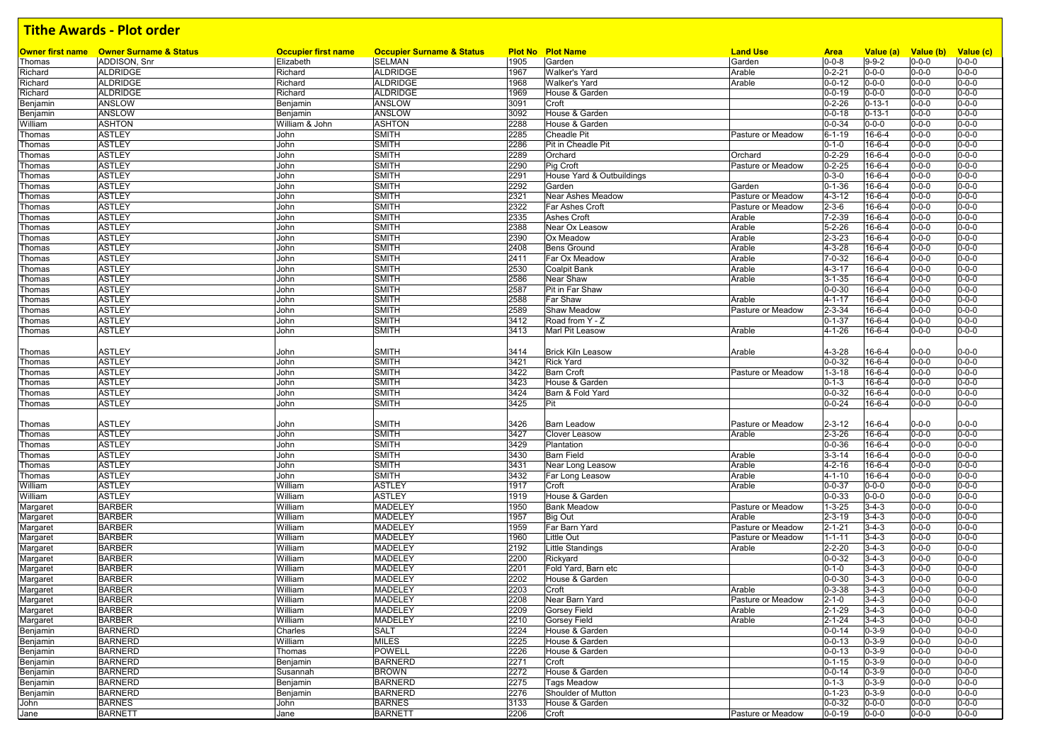|          | <b>Owner first name</b> Owner Surname & Status |                                         | <b>Occupier Surname &amp; Status</b> |              | <b>Plot No Plot Name</b>           |                           |                             |                          |                                    |                            |
|----------|------------------------------------------------|-----------------------------------------|--------------------------------------|--------------|------------------------------------|---------------------------|-----------------------------|--------------------------|------------------------------------|----------------------------|
| Thomas   | ADDISON, Snr                                   | <b>Occupier first name</b><br>Elizabeth | <b>SELMAN</b>                        | 1905         | Garden                             | <b>Land Use</b><br>Garden | <b>Area</b><br>$0 - 0 - 8$  | Value (a)<br>$9 - 9 - 2$ | Value (b) Value (c)<br>$0 - 0 - 0$ | $0 - 0 - 0$                |
| Richard  | <b>ALDRIDGE</b>                                | Richard                                 | <b>ALDRIDGE</b>                      | 1967         | <b>Walker's Yard</b>               | Arable                    | $0 - 2 - 21$                | $0 - 0 - 0$              | $0 - 0 - 0$                        | $0 - 0 - 0$                |
| Richard  | ALDRIDGE                                       | Richard                                 | ALDRIDGE                             | 1968         | <b>Walker's Yard</b>               | Arable                    | $0 - 0 - 12$                | $0 - 0 - 0$              | $0 - 0 - 0$                        | $0 - 0 - 0$                |
| Richard  | <b>ALDRIDGE</b>                                | Richard                                 | <b>ALDRIDGE</b>                      | 1969         | House & Garden                     |                           | $0 - 0 - 19$                | $0 - 0 - 0$              | $0 - 0 - 0$                        | $0 - 0 - 0$                |
| Benjamin | ANSLOW                                         | Benjamin                                | ANSLOW                               | 3091         | Croft                              |                           | $0 - 2 - 26$                | $0 - 13 - 1$             | $0 - 0 - 0$                        | $0 - 0 - 0$                |
| Benjamin | ANSLOW                                         | Benjamin                                | ANSLOW                               | 3092         | House & Garden                     |                           | $0 - 0 - 18$                | $0 - 13 - 1$             | $0 - 0 - 0$                        | $0 - 0 - 0$                |
| William  | <b>ASHTON</b>                                  | William & John                          | <b>ASHTON</b>                        | 2288         | House & Garden                     |                           | $0 - 0 - 34$                | $0 - 0 - 0$              | $0 - 0 - 0$                        | $0 - 0 - 0$                |
| Thomas   | <b>ASTLEY</b>                                  | John                                    | <b>SMITH</b>                         | 2285         | Cheadle Pit                        | Pasture or Meadow         | $6 - 1 - 19$                | 16-6-4                   | $0 - 0 - 0$                        | $0 - 0 - 0$                |
| Thomas   | <b>ASTLEY</b>                                  | John                                    | <b>SMITH</b>                         | 2286         | Pit in Cheadle Pit                 |                           | $0 - 1 - 0$                 | 16-6-4                   | $0 - 0 - 0$                        | $0 - 0 - 0$                |
| Thomas   | <b>ASTLEY</b>                                  | John                                    | <b>SMITH</b>                         | 2289         | Orchard                            | Orchard                   | $0 - 2 - 29$                | 16-6-4                   | $0 - 0 - 0$                        | $0 - 0 - 0$                |
| Thomas   | <b>ASTLEY</b>                                  | John                                    | <b>SMITH</b>                         | 2290         | Pig Croft                          | Pasture or Meadow         | $0 - 2 - 25$                | 16-6-4                   | $0 - 0 - 0$                        | $0 - 0 - 0$                |
| Thomas   | <b>ASTLEY</b>                                  | John                                    | <b>SMITH</b>                         | 2291         | House Yard & Outbuildings          |                           | $0 - 3 - 0$                 | 16-6-4                   | $0 - 0 - 0$                        | $0 - 0 - 0$                |
| Thomas   | <b>ASTLEY</b>                                  | John                                    | <b>SMITH</b>                         | 2292         | Garden                             | Garden                    | $0 - 1 - 36$                | 16-6-4                   | $0 - 0 - 0$                        | $0 - 0 - 0$                |
| Thomas   | <b>ASTLEY</b>                                  | John                                    | <b>SMITH</b>                         | 2321         | Near Ashes Meadow                  | Pasture or Meadow         | $4 - 3 - 12$                | 16-6-4                   | $0 - 0 - 0$                        | $0 - 0 - 0$                |
| Thomas   | <b>ASTLEY</b>                                  | John                                    | <b>SMITH</b>                         | 2322         | Far Ashes Croft                    | Pasture or Meadow         | $2 - 3 - 6$                 | 16-6-4                   | $0 - 0 - 0$                        | $0 - 0 - 0$                |
| Thomas   | <b>ASTLEY</b>                                  | John                                    | <b>SMITH</b>                         | 2335         | <b>Ashes Croft</b>                 | Arable                    | $7 - 2 - 39$                | 16-6-4                   | $0 - 0 - 0$                        | $0 - 0 - 0$                |
| Thomas   | <b>ASTLEY</b>                                  | John                                    | <b>SMITH</b>                         | 2388         | Near Ox Leasow                     | Arable                    | $5 - 2 - 26$                | $16-6-4$                 | $0 - 0 - 0$                        | $0 - 0 - 0$                |
| Thomas   | <b>ASTLEY</b>                                  | John                                    | <b>SMITH</b>                         | 2390         | Ox Meadow                          | Arable                    | $2 - 3 - 23$                | 16-6-4                   | $0 - 0 - 0$                        | $0 - 0 - 0$                |
| Thomas   | <b>ASTLEY</b>                                  | John                                    | <b>SMITH</b>                         | 2408         | <b>Bens Ground</b>                 | Arable                    | $4 - 3 - 28$                | 16-6-4                   | $0 - 0 - 0$                        | $0 - 0 - 0$                |
| Thomas   | <b>ASTLEY</b>                                  | John                                    | <b>SMITH</b>                         | 2411         | Far Ox Meadow                      | Arable                    | $7 - 0 - 32$                | 16-6-4                   | $0 - 0 - 0$                        | $0 - 0 - 0$                |
| Thomas   | <b>ASTLEY</b>                                  | John                                    | <b>SMITH</b>                         | 2530         | <b>Coalpit Bank</b>                | Arable                    | $4 - 3 - 17$                | $16-6-4$                 | $0 - 0 - 0$                        | $0 - 0 - 0$                |
| Thomas   | <b>ASTLEY</b>                                  | John                                    | <b>SMITH</b>                         | 2586         | Near Shaw                          | Arable                    | $3 - 1 - 35$                | 16-6-4                   | $0 - 0 - 0$                        | $0 - 0 - 0$                |
| Thomas   | <b>ASTLEY</b>                                  | John                                    | <b>SMITH</b>                         | 2587         | Pit in Far Shaw                    |                           | $0 - 0 - 30$                | $16-6-4$                 | $0 - 0 - 0$                        | $0 - 0 - 0$                |
| Thomas   | <b>ASTLEY</b>                                  | John                                    | <b>SMITH</b>                         | 2588         | Far Shaw                           | Arable                    | $4 - 1 - 17$                | 16-6-4                   | $0 - 0 - 0$                        | $0 - 0 - 0$                |
| Thomas   | <b>ASTLEY</b>                                  | John                                    | <b>SMITH</b>                         | 2589         | Shaw Meadow                        | Pasture or Meadow         | $2 - 3 - 34$                | 16-6-4                   | $0 - 0 - 0$                        | $0 - 0 - 0$                |
| Thomas   | <b>ASTLEY</b>                                  | John                                    | <b>SMITH</b>                         | 3412         | Road from Y - Z                    |                           | $0 - 1 - 37$                | 16-6-4                   | $0 - 0 - 0$                        | $0 - 0 - 0$                |
| Thomas   | <b>ASTLEY</b>                                  | John                                    | <b>SMITH</b>                         | 3413         | Marl Pit Leasow                    | Arable                    | $4 - 1 - 26$                | 16-6-4                   | $0 - 0 - 0$                        | $0 - 0 - 0$                |
|          |                                                |                                         |                                      |              |                                    |                           |                             |                          |                                    |                            |
| Thomas   | <b>ASTLEY</b>                                  | John                                    | <b>SMITH</b>                         | 3414         | <b>Brick Kiln Leasow</b>           | Arable                    | $4 - 3 - 28$                | $16 - 6 - 4$             | $0 - 0 - 0$                        | $0 - 0 - 0$                |
| Thomas   | <b>ASTLEY</b>                                  | John                                    | <b>SMITH</b>                         | 3421<br>3422 | <b>Rick Yard</b>                   |                           | $0 - 0 - 32$                | 16-6-4                   | $0 - 0 - 0$                        | $0 - 0 - 0$<br>$0 - 0 - 0$ |
| Thomas   | <b>ASTLEY</b>                                  | John<br>John                            | <b>SMITH</b>                         | 3423         | <b>Barn Croft</b>                  | Pasture or Meadow         | $1 - 3 - 18$                | 16-6-4                   | $0 - 0 - 0$                        | $0 - 0 - 0$                |
| Thomas   | <b>ASTLEY</b><br><b>ASTLEY</b>                 | John                                    | <b>SMITH</b><br><b>SMITH</b>         | 3424         | House & Garden<br>Barn & Fold Yard |                           | $0 - 1 - 3$<br>$0 - 0 - 32$ | 16-6-4<br>16-6-4         | $0 - 0 - 0$<br>$0 - 0 - 0$         | $0 - 0 - 0$                |
| Thomas   | <b>ASTLEY</b>                                  | John                                    | <b>SMITH</b>                         | 3425         | Pit                                |                           | $0 - 0 - 24$                | 16-6-4                   | $0 - 0 - 0$                        | $0 - 0 - 0$                |
| Thomas   |                                                |                                         |                                      |              |                                    |                           |                             |                          |                                    |                            |
| Thomas   | <b>ASTLEY</b>                                  | John                                    | <b>SMITH</b>                         | 3426         | <b>Barn Leadow</b>                 | Pasture or Meadow         | $2 - 3 - 12$                | 16-6-4                   | $0 - 0 - 0$                        | $0 - 0 - 0$                |
| Thomas   | <b>ASTLEY</b>                                  | John                                    | <b>SMITH</b>                         | 3427         | Clover Leasow                      | Arable                    | $2 - 3 - 26$                | 16-6-4                   | $0 - 0 - 0$                        | $0 - 0 - 0$                |
| Thomas   | <b>ASTLEY</b>                                  | John                                    | <b>SMITH</b>                         | 3429         | Plantation                         |                           | $0 - 0 - 36$                | $16-6-4$                 | $0 - 0 - 0$                        | $0 - 0 - 0$                |
| Thomas   | <b>ASTLEY</b>                                  | John                                    | <b>SMITH</b>                         | 3430         | <b>Barn Field</b>                  | Arable                    | $3 - 3 - 14$                | 16-6-4                   | $0 - 0 - 0$                        | $0 - 0 - 0$                |
| Thomas   | <b>ASTLEY</b>                                  | John                                    | <b>SMITH</b>                         | 3431         | Near Long Leasow                   | Arable                    | $4 - 2 - 16$                | $16-6-4$                 | $0 - 0 - 0$                        | $0 - 0 - 0$                |
| Thomas   | <b>ASTLEY</b>                                  | John                                    | <b>SMITH</b>                         | 3432         | Far Long Leasow                    | Arable                    | $4 - 1 - 10$                | 16-6-4                   | $0 - 0 - 0$                        | $0 - 0 - 0$                |
| William  | <b>ASTLEY</b>                                  | William                                 | <b>ASTLEY</b>                        | 1917         | Croft                              | Arable                    | $0 - 0 - 37$                | $0 - 0 - 0$              | $0 - 0 - 0$                        | $0 - 0 - 0$                |
| William  | <b>ASTLEY</b>                                  | William                                 | <b>ASTLEY</b>                        | 1919         | House & Garden                     |                           | $0 - 0 - 33$                | $0 - 0 - 0$              | $0 - 0 - 0$                        | $0 - 0 - 0$                |
| Margaret | <b>BARBER</b>                                  | William                                 | <b>MADELEY</b>                       | 1950         | <b>Bank Meadow</b>                 | Pasture or Meadow         | $1 - 3 - 25$                | $3 - 4 - 3$              | $0 - 0 - 0$                        | $0 - 0 - 0$                |
| Margaret | <b>BARBER</b>                                  | William                                 | MADELEY                              | 1957         | <b>Big Out</b>                     | Arable                    | $2 - 3 - 19$                | $3-4-3$                  | $0 - 0 - 0$                        | $0 - 0 - 0$                |
| Margaret | <b>BARBER</b>                                  | William                                 | MADELEY                              | 1959         | Far Barn Yard                      | Pasture or Meadow         | $2 - 1 - 21$                | $3 - 4 - 3$              | $0 - 0 - 0$                        | $0 - 0 - 0$                |
| Margaret | <b>BARBER</b>                                  | William                                 | MADELEY                              | 1960         | Little Out                         | Pasture or Meadow         | $1 - 1 - 11$                | $3 - 4 - 3$              | $0 - 0 - 0$                        | $0 - 0 - 0$                |
| Margaret | <b>BARBER</b>                                  | William                                 | MADELEY                              | 2192         | Little Standings                   | Arable                    | $2 - 2 - 20$                | $3 - 4 - 3$              | $0 - 0 - 0$                        | $0 - 0 - 0$                |
| Margaret | <b>BARBER</b>                                  | William                                 | MADELEY                              | 2200         | Rickyard                           |                           | $0 - 0 - 32$                | $3 - 4 - 3$              | $0 - 0 - 0$                        | $0 - 0 - 0$                |
| Margaret | <b>BARBER</b>                                  | William                                 | <b>MADELEY</b>                       | 2201         | Fold Yard, Barn etc                |                           | $0 - 1 - 0$                 | $3 - 4 - 3$              | $0 - 0 - 0$                        | $0 - 0 - 0$                |
| Margaret | <b>BARBER</b>                                  | William                                 | MADELEY                              | 2202         | House & Garden                     |                           | $0 - 0 - 30$                | $3-4-3$                  | $0 - 0 - 0$                        | $0 - 0 - 0$                |
| Margaret | <b>BARBER</b>                                  | William                                 | MADELEY                              | 2203         | Croft                              | Arable                    | $0 - 3 - 38$                | $3 - 4 - 3$              | $0 - 0 - 0$                        | $0 - 0 - 0$                |
| Margaret | <b>BARBER</b>                                  | William                                 | MADELEY                              | 2208         | Near Barn Yard                     | Pasture or Meadow         | $2 - 1 - 0$                 | $3 - 4 - 3$              | $0 - 0 - 0$                        | $0 - 0 - 0$                |
| Margaret | <b>BARBER</b>                                  | William                                 | MADELEY                              | 2209         | <b>Gorsey Field</b>                | Arable                    | $2 - 1 - 29$                | $3 - 4 - 3$              | $0 - 0 - 0$                        | $0 - 0 - 0$                |
| Margaret | <b>BARBER</b>                                  | William                                 | MADELEY                              | 2210         | <b>Gorsey Field</b>                | Arable                    | $2 - 1 - 24$                | $3 - 4 - 3$              | $0 - 0 - 0$                        | $0 - 0 - 0$                |
| Benjamin | <b>BARNERD</b>                                 | Charles                                 | SALT                                 | 2224         | House & Garden                     |                           | $0 - 0 - 14$                | $0 - 3 - 9$              | $0 - 0 - 0$                        | $0 - 0 - 0$                |
| Benjamin | <b>BARNERD</b>                                 | William                                 | <b>MILES</b>                         | 2225         | House & Garden                     |                           | $0 - 0 - 13$                | $0 - 3 - 9$              | $0 - 0 - 0$                        | $0 - 0 - 0$                |
| Benjamin | <b>BARNERD</b>                                 | Thomas                                  | <b>POWELL</b>                        | 2226         | House & Garden                     |                           | $0 - 0 - 13$                | $0 - 3 - 9$              | $0 - 0 - 0$                        | $0 - 0 - 0$                |
| Benjamin | <b>BARNERD</b>                                 | Benjamin                                | <b>BARNERD</b>                       | 2271         | Croft                              |                           | $0 - 1 - 15$                | $0 - 3 - 9$              | $0 - 0 - 0$                        | $0 - 0 - 0$                |
| Benjamin | <b>BARNERD</b>                                 | Susannah                                | <b>BROWN</b>                         | 2272         | House & Garden                     |                           | $0 - 0 - 14$                | $0 - 3 - 9$              | $0 - 0 - 0$                        | $0 - 0 - 0$                |
| Benjamin | <b>BARNERD</b>                                 | Benjamin                                | <b>BARNERD</b>                       | 2275         | <b>Tags Meadow</b>                 |                           | $0 - 1 - 3$                 | $0 - 3 - 9$              | $0 - 0 - 0$                        | $0 - 0 - 0$                |
| Benjamin | <b>BARNERD</b>                                 | Benjamin                                | <b>BARNERD</b>                       | 2276         | Shoulder of Mutton                 |                           | $0 - 1 - 23$                | $0 - 3 - 9$              | $0 - 0 - 0$                        | $0 - 0 - 0$                |
| John     | <b>BARNES</b>                                  | John                                    | <b>BARNES</b>                        | 3133         | House & Garden                     |                           | $0 - 0 - 32$                | $0 - 0 - 0$              | $0 - 0 - 0$                        | $0 - 0 - 0$                |
| Jane     | <b>BARNETT</b>                                 | Jane                                    | <b>BARNETT</b>                       | 2206         | Croft                              | Pasture or Meadow         | $0 - 0 - 19$                | $0 - 0 - 0$              | $0 - 0 - 0$                        | $0 - 0 - 0$                |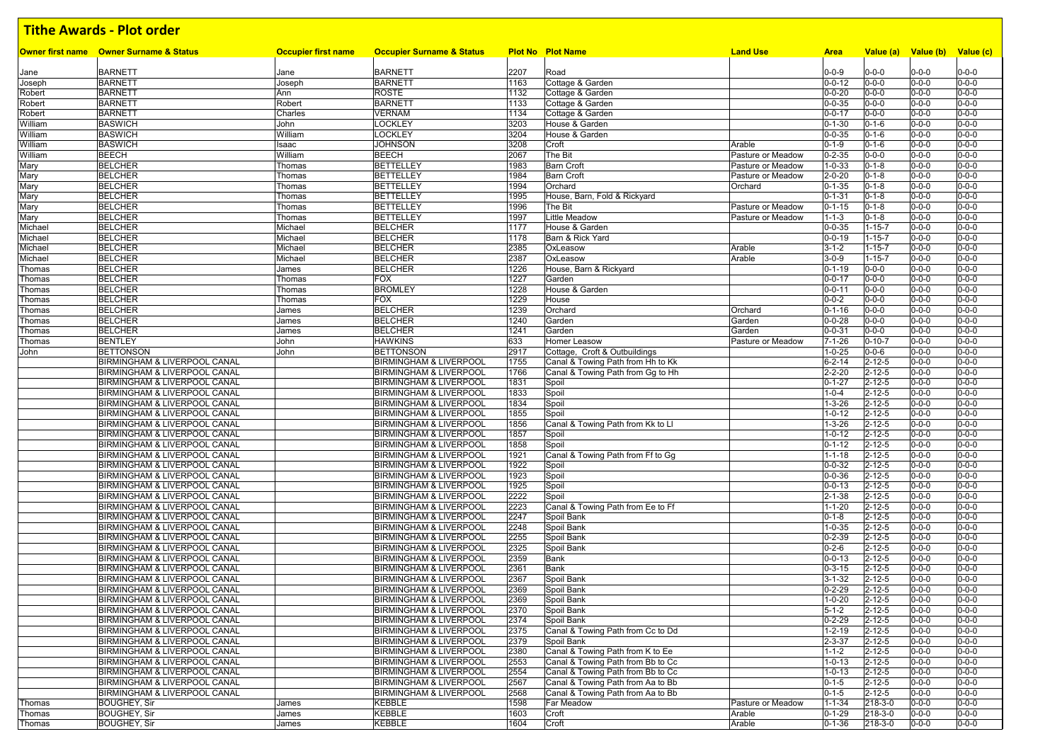|                    | <b>Owner first name</b> Owner Surname & Status                          | <b>Occupier first name</b> | <b>Occupier Surname &amp; Status</b>                                   |              | <b>Plot No Plot Name</b>                                               | <b>Land Use</b>   | <b>Area</b>                  | Value (a)                    | Value (b)                  | Value (c)                  |
|--------------------|-------------------------------------------------------------------------|----------------------------|------------------------------------------------------------------------|--------------|------------------------------------------------------------------------|-------------------|------------------------------|------------------------------|----------------------------|----------------------------|
|                    |                                                                         |                            |                                                                        |              |                                                                        |                   |                              |                              |                            |                            |
| Jane               | <b>BARNETT</b>                                                          | Jane                       | <b>BARNETT</b>                                                         | 2207         | Road                                                                   |                   | $0 - 0 - 9$                  | $0 - 0 - 0$                  | $0 - 0 - 0$                | $0 - 0 - 0$                |
| Joseph             | <b>BARNETT</b>                                                          | Joseph                     | <b>BARNETT</b>                                                         | 1163         | Cottage & Garden                                                       |                   | $0 - 0 - 12$                 | $0 - 0 - 0$                  | $0 - 0 - 0$                | $0 - 0 - 0$                |
| Robert<br>Robert   | <b>BARNETT</b><br><b>BARNETT</b>                                        | Ann<br>Robert              | ROSTE<br><b>BARNETT</b>                                                | 1132<br>1133 | Cottage & Garden<br>Cottage & Garden                                   |                   | $0 - 0 - 20$<br>$0 - 0 - 35$ | $0 - 0 - 0$<br>$0 - 0 - 0$   | $0 - 0 - 0$<br>$0 - 0 - 0$ | $0 - 0 - 0$<br>$0 - 0 - 0$ |
| Robert             | <b>BARNETT</b>                                                          | Charles                    | <b>VERNAM</b>                                                          | 1134         | Cottage & Garden                                                       |                   | $0 - 0 - 17$                 | $0 - 0 - 0$                  | $0 - 0 - 0$                | $0 - 0 - 0$                |
| William            | <b>BASWICH</b>                                                          | John                       | LOCKLEY                                                                | 3203         | House & Garden                                                         |                   | $0 - 1 - 30$                 | $0 - 1 - 6$                  | $0 - 0 - 0$                | $0 - 0 - 0$                |
| William            | <b>BASWICH</b>                                                          | William                    | LOCKLEY                                                                | 3204         | House & Garden                                                         |                   | $0 - 0 - 35$                 | $0 - 1 - 6$                  | $0 - 0 - 0$                | $0 - 0 - 0$                |
| William            | <b>BASWICH</b>                                                          | Isaac                      | <b>JOHNSON</b>                                                         | 3208         | Croft                                                                  | Arable            | $0 - 1 - 9$                  | $0 - 1 - 6$                  | $0 - 0 - 0$                | $0 - 0 - 0$                |
| William            | <b>BEECH</b>                                                            | William                    | <b>BEECH</b>                                                           | 2067         | The Bit                                                                | Pasture or Meadow | $0 - 2 - 35$                 | $0 - 0 - 0$                  | $0 - 0 - 0$                | $0 - 0 - 0$                |
| Mary               | <b>BELCHER</b>                                                          | Thomas                     | <b>BETTELLEY</b>                                                       | 1983         | <b>Barn Croft</b>                                                      | Pasture or Meadow | $1 - 0 - 33$                 | $0 - 1 - 8$                  | $0 - 0 - 0$                | $0 - 0 - 0$                |
| Mary               | <b>BELCHER</b>                                                          | Thomas                     | <b>BETTELLEY</b>                                                       | 1984         | <b>Barn Croft</b>                                                      | Pasture or Meadow | $2 - 0 - 20$                 | $0 - 1 - 8$                  | $0 - 0 - 0$                | $0 - 0 - 0$                |
| Mary               | <b>BELCHER</b>                                                          | Thomas                     | <b>BETTELLEY</b>                                                       | 1994         | Orchard                                                                | Orchard           | $0 - 1 - 35$                 | $0 - 1 - 8$                  | $0 - 0 - 0$                | $0 - 0 - 0$                |
| Mary               | <b>BELCHER</b>                                                          | Thomas                     | <b>BETTELLEY</b>                                                       | 1995         | House, Barn, Fold & Rickyard                                           |                   | $0 - 1 - 31$                 | $0 - 1 - 8$                  | $0 - 0 - 0$                | $0 - 0 - 0$                |
| Mary               | <b>BELCHER</b>                                                          | Thomas                     | <b>BETTELLEY</b>                                                       | 1996         | The Bit                                                                | Pasture or Meadow | $0 - 1 - 15$                 | $0 - 1 - 8$                  | $0 - 0 - 0$                | $0 - 0 - 0$                |
| Mary               | <b>BELCHER</b><br><b>BELCHER</b>                                        | Thomas                     | <b>BETTELLEY</b><br><b>BELCHER</b>                                     | 1997<br>1177 | Little Meadow<br>House & Garden                                        | Pasture or Meadow | $1 - 1 - 3$<br>$0 - 0 - 35$  | $0 - 1 - 8$<br>$1 - 15 - 7$  | $0 - 0 - 0$<br>$0 - 0 - 0$ | $0 - 0 - 0$<br>$0 - 0 - 0$ |
| Michael<br>Michael | <b>BELCHER</b>                                                          | Michael<br>Michael         | <b>BELCHER</b>                                                         | 1178         | Barn & Rick Yard                                                       |                   | $0 - 0 - 19$                 | $1 - 15 - 7$                 | $0 - 0 - 0$                | $0 - 0 - 0$                |
| Michael            | <b>BELCHER</b>                                                          | Michael                    | <b>BELCHER</b>                                                         | 2385         | OxLeasow                                                               | Arable            | $3 - 1 - 2$                  | $1 - 15 - 7$                 | $0 - 0 - 0$                | $0 - 0 - 0$                |
| Michael            | <b>BELCHER</b>                                                          | Michael                    | <b>BELCHER</b>                                                         | 2387         | OxLeasow                                                               | Arable            | $3 - 0 - 9$                  | $1 - 15 - 7$                 | $0 - 0 - 0$                | $0 - 0 - 0$                |
| Thomas             | <b>BELCHER</b>                                                          | James                      | <b>BELCHER</b>                                                         | 1226         | House, Barn & Rickyard                                                 |                   | $0 - 1 - 19$                 | $0 - 0 - 0$                  | $0 - 0 - 0$                | $0 - 0 - 0$                |
| Thomas             | <b>BELCHER</b>                                                          | Thomas                     | <b>FOX</b>                                                             | 1227         | Garden                                                                 |                   | $0 - 0 - 17$                 | $0 - 0 - 0$                  | $0 - 0 - 0$                | $0 - 0 - 0$                |
| Thomas             | <b>BELCHER</b>                                                          | Thomas                     | <b>BROMLEY</b>                                                         | 1228         | House & Garden                                                         |                   | $0 - 0 - 11$                 | $0 - 0 - 0$                  | $0 - 0 - 0$                | $0 - 0 - 0$                |
| Thomas             | <b>BELCHER</b>                                                          | Thomas                     | <b>FOX</b>                                                             | 1229         | House                                                                  |                   | $0 - 0 - 2$                  | $0 - 0 - 0$                  | $0 - 0 - 0$                | $0 - 0 - 0$                |
| Thomas             | <b>BELCHER</b>                                                          | James                      | <b>BELCHER</b>                                                         | 1239         | Orchard                                                                | Orchard           | $0 - 1 - 16$                 | $0 - 0 - 0$                  | $0 - 0 - 0$                | $0 - 0 - 0$                |
| Thomas             | <b>BELCHER</b>                                                          | James                      | <b>BELCHER</b>                                                         | 1240         | Garden                                                                 | Garden            | $0 - 0 - 28$                 | $0 - 0 - 0$                  | $0 - 0 - 0$                | $0 - 0 - 0$                |
| Thomas             | <b>BELCHER</b>                                                          | James                      | <b>BELCHER</b>                                                         | 1241         | Garden                                                                 | Garden            | $0 - 0 - 31$                 | $0 - 0 - 0$                  | $0 - 0 - 0$                | $0 - 0 - 0$                |
| Thomas             | <b>BENTLEY</b>                                                          | John                       | <b>HAWKINS</b>                                                         | 633          | Homer Leasow                                                           | Pasture or Meadow | $7 - 1 - 26$                 | $0 - 10 - 7$                 | $0 - 0 - 0$                | $0 - 0 - 0$                |
| John               | <b>BETTONSON</b>                                                        | John                       | <b>BETTONSON</b>                                                       | 2917         | Cottage, Croft & Outbuildings                                          |                   | $1 - 0 - 25$                 | $0 - 0 - 6$                  | $0 - 0 - 0$                | $0 - 0 - 0$                |
|                    | BIRMINGHAM & LIVERPOOL CANAL<br><b>BIRMINGHAM &amp; LIVERPOOL CANAL</b> |                            | <b>BIRMINGHAM &amp; LIVERPOOL</b><br><b>BIRMINGHAM &amp; LIVERPOOL</b> | 1755         | Canal & Towing Path from Hh to Kk<br>Canal & Towing Path from Gq to Hh |                   | $6 - 2 - 14$<br>$2 - 2 - 20$ | $2 - 12 - 5$<br>$2 - 12 - 5$ | $0 - 0 - 0$<br>$0 - 0 - 0$ | $0 - 0 - 0$<br>$0 - 0 - 0$ |
|                    | BIRMINGHAM & LIVERPOOL CANAL                                            |                            | <b>BIRMINGHAM &amp; LIVERPOOL</b>                                      | 1766<br>1831 | Spoil                                                                  |                   | $0 - 1 - 27$                 | $2 - 12 - 5$                 | $0 - 0 - 0$                | $0 - 0 - 0$                |
|                    | BIRMINGHAM & LIVERPOOL CANAL                                            |                            | <b>BIRMINGHAM &amp; LIVERPOOL</b>                                      | 1833         | Spoil                                                                  |                   | $1 - 0 - 4$                  | $2 - 12 - 5$                 | $0 - 0 - 0$                | $0 - 0 - 0$                |
|                    | BIRMINGHAM & LIVERPOOL CANAL                                            |                            | <b>BIRMINGHAM &amp; LIVERPOOL</b>                                      | 1834         | Spoil                                                                  |                   | $1 - 3 - 26$                 | $2 - 12 - 5$                 | $0 - 0 - 0$                | $0 - 0 - 0$                |
|                    | BIRMINGHAM & LIVERPOOL CANAL                                            |                            | <b>BIRMINGHAM &amp; LIVERPOOL</b>                                      | 1855         | Spoil                                                                  |                   | $1 - 0 - 12$                 | $2 - 12 - 5$                 | $0 - 0 - 0$                | $0 - 0 - 0$                |
|                    | BIRMINGHAM & LIVERPOOL CANAL                                            |                            | <b>BIRMINGHAM &amp; LIVERPOOL</b>                                      | 1856         | Canal & Towing Path from Kk to LI                                      |                   | $1 - 3 - 26$                 | $2 - 12 - 5$                 | $0 - 0 - 0$                | $0 - 0 - 0$                |
|                    | BIRMINGHAM & LIVERPOOL CANAL                                            |                            | <b>BIRMINGHAM &amp; LIVERPOOL</b>                                      | 1857         | Spoil                                                                  |                   | $1 - 0 - 12$                 | $2 - 12 - 5$                 | $0 - 0 - 0$                | $0 - 0 - 0$                |
|                    | BIRMINGHAM & LIVERPOOL CANAL                                            |                            | <b>BIRMINGHAM &amp; LIVERPOOL</b>                                      | 1858         | Spoil                                                                  |                   | $0 - 1 - 12$                 | $2 - 12 - 5$                 | $0 - 0 - 0$                | $0 - 0 - 0$                |
|                    | BIRMINGHAM & LIVERPOOL CANAL                                            |                            | <b>BIRMINGHAM &amp; LIVERPOOL</b>                                      | 1921         | Canal & Towing Path from Ff to Gg                                      |                   | $1 - 1 - 18$                 | $2 - 12 - 5$                 | $0 - 0 - 0$                | $0 - 0 - 0$                |
|                    | BIRMINGHAM & LIVERPOOL CANAL                                            |                            | <b>BIRMINGHAM &amp; LIVERPOOL</b>                                      | 1922         | Spoil                                                                  |                   | $0 - 0 - 32$                 | $2 - 12 - 5$                 | $0 - 0 - 0$                | $0 - 0 - 0$                |
|                    | BIRMINGHAM & LIVERPOOL CANAL                                            |                            | <b>BIRMINGHAM &amp; LIVERPOOL</b>                                      | 1923         | Spoil                                                                  |                   | $0 - 0 - 36$                 | $2 - 12 - 5$                 | $0 - 0 - 0$                | $0 - 0 - 0$                |
|                    | BIRMINGHAM & LIVERPOOL CANAL                                            |                            | <b>BIRMINGHAM &amp; LIVERPOOL</b>                                      | 1925         | Spoil                                                                  |                   | $0 - 0 - 13$                 | $2 - 12 - 5$                 | $0 - 0 - 0$                | $0 - 0 - 0$                |
|                    | BIRMINGHAM & LIVERPOOL CANAL<br>BIRMINGHAM & LIVERPOOL CANAL            |                            | <b>BIRMINGHAM &amp; LIVERPOOL</b><br><b>BIRMINGHAM &amp; LIVERPOOL</b> | 2222<br>2223 | Spoil<br>Canal & Towing Path from Ee to Ff                             |                   | $2 - 1 - 38$<br>$1 - 1 - 20$ | $2 - 12 - 5$<br>$2 - 12 - 5$ | $0 - 0 - 0$<br>$0 - 0 - 0$ | $0 - 0 - 0$<br>$0 - 0 - 0$ |
|                    | BIRMINGHAM & LIVERPOOL CANAL                                            |                            | <b>BIRMINGHAM &amp; LIVERPOOL</b>                                      | 2247         | Spoil Bank                                                             |                   | $0 - 1 - 8$                  | $2 - 12 - 5$                 | $0 - 0 - 0$                | $0 - 0 - 0$                |
|                    | BIRMINGHAM & LIVERPOOL CANAL                                            |                            | <b>BIRMINGHAM &amp; LIVERPOOL</b>                                      | 2248         | Spoil Bank                                                             |                   | $1 - 0 - 35$                 | $2 - 12 - 5$                 | $0 - 0 - 0$                | $0 - 0 - 0$                |
|                    | BIRMINGHAM & LIVERPOOL CANAL                                            |                            | <b>BIRMINGHAM &amp; LIVERPOOL</b>                                      | 2255         | Spoil Bank                                                             |                   | $0 - 2 - 39$                 | $2 - 12 - 5$                 | $0 - 0 - 0$                | $0 - 0 - 0$                |
|                    | BIRMINGHAM & LIVERPOOL CANAL                                            |                            | <b>BIRMINGHAM &amp; LIVERPOOL</b>                                      | 2325         | Spoil Bank                                                             |                   | $0 - 2 - 6$                  | $2 - 12 - 5$                 | $0 - 0 - 0$                | $0 - 0 - 0$                |
|                    | <b>BIRMINGHAM &amp; LIVERPOOL CANAL</b>                                 |                            | <b>BIRMINGHAM &amp; LIVERPOOL</b>                                      | 2359         | Bank                                                                   |                   | $0 - 0 - 13$                 | $2 - 12 - 5$                 | $0 - 0 - 0$                | $0 - 0 - 0$                |
|                    | BIRMINGHAM & LIVERPOOL CANAL                                            |                            | <b>BIRMINGHAM &amp; LIVERPOOL</b>                                      | 2361         | Bank                                                                   |                   | $0 - 3 - 15$                 | $2 - 12 - 5$                 | $0 - 0 - 0$                | $0 - 0 - 0$                |
|                    | BIRMINGHAM & LIVERPOOL CANAL                                            |                            | <b>BIRMINGHAM &amp; LIVERPOOL</b>                                      | 2367         | Spoil Bank                                                             |                   | $3 - 1 - 32$                 | $2 - 12 - 5$                 | $0 - 0 - 0$                | $0 - 0 - 0$                |
|                    | BIRMINGHAM & LIVERPOOL CANAL                                            |                            | <b>BIRMINGHAM &amp; LIVERPOOL</b>                                      | 2369         | Spoil Bank                                                             |                   | $0 - 2 - 29$                 | $2 - 12 - 5$                 | $0 - 0 - 0$                | $0 - 0 - 0$                |
|                    | BIRMINGHAM & LIVERPOOL CANAL                                            |                            | <b>BIRMINGHAM &amp; LIVERPOOL</b>                                      | 2369         | Spoil Bank                                                             |                   | $1 - 0 - 20$                 | $2 - 12 - 5$                 | $0 - 0 - 0$                | $0 - 0 - 0$                |
|                    | BIRMINGHAM & LIVERPOOL CANAL                                            |                            | BIRMINGHAM & LIVERPOOL                                                 | 2370         | Spoil Bank                                                             |                   | $5 - 1 - 2$                  | $2 - 12 - 5$                 | $0 - 0 - 0$                | $0 - 0 - 0$                |
|                    | <b>BIRMINGHAM &amp; LIVERPOOL CANAL</b>                                 |                            | <b>BIRMINGHAM &amp; LIVERPOOL</b>                                      | 2374         | Spoil Bank                                                             |                   | $0 - 2 - 29$                 | $2 - 12 - 5$                 | $0 - 0 - 0$                | $0 - 0 - 0$                |
|                    | <b>BIRMINGHAM &amp; LIVERPOOL CANAL</b>                                 |                            | <b>BIRMINGHAM &amp; LIVERPOOL</b>                                      | 2375         | Canal & Towing Path from Cc to Dd<br>Spoil Bank                        |                   | $1 - 2 - 19$                 | $2 - 12 - 5$                 | $0 - 0 - 0$                | $0 - 0 - 0$<br>$0 - 0 - 0$ |
|                    | BIRMINGHAM & LIVERPOOL CANAL<br><b>BIRMINGHAM &amp; LIVERPOOL CANAL</b> |                            | <b>BIRMINGHAM &amp; LIVERPOOL</b><br><b>BIRMINGHAM &amp; LIVERPOOL</b> | 2379<br>2380 | Canal & Towing Path from K to Ee                                       |                   | $2 - 3 - 37$<br>$1 - 1 - 2$  | $2 - 12 - 5$<br>$2 - 12 - 5$ | $0 - 0 - 0$<br>$0 - 0 - 0$ | $0 - 0 - 0$                |
|                    | BIRMINGHAM & LIVERPOOL CANAL                                            |                            | <b>BIRMINGHAM &amp; LIVERPOOL</b>                                      | 2553         | Canal & Towing Path from Bb to Cc                                      |                   | $1 - 0 - 13$                 | $2 - 12 - 5$                 | $0 - 0 - 0$                | $0 - 0 - 0$                |
|                    | BIRMINGHAM & LIVERPOOL CANAL                                            |                            | <b>BIRMINGHAM &amp; LIVERPOOL</b>                                      | 2554         | Canal & Towing Path from Bb to Cc                                      |                   | $1 - 0 - 13$                 | $2 - 12 - 5$                 | $0 - 0 - 0$                | $0 - 0 - 0$                |
|                    | BIRMINGHAM & LIVERPOOL CANAL                                            |                            | <b>BIRMINGHAM &amp; LIVERPOOL</b>                                      | 2567         | Canal & Towing Path from Aa to Bb                                      |                   | $0 - 1 - 5$                  | $2 - 12 - 5$                 | $0 - 0 - 0$                | $0 - 0 - 0$                |
|                    | BIRMINGHAM & LIVERPOOL CANAL                                            |                            | <b>BIRMINGHAM &amp; LIVERPOOL</b>                                      | 2568         | Canal & Towing Path from Aa to Bb                                      |                   | $0 - 1 - 5$                  | $2 - 12 - 5$                 | $0 - 0 - 0$                | $0 - 0 - 0$                |
| Thomas             | <b>BOUGHEY, Sir</b>                                                     | James                      | <b>KEBBLE</b>                                                          | 1598         | Far Meadow                                                             | Pasture or Meadow | $1 - 1 - 34$                 | 218-3-0                      | $0 - 0 - 0$                | $0 - 0 - 0$                |
| Thomas             | <b>BOUGHEY, Sir</b>                                                     | James                      | KEBBLE                                                                 | 1603         | Croft                                                                  | Arable            | $0 - 1 - 29$                 | 218-3-0                      | $0 - 0 - 0$                | $0 - 0 - 0$                |
| Thomas             | <b>BOUGHEY, Sir</b>                                                     | James                      | <b>KEBBLE</b>                                                          | 1604         | Croft                                                                  | Arable            | $0 - 1 - 36$                 | 218-3-0                      | $0 - 0 - 0$                | $0 - 0 - 0$                |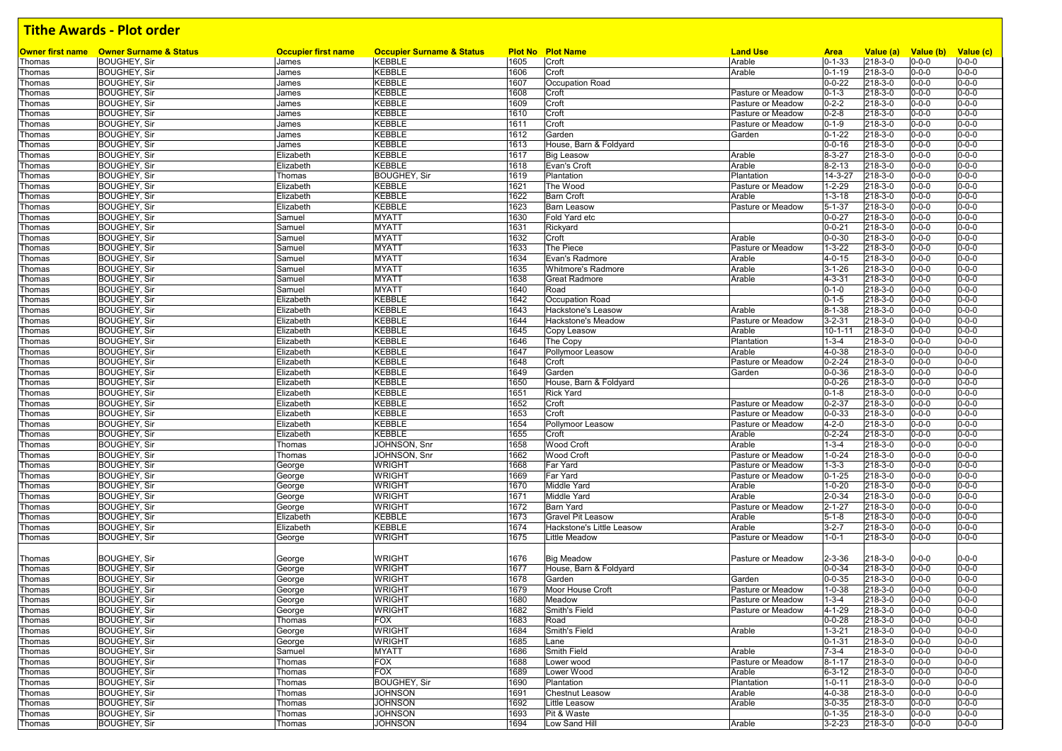| Thomas           | <b>Owner first name</b> Owner Surname & Status<br><b>BOUGHEY, Sir</b> | <b>Occupier first name</b><br>James | <b>Occupier Surname &amp; Status</b><br><b>KEBBLE</b> | 1605         | <b>Plot No Plot Name</b>  | <b>Land Use</b><br>Arable | <b>Area</b><br>$0 - 1 - 33$ | Value (a)<br>218-3-0 | Value (b)                  | Value (c)<br>$0 - 0 - 0$ |
|------------------|-----------------------------------------------------------------------|-------------------------------------|-------------------------------------------------------|--------------|---------------------------|---------------------------|-----------------------------|----------------------|----------------------------|--------------------------|
|                  |                                                                       |                                     |                                                       | 1606         | Croft                     | Arable                    | $0 - 1 - 19$                | 218-3-0              | $0 - 0 - 0$<br>$0 - 0 - 0$ | $0 - 0 - 0$              |
| Thomas<br>Thomas | <b>BOUGHEY, Sir</b><br><b>BOUGHEY, Sir</b>                            | James<br>James                      | <b>KEBBLE</b><br><b>KEBBLE</b>                        | 1607         | Croft<br>Occupation Road  |                           | $0 - 0 - 22$                | 218-3-0              | $0 - 0 - 0$                | $0 - 0 - 0$              |
| Thomas           | <b>BOUGHEY, Sir</b>                                                   | James                               | <b>KEBBLE</b>                                         | 1608         | Croft                     | Pasture or Meadow         | $0 - 1 - 3$                 | 218-3-0              | $0 - 0 - 0$                | $0 - 0 - 0$              |
| Thomas           | <b>BOUGHEY, Sir</b>                                                   | James                               | <b>KEBBLE</b>                                         | 1609         | Croft                     | Pasture or Meadow         | $0 - 2 - 2$                 | 218-3-0              | $0 - 0 - 0$                | $0 - 0 - 0$              |
| Thomas           | <b>BOUGHEY, Sir</b>                                                   | James                               | <b>KEBBLE</b>                                         | 1610         | Croft                     | Pasture or Meadow         | $0 - 2 - 8$                 | 218-3-0              | $0 - 0 - 0$                | $0 - 0 - 0$              |
| Thomas           | <b>BOUGHEY, Sir</b>                                                   | James                               | <b>KEBBLE</b>                                         | 1611         | Croft                     | Pasture or Meadow         | $0 - 1 - 9$                 | 218-3-0              | $0 - 0 - 0$                | $0 - 0 - 0$              |
|                  | <b>BOUGHEY, Sir</b>                                                   | James                               | <b>KEBBLE</b>                                         | 1612         | Garden                    | Garden                    | $0 - 1 - 22$                | 218-3-0              | $0 - 0 - 0$                | $0 - 0 - 0$              |
| Thomas<br>Thomas | <b>BOUGHEY, Sir</b>                                                   | James                               | <b>KEBBLE</b>                                         | 1613         | House, Barn & Foldyard    |                           | $0 - 0 - 16$                | 218-3-0              | $0 - 0 - 0$                | $0 - 0 - 0$              |
|                  | <b>BOUGHEY, Sir</b>                                                   | Elizabeth                           | <b>KEBBLE</b>                                         | 1617         | <b>Big Leasow</b>         | Arable                    | $8 - 3 - 27$                | 218-3-0              | $0 - 0 - 0$                | $0 - 0 - 0$              |
| Thomas<br>Thomas | <b>BOUGHEY, Sir</b>                                                   | Elizabeth                           | <b>KEBBLE</b>                                         | 1618         | Evan's Croft              | Arable                    | $8 - 2 - 13$                | 218-3-0              | $0 - 0 - 0$                | $0 - 0 - 0$              |
| Thomas           | <b>BOUGHEY, Sir</b>                                                   | Thomas                              | <b>BOUGHEY, Sir</b>                                   | 1619         | Plantation                | Plantation                | $14 - 3 - 27$               | 218-3-0              | $0 - 0 - 0$                | $0 - 0 - 0$              |
| Thomas           | <b>BOUGHEY, Sir</b>                                                   | Elizabeth                           | <b>KEBBLE</b>                                         | 1621         | The Wood                  | Pasture or Meadow         | $1 - 2 - 29$                | 218-3-0              | $0 - 0 - 0$                | $0 - 0 - 0$              |
| Thomas           | <b>BOUGHEY, Sir</b>                                                   | Elizabeth                           | KEBBLE                                                | 1622         | <b>Barn Croft</b>         | Arable                    | $1 - 3 - 18$                | 218-3-0              | $0 - 0 - 0$                | $0 - 0 - 0$              |
| Thomas           | <b>BOUGHEY, Sir</b>                                                   | Elizabeth                           | <b>KEBBLE</b>                                         | 1623         | <b>Barn Leasow</b>        | Pasture or Meadow         | $5 - 1 - 37$                | 218-3-0              | $0 - 0 - 0$                | $0 - 0 - 0$              |
| Thomas           | <b>BOUGHEY, Sir</b>                                                   | Samuel                              | <b>MYATT</b>                                          | 1630         | Fold Yard etc             |                           | $0 - 0 - 27$                | 218-3-0              | $0 - 0 - 0$                | $0 - 0 - 0$              |
| Thomas           | <b>BOUGHEY, Sir</b>                                                   | Samuel                              | <b>MYATT</b>                                          | 1631         | Rickyard                  |                           | $0 - 0 - 21$                | 218-3-0              | $0 - 0 - 0$                | $0 - 0 - 0$              |
| Thomas           | <b>BOUGHEY, Sir</b>                                                   | Samuel                              | <b>MYATT</b>                                          | 1632         | Croft                     | Arable                    | $0 - 0 - 30$                | 218-3-0              | $0 - 0 - 0$                | $0 - 0 - 0$              |
| Thomas           | <b>BOUGHEY, Sir</b>                                                   | Samuel                              | <b>MYATT</b>                                          | 1633         | The Piece                 | Pasture or Meadow         | $1 - 3 - 22$                | 218-3-0              | $0 - 0 - 0$                | $0 - 0 - 0$              |
| Thomas           | <b>BOUGHEY, Sir</b>                                                   | Samuel                              | <b>MYATT</b>                                          | 1634         | Evan's Radmore            | Arable                    | $4 - 0 - 15$                | 218-3-0              | $0 - 0 - 0$                | $0 - 0 - 0$              |
| Thomas           | <b>BOUGHEY, Sir</b>                                                   | Samuel                              | <b>MYATT</b>                                          | 1635         | <b>Whitmore's Radmore</b> | Arable                    | $3 - 1 - 26$                | 218-3-0              | $0 - 0 - 0$                | $0 - 0 - 0$              |
| Thomas           | <b>BOUGHEY, Sir</b>                                                   | Samuel                              | <b>MYATT</b>                                          | 1638         | <b>Great Radmore</b>      | Arable                    | $4 - 3 - 31$                | 218-3-0              | $0 - 0 - 0$                | $0 - 0 - 0$              |
| Thomas           | <b>BOUGHEY, Sir</b>                                                   | Samuel                              | <b>MYATT</b>                                          | 1640         | Road                      |                           | $0 - 1 - 0$                 | 218-3-0              | $0 - 0 - 0$                | $0 - 0 - 0$              |
| Thomas           | <b>BOUGHEY, Sir</b>                                                   | Elizabeth                           | <b>KEBBLE</b>                                         | 1642         | Occupation Road           |                           | $0 - 1 - 5$                 | 218-3-0              | $0 - 0 - 0$                | $0 - 0 - 0$              |
|                  |                                                                       |                                     | <b>KEBBLE</b>                                         | 1643         | Hackstone's Leasow        | Arable                    | $8 - 1 - 38$                | 218-3-0              | $0 - 0 - 0$                | $0 - 0 - 0$              |
| Thomas           | <b>BOUGHEY, Sir</b><br><b>BOUGHEY, Sir</b>                            | Elizabeth                           | <b>KEBBLE</b>                                         | 1644         | Hackstone's Meadow        | Pasture or Meadow         | $3 - 2 - 31$                | 218-3-0              | $0 - 0 - 0$                | $0 - 0 - 0$              |
| Thomas<br>Thomas | <b>BOUGHEY, Sir</b>                                                   | Elizabeth<br>Elizabeth              | <b>KEBBLE</b>                                         | 1645         | Copy Leasow               | Arable                    | $10 - 1 - 11$               | 218-3-0              | $0 - 0 - 0$                | $0 - 0 - 0$              |
| Thomas           | <b>BOUGHEY, Sir</b>                                                   | Elizabeth                           | <b>KEBBLE</b>                                         | 1646         | The Copy                  | Plantation                | $1 - 3 - 4$                 | 218-3-0              | $0 - 0 - 0$                | $0 - 0 - 0$              |
| Thomas           | <b>BOUGHEY, Sir</b>                                                   | Elizabeth                           | <b>KEBBLE</b>                                         | 1647         | Pollymoor Leasow          | Arable                    | 4-0-38                      | 218-3-0              | $0 - 0 - 0$                | $0 - 0 - 0$              |
|                  | <b>BOUGHEY, Sir</b>                                                   | Elizabeth                           | <b>KEBBLE</b>                                         | 1648         | Croft                     | Pasture or Meadow         | $0 - 2 - 24$                | 218-3-0              | $0 - 0 - 0$                | $0 - 0 - 0$              |
| Thomas           | <b>BOUGHEY, Sir</b>                                                   | Elizabeth                           | <b>KEBBLE</b>                                         | 1649         | Garden                    |                           | $0 - 0 - 36$                | 218-3-0              | $0 - 0 - 0$                | $0 - 0 - 0$              |
| Thomas           | <b>BOUGHEY, Sir</b>                                                   |                                     | <b>KEBBLE</b>                                         | 1650         | House, Barn & Foldyard    | Garden                    | $0 - 0 - 26$                | 218-3-0              | $0 - 0 - 0$                | $0 - 0 - 0$              |
| Thomas           | <b>BOUGHEY, Sir</b>                                                   | Elizabeth                           | <b>KEBBLE</b>                                         | 1651         | <b>Rick Yard</b>          |                           | $0 - 1 - 8$                 | 218-3-0              | $0 - 0 - 0$                | $0 - 0 - 0$              |
| Thomas           |                                                                       | Elizabeth                           | <b>KEBBLE</b>                                         |              |                           | Pasture or Meadow         | $0 - 2 - 37$                | 218-3-0              | $0 - 0 - 0$                | $0 - 0 - 0$              |
| Thomas<br>Thomas | <b>BOUGHEY, Sir</b><br><b>BOUGHEY, Sir</b>                            | Elizabeth<br>Elizabeth              | <b>KEBBLE</b>                                         | 1652<br>1653 | Croft<br>Croft            | Pasture or Meadow         | $0 - 0 - 33$                | 218-3-0              | $0 - 0 - 0$                | $0 - 0 - 0$              |
|                  | <b>BOUGHEY, Sir</b>                                                   | Elizabeth                           | <b>KEBBLE</b>                                         | 1654         | Pollymoor Leasow          | Pasture or Meadow         | $4 - 2 - 0$                 | 218-3-0              | $0 - 0 - 0$                | $0 - 0 - 0$              |
| Thomas           | <b>BOUGHEY, Sir</b>                                                   |                                     | <b>KEBBLE</b>                                         | 1655         | Croft                     | Arable                    | $0 - 2 - 24$                | 218-3-0              | $0 - 0 - 0$                | $0 - 0 - 0$              |
| Thomas           | <b>BOUGHEY, Sir</b>                                                   | Elizabeth                           | JOHNSON, Snr                                          | 1658         | <b>Wood Croft</b>         | Arable                    | $1 - 3 - 4$                 | 218-3-0              | $0 - 0 - 0$                | $0 - 0 - 0$              |
| Thomas<br>Thomas | <b>BOUGHEY, Sir</b>                                                   | Thomas<br>Thomas                    | JOHNSON, Snr                                          | 1662         | <b>Wood Croft</b>         | Pasture or Meadow         | $1 - 0 - 24$                | 218-3-0              | $0 - 0 - 0$                | $0 - 0 - 0$              |
|                  | <b>BOUGHEY, Sir</b>                                                   |                                     | <b>WRIGHT</b>                                         | 1668         | Far Yard                  | Pasture or Meadow         | $1 - 3 - 3$                 | 218-3-0              | $0 - 0 - 0$                | $0 - 0 - 0$              |
| Thomas<br>Thomas | <b>BOUGHEY, Sir</b>                                                   | George<br>George                    | <b>WRIGHT</b>                                         | 1669         | Far Yard                  | Pasture or Meadow         | $0 - 1 - 25$                | 218-3-0              | $0 - 0 - 0$                | $0 - 0 - 0$              |
|                  | <b>BOUGHEY, Sir</b>                                                   |                                     | <b>WRIGHT</b>                                         | 1670         | <b>Middle Yard</b>        | Arable                    | $1 - 0 - 20$                | 218-3-0              | $0 - 0 - 0$                | $0 - 0 - 0$              |
| Thomas<br>Thomas | <b>BOUGHEY, Sir</b>                                                   | George<br>George                    | <b>WRIGHT</b>                                         | 1671         | Middle Yard               | Arable                    | $2 - 0 - 34$                | 218-3-0              | $0 - 0 - 0$                | $0 - 0 - 0$              |
| Thomas           | <b>BOUGHEY, Sir</b>                                                   |                                     | <b>WRIGHT</b>                                         | 1672         | <b>Barn Yard</b>          | Pasture or Meadow         | $2 - 1 - 27$                | 218-3-0              | $0 - 0 - 0$                | $0 - 0 - 0$              |
|                  | <b>BOUGHEY, Sir</b>                                                   | George<br>Elizabeth                 | <b>KEBBLE</b>                                         | 1673         | Gravel Pit Leasow         | Arable                    | $5 - 1 - 8$                 | 218-3-0              | $0 - 0 - 0$                | $0 - 0 - 0$              |
| Thomas<br>Thomas | <b>BOUGHEY, Sir</b>                                                   | Elizabeth                           | <b>KEBBLE</b>                                         | 1674         | Hackstone's Little Leasow | Arable                    | $3 - 2 - 7$                 | 218-3-0              | $0 - 0 - 0$                | $0 - 0 - 0$              |
| Thomas           | <b>BOUGHEY, Sir</b>                                                   | George                              | <b>WRIGHT</b>                                         | 1675         | Little Meadow             | Pasture or Meadow         | $1 - 0 - 1$                 | 218-3-0              | $0 - 0 - 0$                | $0 - 0 - 0$              |
|                  |                                                                       |                                     |                                                       |              |                           |                           |                             |                      |                            |                          |
|                  | <b>BOUGHEY, Sir</b>                                                   |                                     | <b>WRIGHT</b>                                         | 1676         | <b>Big Meadow</b>         | Pasture or Meadow         | $2 - 3 - 36$                | 218-3-0              | $0 - 0 - 0$                | $0 - 0 - 0$              |
| Thomas<br>Thomas | <b>BOUGHEY, Sir</b>                                                   | George<br>George                    | <b>WRIGHT</b>                                         | 1677         | House, Barn & Foldyard    |                           | $0 - 0 - 34$                | 218-3-0              | $0 - 0 - 0$                | $0 - 0 - 0$              |
| Thomas           | <b>BOUGHEY, Sir</b>                                                   | George                              | <b>WRIGHT</b>                                         | 1678         | Garden                    | Garden                    | $0 - 0 - 35$                | 218-3-0              | $0 - 0 - 0$                | $0 - 0 - 0$              |
| Thomas           | <b>BOUGHEY, Sir</b>                                                   | George                              | <b>WRIGHT</b>                                         | 1679         | Moor House Croft          | Pasture or Meadow         | $1 - 0 - 38$                | 218-3-0              | $0 - 0 - 0$                | $0 - 0 - 0$              |
| Thomas           | <b>BOUGHEY, Sir</b>                                                   | George                              | <b>WRIGHT</b>                                         | 1680         | Meadow                    | Pasture or Meadow         | $1 - 3 - 4$                 | 218-3-0              | $0 - 0 - 0$                | $0 - 0 - 0$              |
| Thomas           | <b>BOUGHEY, Sir</b>                                                   |                                     | <b>WRIGHT</b>                                         | 1682         | Smith's Field             | Pasture or Meadow         | 4-1-29                      | 218-3-0              | $0 - 0 - 0$                | $0 - 0 - 0$              |
| Thomas           | <b>BOUGHEY, Sir</b>                                                   | George<br>Thomas                    | <b>FOX</b>                                            | 1683         | Road                      |                           | $0 - 0 - 28$                | 218-3-0              | $0 - 0 - 0$                | $0 - 0 - 0$              |
| Thomas           | <b>BOUGHEY, Sir</b>                                                   | George                              | <b>WRIGHT</b>                                         | 1684         | Smith's Field             | Arable                    | $1 - 3 - 21$                | 218-3-0              | $0 - 0 - 0$                | $0 - 0 - 0$              |
| Thomas           | <b>BOUGHEY, Sir</b>                                                   | George                              | <b>WRIGHT</b>                                         | 1685         | Lane                      |                           | $0 - 1 - 31$                | 218-3-0              | $0 - 0 - 0$                | $0 - 0 - 0$              |
| Thomas           | <b>BOUGHEY, Sir</b>                                                   | Samuel                              | <b>MYATT</b>                                          | 1686         | Smith Field               | Arable                    | $7 - 3 - 4$                 | 218-3-0              | $0 - 0 - 0$                | $0 - 0 - 0$              |
| Thomas           | <b>BOUGHEY, Sir</b>                                                   | Thomas                              | <b>FOX</b>                                            | 1688         | Lower wood                | Pasture or Meadow         | $8 - 1 - 17$                | 218-3-0              | $0 - 0 - 0$                | $0 - 0 - 0$              |
| Thomas           | <b>BOUGHEY, Sir</b>                                                   | Thomas                              | <b>FOX</b>                                            | 1689         | Lower Wood                | Arable                    | $6 - 3 - 12$                | 218-3-0              | 0-0-0                      | $0 - 0 - 0$              |
| Thomas           | <b>BOUGHEY, Sir</b>                                                   | Thomas                              | <b>BOUGHEY, Sir</b>                                   | 1690         | Plantation                | Plantation                | $1 - 0 - 11$                | 218-3-0              | $0 - 0 - 0$                | $0 - 0 - 0$              |
| Thomas           | <b>BOUGHEY, Sir</b>                                                   | Thomas                              | <b>JOHNSON</b>                                        | 1691         | <b>Chestnut Leasow</b>    | Arable                    | 4-0-38                      | 218-3-0              | $0 - 0 - 0$                | $0 - 0 - 0$              |
| Thomas           | <b>BOUGHEY, Sir</b>                                                   | Thomas                              | <b>JOHNSON</b>                                        | 1692         | Little Leasow             | Arable                    | $3 - 0 - 35$                | 218-3-0              | $0 - 0 - 0$                | $0 - 0 - 0$              |
| Thomas           | <b>BOUGHEY, Sir</b>                                                   | Thomas                              | <b>JOHNSON</b>                                        | 1693         | Pit & Waste               |                           | $0 - 1 - 35$                | 218-3-0              | $0 - 0 - 0$                | $0 - 0 - 0$              |
| Thomas           | <b>BOUGHEY, Sir</b>                                                   | Thomas                              | <b>JOHNSON</b>                                        | 1694         | Low Sand Hill             | Arable                    | $3 - 2 - 23$                | 218-3-0              | $0 - 0 - 0$                | $0 - 0 - 0$              |
|                  |                                                                       |                                     |                                                       |              |                           |                           |                             |                      |                            |                          |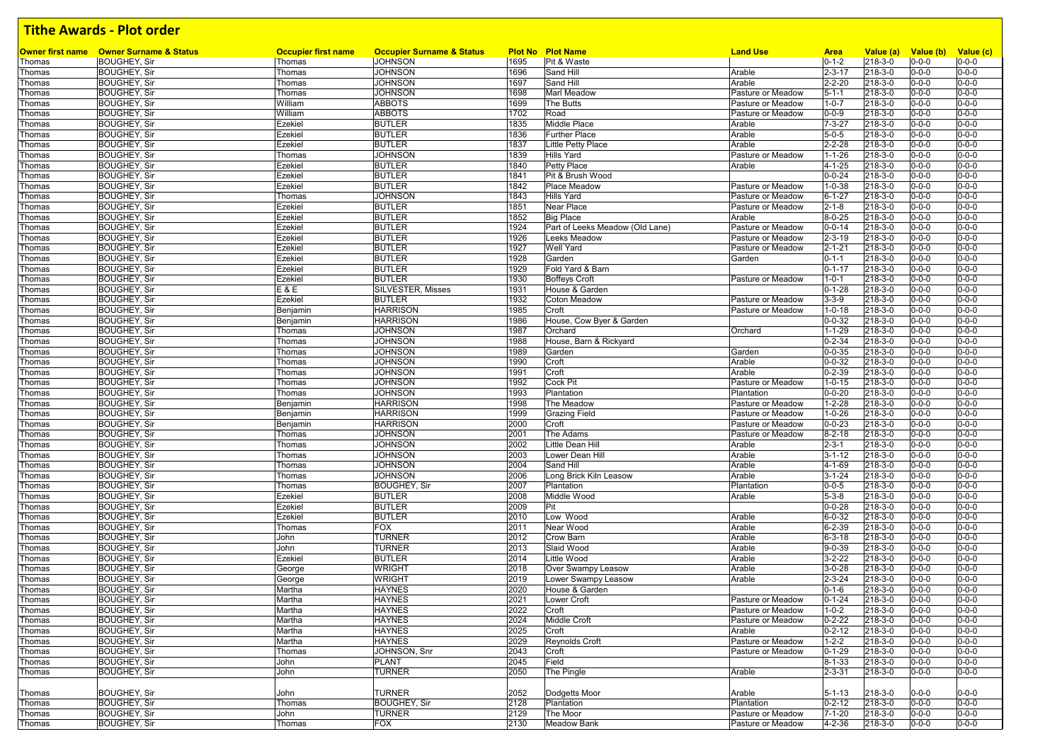|        | Owner first name Owner Surname & Status | <b>Occupier first name</b> | <b>Occupier Surname &amp; Status</b> |      | <b>Plot No Plot Name</b>        | <b>Land Use</b>   | <b>Area</b>  | Value (a)     | Value (b) Value (c) |             |
|--------|-----------------------------------------|----------------------------|--------------------------------------|------|---------------------------------|-------------------|--------------|---------------|---------------------|-------------|
| Thomas | <b>BOUGHEY, Sir</b>                     | Thomas                     | <b>JOHNSON</b>                       | 1695 | Pit & Waste                     |                   | $0 - 1 - 2$  | 218-3-0       | $0 - 0 - 0$         | $0 - 0 - 0$ |
| Thomas | <b>BOUGHEY, Sir</b>                     | Thomas                     | <b>JOHNSON</b>                       | 1696 | Sand Hill                       | Arable            | $2 - 3 - 17$ | 218-3-0       | $0 - 0 - 0$         | $0 - 0 - 0$ |
| Thomas | <b>BOUGHEY, Sir</b>                     | Thomas                     | <b>JOHNSON</b>                       | 1697 | Sand Hill                       | Arable            | $2 - 2 - 20$ | 218-3-0       | $0 - 0 - 0$         | $0 - 0 - 0$ |
| Thomas | <b>BOUGHEY, Sir</b>                     | Thomas                     | <b>JOHNSON</b>                       | 1698 | Marl Meadow                     | Pasture or Meadow | $5 - 1 - 1$  | 218-3-0       | $0 - 0 - 0$         | $0 - 0 - 0$ |
| Thomas | <b>BOUGHEY, Sir</b>                     | William                    | <b>ABBOTS</b>                        | 1699 | The Butts                       | Pasture or Meadow | $1 - 0 - 7$  | 218-3-0       | $0 - 0 - 0$         | $0 - 0 - 0$ |
| Thomas | <b>BOUGHEY, Sir</b>                     | William                    | <b>ABBOTS</b>                        | 1702 | Road                            | Pasture or Meadow | $0 - 0 - 9$  | 218-3-0       | $0 - 0 - 0$         | $0 - 0 - 0$ |
| Thomas | <b>BOUGHEY, Sir</b>                     | Ezekiel                    | <b>BUTLER</b>                        | 1835 | Middle Place                    | Arable            | $7 - 3 - 27$ | 218-3-0       | $0 - 0 - 0$         | $0 - 0 - 0$ |
| Thomas | <b>BOUGHEY, Sir</b>                     | Ezekiel                    | <b>BUTLER</b>                        | 1836 | <b>Further Place</b>            | Arable            | $5 - 0 - 5$  | 218-3-0       | $0 - 0 - 0$         | $0 - 0 - 0$ |
| Thomas | <b>BOUGHEY, Sir</b>                     | Ezekiel                    | <b>BUTLER</b>                        | 1837 | Little Petty Place              | Arable            | $2 - 2 - 28$ | 218-3-0       | $0 - 0 - 0$         | $0 - 0 - 0$ |
| Thomas | <b>BOUGHEY, Sir</b>                     | Thomas                     | <b>JOHNSON</b>                       | 1839 | <b>Hills Yard</b>               | Pasture or Meadow | $1 - 1 - 26$ | 218-3-0       | $0 - 0 - 0$         | $0 - 0 - 0$ |
| Thomas | <b>BOUGHEY, Sir</b>                     | Ezekiel                    | <b>BUTLER</b>                        | 1840 | Petty Place                     | Arable            | 4-1-25       | 218-3-0       | $0 - 0 - 0$         | $0 - 0 - 0$ |
| Thomas | <b>BOUGHEY, Sir</b>                     | Ezekiel                    | <b>BUTLER</b>                        | 1841 | Pit & Brush Wood                |                   | $0 - 0 - 24$ | 218-3-0       | $0 - 0 - 0$         | $0 - 0 - 0$ |
| Thomas | <b>BOUGHEY, Sir</b>                     | Ezekiel                    | <b>BUTLER</b>                        | 1842 | Place Meadow                    | Pasture or Meadow | $1 - 0 - 38$ | 218-3-0       | $0 - 0 - 0$         | $0 - 0 - 0$ |
| Thomas | <b>BOUGHEY, Sir</b>                     | Thomas                     | <b>JOHNSON</b>                       | 1843 | <b>Hills Yard</b>               | Pasture or Meadow | $6 - 1 - 27$ | 218-3-0       | $0 - 0 - 0$         | $0 - 0 - 0$ |
|        |                                         |                            |                                      |      |                                 |                   |              | 218-3-0       | $0 - 0 - 0$         | $0 - 0 - 0$ |
| Thomas | <b>BOUGHEY, Sir</b>                     | Ezekiel                    | <b>BUTLER</b>                        | 1851 | Near Place                      | Pasture or Meadow | $2 - 1 - 8$  |               |                     |             |
| Thomas | <b>BOUGHEY, Sir</b>                     | Ezekiel                    | <b>BUTLER</b>                        | 1852 | <b>Big Place</b>                | Arable            | $8 - 0 - 25$ | 218-3-0       | $0 - 0 - 0$         | $0 - 0 - 0$ |
| Thomas | <b>BOUGHEY, Sir</b>                     | Ezekiel                    | <b>BUTLER</b>                        | 1924 | Part of Leeks Meadow (Old Lane) | Pasture or Meadow | $0 - 0 - 14$ | 218-3-0       | $0 - 0 - 0$         | $0 - 0 - 0$ |
| Thomas | <b>BOUGHEY, Sir</b>                     | Ezekiel                    | <b>BUTLER</b>                        | 1926 | Leeks Meadow                    | Pasture or Meadow | $2 - 3 - 19$ | 218-3-0       | $0 - 0 - 0$         | $0 - 0 - 0$ |
| Thomas | <b>BOUGHEY, Sir</b>                     | Ezekiel                    | <b>BUTLER</b>                        | 1927 | Well Yard                       | Pasture or Meadow | $2 - 1 - 21$ | 218-3-0       | $0 - 0 - 0$         | $0 - 0 - 0$ |
| Thomas | <b>BOUGHEY, Sir</b>                     | Ezekiel                    | <b>BUTLER</b>                        | 1928 | Garden                          | Garden            | $0 - 1 - 1$  | 218-3-0       | $0 - 0 - 0$         | $0 - 0 - 0$ |
| Thomas | <b>BOUGHEY, Sir</b>                     | Ezekiel                    | <b>BUTLER</b>                        | 1929 | Fold Yard & Barn                |                   | $0 - 1 - 17$ | 218-3-0       | $0 - 0 - 0$         | $0 - 0 - 0$ |
| Thomas | <b>BOUGHEY, Sir</b>                     | Ezekiel                    | <b>BUTLER</b>                        | 1930 | <b>Boffeys Croft</b>            | Pasture or Meadow | $1 - 0 - 1$  | 218-3-0       | $0 - 0 - 0$         | $0 - 0 - 0$ |
| Thomas | <b>BOUGHEY, Sir</b>                     | E & E                      | SILVESTER, Misses                    | 1931 | House & Garden                  |                   | $0 - 1 - 28$ | 218-3-0       | $0 - 0 - 0$         | $0 - 0 - 0$ |
| Thomas | <b>BOUGHEY, Sir</b>                     | Ezekiel                    | <b>BUTLER</b>                        | 1932 | <b>Coton Meadow</b>             | Pasture or Meadow | $3 - 3 - 9$  | 218-3-0       | $0 - 0 - 0$         | $0 - 0 - 0$ |
| Thomas | <b>BOUGHEY, Sir</b>                     | Benjamin                   | <b>HARRISON</b>                      | 1985 | Croft                           | Pasture or Meadow | $1 - 0 - 18$ | 218-3-0       | $0 - 0 - 0$         | $0 - 0 - 0$ |
| Thomas | <b>BOUGHEY, Sir</b>                     | Benjamin                   | <b>HARRISON</b>                      | 1986 | House, Cow Byer & Garden        |                   | $0 - 0 - 32$ | 218-3-0       | $0 - 0 - 0$         | $0 - 0 - 0$ |
| Thomas | <b>BOUGHEY, Sir</b>                     | Thomas                     | <b>JOHNSON</b>                       | 1987 | Orchard                         | Orchard           | $1 - 1 - 29$ | $218 - 3 - 0$ | $0 - 0 - 0$         | $0 - 0 - 0$ |
| Thomas | <b>BOUGHEY, Sir</b>                     | Thomas                     | <b>JOHNSON</b>                       | 1988 | House, Barn & Rickyard          |                   | $0 - 2 - 34$ | 218-3-0       | $0 - 0 - 0$         | $0 - 0 - 0$ |
| Thomas | <b>BOUGHEY, Sir</b>                     | Thomas                     | <b>JOHNSON</b>                       | 1989 | Garden                          | Garden            | $0 - 0 - 35$ | 218-3-0       | $0 - 0 - 0$         | $0 - 0 - 0$ |
| Thomas | <b>BOUGHEY, Sir</b>                     | Thomas                     | <b>JOHNSON</b>                       | 1990 | Croft                           | Arable            | $0 - 0 - 32$ | 218-3-0       | $0 - 0 - 0$         | $0 - 0 - 0$ |
| Thomas | <b>BOUGHEY, Sir</b>                     | Thomas                     | <b>JOHNSON</b>                       | 1991 | Croft                           | Arable            | $0 - 2 - 39$ | 218-3-0       | $0 - 0 - 0$         | $0 - 0 - 0$ |
| Thomas | <b>BOUGHEY, Sir</b>                     | Thomas                     | <b>JOHNSON</b>                       | 1992 | Cock Pit                        | Pasture or Meadow | $1 - 0 - 15$ | 218-3-0       | $0 - 0 - 0$         | $0 - 0 - 0$ |
|        |                                         | Thomas                     | <b>JOHNSON</b>                       | 1993 | Plantation                      | Plantation        | $0 - 0 - 20$ | 218-3-0       | $0 - 0 - 0$         | $0 - 0 - 0$ |
| Thomas | <b>BOUGHEY, Sir</b>                     |                            | <b>HARRISON</b>                      |      |                                 |                   |              |               |                     |             |
| Thomas | <b>BOUGHEY, Sir</b>                     | Benjamin                   |                                      | 1998 | The Meadow                      | Pasture or Meadow | $1 - 2 - 28$ | 218-3-0       | $0 - 0 - 0$         | $0 - 0 - 0$ |
| Thomas | <b>BOUGHEY, Sir</b>                     | Benjamin                   | <b>HARRISON</b>                      | 1999 | <b>Grazing Field</b>            | Pasture or Meadow | $1 - 0 - 26$ | 218-3-0       | $0 - 0 - 0$         | $0 - 0 - 0$ |
| Thomas | <b>BOUGHEY, Sir</b>                     | Benjamin                   | <b>HARRISON</b>                      | 2000 | Croft                           | Pasture or Meadow | $0 - 0 - 23$ | 218-3-0       | $0 - 0 - 0$         | $0 - 0 - 0$ |
| Thomas | <b>BOUGHEY, Sir</b>                     | Thomas                     | <b>JOHNSON</b>                       | 2001 | The Adams                       | Pasture or Meadow | $8 - 2 - 18$ | 218-3-0       | $0 - 0 - 0$         | $0 - 0 - 0$ |
| Thomas | <b>BOUGHEY, Sir</b>                     | Thomas                     | <b>JOHNSON</b>                       | 2002 | Little Dean Hill                | Arable            | $2 - 3 - 1$  | 218-3-0       | $0 - 0 - 0$         | $0 - 0 - 0$ |
| Thomas | <b>BOUGHEY, Sir</b>                     | Thomas                     | <b>JOHNSON</b>                       | 2003 | Lower Dean Hill                 | Arable            | $3 - 1 - 12$ | 218-3-0       | $0 - 0 - 0$         | $0 - 0 - 0$ |
| Thomas | <b>BOUGHEY, Sir</b>                     | Thomas                     | <b>JOHNSON</b>                       | 2004 | Sand Hill                       | Arable            | 4-1-69       | 218-3-0       | $0 - 0 - 0$         | $0 - 0 - 0$ |
| Thomas | <b>BOUGHEY, Sir</b>                     | Thomas                     | <b>JOHNSON</b>                       | 2006 | Long Brick Kiln Leasow          | Arable            | $3 - 1 - 24$ | 218-3-0       | $0 - 0 - 0$         | $0 - 0 - 0$ |
| Thomas | <b>BOUGHEY, Sir</b>                     | Thomas                     | <b>BOUGHEY, Sir</b>                  | 2007 | Plantation                      | Plantation        | $0 - 0 - 5$  | 218-3-0       | $0 - 0 - 0$         | $0 - 0 - 0$ |
| Thomas | <b>BOUGHEY, Sir</b>                     | Ezekiel                    | <b>BUTLER</b>                        | 2008 | Middle Wood                     | Arable            | $5 - 3 - 8$  | 218-3-0       | $0 - 0 - 0$         | $0 - 0 - 0$ |
| Thomas | <b>BOUGHEY, Sir</b>                     | Ezekiel                    | <b>BUTLER</b>                        | 2009 | Pit                             |                   | $0 - 0 - 28$ | 218-3-0       | $0 - 0 - 0$         | $0 - 0 - 0$ |
| Thomas | <b>BOUGHEY, Sir</b>                     | Ezekiel                    | <b>BUTLER</b>                        | 2010 | Low Wood                        | Arable            | $6 - 0 - 32$ | 218-3-0       | $0 - 0 - 0$         | $0 - 0 - 0$ |
| Thomas | <b>BOUGHEY, Sir</b>                     | Thomas                     | <b>FOX</b>                           | 2011 | Near Wood                       | Arable            | $6 - 2 - 39$ | 218-3-0       | $0 - 0 - 0$         | $0 - 0 - 0$ |
| Thomas | <b>BOUGHEY, Sir</b>                     | John                       | <b>TURNER</b>                        | 2012 | Crow Barn                       | Arable            | $6 - 3 - 18$ | 218-3-0       | $0 - 0 - 0$         | $0 - 0 - 0$ |
| Thomas | <b>BOUGHEY, Sir</b>                     | John                       | <b>TURNER</b>                        | 2013 | Slaid Wood                      | Arable            | $9 - 0 - 39$ | 218-3-0       | $0 - 0 - 0$         | $0 - 0 - 0$ |
| Thomas | <b>BOUGHEY, Sir</b>                     | Ezekiel                    | <b>BUTLER</b>                        | 2014 | Little Wood                     | Arable            | $3 - 2 - 22$ | 218-3-0       | $0 - 0 - 0$         | $0 - 0 - 0$ |
| Thomas | <b>BOUGHEY, Sir</b>                     | George                     | <b>WRIGHT</b>                        | 2018 | Over Swampy Leasow              | Arable            | $3 - 0 - 28$ | 218-3-0       | $0 - 0 - 0$         | $0 - 0 - 0$ |
| Thomas | <b>BOUGHEY, Sir</b>                     | George                     | <b>WRIGHT</b>                        | 2019 | Lower Swampy Leasow             | Arable            | $2 - 3 - 24$ | 218-3-0       | $0 - 0 - 0$         | $0 - 0 - 0$ |
| Thomas | <b>BOUGHEY, Sir</b>                     | Martha                     | <b>HAYNES</b>                        | 2020 | House & Garden                  |                   | $0 - 1 - 6$  | 218-3-0       | $0 - 0 - 0$         | $0 - 0 - 0$ |
| Thomas | <b>BOUGHEY, Sir</b>                     | Martha                     | <b>HAYNES</b>                        | 2021 | Lower Croft                     | Pasture or Meadow | $0 - 1 - 24$ | 218-3-0       | $0 - 0 - 0$         | $0 - 0 - 0$ |
|        | <b>BOUGHEY, Sir</b>                     |                            |                                      |      |                                 |                   |              |               |                     |             |
| Thomas |                                         | Martha                     | <b>HAYNES</b>                        | 2022 | Croft                           | Pasture or Meadow | $1 - 0 - 2$  | 218-3-0       | $0 - 0 - 0$         | $0 - 0 - 0$ |
| Thomas | <b>BOUGHEY, Sir</b>                     | Martha                     | <b>HAYNES</b>                        | 2024 | Middle Croft                    | Pasture or Meadow | $0 - 2 - 22$ | 218-3-0       | $0 - 0 - 0$         | $0 - 0 - 0$ |
| Thomas | <b>BOUGHEY, Sir</b>                     | Martha                     | <b>HAYNES</b>                        | 2025 | Croft                           | Arable            | $0 - 2 - 12$ | 218-3-0       | $0 - 0 - 0$         | $0 - 0 - 0$ |
| Thomas | <b>BOUGHEY, Sir</b>                     | Martha                     | <b>HAYNES</b>                        | 2029 | Reynolds Croft                  | Pasture or Meadow | $1 - 2 - 2$  | 218-3-0       | $0 - 0 - 0$         | $0 - 0 - 0$ |
| Thomas | <b>BOUGHEY, Sir</b>                     | Thomas                     | JOHNSON, Snr                         | 2043 | Croft                           | Pasture or Meadow | $0 - 1 - 29$ | 218-3-0       | $0 - 0 - 0$         | $0 - 0 - 0$ |
| Thomas | <b>BOUGHEY, Sir</b>                     | John                       | <b>PLANT</b>                         | 2045 | Field                           |                   | $8 - 1 - 33$ | 218-3-0       | $0 - 0 - 0$         | $0 - 0 - 0$ |
| Thomas | <b>BOUGHEY, Sir</b>                     | John                       | <b>TURNER</b>                        | 2050 | The Pingle                      | Arable            | $2 - 3 - 31$ | 218-3-0       | $0 - 0 - 0$         | $0 - 0 - 0$ |
|        |                                         |                            |                                      |      |                                 |                   |              |               |                     |             |
| Thomas | <b>BOUGHEY, Sir</b>                     | John                       | <b>TURNER</b>                        | 2052 | Dodgetts Moor                   | Arable            | $5 - 1 - 13$ | 218-3-0       | $0 - 0 - 0$         | $0 - 0 - 0$ |
| Thomas | <b>BOUGHEY, Sir</b>                     | Thomas                     | <b>BOUGHEY, Sir</b>                  | 2128 | Plantation                      | Plantation        | $0 - 2 - 12$ | 218-3-0       | $0 - 0 - 0$         | $0 - 0 - 0$ |
| Thomas | <b>BOUGHEY, Sir</b>                     | John                       | <b>TURNER</b>                        | 2129 | The Moor                        | Pasture or Meadow | $7 - 1 - 20$ | 218-3-0       | $0 - 0 - 0$         | $0 - 0 - 0$ |
| Thomas | <b>BOUGHEY, Sir</b>                     | Thomas                     | <b>FOX</b>                           | 2130 | Meadow Bank                     | Pasture or Meadow | 4-2-36       | 218-3-0       | $0 - 0 - 0$         | $0 - 0 - 0$ |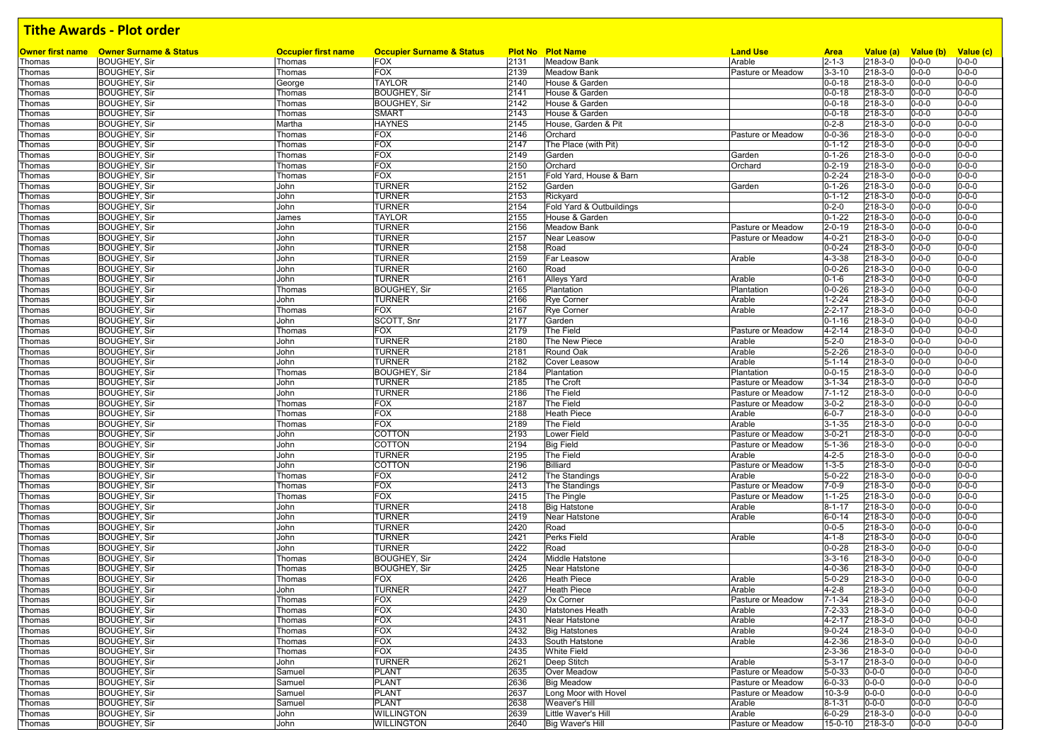|        | <b>Owner first name</b> Owner Surname & Status | <b>Occupier first name</b> | <b>Occupier Surname &amp; Status</b> |      | <b>Plot No Plot Name</b> | <b>Land Use</b>   | <b>Area</b>  | Value (a)   | Value (b)   | Value (c)   |
|--------|------------------------------------------------|----------------------------|--------------------------------------|------|--------------------------|-------------------|--------------|-------------|-------------|-------------|
| Thomas | <b>BOUGHEY, Sir</b>                            | Thomas                     | <b>FOX</b>                           | 2131 | <b>Meadow Bank</b>       | Arable            | $2 - 1 - 3$  | 218-3-0     | $0 - 0 - 0$ | $0 - 0 - 0$ |
| Thomas | <b>BOUGHEY, Sir</b>                            | Thomas                     | <b>FOX</b>                           | 2139 | <b>Meadow Bank</b>       | Pasture or Meadow | $3 - 3 - 10$ | 218-3-0     | $0 - 0 - 0$ | $0 - 0 - 0$ |
| Thomas | <b>BOUGHEY, Sir</b>                            | George                     | <b>TAYLOR</b>                        | 2140 | House & Garden           |                   | $0 - 0 - 18$ | 218-3-0     | $0 - 0 - 0$ | $0 - 0 - 0$ |
| Thomas | <b>BOUGHEY, Sir</b>                            | Thomas                     | <b>BOUGHEY, Sir</b>                  | 2141 | House & Garden           |                   | $0 - 0 - 18$ | 218-3-0     | 0-0-0       | $0 - 0 - 0$ |
| Thomas | <b>BOUGHEY, Sir</b>                            | Thomas                     | <b>BOUGHEY, Sir</b>                  | 2142 | House & Garden           |                   | $0 - 0 - 18$ | 218-3-0     | $0 - 0 - 0$ | $0 - 0 - 0$ |
| Thomas | <b>BOUGHEY, Sir</b>                            | Thomas                     | <b>SMART</b>                         | 2143 | House & Garden           |                   | $0 - 0 - 18$ | 218-3-0     | 0-0-0       | $0 - 0 - 0$ |
| Thomas | <b>BOUGHEY, Sir</b>                            | Martha                     | <b>HAYNES</b>                        | 2145 | House, Garden & Pit      |                   | $0 - 2 - 8$  | 218-3-0     | $0 - 0 - 0$ | $0 - 0 - 0$ |
| Thomas | <b>BOUGHEY, Sir</b>                            | Thomas                     | <b>FOX</b>                           | 2146 | Orchard                  | Pasture or Meadow | $0 - 0 - 36$ | 218-3-0     | 0-0-0       | $0 - 0 - 0$ |
|        | <b>BOUGHEY, Sir</b>                            | Thomas                     | <b>FOX</b>                           | 2147 | The Place (with Pit)     |                   | $0 - 1 - 12$ | 218-3-0     | $0 - 0 - 0$ | $0 - 0 - 0$ |
| Thomas |                                                |                            |                                      |      |                          |                   |              |             |             |             |
| Thomas | <b>BOUGHEY, Sir</b>                            | Thomas                     | <b>FOX</b>                           | 2149 | Garden                   | Garden            | $0 - 1 - 26$ | 218-3-0     | $0 - 0 - 0$ | $0 - 0 - 0$ |
| Thomas | <b>BOUGHEY, Sir</b>                            | Thomas                     | <b>FOX</b>                           | 2150 | Orchard                  | Orchard           | $0 - 2 - 19$ | 218-3-0     | 0-0-0       | $0 - 0 - 0$ |
| Thomas | <b>BOUGHEY, Sir</b>                            | Thomas                     | <b>FOX</b>                           | 2151 | Fold Yard, House & Barn  |                   | $0 - 2 - 24$ | 218-3-0     | $0 - 0 - 0$ | $0 - 0 - 0$ |
| Thomas | <b>BOUGHEY, Sir</b>                            | John                       | <b>TURNER</b>                        | 2152 | Garden                   | Garden            | $0 - 1 - 26$ | 218-3-0     | 0-0-0       | $0 - 0 - 0$ |
| Thomas | <b>BOUGHEY, Sir</b>                            | John                       | <b>TURNER</b>                        | 2153 | Rickyard                 |                   | $0 - 1 - 12$ | 218-3-0     | $0 - 0 - 0$ | $0 - 0 - 0$ |
| Thomas | <b>BOUGHEY, Sir</b>                            | John                       | <b>TURNER</b>                        | 2154 | Fold Yard & Outbuildings |                   | $0 - 2 - 0$  | 218-3-0     | $0 - 0 - 0$ | $0 - 0 - 0$ |
| Thomas | <b>BOUGHEY, Sir</b>                            | James                      | <b>TAYLOR</b>                        | 2155 | House & Garden           |                   | $0 - 1 - 22$ | 218-3-0     | $0 - 0 - 0$ | $0 - 0 - 0$ |
| Thomas | <b>BOUGHEY, Sir</b>                            | John                       | <b>TURNER</b>                        | 2156 | <b>Meadow Bank</b>       | Pasture or Meadow | $2 - 0 - 19$ | 218-3-0     | $0 - 0 - 0$ | $0 - 0 - 0$ |
| Thomas | <b>BOUGHEY, Sir</b>                            | John                       | <b>TURNER</b>                        | 2157 | Near Leasow              | Pasture or Meadow | $4 - 0 - 21$ | 218-3-0     | $0 - 0 - 0$ | $0 - 0 - 0$ |
| Thomas | <b>BOUGHEY, Sir</b>                            | John                       | <b>TURNER</b>                        | 2158 | Road                     |                   | $0 - 0 - 24$ | 218-3-0     | 0-0-0       | $0 - 0 - 0$ |
| Thomas | <b>BOUGHEY, Sir</b>                            | John                       | <b>TURNER</b>                        | 2159 | <b>Far Leasow</b>        | Arable            | 4-3-38       | 218-3-0     | $0 - 0 - 0$ | $0 - 0 - 0$ |
|        |                                                |                            |                                      |      |                          |                   |              |             |             |             |
| Thomas | <b>BOUGHEY, Sir</b>                            | John                       | <b>TURNER</b>                        | 2160 | Road                     |                   | $0 - 0 - 26$ | 218-3-0     | $0 - 0 - 0$ | $0 - 0 - 0$ |
| Thomas | <b>BOUGHEY, Sir</b>                            | John                       | <b>TURNER</b>                        | 2161 | <b>Alleys Yard</b>       | Arable            | $0 - 1 - 6$  | 218-3-0     | $0 - 0 - 0$ | $0 - 0 - 0$ |
| Thomas | <b>BOUGHEY, Sir</b>                            | Thomas                     | <b>BOUGHEY, Sir</b>                  | 2165 | Plantation               | Plantation        | $0 - 0 - 26$ | 218-3-0     | $0 - 0 - 0$ | $0 - 0 - 0$ |
| Thomas | <b>BOUGHEY, Sir</b>                            | John                       | <b>TURNER</b>                        | 2166 | <b>Rye Corner</b>        | Arable            | $1 - 2 - 24$ | 218-3-0     | $0 - 0 - 0$ | $0 - 0 - 0$ |
| Thomas | <b>BOUGHEY, Sir</b>                            | Thomas                     | <b>FOX</b>                           | 2167 | <b>Rye Corner</b>        | Arable            | $2 - 2 - 17$ | 218-3-0     | $0 - 0 - 0$ | $0 - 0 - 0$ |
| Thomas | <b>BOUGHEY, Sir</b>                            | John                       | SCOTT, Snr                           | 2177 | Garden                   |                   | $0 - 1 - 16$ | 218-3-0     | $0 - 0 - 0$ | $0 - 0 - 0$ |
| Thomas | <b>BOUGHEY, Sir</b>                            | Thomas                     | <b>FOX</b>                           | 2179 | The Field                | Pasture or Meadow | $4 - 2 - 14$ | 218-3-0     | 0-0-0       | $0 - 0 - 0$ |
| Thomas | <b>BOUGHEY, Sir</b>                            | John                       | <b>TURNER</b>                        | 2180 | The New Piece            | Arable            | $5 - 2 - 0$  | 218-3-0     | $0 - 0 - 0$ | $0 - 0 - 0$ |
| Thomas | <b>BOUGHEY, Sir</b>                            | John                       | <b>TURNER</b>                        | 2181 | Round Oak                | Arable            | $5 - 2 - 26$ | 218-3-0     | $0 - 0 - 0$ | $0 - 0 - 0$ |
|        | <b>BOUGHEY, Sir</b>                            | John                       | <b>TURNER</b>                        | 2182 | Cover Leasow             | Arable            | $5 - 1 - 14$ | 218-3-0     | 0-0-0       | $0 - 0 - 0$ |
| Thomas |                                                |                            |                                      |      |                          |                   |              |             |             |             |
| Thomas | <b>BOUGHEY, Sir</b>                            | Thomas                     | <b>BOUGHEY, Sir</b>                  | 2184 | Plantation               | Plantation        | $0 - 0 - 15$ | 218-3-0     | $0 - 0 - 0$ | $0 - 0 - 0$ |
| Thomas | <b>BOUGHEY, Sir</b>                            | John                       | <b>TURNER</b>                        | 2185 | The Croft                | Pasture or Meadow | $3 - 1 - 34$ | 218-3-0     | 0-0-0       | $0 - 0 - 0$ |
| Thomas | <b>BOUGHEY, Sir</b>                            | John                       | <b>TURNER</b>                        | 2186 | The Field                | Pasture or Meadow | $7 - 1 - 12$ | 218-3-0     | $0 - 0 - 0$ | $0 - 0 - 0$ |
| Thomas | <b>BOUGHEY, Sir</b>                            | Thomas                     | <b>FOX</b>                           | 2187 | The Field                | Pasture or Meadow | $3 - 0 - 2$  | 218-3-0     | $0 - 0 - 0$ | $0 - 0 - 0$ |
| Thomas | <b>BOUGHEY, Sir</b>                            | Thomas                     | <b>FOX</b>                           | 2188 | <b>Heath Piece</b>       | Arable            | $6 - 0 - 7$  | 218-3-0     | $0 - 0 - 0$ | $0 - 0 - 0$ |
| Thomas | <b>BOUGHEY, Sir</b>                            | Thomas                     | <b>FOX</b>                           | 2189 | The Field                | Arable            | $3 - 1 - 35$ | 218-3-0     | $0 - 0 - 0$ | $0 - 0 - 0$ |
| Thomas | <b>BOUGHEY, Sir</b>                            | John                       | COTTON                               | 2193 | Lower Field              | Pasture or Meadow | $3 - 0 - 21$ | 218-3-0     | $0 - 0 - 0$ | $0 - 0 - 0$ |
| Thomas | <b>BOUGHEY, Sir</b>                            | John                       | <b>COTTON</b>                        | 2194 | <b>Big Field</b>         | Pasture or Meadow | $5 - 1 - 36$ | 218-3-0     | 0-0-0       | $0 - 0 - 0$ |
| Thomas | <b>BOUGHEY, Sir</b>                            | John                       | <b>TURNER</b>                        | 2195 | The Field                | Arable            | $4 - 2 - 5$  | 218-3-0     | $0 - 0 - 0$ | $0 - 0 - 0$ |
| Thomas | <b>BOUGHEY, Sir</b>                            | John                       | <b>COTTON</b>                        | 2196 | Billiard                 | Pasture or Meadow | $1 - 3 - 5$  | 218-3-0     | $0 - 0 - 0$ | $0 - 0 - 0$ |
|        |                                                |                            |                                      |      |                          |                   | $5 - 0 - 22$ |             |             |             |
| Thomas | <b>BOUGHEY, Sir</b>                            | Thomas                     | <b>FOX</b>                           | 2412 | The Standings            | Arable            |              | 218-3-0     | 0-0-0       | $0 - 0 - 0$ |
| Thomas | <b>BOUGHEY, Sir</b>                            | Thomas                     | <b>FOX</b>                           | 2413 | The Standings            | Pasture or Meadow | $7 - 0 - 9$  | 218-3-0     | $0 - 0 - 0$ | $0 - 0 - 0$ |
| Thomas | <b>BOUGHEY, Sir</b>                            | Thomas                     | <b>FOX</b>                           | 2415 | The Pingle               | Pasture or Meadow | $1 - 1 - 25$ | 218-3-0     | 0-0-0       | $0 - 0 - 0$ |
| Thomas | <b>BOUGHEY, Sir</b>                            | John                       | <b>TURNER</b>                        | 2418 | <b>Big Hatstone</b>      | Arable            | $8 - 1 - 17$ | 218-3-0     | $0 - 0 - 0$ | $0 - 0 - 0$ |
| Thomas | <b>BOUGHEY, Sir</b>                            | John                       | <b>TURNER</b>                        | 2419 | Near Hatstone            | Arable            | $6 - 0 - 14$ | 218-3-0     | $0 - 0 - 0$ | $0 - 0 - 0$ |
| Thomas | <b>BOUGHEY, Sir</b>                            | John                       | <b>TURNER</b>                        | 2420 | Road                     |                   | $0 - 0 - 5$  | 218-3-0     | 0-0-0       | $0 - 0 - 0$ |
| Thomas | <b>BOUGHEY, Sir</b>                            | John                       | <b>TURNER</b>                        | 2421 | Perks Field              | Arable            | $4 - 1 - 8$  | 218-3-0     | 0-0-0       | $0 - 0 - 0$ |
| Thomas | <b>BOUGHEY, Sir</b>                            | John                       | <b>TURNER</b>                        | 2422 | Road                     |                   | $0 - 0 - 28$ | 218-3-0     | $0 - 0 - 0$ | $0 - 0 - 0$ |
| Thomas | <b>BOUGHEY, Sir</b>                            | Thomas                     | <b>BOUGHEY, Sir</b>                  | 2424 | Middle Hatstone          |                   | $3 - 3 - 16$ | 218-3-0     | 0-0-0       | $0 - 0 - 0$ |
| Thomas | <b>BOUGHEY, Sir</b>                            | Thomas                     | <b>BOUGHEY, Sir</b>                  | 2425 | Near Hatstone            |                   | $4 - 0 - 36$ | 218-3-0     | 0-0-0       | $0 - 0 - 0$ |
| Thomas | <b>BOUGHEY, Sir</b>                            | Thomas                     | <b>FOX</b>                           | 2426 | <b>Heath Piece</b>       | Arable            | $5 - 0 - 29$ | 218-3-0     | $0 - 0 - 0$ | $0 - 0 - 0$ |
|        |                                                |                            |                                      |      |                          |                   |              |             |             |             |
| Thomas | <b>BOUGHEY, Sir</b>                            | John                       | <b>TURNER</b>                        | 2427 | <b>Heath Piece</b>       | Arable            | $4 - 2 - 8$  | 218-3-0     | $0 - 0 - 0$ | $0 - 0 - 0$ |
| Thomas | <b>BOUGHEY, Sir</b>                            | Thomas                     | <b>FOX</b>                           | 2429 | Ox Corner                | Pasture or Meadow | $7 - 1 - 34$ | 218-3-0     | $0 - 0 - 0$ | $0 - 0 - 0$ |
| Thomas | BOUGHEY, Sir                                   | Thomas                     | FOX                                  | 2430 | Hatstones Heath          | Arable            | $7 - 2 - 33$ | 218-3-0     | $0 - 0 - 0$ | $0 - 0 - 0$ |
| Thomas | <b>BOUGHEY, Sir</b>                            | Thomas                     | <b>FOX</b>                           | 2431 | Near Hatstone            | Arable            | $4 - 2 - 17$ | 218-3-0     | $0 - 0 - 0$ | $0 - 0 - 0$ |
| Thomas | <b>BOUGHEY, Sir</b>                            | Thomas                     | <b>FOX</b>                           | 2432 | <b>Big Hatstones</b>     | Arable            | $9 - 0 - 24$ | 218-3-0     | $0 - 0 - 0$ | $0 - 0 - 0$ |
| Thomas | <b>BOUGHEY, Sir</b>                            | Thomas                     | <b>FOX</b>                           | 2433 | South Hatstone           | Arable            | 4-2-36       | 218-3-0     | $0 - 0 - 0$ | $0 - 0 - 0$ |
| Thomas | <b>BOUGHEY, Sir</b>                            | Thomas                     | <b>FOX</b>                           | 2435 | <b>White Field</b>       |                   | $2 - 3 - 36$ | 218-3-0     | 0-0-0       | $0 - 0 - 0$ |
| Thomas | <b>BOUGHEY, Sir</b>                            | John                       | <b>TURNER</b>                        | 2621 | Deep Stitch              | Arable            | $5 - 3 - 17$ | 218-3-0     | $0 - 0 - 0$ | $0 - 0 - 0$ |
| Thomas | <b>BOUGHEY, Sir</b>                            | Samuel                     | <b>PLANT</b>                         | 2635 | <b>Over Meadow</b>       | Pasture or Meadow | $5 - 0 - 33$ | $0 - 0 - 0$ | $0 - 0 - 0$ | $0 - 0 - 0$ |
| Thomas | <b>BOUGHEY, Sir</b>                            | Samuel                     | PLANT                                | 2636 | <b>Big Meadow</b>        | Pasture or Meadow | $6 - 0 - 33$ | $0 - 0 - 0$ | $0 - 0 - 0$ | $0 - 0 - 0$ |
|        |                                                |                            |                                      |      |                          |                   |              |             |             |             |
| Thomas | <b>BOUGHEY, Sir</b>                            | Samuel                     | <b>PLANT</b>                         | 2637 | Long Moor with Hovel     | Pasture or Meadow | $10-3-9$     | $0 - 0 - 0$ | $0 - 0 - 0$ | $0 - 0 - 0$ |
| Thomas | <b>BOUGHEY, Sir</b>                            | Samuel                     | PLANT                                | 2638 | Weaver's Hill            | Arable            | $8 - 1 - 31$ | $0 - 0 - 0$ | $0 - 0 - 0$ | $0 - 0 - 0$ |
| Thomas | <b>BOUGHEY, Sir</b>                            | John                       | <b>WILLINGTON</b>                    | 2639 | Little Waver's Hill      | Arable            | $6 - 0 - 29$ | 218-3-0     | $0 - 0 - 0$ | $0 - 0 - 0$ |
| Thomas | <b>BOUGHEY, Sir</b>                            | John                       | <b>WILLINGTON</b>                    | 2640 | <b>Big Waver's Hill</b>  | Pasture or Meadow | 15-0-10      | 218-3-0     | $0 - 0 - 0$ | $0 - 0 - 0$ |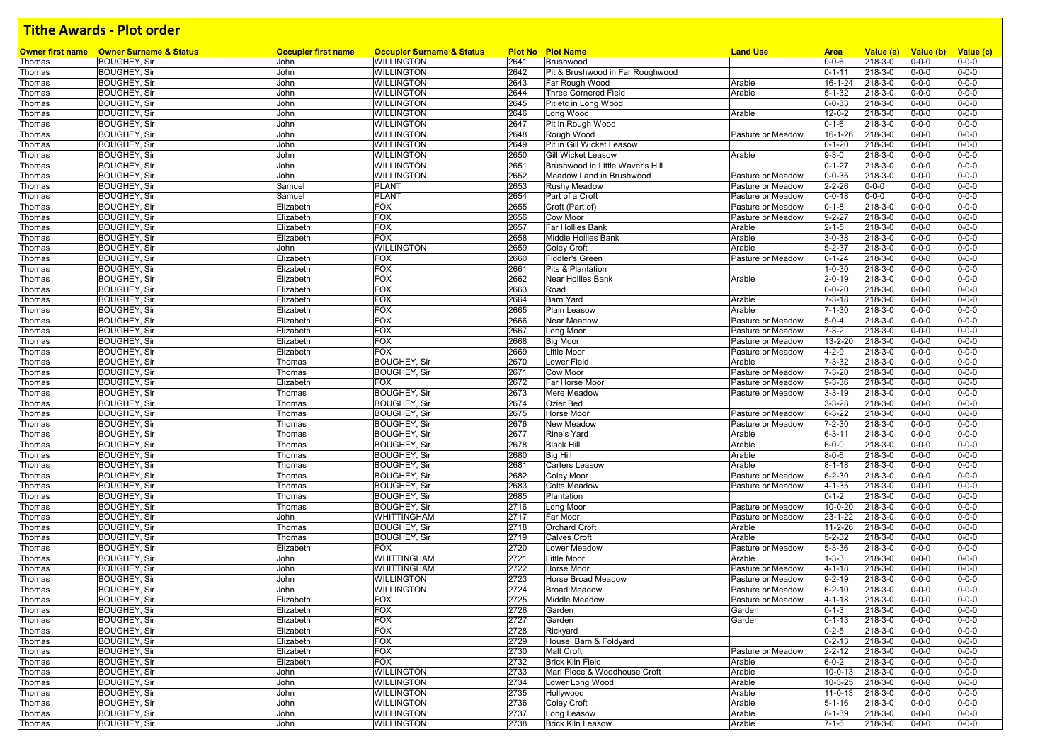| Owner first name | <b>Owner Surname &amp; Status</b> | <b>Occupier first name</b> | <b>Occupier Surname &amp; Status</b> |      | <b>Plot No Plot Name</b>         | <b>Land Use</b>   | <b>Area</b>   | Value (a)   | Value (b)   | Value (c)   |
|------------------|-----------------------------------|----------------------------|--------------------------------------|------|----------------------------------|-------------------|---------------|-------------|-------------|-------------|
| Thomas           | <b>BOUGHEY, Sir</b>               | John                       | <b>WILLINGTON</b>                    | 2641 | Brushwood                        |                   | $0 - 0 - 6$   | 218-3-0     | $0 - 0 - 0$ | $0 - 0 - 0$ |
| Thomas           | <b>BOUGHEY, Sir</b>               | John                       | <b>WILLINGTON</b>                    | 2642 | Pit & Brushwood in Far Roughwood |                   | $0 - 1 - 11$  | 218-3-0     | $0 - 0 - 0$ | $0 - 0 - 0$ |
| Thomas           | <b>BOUGHEY, Sir</b>               | John                       | <b>WILLINGTON</b>                    | 2643 | Far Rough Wood                   | Arable            | 16-1-24       | 218-3-0     | $0 - 0 - 0$ | $0 - 0 - 0$ |
| Thomas           | <b>BOUGHEY, Sir</b>               | John                       | <b>WILLINGTON</b>                    | 2644 | <b>Three Cornered Field</b>      | Arable            | $5 - 1 - 32$  | 218-3-0     | 0-0-0       | $0 - 0 - 0$ |
| Thomas           | <b>BOUGHEY, Sir</b>               | John                       | <b>WILLINGTON</b>                    | 2645 | Pit etc in Long Wood             |                   | $0 - 0 - 33$  | 218-3-0     | $0 - 0 - 0$ | $0 - 0 - 0$ |
| Thomas           | <b>BOUGHEY, Sir</b>               | John                       | <b>WILLINGTON</b>                    | 2646 | Long Wood                        | Arable            | $12 - 0 - 2$  | 218-3-0     | $0 - 0 - 0$ | $0 - 0 - 0$ |
| Thomas           | <b>BOUGHEY, Sir</b>               | John                       | <b>WILLINGTON</b>                    | 2647 | Pit in Rough Wood                |                   | $0 - 1 - 6$   | 218-3-0     | $0 - 0 - 0$ | $0 - 0 - 0$ |
| Thomas           | <b>BOUGHEY, Sir</b>               | John                       | <b>WILLINGTON</b>                    | 2648 | Rough Wood                       | Pasture or Meadow | 16-1-26       | 218-3-0     | $0 - 0 - 0$ | $0 - 0 - 0$ |
| Thomas           | <b>BOUGHEY, Sir</b>               | John                       | <b>WILLINGTON</b>                    | 2649 | Pit in Gill Wicket Leasow        |                   | $0 - 1 - 20$  | 218-3-0     | $0 - 0 - 0$ | $0 - 0 - 0$ |
| Thomas           | <b>BOUGHEY, Sir</b>               | John                       | <b>WILLINGTON</b>                    | 2650 | <b>Gill Wicket Leasow</b>        | Arable            | $9 - 3 - 0$   | 218-3-0     | $0 - 0 - 0$ | $0 - 0 - 0$ |
| Thomas           | <b>BOUGHEY, Sir</b>               | John                       | <b>WILLINGTON</b>                    | 2651 | Brushwood in Little Waver's Hill |                   | $0 - 1 - 27$  | 218-3-0     | $0 - 0 - 0$ | $0 - 0 - 0$ |
| Thomas           | <b>BOUGHEY, Sir</b>               | John                       | <b>WILLINGTON</b>                    | 2652 | Meadow Land in Brushwood         | Pasture or Meadow | $0 - 0 - 35$  | 218-3-0     | $0 - 0 - 0$ | $0 - 0 - 0$ |
| Thomas           | <b>BOUGHEY, Sir</b>               | Samuel                     | <b>PLANT</b>                         | 2653 | <b>Rushy Meadow</b>              | Pasture or Meadow | $2 - 2 - 26$  | $0 - 0 - 0$ | $0 - 0 - 0$ | $0 - 0 - 0$ |
| Thomas           | <b>BOUGHEY, Sir</b>               | Samuel                     | <b>PLANT</b>                         | 2654 | Part of a Croft                  | Pasture or Meadow | $0 - 0 - 18$  | $0 - 0 - 0$ | $0 - 0 - 0$ | $0 - 0 - 0$ |
| Thomas           | <b>BOUGHEY, Sir</b>               | Elizabeth                  | <b>FOX</b>                           | 2655 | Croft (Part of)                  | Pasture or Meadow | $0 - 1 - 8$   | 218-3-0     | $0 - 0 - 0$ | $0 - 0 - 0$ |
| Thomas           | <b>BOUGHEY, Sir</b>               | Elizabeth                  | <b>FOX</b>                           | 2656 | Cow Moor                         | Pasture or Meadow | $9 - 2 - 27$  | 218-3-0     | 0-0-0       | $0 - 0 - 0$ |
| Thomas           | <b>BOUGHEY, Sir</b>               | Elizabeth                  | <b>FOX</b>                           | 2657 | Far Hollies Bank                 | Arable            | $2 - 1 - 5$   | 218-3-0     | 0-0-0       | $0 - 0 - 0$ |
| Thomas           | <b>BOUGHEY, Sir</b>               | Elizabeth                  | <b>FOX</b>                           | 2658 | Middle Hollies Bank              | Arable            | $3 - 0 - 38$  | 218-3-0     | $0 - 0 - 0$ | $0 - 0 - 0$ |
| Thomas           | <b>BOUGHEY, Sir</b>               | John                       | <b>WILLINGTON</b>                    | 2659 | Coley Croft                      | Arable            | $5 - 2 - 37$  | 218-3-0     | $0 - 0 - 0$ | $0 - 0 - 0$ |
| Thomas           | <b>BOUGHEY, Sir</b>               | Elizabeth                  | <b>FOX</b>                           | 2660 | <b>Fiddler's Green</b>           | Pasture or Meadow | $0 - 1 - 24$  | 218-3-0     | $0 - 0 - 0$ | $0 - 0 - 0$ |
| Thomas           | <b>BOUGHEY, Sir</b>               | Elizabeth                  | <b>FOX</b>                           | 2661 | <b>Pits &amp; Plantation</b>     |                   | $1 - 0 - 30$  | 218-3-0     | $0 - 0 - 0$ | $0 - 0 - 0$ |
|                  | <b>BOUGHEY, Sir</b>               | Elizabeth                  | <b>FOX</b>                           | 2662 | Near Hollies Bank                | Arable            | $2 - 0 - 19$  | 218-3-0     | $0 - 0 - 0$ | $0 - 0 - 0$ |
| Thomas           |                                   |                            | <b>FOX</b>                           |      |                                  |                   |               |             |             | $0 - 0 - 0$ |
| Thomas           | <b>BOUGHEY, Sir</b>               | Elizabeth                  |                                      | 2663 | Road                             |                   | $0 - 0 - 20$  | 218-3-0     | $0 - 0 - 0$ |             |
| Thomas           | <b>BOUGHEY, Sir</b>               | Elizabeth                  | <b>FOX</b>                           | 2664 | <b>Barn Yard</b>                 | Arable            | $7 - 3 - 18$  | 218-3-0     | $0 - 0 - 0$ | $0 - 0 - 0$ |
| Thomas           | <b>BOUGHEY, Sir</b>               | Elizabeth                  | <b>FOX</b>                           | 2665 | Plain Leasow                     | Arable            | $7 - 1 - 30$  | 218-3-0     | $0 - 0 - 0$ | $0 - 0 - 0$ |
| Thomas           | <b>BOUGHEY, Sir</b>               | Elizabeth                  | <b>FOX</b>                           | 2666 | <b>Near Meadow</b>               | Pasture or Meadow | $5 - 0 - 4$   | 218-3-0     | $0 - 0 - 0$ | $0 - 0 - 0$ |
| Thomas           | <b>BOUGHEY, Sir</b>               | Elizabeth                  | <b>FOX</b>                           | 2667 | Long Moor                        | Pasture or Meadow | $7 - 3 - 2$   | 218-3-0     | $0 - 0 - 0$ | $0 - 0 - 0$ |
| Thomas           | <b>BOUGHEY, Sir</b>               | Elizabeth                  | <b>FOX</b>                           | 2668 | <b>Big Moor</b>                  | Pasture or Meadow | $13 - 2 - 20$ | 218-3-0     | $0 - 0 - 0$ | $0 - 0 - 0$ |
| Thomas           | <b>BOUGHEY, Sir</b>               | Elizabeth                  | <b>FOX</b>                           | 2669 | <b>Little Moor</b>               | Pasture or Meadow | $4 - 2 - 9$   | 218-3-0     | $0 - 0 - 0$ | $0 - 0 - 0$ |
| Thomas           | <b>BOUGHEY, Sir</b>               | Thomas                     | <b>BOUGHEY, Sir</b>                  | 2670 | <b>Lower Field</b>               | Arable            | $7 - 3 - 32$  | 218-3-0     | $0 - 0 - 0$ | $0 - 0 - 0$ |
| Thomas           | <b>BOUGHEY, Sir</b>               | Thomas                     | <b>BOUGHEY, Sir</b>                  | 2671 | <b>Cow Moor</b>                  | Pasture or Meadow | $7 - 3 - 20$  | 218-3-0     | $0 - 0 - 0$ | $0 - 0 - 0$ |
| Thomas           | <b>BOUGHEY, Sir</b>               | Elizabeth                  | <b>FOX</b>                           | 2672 | Far Horse Moor                   | Pasture or Meadow | $9 - 3 - 36$  | 218-3-0     | $0 - 0 - 0$ | $0 - 0 - 0$ |
| Thomas           | <b>BOUGHEY, Sir</b>               | Thomas                     | <b>BOUGHEY, Sir</b>                  | 2673 | Mere Meadow                      | Pasture or Meadow | $3 - 3 - 19$  | 218-3-0     | 0-0-0       | $0 - 0 - 0$ |
| Thomas           | <b>BOUGHEY, Sir</b>               | Thomas                     | <b>BOUGHEY, Sir</b>                  | 2674 | <b>Ozier Bed</b>                 |                   | $3 - 3 - 28$  | 218-3-0     | $0 - 0 - 0$ | $0 - 0 - 0$ |
| Thomas           | <b>BOUGHEY, Sir</b>               | Thomas                     | <b>BOUGHEY, Sir</b>                  | 2675 | <b>Horse Moor</b>                | Pasture or Meadow | $6 - 3 - 22$  | 218-3-0     | $0 - 0 - 0$ | $0 - 0 - 0$ |
| Thomas           | <b>BOUGHEY, Sir</b>               | Thomas                     | <b>BOUGHEY, Sir</b>                  | 2676 | New Meadow                       | Pasture or Meadow | $7 - 2 - 30$  | 218-3-0     | $0 - 0 - 0$ | $0 - 0 - 0$ |
| Thomas           | <b>BOUGHEY, Sir</b>               | Thomas                     | <b>BOUGHEY, Sir</b>                  | 2677 | Rine's Yard                      | Arable            | $6 - 3 - 11$  | 218-3-0     | $0 - 0 - 0$ | $0 - 0 - 0$ |
| Thomas           | <b>BOUGHEY, Sir</b>               | Thomas                     | <b>BOUGHEY, Sir</b>                  | 2678 | <b>Black Hill</b>                | Arable            | $6 - 0 - 0$   | 218-3-0     | $0 - 0 - 0$ | $0 - 0 - 0$ |
| Thomas           | <b>BOUGHEY, Sir</b>               | Thomas                     | <b>BOUGHEY, Sir</b>                  | 2680 | Big Hill                         | Arable            | $8 - 0 - 6$   | 218-3-0     | $0 - 0 - 0$ | $0 - 0 - 0$ |
| Thomas           | <b>BOUGHEY, Sir</b>               | Thomas                     | <b>BOUGHEY, Sir</b>                  | 2681 | <b>Carters Leasow</b>            | Arable            | $8 - 1 - 18$  | 218-3-0     | 0-0-0       | $0 - 0 - 0$ |
| Thomas           | <b>BOUGHEY, Sir</b>               | Thomas                     | <b>BOUGHEY, Sir</b>                  | 2682 | <b>Coley Moor</b>                | Pasture or Meadow | $6 - 2 - 30$  | 218-3-0     | $0 - 0 - 0$ | $0 - 0 - 0$ |
|                  |                                   |                            |                                      | 2683 |                                  |                   |               | 218-3-0     | $0 - 0 - 0$ | $0 - 0 - 0$ |
| Thomas           | <b>BOUGHEY, Sir</b>               | Thomas                     | <b>BOUGHEY, Sir</b>                  |      | <b>Colts Meadow</b>              | Pasture or Meadow | $4 - 1 - 35$  |             |             | $0 - 0 - 0$ |
| Thomas           | <b>BOUGHEY, Sir</b>               | Thomas                     | <b>BOUGHEY, Sir</b>                  | 2685 | Plantation                       |                   | $0 - 1 - 2$   | 218-3-0     | $0 - 0 - 0$ |             |
| Thomas           | <b>BOUGHEY, Sir</b>               | Thomas                     | <b>BOUGHEY, Sir</b>                  | 2716 | Long Moor                        | Pasture or Meadow | $10 - 0 - 20$ | 218-3-0     | $0 - 0 - 0$ | $0 - 0 - 0$ |
| Thomas           | <b>BOUGHEY, Sir</b>               | John                       | <b>WHITTINGHAM</b>                   | 2717 | Far Moor                         | Pasture or Meadow | 23-1-22       | 218-3-0     | $0 - 0 - 0$ | $0 - 0 - 0$ |
| Thomas           | <b>BOUGHEY, Sir</b>               | Thomas                     | <b>BOUGHEY, Sir</b>                  | 2718 | <b>Orchard Croft</b>             | Arable            | $11 - 2 - 26$ | 218-3-0     | 0-0-0       | $0 - 0 - 0$ |
| Thomas           | <b>BOUGHEY, Sir</b>               | Thomas                     | <b>BOUGHEY, Sir</b>                  | 2719 | <b>Calves Croft</b>              | Arable            | $5 - 2 - 32$  | 218-3-0     | $0 - 0 - 0$ | $0 - 0 - 0$ |
| Thomas           | <b>BOUGHEY, Sir</b>               | Elizabeth                  | <b>FOX</b>                           | 2720 | Lower Meadow                     | Pasture or Meadow | $5 - 3 - 36$  | 218-3-0     | $0 - 0 - 0$ | $0 - 0 - 0$ |
| Thomas           | <b>BOUGHEY, Sir</b>               | John                       | WHITTINGHAM                          | 2721 | Little Moor                      | Arable            | $1 - 3 - 3$   | 218-3-0     | $0 - 0 - 0$ | $0 - 0 - 0$ |
| Thomas           | <b>BOUGHEY, Sir</b>               | John                       | <b>WHITTINGHAM</b>                   | 2722 | Horse Moor                       | Pasture or Meadow | $4 - 1 - 18$  | 218-3-0     | 0-0-0       | $0 - 0 - 0$ |
| Thomas           | <b>BOUGHEY, Sir</b>               | John                       | <b>WILLINGTON</b>                    | 2723 | <b>Horse Broad Meadow</b>        | Pasture or Meadow | $9 - 2 - 19$  | 218-3-0     | $0 - 0 - 0$ | $0 - 0 - 0$ |
| Thomas           | <b>BOUGHEY, Sir</b>               | John                       | <b>WILLINGTON</b>                    | 2724 | <b>Broad Meadow</b>              | Pasture or Meadow | $6 - 2 - 10$  | 218-3-0     | $0 - 0 - 0$ | $0 - 0 - 0$ |
| Thomas           | <b>BOUGHEY, Sir</b>               | Elizabeth                  | <b>FOX</b>                           | 2725 | <b>Middle Meadow</b>             | Pasture or Meadow | $4 - 1 - 18$  | 218-3-0     | $0 - 0 - 0$ | $0 - 0 - 0$ |
| Thomas           | BOUGHEY, Sir                      | Elizabeth                  | FOX                                  | 2726 | Garden                           | Garden            | $0 - 1 - 3$   | 218-3-0     | $0 - 0 - 0$ | $0 - 0 - 0$ |
| Thomas           | <b>BOUGHEY, Sir</b>               | Elizabeth                  | <b>FOX</b>                           | 2727 | Garden                           | Garden            | $0 - 1 - 13$  | 218-3-0     | $0 - 0 - 0$ | $0 - 0 - 0$ |
| Thomas           | <b>BOUGHEY, Sir</b>               | Elizabeth                  | <b>FOX</b>                           | 2728 | Rickyard                         |                   | $0 - 2 - 5$   | 218-3-0     | $0 - 0 - 0$ | $0 - 0 - 0$ |
| Thomas           | <b>BOUGHEY, Sir</b>               | Elizabeth                  | <b>FOX</b>                           | 2729 | House, Barn & Foldyard           |                   | $0 - 2 - 13$  | 218-3-0     | $0 - 0 - 0$ | $0 - 0 - 0$ |
| Thomas           | <b>BOUGHEY, Sir</b>               | Elizabeth                  | <b>FOX</b>                           | 2730 | <b>Malt Croft</b>                | Pasture or Meadow | $2 - 2 - 12$  | 218-3-0     | $0 - 0 - 0$ | $0 - 0 - 0$ |
| Thomas           | <b>BOUGHEY, Sir</b>               | Elizabeth                  | <b>FOX</b>                           | 2732 | <b>Brick Kiln Field</b>          | Arable            | $6 - 0 - 2$   | 218-3-0     | $0 - 0 - 0$ | $0 - 0 - 0$ |
|                  | <b>BOUGHEY, Sir</b>               |                            | <b>WILLINGTON</b>                    | 2733 | Marl Piece & Woodhouse Croft     |                   | $10 - 0 - 13$ | 218-3-0     | $0 - 0 - 0$ | $0 - 0 - 0$ |
| Thomas           |                                   | John                       |                                      |      |                                  | Arable            |               |             |             |             |
| Thomas           | <b>BOUGHEY, Sir</b>               | John                       | <b>WILLINGTON</b>                    | 2734 | Lower Long Wood                  | Arable            | 10-3-25       | 218-3-0     | $0 - 0 - 0$ | $0 - 0 - 0$ |
| Thomas           | <b>BOUGHEY, Sir</b>               | John                       | <b>WILLINGTON</b>                    | 2735 | Hollywood                        | Arable            | $11 - 0 - 13$ | 218-3-0     | $0 - 0 - 0$ | $0 - 0 - 0$ |
| Thomas           | <b>BOUGHEY, Sir</b>               | John                       | <b>WILLINGTON</b>                    | 2736 | Coley Croft                      | Arable            | $5 - 1 - 16$  | 218-3-0     | $0 - 0 - 0$ | $0 - 0 - 0$ |
| Thomas           | <b>BOUGHEY, Sir</b>               | John                       | <b>WILLINGTON</b>                    | 2737 | Long Leasow                      | Arable            | 8-1-39        | 218-3-0     | $0 - 0 - 0$ | $0 - 0 - 0$ |
| Thomas           | <b>BOUGHEY, Sir</b>               | John                       | <b>WILLINGTON</b>                    | 2738 | <b>Brick Kiln Leasow</b>         | Arable            | $7 - 1 - 6$   | 218-3-0     | $0 - 0 - 0$ | $0 - 0 - 0$ |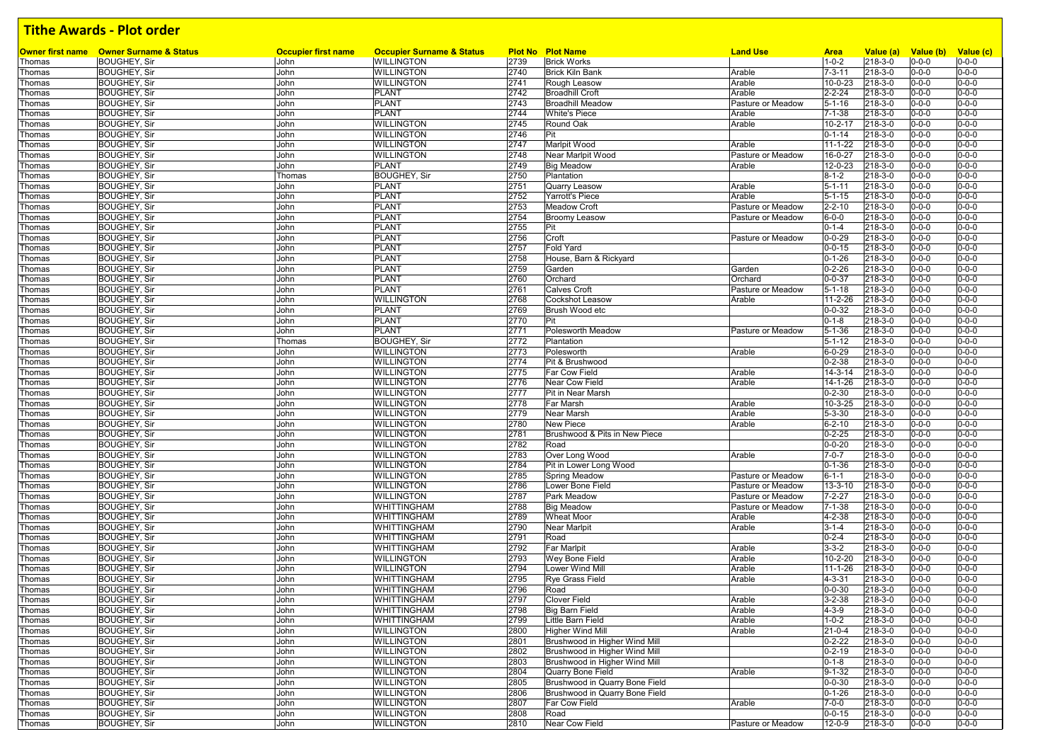|        | <b>Owner first name</b> Owner Surname & Status | <b>Occupier first name</b> | <b>Occupier Surname &amp; Status</b>     |      | <b>Plot No Plot Name</b>       | <b>Land Use</b>   | <b>Area</b>   | Value (a) | Value (b) Value (c) |             |
|--------|------------------------------------------------|----------------------------|------------------------------------------|------|--------------------------------|-------------------|---------------|-----------|---------------------|-------------|
| Thomas | <b>BOUGHEY, Sir</b>                            | John                       | <b>WILLINGTON</b>                        | 2739 | <b>Brick Works</b>             |                   | $1 - 0 - 2$   | 218-3-0   | $0 - 0 - 0$         | $0 - 0 - 0$ |
| Thomas | <b>BOUGHEY, Sir</b>                            | John                       | <b>WILLINGTON</b>                        | 2740 | <b>Brick Kiln Bank</b>         | Arable            | $7 - 3 - 11$  | 218-3-0   | $0 - 0 - 0$         | $0 - 0 - 0$ |
| Thomas | <b>BOUGHEY, Sir</b>                            | John                       | <b>WILLINGTON</b>                        | 2741 | Rough Leasow                   | Arable            | $10 - 0 - 23$ | 218-3-0   | $0 - 0 - 0$         | $0 - 0 - 0$ |
| Thomas | <b>BOUGHEY, Sir</b>                            | John                       | <b>PLANT</b>                             | 2742 | <b>Broadhill Croft</b>         | Arable            | $2 - 2 - 24$  | 218-3-0   | $0 - 0 - 0$         | $0 - 0 - 0$ |
| Thomas | <b>BOUGHEY, Sir</b>                            | John                       | <b>PLANT</b>                             | 2743 | <b>Broadhill Meadow</b>        | Pasture or Meadow | $5 - 1 - 16$  | 218-3-0   | $0 - 0 - 0$         | $0 - 0 - 0$ |
| Thomas | <b>BOUGHEY, Sir</b>                            | John                       | PLANT                                    | 2744 | <b>White's Piece</b>           | Arable            | $7 - 1 - 38$  | 218-3-0   | $0 - 0 - 0$         | $0 - 0 - 0$ |
| Thomas | <b>BOUGHEY, Sir</b>                            | John                       | <b>WILLINGTON</b>                        | 2745 | Round Oak                      | Arable            | $10 - 2 - 17$ | 218-3-0   | $0 - 0 - 0$         | $0 - 0 - 0$ |
| Thomas | <b>BOUGHEY, Sir</b>                            | John                       | <b>WILLINGTON</b>                        | 2746 | Pit                            |                   | $0 - 1 - 14$  | 218-3-0   | $0 - 0 - 0$         | $0 - 0 - 0$ |
| Thomas | <b>BOUGHEY, Sir</b>                            | John                       | <b>WILLINGTON</b>                        | 2747 | Marlpit Wood                   | Arable            | $11 - 1 - 22$ | 218-3-0   | 0-0-0               | $0 - 0 - 0$ |
| Thomas | <b>BOUGHEY, Sir</b>                            | John                       | <b>WILLINGTON</b>                        | 2748 | Near Marlpit Wood              | Pasture or Meadow | 16-0-27       | 218-3-0   | $0 - 0 - 0$         | $0 - 0 - 0$ |
| Thomas | <b>BOUGHEY, Sir</b>                            | John                       | <b>PLANT</b>                             | 2749 | <b>Big Meadow</b>              | Arable            | 12-0-23       | 218-3-0   | $0 - 0 - 0$         | $0 - 0 - 0$ |
| Thomas | <b>BOUGHEY, Sir</b>                            | Thomas                     | <b>BOUGHEY, Sir</b>                      | 2750 | Plantation                     |                   | $8 - 1 - 2$   | 218-3-0   | 0-0-0               | $0 - 0 - 0$ |
| Thomas | <b>BOUGHEY, Sir</b>                            | John                       | PLANT                                    | 2751 | Quarry Leasow                  | Arable            | $5 - 1 - 11$  | 218-3-0   | $0 - 0 - 0$         | $0 - 0 - 0$ |
| Thomas | <b>BOUGHEY, Sir</b>                            | John                       | <b>PLANT</b>                             | 2752 | Yarrott's Piece                | Arable            | $5 - 1 - 15$  | 218-3-0   | $0 - 0 - 0$         | $0 - 0 - 0$ |
| Thomas | <b>BOUGHEY, Sir</b>                            | John                       | <b>PLANT</b>                             | 2753 | <b>Meadow Croft</b>            | Pasture or Meadow | $2 - 2 - 10$  | 218-3-0   | $0 - 0 - 0$         | $0 - 0 - 0$ |
| Thomas | <b>BOUGHEY, Sir</b>                            | John                       | PLANT                                    | 2754 | <b>Broomy Leasow</b>           | Pasture or Meadow | $6 - 0 - 0$   | 218-3-0   | $0 - 0 - 0$         | $0 - 0 - 0$ |
| Thomas | <b>BOUGHEY, Sir</b>                            | John                       | <b>PLANT</b>                             | 2755 | Pit                            |                   | $0 - 1 - 4$   | 218-3-0   | $0 - 0 - 0$         | $0 - 0 - 0$ |
| Thomas | <b>BOUGHEY, Sir</b>                            | John                       | <b>PLANT</b>                             | 2756 | Croft                          | Pasture or Meadow | $0 - 0 - 29$  | 218-3-0   | $0 - 0 - 0$         | $0 - 0 - 0$ |
| Thomas | <b>BOUGHEY, Sir</b>                            | John                       | <b>PLANT</b>                             | 2757 | <b>Fold Yard</b>               |                   | $0 - 0 - 15$  | 218-3-0   | $0 - 0 - 0$         | $0 - 0 - 0$ |
| Thomas | <b>BOUGHEY, Sir</b>                            | John                       | <b>PLANT</b>                             | 2758 | House, Barn & Rickyard         |                   | $0 - 1 - 26$  | 218-3-0   | $0 - 0 - 0$         | $0 - 0 - 0$ |
| Thomas | <b>BOUGHEY, Sir</b>                            | John                       | PLANT                                    | 2759 | Garden                         | Garden            | $0 - 2 - 26$  | 218-3-0   | $0 - 0 - 0$         | $0 - 0 - 0$ |
| Thomas | <b>BOUGHEY, Sir</b>                            | John                       | <b>PLANT</b>                             | 2760 | Orchard                        | Orchard           | $0 - 0 - 37$  | 218-3-0   | $0 - 0 - 0$         | $0 - 0 - 0$ |
| Thomas | <b>BOUGHEY, Sir</b>                            | John                       | PLANT                                    | 2761 | <b>Calves Croft</b>            | Pasture or Meadow | $5 - 1 - 18$  | 218-3-0   | $0 - 0 - 0$         | $0 - 0 - 0$ |
| Thomas | <b>BOUGHEY, Sir</b>                            | John                       | <b>WILLINGTON</b>                        | 2768 | <b>Cockshot Leasow</b>         | Arable            | 11-2-26       | 218-3-0   | $0 - 0 - 0$         | $0 - 0 - 0$ |
| Thomas | <b>BOUGHEY, Sir</b>                            | John                       | <b>PLANT</b>                             | 2769 | Brush Wood etc                 |                   | $0 - 0 - 32$  | 218-3-0   | 0-0-0               | $0 - 0 - 0$ |
| Thomas | <b>BOUGHEY, Sir</b>                            | John                       | <b>PLANT</b>                             | 2770 | Pit                            |                   | $0 - 1 - 8$   | 218-3-0   | $0 - 0 - 0$         | $0 - 0 - 0$ |
| Thomas | <b>BOUGHEY, Sir</b>                            | John                       | <b>PLANT</b>                             | 2771 | <b>Polesworth Meadow</b>       | Pasture or Meadow | $5 - 1 - 36$  | 218-3-0   | 0-0-0               | $0 - 0 - 0$ |
| Thomas | <b>BOUGHEY, Sir</b>                            | Thomas                     | <b>BOUGHEY, Sir</b>                      | 2772 | Plantation                     |                   | $5 - 1 - 12$  | 218-3-0   | $0 - 0 - 0$         | $0 - 0 - 0$ |
| Thomas | <b>BOUGHEY, Sir</b>                            | John                       | <b>WILLINGTON</b>                        | 2773 | Polesworth                     | Arable            | $6 - 0 - 29$  | 218-3-0   | $0 - 0 - 0$         | $0 - 0 - 0$ |
| Thomas | <b>BOUGHEY, Sir</b>                            | John                       | <b>WILLINGTON</b>                        | 2774 | Pit & Brushwood                |                   | $0 - 2 - 38$  | 218-3-0   | $0 - 0 - 0$         | $0 - 0 - 0$ |
| Thomas | <b>BOUGHEY, Sir</b>                            | John                       | <b>WILLINGTON</b>                        | 2775 | Far Cow Field                  | Arable            | $14 - 3 - 14$ | 218-3-0   | $0 - 0 - 0$         | $0 - 0 - 0$ |
| Thomas | <b>BOUGHEY, Sir</b>                            | John                       | <b>WILLINGTON</b>                        | 2776 | Near Cow Field                 | Arable            | 14-1-26       | 218-3-0   | $0 - 0 - 0$         | $0 - 0 - 0$ |
| Thomas | <b>BOUGHEY, Sir</b>                            | John                       | <b>WILLINGTON</b>                        | 2777 | Pit in Near Marsh              |                   | $0 - 2 - 30$  | 218-3-0   | $0 - 0 - 0$         | $0 - 0 - 0$ |
| Thomas | <b>BOUGHEY, Sir</b>                            | John                       | <b>WILLINGTON</b>                        | 2778 | Far Marsh                      | Arable            | 10-3-25       | 218-3-0   | $0 - 0 - 0$         | $0 - 0 - 0$ |
| Thomas | <b>BOUGHEY, Sir</b>                            | John                       | <b>WILLINGTON</b>                        | 2779 | Near Marsh                     | Arable            | $5 - 3 - 30$  | 218-3-0   | $0 - 0 - 0$         | $0 - 0 - 0$ |
| Thomas | <b>BOUGHEY, Sir</b>                            | John                       | <b>WILLINGTON</b>                        | 2780 | <b>New Piece</b>               | Arable            | $6 - 2 - 10$  | 218-3-0   | $0 - 0 - 0$         | $0 - 0 - 0$ |
| Thomas | <b>BOUGHEY, Sir</b>                            | John                       | <b>WILLINGTON</b>                        | 2781 | Brushwood & Pits in New Piece  |                   | $0 - 2 - 25$  | 218-3-0   | $0 - 0 - 0$         | $0 - 0 - 0$ |
| Thomas | <b>BOUGHEY, Sir</b>                            | John                       | <b>WILLINGTON</b>                        | 2782 | Road                           |                   | $0 - 0 - 20$  | 218-3-0   | $0 - 0 - 0$         | $0 - 0 - 0$ |
| Thomas | <b>BOUGHEY, Sir</b>                            | John                       | <b>WILLINGTON</b>                        | 2783 | Over Long Wood                 | Arable            | $7 - 0 - 7$   | 218-3-0   | $0 - 0 - 0$         | $0 - 0 - 0$ |
| Thomas | <b>BOUGHEY, Sir</b>                            | John                       | <b>WILLINGTON</b>                        | 2784 | Pit in Lower Long Wood         |                   | $0 - 1 - 36$  | 218-3-0   | $0 - 0 - 0$         | $0 - 0 - 0$ |
| Thomas | <b>BOUGHEY, Sir</b>                            | John                       | <b>WILLINGTON</b>                        | 2785 | <b>Spring Meadow</b>           | Pasture or Meadow | $6 - 1 - 1$   | 218-3-0   | 0-0-0               | $0 - 0 - 0$ |
| Thomas | <b>BOUGHEY, Sir</b>                            | John                       | <b>WILLINGTON</b>                        | 2786 | Lower Bone Field               | Pasture or Meadow | $13 - 3 - 10$ | 218-3-0   | $0 - 0 - 0$         | $0 - 0 - 0$ |
| Thomas | <b>BOUGHEY, Sir</b>                            | John                       | <b>WILLINGTON</b>                        | 2787 | Park Meadow                    | Pasture or Meadow | $7 - 2 - 27$  | 218-3-0   | $0 - 0 - 0$         | $0 - 0 - 0$ |
| Thomas | <b>BOUGHEY, Sir</b>                            | John                       | <b>WHITTINGHAM</b>                       | 2788 | <b>Big Meadow</b>              | Pasture or Meadow | $7 - 1 - 38$  | 218-3-0   | $0 - 0 - 0$         | $0 - 0 - 0$ |
| Thomas | <b>BOUGHEY, Sir</b>                            | John                       | <b>WHITTINGHAM</b>                       | 2789 | <b>Wheat Moor</b>              | Arable            | 4-2-38        | 218-3-0   | $0 - 0 - 0$         | $0 - 0 - 0$ |
|        | <b>BOUGHEY, Sir</b>                            | John                       | <b>WHITTINGHAM</b>                       | 2790 | Near Marlpit                   | Arable            | $3 - 1 - 4$   | 218-3-0   | 0-0-0               | $0 - 0 - 0$ |
| Thomas | <b>BOUGHEY, Sir</b>                            |                            |                                          | 2791 | Road                           |                   | $0 - 2 - 4$   | 218-3-0   | $0 - 0 - 0$         | $0 - 0 - 0$ |
| Thomas |                                                | John                       | <b>WHITTINGHAM</b><br><b>WHITTINGHAM</b> | 2792 |                                |                   | $3 - 3 - 2$   |           |                     | $0 - 0 - 0$ |
| Thomas | <b>BOUGHEY, Sir</b><br><b>BOUGHEY, Sir</b>     | John                       |                                          |      | Far Marlpit                    | Arable            |               | 218-3-0   | 0-0-0               | $0 - 0 - 0$ |
| Thomas |                                                | John                       | <b>WILLINGTON</b>                        | 2793 | Wey Bone Field                 | Arable            | $10 - 2 - 20$ | 218-3-0   | 0-0-0               |             |
| Thomas | <b>BOUGHEY, Sir</b>                            | John                       | <b>WILLINGTON</b>                        | 2794 | Lower Wind Mill                | Arable            | $11 - 1 - 26$ | 218-3-0   | $0 - 0 - 0$         | $0 - 0 - 0$ |
| Thomas | <b>BOUGHEY, Sir</b>                            | John                       | <b>WHITTINGHAM</b>                       | 2795 | <b>Rye Grass Field</b>         | Arable            | $4 - 3 - 31$  | 218-3-0   | $0 - 0 - 0$         | $0 - 0 - 0$ |
| Thomas | <b>BOUGHEY, Sir</b>                            | John                       | <b>WHITTINGHAM</b>                       | 2796 | Road                           |                   | $0 - 0 - 30$  | 218-3-0   | $0 - 0 - 0$         | $0 - 0 - 0$ |
| Thomas | <b>BOUGHEY, Sir</b>                            | John                       | <b>WHITTINGHAM</b>                       | 2797 | <b>Clover Field</b>            | Arable            | $3 - 2 - 38$  | 218-3-0   | $0 - 0 - 0$         | $0 - 0 - 0$ |
| Thomas | <b>BOUGHEY, Sir</b>                            | John                       | <b>WHITTINGHAM</b>                       | 2798 | Big Barn Field                 | Arable            | $4 - 3 - 9$   | 218-3-0   | $0 - 0 - 0$         | $0 - 0 - 0$ |
| Thomas | <b>BOUGHEY, Sir</b>                            | John                       | <b>WHITTINGHAM</b>                       | 2799 | Little Barn Field              | Arable            | $1 - 0 - 2$   | 218-3-0   | $0 - 0 - 0$         | $0 - 0 - 0$ |
| Thomas | <b>BOUGHEY, Sir</b>                            | John                       | <b>WILLINGTON</b>                        | 2800 | <b>Higher Wind Mill</b>        | Arable            | $21 - 0 - 4$  | 218-3-0   | $0 - 0 - 0$         | $0 - 0 - 0$ |
| Thomas | <b>BOUGHEY, Sir</b>                            | John                       | <b>WILLINGTON</b>                        | 2801 | Brushwood in Higher Wind Mill  |                   | $0 - 2 - 22$  | 218-3-0   | $0 - 0 - 0$         | $0 - 0 - 0$ |
| Thomas | <b>BOUGHEY, Sir</b>                            | John                       | <b>WILLINGTON</b>                        | 2802 | Brushwood in Higher Wind Mill  |                   | $0 - 2 - 19$  | 218-3-0   | $0 - 0 - 0$         | $0 - 0 - 0$ |
| Thomas | <b>BOUGHEY, Sir</b>                            | John                       | <b>WILLINGTON</b>                        | 2803 | Brushwood in Higher Wind Mill  |                   | $0 - 1 - 8$   | 218-3-0   | $0 - 0 - 0$         | $0 - 0 - 0$ |
| Thomas | <b>BOUGHEY, Sir</b>                            | John                       | <b>WILLINGTON</b>                        | 2804 | Quarry Bone Field              | Arable            | $9 - 1 - 32$  | 218-3-0   | $0 - 0 - 0$         | $0 - 0 - 0$ |
| Thomas | <b>BOUGHEY, Sir</b>                            | John                       | <b>WILLINGTON</b>                        | 2805 | Brushwood in Quarry Bone Field |                   | $0 - 0 - 30$  | 218-3-0   | $0 - 0 - 0$         | $0 - 0 - 0$ |
| Thomas | <b>BOUGHEY, Sir</b>                            | John                       | <b>WILLINGTON</b>                        | 2806 | Brushwood in Quarry Bone Field |                   | $0 - 1 - 26$  | 218-3-0   | $0 - 0 - 0$         | $0 - 0 - 0$ |
| Thomas | <b>BOUGHEY, Sir</b>                            | John                       | <b>WILLINGTON</b>                        | 2807 | <b>Far Cow Field</b>           | Arable            | $7 - 0 - 0$   | 218-3-0   | $0 - 0 - 0$         | $0 - 0 - 0$ |
| Thomas | <b>BOUGHEY, Sir</b>                            | John                       | <b>WILLINGTON</b>                        | 2808 | Road                           |                   | $0 - 0 - 15$  | 218-3-0   | $0 - 0 - 0$         | $0 - 0 - 0$ |
| Thomas | <b>BOUGHEY, Sir</b>                            | John                       | <b>WILLINGTON</b>                        | 2810 | Near Cow Field                 | Pasture or Meadow | 12-0-9        | 218-3-0   | $0 - 0 - 0$         | $0 - 0 - 0$ |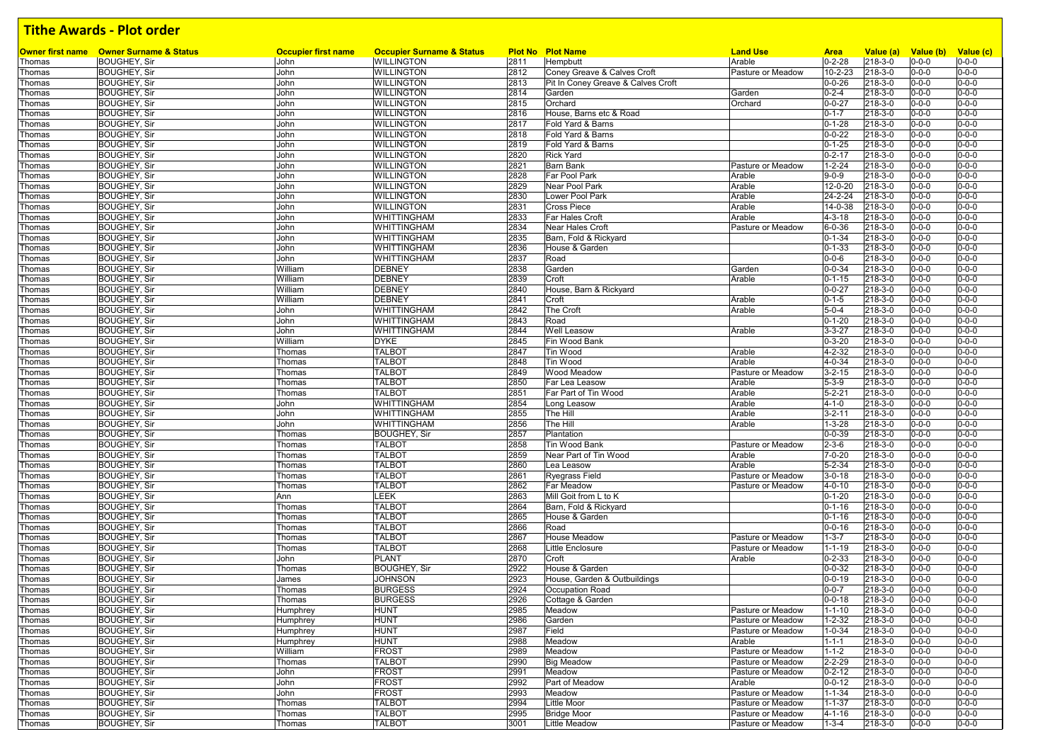|                  |                                                                       | <b>Occupier first name</b> |                                                           |              |                                      | <b>Land Use</b>   |                              |                      |                            |                            |
|------------------|-----------------------------------------------------------------------|----------------------------|-----------------------------------------------------------|--------------|--------------------------------------|-------------------|------------------------------|----------------------|----------------------------|----------------------------|
| Thomas           | <b>Owner first name</b> Owner Surname & Status<br><b>BOUGHEY, Sir</b> | John                       | <b>Occupier Surname &amp; Status</b><br><b>WILLINGTON</b> | 2811         | <b>Plot No Plot Name</b><br>Hempbutt | Arable            | <b>Area</b><br>$0 - 2 - 28$  | Value (a)<br>218-3-0 | Value (b)<br>$0 - 0 - 0$   | Value (c)<br>$0 - 0 - 0$   |
| Thomas           | <b>BOUGHEY, Sir</b>                                                   | John                       | <b>WILLINGTON</b>                                         | 2812         | Coney Greave & Calves Croft          | Pasture or Meadow | 10-2-23                      | 218-3-0              | $0 - 0 - 0$                | $0 - 0 - 0$                |
| Thomas           | <b>BOUGHEY, Sir</b>                                                   | John                       | <b>WILLINGTON</b>                                         | 2813         | Pit In Coney Greave & Calves Croft   |                   | $0 - 0 - 26$                 | 218-3-0              | $0 - 0 - 0$                | $0 - 0 - 0$                |
| Thomas           | <b>BOUGHEY, Sir</b>                                                   | John                       | <b>WILLINGTON</b>                                         | 2814         | Garden                               | Garden            | $0 - 2 - 4$                  | 218-3-0              | $0 - 0 - 0$                | $0 - 0 - 0$                |
| Thomas           | <b>BOUGHEY, Sir</b>                                                   | John                       | <b>WILLINGTON</b>                                         | 2815         | Orchard                              | Orchard           | $0 - 0 - 27$                 | 218-3-0              | $0 - 0 - 0$                | $0 - 0 - 0$                |
| Thomas           | <b>BOUGHEY, Sir</b>                                                   | John                       | <b>WILLINGTON</b>                                         | 2816         | House, Barns etc & Road              |                   | $0 - 1 - 7$                  | 218-3-0              | $0 - 0 - 0$                | $0 - 0 - 0$                |
| Thomas           | <b>BOUGHEY, Sir</b>                                                   | John                       | <b>WILLINGTON</b>                                         | 2817         | Fold Yard & Barns                    |                   | $0 - 1 - 28$                 | 218-3-0              | $0 - 0 - 0$                | $0 - 0 - 0$                |
| Thomas           | <b>BOUGHEY, Sir</b>                                                   | John                       | <b>WILLINGTON</b>                                         | 2818         | Fold Yard & Barns                    |                   | $0 - 0 - 22$                 | 218-3-0              | $0 - 0 - 0$                | $0 - 0 - 0$                |
| Thomas           | <b>BOUGHEY, Sir</b>                                                   | John                       | <b>WILLINGTON</b>                                         | 2819         | Fold Yard & Barns                    |                   | $0 - 1 - 25$                 | 218-3-0              | $0 - 0 - 0$                | $0 - 0 - 0$                |
| Thomas           | <b>BOUGHEY, Sir</b>                                                   | John                       | <b>WILLINGTON</b>                                         | 2820         | <b>Rick Yard</b>                     |                   | $0 - 2 - 17$                 | 218-3-0              | $0 - 0 - 0$                | $0 - 0 - 0$                |
| Thomas           | <b>BOUGHEY, Sir</b>                                                   | John                       | <b>WILLINGTON</b>                                         | 2821         | <b>Barn Bank</b>                     | Pasture or Meadow | $1 - 2 - 24$                 | 218-3-0              | $0 - 0 - 0$                | $0 - 0 - 0$                |
| Thomas           | <b>BOUGHEY, Sir</b>                                                   | John                       | <b>WILLINGTON</b>                                         | 2828         | Far Pool Park                        | Arable            | $9 - 0 - 9$                  | 218-3-0              | $0 - 0 - 0$                | $0 - 0 - 0$                |
| Thomas           | <b>BOUGHEY, Sir</b>                                                   | John                       | <b>WILLINGTON</b>                                         | 2829         | Near Pool Park                       | Arable            | 12-0-20                      | 218-3-0              | $0 - 0 - 0$                | $0 - 0 - 0$                |
| Thomas           | <b>BOUGHEY, Sir</b>                                                   | John                       | <b>WILLINGTON</b>                                         | 2830         | Lower Pool Park                      | Arable            | 24-2-24                      | 218-3-0              | $0 - 0 - 0$                | $0 - 0 - 0$                |
| Thomas           | <b>BOUGHEY, Sir</b>                                                   | John                       | <b>WILLINGTON</b>                                         | 2831         | <b>Cross Piece</b>                   | Arable            | 14-0-38                      | 218-3-0              | $0 - 0 - 0$                | $0 - 0 - 0$                |
| Thomas           | <b>BOUGHEY, Sir</b>                                                   | John                       | <b>WHITTINGHAM</b>                                        | 2833         | Far Hales Croft                      | Arable            | 4-3-18                       | 218-3-0              | $0 - 0 - 0$                | $0 - 0 - 0$                |
| Thomas           | <b>BOUGHEY, Sir</b>                                                   | John                       | <b>WHITTINGHAM</b>                                        | 2834         | Near Hales Croft                     | Pasture or Meadow | $6 - 0 - 36$                 | 218-3-0              | $0 - 0 - 0$                | $0 - 0 - 0$                |
| Thomas           | <b>BOUGHEY, Sir</b>                                                   | John                       | <b>WHITTINGHAM</b>                                        | 2835         | Barn, Fold & Rickyard                |                   | $0 - 1 - 34$                 | 218-3-0              | $0 - 0 - 0$                | $0 - 0 - 0$                |
| Thomas           | <b>BOUGHEY, Sir</b>                                                   | John                       | <b>WHITTINGHAM</b>                                        | 2836         | House & Garden                       |                   | $0 - 1 - 33$                 | 218-3-0              | $0 - 0 - 0$                | $0 - 0 - 0$                |
| Thomas           | <b>BOUGHEY, Sir</b>                                                   | John                       | <b>WHITTINGHAM</b>                                        | 2837         | Road                                 |                   | $0 - 0 - 6$                  | 218-3-0              | $0 - 0 - 0$                | $0 - 0 - 0$                |
| Thomas           | <b>BOUGHEY, Sir</b>                                                   | William                    | <b>DEBNEY</b>                                             | 2838         | Garden                               | Garden            | $0 - 0 - 34$                 | 218-3-0              | $0 - 0 - 0$                | $0 - 0 - 0$                |
| Thomas           | <b>BOUGHEY, Sir</b>                                                   | William                    | <b>DEBNEY</b>                                             | 2839         | Croft                                | Arable            | $0 - 1 - 15$                 | 218-3-0              | $0 - 0 - 0$                | $0 - 0 - 0$                |
| Thomas           | <b>BOUGHEY, Sir</b>                                                   | William                    | <b>DEBNEY</b>                                             | 2840         | House, Barn & Rickyard               |                   | $0 - 0 - 27$                 | 218-3-0              | $0 - 0 - 0$                | $0 - 0 - 0$                |
| Thomas           | <b>BOUGHEY, Sir</b>                                                   | William                    | <b>DEBNEY</b>                                             | 2841         | Croft                                | Arable            | $0 - 1 - 5$                  | 218-3-0              | $0 - 0 - 0$                | $0 - 0 - 0$                |
| Thomas           | <b>BOUGHEY, Sir</b>                                                   | John                       | <b>WHITTINGHAM</b>                                        | 2842         | The Croft                            | Arable            | $5 - 0 - 4$                  | 218-3-0              | $0 - 0 - 0$                | $0 - 0 - 0$                |
| Thomas           | <b>BOUGHEY, Sir</b>                                                   | John                       | <b>WHITTINGHAM</b>                                        | 2843         | Road                                 |                   | $0 - 1 - 20$                 | 218-3-0              | $0 - 0 - 0$                | $0 - 0 - 0$                |
| Thomas           | <b>BOUGHEY, Sir</b>                                                   | John                       | <b>WHITTINGHAM</b>                                        | 2844         | <b>Well Leasow</b>                   | Arable            | $3 - 3 - 27$                 | 218-3-0              | $0 - 0 - 0$                | $0 - 0 - 0$                |
| Thomas           | <b>BOUGHEY, Sir</b>                                                   | William                    | <b>DYKE</b>                                               | 2845         | Fin Wood Bank                        |                   | $0 - 3 - 20$                 | 218-3-0              | $0 - 0 - 0$                | $0 - 0 - 0$                |
| Thomas           | <b>BOUGHEY, Sir</b>                                                   | Thomas                     | <b>TALBOT</b>                                             | 2847         | Tin Wood                             | Arable            | 4-2-32                       | 218-3-0              | $0 - 0 - 0$                | $0 - 0 - 0$                |
| Thomas           | <b>BOUGHEY, Sir</b>                                                   | Thomas                     | <b>TALBOT</b>                                             | 2848         | Tin Wood                             | Arable            | 4-0-34                       | 218-3-0              | $0 - 0 - 0$                | $0 - 0 - 0$                |
| Thomas           | <b>BOUGHEY, Sir</b>                                                   | Thomas                     | <b>TALBOT</b>                                             | 2849         | Wood Meadow                          | Pasture or Meadow | $3 - 2 - 15$                 | 218-3-0              | $0 - 0 - 0$                | $0 - 0 - 0$                |
| Thomas           | <b>BOUGHEY, Sir</b>                                                   | Thomas                     | <b>TALBOT</b>                                             | 2850         | Far Lea Leasow                       | Arable            | $5 - 3 - 9$                  | 218-3-0              | $0 - 0 - 0$                | $0 - 0 - 0$                |
| Thomas           | <b>BOUGHEY, Sir</b>                                                   | Thomas                     | <b>TALBOT</b>                                             | 2851         | Far Part of Tin Wood                 | Arable            | $5 - 2 - 21$                 | 218-3-0              | $0 - 0 - 0$                | $0 - 0 - 0$                |
| Thomas           | <b>BOUGHEY, Sir</b>                                                   | John                       | <b>WHITTINGHAM</b>                                        | 2854         | Long Leasow                          | Arable            | $4 - 1 - 0$                  | 218-3-0              | $0 - 0 - 0$                | $0 - 0 - 0$                |
| Thomas           | <b>BOUGHEY, Sir</b>                                                   | John                       | <b>WHITTINGHAM</b>                                        | 2855         | The Hill<br>The Hill                 | Arable<br>Arable  | $3 - 2 - 11$                 | 218-3-0              | $0 - 0 - 0$                | $0 - 0 - 0$<br>$0 - 0 - 0$ |
| Thomas           | <b>BOUGHEY, Sir</b><br><b>BOUGHEY, Sir</b>                            | John<br>Thomas             | <b>WHITTINGHAM</b><br><b>BOUGHEY, Sir</b>                 | 2856<br>2857 | Plantation                           |                   | $1 - 3 - 28$<br>$0 - 0 - 39$ | 218-3-0<br>218-3-0   | $0 - 0 - 0$<br>$0 - 0 - 0$ | $0 - 0 - 0$                |
| Thomas<br>Thomas | <b>BOUGHEY, Sir</b>                                                   | Thomas                     | <b>TALBOT</b>                                             | 2858         | Tin Wood Bank                        | Pasture or Meadow | $2 - 3 - 6$                  | 218-3-0              | $0 - 0 - 0$                | $0 - 0 - 0$                |
| Thomas           | <b>BOUGHEY, Sir</b>                                                   | Thomas                     | <b>TALBOT</b>                                             | 2859         | Near Part of Tin Wood                | Arable            | $7 - 0 - 20$                 | 218-3-0              | $0 - 0 - 0$                | $0 - 0 - 0$                |
| Thomas           | <b>BOUGHEY, Sir</b>                                                   | Thomas                     | <b>TALBOT</b>                                             | 2860         | Lea Leasow                           | Arable            | $5 - 2 - 34$                 | 218-3-0              | $0 - 0 - 0$                | $0 - 0 - 0$                |
| Thomas           | <b>BOUGHEY, Sir</b>                                                   | Thomas                     | <b>TALBOT</b>                                             | 2861         | <b>Ryegrass Field</b>                | Pasture or Meadow | $3 - 0 - 18$                 | 218-3-0              | $0 - 0 - 0$                | $0 - 0 - 0$                |
| Thomas           | <b>BOUGHEY, Sir</b>                                                   | Thomas                     | <b>TALBOT</b>                                             | 2862         | <b>Far Meadow</b>                    | Pasture or Meadow | 4-0-10                       | 218-3-0              | $0 - 0 - 0$                | $0 - 0 - 0$                |
| Thomas           | <b>BOUGHEY, Sir</b>                                                   | Ann                        | LEEK                                                      | 2863         | Mill Goit from L to K                |                   | $0 - 1 - 20$                 | 218-3-0              | $0 - 0 - 0$                | $0 - 0 - 0$                |
| Thomas           | <b>BOUGHEY, Sir</b>                                                   | Thomas                     | <b>TALBOT</b>                                             | 2864         | Barn, Fold & Rickyard                |                   | $0 - 1 - 16$                 | 218-3-0              | $0 - 0 - 0$                | $0 - 0 - 0$                |
| Thomas           | <b>BOUGHEY, Sir</b>                                                   | Thomas                     | <b>TALBOT</b>                                             | 2865         | House & Garden                       |                   | $0 - 1 - 16$                 | 218-3-0              | $0 - 0 - 0$                | $0 - 0 - 0$                |
| Thomas           | <b>BOUGHEY, Sir</b>                                                   | Thomas                     | <b>TALBOT</b>                                             | 2866         | Road                                 |                   | $0 - 0 - 16$                 | 218-3-0              | $0 - 0 - 0$                | $0 - 0 - 0$                |
| Thomas           | <b>BOUGHEY, Sir</b>                                                   | Thomas                     | <b>TALBOT</b>                                             | 2867         | House Meadow                         | Pasture or Meadow | $1 - 3 - 7$                  | 218-3-0              | $0 - 0 - 0$                | $0 - 0 - 0$                |
| Thomas           | <b>BOUGHEY, Sir</b>                                                   | Thomas                     | <b>TALBOT</b>                                             | 2868         | <b>Little Enclosure</b>              | Pasture or Meadow | $1 - 1 - 19$                 | 218-3-0              | $0 - 0 - 0$                | $0 - 0 - 0$                |
| Thomas           | <b>BOUGHEY, Sir</b>                                                   | John                       | <b>PLANT</b>                                              | 2870         | Croft                                | Arable            | $0 - 2 - 33$                 | 218-3-0              | $0 - 0 - 0$                | $0 - 0 - 0$                |
| Thomas           | <b>BOUGHEY, Sir</b>                                                   | Thomas                     | <b>BOUGHEY, Sir</b>                                       | 2922         | House & Garden                       |                   | $0 - 0 - 32$                 | 218-3-0              | $0 - 0 - 0$                | $0 - 0 - 0$                |
| Thomas           | <b>BOUGHEY, Sir</b>                                                   | James                      | <b>JOHNSON</b>                                            | 2923         | House, Garden & Outbuildings         |                   | $0 - 0 - 19$                 | 218-3-0              | $0 - 0 - 0$                | $0 - 0 - 0$                |
| Thomas           | <b>BOUGHEY, Sir</b>                                                   | Thomas                     | <b>BURGESS</b>                                            | 2924         | Occupation Road                      |                   | $0 - 0 - 7$                  | 218-3-0              | $0 - 0 - 0$                | $0 - 0 - 0$                |
| Thomas           | <b>BOUGHEY, Sir</b>                                                   | Thomas                     | <b>BURGESS</b>                                            | 2926         | Cottage & Garden                     |                   | $0 - 0 - 18$                 | 218-3-0              | $0 - 0 - 0$                | $0 - 0 - 0$                |
| Thomas           | <b>BOUGHEY, Sir</b>                                                   | Humphrey                   | <b>HUNT</b>                                               | 2985         | Meadow                               | Pasture or Meadow | $1 - 1 - 10$                 | 218-3-0              | $0 - 0 - 0$                | $0 - 0 - 0$                |
| Thomas           | <b>BOUGHEY, Sir</b>                                                   | Humphrey                   | <b>HUNT</b>                                               | 2986         | Garden                               | Pasture or Meadow | $1 - 2 - 32$                 | 218-3-0              | $0 - 0 - 0$                | $0 - 0 - 0$                |
| Thomas           | <b>BOUGHEY, Sir</b>                                                   | Humphrey                   | <b>HUNT</b>                                               | 2987         | Field                                | Pasture or Meadow | $1 - 0 - 34$                 | 218-3-0              | $0 - 0 - 0$                | $0 - 0 - 0$                |
| Thomas           | <b>BOUGHEY, Sir</b>                                                   | Humphrey                   | <b>HUNT</b>                                               | 2988         | Meadow                               | Arable            | $1 - 1 - 1$                  | 218-3-0              | $0 - 0 - 0$                | $0 - 0 - 0$                |
| Thomas           | <b>BOUGHEY, Sir</b>                                                   | William                    | <b>FROST</b>                                              | 2989         | Meadow                               | Pasture or Meadow | $1 - 1 - 2$                  | 218-3-0              | $0 - 0 - 0$                | $0 - 0 - 0$                |
| Thomas           | <b>BOUGHEY, Sir</b>                                                   | Thomas                     | <b>TALBOT</b>                                             | 2990         | <b>Big Meadow</b>                    | Pasture or Meadow | $2 - 2 - 29$                 | 218-3-0              | $0 - 0 - 0$                | $0 - 0 - 0$                |
| Thomas           | <b>BOUGHEY, Sir</b>                                                   | John                       | <b>FROST</b>                                              | 2991         | Meadow                               | Pasture or Meadow | $0 - 2 - 12$                 | 218-3-0              | $0 - 0 - 0$                | $0 - 0 - 0$                |
| Thomas           | <b>BOUGHEY, Sir</b>                                                   | John                       | <b>FROST</b>                                              | 2992         | Part of Meadow                       | Arable            | $0 - 0 - 12$                 | 218-3-0              | $0 - 0 - 0$                | $0 - 0 - 0$                |
| Thomas           | <b>BOUGHEY, Sir</b>                                                   | John                       | <b>FROST</b>                                              | 2993         | Meadow                               | Pasture or Meadow | $1 - 1 - 34$                 | 218-3-0              | $0 - 0 - 0$                | $0 - 0 - 0$                |
| Thomas           | <b>BOUGHEY, Sir</b>                                                   | Thomas                     | <b>TALBOT</b>                                             | 2994         | <b>Little Moor</b>                   | Pasture or Meadow | $1 - 1 - 37$                 | 218-3-0              | $0 - 0 - 0$                | $0 - 0 - 0$                |
| Thomas           | <b>BOUGHEY, Sir</b>                                                   | Thomas                     | <b>TALBOT</b>                                             | 2995         | <b>Bridge Moor</b>                   | Pasture or Meadow | 4-1-16                       | 218-3-0              | $0 - 0 - 0$                | $0 - 0 - 0$                |
| Thomas           | <b>BOUGHEY, Sir</b>                                                   | Thomas                     | <b>TALBOT</b>                                             | 3001         | <b>Little Meadow</b>                 | Pasture or Meadow | $1 - 3 - 4$                  | 218-3-0              | $0 - 0 - 0$                | $0 - 0 - 0$                |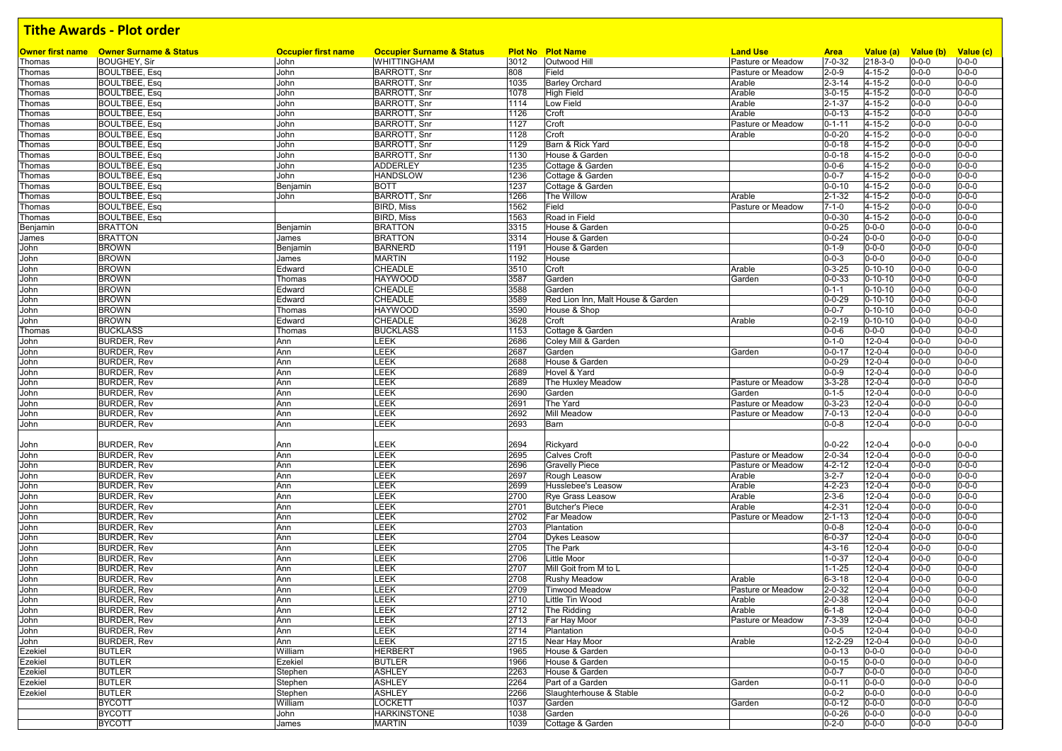|              | Owner first name  Owner Surname & Status | <b>Occupier first name</b> | <b>Occupier Surname &amp; Status</b> |      | <b>Plot No Plot Name</b>          | <b>Land Use</b>   | <b>Area</b>                  | Value (a)                    | Value (b) Value (c)        |                            |
|--------------|------------------------------------------|----------------------------|--------------------------------------|------|-----------------------------------|-------------------|------------------------------|------------------------------|----------------------------|----------------------------|
| Thomas       | <b>BOUGHEY, Sir</b>                      | John                       | <b>WHITTINGHAM</b>                   | 3012 | Outwood Hill                      | Pasture or Meadow | $7 - 0 - 32$                 | 218-3-0                      | $0 - 0 - 0$                | $0 - 0 - 0$                |
| Thomas       | <b>BOULTBEE, Esq</b>                     | John                       | <b>BARROTT, Snr</b>                  | 808  | Field                             | Pasture or Meadow | $2 - 0 - 9$                  | $4 - 15 - 2$                 | $0 - 0 - 0$                | $0 - 0 - 0$                |
| Thomas       | <b>BOULTBEE, Esq</b>                     | John                       | <b>BARROTT, Snr</b>                  | 1035 | <b>Barley Orchard</b>             | Arable            | $2 - 3 - 14$                 | $4 - 15 - 2$                 | $0 - 0 - 0$                | $0 - 0 - 0$                |
| Thomas       | <b>BOULTBEE, Esq</b>                     | John                       | <b>BARROTT, Snr</b>                  | 1078 | <b>High Field</b>                 | Arable            | $3 - 0 - 15$                 | 4-15-2                       | $0 - 0 - 0$                | $0 - 0 - 0$                |
| Thomas       | <b>BOULTBEE, Esq</b>                     | John                       | <b>BARROTT, Snr</b>                  | 1114 | Low Field                         | Arable            | $2 - 1 - 37$                 | $4 - 15 - 2$                 | $0 - 0 - 0$                | $0 - 0 - 0$                |
| Thomas       | <b>BOULTBEE, Esq</b>                     | John                       | <b>BARROTT, Snr</b>                  | 1126 | Croft                             | Arable            | $0 - 0 - 13$                 | $4 - 15 - 2$                 | $0 - 0 - 0$                | $0 - 0 - 0$                |
| Thomas       | <b>BOULTBEE, Esq</b>                     | John                       | <b>BARROTT, Snr</b>                  | 1127 | Croft                             | Pasture or Meadow | $0 - 1 - 11$                 | 4-15-2                       | $0 - 0 - 0$                | $0 - 0 - 0$                |
| Thomas       | <b>BOULTBEE, Esq</b>                     | John                       | <b>BARROTT, Snr</b>                  | 1128 | Croft                             | Arable            | $0 - 0 - 20$                 | 4-15-2                       | $0 - 0 - 0$                | $0 - 0 - 0$                |
| Thomas       | <b>BOULTBEE, Esq</b>                     | John                       | <b>BARROTT, Snr</b>                  | 1129 | Barn & Rick Yard                  |                   | $0 - 0 - 18$                 | $4 - 15 - 2$                 | $0 - 0 - 0$                | $0 - 0 - 0$                |
| Thomas       | <b>BOULTBEE, Esq</b>                     | John                       | <b>BARROTT, Snr</b>                  | 1130 | House & Garden                    |                   | $0 - 0 - 18$                 | $4 - 15 - 2$                 | $0 - 0 - 0$                | $0 - 0 - 0$                |
| Thomas       | <b>BOULTBEE, Esq</b>                     | John                       | <b>ADDERLEY</b>                      | 1235 | Cottage & Garden                  |                   | $0 - 0 - 6$                  | $4 - 15 - 2$                 | $0 - 0 - 0$                | $0 - 0 - 0$                |
| Thomas       | <b>BOULTBEE, Esq</b>                     | John                       | <b>HANDSLOW</b>                      | 1236 | Cottage & Garden                  |                   | $0 - 0 - 7$                  | $4 - 15 - 2$                 | $0 - 0 - 0$                | $0 - 0 - 0$                |
| Thomas       | <b>BOULTBEE, Esq</b>                     | Benjamin                   | <b>BOTT</b>                          | 1237 | Cottage & Garden                  |                   | $0 - 0 - 10$                 | $4 - 15 - 2$                 | $0 - 0 - 0$                | $0 - 0 - 0$                |
| Thomas       | <b>BOULTBEE, Esq</b>                     | John                       | <b>BARROTT, Snr</b>                  | 1266 | The Willow                        | Arable            | $2 - 1 - 32$                 | $4 - 15 - 2$                 | $0 - 0 - 0$                | $0 - 0 - 0$                |
| Thomas       | <b>BOULTBEE, Esq</b>                     |                            | <b>BIRD, Miss</b>                    | 1562 | Field                             | Pasture or Meadow | $7 - 1 - 0$                  | 4-15-2                       | $0 - 0 - 0$                | $0 - 0 - 0$                |
| Thomas       | <b>BOULTBEE, Esq</b>                     |                            | <b>BIRD, Miss</b>                    | 1563 | Road in Field                     |                   | $0 - 0 - 30$                 | $4 - 15 - 2$                 | $0 - 0 - 0$                | $0 - 0 - 0$                |
| Benjamin     | <b>BRATTON</b>                           | Benjamin                   | <b>BRATTON</b>                       | 3315 | House & Garden                    |                   | $0 - 0 - 25$                 | $0 - 0 - 0$                  | $0 - 0 - 0$                | $0 - 0 - 0$                |
| James        | <b>BRATTON</b>                           | James                      | <b>BRATTON</b>                       | 3314 | House & Garden                    |                   | $0 - 0 - 24$                 | $0 - 0 - 0$                  | $0 - 0 - 0$                | $0 - 0 - 0$                |
| John         | <b>BROWN</b>                             | Benjamin                   | <b>BARNERD</b>                       | 1191 | House & Garden                    |                   | $0 - 1 - 9$                  | $0 - 0 - 0$                  | $0 - 0 - 0$                | $0 - 0 - 0$                |
| John         | <b>BROWN</b>                             | James                      | <b>MARTIN</b>                        | 1192 | House                             |                   | $0 - 0 - 3$                  | $0 - 0 - 0$                  | $0 - 0 - 0$                | $0 - 0 - 0$                |
| John         | <b>BROWN</b>                             | Edward                     | CHEADLE                              | 3510 | Croft                             | Arable            | $0 - 3 - 25$                 | $0 - 10 - 10$                | $0 - 0 - 0$                | $0 - 0 - 0$                |
| John         | <b>BROWN</b>                             | Thomas                     | <b>HAYWOOD</b>                       | 3587 | Garden                            | Garden            | $0 - 0 - 33$                 | $0 - 10 - 10$                | $0 - 0 - 0$                | $0 - 0 - 0$                |
| John         | <b>BROWN</b>                             | Edward                     | CHEADLE                              | 3588 | Garden                            |                   | $0 - 1 - 1$                  | $0 - 10 - 10$                | $0 - 0 - 0$                | $0 - 0 - 0$                |
| John         | <b>BROWN</b>                             | Edward                     | CHEADLE                              | 3589 | Red Lion Inn. Malt House & Garden |                   | $0 - 0 - 29$                 | $0 - 10 - 10$                | $0 - 0 - 0$                | $0 - 0 - 0$                |
| John         | <b>BROWN</b>                             | Thomas                     | <b>HAYWOOD</b>                       | 3590 | House & Shop                      |                   | $0 - 0 - 7$                  | $0 - 10 - 10$                | $0 - 0 - 0$                | $0 - 0 - 0$                |
| John         | <b>BROWN</b>                             | Edward                     | CHEADLE                              | 3628 | Croft                             | Arable            | $0 - 2 - 19$                 | $0 - 10 - 10$                | $0 - 0 - 0$                | $0 - 0 - 0$                |
| Thomas       | <b>BUCKLASS</b>                          | Thomas                     | <b>BUCKLASS</b>                      | 1153 | Cottage & Garden                  |                   | $0 - 0 - 6$                  | $0 - 0 - 0$                  | $0 - 0 - 0$                | $0 - 0 - 0$                |
| John         | <b>BURDER, Rev</b>                       | Ann                        | LEEK                                 | 2686 | Coley Mill & Garden               |                   | $0 - 1 - 0$                  | $12 - 0 - 4$                 | $0 - 0 - 0$                | $0 - 0 - 0$                |
| John         | <b>BURDER, Rev</b>                       | Ann                        | LEEK                                 | 2687 | Garden                            | Garden            | $0 - 0 - 17$                 | $12 - 0 - 4$                 | $0 - 0 - 0$                | $0 - 0 - 0$                |
| John         | <b>BURDER, Rev</b>                       | Ann                        | LEEK                                 | 2688 | House & Garden                    |                   | $0 - 0 - 29$                 | $12 - 0 - 4$                 | $0 - 0 - 0$                | $0 - 0 - 0$                |
| John         | <b>BURDER, Rev</b>                       | Ann                        | LEEK                                 | 2689 | Hovel & Yard                      |                   | $0 - 0 - 9$                  | $12 - 0 - 4$                 | $0 - 0 - 0$                | $0 - 0 - 0$                |
| John         | <b>BURDER, Rev</b>                       | Ann                        | LEEK                                 | 2689 | The Huxley Meadow                 | Pasture or Meadow | $3 - 3 - 28$                 | $12 - 0 - 4$                 | $0 - 0 - 0$                | $0 - 0 - 0$                |
| John         | <b>BURDER, Rev</b>                       | Ann                        | LEEK                                 | 2690 | Garden                            | Garden            | $0 - 1 - 5$                  | $12 - 0 - 4$                 | $0 - 0 - 0$                | $0 - 0 - 0$                |
| John         | <b>BURDER, Rev</b>                       | Ann                        | LEEK                                 | 2691 | The Yard                          | Pasture or Meadow | $0 - 3 - 23$                 | $12 - 0 - 4$                 | $0 - 0 - 0$                | $0 - 0 - 0$                |
| John         | <b>BURDER, Rev</b>                       | Ann                        | LEEK                                 | 2692 | <b>Mill Meadow</b>                | Pasture or Meadow | $7 - 0 - 13$                 | $12 - 0 - 4$                 | $0 - 0 - 0$                | $0 - 0 - 0$                |
| John         | <b>BURDER, Rev</b>                       | Ann                        | LEEK                                 | 2693 | Barn                              |                   | $0 - 0 - 8$                  | $12 - 0 - 4$                 | $0 - 0 - 0$                | $0 - 0 - 0$                |
|              |                                          |                            |                                      |      |                                   |                   |                              |                              |                            |                            |
| John         | <b>BURDER, Rev</b>                       | Ann                        | LEEK                                 | 2694 | Rickyard                          |                   | $0 - 0 - 22$                 | $12 - 0 - 4$                 | $0 - 0 - 0$                | $0 - 0 - 0$                |
| John         | <b>BURDER, Rev</b>                       | Ann                        | LEEK                                 | 2695 | <b>Calves Croft</b>               | Pasture or Meadow | $2 - 0 - 34$                 | $12 - 0 - 4$                 | $0 - 0 - 0$                | $0 - 0 - 0$                |
| John         | <b>BURDER, Rev</b>                       | Ann                        | LEEK                                 | 2696 | <b>Gravelly Piece</b>             | Pasture or Meadow | $4 - 2 - 12$                 | $12 - 0 - 4$                 | $0 - 0 - 0$                | $0 - 0 - 0$                |
| John         | <b>BURDER, Rev</b>                       | Ann                        | LEEK                                 | 2697 | Rough Leasow                      | Arable            | $3 - 2 - 7$                  | $12 - 0 - 4$                 | $0 - 0 - 0$                | $0 - 0 - 0$                |
| John         | <b>BURDER, Rev</b>                       | Ann                        | LEEK                                 | 2699 | Husslebee's Leasow                | Arable            | $4 - 2 - 23$                 | $12 - 0 - 4$                 | $0 - 0 - 0$                | $0 - 0 - 0$                |
| John         | <b>BURDER, Rev</b>                       | Ann                        | LEEK                                 | 2700 | <b>Rye Grass Leasow</b>           | Arable            | $2 - 3 - 6$                  | $12 - 0 - 4$                 | $0 - 0 - 0$                | $0 - 0 - 0$                |
| John         | <b>BURDER, Rev</b>                       | Ann                        | LEEK                                 | 2701 | <b>Butcher's Piece</b>            | Arable            | $4 - 2 - 31$                 | $12 - 0 - 4$                 | $0 - 0 - 0$                | $0 - 0 - 0$                |
| John         | <b>BURDER, Rev</b>                       | Ann                        | LEEK                                 | 2702 | Far Meadow                        | Pasture or Meadow | $2 - 1 - 13$                 | $12 - 0 - 4$                 | $0 - 0 - 0$                | $0 - 0 - 0$                |
| John         | <b>BURDER, Rev</b>                       | Ann                        | LEEK                                 | 2703 | Plantation                        |                   | $0 - 0 - 8$                  | $12 - 0 - 4$                 | $0 - 0 - 0$                | $0 - 0 - 0$                |
|              |                                          |                            |                                      | 2704 |                                   |                   |                              |                              |                            | $0 - 0 - 0$                |
| John<br>John | <b>BURDER, Rev</b><br><b>BURDER, Rev</b> | Ann<br>Ann                 | LEEK<br>LEEK                         | 2705 | <b>Dykes Leasow</b><br>The Park   |                   | $6 - 0 - 37$<br>$4 - 3 - 16$ | $12 - 0 - 4$<br>$12 - 0 - 4$ | $0 - 0 - 0$<br>$0 - 0 - 0$ | $0 - 0 - 0$                |
|              |                                          |                            | LEEK                                 |      | Little Moor                       |                   |                              |                              |                            | $0 - 0 - 0$                |
| John         | <b>BURDER, Rev</b>                       | Ann                        |                                      | 2706 |                                   |                   | $1 - 0 - 37$                 | $12 - 0 - 4$                 | $0 - 0 - 0$                |                            |
| John         | <b>BURDER, Rev</b>                       | Ann                        | LEEK                                 | 2707 | Mill Goit from M to L             |                   | $1 - 1 - 25$                 | $12 - 0 - 4$                 | $0 - 0 - 0$                | $0 - 0 - 0$<br>$0 - 0 - 0$ |
| John         | <b>BURDER, Rev</b>                       | Ann                        | LEEK                                 | 2708 | <b>Rushy Meadow</b>               | Arable            | $6 - 3 - 18$                 | $12 - 0 - 4$                 | $0 - 0 - 0$                |                            |
| John         | <b>BURDER, Rev</b>                       | Ann                        | LEEK                                 | 2709 | <b>Tinwood Meadow</b>             | Pasture or Meadow | $2 - 0 - 32$                 | $12 - 0 - 4$                 | $0 - 0 - 0$                | $0 - 0 - 0$                |
| John         | <b>BURDER, Rev</b>                       | Ann                        | LEEK                                 | 2710 | Little Tin Wood                   | Arable            | $2 - 0 - 38$                 | $12 - 0 - 4$                 | $0 - 0 - 0$                | $0 - 0 - 0$                |
| John         | <b>BURDER, Rev</b>                       | Ann                        | LEEK                                 | 2712 | The Ridding                       | Arable            | $6 - 1 - 8$                  | $12 - 0 - 4$                 | $0 - 0 - 0$                | $0 - 0 - 0$                |
| John         | <b>BURDER, Rev</b>                       | Ann                        | LEEK                                 | 2713 | Far Hay Moor                      | Pasture or Meadow | $7 - 3 - 39$                 | $12 - 0 - 4$                 | $0 - 0 - 0$                | $0 - 0 - 0$                |
| John         | <b>BURDER, Rev</b>                       | Ann                        | LEEK                                 | 2714 | Plantation                        |                   | $0 - 0 - 5$                  | $12 - 0 - 4$                 | $0 - 0 - 0$                | $0 - 0 - 0$                |
| John         | <b>BURDER, Rev</b>                       | Ann                        | LEEK                                 | 2715 | Near Hay Moor                     | Arable            | 12-2-29                      | $12 - 0 - 4$                 | $0 - 0 - 0$                | $0 - 0 - 0$                |
| Ezekiel      | <b>BUTLER</b>                            | William                    | <b>HERBERT</b>                       | 1965 | House & Garden                    |                   | $0 - 0 - 13$                 | $0 - 0 - 0$                  | $0 - 0 - 0$                | $0 - 0 - 0$                |
| Ezekiel      | <b>BUTLER</b>                            | Ezekiel                    | <b>BUTLER</b>                        | 1966 | House & Garden                    |                   | $0 - 0 - 15$                 | $0 - 0 - 0$                  | $0 - 0 - 0$                | $0 - 0 - 0$                |
| Ezekiel      | <b>BUTLER</b>                            | Stephen                    | <b>ASHLEY</b>                        | 2263 | House & Garden                    |                   | $0 - 0 - 7$                  | $0 - 0 - 0$                  | $0 - 0 - 0$                | $0 - 0 - 0$                |
| Ezekiel      | <b>BUTLER</b>                            | Stephen                    | <b>ASHLEY</b>                        | 2264 | Part of a Garden                  | Garden            | $0 - 0 - 11$                 | $0 - 0 - 0$                  | $0 - 0 - 0$                | $0 - 0 - 0$                |
| Ezekiel      | <b>BUTLER</b>                            | Stephen                    | <b>ASHLEY</b>                        | 2266 | Slaughterhouse & Stable           |                   | $0 - 0 - 2$                  | $0 - 0 - 0$                  | $0 - 0 - 0$                | $0 - 0 - 0$                |
|              | <b>BYCOTT</b>                            | William                    | <b>LOCKETT</b>                       | 1037 | Garden                            | Garden            | $0 - 0 - 12$                 | $0 - 0 - 0$                  | $0 - 0 - 0$                | $0 - 0 - 0$                |
|              | <b>BYCOTT</b>                            | John                       | <b>HARKINSTONE</b>                   | 1038 | Garden                            |                   | $0 - 0 - 26$                 | $0 - 0 - 0$                  | $0 - 0 - 0$                | $0 - 0 - 0$                |
|              | <b>BYCOTT</b>                            | James                      | <b>MARTIN</b>                        | 1039 | Cottage & Garden                  |                   | $0 - 2 - 0$                  | $0 - 0 - 0$                  | $0 - 0 - 0$                | $0 - 0 - 0$                |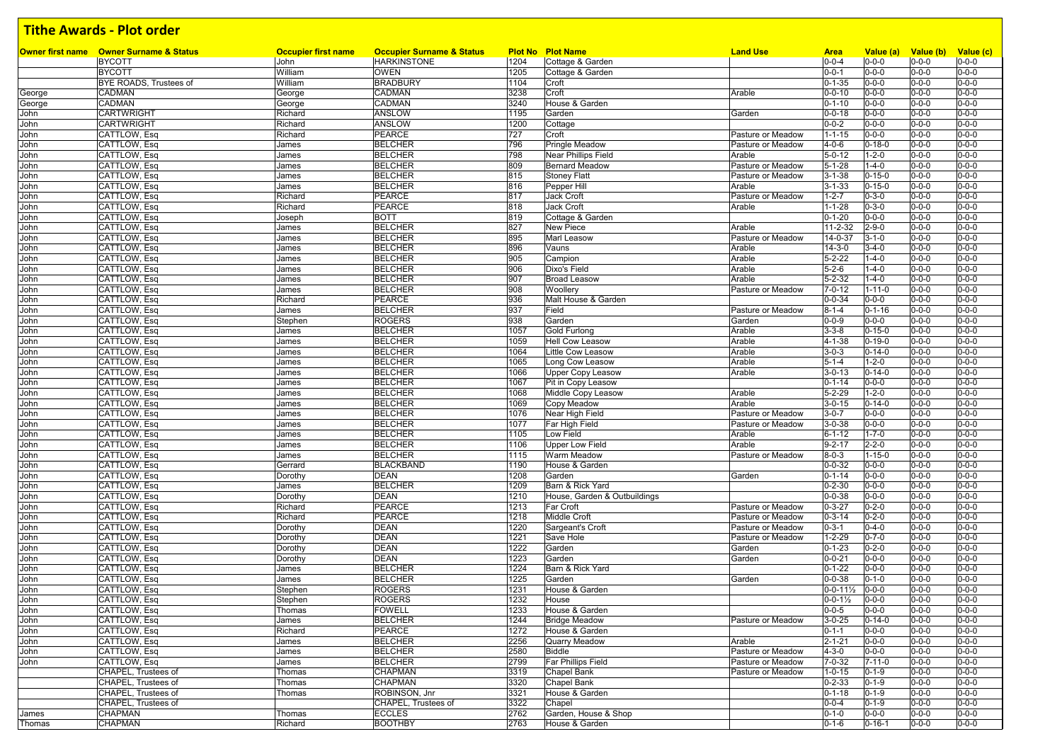|        | <b>Owner first name</b> Owner Surname & Status | <b>Occupier first name</b> | <b>Occupier Surname &amp; Status</b> |      | <b>Plot No Plot Name</b>     | <b>Land Use</b>   | <b>Area</b>             | Value (a)    | Value (b)   | Value (c)   |
|--------|------------------------------------------------|----------------------------|--------------------------------------|------|------------------------------|-------------------|-------------------------|--------------|-------------|-------------|
|        | <b>BYCOTT</b>                                  | John                       | <b>HARKINSTONE</b>                   | 1204 | Cottage & Garden             |                   | $0 - 0 - 4$             | $0 - 0 - 0$  | $0 - 0 - 0$ | $0 - 0 - 0$ |
|        | <b>BYCOTT</b>                                  | William                    | <b>OWEN</b>                          | 1205 | Cottage & Garden             |                   | $0 - 0 - 1$             | $0 - 0 - 0$  | $0 - 0 - 0$ | $0 - 0 - 0$ |
|        | BYE ROADS, Trustees of                         | William                    | <b>BRADBURY</b>                      | 1104 | Croft                        |                   | $0 - 1 - 35$            | $0 - 0 - 0$  | $0 - 0 - 0$ | $0 - 0 - 0$ |
| George | CADMAN                                         | George                     | CADMAN                               | 3238 | Croft                        | Arable            | $0 - 0 - 10$            | $0 - 0 - 0$  | $0 - 0 - 0$ | $0 - 0 - 0$ |
| George | CADMAN                                         | George                     | CADMAN                               | 3240 | House & Garden               |                   | $0 - 1 - 10$            | $0 - 0 - 0$  | $0 - 0 - 0$ | $0 - 0 - 0$ |
| John   | <b>CARTWRIGHT</b>                              | Richard                    | ANSLOW                               | 1195 | Garden                       | Garden            | $0 - 0 - 18$            | $0 - 0 - 0$  | $0 - 0 - 0$ | $0 - 0 - 0$ |
| John   | <b>CARTWRIGHT</b>                              | Richard                    | ANSLOW                               | 1200 | Cottage                      |                   | $0 - 0 - 2$             | $0 - 0 - 0$  | $0 - 0 - 0$ | $0 - 0 - 0$ |
| John   | CATTLOW, Esq                                   | Richard                    | PEARCE                               | 727  | Croft                        | Pasture or Meadow | $1 - 1 - 15$            | $0 - 0 - 0$  | $0 - 0 - 0$ | $0 - 0 - 0$ |
| John   | CATTLOW, Esq                                   | James                      | <b>BELCHER</b>                       | 796  | <b>Pringle Meadow</b>        | Pasture or Meadow | $4 - 0 - 6$             | $0 - 18 - 0$ | $0 - 0 - 0$ | $0 - 0 - 0$ |
| John   | CATTLOW, Esq                                   | James                      | <b>BELCHER</b>                       | 798  | <b>Near Phillips Field</b>   | Arable            | $5 - 0 - 12$            | $1 - 2 - 0$  | $0 - 0 - 0$ | $0 - 0 - 0$ |
| John   | CATTLOW, Esq                                   | James                      | <b>BELCHER</b>                       | 809  | <b>Bernard Meadow</b>        | Pasture or Meadow | $5 - 1 - 28$            | $1 - 4 - 0$  | $0 - 0 - 0$ | $0 - 0 - 0$ |
|        | CATTLOW, Esq                                   |                            | <b>BELCHER</b>                       | 815  |                              | Pasture or Meadow | $3 - 1 - 38$            | $0 - 15 - 0$ | $0 - 0 - 0$ | $0 - 0 - 0$ |
| John   |                                                | James                      |                                      |      | <b>Stoney Flatt</b>          |                   |                         |              |             |             |
| John   | CATTLOW, Esq                                   | James                      | <b>BELCHER</b>                       | 816  | Pepper Hill                  | Arable            | $3 - 1 - 33$            | $0 - 15 - 0$ | $0 - 0 - 0$ | $0 - 0 - 0$ |
| John   | CATTLOW, Esq                                   | Richard                    | PEARCE                               | 817  | Jack Croft                   | Pasture or Meadow | $1 - 2 - 7$             | $0 - 3 - 0$  | $0 - 0 - 0$ | $0 - 0 - 0$ |
| John   | CATTLOW, Esq                                   | Richard                    | PEARCE                               | 818  | Jack Croft                   | Arable            | $1 - 1 - 28$            | $0 - 3 - 0$  | $0 - 0 - 0$ | $0 - 0 - 0$ |
| John   | CATTLOW, Esq                                   | Joseph                     | <b>BOTT</b>                          | 819  | Cottage & Garden             |                   | $0 - 1 - 20$            | $0 - 0 - 0$  | $0 - 0 - 0$ | $0 - 0 - 0$ |
| John   | CATTLOW, Esq                                   | James                      | <b>BELCHER</b>                       | 827  | New Piece                    | Arable            | 11-2-32                 | $2 - 9 - 0$  | $0 - 0 - 0$ | $0 - 0 - 0$ |
| John   | CATTLOW, Esq                                   | James                      | <b>BELCHER</b>                       | 895  | <b>Marl Leasow</b>           | Pasture or Meadow | 14-0-37                 | $3 - 1 - 0$  | $0 - 0 - 0$ | $0 - 0 - 0$ |
| John   | CATTLOW, Esq                                   | James                      | <b>BELCHER</b>                       | 896  | Vauns                        | Arable            | $14 - 3 - 0$            | $3 - 4 - 0$  | $0 - 0 - 0$ | $0 - 0 - 0$ |
| John   | CATTLOW, Esq                                   | James                      | <b>BELCHER</b>                       | 905  | Campion                      | Arable            | $5 - 2 - 22$            | $1 - 4 - 0$  | $0 - 0 - 0$ | $0 - 0 - 0$ |
| John   | CATTLOW, Esq                                   | James                      | <b>BELCHER</b>                       | 906  | Dixo's Field                 | Arable            | $5 - 2 - 6$             | $1 - 4 - 0$  | $0 - 0 - 0$ | $0 - 0 - 0$ |
| John   | CATTLOW, Esq                                   | James                      | <b>BELCHER</b>                       | 907  | <b>Broad Leasow</b>          | Arable            | $5 - 2 - 32$            | $1 - 4 - 0$  | $0 - 0 - 0$ | $0 - 0 - 0$ |
|        |                                                |                            |                                      |      |                              |                   |                         |              |             |             |
| John   | CATTLOW, Esq                                   | James                      | <b>BELCHER</b>                       | 908  | Woollery                     | Pasture or Meadow | $7 - 0 - 12$            | $1 - 11 - 0$ | $0 - 0 - 0$ | $0 - 0 - 0$ |
| John   | CATTLOW, Esq                                   | Richard                    | PEARCE                               | 936  | Malt House & Garden          |                   | $0 - 0 - 34$            | $0 - 0 - 0$  | $0 - 0 - 0$ | $0 - 0 - 0$ |
| John   | CATTLOW, Esq                                   | James                      | <b>BELCHER</b>                       | 937  | Field                        | Pasture or Meadow | $8 - 1 - 4$             | $0 - 1 - 16$ | $0 - 0 - 0$ | $0 - 0 - 0$ |
| John   | CATTLOW, Esq                                   | Stephen                    | <b>ROGERS</b>                        | 938  | Garden                       | Garden            | $0 - 0 - 9$             | $0 - 0 - 0$  | $0 - 0 - 0$ | $0 - 0 - 0$ |
| John   | CATTLOW, Esq                                   | James                      | <b>BELCHER</b>                       | 1057 | Gold Furlong                 | Arable            | $3 - 3 - 8$             | $0 - 15 - 0$ | $0 - 0 - 0$ | $0 - 0 - 0$ |
| John   | CATTLOW, Esq                                   | James                      | <b>BELCHER</b>                       | 1059 | <b>Hell Cow Leasow</b>       | Arable            | 4-1-38                  | $0 - 19 - 0$ | $0 - 0 - 0$ | $0 - 0 - 0$ |
| John   | CATTLOW, Esq                                   | James                      | <b>BELCHER</b>                       | 1064 | <b>Little Cow Leasow</b>     | Arable            | $3 - 0 - 3$             | $0 - 14 - 0$ | $0 - 0 - 0$ | $0 - 0 - 0$ |
| John   | CATTLOW, Esq                                   | James                      | <b>BELCHER</b>                       | 1065 | Long Cow Leasow              | Arable            | $5 - 1 - 4$             | $1 - 2 - 0$  | $0 - 0 - 0$ | $0 - 0 - 0$ |
| John   | CATTLOW, Esq                                   | James                      | <b>BELCHER</b>                       | 1066 | <b>Upper Copy Leasow</b>     | Arable            | $3 - 0 - 13$            | $0 - 14 - 0$ | $0 - 0 - 0$ | $0 - 0 - 0$ |
| John   | CATTLOW, Esq                                   | James                      | <b>BELCHER</b>                       | 1067 | Pit in Copy Leasow           |                   | $0 - 1 - 14$            | $0 - 0 - 0$  | $0 - 0 - 0$ | $0 - 0 - 0$ |
|        |                                                |                            |                                      | 1068 |                              |                   |                         |              |             |             |
| John   | CATTLOW, Esq                                   | James                      | <b>BELCHER</b>                       |      | Middle Copy Leasow           | Arable            | $5 - 2 - 29$            | $1 - 2 - 0$  | $0 - 0 - 0$ | $0 - 0 - 0$ |
| John   | CATTLOW, Esq                                   | James                      | <b>BELCHER</b>                       | 1069 | Copy Meadow                  | Arable            | $3 - 0 - 15$            | $0 - 14 - 0$ | $0 - 0 - 0$ | $0 - 0 - 0$ |
| John   | CATTLOW, Esq                                   | James                      | <b>BELCHER</b>                       | 1076 | Near High Field              | Pasture or Meadow | $3 - 0 - 7$             | $0 - 0 - 0$  | $0 - 0 - 0$ | $0 - 0 - 0$ |
| John   | CATTLOW, Esq                                   | James                      | <b>BELCHER</b>                       | 1077 | Far High Field               | Pasture or Meadow | $3 - 0 - 38$            | $0 - 0 - 0$  | $0 - 0 - 0$ | $0 - 0 - 0$ |
| John   | CATTLOW, Esq                                   | James                      | <b>BELCHER</b>                       | 1105 | Low Field                    | Arable            | $6 - 1 - 12$            | $1 - 7 - 0$  | $0 - 0 - 0$ | $0 - 0 - 0$ |
| John   | CATTLOW, Esq                                   | James                      | <b>BELCHER</b>                       | 1106 | <b>Upper Low Field</b>       | Arable            | $9 - 2 - 17$            | $2 - 2 - 0$  | $0 - 0 - 0$ | $0 - 0 - 0$ |
| John   | CATTLOW, Esq                                   | James                      | <b>BELCHER</b>                       | 1115 | <b>Warm Meadow</b>           | Pasture or Meadow | $8 - 0 - 3$             | $1 - 15 - 0$ | $0 - 0 - 0$ | $0 - 0 - 0$ |
| John   | CATTLOW, Esq                                   | Gerrard                    | <b>BLACKBAND</b>                     | 1190 | House & Garden               |                   | $0 - 0 - 32$            | $0 - 0 - 0$  | $0 - 0 - 0$ | $0 - 0 - 0$ |
| John   | CATTLOW, Esq                                   | Dorothy                    | DEAN                                 | 1208 | Garden                       | Garden            | $0 - 1 - 14$            | $0 - 0 - 0$  | $0 - 0 - 0$ | $0 - 0 - 0$ |
| John   | CATTLOW, Esq                                   | James                      | <b>BELCHER</b>                       | 1209 | Barn & Rick Yard             |                   | $0 - 2 - 30$            | $0 - 0 - 0$  | $0 - 0 - 0$ | $0 - 0 - 0$ |
|        |                                                |                            | DEAN                                 | 1210 | House, Garden & Outbuildings |                   | $0 - 0 - 38$            | $0 - 0 - 0$  | $0 - 0 - 0$ | $0 - 0 - 0$ |
| John   | CATTLOW, Esq                                   | Dorothy                    |                                      |      |                              |                   |                         |              |             |             |
| John   | CATTLOW, Esq                                   | Richard                    | <b>PEARCE</b>                        | 1213 | Far Croft                    | Pasture or Meadow | $0 - 3 - 27$            | $0 - 2 - 0$  | $0 - 0 - 0$ | $0 - 0 - 0$ |
| John   | CATTLOW, Esq                                   | Richard                    | PEARCE                               | 1218 | Middle Croft                 | Pasture or Meadow | $0 - 3 - 14$            | $0 - 2 - 0$  | $0 - 0 - 0$ | $0 - 0 - 0$ |
| John   | CATTLOW, Esq                                   | Dorothy                    | DEAN                                 | 1220 | Sargeant's Croft             | Pasture or Meadow | $0 - 3 - 1$             | $0 - 4 - 0$  | $0 - 0 - 0$ | $0 - 0 - 0$ |
| John   | CATTLOW, Esq                                   | Dorothy                    | DEAN                                 | 1221 | Save Hole                    | Pasture or Meadow | $1 - 2 - 29$            | $0 - 7 - 0$  | $0 - 0 - 0$ | $0 - 0 - 0$ |
| John   | CATTLOW, Esq                                   | Dorothy                    | DEAN                                 | 1222 | Garden                       | Garden            | $0 - 1 - 23$            | $0 - 2 - 0$  | $0 - 0 - 0$ | $0 - 0 - 0$ |
| John   | CATTLOW, Esq                                   | Dorothy                    | DEAN                                 | 1223 | Garden                       | Garden            | $0 - 0 - 21$            | $0 - 0 - 0$  | $0 - 0 - 0$ | $0 - 0 - 0$ |
| John   | CATTLOW, Esq                                   | James                      | <b>BELCHER</b>                       | 1224 | Barn & Rick Yard             |                   | $0 - 1 - 22$            | $0 - 0 - 0$  | $0 - 0 - 0$ | $0 - 0 - 0$ |
| John   | CATTLOW, Esq                                   | James                      | <b>BELCHER</b>                       | 1225 | Garden                       | Garden            | $0 - 0 - 38$            | $0 - 1 - 0$  | $0 - 0 - 0$ | $0 - 0 - 0$ |
| John   | CATTLOW, Esq                                   | Stephen                    | ROGERS                               | 1231 | House & Garden               |                   | $0 - 0 - 11\frac{1}{2}$ | $0 - 0 - 0$  | $0 - 0 - 0$ | $0 - 0 - 0$ |
| John   | CATTLOW, Esq                                   | Stephen                    | ROGERS                               | 1232 | House                        |                   | $0 - 0 - 1\frac{1}{2}$  | $0 - 0 - 0$  | $0 - 0 - 0$ | $0 - 0 - 0$ |
|        |                                                |                            |                                      |      |                              |                   |                         |              |             |             |
| John   | CAI ILOW, Esq                                  | <b>I</b> homas             | FOWELL                               | 1233 | House & Garden               |                   | $0 - 0 - 5$             | $0 - 0 - 0$  | $0 - 0 - 0$ | $0 - 0 - 0$ |
| John   | CATTLOW, Esq                                   | James                      | <b>BELCHER</b>                       | 1244 | <b>Bridge Meadow</b>         | Pasture or Meadow | $3 - 0 - 25$            | $0 - 14 - 0$ | $0 - 0 - 0$ | $0 - 0 - 0$ |
| John   | CATTLOW, Esq                                   | Richard                    | PEARCE                               | 1272 | House & Garden               |                   | $0 - 1 - 1$             | $0 - 0 - 0$  | $0 - 0 - 0$ | $0 - 0 - 0$ |
| John   | CATTLOW, Esq                                   | James                      | <b>BELCHER</b>                       | 2256 | <b>Quarry Meadow</b>         | Arable            | $2 - 1 - 21$            | $0 - 0 - 0$  | $0 - 0 - 0$ | $0 - 0 - 0$ |
| John   | CATTLOW, Esq                                   | James                      | <b>BELCHER</b>                       | 2580 | <b>Biddle</b>                | Pasture or Meadow | $4 - 3 - 0$             | $0 - 0 - 0$  | $0 - 0 - 0$ | $0 - 0 - 0$ |
| John   | CATTLOW, Esq                                   | James                      | <b>BELCHER</b>                       | 2799 | <b>Far Phillips Field</b>    | Pasture or Meadow | $7 - 0 - 32$            | $7 - 11 - 0$ | $0 - 0 - 0$ | $0 - 0 - 0$ |
|        | CHAPEL, Trustees of                            | Thomas                     | CHAPMAN                              | 3319 | Chapel Bank                  | Pasture or Meadow | $1 - 0 - 15$            | $0 - 1 - 9$  | $0 - 0 - 0$ | $0 - 0 - 0$ |
|        | CHAPEL, Trustees of                            | Thomas                     | CHAPMAN                              | 3320 | Chapel Bank                  |                   | $0 - 2 - 33$            | $0 - 1 - 9$  | $0 - 0 - 0$ | $0 - 0 - 0$ |
|        | CHAPEL, Trustees of                            | Thomas                     | ROBINSON, Jnr                        | 3321 | House & Garden               |                   | $0 - 1 - 18$            | $0 - 1 - 9$  | $0 - 0 - 0$ | $0 - 0 - 0$ |
|        | CHAPEL, Trustees of                            |                            | CHAPEL, Trustees of                  | 3322 | Chapel                       |                   | $0 - 0 - 4$             | $0 - 1 - 9$  | $0 - 0 - 0$ | $0 - 0 - 0$ |
|        | <b>CHAPMAN</b>                                 |                            |                                      |      |                              |                   |                         |              |             |             |
| James  |                                                | Thomas                     | <b>ECCLES</b>                        | 2762 | Garden, House & Shop         |                   | $0 - 1 - 0$             | $0 - 0 - 0$  | $0 - 0 - 0$ | $0 - 0 - 0$ |
| Thomas | CHAPMAN                                        | Richard                    | <b>BOOTHBY</b>                       | 2763 | House & Garden               |                   | $0 - 1 - 6$             | $0 - 16 - 1$ | $0 - 0 - 0$ | $0 - 0 - 0$ |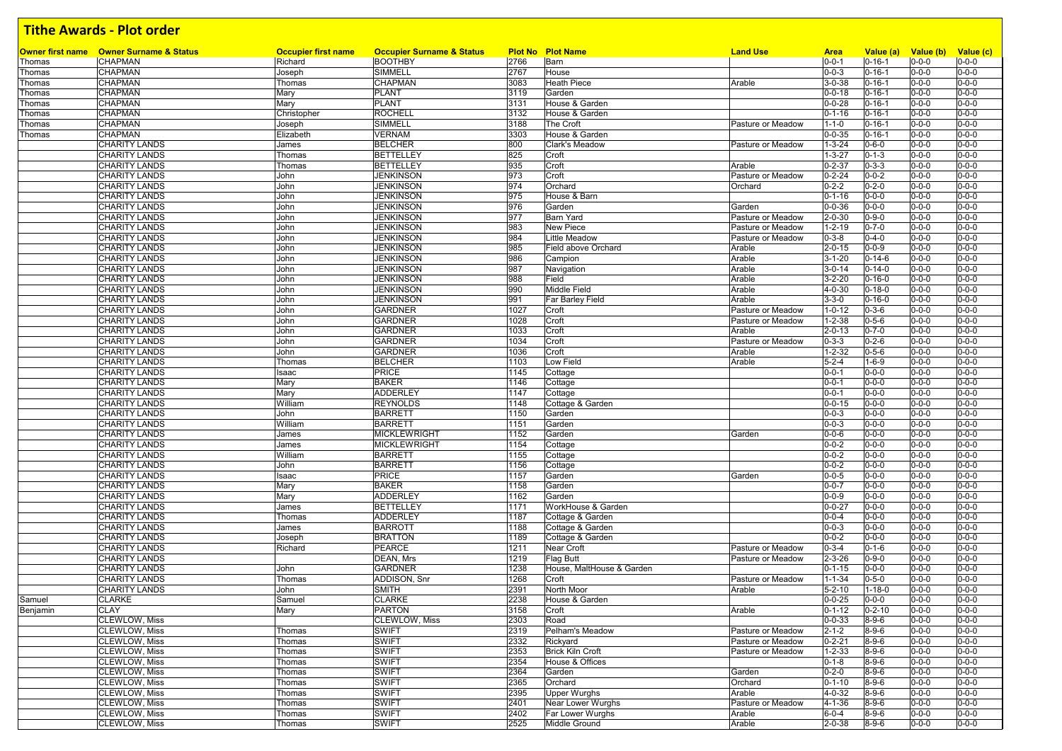|          | Owner first name Owner Surname & Status      | <b>Occupier first name</b> | <b>Occupier Surname &amp; Status</b> |              | <b>Plot No Plot Name</b>   | <b>Land Use</b>                        | <b>Area</b>                 | Value (a)                  | Value (b)                  | Value (c)                  |
|----------|----------------------------------------------|----------------------------|--------------------------------------|--------------|----------------------------|----------------------------------------|-----------------------------|----------------------------|----------------------------|----------------------------|
| Thomas   | <b>CHAPMAN</b>                               | Richard                    | <b>BOOTHBY</b>                       | 2766         | Barn                       |                                        | $0 - 0 - 1$                 | $0 - 16 - 1$               | $0 - 0 - 0$                | $0 - 0 - 0$                |
| Thomas   | <b>CHAPMAN</b>                               | Joseph                     | SIMMELL                              | 2767         | House                      |                                        | $0 - 0 - 3$                 | $0 - 16 - 1$               | $0 - 0 - 0$                | $0 - 0 - 0$                |
| Thomas   | <b>CHAPMAN</b>                               | Thomas                     | CHAPMAN                              | 3083         | <b>Heath Piece</b>         | Arable                                 | $3 - 0 - 38$                | $0 - 16 - 1$               | $0 - 0 - 0$                | $0 - 0 - 0$                |
| Thomas   | <b>CHAPMAN</b>                               | Mary                       | <b>PLANT</b>                         | 3119         | Garden                     |                                        | $0 - 0 - 18$                | $0 - 16 - 1$               | $0 - 0 - 0$                | $0 - 0 - 0$                |
| Thomas   | <b>CHAPMAN</b>                               | Mary                       | <b>PLANT</b>                         | 3131         | House & Garden             |                                        | $0 - 0 - 28$                | $0 - 16 - 1$               | $0 - 0 - 0$                | $0 - 0 - 0$                |
| Thomas   | <b>CHAPMAN</b>                               | Christopher                | <b>ROCHELL</b>                       | 3132         | House & Garden             |                                        | $0 - 1 - 16$                | $0 - 16 - 1$               | $0 - 0 - 0$                | $0 - 0 - 0$                |
| Thomas   | <b>CHAPMAN</b>                               | Joseph                     | <b>SIMMELL</b>                       | 3188         | The Croft                  | Pasture or Meadow                      | $1 - 1 - 0$                 | $0 - 16 - 1$               | $0 - 0 - 0$                | $0 - 0 - 0$                |
| Thomas   | <b>CHAPMAN</b>                               | Elizabeth                  | <b>VERNAM</b>                        | 3303         | House & Garden             |                                        | $0 - 0 - 35$                | $0 - 16 - 1$               | $0 - 0 - 0$                | $0 - 0 - 0$                |
|          | <b>CHARITY LANDS</b>                         | James                      | <b>BELCHER</b>                       | 800          | Clark's Meadow             | Pasture or Meadow                      | $1 - 3 - 24$                | $0 - 6 - 0$                | $0 - 0 - 0$                | $0 - 0 - 0$                |
|          | <b>CHARITY LANDS</b>                         | Thomas                     | <b>BETTELLEY</b>                     | 825          | Croft                      |                                        | $1 - 3 - 27$                | $0 - 1 - 3$                | $0 - 0 - 0$                | $0 - 0 - 0$                |
|          | <b>CHARITY LANDS</b>                         | Thomas                     | <b>BETTELLEY</b>                     | 935          | Croft                      | Arable                                 | $0 - 2 - 37$                | $0 - 3 - 3$                | $0 - 0 - 0$                | $0 - 0 - 0$                |
|          | <b>CHARITY LANDS</b>                         | John                       | <b>JENKINSON</b>                     | 973          | Croft                      | Pasture or Meadow                      | $0 - 2 - 24$                | $0 - 0 - 2$                | $0 - 0 - 0$                | $0 - 0 - 0$                |
|          | <b>CHARITY LANDS</b>                         | John                       | <b>JENKINSON</b>                     | 974          | Orchard                    | Orchard                                | $0 - 2 - 2$                 | $0 - 2 - 0$                | $0 - 0 - 0$                | $0 - 0 - 0$                |
|          | <b>CHARITY LANDS</b>                         | John                       | <b>JENKINSON</b>                     | 975          | House & Barn               |                                        | $0 - 1 - 16$                | $0 - 0 - 0$                | $0 - 0 - 0$                | $0 - 0 - 0$                |
|          | <b>CHARITY LANDS</b>                         | John                       | <b>JENKINSON</b>                     | 976          | Garden                     | Garden                                 | $0 - 0 - 36$                | $0 - 0 - 0$                | $0 - 0 - 0$                | $0 - 0 - 0$                |
|          | <b>CHARITY LANDS</b>                         | John                       | <b>JENKINSON</b>                     | 977          | <b>Barn Yard</b>           | Pasture or Meadow                      | $2 - 0 - 30$                | $0 - 9 - 0$                | $0 - 0 - 0$                | $0 - 0 - 0$<br>$0 - 0 - 0$ |
|          | <b>CHARITY LANDS</b>                         | John<br>John               | <b>JENKINSON</b><br><b>JENKINSON</b> | 983<br>984   | New Piece<br>Little Meadow | Pasture or Meadow<br>Pasture or Meadow | $1 - 2 - 19$                | $0 - 7 - 0$<br>$0 - 4 - 0$ | $0 - 0 - 0$<br>$0 - 0 - 0$ | $0 - 0 - 0$                |
|          | <b>CHARITY LANDS</b><br><b>CHARITY LANDS</b> | John                       | <b>JENKINSON</b>                     | 985          | Field above Orchard        | Arable                                 | $0 - 3 - 8$<br>$2 - 0 - 15$ | $0 - 0 - 9$                | $0 - 0 - 0$                | $0 - 0 - 0$                |
|          | <b>CHARITY LANDS</b>                         | John                       | <b>JENKINSON</b>                     | 986          | Campion                    | Arable                                 | $3 - 1 - 20$                | $0 - 14 - 6$               | $0 - 0 - 0$                | $0 - 0 - 0$                |
|          | <b>CHARITY LANDS</b>                         | John                       | <b>JENKINSON</b>                     | 987          | Navigation                 | Arable                                 | $3 - 0 - 14$                | $0 - 14 - 0$               | $0 - 0 - 0$                | $0 - 0 - 0$                |
|          | <b>CHARITY LANDS</b>                         | John                       | <b>JENKINSON</b>                     | 988          | Field                      | Arable                                 | $3 - 2 - 20$                | $0 - 16 - 0$               | $0 - 0 - 0$                | $0 - 0 - 0$                |
|          | <b>CHARITY LANDS</b>                         | John                       | <b>JENKINSON</b>                     | 990          | Middle Field               | Arable                                 | $4 - 0 - 30$                | $0 - 18 - 0$               | $0 - 0 - 0$                | $0 - 0 - 0$                |
|          | <b>CHARITY LANDS</b>                         | John                       | <b>JENKINSON</b>                     | 991          | Far Barley Field           | Arable                                 | $3 - 3 - 0$                 | $0 - 16 - 0$               | $0 - 0 - 0$                | $0 - 0 - 0$                |
|          | <b>CHARITY LANDS</b>                         | <b>John</b>                | <b>GARDNER</b>                       | 1027         | Croft                      | Pasture or Meadow                      | $1 - 0 - 12$                | $0 - 3 - 6$                | $0 - 0 - 0$                | $0 - 0 - 0$                |
|          | <b>CHARITY LANDS</b>                         | John                       | <b>GARDNER</b>                       | 1028         | Croft                      | Pasture or Meadow                      | $1 - 2 - 38$                | $0 - 5 - 6$                | $0 - 0 - 0$                | $0 - 0 - 0$                |
|          | <b>CHARITY LANDS</b>                         | John                       | <b>GARDNER</b>                       | 1033         | Croft                      | Arable                                 | $2 - 0 - 13$                | $0 - 7 - 0$                | $0 - 0 - 0$                | $0 - 0 - 0$                |
|          | <b>CHARITY LANDS</b>                         | John                       | <b>GARDNER</b>                       | 1034         | Croft                      | Pasture or Meadow                      | $0 - 3 - 3$                 | $0 - 2 - 6$                | $0 - 0 - 0$                | $0 - 0 - 0$                |
|          | <b>CHARITY LANDS</b>                         | John                       | <b>GARDNER</b>                       | 1036         | Croft                      | Arable                                 | $1 - 2 - 32$                | $0 - 5 - 6$                | $0 - 0 - 0$                | $0 - 0 - 0$                |
|          | <b>CHARITY LANDS</b>                         | Thomas                     | <b>BELCHER</b>                       | 1103         | Low Field                  | Arable                                 | $5 - 2 - 4$                 | $1 - 6 - 9$                | $0 - 0 - 0$                | $0 - 0 - 0$                |
|          | <b>CHARITY LANDS</b>                         | Isaac                      | <b>PRICE</b>                         | 1145         | Cottage                    |                                        | $0 - 0 - 1$                 | $0 - 0 - 0$                | $0 - 0 - 0$                | $0 - 0 - 0$                |
|          | <b>CHARITY LANDS</b>                         | Mary                       | <b>BAKER</b>                         | 1146         | Cottage                    |                                        | $0 - 0 - 1$                 | $0 - 0 - 0$                | $0 - 0 - 0$                | $0 - 0 - 0$                |
|          | <b>CHARITY LANDS</b>                         | Mary                       | ADDERLEY                             | 1147         | Cottage                    |                                        | $0 - 0 - 1$                 | $0 - 0 - 0$                | $0 - 0 - 0$                | $0 - 0 - 0$                |
|          | <b>CHARITY LANDS</b>                         | William                    | <b>REYNOLDS</b>                      | 1148         | Cottage & Garden           |                                        | $0 - 0 - 15$                | $0 - 0 - 0$                | $0 - 0 - 0$                | $0 - 0 - 0$                |
|          | <b>CHARITY LANDS</b>                         | John                       | <b>BARRETT</b>                       | 1150         | Garden                     |                                        | $0 - 0 - 3$                 | $0 - 0 - 0$                | $0 - 0 - 0$                | $0 - 0 - 0$                |
|          | <b>CHARITY LANDS</b>                         | William                    | <b>BARRETT</b>                       | 1151         | Garden                     |                                        | $0 - 0 - 3$                 | $0 - 0 - 0$                | $0 - 0 - 0$                | $0 - 0 - 0$                |
|          | <b>CHARITY LANDS</b>                         | James                      | <b>MICKLEWRIGHT</b>                  | 1152         | Garden                     | Garden                                 | $0 - 0 - 6$                 | $0 - 0 - 0$                | $0 - 0 - 0$                | $0 - 0 - 0$                |
|          | <b>CHARITY LANDS</b>                         | James                      | <b>MICKLEWRIGHT</b>                  | 1154         | Cottage                    |                                        | $0 - 0 - 2$                 | $0 - 0 - 0$                | $0 - 0 - 0$                | $0 - 0 - 0$                |
|          | <b>CHARITY LANDS</b>                         | William                    | <b>BARRETT</b>                       | 1155         | Cottage                    |                                        | $0 - 0 - 2$<br>$0 - 0 - 2$  | $0 - 0 - 0$<br>$0 - 0 - 0$ | $0 - 0 - 0$<br>$0 - 0 - 0$ | $0 - 0 - 0$                |
|          | <b>CHARITY LANDS</b>                         | John                       | <b>BARRETT</b><br><b>PRICE</b>       | 1156         | Cottage                    |                                        | $0 - 0 - 5$                 |                            | $0 - 0 - 0$                | $0 - 0 - 0$<br>$0 - 0 - 0$ |
|          | <b>CHARITY LANDS</b><br><b>CHARITY LANDS</b> | Isaac<br>Mary              | <b>BAKER</b>                         | 1157<br>1158 | Garden<br>Garden           | Garden                                 | $0 - 0 - 7$                 | $0 - 0 - 0$<br>$0 - 0 - 0$ | $0 - 0 - 0$                | $0 - 0 - 0$                |
|          | <b>CHARITY LANDS</b>                         | Mary                       | <b>ADDERLEY</b>                      | 1162         | Garden                     |                                        | $0 - 0 - 9$                 | $0 - 0 - 0$                | $0 - 0 - 0$                | $0 - 0 - 0$                |
|          | <b>CHARITY LANDS</b>                         | James                      | <b>BETTELLEY</b>                     | 1171         | WorkHouse & Garden         |                                        | $0 - 0 - 27$                | $0 - 0 - 0$                | $0 - 0 - 0$                | $0 - 0 - 0$                |
|          | <b>CHARITY LANDS</b>                         | Thomas                     | <b>ADDERLEY</b>                      | 1187         | Cottage & Garden           |                                        | $0 - 0 - 4$                 | $0 - 0 - 0$                | $0 - 0 - 0$                | $0 - 0 - 0$                |
|          | <b>CHARITY LANDS</b>                         | James                      | <b>BARROTT</b>                       | 1188         | Cottage & Garden           |                                        | $0 - 0 - 3$                 | $0 - 0 - 0$                | $0 - 0 - 0$                | $0 - 0 - 0$                |
|          | <b>CHARITY LANDS</b>                         | Joseph                     | <b>BRATTON</b>                       | 1189         | Cottage & Garden           |                                        | $0 - 0 - 2$                 | $0 - 0 - 0$                | $0 - 0 - 0$                | $0 - 0 - 0$                |
|          | <b>CHARITY LANDS</b>                         | Richard                    | PEARCE                               | 1211         | Near Croft                 | Pasture or Meadow                      | $0 - 3 - 4$                 | $0 - 1 - 6$                | $0 - 0 - 0$                | $0 - 0 - 0$                |
|          | <b>CHARITY LANDS</b>                         |                            | DEAN, Mrs                            | 1219         | Flag Butt                  | Pasture or Meadow                      | $2 - 3 - 26$                | $0 - 9 - 0$                | $0 - 0 - 0$                | $0 - 0 - 0$                |
|          | <b>CHARITY LANDS</b>                         | John                       | <b>GARDNER</b>                       | 1238         | House, MaltHouse & Garden  |                                        | $0 - 1 - 15$                | $0 - 0 - 0$                | $0 - 0 - 0$                | $0 - 0 - 0$                |
|          | <b>CHARITY LANDS</b>                         | Thomas                     | ADDISON, Snr                         | 1268         | Croft                      | Pasture or Meadow                      | $1 - 1 - 34$                | $0 - 5 - 0$                | $0 - 0 - 0$                | $0 - 0 - 0$                |
|          | <b>CHARITY LANDS</b>                         | John                       | <b>SMITH</b>                         | 2391         | North Moor                 | Arable                                 | $5 - 2 - 10$                | $1 - 18 - 0$               | $0 - 0 - 0$                | $0 - 0 - 0$                |
| Samuel   | <b>CLARKE</b>                                | Samuel                     | <b>CLARKE</b>                        | 2238         | House & Garden             |                                        | $0 - 0 - 25$                | $0 - 0 - 0$                | $0 - 0 - 0$                | $0 - 0 - 0$                |
| Benjamin | <b>CLAY</b>                                  | Mary                       | <b>PARTON</b>                        | 3158         | Croft                      | Arable                                 | $0 - 1 - 12$                | $0 - 2 - 10$               | $0 - 0 - 0$                | $0 - 0 - 0$                |
|          | <b>CLEWLOW, Miss</b>                         |                            | CLEWLOW, Miss                        | 2303         | Road                       |                                        | $0 - 0 - 33$                | $8 - 9 - 6$                | $0 - 0 - 0$                | $0 - 0 - 0$                |
|          | <b>CLEWLOW, Miss</b>                         | Thomas                     | <b>SWIFT</b>                         | 2319         | Pelham's Meadow            | Pasture or Meadow                      | $2 - 1 - 2$                 | $8 - 9 - 6$                | $0 - 0 - 0$                | $0 - 0 - 0$                |
|          | <b>CLEWLOW, Miss</b>                         | Thomas                     | <b>SWIFT</b>                         | 2332         | Rickyard                   | Pasture or Meadow                      | $0 - 2 - 21$                | $8 - 9 - 6$                | $0 - 0 - 0$                | $0 - 0 - 0$                |
|          | <b>CLEWLOW, Miss</b>                         | Thomas                     | <b>SWIFT</b>                         | 2353         | <b>Brick Kiln Croft</b>    | Pasture or Meadow                      | $1 - 2 - 33$                | $8 - 9 - 6$                | $0 - 0 - 0$                | $0 - 0 - 0$                |
|          | <b>CLEWLOW, Miss</b>                         | Thomas                     | <b>SWIFT</b>                         | 2354         | House & Offices            |                                        | $0 - 1 - 8$                 | $8 - 9 - 6$                | $0 - 0 - 0$                | $0 - 0 - 0$                |
|          | <b>CLEWLOW, Miss</b>                         | Thomas                     | <b>SWIFT</b>                         | 2364         | Garden                     | Garden                                 | $0 - 2 - 0$                 | $8 - 9 - 6$                | $0 - 0 - 0$                | $0 - 0 - 0$                |
|          | <b>CLEWLOW, Miss</b>                         | Thomas                     | <b>SWIFT</b>                         | 2365         | Orchard                    | Orchard                                | $0 - 1 - 10$                | $8 - 9 - 6$                | $0 - 0 - 0$                | $0 - 0 - 0$                |
|          | <b>CLEWLOW, Miss</b>                         | Thomas                     | <b>SWIFT</b>                         | 2395         | <b>Upper Wurghs</b>        | Arable                                 | $4 - 0 - 32$                | $8 - 9 - 6$                | $0 - 0 - 0$                | $0 - 0 - 0$                |
|          | <b>CLEWLOW, Miss</b>                         | Thomas                     | <b>SWIFT</b>                         | 2401         | Near Lower Wurghs          | Pasture or Meadow                      | $4 - 1 - 36$                | $8 - 9 - 6$                | $0 - 0 - 0$                | $0 - 0 - 0$                |
|          | <b>CLEWLOW, Miss</b>                         | Thomas                     | <b>SWIFT</b>                         | 2402         | Far Lower Wurghs           | Arable                                 | $6 - 0 - 4$                 | $8 - 9 - 6$                | $0 - 0 - 0$                | $0 - 0 - 0$                |
|          | <b>CLEWLOW, Miss</b>                         | Thomas                     | SWIFT                                | 2525         | Middle Ground              | Arable                                 | $2 - 0 - 38$                | $8 - 9 - 6$                | $0 - 0 - 0$                | $0 - 0 - 0$                |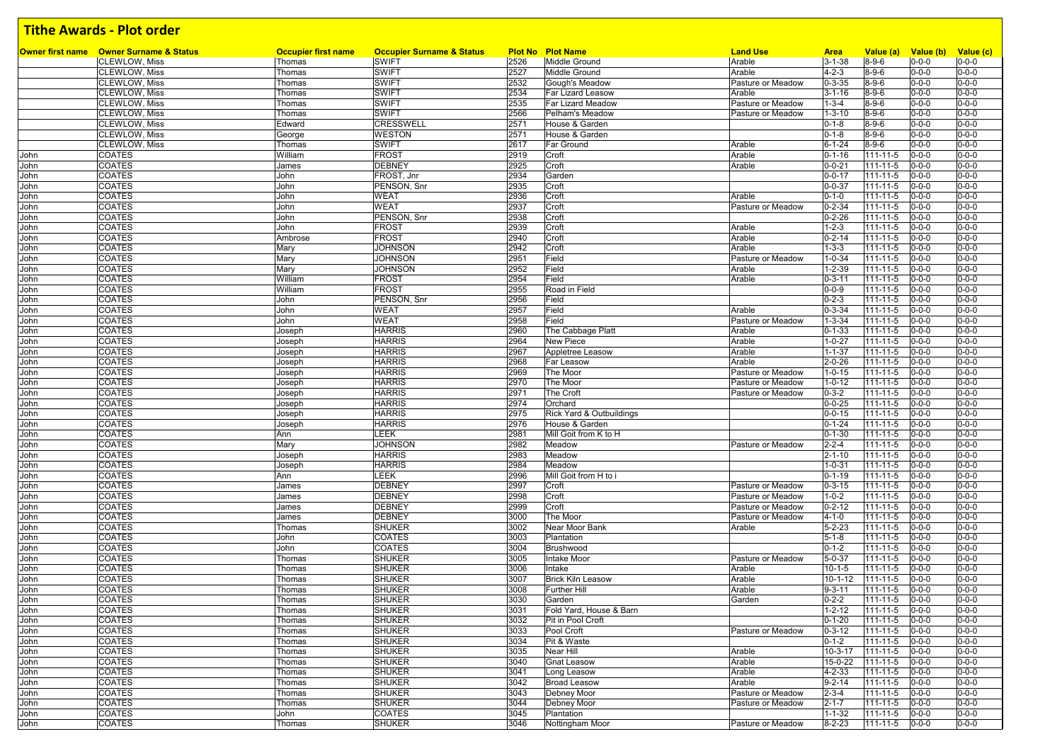|              | <b>Owner first name</b> Owner Surname & Status | <b>Occupier first name</b> | <b>Occupier Surname &amp; Status</b> |              | <b>Plot No Plot Name</b>            | <b>Land Use</b>                        | <b>Area</b>                  | Value (a)                  | Value (b) Value (c)        |                            |
|--------------|------------------------------------------------|----------------------------|--------------------------------------|--------------|-------------------------------------|----------------------------------------|------------------------------|----------------------------|----------------------------|----------------------------|
|              | <b>CLEWLOW, Miss</b>                           | Thomas                     | <b>SWIFT</b>                         | 2526         | <b>Middle Ground</b>                | Arable                                 | $3 - 1 - 38$                 | $8 - 9 - 6$                | $0 - 0 - 0$                | $0 - 0 - 0$                |
|              | <b>CLEWLOW, Miss</b>                           | Thomas                     | <b>SWIFT</b>                         | 2527<br>2532 | Middle Ground                       | Arable                                 | $4 - 2 - 3$                  | $8 - 9 - 6$                | $0 - 0 - 0$                | $0 - 0 - 0$<br>$0 - 0 - 0$ |
|              | <b>CLEWLOW, Miss</b><br><b>CLEWLOW, Miss</b>   | Thomas                     | <b>SWIFT</b><br><b>SWIFT</b>         | 2534         | Gough's Meadow<br>Far Lizard Leasow | Pasture or Meadow<br>Arable            | $0 - 3 - 35$<br>$3 - 1 - 16$ | $8 - 9 - 6$<br>$8 - 9 - 6$ | $0 - 0 - 0$                | $0 - 0 - 0$                |
|              |                                                | Thomas                     | <b>SWIFT</b>                         | 2535         | <b>Far Lizard Meadow</b>            |                                        | $1 - 3 - 4$                  | $8 - 9 - 6$                | $0 - 0 - 0$<br>$0 - 0 - 0$ | $0 - 0 - 0$                |
|              | <b>CLEWLOW, Miss</b><br><b>CLEWLOW, Miss</b>   | Thomas<br>Thomas           | <b>SWIFT</b>                         | 2566         | Pelham's Meadow                     | Pasture or Meadow<br>Pasture or Meadow | $1 - 3 - 10$                 | $8 - 9 - 6$                | $0 - 0 - 0$                | $0 - 0 - 0$                |
|              | <b>CLEWLOW, Miss</b>                           |                            | CRESSWELL                            |              | House & Garden                      |                                        |                              |                            |                            |                            |
|              |                                                | Edward                     |                                      | 2571         |                                     |                                        | $0 - 1 - 8$                  | $8 - 9 - 6$                | $0 - 0 - 0$                | $0 - 0 - 0$                |
|              | <b>CLEWLOW, Miss</b>                           | George                     | <b>WESTON</b>                        | 2571<br>2617 | House & Garden<br>Far Ground        |                                        | $0 - 1 - 8$<br>$6 - 1 - 24$  | $8 - 9 - 6$<br>$8 - 9 - 6$ | $0 - 0 - 0$<br>$0 - 0 - 0$ | $0 - 0 - 0$<br>$0 - 0 - 0$ |
|              | <b>CLEWLOW, Miss</b>                           | Thomas                     | <b>SWIFT</b><br><b>FROST</b>         | 2919         |                                     | Arable                                 | $0 - 1 - 16$                 |                            | $0 - 0 - 0$                | $0 - 0 - 0$                |
| John<br>John | <b>COATES</b><br><b>COATES</b>                 | William<br>James           | <b>DEBNEY</b>                        | 2925         | Croft<br>Croft                      | Arable<br>Arable                       | $0 - 0 - 21$                 | 111-11-5<br>111-11-5       | $0 - 0 - 0$                | $0 - 0 - 0$                |
|              | <b>COATES</b>                                  |                            | FROST. Jnr                           | 2934         | Garden                              |                                        | $0 - 0 - 17$                 | 111-11-5                   | $0 - 0 - 0$                | $0 - 0 - 0$                |
| John         |                                                | John                       | PENSON, Snr                          | 2935         |                                     |                                        | $0 - 0 - 37$                 |                            | $0 - 0 - 0$                | $0 - 0 - 0$                |
| John         | <b>COATES</b>                                  | John                       | <b>WEAT</b>                          | 2936         | Croft                               | Arable                                 | $0 - 1 - 0$                  | 111-11-5                   | $0 - 0 - 0$                | $0 - 0 - 0$                |
| John         | <b>COATES</b>                                  | John                       |                                      |              | Croft                               |                                        |                              | 111-11-5                   |                            |                            |
| John         | <b>COATES</b>                                  | John                       | <b>WEAT</b>                          | 2937         | Croft                               | Pasture or Meadow                      | $0 - 2 - 34$                 | 111-11-5                   | $0 - 0 - 0$                | $0 - 0 - 0$                |
| John         | <b>COATES</b>                                  | John                       | PENSON, Snr                          | 2938         | Croft                               |                                        | $0 - 2 - 26$                 | $111 - 11 - 5$             | $0 - 0 - 0$                | $0 - 0 - 0$                |
| John         | <b>COATES</b>                                  | John                       | <b>FROST</b>                         | 2939         | Croft                               | Arable                                 | $1 - 2 - 3$                  | $111 - 11 - 5$             | $0 - 0 - 0$                | $0 - 0 - 0$                |
| John         | <b>COATES</b>                                  | Ambrose                    | <b>FROST</b>                         | 2940         | Croft                               | Arable                                 | $0 - 2 - 14$                 | 111-11-5                   | $0 - 0 - 0$                | $0 - 0 - 0$                |
| John         | <b>COATES</b>                                  | Mary                       | <b>JOHNSON</b>                       | 2942         | Croft                               | Arable                                 | $1 - 3 - 3$                  | $111 - 11 - 5$             | $0 - 0 - 0$                | $0 - 0 - 0$                |
| John         | <b>COATES</b>                                  | Mary                       | <b>JOHNSON</b>                       | 2951         | Field                               | Pasture or Meadow                      | $1 - 0 - 34$                 | 111-11-5                   | $0 - 0 - 0$                | $0 - 0 - 0$                |
| John         | <b>COATES</b>                                  | Mary                       | <b>JOHNSON</b>                       | 2952         | Field                               | Arable                                 | $1 - 2 - 39$                 | 111-11-5                   | $0 - 0 - 0$                | $0 - 0 - 0$                |
| John         | <b>COATES</b>                                  | William                    | <b>FROST</b>                         | 2954         | Field                               | Arable                                 | $0 - 3 - 11$                 | 111-11-5                   | $0 - 0 - 0$                | $0 - 0 - 0$                |
| John         | <b>COATES</b>                                  | William                    | <b>FROST</b>                         | 2955         | Road in Field                       |                                        | $0 - 0 - 9$                  | $111 - 11 - 5$             | $0 - 0 - 0$                | $0 - 0 - 0$                |
| John         | <b>COATES</b>                                  | John                       | PENSON, Snr                          | 2956         | Field                               |                                        | $0 - 2 - 3$                  | 111-11-5                   | $0 - 0 - 0$                | $0 - 0 - 0$                |
| John         | <b>COATES</b>                                  | John                       | <b>WEAT</b>                          | 2957         | Field                               | Arable                                 | $0 - 3 - 34$                 | $111 - 11 - 5$             | $0 - 0 - 0$                | $0 - 0 - 0$                |
| John         | <b>COATES</b>                                  | John                       | <b>WEAT</b>                          | 2958         | Field                               | Pasture or Meadow                      | $1 - 3 - 34$                 | 111-11-5                   | $0 - 0 - 0$                | $0 - 0 - 0$                |
| John         | <b>COATES</b>                                  | Joseph                     | <b>HARRIS</b>                        | 2960         | The Cabbage Platt                   | Arable                                 | $0 - 1 - 33$                 | 111-11-5                   | $0 - 0 - 0$                | $0 - 0 - 0$                |
| John         | <b>COATES</b>                                  | Joseph                     | <b>HARRIS</b>                        | 2964         | New Piece                           | Arable                                 | $1 - 0 - 27$                 | 111-11-5                   | $0 - 0 - 0$                | $0 - 0 - 0$                |
| John         | <b>COATES</b>                                  | Joseph                     | <b>HARRIS</b>                        | 2967         | Appletree Leasow                    | Arable                                 | $1 - 1 - 37$                 | 111-11-5                   | $0 - 0 - 0$                | $0 - 0 - 0$                |
| John         | <b>COATES</b>                                  | Joseph                     | <b>HARRIS</b>                        | 2968         | Far Leasow                          | Arable                                 | $2 - 0 - 26$                 | $111 - 11 - 5$             | $0 - 0 - 0$                | $0 - 0 - 0$                |
| John         | <b>COATES</b>                                  | Joseph                     | <b>HARRIS</b>                        | 2969         | The Moor                            | Pasture or Meadow                      | $1 - 0 - 15$                 | 111-11-5                   | $0 - 0 - 0$                | $0 - 0 - 0$                |
| John         | <b>COATES</b>                                  | Joseph                     | <b>HARRIS</b>                        | 2970         | The Moor                            | Pasture or Meadow                      | $1 - 0 - 12$                 | 111-11-5                   | $0 - 0 - 0$                | $0 - 0 - 0$                |
| John         | <b>COATES</b>                                  | Joseph                     | <b>HARRIS</b>                        | 2971         | The Croft                           | Pasture or Meadow                      | $0 - 3 - 2$                  | $111 - 11 - 5$             | $0 - 0 - 0$                | $0 - 0 - 0$                |
| John         | <b>COATES</b>                                  | Joseph                     | <b>HARRIS</b>                        | 2974         | Orchard                             |                                        | $0 - 0 - 25$                 | $111 - 11 - 5$             | $0 - 0 - 0$                | $0 - 0 - 0$                |
| John         | <b>COATES</b>                                  | Joseph                     | <b>HARRIS</b>                        | 2975         | Rick Yard & Outbuildings            |                                        | $0 - 0 - 15$                 | 111-11-5                   | $0 - 0 - 0$                | $0 - 0 - 0$                |
| John         | <b>COATES</b>                                  | Joseph                     | <b>HARRIS</b>                        | 2976         | House & Garden                      |                                        | $0 - 1 - 24$                 | $111 - 11 - 5$             | $0 - 0 - 0$                | $0 - 0 - 0$                |
| John         | <b>COATES</b>                                  | Ann                        | <b>LEEK</b>                          | 2981         | Mill Goit from K to H               |                                        | $0 - 1 - 30$                 | 111-11-5                   | $0 - 0 - 0$                | $0 - 0 - 0$                |
| John         | <b>COATES</b>                                  | Mary                       | <b>JOHNSON</b>                       | 2982         | Meadow                              | Pasture or Meadow                      | $2 - 2 - 4$                  | $111 - 11 - 5$             | $0 - 0 - 0$                | $0 - 0 - 0$                |
| John         | <b>COATES</b>                                  | Joseph                     | <b>HARRIS</b>                        | 2983         | Meadow                              |                                        | $2 - 1 - 10$                 | 111-11-5                   | $0 - 0 - 0$                | $0 - 0 - 0$                |
| John         | <b>COATES</b>                                  | Joseph                     | <b>HARRIS</b>                        | 2984         | Meadow                              |                                        | $1 - 0 - 31$                 | 111-11-5                   | $0 - 0 - 0$                | $0 - 0 - 0$                |
| John         | <b>COATES</b>                                  | Ann                        | LEEK                                 | 2996         | Mill Goit from H to i               |                                        | $0 - 1 - 19$                 | $111 - 11 - 5$             | $0 - 0 - 0$                | $0 - 0 - 0$                |
| John         | <b>COATES</b>                                  | James                      | <b>DEBNEY</b>                        | 2997         | Croft                               | Pasture or Meadow                      | $0 - 3 - 15$                 | $111 - 11 - 5$             | $0 - 0 - 0$                | $0 - 0 - 0$                |
| John         | <b>COATES</b>                                  | James                      | <b>DEBNEY</b>                        | 2998         | Croft                               | Pasture or Meadow                      | $1 - 0 - 2$                  | 111-11-5                   | $0 - 0 - 0$                | $0 - 0 - 0$                |
| John         | <b>COATES</b>                                  | James                      | <b>DEBNEY</b>                        | 2999         | Croft                               | Pasture or Meadow                      | $0 - 2 - 12$                 | 111-11-5                   | $0 - 0 - 0$                | $0 - 0 - 0$                |
| John         | <b>COATES</b>                                  | James                      | <b>DEBNEY</b>                        | 3000         | The Moor                            | Pasture or Meadow                      | $4 - 1 - 0$                  | 111-11-5                   | $0 - 0 - 0$                | $0 - 0 - 0$                |
| John         | <b>COATES</b>                                  | Thomas                     | <b>SHUKER</b>                        | 3002         | Near Moor Bank                      | Arable                                 | $5 - 2 - 23$                 | 111-11-5                   | $0 - 0 - 0$                | $0 - 0 - 0$                |
| John         | <b>COATES</b>                                  | John                       | COATES                               | 3003         | Plantation                          |                                        | $5 - 1 - 8$                  | 111-11-5                   | $0 - 0 - 0$                | $0 - 0 - 0$                |
| John         | <b>COATES</b>                                  | John                       | <b>COATES</b>                        | 3004         | Brushwood                           |                                        | $0 - 1 - 2$                  | 111-11-5                   | $0 - 0 - 0$                | $0 - 0 - 0$                |
| John         | <b>COATES</b>                                  | Thomas                     | <b>SHUKER</b>                        | 3005         | Intake Moor                         | Pasture or Meadow                      | $5 - 0 - 37$                 | $111 - 11 - 5$             | $0 - 0 - 0$                | $0 - 0 - 0$                |
| John         | <b>COATES</b>                                  | Thomas                     | <b>SHUKER</b>                        | 3006         | Intake                              | Arable                                 | $10 - 1 - 5$                 | 111-11-5                   | $0 - 0 - 0$                | $0 - 0 - 0$                |
| John         | <b>COATES</b>                                  | Thomas                     | <b>SHUKER</b>                        | 3007         | <b>Brick Kiln Leasow</b>            | Arable                                 | $10 - 1 - 12$                | 111-11-5                   | $0 - 0 - 0$                | $0 - 0 - 0$                |
| John         | <b>COATES</b>                                  | Thomas                     | <b>SHUKER</b>                        | 3008         | <b>Further Hill</b>                 | Arable                                 | $9 - 3 - 11$                 | 111-11-5                   | $0 - 0 - 0$                | $0 - 0 - 0$                |
| John         | <b>COATES</b>                                  | Thomas                     | <b>SHUKER</b>                        | 3030         | Garden                              | Garden                                 | $0 - 2 - 2$                  | 111-11-5                   | $0 - 0 - 0$                | $0 - 0 - 0$                |
| John         | <b>COATES</b>                                  | Thomas                     | <b>SHUKER</b>                        | 3031         | Fold Yard, House & Barn             |                                        | $1 - 2 - 12$                 | 111-11-5                   | $0 - 0 - 0$                | $0 - 0 - 0$                |
| John         | <b>COATES</b>                                  | Thomas                     | <b>SHUKER</b>                        | 3032         | Pit in Pool Croft                   |                                        | $0 - 1 - 20$                 | 111-11-5                   | $0 - 0 - 0$                | $0 - 0 - 0$                |
| John         | <b>COATES</b>                                  | Thomas                     | <b>SHUKER</b>                        | 3033         | Pool Croft                          | Pasture or Meadow                      | $0 - 3 - 12$                 | 111-11-5                   | $0 - 0 - 0$                | $0 - 0 - 0$                |
| John         | <b>COATES</b>                                  | Thomas                     | <b>SHUKER</b>                        | 3034         | Pit & Waste                         |                                        | $0 - 1 - 2$                  | 111-11-5                   | $0 - 0 - 0$                | $0 - 0 - 0$                |
| John         | <b>COATES</b>                                  | Thomas                     | <b>SHUKER</b>                        | 3035         | Near Hill                           | Arable                                 | $10-3-17$                    | 111-11-5                   | $0 - 0 - 0$                | $0 - 0 - 0$                |
| John         | <b>COATES</b>                                  | Thomas                     | <b>SHUKER</b>                        | 3040         | <b>Gnat Leasow</b>                  | Arable                                 | 15-0-22                      | 111-11-5                   | $0 - 0 - 0$                | $0 - 0 - 0$                |
| John         | <b>COATES</b>                                  | Thomas                     | <b>SHUKER</b>                        | 3041         | Long Leasow                         | Arable                                 | $4 - 2 - 33$                 | 111-11-5                   | $0 - 0 - 0$                | $0 - 0 - 0$                |
| John         | <b>COATES</b>                                  | Thomas                     | <b>SHUKER</b>                        | 3042         | <b>Broad Leasow</b>                 | Arable                                 | $9 - 2 - 14$                 | 111-11-5                   | $0 - 0 - 0$                | $0 - 0 - 0$                |
| John         | <b>COATES</b>                                  | Thomas                     | <b>SHUKER</b>                        | 3043         | Debney Moor                         | Pasture or Meadow                      | $2 - 3 - 4$                  | 111-11-5                   | $0 - 0 - 0$                | $0 - 0 - 0$                |
| John         | <b>COATES</b>                                  | Thomas                     | <b>SHUKER</b>                        | 3044         | Debney Moor                         | Pasture or Meadow                      | $2 - 1 - 7$                  | 111-11-5                   | $0 - 0 - 0$                | $0 - 0 - 0$                |
| John         | <b>COATES</b>                                  | John                       | <b>COATES</b>                        | 3045         | Plantation                          |                                        | $1 - 1 - 32$                 | 111-11-5                   | $0 - 0 - 0$                | $0 - 0 - 0$                |
| John         | <b>COATES</b>                                  | Thomas                     | <b>SHUKER</b>                        | 3046         | Nottingham Moor                     | Pasture or Meadow                      | $8 - 2 - 23$                 | 111-11-5                   | $0 - 0 - 0$                | $0 - 0 - 0$                |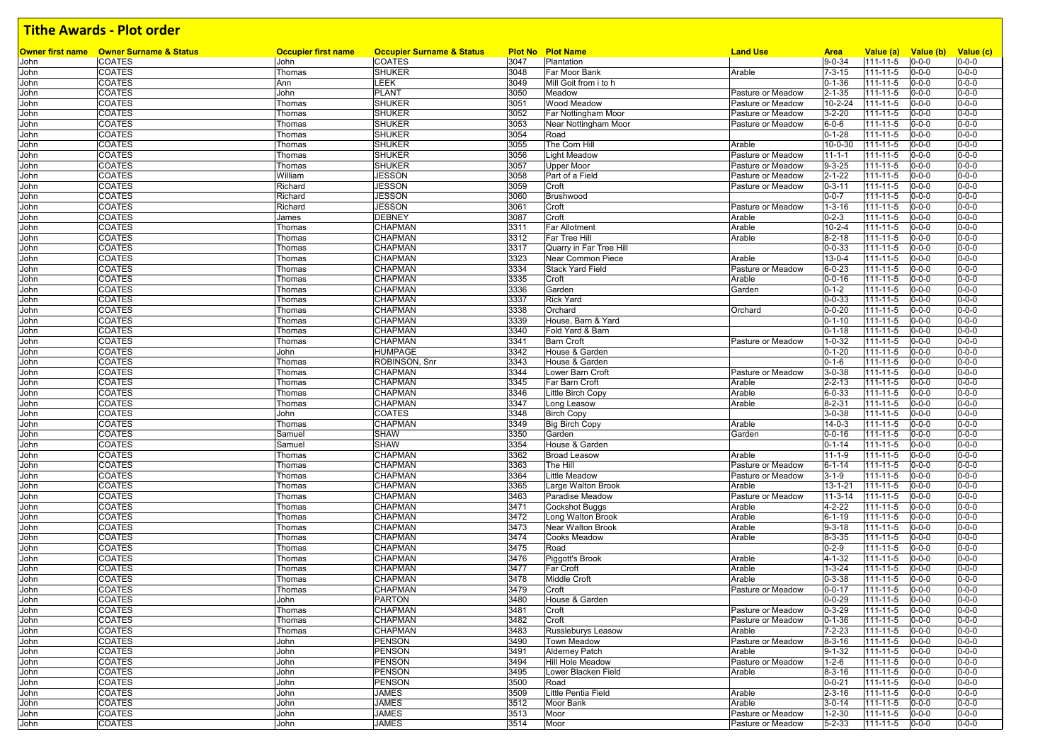|      | Owner first name Owner Surname & Status | <b>Occupier first name</b> | <b>Occupier Surname &amp; Status</b> |      | <b>Plot No Plot Name</b> | <b>Land Use</b>   | <b>Area</b>   | Value (a)      | Value (b)   | Value (c)   |
|------|-----------------------------------------|----------------------------|--------------------------------------|------|--------------------------|-------------------|---------------|----------------|-------------|-------------|
| John | <b>COATES</b>                           | John                       | <b>COATES</b>                        | 3047 | Plantation               |                   | $9 - 0 - 34$  | 111-11-5       | $0 - 0 - 0$ | $0 - 0 - 0$ |
| John | <b>COATES</b>                           | Thomas                     | <b>SHUKER</b>                        | 3048 | Far Moor Bank            | Arable            | $7 - 3 - 15$  | $111 - 11 - 5$ | $0 - 0 - 0$ | $0 - 0 - 0$ |
| John | <b>COATES</b>                           | Ann                        | LEEK                                 | 3049 | Mill Goit from i to h    |                   | $0 - 1 - 36$  | 111-11-5       | $0 - 0 - 0$ | $0 - 0 - 0$ |
| John | <b>COATES</b>                           | John                       | <b>PLANT</b>                         | 3050 | Meadow                   | Pasture or Meadow | $2 - 1 - 35$  | 111-11-5       | $0 - 0 - 0$ | $0 - 0 - 0$ |
| John | <b>COATES</b>                           | Thomas                     | <b>SHUKER</b>                        | 3051 | Wood Meadow              | Pasture or Meadow | $10 - 2 - 24$ | $111 - 11 - 5$ | $0 - 0 - 0$ | $0 - 0 - 0$ |
| John | <b>COATES</b>                           | Thomas                     | <b>SHUKER</b>                        | 3052 | Far Nottingham Moor      | Pasture or Meadow | $3 - 2 - 20$  | 111-11-5       | $0 - 0 - 0$ | $0 - 0 - 0$ |
| John | <b>COATES</b>                           | Thomas                     | <b>SHUKER</b>                        | 3053 | Near Nottingham Moor     | Pasture or Meadow | $6 - 0 - 6$   | 111-11-5       | $0 - 0 - 0$ | $0 - 0 - 0$ |
| John | <b>COATES</b>                           | Thomas                     | SHUKER                               | 3054 | Road                     |                   | $0 - 1 - 28$  | 111-11-5       | $0 - 0 - 0$ | $0 - 0 - 0$ |
|      |                                         |                            |                                      |      |                          |                   |               |                |             |             |
| John | <b>COATES</b>                           | Thomas                     | <b>SHUKER</b>                        | 3055 | The Corn Hill            | Arable            | 10-0-30       | $111 - 11 - 5$ | $0 - 0 - 0$ | $0 - 0 - 0$ |
| John | <b>COATES</b>                           | Thomas                     | <b>SHUKER</b>                        | 3056 | <b>Light Meadow</b>      | Pasture or Meadow | $11 - 1 - 1$  | $111 - 11 - 5$ | $0 - 0 - 0$ | $0 - 0 - 0$ |
| John | COATES                                  | Thomas                     | SHUKER                               | 3057 | <b>Upper Moor</b>        | Pasture or Meadow | $9 - 3 - 25$  | 111-11-5       | $0 - 0 - 0$ | $0 - 0 - 0$ |
| John | COATES                                  | William                    | JESSON                               | 3058 | Part of a Field          | Pasture or Meadow | $2 - 1 - 22$  | $111 - 11 - 5$ | $0 - 0 - 0$ | $0 - 0 - 0$ |
| John | COATES                                  | Richard                    | JESSON                               | 3059 | Croft                    | Pasture or Meadow | $0 - 3 - 11$  | $111 - 11 - 5$ | $0 - 0 - 0$ | $0 - 0 - 0$ |
| John | COATES                                  | Richard                    | JESSON                               | 3060 | Brushwood                |                   | $0 - 0 - 7$   | $111 - 11 - 5$ | $0 - 0 - 0$ | $0 - 0 - 0$ |
| John | <b>COATES</b>                           | Richard                    | JESSON                               | 3061 | Croft                    | Pasture or Meadow | $1 - 3 - 16$  | 111-11-5       | $0 - 0 - 0$ | $0 - 0 - 0$ |
| John | <b>COATES</b>                           | James                      | <b>DEBNEY</b>                        | 3087 | Croft                    | Arable            | $0 - 2 - 3$   | $111 - 11 - 5$ | $0 - 0 - 0$ | $0 - 0 - 0$ |
| John | <b>COATES</b>                           | Thomas                     | CHAPMAN                              | 3311 | <b>Far Allotment</b>     | Arable            | $10 - 2 - 4$  | $111 - 11 - 5$ | $0 - 0 - 0$ | $0 - 0 - 0$ |
| John | <b>COATES</b>                           | Thomas                     | CHAPMAN                              | 3312 | Far Tree Hill            | Arable            | $8 - 2 - 18$  | $111 - 11 - 5$ | $0 - 0 - 0$ | $0 - 0 - 0$ |
| John | <b>COATES</b>                           | Thomas                     | CHAPMAN                              | 3317 | Quarry in Far Tree Hill  |                   | $0 - 0 - 33$  | 111-11-5       | $0 - 0 - 0$ | $0 - 0 - 0$ |
| John | <b>COATES</b>                           | Thomas                     | CHAPMAN                              | 3323 | Near Common Piece        | Arable            | $13 - 0 - 4$  | $111 - 11 - 5$ | $0 - 0 - 0$ | $0 - 0 - 0$ |
|      | <b>COATES</b>                           |                            |                                      | 3334 |                          | Pasture or Meadow |               |                | $0 - 0 - 0$ | $0 - 0 - 0$ |
| John |                                         | Thomas                     | CHAPMAN                              |      | <b>Stack Yard Field</b>  |                   | $6 - 0 - 23$  | 111-11-5       |             |             |
| John | <b>COATES</b>                           | Thomas                     | CHAPMAN                              | 3335 | Croft                    | Arable            | $0 - 0 - 16$  | $111 - 11 - 5$ | $0 - 0 - 0$ | $0 - 0 - 0$ |
| John | <b>COATES</b>                           | Thomas                     | CHAPMAN                              | 3336 | Garden                   | Garden            | $0 - 1 - 2$   | 111-11-5       | $0 - 0 - 0$ | $0 - 0 - 0$ |
| John | <b>COATES</b>                           | Thomas                     | <b>CHAPMAN</b>                       | 3337 | <b>Rick Yard</b>         |                   | $0 - 0 - 33$  | $111 - 11 - 5$ | $0 - 0 - 0$ | $0 - 0 - 0$ |
| John | <b>COATES</b>                           | Thomas                     | CHAPMAN                              | 3338 | Orchard                  | Orchard           | $0 - 0 - 20$  | 111-11-5       | $0 - 0 - 0$ | $0 - 0 - 0$ |
| John | <b>COATES</b>                           | Thomas                     | CHAPMAN                              | 3339 | House, Barn & Yard       |                   | $0 - 1 - 10$  | $111 - 11 - 5$ | $0 - 0 - 0$ | $0 - 0 - 0$ |
| John | <b>COATES</b>                           | Thomas                     | CHAPMAN                              | 3340 | Fold Yard & Barn         |                   | $0 - 1 - 18$  | $111 - 11 - 5$ | $0 - 0 - 0$ | $0 - 0 - 0$ |
| John | <b>COATES</b>                           | Thomas                     | CHAPMAN                              | 3341 | <b>Barn Croft</b>        | Pasture or Meadow | $1 - 0 - 32$  | $111 - 11 - 5$ | $0 - 0 - 0$ | $0 - 0 - 0$ |
| John | COATES                                  | John                       | HUMPAGE                              | 3342 | House & Garden           |                   | $0 - 1 - 20$  | 111-11-5       | $0 - 0 - 0$ | $0 - 0 - 0$ |
| John | COATES                                  | Thomas                     | ROBINSON, Snr                        | 3343 | House & Garden           |                   | $0 - 1 - 6$   | 111-11-5       | $0 - 0 - 0$ | $0 - 0 - 0$ |
|      | <b>COATES</b>                           |                            | CHAPMAN                              | 3344 | Lower Barn Croft         |                   | $3 - 0 - 38$  | $111 - 11 - 5$ | $0 - 0 - 0$ | $0 - 0 - 0$ |
| John |                                         | Thomas                     |                                      |      |                          | Pasture or Meadow |               |                |             |             |
| John | <b>COATES</b>                           | Thomas                     | CHAPMAN                              | 3345 | Far Barn Croft           | Arable            | $2 - 2 - 13$  | $111 - 11 - 5$ | $0 - 0 - 0$ | $0 - 0 - 0$ |
| John | <b>COATES</b>                           | Thomas                     | CHAPMAN                              | 3346 | Little Birch Copy        | Arable            | $6 - 0 - 33$  | $111 - 11 - 5$ | $0 - 0 - 0$ | $0 - 0 - 0$ |
| John | <b>COATES</b>                           | Thomas                     | CHAPMAN                              | 3347 | Long Leasow              | Arable            | $8 - 2 - 31$  | 111-11-5       | $0 - 0 - 0$ | $0 - 0 - 0$ |
| John | <b>COATES</b>                           | John                       | COATES                               | 3348 | <b>Birch Copy</b>        |                   | $3 - 0 - 38$  | $111 - 11 - 5$ | $0 - 0 - 0$ | $0 - 0 - 0$ |
| John | <b>COATES</b>                           | Thomas                     | CHAPMAN                              | 3349 | <b>Big Birch Copy</b>    | Arable            | $14 - 0 - 3$  | 111-11-5       | $0 - 0 - 0$ | $0 - 0 - 0$ |
| John | <b>COATES</b>                           | Samuel                     | <b>SHAW</b>                          | 3350 | Garden                   | Garden            | $0 - 0 - 16$  | $111 - 11 - 5$ | $0 - 0 - 0$ | $0 - 0 - 0$ |
| John | <b>COATES</b>                           | Samuel                     | <b>SHAW</b>                          | 3354 | House & Garden           |                   | $0 - 1 - 14$  | 111-11-5       | $0 - 0 - 0$ | $0 - 0 - 0$ |
| John | <b>COATES</b>                           | Thomas                     | CHAPMAN                              | 3362 | <b>Broad Leasow</b>      | Arable            | $11 - 1 - 9$  | $111 - 11 - 5$ | $0 - 0 - 0$ | $0 - 0 - 0$ |
| John | <b>COATES</b>                           | Thomas                     | CHAPMAN                              | 3363 | The Hill                 | Pasture or Meadow | $6 - 1 - 14$  | 111-11-5       | $0 - 0 - 0$ | $0 - 0 - 0$ |
| John | COATES                                  | Thomas                     | CHAPMAN                              | 3364 | Little Meadow            | Pasture or Meadow | $3 - 1 - 9$   | $111 - 11 - 5$ | $0 - 0 - 0$ | $0 - 0 - 0$ |
|      | COATES                                  |                            | CHAPMAN                              | 3365 | Large Walton Brook       | Arable            | $13 - 1 - 21$ | $111 - 11 - 5$ | $0 - 0 - 0$ | $0 - 0 - 0$ |
| John |                                         | Thomas                     |                                      |      |                          |                   |               |                |             | $0 - 0 - 0$ |
| John | <b>COATES</b>                           | Thomas                     | CHAPMAN                              | 3463 | Paradise Meadow          | Pasture or Meadow | $11-3-14$     | 111-11-5       | $0 - 0 - 0$ |             |
| John | COATES                                  | Thomas                     | CHAPMAN                              | 3471 | <b>Cockshot Buggs</b>    | Arable            | $4 - 2 - 22$  | $111 - 11 - 5$ | $0 - 0 - 0$ | $0 - 0 - 0$ |
| John | COATES                                  | Thomas                     | CHAPMAN                              | 3472 | Long Walton Brook        | Arable            | $6 - 1 - 19$  | 111-11-5       | $0 - 0 - 0$ | $0 - 0 - 0$ |
| John | COATES                                  | Thomas                     | CHAPMAN                              | 3473 | Near Walton Brook        | Arable            | $9 - 3 - 18$  | $111 - 11 - 5$ | $0 - 0 - 0$ | $0 - 0 - 0$ |
| John | <b>COATES</b>                           | Thomas                     | <b>CHAPMAN</b>                       | 3474 | Cooks Meadow             | Arable            | $8 - 3 - 35$  | 111-11-5       | $0 - 0 - 0$ | $0 - 0 - 0$ |
| John | COATES                                  | Thomas                     | CHAPMAN                              | 3475 | Road                     |                   | $0 - 2 - 9$   | 111-11-5       | $0 - 0 - 0$ | $0 - 0 - 0$ |
| John | COATES                                  | Thomas                     | CHAPMAN                              | 3476 | Piggott's Brook          | Arable            | $4 - 1 - 32$  | 111-11-5       | $0 - 0 - 0$ | $0 - 0 - 0$ |
| John | <b>COATES</b>                           | Thomas                     | <b>CHAPMAN</b>                       | 3477 | Far Croft                | Arable            | $1 - 3 - 24$  | 111-11-5       | $0 - 0 - 0$ | $0 - 0 - 0$ |
| John | <b>COATES</b>                           | Thomas                     | CHAPMAN                              | 3478 | <b>Middle Croft</b>      | Arable            | $0 - 3 - 38$  | 111-11-5       | $0 - 0 - 0$ | $0 - 0 - 0$ |
| John | COATES                                  | Thomas                     | <b>CHAPMAN</b>                       | 3479 | Croft                    | Pasture or Meadow | $0 - 0 - 17$  | 111-11-5       | $0 - 0 - 0$ | $0 - 0 - 0$ |
|      |                                         |                            |                                      | 3480 | House & Garden           |                   |               |                | $0 - 0 - 0$ | $0 - 0 - 0$ |
| John | <b>COATES</b>                           | John                       | <b>PARTON</b>                        |      |                          |                   | $0 - 0 - 29$  | 111-11-5       |             |             |
| John | COATES                                  | Thomas                     | CHAPMAN                              | 3481 | Croft                    | Pasture or Meadow | $0 - 3 - 29$  | 111-11-5       | $0 - 0 - 0$ | $0 - 0 - 0$ |
| John | <b>COATES</b>                           | Thomas                     | CHAPMAN                              | 3482 | Croft                    | Pasture or Meadow | $0 - 1 - 36$  | 111-11-5       | $0 - 0 - 0$ | $0 - 0 - 0$ |
| John | <b>COATES</b>                           | Thomas                     | CHAPMAN                              | 3483 | Russleburys Leasow       | Arable            | $7 - 2 - 23$  | 111-11-5       | $0 - 0 - 0$ | $0 - 0 - 0$ |
| John | <b>COATES</b>                           | John                       | <b>PENSON</b>                        | 3490 | Town Meadow              | Pasture or Meadow | $8 - 3 - 16$  | 111-11-5       | $0 - 0 - 0$ | $0 - 0 - 0$ |
| John | <b>COATES</b>                           | John                       | <b>PENSON</b>                        | 3491 | <b>Alderney Patch</b>    | Arable            | $9 - 1 - 32$  | 111-11-5       | $0 - 0 - 0$ | $0 - 0 - 0$ |
| John | <b>COATES</b>                           | John                       | <b>PENSON</b>                        | 3494 | <b>Hill Hole Meadow</b>  | Pasture or Meadow | $1 - 2 - 6$   | 111-11-5       | $0 - 0 - 0$ | $0 - 0 - 0$ |
| John | <b>COATES</b>                           | John                       | <b>PENSON</b>                        | 3495 | Lower Blacken Field      | Arable            | $8 - 3 - 16$  | 111-11-5       | $0 - 0 - 0$ | $0 - 0 - 0$ |
| John | <b>COATES</b>                           | John                       | <b>PENSON</b>                        | 3500 | Road                     |                   | $0 - 0 - 21$  | 111-11-5       | $0 - 0 - 0$ | $0 - 0 - 0$ |
| John | <b>COATES</b>                           | John                       | <b>JAMES</b>                         | 3509 | Little Pentia Field      | Arable            | $2 - 3 - 16$  | 111-11-5       | $0 - 0 - 0$ | $0 - 0 - 0$ |
| John | <b>COATES</b>                           | John                       | JAMES                                | 3512 | Moor Bank                | Arable            | $3 - 0 - 14$  | 111-11-5       | $0 - 0 - 0$ | $0 - 0 - 0$ |
|      |                                         |                            |                                      |      |                          |                   |               |                |             |             |
| John | <b>COATES</b>                           | John                       | JAMES                                | 3513 | Moor                     | Pasture or Meadow | $1 - 2 - 30$  | 111-11-5       | $0 - 0 - 0$ | $0 - 0 - 0$ |
| John | <b>COATES</b>                           | John                       | <b>JAMES</b>                         | 3514 | Moor                     | Pasture or Meadow | $5 - 2 - 33$  | 111-11-5       | $0 - 0 - 0$ | $0 - 0 - 0$ |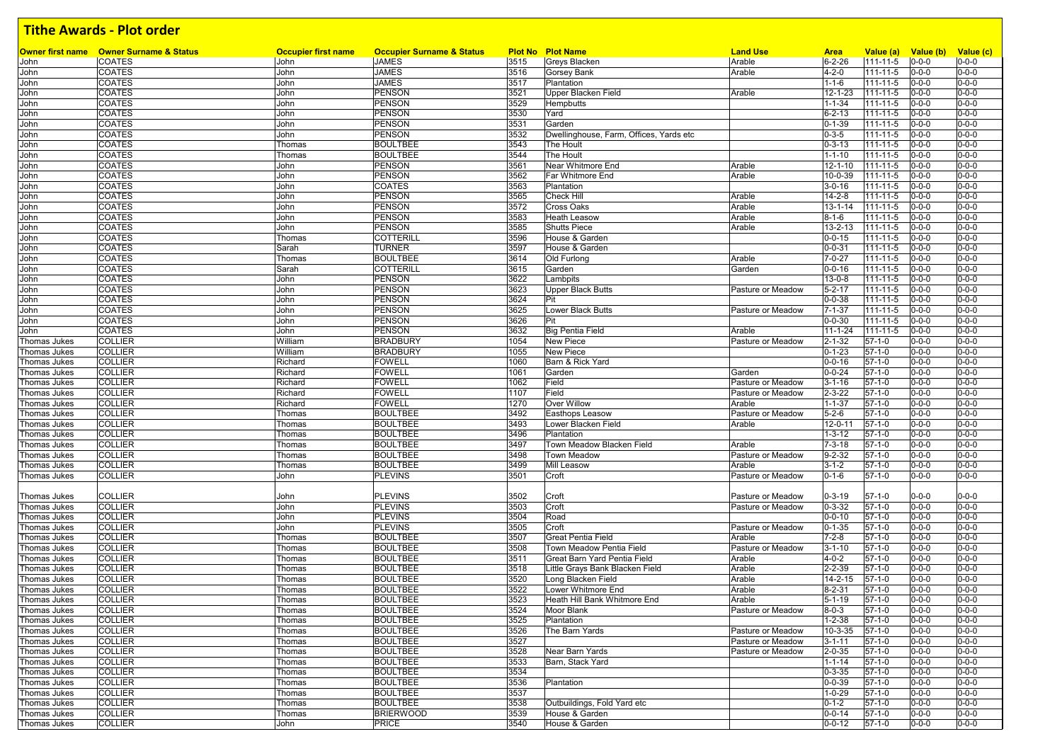|              | Owner first name Owner Surname & Status | <b>Occupier first name</b> | <b>Occupier Surname &amp; Status</b> |              | <b>Plot No Plot Name</b>                | <b>Land Use</b>   | <b>Area</b>                | Value (a)            | Value (b) Value (c)        |                            |
|--------------|-----------------------------------------|----------------------------|--------------------------------------|--------------|-----------------------------------------|-------------------|----------------------------|----------------------|----------------------------|----------------------------|
| John         | <b>COATES</b>                           | John                       | <b>JAMES</b>                         | 3515         | Greys Blacken                           | Arable            | $6 - 2 - 26$               | $111 - 11 - 5$       | $0 - 0 - 0$                | $0 - 0 - 0$                |
| John         | COATES<br>COATES                        | John<br>John               | <b>JAMES</b><br><b>JAMES</b>         | 3516<br>3517 | <b>Gorsey Bank</b><br>Plantation        | Arable            | $4 - 2 - 0$<br>$1 - 1 - 6$ | 111-11-5<br>111-11-5 | $0 - 0 - 0$<br>$0 - 0 - 0$ | $0 - 0 - 0$<br>$0 - 0 - 0$ |
| John         | COATES                                  |                            | <b>PENSON</b>                        | 3521         | Upper Blacken Field                     | Arable            | 12-1-23                    | 111-11-5             | $0 - 0 - 0$                | $0 - 0 - 0$                |
| John<br>John | <b>COATES</b>                           | John<br>John               | <b>PENSON</b>                        | 3529         | Hempbutts                               |                   | $1 - 1 - 34$               | 111-11-5             | $0 - 0 - 0$                | $0 - 0 - 0$                |
| John         | COATES                                  | John                       | <b>PENSON</b>                        | 3530         | Yard                                    |                   | $6 - 2 - 13$               | 111-11-5             | $0 - 0 - 0$                | $0 - 0 - 0$                |
| John         | COATES                                  | John                       | <b>PENSON</b>                        | 3531         | Garden                                  |                   | $0 - 1 - 39$               | 111-11-5             | $0 - 0 - 0$                | $0 - 0 - 0$                |
| John         | COATES                                  | John                       | <b>PENSON</b>                        | 3532         | Dwellinghouse, Farm, Offices, Yards etc |                   | $0 - 3 - 5$                | $111 - 11 - 5$       | $0 - 0 - 0$                | $0 - 0 - 0$                |
| John         | <b>COATES</b>                           | Thomas                     | <b>BOULTBEE</b>                      | 3543         | The Hoult                               |                   | $0 - 3 - 13$               | 111-11-5             | $0 - 0 - 0$                | $0 - 0 - 0$                |
| John         | <b>COATES</b>                           | Thomas                     | <b>BOULTBEE</b>                      | 3544         | The Hoult                               |                   | $1 - 1 - 10$               | 111-11-5             | $0 - 0 - 0$                | $0 - 0 - 0$                |
| John         | <b>COATES</b>                           | John                       | <b>PENSON</b>                        | 3561         | Near Whitmore End                       | Arable            | $12 - 1 - 10$              | 111-11-5             | $0 - 0 - 0$                | $0 - 0 - 0$                |
| John         | <b>COATES</b>                           | John                       | <b>PENSON</b>                        | 3562         | Far Whitmore End                        | Arable            | 10-0-39                    | $111 - 11 - 5$       | $0 - 0 - 0$                | $0 - 0 - 0$                |
| John         | <b>COATES</b>                           | John                       | <b>COATES</b>                        | 3563         | Plantation                              |                   | $3 - 0 - 16$               | 111-11-5             | $0 - 0 - 0$                | $0 - 0 - 0$                |
| John         | <b>COATES</b>                           | John                       | <b>PENSON</b>                        | 3565         | <b>Check Hill</b>                       | Arable            | $14 - 2 - 8$               | 111-11-5             | $0 - 0 - 0$                | $0 - 0 - 0$                |
| John         | <b>COATES</b>                           | John                       | <b>PENSON</b>                        | 3572         | <b>Cross Oaks</b>                       | Arable            | $13 - 1 - 14$              | 111-11-5             | $0 - 0 - 0$                | $0 - 0 - 0$                |
| John         | <b>COATES</b>                           | John                       | <b>PENSON</b>                        | 3583         | <b>Heath Leasow</b>                     | Arable            | $8 - 1 - 6$                | $111 - 11 - 5$       | $0 - 0 - 0$                | $0 - 0 - 0$                |
| John         | <b>COATES</b>                           | John                       | <b>PENSON</b>                        | 3585         | <b>Shutts Piece</b>                     | Arable            | $13 - 2 - 13$              | 111-11-5             | $0 - 0 - 0$                | $0 - 0 - 0$                |
| John         | COATES                                  | Thomas                     | <b>COTTERILL</b>                     | 3596         | House & Garden                          |                   | $0 - 0 - 15$               | 111-11-5             | $0 - 0 - 0$                | $0 - 0 - 0$                |
| John         | <b>COATES</b>                           | Sarah                      | <b>TURNER</b>                        | 3597         | House & Garden                          |                   | $0 - 0 - 31$               | 111-11-5             | $0 - 0 - 0$                | $0 - 0 - 0$                |
| John         | <b>COATES</b>                           | Thomas                     | <b>BOULTBEE</b>                      | 3614         | Old Furlong                             | Arable            | $7 - 0 - 27$               | 111-11-5             | $0 - 0 - 0$                | $0 - 0 - 0$                |
| John         | COATES                                  | Sarah                      | <b>COTTERILL</b>                     | 3615         | Garden                                  | Garden            | $0 - 0 - 16$               | 111-11-5             | $0 - 0 - 0$                | $0 - 0 - 0$                |
| John         | COATES                                  | John                       | <b>PENSON</b>                        | 3622         | Lambpits                                |                   | $13 - 0 - 8$               | 111-11-5             | $0 - 0 - 0$                | $0 - 0 - 0$                |
| John         | COATES                                  | John                       | <b>PENSON</b>                        | 3623         | Upper Black Butts                       | Pasture or Meadow | $5 - 2 - 17$               | 111-11-5             | $0 - 0 - 0$                | $0 - 0 - 0$                |
| John         | <b>COATES</b>                           | John                       | <b>PENSON</b>                        | 3624         | Pit                                     |                   | $0 - 0 - 38$               | 111-11-5             | $0 - 0 - 0$                | $0 - 0 - 0$                |
| John         | <b>COATES</b>                           | John                       | <b>PENSON</b>                        | 3625         | Lower Black Butts                       | Pasture or Meadow | $7 - 1 - 37$               | 111-11-5             | $0 - 0 - 0$                | $0 - 0 - 0$                |
| John         | COATES                                  | John                       | <b>PENSON</b>                        | 3626         | Pit                                     |                   | $0 - 0 - 30$               | 111-11-5             | $0 - 0 - 0$                | $0 - 0 - 0$                |
| John         | <b>COATES</b>                           | John                       | <b>PENSON</b>                        | 3632         | <b>Big Pentia Field</b>                 | Arable            | $11 - 1 - 24$              | 111-11-5             | $0 - 0 - 0$                | $0 - 0 - 0$                |
| Thomas Jukes | <b>COLLIER</b>                          | William                    | <b>BRADBURY</b>                      | 1054         | <b>New Piece</b>                        | Pasture or Meadow | $2 - 1 - 32$               | $57-1-0$             | $0 - 0 - 0$                | $0 - 0 - 0$                |
| Thomas Jukes | <b>COLLIER</b>                          | William                    | <b>BRADBURY</b>                      | 1055         | <b>New Piece</b>                        |                   | $0 - 1 - 23$               | $57 - 1 - 0$         | $0 - 0 - 0$                | $0 - 0 - 0$                |
| Thomas Jukes | <b>COLLIER</b>                          | Richard                    | <b>FOWELL</b>                        | 1060         | Barn & Rick Yard                        |                   | $0 - 0 - 16$               | $57 - 1 - 0$         | $0 - 0 - 0$                | $0 - 0 - 0$                |
| Thomas Jukes | <b>COLLIER</b>                          | Richard                    | <b>FOWELL</b>                        | 1061         | Garden                                  | Garden            | $0 - 0 - 24$               | $57-1-0$             | $0 - 0 - 0$                | $0 - 0 - 0$                |
| Thomas Jukes | <b>COLLIER</b>                          | Richard                    | <b>FOWELL</b>                        | 1062         | Field                                   | Pasture or Meadow | $3 - 1 - 16$               | $57 - 1 - 0$         | $0 - 0 - 0$                | $0 - 0 - 0$                |
| Thomas Jukes | <b>COLLIER</b>                          | Richard                    | <b>FOWELL</b>                        | 1107         | Field                                   | Pasture or Meadow | $2 - 3 - 22$               | $57 - 1 - 0$         | $0 - 0 - 0$                | $0 - 0 - 0$                |
| Thomas Jukes | <b>COLLIER</b>                          | Richard                    | <b>FOWELL</b>                        | 1270         | Over Willow                             | Arable            | $1 - 1 - 37$               | $57 - 1 - 0$         | $0 - 0 - 0$                | $0 - 0 - 0$                |
| Thomas Jukes | <b>COLLIER</b>                          | Thomas                     | <b>BOULTBEE</b>                      | 3492         | Easthops Leasow                         | Pasture or Meadow | $5 - 2 - 6$                | $57-1-0$             | $0 - 0 - 0$                | $0 - 0 - 0$                |
| Thomas Jukes | <b>COLLIER</b>                          | Thomas                     | <b>BOULTBEE</b>                      | 3493         | Lower Blacken Field                     | Arable            | $12 - 0 - 11$              | $57 - 1 - 0$         | $0 - 0 - 0$                | $0 - 0 - 0$                |
| Thomas Jukes | <b>COLLIER</b>                          | Thomas                     | <b>BOULTBEE</b>                      | 3496         | Plantation                              |                   | $1 - 3 - 12$               | $57-1-0$             | $0 - 0 - 0$                | $0 - 0 - 0$                |
| Thomas Jukes | <b>COLLIER</b>                          | Thomas                     | <b>BOULTBEE</b>                      | 3497         | Town Meadow Blacken Field               | Arable            | $7 - 3 - 18$               | $57 - 1 - 0$         | $0 - 0 - 0$                | $0 - 0 - 0$                |
| Thomas Jukes | <b>COLLIER</b>                          | Thomas                     | <b>BOULTBEE</b>                      | 3498         | <b>Town Meadow</b>                      | Pasture or Meadow | $9 - 2 - 32$               | $57 - 1 - 0$         | $0 - 0 - 0$                | $0 - 0 - 0$                |
| Thomas Jukes | <b>COLLIER</b>                          | Thomas                     | <b>BOULTBEE</b>                      | 3499         | <b>Mill Leasow</b>                      | Arable            | $3 - 1 - 2$                | $57 - 1 - 0$         | $0 - 0 - 0$                | $0 - 0 - 0$                |
| Thomas Jukes | <b>COLLIER</b>                          | John                       | <b>PLEVINS</b>                       | 3501         | Croft                                   | Pasture or Meadow | $0 - 1 - 6$                | $57 - 1 - 0$         | $0 - 0 - 0$                | $0 - 0 - 0$                |
|              |                                         |                            |                                      |              |                                         |                   |                            |                      |                            |                            |
| Thomas Jukes | <b>COLLIER</b>                          | John                       | <b>PLEVINS</b>                       | 3502         | Croft                                   | Pasture or Meadow | $0 - 3 - 19$               | $57-1-0$             | $0 - 0 - 0$                | $0 - 0 - 0$                |
| Thomas Jukes | <b>COLLIER</b>                          | John                       | <b>PLEVINS</b>                       | 3503         | Croft                                   | Pasture or Meadow | $0 - 3 - 32$               | $57 - 1 - 0$         | $0 - 0 - 0$                | $0 - 0 - 0$                |
| Thomas Jukes | <b>COLLIER</b>                          | John                       | <b>PLEVINS</b>                       | 3504         | Road                                    |                   | $0 - 0 - 10$               | $57-1-0$             | $0 - 0 - 0$                | $0 - 0 - 0$                |
| Thomas Jukes | <b>COLLIER</b>                          | John                       | <b>PLEVINS</b>                       | 3505         | Croft                                   | Pasture or Meadow | $0 - 1 - 35$               | $57 - 1 - 0$         | $0 - 0 - 0$                | $0 - 0 - 0$                |
| Thomas Jukes | <b>COLLIER</b>                          | Thomas                     | <b>BOULTBEE</b>                      | 3507         | <b>Great Pentia Field</b>               | Arable            | $7 - 2 - 8$                | $57 - 1 - 0$         | $0 - 0 - 0$                | $0 - 0 - 0$                |
| Thomas Jukes | <b>COLLIER</b>                          | Thomas                     | <b>BOULTBEE</b>                      | 3508         | Town Meadow Pentia Field                | Pasture or Meadow | $3 - 1 - 10$               | $57 - 1 - 0$         | $0 - 0 - 0$                | $0 - 0 - 0$                |
| Thomas Jukes | <b>COLLIER</b>                          | Thomas                     | <b>BOULTBEE</b>                      | 3511         | Great Barn Yard Pentia Field            | Arable            | $4 - 0 - 2$                | $57 - 1 - 0$         | $0 - 0 - 0$                | $0 - 0 - 0$                |
| Thomas Jukes | <b>COLLIER</b>                          | Thomas                     | <b>BOULTBEE</b>                      | 3518         | Little Grays Bank Blacken Field         | Arable            | $2 - 2 - 39$               | 57-1-0               | $0 - 0 - 0$                | $0 - 0 - 0$                |
| Thomas Jukes | <b>COLLIER</b>                          | Thomas                     | <b>BOULTBEE</b>                      | 3520         | Long Blacken Field                      | Arable            | 14-2-15                    | $57 - 1 - 0$         | $0 - 0 - 0$                | $0 - 0 - 0$                |
| Thomas Jukes | <b>COLLIER</b>                          | Thomas                     | <b>BOULTBEE</b>                      | 3522         | Lower Whitmore End                      | Arable            | $8 - 2 - 31$               | $57 - 1 - 0$         | $0 - 0 - 0$                | $0 - 0 - 0$                |
| Thomas Jukes | <b>COLLIER</b>                          | Thomas                     | <b>BOULTBEE</b>                      | 3523         | Heath Hill Bank Whitmore End            | Arable            | $5 - 1 - 19$               | $57-1-0$             | $0 - 0 - 0$                | $0 - 0 - 0$                |
| Thomas Jukes | <b>COLLIER</b>                          | Thomas                     | <b>BOULTBEE</b>                      | 3524         | Moor Blank                              | Pasture or Meadow | $8 - 0 - 3$                | $57 - 1 - 0$         | $0 - 0 - 0$                | $0 - 0 - 0$                |
| Thomas Jukes | <b>COLLIER</b>                          | Thomas                     | <b>BOULTBEE</b>                      | 3525         | Plantation                              |                   | $1 - 2 - 38$               | $57-1-0$             | $0 - 0 - 0$                | $0 - 0 - 0$                |
| Thomas Jukes | <b>COLLIER</b>                          | Thomas                     | <b>BOULTBEE</b>                      | 3526         | The Barn Yards                          | Pasture or Meadow | $10 - 3 - 35$              | $57-1-0$             | $0 - 0 - 0$                | $0 - 0 - 0$                |
| Thomas Jukes | <b>COLLIER</b>                          | Thomas                     | <b>BOULTBEE</b>                      | 3527         |                                         | Pasture or Meadow | $3 - 1 - 11$               | $57-1-0$             | $0 - 0 - 0$                | $0 - 0 - 0$                |
| Thomas Jukes | <b>COLLIER</b>                          | Thomas                     | <b>BOULTBEE</b>                      | 3528         | Near Barn Yards                         | Pasture or Meadow | $2 - 0 - 35$               | $57-1-0$             | $0 - 0 - 0$                | $0 - 0 - 0$                |
| Thomas Jukes | <b>COLLIER</b>                          | Thomas                     | <b>BOULTBEE</b>                      | 3533         | Barn, Stack Yard                        |                   | $1 - 1 - 14$               | $57-1-0$             | $0 - 0 - 0$                | $0 - 0 - 0$                |
| Thomas Jukes | <b>COLLIER</b>                          | Thomas                     | <b>BOULTBEE</b>                      | 3534         |                                         |                   | $0 - 3 - 35$               | $57 - 1 - 0$         | $0 - 0 - 0$                | $0 - 0 - 0$                |
| Thomas Jukes | <b>COLLIER</b>                          | Thomas                     | <b>BOULTBEE</b>                      | 3536         | Plantation                              |                   | $0 - 0 - 39$               | $57-1-0$             | $0 - 0 - 0$                | $0 - 0 - 0$                |
| Thomas Jukes | <b>COLLIER</b>                          | Thomas                     | <b>BOULTBEE</b>                      | 3537         |                                         |                   | $1 - 0 - 29$               | $57-1-0$             | $0 - 0 - 0$                | $0 - 0 - 0$                |
| Thomas Jukes | <b>COLLIER</b>                          | Thomas                     | <b>BOULTBEE</b>                      | 3538         | Outbuildings, Fold Yard etc             |                   | $0 - 1 - 2$                | $57-1-0$             | $0 - 0 - 0$                | $0 - 0 - 0$                |
| Thomas Jukes | <b>COLLIER</b>                          | Thomas                     | <b>BRIERWOOD</b>                     | 3539         | House & Garden                          |                   | $0 - 0 - 14$               | $57-1-0$             | $0 - 0 - 0$                | $0 - 0 - 0$                |
| Thomas Jukes | <b>COLLIER</b>                          | John                       | PRICE                                | 3540         | House & Garden                          |                   | $0 - 0 - 12$               | $57-1-0$             | $0 - 0 - 0$                | $0 - 0 - 0$                |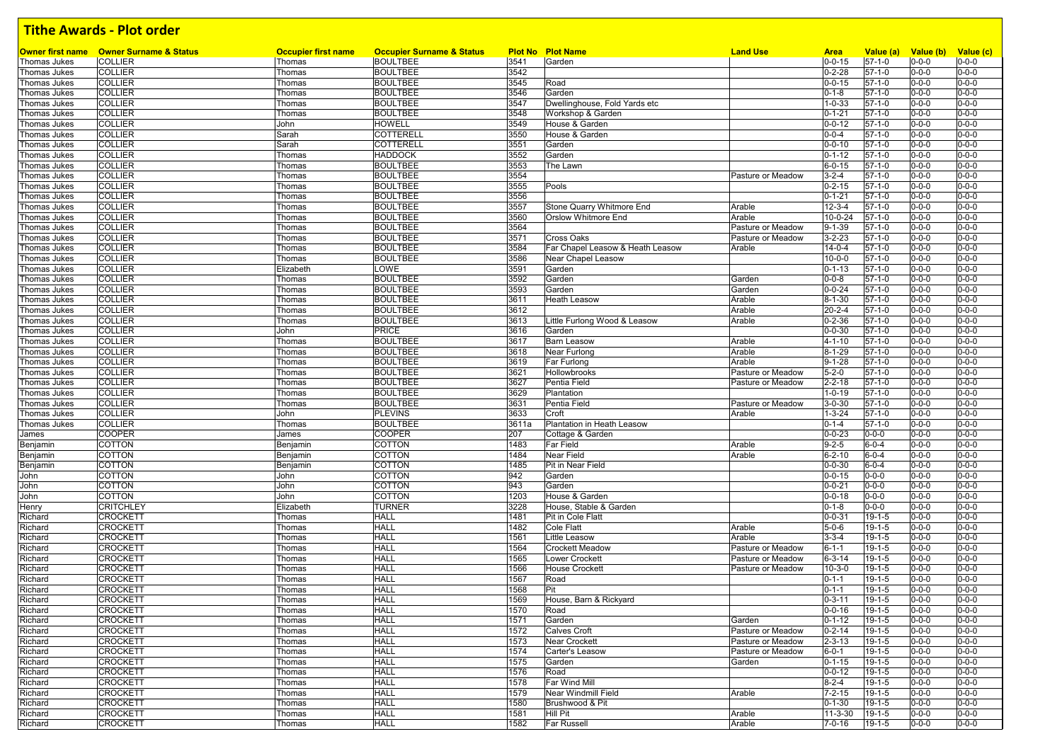| Owner first name             | <b>Owner Surname &amp; Status</b> | <b>Occupier first name</b> | <b>Occupier Surname &amp; Status</b> |              | <b>Plot No Plot Name</b>         | <b>Land Use</b>             | <b>Area</b>                  | Value (a)                    | Value (b)                  | Value (c)                  |
|------------------------------|-----------------------------------|----------------------------|--------------------------------------|--------------|----------------------------------|-----------------------------|------------------------------|------------------------------|----------------------------|----------------------------|
| Thomas Jukes                 | <b>COLLIER</b>                    | Thomas                     | <b>BOULTBEE</b>                      | 3541         | Garden                           |                             | $0 - 0 - 15$                 | $57-1-0$                     | $0 - 0 - 0$                | $0 - 0 - 0$                |
| Thomas Jukes                 | <b>COLLIER</b>                    | Thomas                     | <b>BOULTBEE</b>                      | 3542         |                                  |                             | $0 - 2 - 28$                 | $57 - 1 - 0$                 | $0 - 0 - 0$                | $0 - 0 - 0$                |
| Thomas Jukes                 | <b>COLLIER</b>                    | Thomas                     | <b>BOULTBEE</b>                      | 3545         | Road                             |                             | $0 - 0 - 15$                 | $57 - 1 - 0$                 | $0 - 0 - 0$                | $0 - 0 - 0$                |
| Thomas Jukes                 | <b>COLLIER</b>                    | Thomas                     | <b>BOULTBEE</b>                      | 3546         | Garden                           |                             | $0 - 1 - 8$                  | $57 - 1 - 0$                 | $0 - 0 - 0$                | $0 - 0 - 0$                |
| Thomas Jukes                 | <b>COLLIER</b>                    | Thomas                     | <b>BOULTBEE</b>                      | 3547         | Dwellinghouse, Fold Yards etc    |                             | $1 - 0 - 33$                 | $57 - 1 - 0$                 | $0 - 0 - 0$                | $0 - 0 - 0$                |
| Thomas Jukes                 | <b>COLLIER</b>                    | Thomas                     | <b>BOULTBEE</b>                      | 3548         | Workshop & Garden                |                             | $0 - 1 - 21$                 | $57 - 1 - 0$                 | $0 - 0 - 0$                | $0 - 0 - 0$                |
| Thomas Jukes                 | <b>COLLIER</b>                    | John                       | HOWELL                               | 3549         | House & Garden                   |                             | $0 - 0 - 12$                 | $57 - 1 - 0$                 | $0 - 0 - 0$                | $0 - 0 - 0$                |
| Thomas Jukes                 | <b>COLLIER</b>                    | Sarah                      | <b>COTTERELL</b>                     | 3550         | House & Garden                   |                             | $0 - 0 - 4$                  | $57 - 1 - 0$                 | $0 - 0 - 0$                | $0 - 0 - 0$                |
| Thomas Jukes                 | <b>COLLIER</b>                    | Sarah                      | COTTERELL                            | 3551         | Garden                           |                             | $0 - 0 - 10$                 | $57 - 1 - 0$                 | $0 - 0 - 0$                | $0 - 0 - 0$                |
| Thomas Jukes                 | <b>COLLIER</b>                    | Thomas                     | <b>HADDOCK</b>                       | 3552         | Garden                           |                             | $0 - 1 - 12$                 | $57 - 1 - 0$                 | $0 - 0 - 0$                | $0 - 0 - 0$                |
| Thomas Jukes                 | <b>COLLIER</b>                    | Thomas                     | <b>BOULTBEE</b>                      | 3553         | The Lawn                         |                             | $6 - 0 - 15$                 | $57 - 1 - 0$                 | $0 - 0 - 0$                | $0 - 0 - 0$                |
| Thomas Jukes                 | <b>COLLIER</b>                    | Thomas                     | <b>BOULTBEE</b>                      | 3554         |                                  | Pasture or Meadow           | $3 - 2 - 4$                  | $57 - 1 - 0$                 | $0 - 0 - 0$                | $0 - 0 - 0$                |
| Thomas Jukes                 | <b>COLLIER</b>                    | Thomas                     | <b>BOULTBEE</b>                      | 3555         | Pools                            |                             | $0 - 2 - 15$                 | $57 - 1 - 0$                 | $0 - 0 - 0$                | $0 - 0 - 0$                |
| Thomas Jukes                 | <b>COLLIER</b>                    | Thomas                     | <b>BOULTBEE</b>                      | 3556         |                                  |                             | $0 - 1 - 21$                 | $57-1-0$                     | $0 - 0 - 0$                | $0 - 0 - 0$                |
| Thomas Jukes                 | <b>COLLIER</b>                    | Thomas                     | <b>BOULTBEE</b>                      | 3557         | Stone Quarry Whitmore End        | Arable                      | $12 - 3 - 4$                 | $57 - 1 - 0$                 | $0 - 0 - 0$                | $0 - 0 - 0$                |
| <b>Thomas Jukes</b>          | <b>COLLIER</b>                    | Thomas                     | <b>BOULTBEE</b>                      | 3560         | Orslow Whitmore End              | Arable                      | 10-0-24                      | $57-1-0$                     | $0 - 0 - 0$                | $0 - 0 - 0$                |
| Thomas Jukes                 | <b>COLLIER</b>                    | Thomas                     | <b>BOULTBEE</b>                      | 3564         |                                  | Pasture or Meadow           | $9 - 1 - 39$                 | $57 - 1 - 0$                 | $0 - 0 - 0$                | $0 - 0 - 0$                |
| Thomas Jukes                 | <b>COLLIER</b>                    | Thomas                     | <b>BOULTBEE</b>                      | 3571         | Cross Oaks                       | Pasture or Meadow           | $3 - 2 - 23$                 | $57 - 1 - 0$                 | $0 - 0 - 0$                | $0 - 0 - 0$                |
| Thomas Jukes                 | <b>COLLIER</b>                    | Thomas                     | <b>BOULTBEE</b>                      | 3584         | Far Chapel Leasow & Heath Leasow | Arable                      | $14 - 0 - 4$                 | $57 - 1 - 0$                 | $0 - 0 - 0$                | $0 - 0 - 0$                |
| Thomas Jukes                 | <b>COLLIER</b>                    | Thomas                     | <b>BOULTBEE</b>                      | 3586         | Near Chapel Leasow               |                             | $10 - 0 - 0$                 | $57 - 1 - 0$                 | $0 - 0 - 0$                | $0 - 0 - 0$                |
| Thomas Jukes                 | <b>COLLIER</b>                    | Elizabeth                  | LOWE                                 | 3591         | Garden                           |                             | $0 - 1 - 13$                 | $57 - 1 - 0$                 | $0 - 0 - 0$                | $0 - 0 - 0$                |
| Thomas Jukes                 | <b>COLLIER</b>                    | Thomas                     | <b>BOULTBEE</b>                      | 3592         | Garden                           | Garden                      | $0 - 0 - 8$                  | $57 - 1 - 0$                 | $0 - 0 - 0$                | $0 - 0 - 0$                |
| Thomas Jukes                 | <b>COLLIER</b>                    | Thomas                     | <b>BOULTBEE</b>                      | 3593         | Garden                           | Garden                      | $0 - 0 - 24$                 | $57 - 1 - 0$                 | $0 - 0 - 0$                | $0 - 0 - 0$                |
| <b>Thomas Jukes</b>          | <b>COLLIER</b>                    | Thomas                     | <b>BOULTBEE</b>                      | 3611         | <b>Heath Leasow</b>              | Arable                      | $8 - 1 - 30$                 | $57 - 1 - 0$                 | $0 - 0 - 0$                | $0 - 0 - 0$                |
| Thomas Jukes                 | <b>COLLIER</b>                    | Thomas                     | <b>BOULTBEE</b>                      | 3612         |                                  | Arable                      | $20 - 2 - 4$                 | $57 - 1 - 0$                 | $0 - 0 - 0$                | $0 - 0 - 0$                |
| Thomas Jukes                 | <b>COLLIER</b>                    | Thomas                     | <b>BOULTBEE</b>                      | 3613         | Little Furlong Wood & Leasow     | Arable                      | $0 - 2 - 36$                 | $57 - 1 - 0$                 | $0 - 0 - 0$                | $0 - 0 - 0$                |
| Thomas Jukes                 | <b>COLLIER</b>                    | John                       | <b>PRICE</b>                         | 3616         | Garden                           |                             | $0 - 0 - 30$                 | $57-1-0$                     | $0 - 0 - 0$                | $0 - 0 - 0$                |
| Thomas Jukes                 | <b>COLLIER</b>                    | Thomas                     | <b>BOULTBEE</b>                      | 3617         | <b>Barn Leasow</b>               | Arable                      | $4 - 1 - 10$                 | $57 - 1 - 0$                 | $0 - 0 - 0$                | $0 - 0 - 0$                |
| Thomas Jukes                 | <b>COLLIER</b>                    | Thomas                     | <b>BOULTBEE</b>                      | 3618         | Near Furlong                     | Arable                      | $8 - 1 - 29$                 | $57 - 1 - 0$                 | $0 - 0 - 0$                | $0 - 0 - 0$                |
| Thomas Jukes                 | <b>COLLIER</b>                    | Thomas                     | <b>BOULTBEE</b>                      | 3619         | Far Furlong                      | Arable                      | $9 - 1 - 28$                 | $57 - 1 - 0$                 | $0 - 0 - 0$                | $0 - 0 - 0$                |
| Thomas Jukes                 | <b>COLLIER</b>                    | Thomas                     | <b>BOULTBEE</b>                      | 3621         | Hollowbrooks                     | Pasture or Meadow           | $5 - 2 - 0$                  | $57 - 1 - 0$                 | $0 - 0 - 0$                | $0 - 0 - 0$                |
| Thomas Jukes                 | <b>COLLIER</b>                    | Thomas                     | <b>BOULTBEE</b>                      | 3627         | Pentia Field                     | Pasture or Meadow           | $2 - 2 - 18$                 | $57 - 1 - 0$                 | $0 - 0 - 0$                | $0 - 0 - 0$                |
| Thomas Jukes                 | <b>COLLIER</b>                    | Thomas                     | <b>BOULTBEE</b>                      | 3629         | Plantation                       |                             | $1 - 0 - 19$                 | $57 - 1 - 0$<br>$57 - 1 - 0$ | $0 - 0 - 0$                | $0 - 0 - 0$<br>$0 - 0 - 0$ |
| Thomas Jukes<br>Thomas Jukes | <b>COLLIER</b><br><b>COLLIER</b>  | Thomas<br>John             | <b>BOULTBEE</b><br><b>PLEVINS</b>    | 3631<br>3633 | Pentia Field<br>Croft            | Pasture or Meadow<br>Arable | $3 - 0 - 30$<br>$1 - 3 - 24$ | $57 - 1 - 0$                 | $0 - 0 - 0$<br>$0 - 0 - 0$ | $0 - 0 - 0$                |
| Thomas Jukes                 | <b>COLLIER</b>                    | Thomas                     | <b>BOULTBEE</b>                      | 3611a        | Plantation in Heath Leasow       |                             | $0 - 1 - 4$                  | $57 - 1 - 0$                 | $0 - 0 - 0$                | $0 - 0 - 0$                |
| James                        | <b>COOPER</b>                     | James                      | COOPER                               | 207          | Cottage & Garden                 |                             | $0 - 0 - 23$                 | $0 - 0 - 0$                  | $0 - 0 - 0$                | $0 - 0 - 0$                |
| Benjamin                     | COTTON                            | Benjamin                   | COTTON                               | 1483         | Far Field                        | Arable                      | $9 - 2 - 5$                  | $6 - 0 - 4$                  | $0 - 0 - 0$                | $0 - 0 - 0$                |
| Benjamin                     | COTTON                            | Benjamin                   | COTTON                               | 1484         | Near Field                       | Arable                      | $6 - 2 - 10$                 | $6 - 0 - 4$                  | $0 - 0 - 0$                | $0 - 0 - 0$                |
| Benjamin                     | COTTON                            | Benjamin                   | COTTON                               | 1485         | Pit in Near Field                |                             | $0 - 0 - 30$                 | $6 - 0 - 4$                  | $0 - 0 - 0$                | $0 - 0 - 0$                |
| John                         | <b>COTTON</b>                     | John                       | COTTON                               | 942          | Garden                           |                             | $0 - 0 - 15$                 | $0 - 0 - 0$                  | $0 - 0 - 0$                | $0 - 0 - 0$                |
| John                         | <b>COTTON</b>                     | John                       | <b>COTTON</b>                        | 943          | Garden                           |                             | $0 - 0 - 21$                 | $0 - 0 - 0$                  | $0 - 0 - 0$                | $0 - 0 - 0$                |
| John                         | <b>COTTON</b>                     | John                       | COTTON                               | 1203         | House & Garden                   |                             | $0 - 0 - 18$                 | $0 - 0 - 0$                  | $0 - 0 - 0$                | $0 - 0 - 0$                |
| Henry                        | <b>CRITCHLEY</b>                  | Elizabeth                  | <b>TURNER</b>                        | 3228         | House, Stable & Garden           |                             | $0 - 1 - 8$                  | $0 - 0 - 0$                  | $0 - 0 - 0$                | $0 - 0 - 0$                |
| Richard                      | <b>CROCKETT</b>                   | Thomas                     | <b>HALL</b>                          | 1481         | Pit in Cole Flatt                |                             | $0 - 0 - 31$                 | $19 - 1 - 5$                 | $0 - 0 - 0$                | $0 - 0 - 0$                |
| Richard                      | <b>CROCKETT</b>                   | Thomas                     | <b>HALL</b>                          | 1482         | Cole Flatt                       | Arable                      | $5 - 0 - 6$                  | $19 - 1 - 5$                 | $0 - 0 - 0$                | $0 - 0 - 0$                |
| Richard                      | <b>CROCKETT</b>                   | Thomas                     | <b>HALL</b>                          | 1561         | Little Leasow                    | Arable                      | $3 - 3 - 4$                  | $19 - 1 - 5$                 | $0 - 0 - 0$                | $0 - 0 - 0$                |
| Richard                      | <b>CROCKETT</b>                   | Thomas                     | HALL                                 | 1564         | <b>Crockett Meadow</b>           | Pasture or Meadow           | $6 - 1 - 1$                  | 19-1-5                       | $0 - 0 - 0$                | $0 - 0 - 0$                |
| Richard                      | <b>CROCKETT</b>                   | Thomas                     | HALL                                 | 1565         | <b>Lower Crockett</b>            | Pasture or Meadow           | $6 - 3 - 14$                 | $19 - 1 - 5$                 | $0 - 0 - 0$                | $0 - 0 - 0$                |
| Richard                      | <b>CROCKETT</b>                   | Thomas                     | HALL                                 | 1566         | <b>House Crockett</b>            | Pasture or Meadow           | $10 - 3 - 0$                 | $19 - 1 - 5$                 | $0 - 0 - 0$                | $0 - 0 - 0$                |
| Richard                      | <b>CROCKETT</b>                   | Thomas                     | HALL                                 | 1567         | Road                             |                             | $0 - 1 - 1$                  | 19-1-5                       | $0 - 0 - 0$                | $0 - 0 - 0$                |
| Richard                      | CROCKETT                          | Thomas                     | <b>HALL</b>                          | 1568         | Pit                              |                             | $0 - 1 - 1$                  | 19-1-5                       | $0 - 0 - 0$                | $0 - 0 - 0$                |
| Richard                      | <b>CROCKETT</b>                   | Thomas                     | <b>HALL</b>                          | 1569         | House, Barn & Rickyard           |                             | $0 - 3 - 11$                 | $19 - 1 - 5$                 | $0 - 0 - 0$                | $0 - 0 - 0$                |
| Richard                      | CROCKETT                          | Thomas                     | HALL                                 | 1570         | Road                             |                             | $0 - 0 - 16$                 | $19 - 1 - 5$                 | $0 - 0 - 0$                | $0 - 0 - 0$                |
| Richard                      | <b>CROCKETT</b>                   | Thomas                     | <b>HALL</b>                          | 1571         | Garden                           | Garden                      | $0 - 1 - 12$                 | $19 - 1 - 5$                 | $0 - 0 - 0$                | $0 - 0 - 0$                |
| Richard                      | <b>CROCKETT</b>                   | Thomas                     | <b>HALL</b>                          | 1572         | <b>Calves Croft</b>              | Pasture or Meadow           | $0 - 2 - 14$                 | 19-1-5                       | $0 - 0 - 0$                | $0 - 0 - 0$                |
| Richard                      | <b>CROCKETT</b>                   | Thomas                     | <b>HALL</b>                          | 1573         | <b>Near Crockett</b>             | Pasture or Meadow           | $2 - 3 - 13$                 | $19 - 1 - 5$                 | $0 - 0 - 0$                | $0 - 0 - 0$                |
| Richard                      | <b>CROCKETT</b>                   | Thomas                     | <b>HALL</b>                          | 1574         | Carter's Leasow                  | Pasture or Meadow           | $6 - 0 - 1$                  | $19 - 1 - 5$                 | $0 - 0 - 0$                | $0 - 0 - 0$                |
| Richard                      | <b>CROCKETT</b>                   | Thomas                     | <b>HALL</b>                          | 1575         | Garden                           | Garden                      | $0 - 1 - 15$                 | 19-1-5                       | $0 - 0 - 0$                | $0 - 0 - 0$                |
| Richard                      | <b>CROCKETT</b>                   | Thomas                     | <b>HALL</b>                          | 1576         | Road                             |                             | $0 - 0 - 12$                 | $19 - 1 - 5$                 | $0 - 0 - 0$                | $0 - 0 - 0$                |
| Richard                      | <b>CROCKETT</b>                   | Thomas                     | <b>HALL</b>                          | 1578         | Far Wind Mill                    |                             | $8 - 2 - 4$                  | $19 - 1 - 5$                 | $0 - 0 - 0$                | $0 - 0 - 0$                |
| Richard                      | <b>CROCKETT</b>                   | Thomas                     | <b>HALL</b><br><b>HALL</b>           | 1579         | Near Windmill Field              | Arable                      | $7 - 2 - 15$                 | $19 - 1 - 5$                 | $0 - 0 - 0$                | $0 - 0 - 0$                |
| Richard                      | <b>CROCKETT</b>                   | Thomas                     | <b>HALL</b>                          | 1580         | Brushwood & Pit                  |                             | $0 - 1 - 30$                 | $19 - 1 - 5$                 | $0 - 0 - 0$                | $0 - 0 - 0$                |
| Richard                      | <b>CROCKETT</b>                   | Thomas                     | <b>HALL</b>                          | 1581<br>1582 | Hill Pit                         | Arable                      | $11 - 3 - 30$                | $19 - 1 - 5$                 | $0 - 0 - 0$<br>$0 - 0 - 0$ | $0 - 0 - 0$                |
| Richard                      | <b>CROCKETT</b>                   | Thomas                     |                                      |              | <b>Far Russell</b>               | Arable                      | $7 - 0 - 16$                 | $19 - 1 - 5$                 |                            | $0 - 0 - 0$                |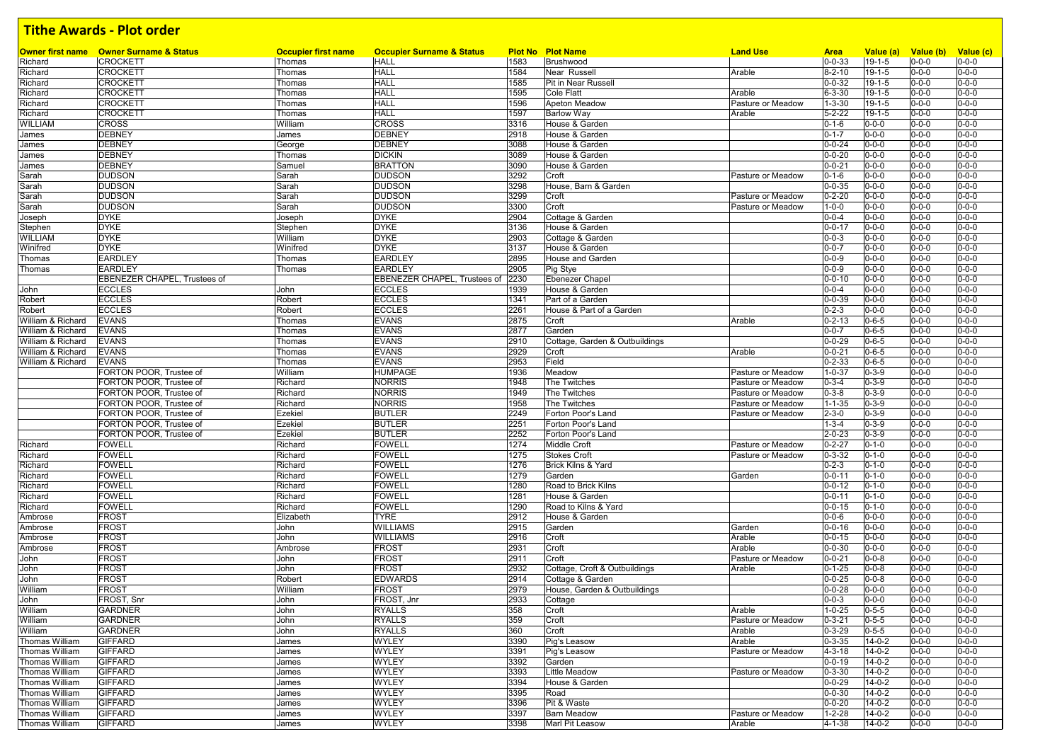|                   | <b>Owner first name Owner Surname &amp; Status</b> | <b>Occupier first name</b> | <b>Occupier Surname &amp; Status</b> |      | <b>Plot No Plot Name</b>       | <b>Land Use</b>   | <b>Area</b>  | Value (a)    | Value (b)   | Value (c)   |
|-------------------|----------------------------------------------------|----------------------------|--------------------------------------|------|--------------------------------|-------------------|--------------|--------------|-------------|-------------|
| Richard           | <b>CROCKETT</b>                                    | Thomas                     | <b>HALL</b>                          | 1583 | Brushwood                      |                   | $0 - 0 - 33$ | $19 - 1 - 5$ | $0 - 0 - 0$ | $0 - 0 - 0$ |
| Richard           | <b>CROCKETT</b>                                    | Thomas                     | <b>HALL</b>                          | 1584 | Near Russell                   | Arable            | $8 - 2 - 10$ | $19 - 1 - 5$ | $0 - 0 - 0$ | $0 - 0 - 0$ |
| Richard           | <b>CROCKETT</b>                                    | Thomas                     | <b>HALL</b>                          | 1585 | Pit in Near Russell            |                   | $0 - 0 - 32$ | $19 - 1 - 5$ | $0 - 0 - 0$ | $0 - 0 - 0$ |
| Richard           | <b>CROCKETT</b>                                    | Thomas                     | <b>HALL</b>                          | 1595 | <b>Cole Flatt</b>              | Arable            | $6 - 3 - 30$ | 19-1-5       | $0 - 0 - 0$ | $0 - 0 - 0$ |
| Richard           | <b>CROCKETT</b>                                    | Thomas                     | <b>HALL</b>                          | 1596 | Apeton Meadow                  | Pasture or Meadow | $1 - 3 - 30$ | $19 - 1 - 5$ | $0 - 0 - 0$ | $0 - 0 - 0$ |
| Richard           | <b>CROCKETT</b>                                    | Thomas                     | <b>HALL</b>                          | 1597 | <b>Barlow Way</b>              | Arable            | $5 - 2 - 22$ | $19 - 1 - 5$ | $0 - 0 - 0$ | $0 - 0 - 0$ |
| WILLIAM           | <b>CROSS</b>                                       | William                    | <b>CROSS</b>                         | 3316 | House & Garden                 |                   | $0 - 1 - 6$  | $0 - 0 - 0$  | $0 - 0 - 0$ | $0 - 0 - 0$ |
| James             | <b>DEBNEY</b>                                      | James                      | <b>DEBNEY</b>                        | 2918 | House & Garden                 |                   | $0 - 1 - 7$  | $0 - 0 - 0$  | $0 - 0 - 0$ | $0 - 0 - 0$ |
| James             | <b>DEBNEY</b>                                      | George                     | <b>DEBNEY</b>                        | 3088 | House & Garden                 |                   | $0 - 0 - 24$ | $0 - 0 - 0$  | $0 - 0 - 0$ | $0 - 0 - 0$ |
| James             | <b>DEBNEY</b>                                      | Thomas                     | <b>DICKIN</b>                        | 3089 | House & Garden                 |                   | $0 - 0 - 20$ | $0 - 0 - 0$  | $0 - 0 - 0$ | $0 - 0 - 0$ |
|                   | <b>DEBNEY</b>                                      | Samuel                     | <b>BRATTON</b>                       | 3090 | House & Garden                 |                   | $0 - 0 - 21$ | $0 - 0 - 0$  | $0 - 0 - 0$ | $0 - 0 - 0$ |
| James             |                                                    |                            |                                      |      |                                |                   |              |              |             | $0 - 0 - 0$ |
| Sarah             | <b>DUDSON</b>                                      | Sarah                      | <b>DUDSON</b>                        | 3292 | Croft                          | Pasture or Meadow | $0 - 1 - 6$  | $0 - 0 - 0$  | $0 - 0 - 0$ |             |
| Sarah             | <b>DUDSON</b>                                      | Sarah                      | <b>DUDSON</b>                        | 3298 | House, Barn & Garden           |                   | $0 - 0 - 35$ | $0 - 0 - 0$  | $0 - 0 - 0$ | $0 - 0 - 0$ |
| Sarah             | <b>DUDSON</b>                                      | Sarah                      | <b>DUDSON</b>                        | 3299 | Croft                          | Pasture or Meadow | $0 - 2 - 20$ | $0 - 0 - 0$  | $0 - 0 - 0$ | $0 - 0 - 0$ |
| Sarah             | <b>DUDSON</b>                                      | Sarah                      | <b>DUDSON</b>                        | 3300 | Croft                          | Pasture or Meadow | $1 - 0 - 0$  | $0 - 0 - 0$  | $0 - 0 - 0$ | $0 - 0 - 0$ |
| Joseph            | <b>DYKE</b>                                        | Joseph                     | <b>DYKE</b>                          | 2904 | Cottage & Garden               |                   | $0 - 0 - 4$  | $0 - 0 - 0$  | $0 - 0 - 0$ | $0 - 0 - 0$ |
| Stephen           | <b>DYKE</b>                                        | Stephen                    | <b>DYKE</b>                          | 3136 | House & Garden                 |                   | $0 - 0 - 17$ | $0 - 0 - 0$  | $0 - 0 - 0$ | $0 - 0 - 0$ |
| WILLIAM           | <b>DYKE</b>                                        | William                    | <b>DYKE</b>                          | 2903 | Cottage & Garden               |                   | $0 - 0 - 3$  | $0 - 0 - 0$  | $0 - 0 - 0$ | $0 - 0 - 0$ |
| Winifred          | <b>DYKE</b>                                        | Winifred                   | <b>DYKE</b>                          | 3137 | House & Garden                 |                   | $0 - 0 - 7$  | $0 - 0 - 0$  | $0 - 0 - 0$ | $0 - 0 - 0$ |
| Thomas            | <b>EARDLEY</b>                                     | Thomas                     | <b>EARDLEY</b>                       | 2895 | <b>House and Garden</b>        |                   | $0 - 0 - 9$  | $0 - 0 - 0$  | $0 - 0 - 0$ | $0 - 0 - 0$ |
| Thomas            | <b>EARDLEY</b>                                     | Thomas                     | <b>EARDLEY</b>                       | 2905 | Pig Stye                       |                   | $0 - 0 - 9$  | $0 - 0 - 0$  | $0 - 0 - 0$ | $0 - 0 - 0$ |
|                   | <b>EBENEZER CHAPEL, Trustees of</b>                |                            | EBENEZER CHAPEL, Trustees of         | 2230 | <b>Ebenezer Chapel</b>         |                   | $0 - 0 - 10$ | $0 - 0 - 0$  | $0 - 0 - 0$ | $0 - 0 - 0$ |
| John              | <b>ECCLES</b>                                      | John                       | <b>ECCLES</b>                        | 1939 | House & Garden                 |                   | $0 - 0 - 4$  | $0 - 0 - 0$  | $0 - 0 - 0$ | $0 - 0 - 0$ |
|                   | <b>ECCLES</b>                                      | Robert                     | <b>ECCLES</b>                        | 1341 | Part of a Garden               |                   | $0 - 0 - 39$ | $0 - 0 - 0$  | $0 - 0 - 0$ | $0 - 0 - 0$ |
| Robert            |                                                    |                            |                                      |      |                                |                   |              |              |             |             |
| Robert            | <b>ECCLES</b>                                      | Robert                     | <b>ECCLES</b>                        | 2261 | House & Part of a Garden       |                   | $0 - 2 - 3$  | $0 - 0 - 0$  | $0 - 0 - 0$ | $0 - 0 - 0$ |
| William & Richard | <b>EVANS</b>                                       | Thomas                     | <b>EVANS</b>                         | 2875 | Croft                          | Arable            | $0 - 2 - 13$ | $0 - 6 - 5$  | $0 - 0 - 0$ | $0 - 0 - 0$ |
| William & Richard | <b>EVANS</b>                                       | Thomas                     | <b>EVANS</b>                         | 2877 | Garden                         |                   | $0 - 0 - 7$  | $0 - 6 - 5$  | $0 - 0 - 0$ | $0 - 0 - 0$ |
| William & Richard | <b>EVANS</b>                                       | Thomas                     | <b>EVANS</b>                         | 2910 | Cottage, Garden & Outbuildings |                   | $0 - 0 - 29$ | $0 - 6 - 5$  | $0 - 0 - 0$ | $0 - 0 - 0$ |
| William & Richard | <b>EVANS</b>                                       | Thomas                     | <b>EVANS</b>                         | 2929 | Croft                          | Arable            | $0 - 0 - 21$ | $0 - 6 - 5$  | $0 - 0 - 0$ | $0 - 0 - 0$ |
| William & Richard | <b>EVANS</b>                                       | Thomas                     | <b>EVANS</b>                         | 2953 | Field                          |                   | $0 - 2 - 33$ | $0 - 6 - 5$  | $0 - 0 - 0$ | $0 - 0 - 0$ |
|                   | FORTON POOR, Trustee of                            | William                    | HUMPAGE                              | 1936 | Meadow                         | Pasture or Meadow | $1 - 0 - 37$ | $0 - 3 - 9$  | $0 - 0 - 0$ | $0 - 0 - 0$ |
|                   | FORTON POOR. Trustee of                            | Richard                    | <b>NORRIS</b>                        | 1948 | The Twitches                   | Pasture or Meadow | $0 - 3 - 4$  | $0 - 3 - 9$  | $0 - 0 - 0$ | $0 - 0 - 0$ |
|                   | FORTON POOR, Trustee of                            | Richard                    | <b>NORRIS</b>                        | 1949 | The Twitches                   | Pasture or Meadow | $0 - 3 - 8$  | $0 - 3 - 9$  | $0 - 0 - 0$ | $0 - 0 - 0$ |
|                   | FORTON POOR, Trustee of                            | Richard                    | <b>NORRIS</b>                        | 1958 | The Twitches                   | Pasture or Meadow | $1 - 1 - 35$ | $0 - 3 - 9$  | $0 - 0 - 0$ | $0 - 0 - 0$ |
|                   | FORTON POOR, Trustee of                            | Ezekiel                    | <b>BUTLER</b>                        | 2249 | Forton Poor's Land             | Pasture or Meadow | $2 - 3 - 0$  | $0 - 3 - 9$  | $0 - 0 - 0$ | $0 - 0 - 0$ |
|                   | FORTON POOR, Trustee of                            | Ezekiel                    | <b>BUTLER</b>                        | 2251 | Forton Poor's Land             |                   | $1 - 3 - 4$  | $0 - 3 - 9$  | $0 - 0 - 0$ | $0 - 0 - 0$ |
|                   | FORTON POOR, Trustee of                            | Ezekiel                    | <b>BUTLER</b>                        | 2252 | Forton Poor's Land             |                   | $2 - 0 - 23$ | $0 - 3 - 9$  | $0 - 0 - 0$ | $0 - 0 - 0$ |
| Richard           | FOWELL                                             | Richard                    | FOWELL                               | 1274 | <b>Middle Croft</b>            | Pasture or Meadow | $0 - 2 - 27$ | $0 - 1 - 0$  | $0 - 0 - 0$ | $0 - 0 - 0$ |
|                   | <b>FOWELL</b>                                      |                            |                                      |      |                                |                   |              |              |             | $0 - 0 - 0$ |
| Richard           |                                                    | Richard                    | <b>FOWELL</b>                        | 1275 | <b>Stokes Croft</b>            | Pasture or Meadow | $0 - 3 - 32$ | $0 - 1 - 0$  | $0 - 0 - 0$ |             |
| Richard           | FOWELL                                             | Richard                    | FOWELL                               | 1276 | Brick Kilns & Yard             |                   | $0 - 2 - 3$  | $0 - 1 - 0$  | $0 - 0 - 0$ | $0 - 0 - 0$ |
| Richard           | <b>FOWELL</b>                                      | Richard                    | <b>FOWELL</b>                        | 1279 | Garden                         | Garden            | $0 - 0 - 11$ | $0 - 1 - 0$  | $0 - 0 - 0$ | $0 - 0 - 0$ |
| Richard           | FOWELL                                             | Richard                    | FOWELL                               | 1280 | Road to Brick Kilns            |                   | $0 - 0 - 12$ | $0 - 1 - 0$  | $0 - 0 - 0$ | $0 - 0 - 0$ |
| Richard           | <b>FOWELL</b>                                      | Richard                    | FOWELL                               | 1281 | House & Garden                 |                   | $0 - 0 - 11$ | $0 - 1 - 0$  | $0 - 0 - 0$ | $0 - 0 - 0$ |
| Richard           | FOWELL                                             | Richard                    | <b>FOWELL</b>                        | 1290 | Road to Kilns & Yard           |                   | $0 - 0 - 15$ | $0 - 1 - 0$  | $0 - 0 - 0$ | $0 - 0 - 0$ |
| Ambrose           | <b>FROST</b>                                       | Elizabeth                  | <b>TYRE</b>                          | 2912 | House & Garden                 |                   | $0 - 0 - 6$  | $0 - 0 - 0$  | $0 - 0 - 0$ | $0 - 0 - 0$ |
| Ambrose           | <b>FROST</b>                                       | John                       | <b>WILLIAMS</b>                      | 2915 | Garden                         | Garden            | $0 - 0 - 16$ | $0 - 0 - 0$  | $0 - 0 - 0$ | $0 - 0 - 0$ |
| Ambrose           | <b>FROST</b>                                       | John                       | <b>WILLIAMS</b>                      | 2916 | Croft                          | Arable            | $0 - 0 - 15$ | $0 - 0 - 0$  | $0 - 0 - 0$ | $0 - 0 - 0$ |
| Ambrose           | <b>FROST</b>                                       | Ambrose                    | <b>FROST</b>                         | 2931 | Croft                          | Arable            | $0 - 0 - 30$ | $0 - 0 - 0$  | $0 - 0 - 0$ | $0 - 0 - 0$ |
| John              | <b>FROST</b>                                       | John                       | FROST                                | 2911 | Croft                          | Pasture or Meadow | $0 - 0 - 21$ | $0 - 0 - 8$  | $0 - 0 - 0$ | $0 - 0 - 0$ |
| John              | <b>FROST</b>                                       | John                       | <b>FROST</b>                         | 2932 | Cottage, Croft & Outbuildings  | Arable            | $0 - 1 - 25$ | $0 - 0 - 8$  | $0 - 0 - 0$ | $0 - 0 - 0$ |
| John              | FROST                                              | Robert                     | <b>EDWARDS</b>                       | 2914 | Cottage & Garden               |                   | $0 - 0 - 25$ | $0 - 0 - 8$  | $0 - 0 - 0$ | $0 - 0 - 0$ |
| William           | <b>FROST</b>                                       | William                    | <b>FROST</b>                         | 2979 | House, Garden & Outbuildings   |                   | $0 - 0 - 28$ | $0 - 0 - 0$  | $0 - 0 - 0$ | $0 - 0 - 0$ |
| John              | FROST, Snr                                         | John                       | FROST, Jnr                           | 2933 | Cottage                        |                   | $0 - 0 - 3$  | $0 - 0 - 0$  | $0 - 0 - 0$ | $0 - 0 - 0$ |
| William           |                                                    |                            | <b>RYALLS</b>                        |      |                                |                   | $1 - 0 - 25$ |              |             | $0 - 0 - 0$ |
|                   | GARDNER                                            | John                       |                                      | 358  | Croft                          | Arable            |              | $0 - 5 - 5$  | $0 - 0 - 0$ |             |
| William           | <b>GARDNER</b>                                     | John                       | <b>RYALLS</b>                        | 359  | Croft                          | Pasture or Meadow | $0 - 3 - 21$ | $0 - 5 - 5$  | $0 - 0 - 0$ | $0 - 0 - 0$ |
| William           | <b>GARDNER</b>                                     | John                       | <b>RYALLS</b>                        | 360  | Croft                          | Arable            | $0 - 3 - 29$ | $0 - 5 - 5$  | $0 - 0 - 0$ | $0 - 0 - 0$ |
| Thomas William    | <b>GIFFARD</b>                                     | James                      | <b>WYLEY</b>                         | 3390 | Pig's Leasow                   | Arable            | $0 - 3 - 35$ | $14 - 0 - 2$ | $0 - 0 - 0$ | $0 - 0 - 0$ |
| Thomas William    | <b>GIFFARD</b>                                     | James                      | <b>WYLEY</b>                         | 3391 | Pig's Leasow                   | Pasture or Meadow | $4 - 3 - 18$ | $14 - 0 - 2$ | $0 - 0 - 0$ | $0 - 0 - 0$ |
| Thomas William    | <b>GIFFARD</b>                                     | James                      | <b>WYLEY</b>                         | 3392 | Garden                         |                   | $0 - 0 - 19$ | 14-0-2       | $0 - 0 - 0$ | $0 - 0 - 0$ |
| Thomas William    | <b>GIFFARD</b>                                     | James                      | WYLEY                                | 3393 | Little Meadow                  | Pasture or Meadow | $0 - 3 - 30$ | $14 - 0 - 2$ | $0 - 0 - 0$ | $0 - 0 - 0$ |
| Thomas William    | <b>GIFFARD</b>                                     | James                      | <b>WYLEY</b>                         | 3394 | House & Garden                 |                   | $0 - 0 - 29$ | $14 - 0 - 2$ | $0 - 0 - 0$ | $0 - 0 - 0$ |
| Thomas William    | <b>GIFFARD</b>                                     | James                      | <b>WYLEY</b>                         | 3395 | Road                           |                   | $0 - 0 - 30$ | $14 - 0 - 2$ | $0 - 0 - 0$ | $0 - 0 - 0$ |
| Thomas William    | <b>GIFFARD</b>                                     | James                      | <b>WYLEY</b>                         | 3396 | Pit & Waste                    |                   | $0 - 0 - 20$ | $14 - 0 - 2$ | $0 - 0 - 0$ | $0 - 0 - 0$ |
| Thomas William    | <b>GIFFARD</b>                                     | James                      | <b>WYLEY</b>                         | 3397 | <b>Barn Meadow</b>             | Pasture or Meadow | $1 - 2 - 28$ | $14 - 0 - 2$ | $0 - 0 - 0$ | $0 - 0 - 0$ |
| Thomas William    | <b>GIFFARD</b>                                     | James                      | <b>WYLEY</b>                         | 3398 | Marl Pit Leasow                | Arable            | $4 - 1 - 38$ | $14 - 0 - 2$ | $0 - 0 - 0$ | $0 - 0 - 0$ |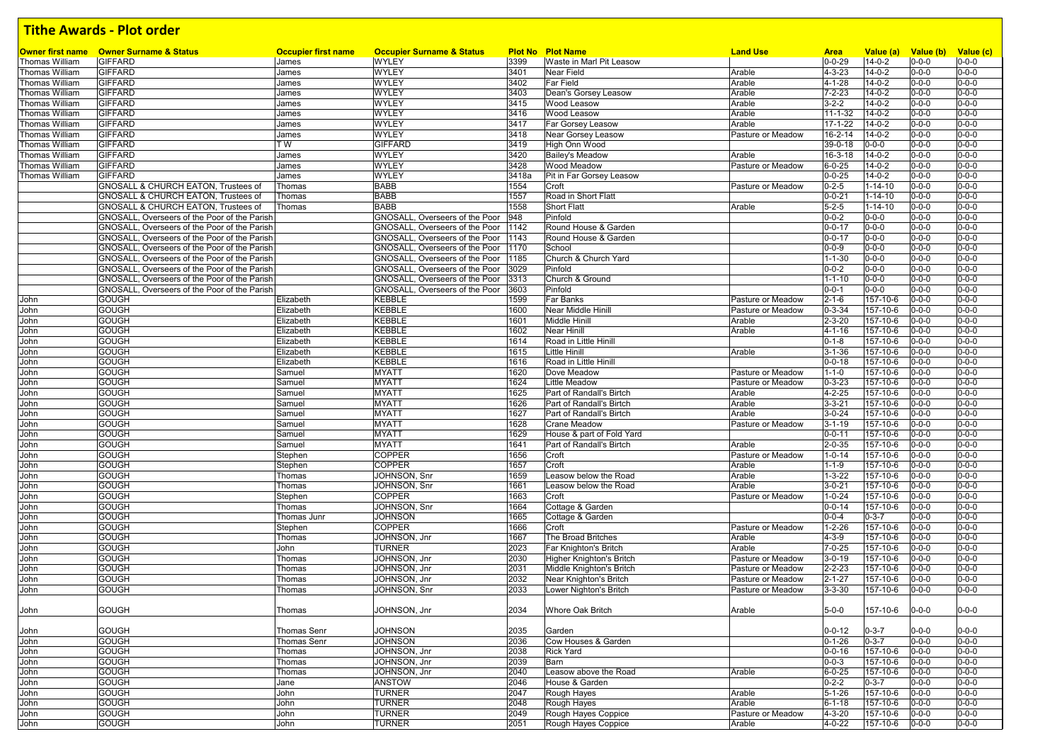| Owner first name | <b>Owner Surname &amp; Status</b>              | <b>Occupier first name</b> | <b>Occupier Surname &amp; Status</b> |       | <b>Plot No Plot Name</b>  | <b>Land Use</b>   | <b>Area</b>   | Value (a)     | Value (b)   | Value (c)                  |
|------------------|------------------------------------------------|----------------------------|--------------------------------------|-------|---------------------------|-------------------|---------------|---------------|-------------|----------------------------|
| Thomas William   | <b>GIFFARD</b>                                 | James                      | <b>WYLEY</b>                         | 3399  | Waste in Marl Pit Leasow  |                   | $0 - 0 - 29$  | $14 - 0 - 2$  | $0 - 0 - 0$ | $0 - 0 - 0$                |
| Thomas William   | <b>GIFFARD</b>                                 | James                      | <b>WYLEY</b>                         | 3401  | <b>Near Field</b>         | Arable            | $4 - 3 - 23$  | $14 - 0 - 2$  | $0 - 0 - 0$ | $0 - 0 - 0$                |
| Thomas William   | <b>GIFFARD</b>                                 | James                      | <b>WYLEY</b>                         | 3402  | <b>Far Field</b>          | Arable            | $4 - 1 - 28$  | $14 - 0 - 2$  | $0 - 0 - 0$ | $0 - 0 - 0$                |
| Thomas William   | <b>GIFFARD</b>                                 | James                      | <b>WYLEY</b>                         | 3403  | Dean's Gorsey Leasow      | Arable            | $7 - 2 - 23$  | $14 - 0 - 2$  | $0 - 0 - 0$ | $0 - 0 - 0$                |
| Thomas William   | <b>GIFFARD</b>                                 | James                      | <b>WYLEY</b>                         | 3415  | <b>Wood Leasow</b>        | Arable            | $3 - 2 - 2$   | $14 - 0 - 2$  | $0 - 0 - 0$ | $0 - 0 - 0$                |
| Thomas William   | <b>GIFFARD</b>                                 | James                      | WYLEY                                | 3416  | Wood Leasow               | Arable            | $11 - 1 - 32$ | $14 - 0 - 2$  | $0 - 0 - 0$ | $0 - 0 - 0$                |
| Thomas William   | <b>GIFFARD</b>                                 | James                      | WYLEY                                | 3417  | Far Gorsey Leasow         | Arable            | 17-1-22       | $14 - 0 - 2$  | $0 - 0 - 0$ | $0 - 0 - 0$                |
| Thomas William   | <b>GIFFARD</b>                                 | James                      | <b>WYLEY</b>                         | 3418  | Near Gorsey Leasow        | Pasture or Meadow | 16-2-14       | $14 - 0 - 2$  | $0 - 0 - 0$ | $0 - 0 - 0$                |
| Thomas William   | <b>GIFFARD</b>                                 | T W                        | <b>GIFFARD</b>                       | 3419  | High Onn Wood             |                   | 39-0-18       | 0-0-0         | $0 - 0 - 0$ | $0 - 0 - 0$                |
| Thomas William   | <b>GIFFARD</b>                                 | James                      | WYLEY                                | 3420  | <b>Bailey's Meadow</b>    | Arable            | $16 - 3 - 18$ | $14 - 0 - 2$  | $0 - 0 - 0$ | $0 - 0 - 0$                |
| Thomas William   | <b>GIFFARD</b>                                 | James                      | WYLEY                                | 3428  | <b>Wood Meadow</b>        | Pasture or Meadow | $6 - 0 - 25$  | $14 - 0 - 2$  | $0 - 0 - 0$ | $0 - 0 - 0$                |
| Thomas William   | <b>GIFFARD</b>                                 | James                      | WYLEY                                | 3418a | Pit in Far Gorsey Leasow  |                   | $0 - 0 - 25$  | $14 - 0 - 2$  | $0 - 0 - 0$ | $0 - 0 - 0$                |
|                  | <b>GNOSALL &amp; CHURCH EATON. Trustees of</b> | Thomas                     | <b>BABB</b>                          | 1554  | Croft                     | Pasture or Meadow | $0 - 2 - 5$   | $1 - 14 - 10$ | $0 - 0 - 0$ | $0 - 0 - 0$                |
|                  | GNOSALL & CHURCH EATON, Trustees of            | Thomas                     | <b>BABB</b>                          | 1557  | Road in Short Flatt       |                   | $0 - 0 - 21$  | $1 - 14 - 10$ | $0 - 0 - 0$ | $0 - 0 - 0$                |
|                  | GNOSALL & CHURCH EATON, Trustees of            | Thomas                     | <b>BABB</b>                          | 1558  | <b>Short Flatt</b>        | Arable            | $5 - 2 - 5$   | $1 - 14 - 10$ | $0 - 0 - 0$ | $0 - 0 - 0$                |
|                  | GNOSALL, Overseers of the Poor of the Parish   |                            | GNOSALL, Overseers of the Poor       | 948   | Pinfold                   |                   | $0 - 0 - 2$   | $0 - 0 - 0$   | $0 - 0 - 0$ | $0 - 0 - 0$                |
|                  | GNOSALL, Overseers of the Poor of the Parish   |                            | GNOSALL, Overseers of the Poor       | 1142  | Round House & Garden      |                   | $0 - 0 - 17$  | $0 - 0 - 0$   | $0 - 0 - 0$ | $0 - 0 - 0$                |
|                  | GNOSALL, Overseers of the Poor of the Parish   |                            | GNOSALL, Overseers of the Poor       | 1143  | Round House & Garden      |                   | $0 - 0 - 17$  | $0 - 0 - 0$   | $0 - 0 - 0$ | $0 - 0 - 0$                |
|                  | GNOSALL, Overseers of the Poor of the Parish   |                            | GNOSALL, Overseers of the Poor       | 1170  | School                    |                   | $0 - 0 - 9$   | $0 - 0 - 0$   | $0 - 0 - 0$ | $0 - 0 - 0$                |
|                  | GNOSALL, Overseers of the Poor of the Parish   |                            | GNOSALL, Overseers of the Poor       | 1185  | Church & Church Yard      |                   | $1 - 1 - 30$  | $0 - 0 - 0$   | $0 - 0 - 0$ | $0 - 0 - 0$                |
|                  |                                                |                            |                                      |       | Pinfold                   |                   |               | $0 - 0 - 0$   |             | $0 - 0 - 0$                |
|                  | GNOSALL, Overseers of the Poor of the Parish   |                            | GNOSALL, Overseers of the Poor       | 3029  |                           |                   | $0 - 0 - 2$   |               | $0 - 0 - 0$ |                            |
|                  | GNOSALL, Overseers of the Poor of the Parish   |                            | GNOSALL, Overseers of the Poor       | 3313  | Church & Ground           |                   | $1 - 1 - 10$  | $0 - 0 - 0$   | $0 - 0 - 0$ | $0 - 0 - 0$<br>$0 - 0 - 0$ |
|                  | GNOSALL, Overseers of the Poor of the Parish   |                            | GNOSALL, Overseers of the Poor       | 3603  | Pinfold                   |                   | $0 - 0 - 1$   | $0 - 0 - 0$   | $0 - 0 - 0$ | $0 - 0 - 0$                |
| John             | <b>GOUGH</b>                                   | Elizabeth                  | KEBBLE                               | 1599  | Far Banks                 | Pasture or Meadow | $2 - 1 - 6$   | 157-10-6      | $0 - 0 - 0$ |                            |
| John             | <b>GOUGH</b>                                   | Elizabeth                  | KEBBLE                               | 1600  | Near Middle Hinill        | Pasture or Meadow | $0 - 3 - 34$  | 157-10-6      | $0 - 0 - 0$ | $0 - 0 - 0$                |
| John             | <b>GOUGH</b>                                   | Elizabeth                  | <b>KEBBLE</b>                        | 1601  | Middle Hinill             | Arable            | $2 - 3 - 20$  | 157-10-6      | $0 - 0 - 0$ | $0 - 0 - 0$<br>$0 - 0 - 0$ |
| John             | <b>GOUGH</b>                                   | Elizabeth                  | KEBBLE                               | 1602  | <b>Near Hinill</b>        | Arable            | $4 - 1 - 16$  | 157-10-6      | $0 - 0 - 0$ |                            |
| John             | <b>GOUGH</b>                                   | Elizabeth                  | KEBBLE                               | 1614  | Road in Little Hinill     |                   | $0 - 1 - 8$   | 157-10-6      | $0 - 0 - 0$ | $0 - 0 - 0$                |
| John             | <b>GOUGH</b>                                   | Elizabeth                  | KEBBLE                               | 1615  | Little Hinill             | Arable            | $3 - 1 - 36$  | 157-10-6      | $0 - 0 - 0$ | $0 - 0 - 0$                |
| John             | <b>GOUGH</b>                                   | Elizabeth                  | KEBBLE                               | 1616  | Road in Little Hinill     |                   | $0 - 0 - 18$  | 157-10-6      | $0 - 0 - 0$ | $0 - 0 - 0$                |
| John             | <b>GOUGH</b>                                   | Samuel                     | <b>MYATT</b>                         | 1620  | Dove Meadow               | Pasture or Meadow | $1 - 1 - 0$   | 157-10-6      | $0 - 0 - 0$ | $0 - 0 - 0$                |
| John             | <b>GOUGH</b>                                   | Samuel                     | <b>MYATT</b>                         | 1624  | Little Meadow             | Pasture or Meadow | $0 - 3 - 23$  | 157-10-6      | $0 - 0 - 0$ | $0 - 0 - 0$                |
| John             | <b>GOUGH</b>                                   | Samuel                     | <b>MYATT</b>                         | 1625  | Part of Randall's Birtch  | Arable            | $4 - 2 - 25$  | 157-10-6      | $0 - 0 - 0$ | $0 - 0 - 0$                |
| John             | <b>GOUGH</b>                                   | Samuel                     | <b>MYATT</b>                         | 1626  | Part of Randall's Birtch  | Arable            | $3 - 3 - 21$  | 157-10-6      | $0 - 0 - 0$ | $0 - 0 - 0$                |
| John             | <b>GOUGH</b>                                   | Samuel                     | <b>MYATT</b>                         | 1627  | Part of Randall's Birtch  | Arable            | $3 - 0 - 24$  | 157-10-6      | $0 - 0 - 0$ | $0 - 0 - 0$                |
| John             | <b>GOUGH</b>                                   | Samuel                     | <b>MYATT</b>                         | 1628  | <b>Crane Meadow</b>       | Pasture or Meadow | $3 - 1 - 19$  | 157-10-6      | $0 - 0 - 0$ | $0 - 0 - 0$                |
| John             | <b>GOUGH</b>                                   | Samuel                     | <b>MYATT</b>                         | 1629  | House & part of Fold Yard |                   | $0 - 0 - 11$  | 157-10-6      | $0 - 0 - 0$ | $0 - 0 - 0$                |
| John             | <b>GOUGH</b>                                   | Samuel                     | <b>MYATT</b>                         | 1641  | Part of Randall's Birtch  | Arable            | $2 - 0 - 35$  | 157-10-6      | $0 - 0 - 0$ | $0 - 0 - 0$                |
| John             | <b>GOUGH</b>                                   | Stephen                    | <b>COPPER</b>                        | 1656  | Croft                     | Pasture or Meadow | $1 - 0 - 14$  | 157-10-6      | $0 - 0 - 0$ | $0 - 0 - 0$                |
| John             | <b>GOUGH</b>                                   | Stephen                    | <b>COPPER</b>                        | 1657  | Croft                     | Arable            | $1 - 1 - 9$   | 157-10-6      | $0 - 0 - 0$ | $0 - 0 - 0$                |
| John             | <b>GOUGH</b>                                   | Thomas                     | JOHNSON, Snr                         | 1659  | Leasow below the Road     | Arable            | $1 - 3 - 22$  | 157-10-6      | $0 - 0 - 0$ | $0 - 0 - 0$                |
| John             | <b>GOUGH</b>                                   | Thomas                     | JOHNSON, Snr                         | 1661  | Leasow below the Road     | Arable            | $3 - 0 - 21$  | 157-10-6      | $0 - 0 - 0$ | $0 - 0 - 0$                |
| John             | <b>GOUGH</b>                                   | Stephen                    | COPPER                               | 1663  | Croft                     | Pasture or Meadow | $1 - 0 - 24$  | 157-10-6      | $0 - 0 - 0$ | $0 - 0 - 0$                |
| John             | <b>GOUGH</b>                                   | Thomas                     | JOHNSON, Snr                         | 1664  | Cottage & Garden          |                   | $0 - 0 - 14$  | 157-10-6      | $0 - 0 - 0$ | $0 - 0 - 0$                |
| John             | <b>GOUGH</b>                                   | Thomas Junr                | JOHNSON                              | 1665  | Cottage & Garden          |                   | $0 - 0 - 4$   | $0 - 3 - 7$   | $0 - 0 - 0$ | $0 - 0 - 0$                |
| John             | <b>GOUGH</b>                                   | Stephen                    | COPPER                               | 1666  | Croft                     | Pasture or Meadow | $1 - 2 - 26$  | 157-10-6      | $0 - 0 - 0$ | $0 - 0 - 0$                |
| John             | <b>GOUGH</b>                                   | Thomas                     | JOHNSON, Jnr                         | 1667  | The Broad Britches        | Arable            | $4 - 3 - 9$   | 157-10-6      | $0 - 0 - 0$ | $0 - 0 - 0$                |
| John             | <b>GOUGH</b>                                   | John                       | TURNER                               | 2023  | Far Knighton's Britch     | Arable            | $7 - 0 - 25$  | 157-10-6      | $0 - 0 - 0$ | $0 - 0 - 0$                |
| John             | <b>GOUGH</b>                                   | Thomas                     | JOHNSON, Jnr                         | 2030  | Higher Knighton's Britch  | Pasture or Meadow | $3 - 0 - 19$  | 157-10-6      | $0 - 0 - 0$ | $0 - 0 - 0$                |
| John             | <b>GOUGH</b>                                   | Thomas                     | JOHNSON, Jnr                         | 2031  | Middle Knighton's Britch  | Pasture or Meadow | $2 - 2 - 23$  | 157-10-6      | $0 - 0 - 0$ | $0 - 0 - 0$                |
| John             | <b>GOUGH</b>                                   | Thomas                     | JOHNSON, Jnr                         | 2032  | Near Knighton's Britch    | Pasture or Meadow | $2 - 1 - 27$  | 157-10-6      | $0 - 0 - 0$ | $0 - 0 - 0$                |
| John             | GOUGH                                          | Thomas                     | JOHNSON, Snr                         | 2033  | Lower Nighton's Britch    | Pasture or Meadow | $3 - 3 - 30$  | 157-10-6      | $0 - 0 - 0$ | $0 - 0 - 0$                |
| John             | GOUGH                                          | Thomas                     | JOHNSON, Jnr                         | 2034  | Whore Oak Britch          | Arable            | $5 - 0 - 0$   | 157-10-6      | $0 - 0 - 0$ | $0 - 0 - 0$                |
|                  |                                                |                            |                                      |       |                           |                   |               |               |             |                            |
| John             | <b>GOUGH</b>                                   | <b>Thomas Senr</b>         | <b>JOHNSON</b>                       | 2035  | Garden                    |                   | $0 - 0 - 12$  | $0 - 3 - 7$   | $0 - 0 - 0$ | $0 - 0 - 0$                |
| John             | <b>GOUGH</b>                                   | <b>Thomas Senr</b>         | <b>JOHNSON</b>                       | 2036  | Cow Houses & Garden       |                   | $0 - 1 - 26$  | $0 - 3 - 7$   | $0 - 0 - 0$ | $0 - 0 - 0$                |
| John             | <b>GOUGH</b>                                   | Thomas                     | JOHNSON, Jnr                         | 2038  | <b>Rick Yard</b>          |                   | $0 - 0 - 16$  | 157-10-6      | $0 - 0 - 0$ | $0 - 0 - 0$                |
| John             | <b>GOUGH</b>                                   | Thomas                     | JOHNSON, Jnr                         | 2039  | Barn                      |                   | $0 - 0 - 3$   | 157-10-6      | $0 - 0 - 0$ | $0 - 0 - 0$                |
| John             | <b>GOUGH</b>                                   | Thomas                     | JOHNSON, Jnr                         | 2040  | Leasow above the Road     | Arable            | $6 - 0 - 25$  | 157-10-6      | $0 - 0 - 0$ | $0 - 0 - 0$                |
| John             | <b>GOUGH</b>                                   | Jane                       | <b>ANSTOW</b>                        | 2046  | House & Garden            |                   | $0 - 2 - 2$   | $0 - 3 - 7$   | $0 - 0 - 0$ | $0 - 0 - 0$                |
| John             | <b>GOUGH</b>                                   | John                       | <b>TURNER</b>                        | 2047  | Rough Hayes               | Arable            | $5 - 1 - 26$  | 157-10-6      | $0 - 0 - 0$ | $0 - 0 - 0$                |
| John             | <b>GOUGH</b>                                   | John                       | <b>TURNER</b>                        | 2048  | Rough Hayes               | Arable            | $6 - 1 - 18$  | 157-10-6      | $0 - 0 - 0$ | $0 - 0 - 0$                |
| John             | <b>GOUGH</b>                                   | John                       | <b>TURNER</b>                        | 2049  | Rough Hayes Coppice       | Pasture or Meadow | $4 - 3 - 20$  | 157-10-6      | $0 - 0 - 0$ | $0 - 0 - 0$                |
| John             | <b>GOUGH</b>                                   | John                       | <b>TURNER</b>                        | 2051  | Rough Hayes Coppice       | Arable            | $4 - 0 - 22$  | 157-10-6      | $0 - 0 - 0$ | $0 - 0 - 0$                |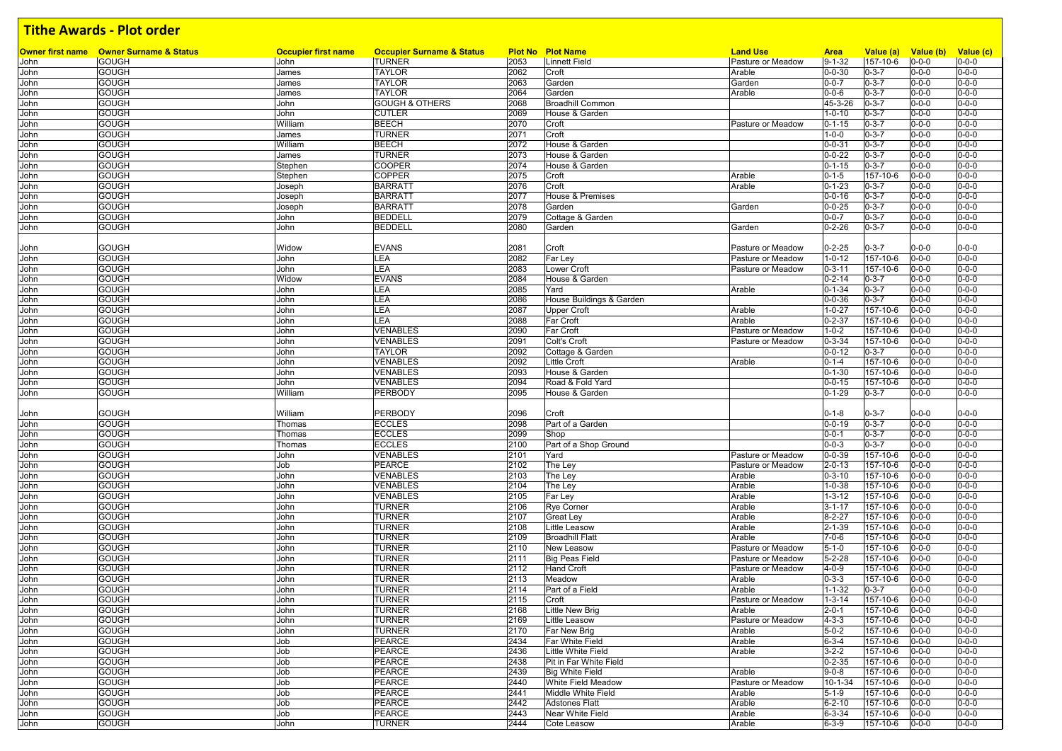|              | <b>Owner first name</b> Owner Surname & Status | <b>Occupier first name</b> | <b>Occupier Surname &amp; Status</b> |              | <b>Plot No Plot Name</b>  | <b>Land Use</b>             | <b>Area</b><br>$9 - 1 - 32$ | Value (a)<br>157-10-6 | Value (b) Value (c)        |                            |
|--------------|------------------------------------------------|----------------------------|--------------------------------------|--------------|---------------------------|-----------------------------|-----------------------------|-----------------------|----------------------------|----------------------------|
| John<br>John | <b>GOUGH</b><br><b>GOUGH</b>                   | John                       | <b>TURNER</b>                        | 2053<br>2062 | <b>Linnett Field</b>      | Pasture or Meadow<br>Arable | $0 - 0 - 30$                | $0 - 3 - 7$           | $0 - 0 - 0$<br>$0 - 0 - 0$ | $0 - 0 - 0$<br>$0 - 0 - 0$ |
| John         | <b>GOUGH</b>                                   | James<br>James             | <b>TAYLOR</b><br>TAYLOR              | 2063         | Croft<br>Garden           | Garden                      | $0 - 0 - 7$                 | $0 - 3 - 7$           | $0 - 0 - 0$                | $0 - 0 - 0$                |
| John         | <b>GOUGH</b>                                   | James                      | <b>TAYLOR</b>                        | 2064         | Garden                    | Arable                      | $0 - 0 - 6$                 | $0 - 3 - 7$           | $0 - 0 - 0$                | $0 - 0 - 0$                |
| John         | <b>GOUGH</b>                                   | John                       | <b>GOUGH &amp; OTHERS</b>            | 2068         | <b>Broadhill Common</b>   |                             | 45-3-26                     | $0 - 3 - 7$           | $0 - 0 - 0$                | $0 - 0 - 0$                |
| John         | <b>GOUGH</b>                                   | John                       | <b>CUTLER</b>                        | 2069         | House & Garden            |                             | $1 - 0 - 10$                | $0 - 3 - 7$           | $0 - 0 - 0$                | $0 - 0 - 0$                |
| John         | <b>GOUGH</b>                                   | William                    | <b>BEECH</b>                         | 2070         | Croft                     | Pasture or Meadow           | $0 - 1 - 15$                | $0 - 3 - 7$           | $0 - 0 - 0$                | $0 - 0 - 0$                |
| John         | <b>GOUGH</b>                                   | James                      | <b>TURNER</b>                        | 2071         | Croft                     |                             | $1 - 0 - 0$                 | $0 - 3 - 7$           | $0 - 0 - 0$                | $0 - 0 - 0$                |
| John         | <b>GOUGH</b>                                   | William                    | <b>BEECH</b>                         | 2072         | House & Garden            |                             | $0 - 0 - 31$                | $0 - 3 - 7$           | $0 - 0 - 0$                | $0 - 0 - 0$                |
| John         | <b>GOUGH</b>                                   | James                      | TURNER                               | 2073         | House & Garden            |                             | $0 - 0 - 22$                | $0 - 3 - 7$           | $0 - 0 - 0$                | $0 - 0 - 0$                |
| John         | <b>GOUGH</b>                                   | Stephen                    | <b>COOPER</b>                        | 2074         | House & Garden            |                             | $0 - 1 - 15$                | $0 - 3 - 7$           | $0 - 0 - 0$                | $0 - 0 - 0$                |
| John         | <b>GOUGH</b>                                   | Stephen                    | <b>COPPER</b>                        | 2075         | Croft                     | Arable                      | $0 - 1 - 5$                 | 157-10-6              | $0 - 0 - 0$                | $0 - 0 - 0$                |
| John         | <b>GOUGH</b>                                   | Joseph                     | <b>BARRATT</b>                       | 2076         | Croft                     | Arable                      | $0 - 1 - 23$                | $0 - 3 - 7$           | $0 - 0 - 0$                | $0 - 0 - 0$                |
| John         | <b>GOUGH</b>                                   | Joseph                     | <b>BARRATT</b>                       | 2077         | House & Premises          |                             | $0 - 0 - 16$                | $0 - 3 - 7$           | $0 - 0 - 0$                | $0 - 0 - 0$                |
| John         | <b>GOUGH</b>                                   | Joseph                     | <b>BARRATT</b>                       | 2078         | Garden                    | Garden                      | $0 - 0 - 25$                | $0 - 3 - 7$           | $0 - 0 - 0$                | $0 - 0 - 0$                |
| John         | <b>GOUGH</b>                                   | John                       | <b>BEDDELL</b>                       | 2079         | Cottage & Garden          |                             | $0 - 0 - 7$                 | $0 - 3 - 7$           | $0 - 0 - 0$                | $0 - 0 - 0$                |
| John         | <b>GOUGH</b>                                   | John                       | <b>BEDDELL</b>                       | 2080         | Garden                    | Garden                      | $0 - 2 - 26$                | $0 - 3 - 7$           | $0 - 0 - 0$                | $0 - 0 - 0$                |
|              |                                                |                            |                                      |              |                           |                             |                             |                       |                            |                            |
| John         | <b>GOUGH</b>                                   | Widow                      | <b>EVANS</b>                         | 2081         | Croft                     | Pasture or Meadow           | $0 - 2 - 25$                | $0 - 3 - 7$           | $0 - 0 - 0$                | $0 - 0 - 0$                |
| John         | <b>GOUGH</b>                                   | John                       | LEA                                  | 2082         | Far Ley                   | Pasture or Meadow           | $1 - 0 - 12$                | 157-10-6              | $0 - 0 - 0$                | $0 - 0 - 0$                |
| John         | <b>GOUGH</b>                                   | John                       | LEA                                  | 2083         | Lower Croft               | Pasture or Meadow           | $0 - 3 - 11$                | 157-10-6              | $0 - 0 - 0$                | $0 - 0 - 0$                |
| John         | <b>GOUGH</b>                                   | Widow                      | <b>EVANS</b>                         | 2084         | House & Garden            |                             | $0 - 2 - 14$                | $0 - 3 - 7$           | 0-0-0                      | $0 - 0 - 0$                |
| John         | <b>GOUGH</b>                                   | John                       | LEA                                  | 2085         | Yard                      | Arable                      | $0 - 1 - 34$                | $0 - 3 - 7$           | $0 - 0 - 0$                | $0 - 0 - 0$                |
| John         | <b>GOUGH</b>                                   | John                       | LEA                                  | 2086         | House Buildings & Garden  |                             | $0 - 0 - 36$                | $0 - 3 - 7$           | $0 - 0 - 0$                | $0 - 0 - 0$                |
| John         | <b>GOUGH</b>                                   | John                       | LEA                                  | 2087         | Upper Croft               | Arable                      | $1 - 0 - 27$                | 157-10-6              | $0 - 0 - 0$                | $0 - 0 - 0$                |
| John         | <b>GOUGH</b>                                   | John                       | LEA                                  | 2088         | Far Croft                 | Arable                      | $0 - 2 - 37$                | 157-10-6              | $0 - 0 - 0$                | $0 - 0 - 0$                |
| John         | <b>GOUGH</b>                                   | John                       | VENABLES                             | 2090         | Far Croft                 | Pasture or Meadow           | $1 - 0 - 2$                 | 157-10-6              | $0 - 0 - 0$                | $0 - 0 - 0$                |
| John         | <b>GOUGH</b>                                   | John                       | VENABLES                             | 2091         | Colt's Croft              | Pasture or Meadow           | $0 - 3 - 34$                | 157-10-6              | $0 - 0 - 0$                | $0 - 0 - 0$                |
| John         | <b>GOUGH</b>                                   | John                       | TAYLOR                               | 2092         | Cottage & Garden          |                             | $0 - 0 - 12$                | $0 - 3 - 7$           | 0-0-0                      | $0 - 0 - 0$                |
| John         | <b>GOUGH</b>                                   | John                       | VENABLES                             | 2092         | Little Croft              | Arable                      | $0 - 1 - 4$                 | 157-10-6              | $0 - 0 - 0$                | $0 - 0 - 0$                |
| John         | <b>GOUGH</b>                                   | John                       | <b>VENABLES</b>                      | 2093         | House & Garden            |                             | $0 - 1 - 30$                | 157-10-6              | $0 - 0 - 0$                | $0 - 0 - 0$                |
| John         | <b>GOUGH</b>                                   | John                       | VENABLES                             | 2094         | Road & Fold Yard          |                             | $0 - 0 - 15$                | 157-10-6              | $0 - 0 - 0$                | $0 - 0 - 0$                |
| John         | <b>GOUGH</b>                                   | William                    | PERBODY                              | 2095         | House & Garden            |                             | $0 - 1 - 29$                | $0 - 3 - 7$           | 0-0-0                      | $0 - 0 - 0$                |
|              |                                                |                            |                                      |              |                           |                             |                             |                       |                            |                            |
| John         | <b>GOUGH</b>                                   | William                    | PERBODY                              | 2096         | Croft                     |                             | $0 - 1 - 8$                 | $0 - 3 - 7$           | $0 - 0 - 0$                | $0 - 0 - 0$                |
| John         | <b>GOUGH</b>                                   | Thomas                     | <b>ECCLES</b>                        | 2098         | Part of a Garden          |                             | $0 - 0 - 19$                | $0 - 3 - 7$           | $0 - 0 - 0$                | $0 - 0 - 0$                |
| John         | <b>GOUGH</b>                                   | Thomas                     | <b>ECCLES</b>                        | 2099         | Shop                      |                             | $0 - 0 - 1$                 | $0 - 3 - 7$           | $0 - 0 - 0$                | $0 - 0 - 0$                |
| John         | <b>GOUGH</b>                                   | Thomas                     | <b>ECCLES</b>                        | 2100         | Part of a Shop Ground     |                             | $0 - 0 - 3$                 | $0 - 3 - 7$           | $0 - 0 - 0$                | $0 - 0 - 0$                |
| John         | <b>GOUGH</b>                                   | John                       | VENABLES                             | 2101         | Yard                      | Pasture or Meadow           | $0 - 0 - 39$                | 157-10-6              | $0 - 0 - 0$                | $0 - 0 - 0$                |
| John         | <b>GOUGH</b>                                   | Job                        | PEARCE                               | 2102         | The Ley                   | Pasture or Meadow           | $2 - 0 - 13$                | 157-10-6              | $0 - 0 - 0$                | $0 - 0 - 0$                |
| John         | <b>GOUGH</b>                                   | John                       | VENABLES                             | 2103         | The Ley                   | Arable                      | $0 - 3 - 10$                | 157-10-6              | 0-0-0                      | $0 - 0 - 0$                |
| John         | <b>GOUGH</b>                                   | John                       | VENABLES                             | 2104         | The Ley                   | Arable                      | $1 - 0 - 38$                | 157-10-6              | $0 - 0 - 0$                | $0 - 0 - 0$                |
| John         | <b>GOUGH</b>                                   | John                       | VENABLES                             | 2105         | Far Ley                   | Arable                      | $1 - 3 - 12$                | 157-10-6              | $0 - 0 - 0$                | $0 - 0 - 0$                |
| John         | <b>GOUGH</b>                                   | John                       | TURNER                               | 2106         | Rye Corner                | Arable                      | $3 - 1 - 17$                | 157-10-6              | 0-0-0                      | $0 - 0 - 0$                |
| John         | <b>GOUGH</b>                                   | John                       | TURNER                               | 2107         | Great Ley                 | Arable                      | $8 - 2 - 27$                | 157-10-6              | $0 - 0 - 0$                | $0 - 0 - 0$                |
| John         | <b>GOUGH</b>                                   | John                       | TURNER                               | 2108         | Little Leasow             | Arable                      | $2 - 1 - 39$                | 157-10-6              | 0-0-0                      | $0 - 0 - 0$                |
| John         | <b>GOUGH</b>                                   | John                       | TURNER                               | 2109         | <b>Broadhill Flatt</b>    | Arable                      | $7 - 0 - 6$                 | 157-10-6              | $0 - 0 - 0$                | $0 - 0 - 0$                |
| John         | <b>GOUGH</b>                                   | John                       | TURNER                               | 2110         | New Leasow                | Pasture or Meadow           | $5 - 1 - 0$                 | 157-10-6              | $0 - 0 - 0$                | $0 - 0 - 0$                |
| John         | <b>GOUGH</b>                                   | John                       | <b>TURNER</b>                        | 2111         | Big Peas Field            | Pasture or Meadow           | $5 - 2 - 28$                | 157-10-6              | $0 - 0 - 0$                | $0 - 0 - 0$                |
| John         | <b>GOUGH</b>                                   | John                       | <b>TURNER</b>                        | 2112         | <b>Hand Croft</b>         | Pasture or Meadow           | $4 - 0 - 9$                 | 157-10-6              | $0 - 0 - 0$                | $0 - 0 - 0$                |
| John         | <b>GOUGH</b>                                   | John                       | TURNER                               | 2113         | Meadow                    | Arable                      | $0 - 3 - 3$                 | 157-10-6              | $0 - 0 - 0$                | $0 - 0 - 0$                |
| John         | <b>GOUGH</b>                                   | John                       | TURNER                               | 2114         | Part of a Field           | Arable                      | $1 - 1 - 32$                | $0 - 3 - 7$           | 0-0-0                      | $0 - 0 - 0$                |
| John         | <b>GOUGH</b>                                   | John                       | <b>TURNER</b>                        | 2115         | Croft                     | Pasture or Meadow           | $1 - 3 - 14$                | 157-10-6              | $0 - 0 - 0$                | $0 - 0 - 0$                |
| John         | <b>GOUGH</b>                                   | John                       | <b>TURNER</b>                        | 2168         | <b>Little New Brig</b>    | Arable                      | $2 - 0 - 1$                 | 157-10-6              | $0 - 0 - 0$                | $0 - 0 - 0$                |
| John         | <b>GOUGH</b>                                   | John                       | <b>TURNER</b>                        | 2169         | Little Leasow             | Pasture or Meadow           | $4 - 3 - 3$                 | 157-10-6              | $0 - 0 - 0$                | $0 - 0 - 0$                |
| John         | <b>GOUGH</b>                                   | John                       | <b>TURNER</b>                        | 2170         | Far New Brig              | Arable                      | $5 - 0 - 2$                 | 157-10-6              | $0 - 0 - 0$                | $0 - 0 - 0$                |
| John         | <b>GOUGH</b>                                   | Job                        | PEARCE                               | 2434         | Far White Field           | Arable                      | $6 - 3 - 4$                 | 157-10-6              | $0 - 0 - 0$                | $0 - 0 - 0$                |
| John         | <b>GOUGH</b>                                   | Job                        | <b>PEARCE</b>                        | 2436         | Little White Field        | Arable                      | $3 - 2 - 2$                 | 157-10-6              | $0 - 0 - 0$                | $0 - 0 - 0$                |
| John         | <b>GOUGH</b>                                   | Job                        | <b>PEARCE</b>                        | 2438         | Pit in Far White Field    |                             | $0 - 2 - 35$                | 157-10-6              | $0 - 0 - 0$                | $0 - 0 - 0$                |
| John         | <b>GOUGH</b>                                   | Job                        | <b>PEARCE</b>                        | 2439         | <b>Big White Field</b>    | Arable                      | $9 - 0 - 8$                 | 157-10-6              | $0 - 0 - 0$                | $0 - 0 - 0$                |
| John         | <b>GOUGH</b>                                   | Job                        | <b>PEARCE</b>                        | 2440         | <b>White Field Meadow</b> | Pasture or Meadow           | 10-1-34                     | 157-10-6              | $0 - 0 - 0$                | $0 - 0 - 0$                |
| John         | <b>GOUGH</b>                                   | Job                        | PEARCE                               | 2441         | Middle White Field        | Arable                      | $5 - 1 - 9$                 | 157-10-6              | $0 - 0 - 0$                | $0 - 0 - 0$                |
| John         | <b>GOUGH</b>                                   | Job                        | <b>PEARCE</b>                        | 2442         | <b>Adstones Flatt</b>     | Arable                      | $6 - 2 - 10$                | 157-10-6              | $0 - 0 - 0$                | $0 - 0 - 0$                |
| John         | <b>GOUGH</b>                                   | Job                        | <b>PEARCE</b>                        | 2443         | Near White Field          | Arable                      | $6 - 3 - 34$                | 157-10-6              | $0 - 0 - 0$                | $0 - 0 - 0$                |
| John         | <b>GOUGH</b>                                   | John                       | <b>TURNER</b>                        | 2444         | Cote Leasow               | Arable                      | $6 - 3 - 9$                 | 157-10-6              | $0 - 0 - 0$                | $0 - 0 - 0$                |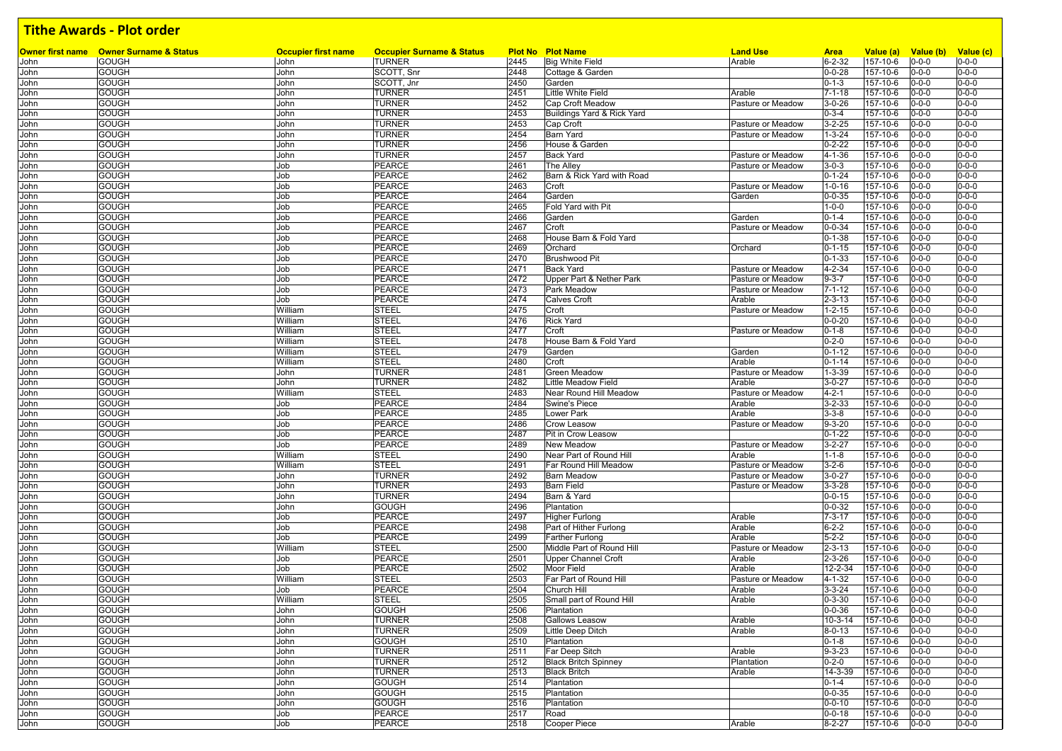|              | <b>Owner first name</b> Owner Surname & Status | <b>Occupier first name</b> | <b>Occupier Surname &amp; Status</b> |      | <b>Plot No Plot Name</b>    | <b>Land Use</b>   | <b>Area</b>   | Value (a)      | Value (b) Value (c)        |             |
|--------------|------------------------------------------------|----------------------------|--------------------------------------|------|-----------------------------|-------------------|---------------|----------------|----------------------------|-------------|
| John         | <b>GOUGH</b>                                   | John                       | <b>TURNER</b>                        | 2445 | Big White Field             | Arable            | $6 - 2 - 32$  | 157-10-6       | $0 - 0 - 0$                | $0 - 0 - 0$ |
| John         | <b>GOUGH</b>                                   | John                       | SCOTT, Snr                           | 2448 | Cottage & Garden            |                   | $0 - 0 - 28$  | 157-10-6       | $0 - 0 - 0$                | $0 - 0 - 0$ |
| John         | <b>GOUGH</b>                                   | John                       | SCOTT, Jnr                           | 2450 | Garden                      |                   | $0 - 1 - 3$   | 157-10-6       | $0 - 0 - 0$                | $0 - 0 - 0$ |
| John         | <b>GOUGH</b>                                   | John                       | <b>TURNER</b>                        | 2451 | Little White Field          | Arable            | $7 - 1 - 18$  | 157-10-6       | $0 - 0 - 0$                | $0 - 0 - 0$ |
| John         | <b>GOUGH</b>                                   | John                       | TURNER                               | 2452 | Cap Croft Meadow            | Pasture or Meadow | $3 - 0 - 26$  | 157-10-6       | $0 - 0 - 0$                | $0 - 0 - 0$ |
| John         | <b>GOUGH</b>                                   | John                       | <b>TURNER</b>                        | 2453 | Buildings Yard & Rick Yard  |                   | $0 - 3 - 4$   | 157-10-6       | $0 - 0 - 0$                | $0 - 0 - 0$ |
| John         | <b>GOUGH</b>                                   | John                       | TURNER                               | 2453 | Cap Croft                   | Pasture or Meadow | $3 - 2 - 25$  | 157-10-6       | $0 - 0 - 0$                | $0 - 0 - 0$ |
| John         | <b>GOUGH</b>                                   | John                       | <b>TURNER</b>                        | 2454 | <b>Barn Yard</b>            | Pasture or Meadow | $1 - 3 - 24$  | 157-10-6       | $0 - 0 - 0$                | $0 - 0 - 0$ |
| John         | <b>GOUGH</b>                                   | John                       | <b>TURNER</b>                        | 2456 | House & Garden              |                   | $0 - 2 - 22$  | 157-10-6       | $0 - 0 - 0$                | $0 - 0 - 0$ |
| John         | <b>GOUGH</b>                                   | John                       | <b>TURNER</b>                        | 2457 | <b>Back Yard</b>            | Pasture or Meadow | $4 - 1 - 36$  | 157-10-6       | $0 - 0 - 0$                | $0 - 0 - 0$ |
| John         | <b>GOUGH</b>                                   | Job                        | <b>PEARCE</b>                        | 2461 | The Alley                   | Pasture or Meadow | $3 - 0 - 3$   | 157-10-6       | $0 - 0 - 0$                | $0 - 0 - 0$ |
| John         | <b>GOUGH</b>                                   | Job                        | <b>PEARCE</b>                        | 2462 | Barn & Rick Yard with Road  |                   | $0 - 1 - 24$  | 157-10-6       | $0 - 0 - 0$                | $0 - 0 - 0$ |
| John         | <b>GOUGH</b>                                   | Job                        | PEARCE                               | 2463 | Croft                       | Pasture or Meadow | $1 - 0 - 16$  | 157-10-6       | $0 - 0 - 0$                | $0 - 0 - 0$ |
| John         | <b>GOUGH</b>                                   | Job                        | PEARCE                               | 2464 | Garden                      | Garden            | $0 - 0 - 35$  | 157-10-6       | $0 - 0 - 0$                | $0 - 0 - 0$ |
| John         | <b>GOUGH</b>                                   | Job                        | <b>PEARCE</b>                        | 2465 | Fold Yard with Pit          |                   | $1 - 0 - 0$   | 157-10-6       | $0 - 0 - 0$                | $0 - 0 - 0$ |
| John         | <b>GOUGH</b>                                   | Job                        | PEARCE                               | 2466 | Garden                      | Garden            | $0 - 1 - 4$   | 157-10-6       | $0 - 0 - 0$                | $0 - 0 - 0$ |
| John         | <b>GOUGH</b>                                   | Job                        | PEARCE                               | 2467 | Croft                       | Pasture or Meadow | $0 - 0 - 34$  | 157-10-6       | $0 - 0 - 0$                | $0 - 0 - 0$ |
| John         | <b>GOUGH</b>                                   | Job                        | PEARCE                               | 2468 | House Barn & Fold Yard      |                   | $0 - 1 - 38$  | 157-10-6       | $0 - 0 - 0$                | $0 - 0 - 0$ |
| John         | <b>GOUGH</b>                                   | Job                        | PEARCE                               | 2469 | Orchard                     | Orchard           | $0 - 1 - 15$  | 157-10-6       | $0 - 0 - 0$                | $0 - 0 - 0$ |
| John         | <b>GOUGH</b>                                   | Job                        | PEARCE                               | 2470 | <b>Brushwood Pit</b>        |                   | $0 - 1 - 33$  | $157 - 10 - 6$ | $0 - 0 - 0$                | $0 - 0 - 0$ |
| John         | <b>GOUGH</b>                                   | Job                        | PEARCE                               | 2471 | <b>Back Yard</b>            | Pasture or Meadow | $4 - 2 - 34$  | 157-10-6       | $0 - 0 - 0$                | $0 - 0 - 0$ |
| John         | <b>GOUGH</b>                                   | Job                        | PEARCE                               | 2472 | Upper Part & Nether Park    | Pasture or Meadow | $9 - 3 - 7$   | 157-10-6       | $0 - 0 - 0$                | $0 - 0 - 0$ |
| John         | <b>GOUGH</b>                                   | Job                        | <b>PEARCE</b>                        | 2473 | Park Meadow                 | Pasture or Meadow | $7 - 1 - 12$  | 157-10-6       | $0 - 0 - 0$                | $0 - 0 - 0$ |
| John         | <b>GOUGH</b>                                   | Job                        | PEARCE                               | 2474 | <b>Calves Croft</b>         | Arable            | $2 - 3 - 13$  | 157-10-6       | $0 - 0 - 0$                | $0 - 0 - 0$ |
| John         | <b>GOUGH</b>                                   | William                    | <b>STEEL</b>                         | 2475 | Croft                       | Pasture or Meadow | $1 - 2 - 15$  | 157-10-6       | $0 - 0 - 0$                | $0 - 0 - 0$ |
| John         | <b>GOUGH</b>                                   | William                    | <b>STEEL</b>                         | 2476 | <b>Rick Yard</b>            |                   | $0 - 0 - 20$  | 157-10-6       | $0 - 0 - 0$                | $0 - 0 - 0$ |
| John         | <b>GOUGH</b>                                   | William                    | <b>STEEL</b>                         | 2477 | Croft                       | Pasture or Meadow | $0 - 1 - 8$   | 157-10-6       | $0 - 0 - 0$                | $0 - 0 - 0$ |
| John         | <b>GOUGH</b>                                   | William                    | <b>STEEL</b>                         | 2478 | House Barn & Fold Yard      |                   | $0 - 2 - 0$   | 157-10-6       | $0 - 0 - 0$                | $0 - 0 - 0$ |
| John         | <b>GOUGH</b>                                   | William                    | <b>STEEL</b>                         | 2479 | Garden                      | Garden            | $0 - 1 - 12$  | 157-10-6       | $0 - 0 - 0$                | $0 - 0 - 0$ |
| John         | <b>GOUGH</b>                                   | William                    | <b>STEEL</b>                         | 2480 | Croft                       | Arable            | $0 - 1 - 14$  | 157-10-6       | $0 - 0 - 0$                | $0 - 0 - 0$ |
| John         | <b>GOUGH</b>                                   | John                       | TURNER                               | 2481 | <b>Green Meadow</b>         | Pasture or Meadow | $1 - 3 - 39$  | 157-10-6       | $0 - 0 - 0$                | $0 - 0 - 0$ |
| John         | <b>GOUGH</b>                                   | John                       | TURNER                               | 2482 | Little Meadow Field         | Arable            | $3 - 0 - 27$  | 157-10-6       | $0 - 0 - 0$                | $0 - 0 - 0$ |
| John         | <b>GOUGH</b>                                   | William                    | <b>STEEL</b>                         | 2483 | Near Round Hill Meadow      | Pasture or Meadow | $4 - 2 - 1$   | 157-10-6       | $0 - 0 - 0$                | $0 - 0 - 0$ |
| John         | <b>GOUGH</b>                                   | Job                        | <b>PEARCE</b>                        | 2484 | Swine's Piece               | Arable            | $3 - 2 - 33$  | 157-10-6       | $0 - 0 - 0$                | $0 - 0 - 0$ |
| John         | <b>GOUGH</b>                                   | Job                        | PEARCE                               | 2485 | Lower Park                  | Arable            | $3 - 3 - 8$   | 157-10-6       | $0 - 0 - 0$                | $0 - 0 - 0$ |
| John         | <b>GOUGH</b>                                   | Job                        | <b>PEARCE</b>                        | 2486 | <b>Crow Leasow</b>          | Pasture or Meadow | $9 - 3 - 20$  | 157-10-6       | $0 - 0 - 0$                | $0 - 0 - 0$ |
| John         | <b>GOUGH</b>                                   | Job                        | PEARCE                               | 2487 | Pit in Crow Leasow          |                   | $0 - 1 - 22$  | 157-10-6       | $0 - 0 - 0$                | $0 - 0 - 0$ |
| John         | <b>GOUGH</b>                                   | Job                        | PEARCE                               | 2489 | <b>New Meadow</b>           | Pasture or Meadow | $3 - 2 - 27$  | 157-10-6       | $0 - 0 - 0$                | $0 - 0 - 0$ |
| John         | <b>GOUGH</b>                                   | William                    | <b>STEEL</b>                         | 2490 | Near Part of Round Hill     | Arable            | $1 - 1 - 8$   | $157 - 10 - 6$ | $0 - 0 - 0$                | $0 - 0 - 0$ |
| John         | <b>GOUGH</b>                                   | William                    | <b>STEEL</b>                         | 2491 | Far Round Hill Meadow       | Pasture or Meadow | $3 - 2 - 6$   | 157-10-6       | $0 - 0 - 0$                | $0 - 0 - 0$ |
| John         | <b>GOUGH</b>                                   | John                       | <b>TURNER</b>                        | 2492 | <b>Barn Meadow</b>          | Pasture or Meadow | $3 - 0 - 27$  | 157-10-6       | $0 - 0 - 0$                | $0 - 0 - 0$ |
| John         | <b>GOUGH</b>                                   | John                       | <b>TURNER</b>                        | 2493 | <b>Barn Field</b>           | Pasture or Meadow | $3 - 3 - 28$  | 157-10-6       | $0 - 0 - 0$                | $0 - 0 - 0$ |
| John         | <b>GOUGH</b>                                   | John                       | TURNER                               | 2494 | Barn & Yard                 |                   | $0 - 0 - 15$  | 157-10-6       | $0 - 0 - 0$                | $0 - 0 - 0$ |
| John         | <b>GOUGH</b>                                   | John                       | GOUGH                                | 2496 | Plantation                  |                   | $0 - 0 - 32$  | 157-10-6       | $0 - 0 - 0$                | $0 - 0 - 0$ |
| John         | <b>GOUGH</b>                                   | Job                        | <b>PEARCE</b>                        | 2497 | <b>Higher Furlong</b>       | Arable            | $7 - 3 - 17$  | 157-10-6       | $0 - 0 - 0$                | $0 - 0 - 0$ |
| John         | <b>GOUGH</b>                                   | Job                        | PEARCE                               | 2498 | Part of Hither Furlong      | Arable            | $6 - 2 - 2$   | 157-10-6       | $0 - 0 - 0$                | $0 - 0 - 0$ |
| John         | <b>GOUGH</b>                                   | Job                        | PEARCE                               | 2499 | <b>Farther Furlong</b>      | Arable            | $5 - 2 - 2$   | 157-10-6       | $0 - 0 - 0$                | $0 - 0 - 0$ |
| John         | <b>GOUGH</b>                                   | William                    | <b>STEEL</b>                         | 2500 | Middle Part of Round Hill   | Pasture or Meadow | $2 - 3 - 13$  | 157-10-6       | $0 - 0 - 0$                | $0 - 0 - 0$ |
|              | <b>GOUGH</b>                                   | Job                        | <b>PEARCE</b>                        | 2501 | <b>Upper Channel Croft</b>  | Arable            | $2 - 3 - 26$  | 157-10-6       | $0 - 0 - 0$                | $0 - 0 - 0$ |
| John         | <b>GOUGH</b>                                   | Job                        | <b>PEARCE</b>                        | 2502 | <b>Moor Field</b>           | Arable            | 12-2-34       | 157-10-6       |                            | $0 - 0 - 0$ |
| John<br>John | <b>GOUGH</b>                                   | William                    | STEEL                                | 2503 | Far Part of Round Hill      | Pasture or Meadow | $4 - 1 - 32$  | 157-10-6       | $0 - 0 - 0$<br>$0 - 0 - 0$ | $0 - 0 - 0$ |
|              |                                                | Job                        |                                      | 2504 | Church Hill                 | Arable            | $3 - 3 - 24$  |                |                            | $0 - 0 - 0$ |
| John         | <b>GOUGH</b>                                   |                            | PEARCE                               |      |                             |                   |               | 157-10-6       | $0 - 0 - 0$                |             |
| John         | <b>GOUGH</b>                                   | William                    | <b>STEEL</b>                         | 2505 | Small part of Round Hill    | Arable            | $0 - 3 - 30$  | $157 - 10 - 6$ | $0 - 0 - 0$                | $0 - 0 - 0$ |
| John         | <b>GOUGH</b>                                   | John                       | <b>GOUGH</b>                         | 2506 | Plantation                  |                   | $0 - 0 - 36$  | 157-10-6       | $0 - 0 - 0$                | $0 - 0 - 0$ |
| John         | <b>GOUGH</b>                                   | John                       | <b>TURNER</b>                        | 2508 | <b>Gallows Leasow</b>       | Arable            | $10 - 3 - 14$ | 157-10-6       | $0 - 0 - 0$                | $0 - 0 - 0$ |
| John         | <b>GOUGH</b>                                   | John                       | <b>TURNER</b>                        | 2509 | Little Deep Ditch           | Arable            | $8 - 0 - 13$  | 157-10-6       | $0 - 0 - 0$                | $0 - 0 - 0$ |
| John         | <b>GOUGH</b>                                   | John                       | <b>GOUGH</b>                         | 2510 | Plantation                  |                   | $0 - 1 - 8$   | 157-10-6       | $0 - 0 - 0$                | $0 - 0 - 0$ |
| John         | <b>GOUGH</b>                                   | John                       | <b>TURNER</b>                        | 2511 | Far Deep Sitch              | Arable            | $9 - 3 - 23$  | 157-10-6       | $0 - 0 - 0$                | $0 - 0 - 0$ |
| John         | <b>GOUGH</b>                                   | John                       | <b>TURNER</b>                        | 2512 | <b>Black Britch Spinney</b> | Plantation        | $0 - 2 - 0$   | 157-10-6       | $0 - 0 - 0$                | $0 - 0 - 0$ |
| John         | <b>GOUGH</b>                                   | John                       | <b>TURNER</b>                        | 2513 | <b>Black Britch</b>         | Arable            | 14-3-39       | 157-10-6       | $0 - 0 - 0$                | $0 - 0 - 0$ |
| John         | <b>GOUGH</b>                                   | John                       | <b>GOUGH</b>                         | 2514 | Plantation                  |                   | $0 - 1 - 4$   | 157-10-6       | $0 - 0 - 0$                | $0 - 0 - 0$ |
| John         | <b>GOUGH</b>                                   | John                       | <b>GOUGH</b>                         | 2515 | Plantation                  |                   | $0 - 0 - 35$  | 157-10-6       | $0 - 0 - 0$                | $0 - 0 - 0$ |
| John         | <b>GOUGH</b>                                   | John                       | GOUGH                                | 2516 | Plantation                  |                   | $0 - 0 - 10$  | 157-10-6       | $0 - 0 - 0$                | $0 - 0 - 0$ |
| John         | <b>GOUGH</b>                                   | Job                        | <b>PEARCE</b>                        | 2517 | Road                        |                   | $0 - 0 - 18$  | 157-10-6       | $0 - 0 - 0$                | $0 - 0 - 0$ |
| John         | <b>GOUGH</b>                                   | Job                        | PEARCE                               | 2518 | Cooper Piece                | Arable            | $8 - 2 - 27$  | 157-10-6       | $0 - 0 - 0$                | $0 - 0 - 0$ |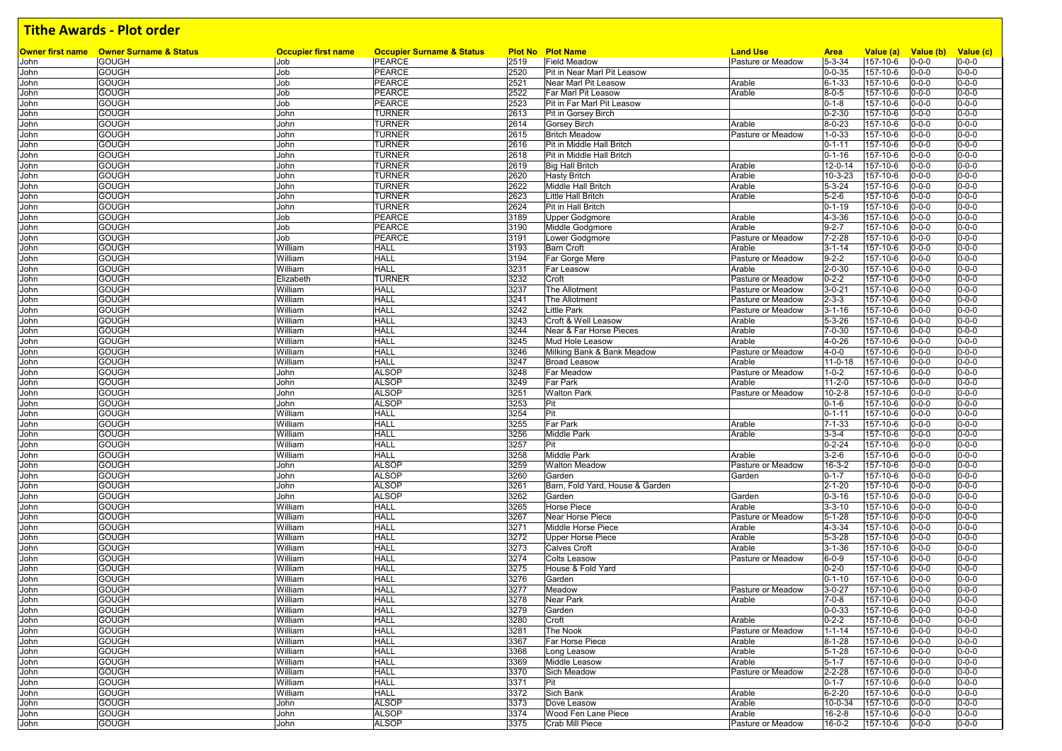|              | <b>Owner first name</b> Owner Surname & Status | <b>Occupier first name</b> | <b>Occupier Surname &amp; Status</b> |              | <b>Plot No Plot Name</b>                            | <b>Land Use</b>   | <b>Area</b>                  | Value (a)            | Value (b) Value (c)        |                            |
|--------------|------------------------------------------------|----------------------------|--------------------------------------|--------------|-----------------------------------------------------|-------------------|------------------------------|----------------------|----------------------------|----------------------------|
| John         | <b>GOUGH</b>                                   | Job                        | <b>PEARCE</b>                        | 2519         | <b>Field Meadow</b>                                 | Pasture or Meadow | $5 - 3 - 34$                 | 157-10-6             | $0 - 0 - 0$                | $0 - 0 - 0$                |
| John         | <b>GOUGH</b><br><b>GOUGH</b>                   | Job<br>Job                 | PEARCE<br>PEARCE                     | 2520<br>2521 | Pit in Near Marl Pit Leasow<br>Near Marl Pit Leasow |                   | $0 - 0 - 35$<br>$6 - 1 - 33$ | 157-10-6<br>157-10-6 | $0 - 0 - 0$<br>$0 - 0 - 0$ | $0 - 0 - 0$<br>$0 - 0 - 0$ |
| John         | <b>GOUGH</b>                                   | Job                        | PEARCE                               | 2522         | Far Marl Pit Leasow                                 | Arable<br>Arable  | $8 - 0 - 5$                  | 157-10-6             | $0 - 0 - 0$                | $0 - 0 - 0$                |
| John<br>John | <b>GOUGH</b>                                   | Job                        | PEARCE                               | 2523         | Pit in Far Marl Pit Leasow                          |                   | $0 - 1 - 8$                  | 157-10-6             | $0 - 0 - 0$                | $0 - 0 - 0$                |
| John         | <b>GOUGH</b>                                   | John                       | TURNER                               | 2613         | Pit in Gorsey Birch                                 |                   | $0 - 2 - 30$                 | 157-10-6             | $0 - 0 - 0$                | $0 - 0 - 0$                |
| John         | <b>GOUGH</b>                                   | John                       | TURNER                               | 2614         | Gorsey Birch                                        | Arable            | $8 - 0 - 23$                 | 157-10-6             | $0 - 0 - 0$                | $0 - 0 - 0$                |
| John         | <b>GOUGH</b>                                   | John                       | TURNER                               | 2615         | <b>Britch Meadow</b>                                | Pasture or Meadow | $1 - 0 - 33$                 | 157-10-6             | $0 - 0 - 0$                | $0 - 0 - 0$                |
| John         | <b>GOUGH</b>                                   | John                       | <b>TURNER</b>                        | 2616         | Pit in Middle Hall Britch                           |                   | $0 - 1 - 11$                 | 157-10-6             | $0 - 0 - 0$                | $0 - 0 - 0$                |
| John         | <b>GOUGH</b>                                   | John                       | <b>TURNER</b>                        | 2618         | Pit in Middle Hall Britch                           |                   | $0 - 1 - 16$                 | 157-10-6             | $0 - 0 - 0$                | $0 - 0 - 0$                |
| John         | <b>GOUGH</b>                                   | John                       | <b>TURNER</b>                        | 2619         | <b>Big Hall Britch</b>                              | Arable            | 12-0-14                      | 157-10-6             | $0 - 0 - 0$                | $0 - 0 - 0$                |
| John         | <b>GOUGH</b>                                   | John                       | <b>TURNER</b>                        | 2620         | <b>Hasty Britch</b>                                 | Arable            | $10 - 3 - 23$                | 157-10-6             | $0 - 0 - 0$                | $0 - 0 - 0$                |
| John         | <b>GOUGH</b>                                   | John                       | TURNER                               | 2622         | Middle Hall Britch                                  | Arable            | $5 - 3 - 24$                 | 157-10-6             | $0 - 0 - 0$                | $0 - 0 - 0$                |
| John         | <b>GOUGH</b>                                   | John                       | <b>TURNER</b>                        | 2623         | <b>Little Hall Britch</b>                           | Arable            | $5 - 2 - 6$                  | 157-10-6             | $0 - 0 - 0$                | $0 - 0 - 0$                |
| John         | <b>GOUGH</b>                                   | John                       | TURNER                               | 2624         | Pit in Hall Britch                                  |                   | $0 - 1 - 19$                 | 157-10-6             | $0 - 0 - 0$                | $0 - 0 - 0$                |
| John         | <b>GOUGH</b>                                   | Job                        | PEARCE                               | 3189         | Upper Godgmore                                      | Arable            | $4 - 3 - 36$                 | 157-10-6             | $0 - 0 - 0$                | $0 - 0 - 0$                |
| John         | <b>GOUGH</b>                                   | Job                        | PEARCE                               | 3190         | Middle Godgmore                                     | Arable            | $9 - 2 - 7$                  | 157-10-6             | $0 - 0 - 0$                | $0 - 0 - 0$                |
| John         | <b>GOUGH</b>                                   | Job                        | <b>PEARCE</b>                        | 3191         | Lower Godgmore                                      | Pasture or Meadow | $7 - 2 - 28$                 | 157-10-6             | $0 - 0 - 0$                | $0 - 0 - 0$                |
| John         | <b>GOUGH</b>                                   | William                    | HALL                                 | 3193         | <b>Barn Croft</b>                                   | Arable            | $3 - 1 - 14$                 | 157-10-6             | $0 - 0 - 0$                | $0 - 0 - 0$                |
| John         | <b>GOUGH</b>                                   | William                    | <b>HALL</b>                          | 3194         | Far Gorge Mere                                      | Pasture or Meadow | $9 - 2 - 2$                  | 157-10-6             | $0 - 0 - 0$                | $0 - 0 - 0$                |
| John         | <b>GOUGH</b>                                   | William                    | <b>HALL</b>                          | 3231         | Far Leasow                                          | Arable            | $2 - 0 - 30$                 | 157-10-6             | $0 - 0 - 0$                | $0 - 0 - 0$                |
| John         | <b>GOUGH</b>                                   | Elizabeth                  | <b>TURNER</b>                        | 3232         | Croft                                               | Pasture or Meadow | $0 - 2 - 2$                  | 157-10-6             | $0 - 0 - 0$                | $0 - 0 - 0$                |
| John         | <b>GOUGH</b>                                   | William                    | HALL                                 | 3237         | The Allotment                                       | Pasture or Meadow | $3 - 0 - 21$                 | 157-10-6             | $0 - 0 - 0$                | $0 - 0 - 0$                |
| John         | <b>GOUGH</b>                                   | William                    | <b>HALL</b>                          | 3241         | The Allotment                                       | Pasture or Meadow | $2 - 3 - 3$                  | 157-10-6             | $0 - 0 - 0$                | $0 - 0 - 0$                |
| John         | <b>GOUGH</b>                                   | William                    | <b>HALL</b>                          | 3242         | <b>Little Park</b>                                  | Pasture or Meadow | $3 - 1 - 16$                 | 157-10-6             | $0 - 0 - 0$                | $0 - 0 - 0$                |
| John         | <b>GOUGH</b>                                   | William                    | <b>HALL</b>                          | 3243         | Croft & Well Leasow                                 | Arable            | $5 - 3 - 26$                 | 157-10-6             | $0 - 0 - 0$                | $0 - 0 - 0$                |
| John         | <b>GOUGH</b>                                   | William                    | <b>HALL</b>                          | 3244         | Near & Far Horse Pieces                             | Arable            | $7 - 0 - 30$                 | 157-10-6             | $0 - 0 - 0$                | $0 - 0 - 0$                |
| John         | <b>GOUGH</b>                                   | William                    | <b>HALL</b>                          | 3245         | Mud Hole Leasow                                     | Arable            | $4 - 0 - 26$                 | 157-10-6             | $0 - 0 - 0$                | $0 - 0 - 0$                |
| John         | <b>GOUGH</b>                                   | William                    | <b>HALL</b>                          | 3246         | Milking Bank & Bank Meadow                          | Pasture or Meadow | $4 - 0 - 0$                  | 157-10-6             | $0 - 0 - 0$                | $0 - 0 - 0$                |
| John         | <b>GOUGH</b>                                   | William                    | <b>HALL</b>                          | 3247         | <b>Broad Leasow</b>                                 | Arable            | $11 - 0 - 18$                | 157-10-6             | $0 - 0 - 0$                | $0 - 0 - 0$                |
| John         | <b>GOUGH</b>                                   | John                       | <b>ALSOP</b>                         | 3248         | <b>Far Meadow</b>                                   | Pasture or Meadow | $1 - 0 - 2$                  | 157-10-6             | $0 - 0 - 0$                | $0 - 0 - 0$                |
| John         | <b>GOUGH</b>                                   | John                       | <b>ALSOP</b>                         | 3249         | <b>Far Park</b>                                     | Arable            | $11 - 2 - 0$                 | 157-10-6             | $0 - 0 - 0$                | $0 - 0 - 0$                |
| John         | <b>GOUGH</b>                                   | John                       | <b>ALSOP</b>                         | 3251         | <b>Walton Park</b>                                  | Pasture or Meadow | $10 - 2 - 8$                 | 157-10-6             | $0 - 0 - 0$                | $0 - 0 - 0$                |
| John         | <b>GOUGH</b>                                   | John                       | <b>ALSOP</b>                         | 3253         | Pit                                                 |                   | $0 - 1 - 6$                  | 157-10-6             | $0 - 0 - 0$                | $0 - 0 - 0$                |
| John         | <b>GOUGH</b>                                   | William                    | <b>HALL</b>                          | 3254         | Pit                                                 |                   | $0 - 1 - 11$                 | 157-10-6             | $0 - 0 - 0$                | $0 - 0 - 0$                |
| John         | <b>GOUGH</b>                                   | William                    | <b>HALL</b>                          | 3255         | Far Park                                            | Arable            | $7 - 1 - 33$                 | 157-10-6             | $0 - 0 - 0$                | $0 - 0 - 0$                |
| John         | <b>GOUGH</b>                                   | William                    | HALL                                 | 3256         | <b>Middle Park</b>                                  | Arable            | $3 - 3 - 4$                  | 157-10-6             | $0 - 0 - 0$                | $0 - 0 - 0$                |
| John         | <b>GOUGH</b>                                   | William                    | <b>HALL</b>                          | 3257         | Pit                                                 |                   | $0 - 2 - 24$                 | 157-10-6             | $0 - 0 - 0$                | $0 - 0 - 0$                |
| John         | <b>GOUGH</b>                                   | William                    | <b>HALL</b>                          | 3258         | <b>Middle Park</b>                                  | Arable            | $3 - 2 - 6$                  | 157-10-6             | $0 - 0 - 0$                | $0 - 0 - 0$                |
| John         | <b>GOUGH</b>                                   | John                       | <b>ALSOP</b>                         | 3259         | <b>Walton Meadow</b>                                | Pasture or Meadow | $16 - 3 - 2$                 | 157-10-6             | $0 - 0 - 0$                | $0 - 0 - 0$                |
| John         | <b>GOUGH</b>                                   | John                       | <b>ALSOP</b>                         | 3260         | Garden                                              | Garden            | $0 - 1 - 7$                  | 157-10-6             | $0 - 0 - 0$                | $0 - 0 - 0$                |
| John         | <b>GOUGH</b>                                   | John                       | <b>ALSOP</b>                         | 3261         | Barn, Fold Yard, House & Garden                     |                   | $2 - 1 - 20$                 | 157-10-6             | $0 - 0 - 0$                | $0 - 0 - 0$                |
| John         | <b>GOUGH</b>                                   | John                       | <b>ALSOP</b>                         | 3262         | Garden                                              | Garden            | $0 - 3 - 16$                 | 157-10-6             | $0 - 0 - 0$                | $0 - 0 - 0$                |
| John         | <b>GOUGH</b>                                   | William                    | <b>HALL</b>                          | 3265         | Horse Piece                                         | Arable            | $3 - 3 - 10$                 | 157-10-6             | $0 - 0 - 0$                | $0 - 0 - 0$                |
| John         | <b>GOUGH</b>                                   | William                    | <b>HALL</b>                          | 3267         | <b>Near Horse Piece</b>                             | Pasture or Meadow | $5 - 1 - 28$                 | 157-10-6             | $0 - 0 - 0$                | $0 - 0 - 0$                |
| John         | <b>GOUGH</b>                                   | William                    | <b>HALL</b>                          | 3271         | Middle Horse Piece                                  | Arable            | $4 - 3 - 34$                 | 157-10-6             | $0 - 0 - 0$                | $0 - 0 - 0$                |
| John         | <b>GOUGH</b>                                   | William                    | <b>HALL</b>                          | 3272         | <b>Upper Horse Piece</b>                            | Arable            | $5 - 3 - 28$                 | 157-10-6             | $0 - 0 - 0$                | $0 - 0 - 0$                |
| John         | <b>GOUGH</b>                                   | William                    | HALL                                 | 3273         | <b>Calves Croft</b>                                 | Arable            | $3 - 1 - 36$                 | 157-10-6             | $0 - 0 - 0$                | $0 - 0 - 0$                |
| John         | <b>GOUGH</b>                                   | William                    | <b>HALL</b>                          | 3274         | <b>Colts Leasow</b>                                 | Pasture or Meadow | $6 - 0 - 9$                  | 157-10-6             | $0 - 0 - 0$                | $0 - 0 - 0$                |
| John         | <b>GOUGH</b>                                   | William                    | HALL                                 | 3275         | House & Fold Yard                                   |                   | $0 - 2 - 0$                  | 157-10-6             | $0 - 0 - 0$                | $0 - 0 - 0$                |
| John         | <b>GOUGH</b>                                   | William                    | HALL                                 | 3276         | Garden                                              |                   | $0 - 1 - 10$                 | 157-10-6             | $0 - 0 - 0$                | $0 - 0 - 0$                |
| John         | <b>GOUGH</b>                                   | William                    | HALL                                 | 3277         | Meadow                                              | Pasture or Meadow | $3 - 0 - 27$                 | 157-10-6             | $0 - 0 - 0$                | $0 - 0 - 0$                |
| John         | <b>GOUGH</b>                                   | William                    | <b>HALL</b>                          | 3278         | Near Park                                           | Arable            | $7 - 0 - 8$                  | 157-10-6             | $0 - 0 - 0$                | $0 - 0 - 0$                |
| John         | <b>GOUGH</b>                                   | William                    | <b>HALL</b>                          | 3279         | Garden                                              |                   | $0 - 0 - 33$                 | 157-10-6             | $0 - 0 - 0$                | $0 - 0 - 0$                |
| John         | <b>GOUGH</b>                                   | William                    | <b>HALL</b>                          | 3280         | Croft                                               | Arable            | $0 - 2 - 2$                  | 157-10-6             | $0 - 0 - 0$                | $0 - 0 - 0$                |
| John         | <b>GOUGH</b>                                   | William                    | <b>HALL</b>                          | 3281         | The Nook                                            | Pasture or Meadow | $1 - 1 - 14$                 | 157-10-6             | $0 - 0 - 0$                | $0 - 0 - 0$                |
| John         | <b>GOUGH</b>                                   | William                    | <b>HALL</b>                          | 3367         | Far Horse Piece                                     | Arable            | $8 - 1 - 28$                 | 157-10-6             | $0 - 0 - 0$                | $0 - 0 - 0$                |
| John         | <b>GOUGH</b>                                   | William                    | <b>HALL</b>                          | 3368         | Long Leasow                                         | Arable            | $5 - 1 - 28$                 | 157-10-6             | $0 - 0 - 0$                | $0 - 0 - 0$                |
| John         | <b>GOUGH</b>                                   | William                    | <b>HALL</b>                          | 3369         | <b>Middle Leasow</b>                                | Arable            | $5 - 1 - 7$                  | 157-10-6             | $0 - 0 - 0$                | $0 - 0 - 0$                |
| John         | <b>GOUGH</b>                                   | William                    | <b>HALL</b>                          | 3370         | Sich Meadow                                         | Pasture or Meadow | $2 - 2 - 28$                 | 157-10-6             | $0 - 0 - 0$                | $0 - 0 - 0$                |
| John         | <b>GOUGH</b>                                   | William                    | <b>HALL</b>                          | 3371         | Pit                                                 |                   | $0 - 1 - 7$                  | 157-10-6             | $0 - 0 - 0$                | $0 - 0 - 0$                |
| John         | <b>GOUGH</b>                                   | William                    | <b>HALL</b>                          | 3372         | Sich Bank                                           | Arable            | $6 - 2 - 20$                 | 157-10-6             | $0 - 0 - 0$                | $0 - 0 - 0$                |
| John         | <b>GOUGH</b>                                   | John                       | <b>ALSOP</b>                         | 3373         | Dove Leasow                                         | Arable            | 10-0-34                      | 157-10-6             | $0 - 0 - 0$                | $0 - 0 - 0$                |
| John         | <b>GOUGH</b>                                   | John                       | <b>ALSOP</b>                         | 3374         | Wood Fen Lane Piece                                 | Arable            | $16 - 2 - 8$                 | 157-10-6             | $0 - 0 - 0$                | $0 - 0 - 0$                |
| John         | <b>GOUGH</b>                                   | John                       | <b>ALSOP</b>                         | 3375         | Crab Mill Piece                                     | Pasture or Meadow | $16 - 0 - 2$                 | 157-10-6             | $0 - 0 - 0$                | $0 - 0 - 0$                |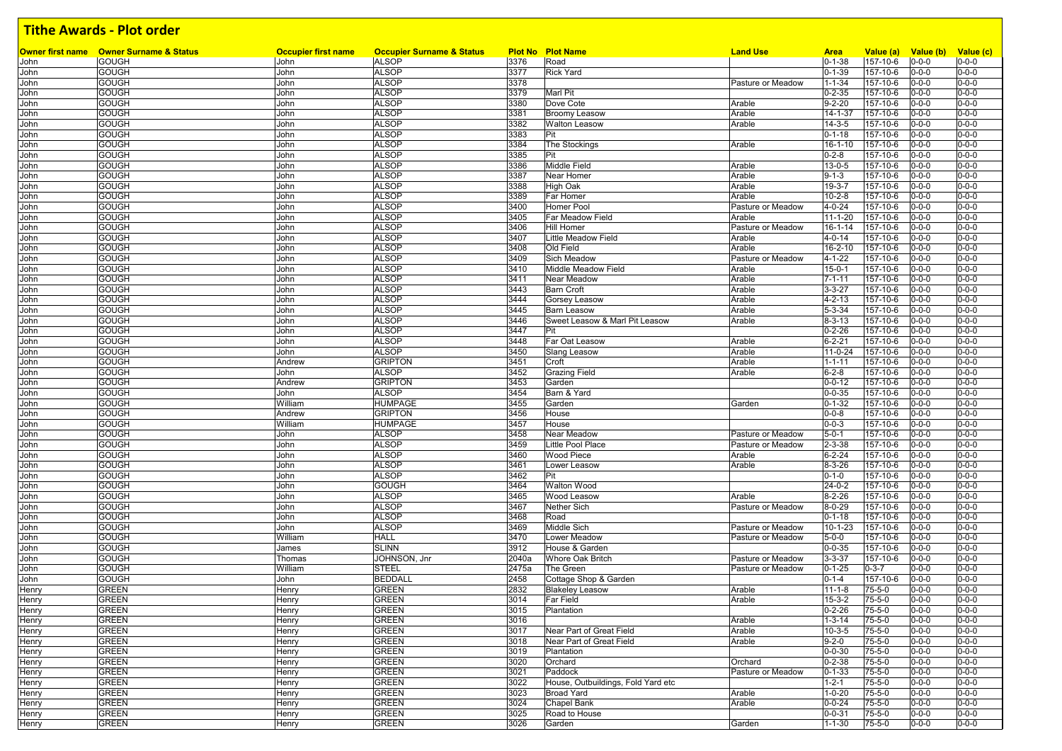|       | <b>Owner first name</b> Owner Surname & Status | <b>Occupier first name</b> | <b>Occupier Surname &amp; Status</b> |       | <b>Plot No Plot Name</b>           | <b>Land Use</b>   | <b>Area</b>   | Value (a)      | Value (b)   | Value (c)   |
|-------|------------------------------------------------|----------------------------|--------------------------------------|-------|------------------------------------|-------------------|---------------|----------------|-------------|-------------|
| John  | <b>GOUGH</b>                                   | John                       | <b>ALSOP</b>                         | 3376  | Road                               |                   | $0 - 1 - 38$  | 157-10-6       | $0 - 0 - 0$ | $0 - 0 - 0$ |
| John  | <b>GOUGH</b>                                   | John                       | <b>ALSOP</b>                         | 3377  | <b>Rick Yard</b>                   |                   | $0 - 1 - 39$  | 157-10-6       | $0 - 0 - 0$ | $0 - 0 - 0$ |
| John  | <b>GOUGH</b>                                   | John                       | <b>ALSOP</b>                         | 3378  |                                    | Pasture or Meadow | $1 - 1 - 34$  | 157-10-6       | $0 - 0 - 0$ | $0 - 0 - 0$ |
| John  | <b>GOUGH</b>                                   | John                       | <b>ALSOP</b>                         | 3379  | <b>Marl Pit</b>                    |                   | $0 - 2 - 35$  | 157-10-6       | $0 - 0 - 0$ | $0 - 0 - 0$ |
| John  | <b>GOUGH</b>                                   | John                       | <b>ALSOP</b>                         | 3380  | Dove Cote                          | Arable            | $9 - 2 - 20$  | 157-10-6       | $0 - 0 - 0$ | $0 - 0 - 0$ |
| John  | <b>GOUGH</b>                                   | John                       | <b>ALSOP</b>                         | 3381  | <b>Broomy Leasow</b>               | Arable            | 14-1-37       | 157-10-6       | $0 - 0 - 0$ | $0 - 0 - 0$ |
| John  | <b>GOUGH</b>                                   | John                       | <b>ALSOP</b>                         | 3382  | <b>Walton Leasow</b>               | Arable            | $14 - 3 - 5$  | 157-10-6       | $0 - 0 - 0$ | $0 - 0 - 0$ |
| John  | <b>GOUGH</b>                                   | John                       | <b>ALSOP</b>                         | 3383  | Pit                                |                   | $0 - 1 - 18$  | 157-10-6       | $0 - 0 - 0$ | $0 - 0 - 0$ |
| John  | <b>GOUGH</b>                                   | John                       | <b>ALSOP</b>                         | 3384  | The Stockings                      | Arable            | $16 - 1 - 10$ | 157-10-6       | $0 - 0 - 0$ | $0 - 0 - 0$ |
| John  | <b>GOUGH</b>                                   | John                       | <b>ALSOP</b>                         | 3385  | Pit                                |                   | $0 - 2 - 8$   | 157-10-6       | $0 - 0 - 0$ | $0 - 0 - 0$ |
| John  | <b>GOUGH</b>                                   | John                       | <b>ALSOP</b>                         | 3386  | <b>Middle Field</b>                | Arable            | $13 - 0 - 5$  | 157-10-6       | $0 - 0 - 0$ | $0 - 0 - 0$ |
| John  | <b>GOUGH</b>                                   | John                       | <b>ALSOP</b>                         | 3387  | Near Homer                         | Arable            | $9 - 1 - 3$   | $157 - 10 - 6$ | $0 - 0 - 0$ | $0 - 0 - 0$ |
| John  | <b>GOUGH</b>                                   | John                       | <b>ALSOP</b>                         | 3388  | <b>High Oak</b>                    | Arable            | $19 - 3 - 7$  | 157-10-6       | $0 - 0 - 0$ | $0 - 0 - 0$ |
| John  | <b>GOUGH</b>                                   | John                       | <b>ALSOP</b>                         | 3389  | Far Homer                          | Arable            | $10 - 2 - 8$  | 157-10-6       | $0 - 0 - 0$ | $0 - 0 - 0$ |
| John  | <b>GOUGH</b>                                   | John                       | <b>ALSOP</b>                         | 3400  | <b>Homer Pool</b>                  | Pasture or Meadow | $4 - 0 - 24$  | 157-10-6       | $0 - 0 - 0$ | $0 - 0 - 0$ |
| John  | <b>GOUGH</b>                                   | John                       | <b>ALSOP</b>                         | 3405  | Far Meadow Field                   | Arable            | $11 - 1 - 20$ | 157-10-6       | $0 - 0 - 0$ | $0 - 0 - 0$ |
| John  | <b>GOUGH</b>                                   | John                       | <b>ALSOP</b>                         | 3406  | <b>Hill Homer</b>                  | Pasture or Meadow | 16-1-14       | 157-10-6       | $0 - 0 - 0$ | $0 - 0 - 0$ |
| John  | <b>GOUGH</b>                                   | John                       | <b>ALSOP</b>                         | 3407  | Little Meadow Field                | Arable            | $4 - 0 - 14$  | 157-10-6       | $0 - 0 - 0$ | $0 - 0 - 0$ |
| John  | <b>GOUGH</b>                                   | John                       | <b>ALSOP</b>                         | 3408  | Old Field                          | Arable            | 16-2-10       | 157-10-6       | $0 - 0 - 0$ | $0 - 0 - 0$ |
| John  | <b>GOUGH</b>                                   | John                       | <b>ALSOP</b>                         | 3409  | Sich Meadow                        | Pasture or Meadow | $4 - 1 - 22$  | 157-10-6       | $0 - 0 - 0$ | $0 - 0 - 0$ |
| John  | <b>GOUGH</b>                                   | John                       | <b>ALSOP</b>                         | 3410  | Middle Meadow Field                | Arable            | $15 - 0 - 1$  | 157-10-6       | $0 - 0 - 0$ | $0 - 0 - 0$ |
| John  | <b>GOUGH</b>                                   | John                       | <b>ALSOP</b>                         | 3411  | Near Meadow                        | Arable            | $7 - 1 - 11$  | 157-10-6       | $0 - 0 - 0$ | $0 - 0 - 0$ |
| John  | <b>GOUGH</b>                                   | John                       | <b>ALSOP</b>                         | 3443  | <b>Barn Croft</b>                  | Arable            | $3 - 3 - 27$  | 157-10-6       | $0 - 0 - 0$ | $0 - 0 - 0$ |
| John  | <b>GOUGH</b>                                   | John                       | <b>ALSOP</b>                         | 3444  | <b>Gorsey Leasow</b>               | Arable            | $4 - 2 - 13$  | 157-10-6       | $0 - 0 - 0$ | $0 - 0 - 0$ |
| John  | <b>GOUGH</b>                                   | John                       | <b>ALSOP</b>                         | 3445  | <b>Barn Leasow</b>                 | Arable            | $5 - 3 - 34$  | 157-10-6       | $0 - 0 - 0$ | $0 - 0 - 0$ |
| John  | <b>GOUGH</b>                                   | John                       | <b>ALSOP</b>                         | 3446  | Sweet Leasow & Marl Pit Leasow     | Arable            | $8 - 3 - 13$  | 157-10-6       | $0 - 0 - 0$ | $0 - 0 - 0$ |
| John  | <b>GOUGH</b>                                   | John                       | <b>ALSOP</b>                         | 3447  | Pit                                |                   | $0 - 2 - 26$  | 157-10-6       | $0 - 0 - 0$ | $0 - 0 - 0$ |
| John  | <b>GOUGH</b>                                   | John                       | <b>ALSOP</b>                         | 3448  | Far Oat Leasow                     | Arable            | $6 - 2 - 21$  | 157-10-6       | $0 - 0 - 0$ | $0 - 0 - 0$ |
| John  | <b>GOUGH</b>                                   | John                       | <b>ALSOP</b>                         | 3450  | <b>Slang Leasow</b>                | Arable            | $11 - 0 - 24$ | 157-10-6       | $0 - 0 - 0$ | $0 - 0 - 0$ |
| John  | <b>GOUGH</b>                                   | Andrew                     | <b>GRIPTON</b>                       | 3451  | Croft                              | Arable            | $1 - 1 - 11$  | 157-10-6       | $0 - 0 - 0$ | $0 - 0 - 0$ |
| John  | <b>GOUGH</b>                                   | John                       | <b>ALSOP</b>                         | 3452  | <b>Grazing Field</b>               | Arable            | $6 - 2 - 8$   | 157-10-6       | $0 - 0 - 0$ | $0 - 0 - 0$ |
| John  | <b>GOUGH</b>                                   | Andrew                     | <b>GRIPTON</b>                       | 3453  | Garden                             |                   | $0 - 0 - 12$  | 157-10-6       | $0 - 0 - 0$ | $0 - 0 - 0$ |
| John  | <b>GOUGH</b>                                   | John                       | <b>ALSOP</b>                         | 3454  | Barn & Yard                        |                   | $0 - 0 - 35$  | 157-10-6       | $0 - 0 - 0$ | $0 - 0 - 0$ |
| John  | <b>GOUGH</b>                                   | William                    | <b>HUMPAGE</b>                       | 3455  | Garden                             | Garden            | $0 - 1 - 32$  | 157-10-6       | $0 - 0 - 0$ | $0 - 0 - 0$ |
| John  | <b>GOUGH</b>                                   | Andrew                     | <b>GRIPTON</b>                       | 3456  | House                              |                   | $0 - 0 - 8$   | 157-10-6       | $0 - 0 - 0$ | $0 - 0 - 0$ |
| John  | <b>GOUGH</b>                                   | William                    | HUMPAGE                              | 3457  | House                              |                   | $0 - 0 - 3$   | 157-10-6       | $0 - 0 - 0$ | $0 - 0 - 0$ |
| John  | <b>GOUGH</b>                                   | John                       | <b>ALSOP</b>                         | 3458  | Near Meadow                        | Pasture or Meadow | $5 - 0 - 1$   | 157-10-6       | $0 - 0 - 0$ | $0 - 0 - 0$ |
| John  | <b>GOUGH</b>                                   | John                       | <b>ALSOP</b>                         | 3459  | Little Pool Place                  | Pasture or Meadow | $2 - 3 - 38$  | 157-10-6       | $0 - 0 - 0$ | $0 - 0 - 0$ |
| John  | <b>GOUGH</b>                                   | John                       | <b>ALSOP</b>                         | 3460  | <b>Wood Piece</b>                  | Arable            | $6 - 2 - 24$  | 157-10-6       | $0 - 0 - 0$ | $0 - 0 - 0$ |
| John  | <b>GOUGH</b>                                   | John                       | <b>ALSOP</b>                         | 3461  | Lower Leasow                       | Arable            | $8 - 3 - 26$  | 157-10-6       | $0 - 0 - 0$ | $0 - 0 - 0$ |
| John  | <b>GOUGH</b>                                   | John                       | <b>ALSOP</b>                         | 3462  | Pit                                |                   | $0 - 1 - 0$   | 157-10-6       | $0 - 0 - 0$ | $0 - 0 - 0$ |
| John  | <b>GOUGH</b>                                   | John                       | GOUGH                                | 3464  | <b>Walton Wood</b>                 |                   | $24 - 0 - 2$  | 157-10-6       | $0 - 0 - 0$ | $0 - 0 - 0$ |
|       | <b>GOUGH</b>                                   | John                       | <b>ALSOP</b>                         | 3465  | Wood Leasow                        | Arable            | $8 - 2 - 26$  | 157-10-6       | $0 - 0 - 0$ | $0 - 0 - 0$ |
| John  |                                                |                            | <b>ALSOP</b>                         | 3467  |                                    |                   |               | 157-10-6       |             | $0 - 0 - 0$ |
| John  | <b>GOUGH</b>                                   | John                       |                                      |       | <b>Nether Sich</b>                 | Pasture or Meadow | $8 - 0 - 29$  |                | $0 - 0 - 0$ |             |
| John  | <b>GOUGH</b>                                   | John                       | <b>ALSOP</b>                         | 3468  | Road                               |                   | $0 - 1 - 18$  | 157-10-6       | $0 - 0 - 0$ | $0 - 0 - 0$ |
| John  | <b>GOUGH</b>                                   | John                       | <b>ALSOP</b>                         | 3469  | Middle Sich                        | Pasture or Meadow | $10 - 1 - 23$ | 157-10-6       | $0 - 0 - 0$ | $0 - 0 - 0$ |
| John  | <b>GOUGH</b>                                   | William                    | <b>HALL</b>                          | 3470  | Lower Meadow                       | Pasture or Meadow | $5 - 0 - 0$   | $157 - 10 - 6$ | $0 - 0 - 0$ | $0 - 0 - 0$ |
| John  | <b>GOUGH</b>                                   | James                      | <b>SLINN</b>                         | 3912  | House & Garden                     |                   | $0 - 0 - 35$  | 157-10-6       | $0 - 0 - 0$ | $0 - 0 - 0$ |
| John  | <b>GOUGH</b>                                   | Thomas                     | JOHNSON, Jnr                         | 2040a | <b>Whore Oak Britch</b>            | Pasture or Meadow | $3 - 3 - 37$  | 157-10-6       | $0 - 0 - 0$ | $0 - 0 - 0$ |
| John  | <b>GOUGH</b>                                   | William                    | STEEL                                | 2475a | The Green                          | Pasture or Meadow | $0 - 1 - 25$  | $0 - 3 - 7$    | $0 - 0 - 0$ | $0 - 0 - 0$ |
| John  | <b>GOUGH</b>                                   | John                       | <b>BEDDALL</b>                       | 2458  | Cottage Shop & Garden              |                   | $0 - 1 - 4$   | 157-10-6       | $0 - 0 - 0$ | $0 - 0 - 0$ |
| Henry | <b>GREEN</b>                                   | Henry                      | GREEN                                | 2832  | <b>Blakeley Leasow</b>             | Arable            | $11 - 1 - 8$  | $75 - 5 - 0$   | $0 - 0 - 0$ | $0 - 0 - 0$ |
| Henry | <b>GREEN</b>                                   | Henry                      | GREEN                                | 3014  | <b>Far Field</b>                   | Arable            | $15 - 3 - 2$  | $75 - 5 - 0$   | $0 - 0 - 0$ | $0 - 0 - 0$ |
| Henry | <b>GREEN</b>                                   | Henry                      | GREEN                                | 3015  | Plantation                         |                   | $0 - 2 - 26$  | 75-5-0         | $0 - 0 - 0$ | $0 - 0 - 0$ |
| Henry | <b>GREEN</b>                                   | Henry                      | GREEN                                | 3016  |                                    | Arable            | $1 - 3 - 14$  | $75 - 5 - 0$   | $0 - 0 - 0$ | $0 - 0 - 0$ |
| Henry | <b>GREEN</b>                                   | Henry                      | <b>GREEN</b>                         | 3017  | Near Part of Great Field           | Arable            | $10 - 3 - 5$  | $75 - 5 - 0$   | $0 - 0 - 0$ | $0 - 0 - 0$ |
| Henry | <b>GREEN</b>                                   | Henry                      | <b>GREEN</b>                         | 3018  | Near Part of Great Field           | Arable            | $9 - 2 - 0$   | $75 - 5 - 0$   | $0 - 0 - 0$ | $0 - 0 - 0$ |
| Henry | <b>GREEN</b>                                   | Henry                      | <b>GREEN</b>                         | 3019  | Plantation                         |                   | $0 - 0 - 30$  | $75 - 5 - 0$   | $0 - 0 - 0$ | $0 - 0 - 0$ |
| Henry | <b>GREEN</b>                                   | Henry                      | <b>GREEN</b>                         | 3020  | Orchard                            | Orchard           | $0 - 2 - 38$  | $75 - 5 - 0$   | $0 - 0 - 0$ | $0 - 0 - 0$ |
| Henry | <b>GREEN</b>                                   | Henry                      | <b>GREEN</b>                         | 3021  | Paddock                            | Pasture or Meadow | $0 - 1 - 33$  | $75 - 5 - 0$   | $0 - 0 - 0$ | $0 - 0 - 0$ |
| Henry | <b>GREEN</b>                                   | Henry                      | <b>GREEN</b>                         | 3022  | House, Outbuildings, Fold Yard etc |                   | $1 - 2 - 1$   | $75 - 5 - 0$   | $0 - 0 - 0$ | $0 - 0 - 0$ |
| Henry | <b>GREEN</b>                                   | Henry                      | <b>GREEN</b>                         | 3023  | <b>Broad Yard</b>                  | Arable            | $1 - 0 - 20$  | 75-5-0         | $0 - 0 - 0$ | $0 - 0 - 0$ |
| Henry | <b>GREEN</b>                                   | Henry                      | <b>GREEN</b>                         | 3024  | Chapel Bank                        | Arable            | $0 - 0 - 24$  | 75-5-0         | $0 - 0 - 0$ | $0 - 0 - 0$ |
| Henry | <b>GREEN</b>                                   | Henry                      | <b>GREEN</b>                         | 3025  | Road to House                      |                   | $0 - 0 - 31$  | 75-5-0         | $0 - 0 - 0$ | $0 - 0 - 0$ |
| Henry | <b>GREEN</b>                                   | Henry                      | <b>GREEN</b>                         | 3026  | Garden                             | Garden            | $1 - 1 - 30$  | 75-5-0         | $0 - 0 - 0$ | $0 - 0 - 0$ |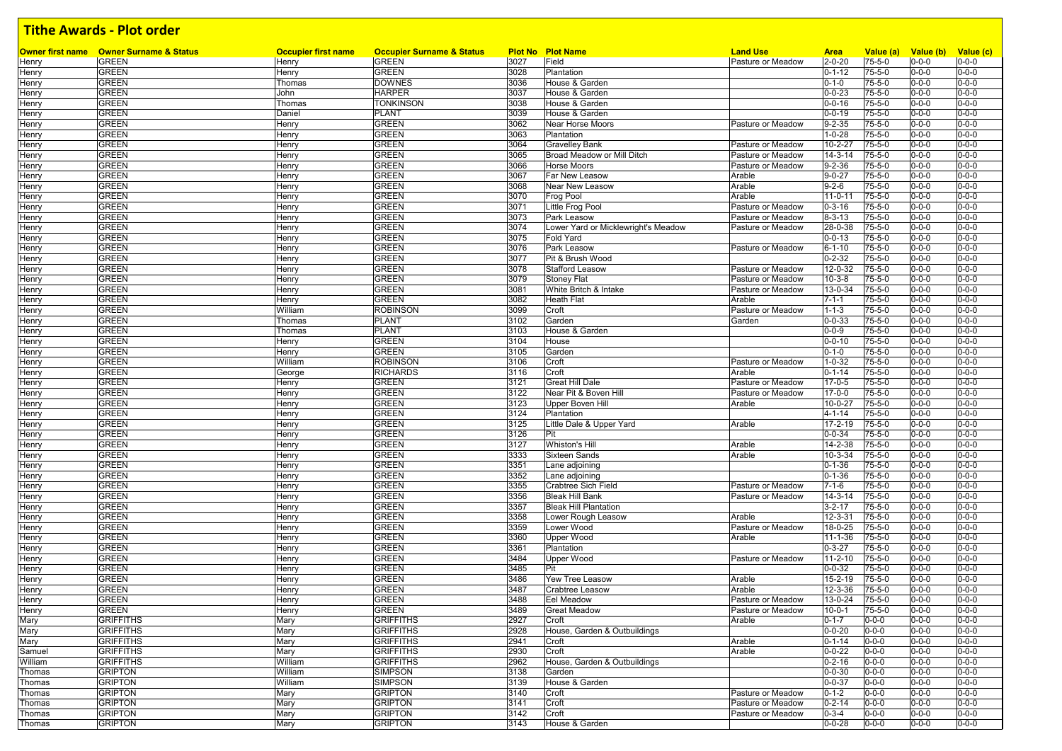|                | <b>Owner first name</b> Owner Surname & Status<br><b>GREEN</b> | <b>Occupier first name</b><br>Henry | <b>Occupier Surname &amp; Status</b><br><b>GREEN</b> | 3027 | <b>Plot No Plot Name</b><br>Field   | <b>Land Use</b><br>Pasture or Meadow | <b>Area</b><br>$2 - 0 - 20$ | Value (a)<br>75-5-0 | Value (b) Value (c)        | $0 - 0 - 0$ |
|----------------|----------------------------------------------------------------|-------------------------------------|------------------------------------------------------|------|-------------------------------------|--------------------------------------|-----------------------------|---------------------|----------------------------|-------------|
| Henry          | <b>GREEN</b>                                                   |                                     | <b>GREEN</b>                                         | 3028 |                                     |                                      | $0 - 1 - 12$                | $75 - 5 - 0$        | $0 - 0 - 0$<br>$0 - 0 - 0$ | $0 - 0 - 0$ |
| Henry          | <b>GREEN</b>                                                   | Henry<br>Thomas                     | <b>DOWNES</b>                                        | 3036 | Plantation<br>House & Garden        |                                      | $0 - 1 - 0$                 | $75 - 5 - 0$        | $0 - 0 - 0$                | $0 - 0 - 0$ |
| Henry<br>Henry | <b>GREEN</b>                                                   | John                                | <b>HARPER</b>                                        | 3037 | House & Garden                      |                                      | $0 - 0 - 23$                | $75 - 5 - 0$        | $0 - 0 - 0$                | $0 - 0 - 0$ |
| Henry          | <b>GREEN</b>                                                   | Thomas                              | Tonkinson                                            | 3038 | House & Garden                      |                                      | $0 - 0 - 16$                | 75-5-0              | $0 - 0 - 0$                | $0 - 0 - 0$ |
| Henry          | <b>GREEN</b>                                                   | Daniel                              | PLANT                                                | 3039 | House & Garden                      |                                      | $0 - 0 - 19$                | $75 - 5 - 0$        | $0 - 0 - 0$                | $0 - 0 - 0$ |
| Henry          | <b>GREEN</b>                                                   | Henry                               | <b>GREEN</b>                                         | 3062 | Near Horse Moors                    | Pasture or Meadow                    | $9 - 2 - 35$                | $75 - 5 - 0$        | $0 - 0 - 0$                | $0 - 0 - 0$ |
| Henry          | <b>GREEN</b>                                                   | Henry                               | <b>GREEN</b>                                         | 3063 | Plantation                          |                                      | $1 - 0 - 28$                | $75 - 5 - 0$        | $0 - 0 - 0$                | $0 - 0 - 0$ |
| Henry          | <b>GREEN</b>                                                   | Henry                               | <b>GREEN</b>                                         | 3064 | <b>Gravelley Bank</b>               | Pasture or Meadow                    | 10-2-27                     | $75 - 5 - 0$        | $0 - 0 - 0$                | $0 - 0 - 0$ |
| Henry          | <b>GREEN</b>                                                   | Henry                               | <b>GREEN</b>                                         | 3065 | Broad Meadow or Mill Ditch          | Pasture or Meadow                    | $14 - 3 - 14$               | $75 - 5 - 0$        | $0 - 0 - 0$                | $0 - 0 - 0$ |
| Henry          | <b>GREEN</b>                                                   | Henry                               | <b>GREEN</b>                                         | 3066 | Horse Moors                         | Pasture or Meadow                    | $9 - 2 - 36$                | 75-5-0              | $0 - 0 - 0$                | $0 - 0 - 0$ |
| Henry          | <b>GREEN</b>                                                   | Henry                               | <b>GREEN</b>                                         | 3067 | Far New Leasow                      | Arable                               | $9 - 0 - 27$                | $75 - 5 - 0$        | $0 - 0 - 0$                | $0 - 0 - 0$ |
| Henry          | <b>GREEN</b>                                                   | Henry                               | <b>GREEN</b>                                         | 3068 | Near New Leasow                     | Arable                               | $9 - 2 - 6$                 | $75 - 5 - 0$        | $0 - 0 - 0$                | $0 - 0 - 0$ |
| Henry          | <b>GREEN</b>                                                   | Henry                               | <b>GREEN</b>                                         | 3070 | Frog Pool                           | Arable                               | $11 - 0 - 11$               | 75-5-0              | $0 - 0 - 0$                | $0 - 0 - 0$ |
| Henry          | <b>GREEN</b>                                                   | Henry                               | <b>GREEN</b>                                         | 3071 | Little Frog Pool                    | Pasture or Meadow                    | $0 - 3 - 16$                | $75 - 5 - 0$        | $0 - 0 - 0$                | $0 - 0 - 0$ |
| Henry          | <b>GREEN</b>                                                   | Henry                               | <b>GREEN</b>                                         | 3073 | Park Leasow                         | Pasture or Meadow                    | $8 - 3 - 13$                | $75 - 5 - 0$        | $0 - 0 - 0$                | $0 - 0 - 0$ |
| Henry          | <b>GREEN</b>                                                   | Henry                               | <b>GREEN</b>                                         | 3074 | Lower Yard or Micklewright's Meadow | Pasture or Meadow                    | 28-0-38                     | $75 - 5 - 0$        | $0 - 0 - 0$                | $0 - 0 - 0$ |
| Henry          | <b>GREEN</b>                                                   | Henry                               | <b>GREEN</b>                                         | 3075 | <b>Fold Yard</b>                    |                                      | $0 - 0 - 13$                | $75 - 5 - 0$        | $0 - 0 - 0$                | $0 - 0 - 0$ |
| Henry          | <b>GREEN</b>                                                   | Henry                               | <b>GREEN</b>                                         | 3076 | Park Leasow                         | Pasture or Meadow                    | $6 - 1 - 10$                | $75 - 5 - 0$        | $0 - 0 - 0$                | $0 - 0 - 0$ |
| Henry          | <b>GREEN</b>                                                   | Henry                               | <b>GREEN</b>                                         | 3077 | Pit & Brush Wood                    |                                      | $0 - 2 - 32$                | $75 - 5 - 0$        | $0 - 0 - 0$                | $0 - 0 - 0$ |
| Henry          | <b>GREEN</b>                                                   | Henry                               | <b>GREEN</b>                                         | 3078 | <b>Stafford Leasow</b>              | Pasture or Meadow                    | 12-0-32                     | $75 - 5 - 0$        | $0 - 0 - 0$                | $0 - 0 - 0$ |
| Henry          | <b>GREEN</b>                                                   | Henry                               | <b>GREEN</b>                                         | 3079 | <b>Stoney Flat</b>                  | Pasture or Meadow                    | $10 - 3 - 8$                | 75-5-0              | $0 - 0 - 0$                | $0 - 0 - 0$ |
| Henry          | <b>GREEN</b>                                                   | Henry                               | <b>GREEN</b>                                         | 3081 | White Britch & Intake               | Pasture or Meadow                    | 13-0-34                     | $75 - 5 - 0$        | $0 - 0 - 0$                | $0 - 0 - 0$ |
| Henry          | <b>GREEN</b>                                                   | Henry                               | <b>GREEN</b>                                         | 3082 | <b>Heath Flat</b>                   | Arable                               | $7 - 1 - 1$                 | 75-5-0              | $0 - 0 - 0$                | $0 - 0 - 0$ |
| Henry          | <b>GREEN</b>                                                   | William                             | <b>ROBINSON</b>                                      | 3099 | Croft                               | Pasture or Meadow                    | $1 - 1 - 3$                 | $75 - 5 - 0$        | $0 - 0 - 0$                | $0 - 0 - 0$ |
| Henry          | <b>GREEN</b>                                                   | Thomas                              | <b>PLANT</b>                                         | 3102 | Garden                              | Garden                               | $0 - 0 - 33$                | $75 - 5 - 0$        | $0 - 0 - 0$                | $0 - 0 - 0$ |
| Henry          | <b>GREEN</b>                                                   | Thomas                              | <b>PLANT</b>                                         | 3103 | House & Garden                      |                                      | $0 - 0 - 9$                 | $75 - 5 - 0$        | $0 - 0 - 0$                | $0 - 0 - 0$ |
| Henry          | <b>GREEN</b>                                                   | Henry                               | <b>GREEN</b>                                         | 3104 | House                               |                                      | $0 - 0 - 10$                | $75 - 5 - 0$        | $0 - 0 - 0$                | $0 - 0 - 0$ |
| Henry          | <b>GREEN</b>                                                   | Henry                               | <b>GREEN</b>                                         | 3105 | Garden                              |                                      | $0 - 1 - 0$                 | 75-5-0              | $0 - 0 - 0$                | $0 - 0 - 0$ |
| Henry          | <b>GREEN</b>                                                   | William                             | <b>ROBINSON</b>                                      | 3106 | Croft                               | Pasture or Meadow                    | $1 - 0 - 32$                | $75 - 5 - 0$        | $0 - 0 - 0$                | $0 - 0 - 0$ |
| Henry          | <b>GREEN</b>                                                   | George                              | <b>RICHARDS</b>                                      | 3116 | Croft                               | Arable                               | $0 - 1 - 14$                | $75 - 5 - 0$        | $0 - 0 - 0$                | $0 - 0 - 0$ |
| Henry          | <b>GREEN</b>                                                   | Henry                               | <b>GREEN</b>                                         | 3121 | <b>Great Hill Dale</b>              | Pasture or Meadow                    | $17 - 0 - 5$                | $75 - 5 - 0$        | $0 - 0 - 0$                | $0 - 0 - 0$ |
| Henry          | <b>GREEN</b>                                                   | Henry                               | <b>GREEN</b>                                         | 3122 | Near Pit & Boven Hill               | Pasture or Meadow                    | 17-0-0                      | $75 - 5 - 0$        | $0 - 0 - 0$                | $0 - 0 - 0$ |
| Henry          | <b>GREEN</b>                                                   | Henry                               | <b>GREEN</b>                                         | 3123 | <b>Upper Boven Hill</b>             | Arable                               | $10 - 0 - 27$               | $75 - 5 - 0$        | $0 - 0 - 0$                | $0 - 0 - 0$ |
| Henry          | <b>GREEN</b>                                                   | Henry                               | <b>GREEN</b>                                         | 3124 | Plantation                          |                                      | $4 - 1 - 14$                | 75-5-0              | $0 - 0 - 0$                | $0 - 0 - 0$ |
| Henry          | <b>GREEN</b>                                                   | Henry                               | <b>GREEN</b>                                         | 3125 | Little Dale & Upper Yard            | Arable                               | 17-2-19                     | $75 - 5 - 0$        | $0 - 0 - 0$                | $0 - 0 - 0$ |
| Henry          | <b>GREEN</b>                                                   | Henry                               | <b>GREEN</b>                                         | 3126 | Pit                                 |                                      | $0 - 0 - 34$                | 75-5-0              | $0 - 0 - 0$                | $0 - 0 - 0$ |
| Henry          | <b>GREEN</b>                                                   | Henry                               | <b>GREEN</b>                                         | 3127 | <b>Whiston's Hill</b>               | Arable                               | 14-2-38                     | $75 - 5 - 0$        | $0 - 0 - 0$                | $0 - 0 - 0$ |
| Henry          | <b>GREEN</b>                                                   | Henry                               | <b>GREEN</b>                                         | 3333 | Sixteen Sands                       | Arable                               | 10-3-34                     | $75 - 5 - 0$        | $0 - 0 - 0$                | $0 - 0 - 0$ |
| Henry          | <b>GREEN</b>                                                   | Henry                               | <b>GREEN</b>                                         | 3351 | Lane adjoining                      |                                      | $0 - 1 - 36$                | $75 - 5 - 0$        | $0 - 0 - 0$                | $0 - 0 - 0$ |
| Henry          | <b>GREEN</b>                                                   | Henry                               | <b>GREEN</b>                                         | 3352 | Lane adjoining                      |                                      | $0 - 1 - 36$                | $75 - 5 - 0$        | $0 - 0 - 0$                | $0 - 0 - 0$ |
| Henry          | <b>GREEN</b>                                                   | Henry                               | <b>GREEN</b>                                         | 3355 | <b>Crabtree Sich Field</b>          | Pasture or Meadow                    | $7 - 1 - 6$                 | $75 - 5 - 0$        | $0 - 0 - 0$                | $0 - 0 - 0$ |
| Henry          | <b>GREEN</b>                                                   | Henry                               | <b>GREEN</b>                                         | 3356 | <b>Bleak Hill Bank</b>              | Pasture or Meadow                    | $14 - 3 - 14$               | $75 - 5 - 0$        | $0 - 0 - 0$                | $0 - 0 - 0$ |
| Henry          | <b>GREEN</b>                                                   | Henry                               | <b>GREEN</b>                                         | 3357 | <b>Bleak Hill Plantation</b>        |                                      | $3 - 2 - 17$                | $75 - 5 - 0$        | $0 - 0 - 0$                | $0 - 0 - 0$ |
| Henry          | <b>GREEN</b>                                                   | Henry                               | <b>GREEN</b>                                         | 3358 | Lower Rough Leasow                  | Arable                               | 12-3-31                     | $75 - 5 - 0$        | $0 - 0 - 0$                | $0 - 0 - 0$ |
| Henry          | <b>GREEN</b>                                                   | Henry                               | <b>GREEN</b>                                         | 3359 | Lower Wood                          | Pasture or Meadow                    | 18-0-25                     | 75-5-0              | $0 - 0 - 0$                | $0 - 0 - 0$ |
| Henry          | <b>GREEN</b>                                                   | Henry                               | <b>GREEN</b>                                         | 3360 | <b>Upper Wood</b>                   | Arable                               | $11 - 1 - 36$               | $75 - 5 - 0$        | $0 - 0 - 0$                | $0 - 0 - 0$ |
| Henry          | <b>GREEN</b>                                                   | Henry                               | <b>GREEN</b>                                         | 3361 | Plantation                          |                                      | $0 - 3 - 27$                | 75-5-0              | $0 - 0 - 0$                | $0 - 0 - 0$ |
| Henry          | <b>GREEN</b>                                                   | Henry                               | <b>GREEN</b>                                         | 3484 | Upper Wood                          | Pasture or Meadow                    | $11 - 2 - 10$               | $75 - 5 - 0$        | $0 - 0 - 0$                | $0 - 0 - 0$ |
| Henry          | <b>GREEN</b>                                                   | Henry                               | <b>GREEN</b>                                         | 3485 | Pit                                 |                                      | $0 - 0 - 32$                | $75 - 5 - 0$        | $0 - 0 - 0$                | $0 - 0 - 0$ |
| Henry          | <b>GREEN</b>                                                   | Henry                               | <b>GREEN</b>                                         | 3486 | Yew Tree Leasow                     | Arable                               | 15-2-19                     | $75 - 5 - 0$        | $0 - 0 - 0$                | $0 - 0 - 0$ |
| Henry          | <b>GREEN</b>                                                   | Henry                               | <b>GREEN</b>                                         | 3487 | <b>Crabtree Leasow</b>              | Arable                               | 12-3-36                     | $75 - 5 - 0$        | $0 - 0 - 0$                | $0 - 0 - 0$ |
| Henry          | <b>GREEN</b>                                                   | Henry                               | <b>GREEN</b>                                         | 3488 | <b>Eel Meadow</b>                   | Pasture or Meadow                    | 13-0-24                     | $75 - 5 - 0$        | $0 - 0 - 0$                | $0 - 0 - 0$ |
| Henry          | GREEN                                                          | Henry                               | GREEN                                                | 3489 | <b>Great Meadow</b>                 | Pasture or Meadow                    | $10 - 0 - 1$                | 75-5-0              | $0 - 0 - 0$                | $0 - 0 - 0$ |
| Mary           | <b>GRIFFITHS</b>                                               | Mary                                | <b>GRIFFITHS</b>                                     | 2927 | Croft                               | Arable                               | $0 - 1 - 7$                 | $0 - 0 - 0$         | $0 - 0 - 0$                | $0 - 0 - 0$ |
| Mary           | <b>GRIFFITHS</b>                                               | Mary                                | <b>GRIFFITHS</b>                                     | 2928 | House, Garden & Outbuildings        |                                      | $0 - 0 - 20$                | $0 - 0 - 0$         | $0 - 0 - 0$                | $0 - 0 - 0$ |
| Mary           | <b>GRIFFITHS</b>                                               | Mary                                | <b>GRIFFITHS</b>                                     | 2941 | Croft                               | Arable                               | $0 - 1 - 14$                | $0 - 0 - 0$         | $0 - 0 - 0$                | $0 - 0 - 0$ |
| Samuel         | <b>GRIFFITHS</b>                                               | Mary                                | <b>GRIFFITHS</b>                                     | 2930 | Croft                               | Arable                               | $0 - 0 - 22$                | $0 - 0 - 0$         | $0 - 0 - 0$                | $0 - 0 - 0$ |
| William        | <b>GRIFFITHS</b>                                               | William                             | <b>GRIFFITHS</b>                                     | 2962 | House, Garden & Outbuildings        |                                      | $0 - 2 - 16$                | $0 - 0 - 0$         | $0 - 0 - 0$                | $0 - 0 - 0$ |
| Thomas         | <b>GRIPTON</b>                                                 | William                             | <b>SIMPSON</b>                                       | 3138 | Garden                              |                                      | $0 - 0 - 30$                | $0 - 0 - 0$         | $0 - 0 - 0$                | $0 - 0 - 0$ |
| Thomas         | <b>GRIPTON</b>                                                 | William                             | <b>SIMPSON</b>                                       | 3139 | House & Garden                      |                                      | $0 - 0 - 37$                | $0 - 0 - 0$         | $0 - 0 - 0$                | $0 - 0 - 0$ |
| Thomas         | <b>GRIPTON</b>                                                 | Mary                                | <b>GRIPTON</b>                                       | 3140 | Croft                               | Pasture or Meadow                    | $0 - 1 - 2$                 | $0 - 0 - 0$         | $0 - 0 - 0$                | $0 - 0 - 0$ |
| Thomas         | <b>GRIPTON</b>                                                 | Mary                                | <b>GRIPTON</b>                                       | 3141 | Croft                               | Pasture or Meadow                    | $0 - 2 - 14$                | $0 - 0 - 0$         | $0 - 0 - 0$                | $0 - 0 - 0$ |
| Thomas         | <b>GRIPTON</b>                                                 | Mary                                | <b>GRIPTON</b>                                       | 3142 | Croft                               | Pasture or Meadow                    | $0 - 3 - 4$                 | $0 - 0 - 0$         | $0 - 0 - 0$                | $0 - 0 - 0$ |
| Thomas         | <b>GRIPTON</b>                                                 | Mary                                | <b>GRIPTON</b>                                       | 3143 | House & Garden                      |                                      | $0 - 0 - 28$                | $0 - 0 - 0$         | $0 - 0 - 0$                | $0 - 0 - 0$ |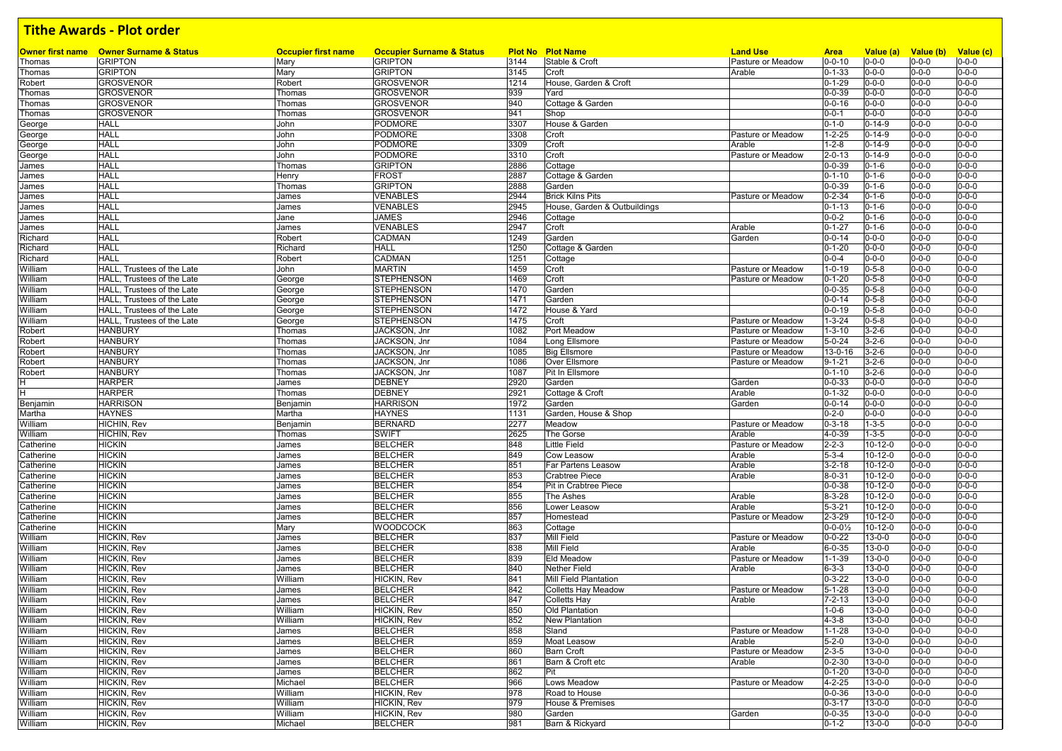| <b>Owner first name</b> | <b>Owner Surname &amp; Status</b> | <b>Occupier first name</b> | <b>Occupier Surname &amp; Status</b> |      | <b>Plot No Plot Name</b>     | <b>Land Use</b>   | <b>Area</b>            | Value (a)     | Value (b)   | Value (c)   |
|-------------------------|-----------------------------------|----------------------------|--------------------------------------|------|------------------------------|-------------------|------------------------|---------------|-------------|-------------|
| Thomas                  | <b>GRIPTON</b>                    | Mary                       | <b>GRIPTON</b>                       | 3144 | Stable & Croft               | Pasture or Meadow | $0 - 0 - 10$           | $0 - 0 - 0$   | $0 - 0 - 0$ | $0 - 0 - 0$ |
| Thomas                  | <b>GRIPTON</b>                    | Mary                       | <b>GRIPTON</b>                       | 3145 | Croft                        | Arable            | $0 - 1 - 33$           | $0 - 0 - 0$   | $0 - 0 - 0$ | $0 - 0 - 0$ |
| Robert                  | <b>GROSVENOR</b>                  | Robert                     | <b>GROSVENOR</b>                     | 1214 | House, Garden & Croft        |                   | $0 - 1 - 29$           | $0 - 0 - 0$   | $0 - 0 - 0$ | $0 - 0 - 0$ |
| Thomas                  | <b>GROSVENOR</b>                  | Thomas                     | GROSVENOR                            | 939  | Yard                         |                   | $0 - 0 - 39$           | $0 - 0 - 0$   | $0 - 0 - 0$ | $0 - 0 - 0$ |
| Thomas                  | <b>GROSVENOR</b>                  | Thomas                     | <b>GROSVENOR</b>                     | 940  | Cottage & Garden             |                   | $0 - 0 - 16$           | $0 - 0 - 0$   | $0 - 0 - 0$ | $0 - 0 - 0$ |
| Thomas                  | <b>GROSVENOR</b>                  | Thomas                     | GROSVENOR                            | 941  | Shop                         |                   | $0 - 0 - 1$            | $0 - 0 - 0$   | $0 - 0 - 0$ | $0 - 0 - 0$ |
| George                  | HALL                              | John                       | PODMORE                              | 3307 | House & Garden               |                   | $0 - 1 - 0$            | $0 - 14 - 9$  | $0 - 0 - 0$ | $0 - 0 - 0$ |
| George                  | HALL                              | John                       | PODMORE                              | 3308 | Croft                        | Pasture or Meadow | $1 - 2 - 25$           | $0 - 14 - 9$  | $0 - 0 - 0$ | $0 - 0 - 0$ |
| George                  | HALL                              | John                       | PODMORE                              | 3309 | Croft                        | Arable            | $1 - 2 - 8$            | $0 - 14 - 9$  | $0 - 0 - 0$ | $0 - 0 - 0$ |
| George                  | HALL                              | John                       | <b>PODMORE</b>                       | 3310 | Croft                        | Pasture or Meadow | $2 - 0 - 13$           | $0 - 14 - 9$  | $0 - 0 - 0$ | $0 - 0 - 0$ |
| James                   | <b>HALL</b>                       | Thomas                     | <b>GRIPTON</b>                       | 2886 | Cottage                      |                   | $0 - 0 - 39$           | $0 - 1 - 6$   | $0 - 0 - 0$ | $0 - 0 - 0$ |
| James                   | HALL                              | Henry                      | <b>FROST</b>                         | 2887 | Cottage & Garden             |                   | $0 - 1 - 10$           | $0 - 1 - 6$   | $0 - 0 - 0$ | $0 - 0 - 0$ |
|                         | HALL                              |                            | <b>GRIPTON</b>                       | 2888 | Garden                       |                   | $0 - 0 - 39$           | $0 - 1 - 6$   | $0 - 0 - 0$ | $0 - 0 - 0$ |
| James                   |                                   | Thomas                     |                                      |      |                              |                   |                        |               |             |             |
| James                   | HALL                              | James                      | <b>VENABLES</b>                      | 2944 | <b>Brick Kilns Pits</b>      | Pasture or Meadow | $0 - 2 - 34$           | $0 - 1 - 6$   | $0 - 0 - 0$ | $0 - 0 - 0$ |
| James                   | <b>HALL</b>                       | James                      | <b>VENABLES</b>                      | 2945 | House, Garden & Outbuildings |                   | $0 - 1 - 13$           | $0 - 1 - 6$   | $0 - 0 - 0$ | $0 - 0 - 0$ |
| James                   | HALL                              | Jane                       | JAMES                                | 2946 | Cottage                      |                   | $0 - 0 - 2$            | $0 - 1 - 6$   | $0 - 0 - 0$ | $0 - 0 - 0$ |
| James                   | HALL                              | James                      | VENABLES                             | 2947 | Croft                        | Arable            | $0 - 1 - 27$           | $0 - 1 - 6$   | $0 - 0 - 0$ | $0 - 0 - 0$ |
| Richard                 | HALL                              | Robert                     | CADMAN                               | 1249 | Garden                       | Garden            | $0 - 0 - 14$           | $0 - 0 - 0$   | 0-0-0       | $0 - 0 - 0$ |
| Richard                 | HALL                              | Richard                    | <b>HALL</b>                          | 1250 | Cottage & Garden             |                   | $0 - 1 - 20$           | $0 - 0 - 0$   | $0 - 0 - 0$ | $0 - 0 - 0$ |
| Richard                 | HALL                              | Robert                     | CADMAN                               | 1251 | Cottage                      |                   | $0 - 0 - 4$            | $0 - 0 - 0$   | $0 - 0 - 0$ | $0 - 0 - 0$ |
| William                 | HALL, Trustees of the Late        | John                       | <b>MARTIN</b>                        | 1459 | Croft                        | Pasture or Meadow | $1 - 0 - 19$           | $0 - 5 - 8$   | $0 - 0 - 0$ | $0 - 0 - 0$ |
| William                 | HALL, Trustees of the Late        | George                     | <b>STEPHENSON</b>                    | 1469 | Croft                        | Pasture or Meadow | $0 - 1 - 20$           | $0 - 5 - 8$   | $0 - 0 - 0$ | $0 - 0 - 0$ |
| William                 | HALL, Trustees of the Late        | George                     | <b>STEPHENSON</b>                    | 1470 | Garden                       |                   | $0 - 0 - 35$           | $0 - 5 - 8$   | $0 - 0 - 0$ | $0 - 0 - 0$ |
| William                 | HALL, Trustees of the Late        | George                     | <b>STEPHENSON</b>                    | 1471 | Garden                       |                   | $0 - 0 - 14$           | $0 - 5 - 8$   | $0 - 0 - 0$ | $0 - 0 - 0$ |
|                         |                                   |                            |                                      |      | House & Yard                 |                   |                        | $0 - 5 - 8$   |             |             |
| William                 | HALL, Trustees of the Late        | George                     | <b>STEPHENSON</b>                    | 1472 |                              |                   | $0 - 0 - 19$           |               | $0 - 0 - 0$ | $0 - 0 - 0$ |
| William                 | HALL, Trustees of the Late        | George                     | <b>STEPHENSON</b>                    | 1475 | Croft                        | Pasture or Meadow | $1 - 3 - 24$           | $0 - 5 - 8$   | $0 - 0 - 0$ | $0 - 0 - 0$ |
| Robert                  | <b>HANBURY</b>                    | Thomas                     | JACKSON, Jnr                         | 1082 | Port Meadow                  | Pasture or Meadow | $1 - 3 - 10$           | $3 - 2 - 6$   | $0 - 0 - 0$ | $0 - 0 - 0$ |
| Robert                  | <b>HANBURY</b>                    | Thomas                     | JACKSON, Jnr                         | 1084 | Long Ellsmore                | Pasture or Meadow | $5 - 0 - 24$           | $3 - 2 - 6$   | $0 - 0 - 0$ | $0 - 0 - 0$ |
| Robert                  | <b>HANBURY</b>                    | Thomas                     | JACKSON, Jnr                         | 1085 | <b>Big Ellsmore</b>          | Pasture or Meadow | 13-0-16                | $3 - 2 - 6$   | $0 - 0 - 0$ | $0 - 0 - 0$ |
| Robert                  | <b>HANBURY</b>                    | Thomas                     | JACKSON, Jnr                         | 1086 | Over Ellsmore                | Pasture or Meadow | $9 - 1 - 21$           | $3 - 2 - 6$   | $0 - 0 - 0$ | $0 - 0 - 0$ |
| Robert                  | <b>HANBURY</b>                    | Thomas                     | JACKSON, Jnr                         | 1087 | Pit In Ellsmore              |                   | $0 - 1 - 10$           | $3 - 2 - 6$   | $0 - 0 - 0$ | $0 - 0 - 0$ |
|                         | HARPER                            | James                      | <b>DEBNEY</b>                        | 2920 | Garden                       | Garden            | $0 - 0 - 33$           | $0 - 0 - 0$   | $0 - 0 - 0$ | $0 - 0 - 0$ |
| н                       | <b>HARPER</b>                     | Thomas                     | <b>DEBNEY</b>                        | 2921 | Cottage & Croft              | Arable            | $0 - 1 - 32$           | $0 - 0 - 0$   | $0 - 0 - 0$ | $0 - 0 - 0$ |
| Benjamin                | <b>HARRISON</b>                   | Benjamin                   | <b>HARRISON</b>                      | 1972 | Garden                       | Garden            | $0 - 0 - 14$           | $0 - 0 - 0$   | $0 - 0 - 0$ | $0 - 0 - 0$ |
| Martha                  | <b>HAYNES</b>                     | Martha                     | HAYNES                               | 1131 | Garden, House & Shop         |                   | $0 - 2 - 0$            | $0 - 0 - 0$   | $0 - 0 - 0$ | $0 - 0 - 0$ |
| William                 | HICHIN, Rev                       | Benjamin                   | <b>BERNARD</b>                       | 2277 | Meadow                       | Pasture or Meadow | $0 - 3 - 18$           | $1 - 3 - 5$   | $0 - 0 - 0$ | $0 - 0 - 0$ |
| William                 | HICHIN, Rev                       | Thomas                     | <b>SWIFT</b>                         | 2625 | The Gorse                    | Arable            | 4-0-39                 | $1 - 3 - 5$   | 0-0-0       | $0 - 0 - 0$ |
|                         | <b>HICKIN</b>                     | James                      | <b>BELCHER</b>                       | 848  | <b>Little Field</b>          | Pasture or Meadow | $2 - 2 - 3$            | $10 - 12 - 0$ | $0 - 0 - 0$ | $0 - 0 - 0$ |
| Catherine               |                                   |                            |                                      |      |                              |                   |                        |               |             | $0 - 0 - 0$ |
| Catherine               | <b>HICKIN</b>                     | James                      | BELCHER                              | 849  | Cow Leasow                   | Arable            | $5 - 3 - 4$            | $10 - 12 - 0$ | $0 - 0 - 0$ |             |
| Catherine               | <b>HICKIN</b>                     | James                      | <b>BELCHER</b>                       | 851  | Far Partens Leasow           | Arable            | $3 - 2 - 18$           | $10 - 12 - 0$ | $0 - 0 - 0$ | $0 - 0 - 0$ |
| Catherine               | <b>HICKIN</b>                     | James                      | <b>BELCHER</b>                       | 853  | <b>Crabtree Piece</b>        | Arable            | $8 - 0 - 31$           | $10 - 12 - 0$ | $0 - 0 - 0$ | $0 - 0 - 0$ |
| Catherine               | <b>HICKIN</b>                     | James                      | <b>BELCHER</b>                       | 854  | Pit in Crabtree Piece        |                   | $0 - 0 - 38$           | $10 - 12 - 0$ | $0 - 0 - 0$ | $0 - 0 - 0$ |
| Catherine               | <b>HICKIN</b>                     | James                      | <b>BELCHER</b>                       | 855  | The Ashes                    | Arable            | 8-3-28                 | $10 - 12 - 0$ | $0 - 0 - 0$ | $0 - 0 - 0$ |
| Catherine               | <b>HICKIN</b>                     | James                      | <b>BELCHER</b>                       | 856  | Lower Leasow                 | Arable            | $5 - 3 - 21$           | $10 - 12 - 0$ | 0-0-0       | $0 - 0 - 0$ |
| Catherine               | <b>HICKIN</b>                     | James                      | <b>BELCHER</b>                       | 857  | Homestead                    | Pasture or Meadow | $2 - 3 - 29$           | $10 - 12 - 0$ | $0 - 0 - 0$ | $0 - 0 - 0$ |
| Catherine               | <b>HICKIN</b>                     | Mary                       | WOODCOCK                             | 863  | Cottage                      |                   | $0 - 0 - 0\frac{1}{2}$ | $10 - 12 - 0$ | $0 - 0 - 0$ | $0 - 0 - 0$ |
| William                 | HICKIN, Rev                       | James                      | <b>BELCHER</b>                       | 837  | Mill Field                   | Pasture or Meadow | $0 - 0 - 22$           | $13 - 0 - 0$  | $0 - 0 - 0$ | $0 - 0 - 0$ |
| William                 | HICKIN, Rev                       | James                      | BELCHER                              | 838  | <b>Mill Field</b>            | Arable            | $6 - 0 - 35$           | $13 - 0 - 0$  | $0 - 0 - 0$ | $0 - 0 - 0$ |
| William                 | HICKIN, Rev                       | James                      | <b>BELCHER</b>                       | 839  | <b>Eld Meadow</b>            | Pasture or Meadow | $1 - 1 - 39$           | $13 - 0 - 0$  | $0 - 0 - 0$ | $0 - 0 - 0$ |
| William                 | HICKIN, Rev                       | James                      | <b>BELCHER</b>                       | 840  | <b>Nether Field</b>          | Arable            | $6 - 3 - 3$            | $13 - 0 - 0$  | $0 - 0 - 0$ | $0 - 0 - 0$ |
| William                 | HICKIN, Rev                       | William                    | HICKIN, Rev                          | 841  | Mill Field Plantation        |                   | $0 - 3 - 22$           | $13 - 0 - 0$  | $0 - 0 - 0$ | $0 - 0 - 0$ |
|                         |                                   |                            |                                      | 842  |                              |                   |                        |               |             |             |
| William                 | HICKIN, Rev                       | James                      | <b>BELCHER</b>                       |      | Colletts Hay Meadow          | Pasture or Meadow | $5 - 1 - 28$           | $13 - 0 - 0$  | $0 - 0 - 0$ | $0 - 0 - 0$ |
| William                 | HICKIN, Rev                       | James                      | <b>BELCHER</b>                       | 847  | <b>Colletts Hay</b>          | Arable            | $7 - 2 - 13$           | $13 - 0 - 0$  | $0 - 0 - 0$ | $0 - 0 - 0$ |
| William                 | HICKIN, Rev                       | William                    | HICKIN, Rev                          | 850  | Old Plantation               |                   | $1 - 0 - 6$            | $13 - 0 - 0$  | $0 - 0 - 0$ | $0 - 0 - 0$ |
| William                 | HICKIN, Rev                       | William                    | HICKIN, Rev                          | 852  | <b>New Plantation</b>        |                   | $4 - 3 - 8$            | $13 - 0 - 0$  | $0 - 0 - 0$ | $0 - 0 - 0$ |
| William                 | HICKIN, Rev                       | James                      | <b>BELCHER</b>                       | 858  | Sland                        | Pasture or Meadow | $1 - 1 - 28$           | $13 - 0 - 0$  | $0 - 0 - 0$ | $0 - 0 - 0$ |
| William                 | HICKIN, Rev                       | James                      | <b>BELCHER</b>                       | 859  | <b>Moat Leasow</b>           | Arable            | $5 - 2 - 0$            | $13 - 0 - 0$  | $0 - 0 - 0$ | $0 - 0 - 0$ |
| William                 | HICKIN, Rev                       | James                      | <b>BELCHER</b>                       | 860  | <b>Barn Croft</b>            | Pasture or Meadow | $2 - 3 - 5$            | $13 - 0 - 0$  | $0 - 0 - 0$ | $0 - 0 - 0$ |
| William                 | HICKIN, Rev                       | James                      | <b>BELCHER</b>                       | 861  | Barn & Croft etc             | Arable            | $0 - 2 - 30$           | $13 - 0 - 0$  | $0 - 0 - 0$ | $0 - 0 - 0$ |
| William                 | HICKIN, Rev                       | James                      | <b>BELCHER</b>                       | 862  | Pit                          |                   | $0 - 1 - 20$           | $13 - 0 - 0$  | $0 - 0 - 0$ | $0 - 0 - 0$ |
| William                 | HICKIN, Rev                       | Michael                    | <b>BELCHER</b>                       | 966  | Lows Meadow                  | Pasture or Meadow | $4 - 2 - 25$           | $13 - 0 - 0$  | $0 - 0 - 0$ | $0 - 0 - 0$ |
| William                 | HICKIN, Rev                       | William                    | HICKIN, Rev                          | 978  | Road to House                |                   | $0 - 0 - 36$           | $13 - 0 - 0$  | $0 - 0 - 0$ | $0 - 0 - 0$ |
| William                 | HICKIN, Rev                       |                            | HICKIN, Rev                          | 979  | House & Premises             |                   | $0 - 3 - 17$           | $13 - 0 - 0$  | $0 - 0 - 0$ | $0 - 0 - 0$ |
|                         |                                   | William                    | HICKIN, Rev                          |      |                              |                   |                        |               |             |             |
| William                 | HICKIN, Rev                       | William                    |                                      | 980  | Garden                       | Garden            | $0 - 0 - 35$           | $13 - 0 - 0$  | $0 - 0 - 0$ | $0 - 0 - 0$ |
| William                 | HICKIN, Rev                       | Michael                    | <b>BELCHER</b>                       | 981  | Barn & Rickyard              |                   | $0 - 1 - 2$            | $13 - 0 - 0$  | $0 - 0 - 0$ | $0 - 0 - 0$ |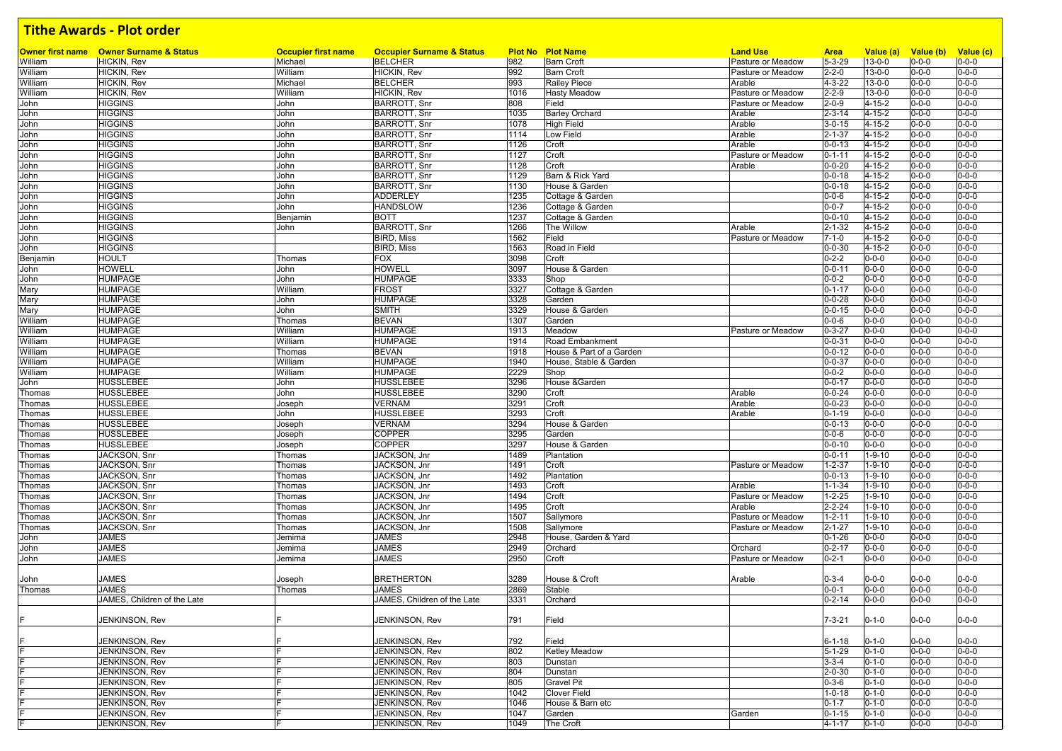|              | <b>Owner first name</b> Owner Surname & Status | <b>Occupier first name</b> | <b>Occupier Surname &amp; Status</b>       |              | <b>Plot No Plot Name</b>                   | <b>Land Use</b>             | <b>Area</b>                  | Value (a)              | Value (b)                  | Value (c)                  |
|--------------|------------------------------------------------|----------------------------|--------------------------------------------|--------------|--------------------------------------------|-----------------------------|------------------------------|------------------------|----------------------------|----------------------------|
| William      | HICKIN, Rev                                    | Michael                    | <b>BELCHER</b>                             | 982          | <b>Barn Croft</b>                          | Pasture or Meadow           | $5 - 3 - 29$                 | $13 - 0 - 0$           | $0 - 0 - 0$                | $0 - 0 - 0$                |
| William      | HICKIN, Rev                                    | William                    | HICKIN, Rev                                | 992          | <b>Barn Croft</b>                          | Pasture or Meadow           | $2 - 2 - 0$                  | $13 - 0 - 0$           | $0 - 0 - 0$                | $0 - 0 - 0$                |
| William      | HICKIN, Rev                                    | Michael                    | <b>BELCHER</b>                             | 993          | <b>Railey Piece</b>                        | Arable                      | 4-3-22                       | $13 - 0 - 0$           | $0 - 0 - 0$                | $0 - 0 - 0$                |
| William      | HICKIN, Rev                                    | William                    | HICKIN, Rev                                | 1016         | <b>Hasty Meadow</b>                        | Pasture or Meadow           | $2 - 2 - 9$                  | $13 - 0 - 0$           | $0 - 0 - 0$                | $0 - 0 - 0$                |
| John         | <b>HIGGINS</b><br><b>HIGGINS</b>               | John                       | <b>BARROTT, Snr</b><br><b>BARROTT, Snr</b> | 808<br>1035  | Field                                      | Pasture or Meadow<br>Arable | $2 - 0 - 9$<br>$2 - 3 - 14$  | 4-15-2<br>$4 - 15 - 2$ | $0 - 0 - 0$<br>$0 - 0 - 0$ | $0 - 0 - 0$<br>$0 - 0 - 0$ |
| John         |                                                | John                       | <b>BARROTT, Snr</b>                        |              | <b>Barley Orchard</b><br><b>High Field</b> |                             |                              | $4 - 15 - 2$           |                            | $0 - 0 - 0$                |
| John         | <b>HIGGINS</b>                                 | John                       |                                            | 1078<br>1114 | Low Field                                  | Arable<br>Arable            | $3 - 0 - 15$<br>$2 - 1 - 37$ | $4 - 15 - 2$           | $0 - 0 - 0$                | $0 - 0 - 0$                |
| John         | <b>HIGGINS</b><br><b>HIGGINS</b>               | John                       | <b>BARROTT, Snr</b><br><b>BARROTT, Snr</b> | 1126         | Croft                                      | Arable                      | $0 - 0 - 13$                 | 4-15-2                 | $0 - 0 - 0$<br>$0 - 0 - 0$ | $0 - 0 - 0$                |
| John<br>John | <b>HIGGINS</b>                                 | John<br>John               | <b>BARROTT, Snr</b>                        | 1127         | Croft                                      | Pasture or Meadow           | $0 - 1 - 11$                 | $4 - 15 - 2$           | $0 - 0 - 0$                | $0 - 0 - 0$                |
| John         | <b>HIGGINS</b>                                 | John                       | <b>BARROTT, Snr</b>                        | 1128         | Croft                                      | Arable                      | $0 - 0 - 20$                 | $4 - 15 - 2$           | $0 - 0 - 0$                | $0 - 0 - 0$                |
| John         | <b>HIGGINS</b>                                 | John                       | <b>BARROTT, Snr</b>                        | 1129         | Barn & Rick Yard                           |                             | $0 - 0 - 18$                 | $4 - 15 - 2$           | $0 - 0 - 0$                | $0 - 0 - 0$                |
| John         | <b>HIGGINS</b>                                 | John                       | <b>BARROTT, Snr</b>                        | 1130         | House & Garden                             |                             | $0 - 0 - 18$                 | 4-15-2                 | $0 - 0 - 0$                | $0 - 0 - 0$                |
| John         | <b>HIGGINS</b>                                 | John                       | <b>ADDERLEY</b>                            | 1235         | Cottage & Garden                           |                             | $0 - 0 - 6$                  | $4 - 15 - 2$           | $0 - 0 - 0$                | $0 - 0 - 0$                |
| John         | <b>HIGGINS</b>                                 | John                       | <b>HANDSLOW</b>                            | 1236         | Cottage & Garden                           |                             | $0 - 0 - 7$                  | $4 - 15 - 2$           | $0 - 0 - 0$                | $0 - 0 - 0$                |
| John         | <b>HIGGINS</b>                                 | Benjamin                   | <b>BOTT</b>                                | 1237         | Cottage & Garden                           |                             | $0 - 0 - 10$                 | $4 - 15 - 2$           | $0 - 0 - 0$                | $0 - 0 - 0$                |
| John         | <b>HIGGINS</b>                                 | John                       | <b>BARROTT, Snr</b>                        | 1266         | The Willow                                 | Arable                      | $2 - 1 - 32$                 | 4-15-2                 | $0 - 0 - 0$                | $0 - 0 - 0$                |
| John         | <b>HIGGINS</b>                                 |                            | <b>BIRD, Miss</b>                          | 1562         | Field                                      | Pasture or Meadow           | $7 - 1 - 0$                  | $4 - 15 - 2$           | $0 - 0 - 0$                | $0 - 0 - 0$                |
| John         | <b>HIGGINS</b>                                 |                            | <b>BIRD, Miss</b>                          | 1563         | Road in Field                              |                             | $0 - 0 - 30$                 | $4 - 15 - 2$           | $0 - 0 - 0$                | $0 - 0 - 0$                |
| Benjamin     | <b>HOULT</b>                                   | Thomas                     | <b>FOX</b>                                 | 3098         | Croft                                      |                             | $0 - 2 - 2$                  | $0 - 0 - 0$            | $0 - 0 - 0$                | $0 - 0 - 0$                |
| John         | HOWELL                                         | John                       | <b>HOWELL</b>                              | 3097         | House & Garden                             |                             | $0 - 0 - 11$                 | $0 - 0 - 0$            | $0 - 0 - 0$                | $0 - 0 - 0$                |
| John         | <b>HUMPAGE</b>                                 | John                       | <b>HUMPAGE</b>                             | 3333         | Shop                                       |                             | $0 - 0 - 2$                  | $0 - 0 - 0$            | $0 - 0 - 0$                | $0 - 0 - 0$                |
| Mary         | <b>HUMPAGE</b>                                 | William                    | <b>FROST</b>                               | 3327         | Cottage & Garden                           |                             | $0 - 1 - 17$                 | $0 - 0 - 0$            | $0 - 0 - 0$                | $0 - 0 - 0$                |
| Mary         | <b>HUMPAGE</b>                                 | John                       | <b>HUMPAGE</b>                             | 3328         | Garden                                     |                             | $0 - 0 - 28$                 | $0 - 0 - 0$            | $0 - 0 - 0$                | $0 - 0 - 0$                |
| Mary         | <b>HUMPAGE</b>                                 | John                       | <b>SMITH</b>                               | 3329         | House & Garden                             |                             | $0 - 0 - 15$                 | $0 - 0 - 0$            | $0 - 0 - 0$                | $0 - 0 - 0$                |
| William      | <b>HUMPAGE</b>                                 | Thomas                     | <b>BEVAN</b>                               | 1307         | Garden                                     |                             | $0 - 0 - 6$                  | $0 - 0 - 0$            | $0 - 0 - 0$                | $0 - 0 - 0$                |
| William      | <b>HUMPAGE</b>                                 | William                    | <b>HUMPAGE</b>                             | 1913         | Meadow                                     | Pasture or Meadow           | $0 - 3 - 27$                 | $0 - 0 - 0$            | $0 - 0 - 0$                | $0 - 0 - 0$                |
| William      | <b>HUMPAGE</b>                                 | William                    | <b>HUMPAGE</b>                             | 1914         | Road Embankment                            |                             | $0 - 0 - 31$                 | $0 - 0 - 0$            | $0 - 0 - 0$                | $0 - 0 - 0$                |
| William      | <b>HUMPAGE</b>                                 | Thomas                     | <b>BEVAN</b>                               | 1918         | House & Part of a Garden                   |                             | $0 - 0 - 12$                 | $0 - 0 - 0$            | $0 - 0 - 0$                | $0 - 0 - 0$                |
| William      | <b>HUMPAGE</b>                                 | William                    | <b>HUMPAGE</b>                             | 1940         | House, Stable & Garden                     |                             | $0 - 0 - 37$                 | $0 - 0 - 0$            | $0 - 0 - 0$                | $0 - 0 - 0$                |
| William      | HUMPAGE                                        | William                    | <b>HUMPAGE</b>                             | 2229         | Shop                                       |                             | $0 - 0 - 2$                  | $0 - 0 - 0$            | $0 - 0 - 0$                | $0 - 0 - 0$                |
| John         | <b>HUSSLEBEE</b>                               | John                       | <b>HUSSLEBEE</b>                           | 3296         | House & Garden                             |                             | $0 - 0 - 17$                 | $0 - 0 - 0$            | $0 - 0 - 0$                | $0 - 0 - 0$                |
| Thomas       | HUSSLEBEE                                      | John                       | <b>HUSSLEBEE</b>                           | 3290         | Croft                                      | Arable                      | $0 - 0 - 24$                 | $0 - 0 - 0$            | $0 - 0 - 0$                | $0 - 0 - 0$                |
| Thomas       | <b>HUSSLEBEE</b>                               | Joseph                     | <b>VERNAM</b>                              | 3291         | Croft                                      | Arable                      | $0 - 0 - 23$                 | $0 - 0 - 0$            | $0 - 0 - 0$                | $0 - 0 - 0$                |
| Thomas       | HUSSLEBEE                                      | John                       | <b>HUSSLEBEE</b>                           | 3293         | Croft                                      | Arable                      | $0 - 1 - 19$                 | $0 - 0 - 0$            | $0 - 0 - 0$                | $0 - 0 - 0$                |
| Thomas       | <b>HUSSLEBEE</b>                               | Joseph                     | <b>VERNAM</b>                              | 3294         | House & Garden                             |                             | $0 - 0 - 13$                 | $0 - 0 - 0$            | $0 - 0 - 0$                | $0 - 0 - 0$                |
| Thomas       | HUSSLEBEE                                      | Joseph                     | <b>COPPER</b>                              | 3295         | Garden                                     |                             | $0 - 0 - 6$                  | $0 - 0 - 0$            | $0 - 0 - 0$                | $0 - 0 - 0$                |
| Thomas       | HUSSLEBEE                                      | Joseph                     | <b>COPPER</b>                              | 3297         | House & Garden                             |                             | $0 - 0 - 10$                 | $0 - 0 - 0$            | $0 - 0 - 0$                | $0 - 0 - 0$                |
| Thomas       | JACKSON, Snr                                   | Thomas                     | JACKSON, Jnr                               | 1489         | Plantation                                 |                             | $0 - 0 - 11$                 | 1-9-10                 | $0 - 0 - 0$                | $0 - 0 - 0$                |
| Thomas       | JACKSON, Snr                                   | Thomas                     | JACKSON, Jnr                               | 1491         | Croft                                      | Pasture or Meadow           | $1 - 2 - 37$                 | $1 - 9 - 10$           | $0 - 0 - 0$                | $0 - 0 - 0$                |
| Thomas       | JACKSON, Snr                                   | Thomas                     | JACKSON, Jnr                               | 1492         | Plantation                                 |                             | $0 - 0 - 13$                 | $1 - 9 - 10$           | $0 - 0 - 0$                | $0 - 0 - 0$                |
| Thomas       | JACKSON, Snr                                   | Thomas                     | JACKSON, Jnr                               | 1493         | Croft                                      | Arable                      | $1 - 1 - 34$                 | 1-9-10                 | $0 - 0 - 0$                | $0 - 0 - 0$                |
| Thomas       | JACKSON, Snr                                   | Thomas                     | JACKSON, Jnr                               | 1494         | Croft                                      | Pasture or Meadow           | $1 - 2 - 25$                 | $1 - 9 - 10$           | $0 - 0 - 0$                | $0 - 0 - 0$                |
| Thomas       | JACKSON, Snr                                   | Thomas                     | JACKSON, Jnr                               | 1495         | Croft                                      | Arable                      | $2 - 2 - 24$                 | $1 - 9 - 10$           | $0 - 0 - 0$                | $0 - 0 - 0$                |
| Thomas       | JACKSON, Snr                                   | Thomas                     | JACKSON, Jnr                               | 1507         | Sallymore                                  | Pasture or Meadow           | $1 - 2 - 11$                 | $1 - 9 - 10$           | $0 - 0 - 0$                | $0 - 0 - 0$                |
| Thomas       | JACKSON, Snr                                   | Thomas                     | JACKSON, Jnr                               | 1508         | Sallymore                                  | Pasture or Meadow           | $2 - 1 - 27$                 | 1-9-10                 | $0 - 0 - 0$                | $0 - 0 - 0$                |
| John         | <b>JAMES</b>                                   | Jemima                     | <b>JAMES</b>                               | 2948         | House, Garden & Yard                       |                             | $0 - 1 - 26$                 | $0 - 0 - 0$            | $0 - 0 - 0$                | $0 - 0 - 0$                |
| John         | JAMES                                          | Jemima                     | <b>JAMES</b>                               | 2949         | Orchard                                    | Orchard                     | $0 - 2 - 17$                 | $0 - 0 - 0$            | $0 - 0 - 0$                | $0 - 0 - 0$                |
| John         | JAMES                                          | Jemima                     | <b>JAMES</b>                               | 2950         | Croft                                      | Pasture or Meadow           | $0 - 2 - 1$                  | $0 - 0 - 0$            | $0 - 0 - 0$                | $0 - 0 - 0$                |
|              |                                                |                            |                                            |              |                                            |                             |                              |                        |                            |                            |
| John         | JAMES                                          | Joseph                     | <b>BRETHERTON</b>                          | 3289         | House & Croft                              | Arable                      | $0 - 3 - 4$                  | $0 - 0 - 0$            | $0 - 0 - 0$                | $0 - 0 - 0$                |
| Thomas       | JAMES                                          | Thomas                     | <b>JAMES</b>                               | 2869         | Stable                                     |                             | $0 - 0 - 1$                  | $0 - 0 - 0$            | $0 - 0 - 0$                | $0 - 0 - 0$                |
|              | JAMES. Children of the Late                    |                            | JAMES, Children of the Late                | 3331         | Orchard                                    |                             | $0 - 2 - 14$                 | $0 - 0 - 0$            | $0 - 0 - 0$                | $0 - 0 - 0$                |
|              |                                                |                            |                                            |              |                                            |                             |                              |                        |                            |                            |
|              | JENKINSON, Rev                                 | F                          | JENKINSON, Rev                             | 791          | Field                                      |                             | $7 - 3 - 21$                 | $0 - 1 - 0$            | $0 - 0 - 0$                | $0 - 0 - 0$                |
|              |                                                |                            |                                            |              |                                            |                             |                              |                        |                            |                            |
|              | JENKINSON, Rev                                 |                            | JENKINSON, Rev                             | 792          | Field                                      |                             | $6 - 1 - 18$                 | $0 - 1 - 0$            | $0 - 0 - 0$                | $0 - 0 - 0$                |
|              | JENKINSON, Rev                                 |                            | JENKINSON, Rev                             | 802          | <b>Ketley Meadow</b>                       |                             | $5 - 1 - 29$                 | $0 - 1 - 0$            | $0 - 0 - 0$                | $0 - 0 - 0$                |
|              | JENKINSON, Rev                                 |                            | JENKINSON, Rev                             | 803          | Dunstan                                    |                             | $3 - 3 - 4$                  | $0 - 1 - 0$            | $0 - 0 - 0$                | $0 - 0 - 0$                |
|              | JENKINSON, Rev                                 |                            | JENKINSON, Rev                             | 804          | Dunstan                                    |                             | $2 - 0 - 30$                 | $0 - 1 - 0$            | $0 - 0 - 0$                | $0 - 0 - 0$                |
|              | JENKINSON, Rev                                 |                            | JENKINSON, Rev                             | 805          | <b>Gravel Pit</b>                          |                             | $0 - 3 - 6$                  | $0 - 1 - 0$            | $0 - 0 - 0$                | $0 - 0 - 0$                |
|              | JENKINSON, Rev                                 |                            | JENKINSON, Rev                             | 1042         | <b>Clover Field</b>                        |                             | $1 - 0 - 18$                 | $0 - 1 - 0$            | $0 - 0 - 0$                | $0 - 0 - 0$                |
|              | JENKINSON, Rev                                 |                            | JENKINSON, Rev                             | 1046         | House & Barn etc                           |                             | $0 - 1 - 7$                  | $0 - 1 - 0$            | $0 - 0 - 0$                | $0 - 0 - 0$                |
|              | <b>JENKINSON, Rev</b>                          |                            | JENKINSON, Rev                             | 1047         | Garden                                     | Garden                      | $0 - 1 - 15$                 | $0 - 1 - 0$            | $0 - 0 - 0$                | $0 - 0 - 0$                |
|              | JENKINSON, Rev                                 |                            | JENKINSON, Rev                             | 1049         | The Croft                                  |                             | $4 - 1 - 17$                 | $0 - 1 - 0$            | $0 - 0 - 0$                | $0 - 0 - 0$                |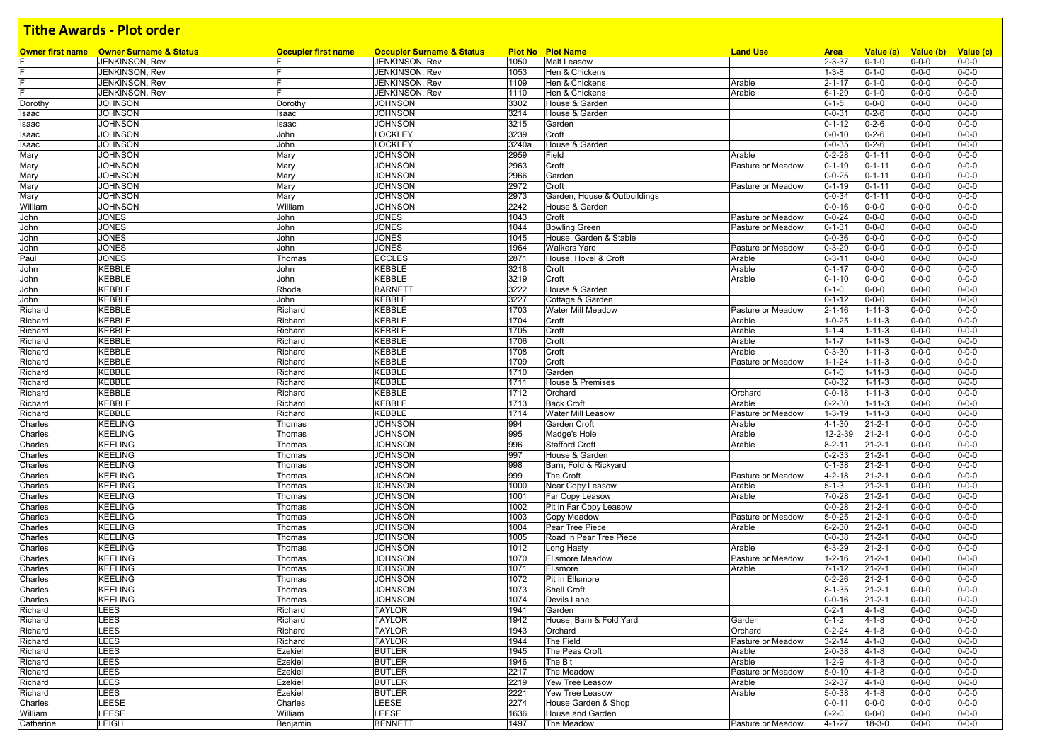|           | <b>Owner first name</b> Owner Surname & Status | <b>Occupier first name</b><br>IF. | <b>Occupier Surname &amp; Status</b> |              | <b>Plot No Plot Name</b>     | <b>Land Use</b>   | <b>Area</b>                  | Value (a)                    | Value (b)                  | Value (c)   |
|-----------|------------------------------------------------|-----------------------------------|--------------------------------------|--------------|------------------------------|-------------------|------------------------------|------------------------------|----------------------------|-------------|
|           | JENKINSON, Rev                                 |                                   | JENKINSON, Rev                       | 1050         | <b>Malt Leasow</b>           |                   | $2 - 3 - 37$                 | $0 - 1 - 0$                  | $0 - 0 - 0$                | $0 - 0 - 0$ |
|           | JENKINSON, Rev                                 | IF                                | JENKINSON, Rev                       | 1053         | Hen & Chickens               |                   | $1 - 3 - 8$                  | $0 - 1 - 0$                  | $0 - 0 - 0$                | $0 - 0 - 0$ |
|           | JENKINSON, Rev                                 | IF<br>E                           | JENKINSON, Rev                       | 1109         | Hen & Chickens               | Arable            | $2 - 1 - 17$                 | $0 - 1 - 0$                  | $0 - 0 - 0$                | $0 - 0 - 0$ |
|           | JENKINSON, Rev                                 |                                   | JENKINSON, Rev                       | 1110         | Hen & Chickens               | Arable            | $6 - 1 - 29$                 | $0 - 1 - 0$                  | $0 - 0 - 0$                | $0 - 0 - 0$ |
| Dorothy   | <b>JOHNSON</b>                                 | Dorothy                           | <b>JOHNSON</b>                       | 3302         | House & Garden               |                   | $0 - 1 - 5$                  | $0 - 0 - 0$                  | $0 - 0 - 0$                | $0 - 0 - 0$ |
| Isaac     | <b>JOHNSON</b>                                 | Isaac                             | <b>JOHNSON</b>                       | 3214         | House & Garden               |                   | $0 - 0 - 31$                 | $0 - 2 - 6$                  | $0 - 0 - 0$                | $0 - 0 - 0$ |
| Isaac     | <b>JOHNSON</b>                                 | Isaac                             | <b>JOHNSON</b>                       | 3215         | Garden                       |                   | $0 - 1 - 12$                 | $0 - 2 - 6$                  | $0 - 0 - 0$                | $0 - 0 - 0$ |
| Isaac     | <b>JOHNSON</b>                                 | John                              | LOCKLEY                              | 3239         | Croft                        |                   | $0 - 0 - 10$                 | $0 - 2 - 6$                  | $0 - 0 - 0$                | $0 - 0 - 0$ |
| Isaac     | <b>JOHNSON</b>                                 | John                              | LOCKLEY                              | 3240a        | House & Garden               |                   | $0 - 0 - 35$                 | $0 - 2 - 6$                  | $0 - 0 - 0$                | $0 - 0 - 0$ |
| Mary      | <b>JOHNSON</b>                                 | Mary                              | <b>JOHNSON</b>                       | 2959         | Field                        | Arable            | $0 - 2 - 28$                 | $0 - 1 - 11$                 | $0 - 0 - 0$                | $0 - 0 - 0$ |
| Mary      | <b>JOHNSON</b>                                 | Mary                              | <b>JOHNSON</b>                       | 2963         | Croft                        | Pasture or Meadow | $0 - 1 - 19$                 | $0 - 1 - 11$                 | $0 - 0 - 0$                | $0 - 0 - 0$ |
| Mary      | <b>JOHNSON</b>                                 | Mary                              | <b>JOHNSON</b>                       | 2966         | Garden                       |                   | $0 - 0 - 25$                 | $0 - 1 - 11$                 | $0 - 0 - 0$                | $0 - 0 - 0$ |
| Mary      | <b>JOHNSON</b>                                 | Mary                              | <b>JOHNSON</b>                       | 2972         | Croft                        | Pasture or Meadow | $0 - 1 - 19$                 | $0 - 1 - 11$                 | $0 - 0 - 0$                | $0 - 0 - 0$ |
| Mary      | <b>JOHNSON</b>                                 | Mary                              | <b>JOHNSON</b>                       | 2973         | Garden, House & Outbuildings |                   | $0 - 0 - 34$                 | $0 - 1 - 11$                 | $0 - 0 - 0$                | $0 - 0 - 0$ |
| William   | <b>JOHNSON</b>                                 | William                           | <b>JOHNSON</b>                       | 2242         | House & Garden               |                   | $0 - 0 - 16$                 | $0 - 0 - 0$                  | $0 - 0 - 0$                | $0 - 0 - 0$ |
| John      | <b>JONES</b>                                   | John                              | <b>JONES</b>                         | 1043         | Croft                        | Pasture or Meadow | $0 - 0 - 24$                 | $0 - 0 - 0$                  | $0 - 0 - 0$                | $0 - 0 - 0$ |
| John      | <b>JONES</b>                                   | John                              | <b>JONES</b>                         | 1044         | <b>Bowling Green</b>         | Pasture or Meadow | $0 - 1 - 31$                 | $0 - 0 - 0$                  | $0 - 0 - 0$                | $0 - 0 - 0$ |
| John      | <b>JONES</b>                                   | John                              | <b>JONES</b>                         | 1045         | House, Garden & Stable       |                   | $0 - 0 - 36$                 | $0 - 0 - 0$                  | $0 - 0 - 0$                | $0 - 0 - 0$ |
| John      | <b>JONES</b>                                   | John                              | <b>JONES</b>                         | 1964         | <b>Walkers Yard</b>          | Pasture or Meadow | $0 - 3 - 29$                 | $0 - 0 - 0$                  | $0 - 0 - 0$                | $0 - 0 - 0$ |
| Paul      | <b>JONES</b>                                   | Thomas                            | <b>ECCLES</b>                        | 2871         | House, Hovel & Croft         | Arable            | $0 - 3 - 11$                 | $0 - 0 - 0$                  | $0 - 0 - 0$                | $0 - 0 - 0$ |
| John      | <b>KEBBLE</b>                                  | John                              | <b>KEBBLE</b>                        | 3218         | Croft                        | Arable            | $0 - 1 - 17$                 | $0 - 0 - 0$                  | $0 - 0 - 0$                | $0 - 0 - 0$ |
| John      | <b>KEBBLE</b>                                  | John                              | KEBBLE                               | 3219         | Croft                        | Arable            | $0 - 1 - 10$                 | $0 - 0 - 0$                  | $0 - 0 - 0$                | $0 - 0 - 0$ |
| John      | <b>KEBBLE</b>                                  | Rhoda                             | <b>BARNETT</b>                       | 3222         | House & Garden               |                   | $0 - 1 - 0$                  | $0 - 0 - 0$                  | $0 - 0 - 0$                | $0 - 0 - 0$ |
| John      | <b>KEBBLE</b>                                  | John                              | <b>KEBBLE</b>                        | 3227         | Cottage & Garden             |                   | $0 - 1 - 12$                 | $0 - 0 - 0$                  | $0 - 0 - 0$                | $0 - 0 - 0$ |
| Richard   | <b>KEBBLE</b>                                  | Richard                           | <b>KEBBLE</b>                        | 1703         | Water Mill Meadow            | Pasture or Meadow | $2 - 1 - 16$                 | $1 - 11 - 3$                 | $0 - 0 - 0$                | $0 - 0 - 0$ |
| Richard   | <b>KEBBLE</b>                                  | Richard                           | <b>KEBBLE</b>                        | 1704         | Croft                        | Arable            | $1 - 0 - 25$                 | $1 - 11 - 3$                 | $0 - 0 - 0$                | $0 - 0 - 0$ |
| Richard   | KEBBLE                                         | Richard                           | KEBBLE                               | 1705         | Croft                        | Arable            | $1 - 1 - 4$                  | $1 - 11 - 3$                 | $0 - 0 - 0$                | $0 - 0 - 0$ |
| Richard   | <b>KEBBLE</b>                                  | Richard                           | <b>KEBBLE</b>                        | 1706         | Croft                        | Arable            | $1 - 1 - 7$                  | $1 - 11 - 3$                 | $0 - 0 - 0$                | $0 - 0 - 0$ |
| Richard   | <b>KEBBLE</b>                                  | Richard                           | <b>KEBBLE</b>                        | 1708         | Croft                        | Arable            | $0 - 3 - 30$                 | $1 - 11 - 3$                 | $0 - 0 - 0$                | $0 - 0 - 0$ |
| Richard   | <b>KEBBLE</b>                                  | Richard                           | <b>KEBBLE</b>                        | 1709         | Croft                        | Pasture or Meadow | $1 - 1 - 24$                 | $1 - 11 - 3$                 | $0 - 0 - 0$                | $0 - 0 - 0$ |
| Richard   | <b>KEBBLE</b>                                  | Richard                           | KEBBLE                               | 1710         | Garden                       |                   | $0 - 1 - 0$                  | $1 - 11 - 3$                 | $0 - 0 - 0$                | $0 - 0 - 0$ |
| Richard   | <b>KEBBLE</b>                                  | Richard                           | <b>KEBBLE</b>                        | 1711         | House & Premises             |                   | $0 - 0 - 32$                 | $1 - 11 - 3$                 | $0 - 0 - 0$                | $0 - 0 - 0$ |
| Richard   | <b>KEBBLE</b>                                  | Richard                           | KEBBLE                               | 1712         | Orchard                      | Orchard           | $0 - 0 - 18$                 | $1 - 11 - 3$                 | $0 - 0 - 0$                | $0 - 0 - 0$ |
| Richard   | <b>KEBBLE</b>                                  | Richard                           | KEBBLE                               | 1713         | <b>Back Croft</b>            | Arable            | $0 - 2 - 30$                 | $1 - 11 - 3$                 | $0 - 0 - 0$                | $0 - 0 - 0$ |
| Richard   | <b>KEBBLE</b>                                  | Richard                           | <b>KEBBLE</b>                        | 1714         | <b>Water Mill Leasow</b>     | Pasture or Meadow | $1 - 3 - 19$                 | $1 - 11 - 3$                 | $0 - 0 - 0$                | $0 - 0 - 0$ |
| Charles   | <b>KEELING</b>                                 | Thomas                            | <b>JOHNSON</b>                       | 994          | Garden Croft                 | Arable            | $4 - 1 - 30$                 | $21 - 2 - 1$                 | $0 - 0 - 0$                | $0 - 0 - 0$ |
| Charles   | <b>KEELING</b>                                 | Thomas                            | <b>JOHNSON</b>                       | 995          | Madge's Hole                 | Arable            | 12-2-39                      | $21 - 2 - 1$                 | $0 - 0 - 0$                | $0 - 0 - 0$ |
| Charles   | <b>KEELING</b>                                 | Thomas                            | <b>JOHNSON</b>                       | 996          | <b>Stafford Croft</b>        | Arable            | $8 - 2 - 11$                 | $21 - 2 - 1$                 | $0 - 0 - 0$                | $0 - 0 - 0$ |
| Charles   | <b>KEELING</b>                                 | Thomas                            | <b>JOHNSON</b>                       | 997          | House & Garden               |                   | $0 - 2 - 33$                 | $21 - 2 - 1$                 | $0 - 0 - 0$                | $0 - 0 - 0$ |
| Charles   | <b>KEELING</b>                                 | Thomas                            | <b>JOHNSON</b>                       | 998          | Barn, Fold & Rickyard        |                   | $0 - 1 - 38$                 | $21 - 2 - 1$                 | $0 - 0 - 0$                | $0 - 0 - 0$ |
| Charles   | <b>KEELING</b>                                 | Thomas                            | <b>JOHNSON</b>                       | 999          | The Croft                    | Pasture or Meadow | $4 - 2 - 18$                 | $21 - 2 - 1$                 | $0 - 0 - 0$                | $0 - 0 - 0$ |
| Charles   | <b>KEELING</b>                                 | Thomas                            | <b>JOHNSON</b>                       | 1000         | Near Copy Leasow             | Arable            | $5 - 1 - 3$                  | $21 - 2 - 1$                 | $0 - 0 - 0$                | $0 - 0 - 0$ |
| Charles   | <b>KEELING</b>                                 | Thomas                            | <b>JOHNSON</b>                       | 1001         | Far Copy Leasow              | Arable            | $7 - 0 - 28$                 | $21 - 2 - 1$                 | $0 - 0 - 0$                | $0 - 0 - 0$ |
| Charles   | <b>KEELING</b>                                 | Thomas                            | <b>JOHNSON</b>                       | 1002         | Pit in Far Copy Leasow       |                   | $0 - 0 - 28$                 | $21 - 2 - 1$                 | $0 - 0 - 0$                | $0 - 0 - 0$ |
| Charles   | <b>KEELING</b>                                 | Thomas                            | <b>JOHNSON</b>                       | 1003         | Copy Meadow                  | Pasture or Meadow | $5 - 0 - 25$                 | $21 - 2 - 1$                 | $0 - 0 - 0$                | $0 - 0 - 0$ |
| Charles   | <b>KEELING</b>                                 | Thomas                            | <b>JOHNSON</b>                       | 1004         | Pear Tree Piece              | Arable            | $6 - 2 - 30$                 | $21 - 2 - 1$                 | $0 - 0 - 0$                | $0 - 0 - 0$ |
| Charles   | <b>KEELING</b>                                 | Thomas                            | <b>JOHNSON</b>                       | 1005         | Road in Pear Tree Piece      |                   | $0 - 0 - 38$                 | $21 - 2 - 1$                 | $0 - 0 - 0$                | $0 - 0 - 0$ |
|           |                                                |                                   |                                      |              |                              |                   |                              |                              |                            | $0 - 0 - 0$ |
| Charles   | <b>KEELING</b>                                 | Thomas                            | <b>JOHNSON</b><br><b>JOHNSON</b>     | 1012<br>1070 | Long Hasty                   | Arable            | $6 - 3 - 29$                 | $21 - 2 - 1$                 | $0 - 0 - 0$                | $0 - 0 - 0$ |
| Charles   | <b>KEELING</b><br><b>KEELING</b>               | Thomas                            |                                      |              | <b>Ellsmore Meadow</b>       | Pasture or Meadow | $1 - 2 - 16$                 | $21 - 2 - 1$                 | $0 - 0 - 0$                | $0 - 0 - 0$ |
| Charles   | <b>KEELING</b>                                 | Thomas                            | <b>JOHNSON</b><br><b>JOHNSON</b>     | 1071<br>1072 | Ellsmore<br>Pit In Ellsmore  | Arable            | $7 - 1 - 12$<br>$0 - 2 - 26$ | $21 - 2 - 1$<br>$21 - 2 - 1$ | $0 - 0 - 0$<br>$0 - 0 - 0$ | $0 - 0 - 0$ |
| Charles   |                                                | Thomas                            |                                      |              |                              |                   |                              |                              |                            |             |
| Charles   | <b>KEELING</b>                                 | Thomas                            | <b>JOHNSON</b>                       | 1073         | Shell Croft                  |                   | $8 - 1 - 35$                 | $21 - 2 - 1$                 | $0 - 0 - 0$                | $0 - 0 - 0$ |
| Charles   | <b>KEELING</b>                                 | Thomas                            | <b>JOHNSON</b>                       | 1074         | Devils Lane                  |                   | $0 - 0 - 16$                 | $21 - 2 - 1$                 | $0 - 0 - 0$                | $0 - 0 - 0$ |
| Richard   | LEES                                           | Richard                           | <b>TAYLOR</b>                        | 1941         | Garden                       |                   | $0 - 2 - 1$                  | $4 - 1 - 8$                  | $0 - 0 - 0$                | $0 - 0 - 0$ |
| Richard   | LEES                                           | Richard                           | <b>TAYLOR</b>                        | 1942         | House, Barn & Fold Yard      | Garden            | $0 - 1 - 2$                  | $4 - 1 - 8$                  | $0 - 0 - 0$                | $0 - 0 - 0$ |
| Richard   | LEES                                           | Richard                           | <b>TAYLOR</b>                        | 1943         | Orchard                      | Orchard           | $0 - 2 - 24$                 | $4 - 1 - 8$                  | $0 - 0 - 0$                | $0 - 0 - 0$ |
| Richard   | LEES                                           | Richard                           | <b>TAYLOR</b>                        | 1944         | The Field                    | Pasture or Meadow | $3 - 2 - 14$                 | $4 - 1 - 8$                  | $0 - 0 - 0$                | $0 - 0 - 0$ |
| Richard   | LEES                                           | Ezekiel                           | <b>BUTLER</b>                        | 1945         | The Peas Croft               | Arable            | $2 - 0 - 38$                 | $4 - 1 - 8$                  | $0 - 0 - 0$                | $0 - 0 - 0$ |
| Richard   | LEES                                           | Ezekiel                           | <b>BUTLER</b>                        | 1946         | The Bit                      | Arable            | $1 - 2 - 9$                  | $4 - 1 - 8$                  | $0 - 0 - 0$                | $0 - 0 - 0$ |
| Richard   | LEES                                           | Ezekiel                           | <b>BUTLER</b>                        | 2217         | The Meadow                   | Pasture or Meadow | $5 - 0 - 10$                 | 4-1-8                        | $0 - 0 - 0$                | $0 - 0 - 0$ |
| Richard   | LEES                                           | Ezekiel                           | <b>BUTLER</b>                        | 2219         | Yew Tree Leasow              | Arable            | $3 - 2 - 37$                 | $4 - 1 - 8$                  | $0 - 0 - 0$                | $0 - 0 - 0$ |
| Richard   | LEES                                           | Ezekiel                           | <b>BUTLER</b>                        | 2221         | Yew Tree Leasow              | Arable            | $5 - 0 - 38$                 | $4 - 1 - 8$                  | $0 - 0 - 0$                | $0 - 0 - 0$ |
| Charles   | LEESE                                          | Charles                           | LEESE                                | 2274         | House Garden & Shop          |                   | $0 - 0 - 11$                 | $0 - 0 - 0$                  | $0 - 0 - 0$                | $0 - 0 - 0$ |
| William   | LEESE                                          | William                           | LEESE                                | 1636         | House and Garden             |                   | $0 - 2 - 0$                  | $0 - 0 - 0$                  | $0 - 0 - 0$                | $0 - 0 - 0$ |
| Catherine | LEIGH                                          | Benjamin                          | <b>BENNETT</b>                       | 1497         | The Meadow                   | Pasture or Meadow | $4 - 1 - 27$                 | 18-3-0                       | $0 - 0 - 0$                | $0 - 0 - 0$ |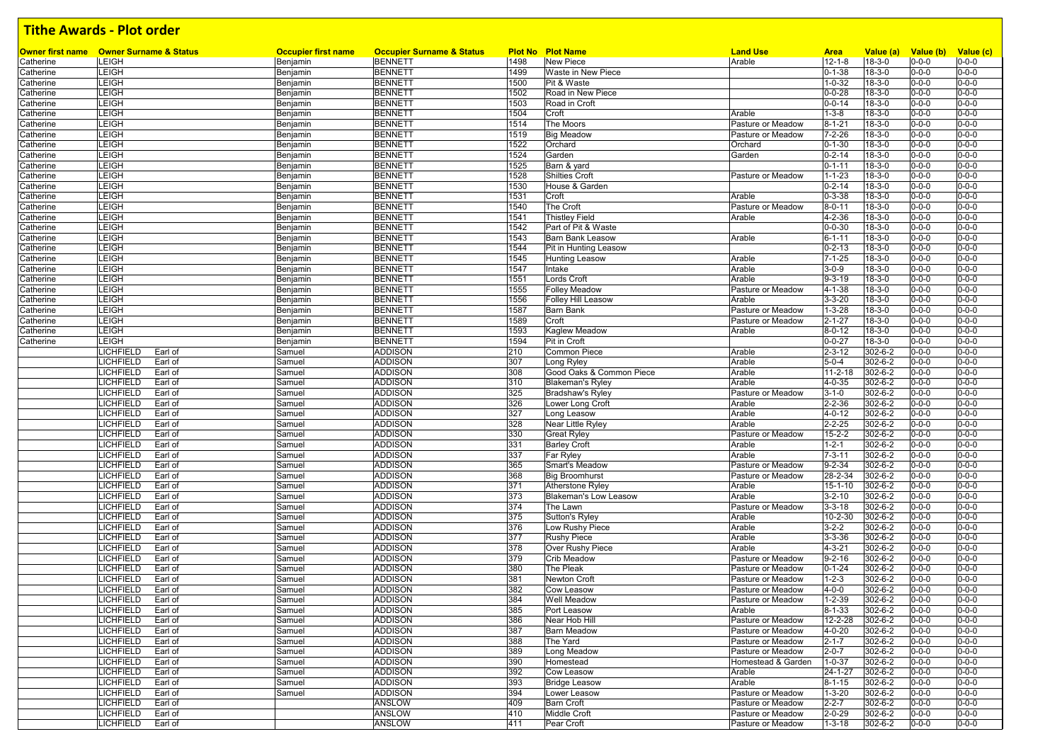|                        | <b>Owner first name</b> Owner Surname & Status             | <b>Occupier first name</b> | <b>Occupier Surname &amp; Status</b><br><b>BENNETT</b> | 1498         | <b>Plot No Plot Name</b><br><b>New Piece</b> | <b>Land Use</b>                         | <b>Area</b><br>$12 - 1 - 8$  | Value (a)<br>$18 - 3 - 0$    | Value (b)                  | Value (c)<br>$0 - 0 - 0$   |
|------------------------|------------------------------------------------------------|----------------------------|--------------------------------------------------------|--------------|----------------------------------------------|-----------------------------------------|------------------------------|------------------------------|----------------------------|----------------------------|
| Catherine              | <b>LEIGH</b>                                               | Benjamin                   |                                                        |              |                                              | Arable                                  |                              |                              | $0 - 0 - 0$                |                            |
| Catherine<br>Catherine | LEIGH<br><b>LEIGH</b>                                      | Benjamin                   | <b>BENNETT</b><br><b>BENNETT</b>                       | 1499<br>1500 | Waste in New Piece<br>Pit & Waste            |                                         | $0 - 1 - 38$<br>$1 - 0 - 32$ | $18 - 3 - 0$<br>$18 - 3 - 0$ | $0 - 0 - 0$<br>$0 - 0 - 0$ | $0 - 0 - 0$<br>$0 - 0 - 0$ |
|                        | LEIGH                                                      | Benjamin                   | <b>BENNETT</b>                                         | 1502         | Road in New Piece                            |                                         | $0 - 0 - 28$                 | $18 - 3 - 0$                 | $0 - 0 - 0$                | $0 - 0 - 0$                |
| Catherine<br>Catherine | LEIGH                                                      | Benjamin<br>Benjamin       | <b>BENNETT</b>                                         | 1503         | Road in Croft                                |                                         | $0 - 0 - 14$                 | $18 - 3 - 0$                 | $0 - 0 - 0$                | $0 - 0 - 0$                |
| Catherine              | LEIGH                                                      | Benjamin                   | <b>BENNETT</b>                                         | 1504         | Croft                                        | Arable                                  | $1 - 3 - 8$                  | $18 - 3 - 0$                 | $0 - 0 - 0$                | $0 - 0 - 0$                |
| Catherine              | <b>LEIGH</b>                                               | Benjamin                   | <b>BENNETT</b>                                         | 1514         | The Moors                                    | Pasture or Meadow                       | $8 - 1 - 21$                 | $18 - 3 - 0$                 | $0 - 0 - 0$                | $0 - 0 - 0$                |
|                        | LEIGH                                                      |                            | <b>BENNETT</b>                                         | 1519         | <b>Big Meadow</b>                            | Pasture or Meadow                       | $7 - 2 - 26$                 | $18 - 3 - 0$                 | $0 - 0 - 0$                | $0 - 0 - 0$                |
| Catherine              | LEIGH                                                      | Benjamin                   | <b>BENNETT</b>                                         | 1522         | Orchard                                      | Orchard                                 | $0 - 1 - 30$                 | $18 - 3 - 0$                 | $0 - 0 - 0$                | $0 - 0 - 0$                |
| Catherine              | LEIGH                                                      | Benjamin<br>Benjamin       | <b>BENNETT</b>                                         | 1524         | Garden                                       | Garden                                  | $0 - 2 - 14$                 | $18 - 3 - 0$                 | $0 - 0 - 0$                | $0 - 0 - 0$                |
| Catherine<br>Catherine | LEIGH                                                      | Benjamin                   | <b>BENNETT</b>                                         | 1525         | Barn & yard                                  |                                         | $0 - 1 - 11$                 | $18 - 3 - 0$                 | $0 - 0 - 0$                | $0 - 0 - 0$                |
| Catherine              | LEIGH                                                      | Benjamin                   | <b>BENNETT</b>                                         | 1528         | Shilties Croft                               | Pasture or Meadow                       | $1 - 1 - 23$                 | $18 - 3 - 0$                 | $0 - 0 - 0$                | $0 - 0 - 0$                |
| Catherine              | LEIGH                                                      |                            | <b>BENNETT</b>                                         | 1530         | House & Garden                               |                                         | $0 - 2 - 14$                 | $18 - 3 - 0$                 | $0 - 0 - 0$                | $0 - 0 - 0$                |
| Catherine              | LEIGH                                                      | Benjamin<br>Benjamin       | <b>BENNETT</b>                                         | 1531         | Croft                                        | Arable                                  | $0 - 3 - 38$                 | $18 - 3 - 0$                 | $0 - 0 - 0$                | $0 - 0 - 0$                |
|                        | LEIGH                                                      |                            | <b>BENNETT</b>                                         | 1540         | The Croft                                    |                                         | $8 - 0 - 11$                 | $18 - 3 - 0$                 | $0 - 0 - 0$                | $0 - 0 - 0$                |
| Catherine<br>Catherine | LEIGH                                                      | Benjamin                   | <b>BENNETT</b>                                         | 1541         | <b>Thistley Field</b>                        | Pasture or Meadow<br>Arable             | $4 - 2 - 36$                 | $18 - 3 - 0$                 | $0 - 0 - 0$                | $0 - 0 - 0$                |
|                        | LEIGH                                                      | Benjamin<br>Benjamin       | <b>BENNETT</b>                                         | 1542         | Part of Pit & Waste                          |                                         | $0 - 0 - 30$                 | $18 - 3 - 0$                 | $0 - 0 - 0$                | $0 - 0 - 0$                |
| Catherine              | LEIGH                                                      |                            |                                                        | 1543         | <b>Barn Bank Leasow</b>                      |                                         | $6 - 1 - 11$                 |                              |                            | $0 - 0 - 0$                |
| Catherine              | LEIGH                                                      | Benjamin                   | <b>BENNETT</b><br><b>BENNETT</b>                       | 1544         |                                              | Arable                                  | $0 - 2 - 13$                 | $18 - 3 - 0$<br>$18 - 3 - 0$ | $0 - 0 - 0$<br>$0 - 0 - 0$ | $0 - 0 - 0$                |
| Catherine              | LEIGH                                                      | Benjamin                   |                                                        | 1545         | Pit in Hunting Leasow                        |                                         | $7 - 1 - 25$                 | $18 - 3 - 0$                 | $0 - 0 - 0$                | $0 - 0 - 0$                |
| Catherine              | LEIGH                                                      | Benjamin                   | <b>BENNETT</b>                                         | 1547         | <b>Hunting Leasow</b>                        | Arable<br>Arable                        | $3 - 0 - 9$                  |                              | $0 - 0 - 0$                | $0 - 0 - 0$                |
| Catherine              | LEIGH                                                      | Benjamin                   | <b>BENNETT</b>                                         |              | Intake                                       |                                         | $9 - 3 - 19$                 | $18 - 3 - 0$<br>$18 - 3 - 0$ | $0 - 0 - 0$                | $0 - 0 - 0$                |
| Catherine              |                                                            | Benjamin                   | <b>BENNETT</b>                                         | 1551         | Lords Croft                                  | Arable                                  |                              |                              |                            |                            |
| Catherine              | LEIGH                                                      | Benjamin                   | <b>BENNETT</b>                                         | 1555         | <b>Folley Meadow</b>                         | Pasture or Meadow                       | 4-1-38                       | $18 - 3 - 0$                 | $0 - 0 - 0$                | $0 - 0 - 0$                |
| Catherine              | LEIGH                                                      | Benjamin                   | <b>BENNETT</b>                                         | 1556         | Folley Hill Leasow                           | Arable                                  | $3 - 3 - 20$                 | $18 - 3 - 0$                 | $0 - 0 - 0$                | $0 - 0 - 0$                |
| Catherine              | LEIGH                                                      | Benjamin                   | <b>BENNETT</b>                                         | 1587         | Barn Bank                                    | Pasture or Meadow                       | $1 - 3 - 28$                 | $18 - 3 - 0$                 | $0 - 0 - 0$                | $0 - 0 - 0$                |
| Catherine              | LEIGH                                                      | Benjamin                   | <b>BENNETT</b>                                         | 1589         | Croft                                        | Pasture or Meadow                       | $2 - 1 - 27$                 | $18 - 3 - 0$                 | $0 - 0 - 0$                | $0 - 0 - 0$                |
| Catherine              | LEIGH                                                      | Benjamin                   | <b>BENNETT</b>                                         | 1593         | Kaglew Meadow                                | Arable                                  | $8 - 0 - 12$                 | $18 - 3 - 0$                 | $0 - 0 - 0$                | $0 - 0 - 0$                |
| Catherine              | LEIGH                                                      | Benjamin                   | <b>BENNETT</b>                                         | 1594         | Pit in Croft                                 |                                         | $0 - 0 - 27$                 | $18 - 3 - 0$                 | $0 - 0 - 0$                | $0 - 0 - 0$                |
|                        | LICHFIELD<br>Earl of                                       | Samuel                     | <b>ADDISON</b>                                         | 210          | Common Piece                                 | Arable                                  | $2 - 3 - 12$                 | 302-6-2                      | $0 - 0 - 0$                | $0 - 0 - 0$                |
|                        | <b>LICHFIELD</b><br>Earl of                                | Samuel                     | <b>ADDISON</b>                                         | 307          | Long Ryley                                   | Arable                                  | $5 - 0 - 4$                  | 302-6-2                      | $0 - 0 - 0$                | $0 - 0 - 0$                |
|                        | <b>LICHFIELD</b><br>Earl of                                | Samuel                     | <b>ADDISON</b>                                         | 308          | Good Oaks & Common Piece                     | Arable                                  | $11 - 2 - 18$                | 302-6-2                      | $0 - 0 - 0$                | $0 - 0 - 0$                |
|                        | LICHFIELD<br>Earl of                                       | Samuel                     | <b>ADDISON</b>                                         | 310          | <b>Blakeman's Ryley</b>                      | Arable                                  | $4 - 0 - 35$                 | 302-6-2                      | $0 - 0 - 0$                | $0 - 0 - 0$                |
|                        | LICHFIELD<br>Earl of                                       | Samuel                     | <b>ADDISON</b>                                         | 325          | <b>Bradshaw's Ryley</b>                      | Pasture or Meadow                       | $3 - 1 - 0$                  | 302-6-2                      | $0 - 0 - 0$                | $0 - 0 - 0$                |
|                        | LICHFIELD<br>Earl of                                       | Samuel                     | <b>ADDISON</b>                                         | 326          | Lower Long Croft                             | Arable                                  | $2 - 2 - 36$                 | 302-6-2                      | $0 - 0 - 0$                | $0 - 0 - 0$                |
|                        | LICHFIELD<br>Earl of                                       | Samuel                     | <b>ADDISON</b>                                         | 327          | Long Leasow                                  | Arable                                  | $4 - 0 - 12$                 | 302-6-2                      | $0 - 0 - 0$                | $0 - 0 - 0$                |
|                        | LICHFIELD<br>Earl of                                       | Samuel                     | <b>ADDISON</b>                                         | 328          | Near Little Ryley                            | Arable                                  | $2 - 2 - 25$                 | 302-6-2                      | $0 - 0 - 0$                | $0 - 0 - 0$                |
|                        | LICHFIELD<br>Earl of                                       | Samuel                     | <b>ADDISON</b>                                         | 330          | <b>Great Ryley</b>                           | Pasture or Meadow                       | $15 - 2 - 2$                 | 302-6-2                      | $0 - 0 - 0$                | $0 - 0 - 0$                |
|                        | <b>LICHFIELD</b><br>Earl of                                | Samuel                     | <b>ADDISON</b>                                         | 331          | <b>Barley Croft</b>                          | Arable                                  | $1 - 2 - 1$                  | 302-6-2                      | $0 - 0 - 0$                | $0 - 0 - 0$                |
|                        | LICHFIELD<br>Earl of                                       | Samuel                     | <b>ADDISON</b>                                         | 337          | Far Ryley                                    | Arable                                  | $7 - 3 - 11$                 | 302-6-2                      | $0 - 0 - 0$                | $0 - 0 - 0$                |
|                        | LICHFIELD<br>Earl of                                       | Samuel                     | <b>ADDISON</b>                                         | 365          | Smart's Meadow                               | Pasture or Meadow                       | $9 - 2 - 34$                 | 302-6-2                      | $0 - 0 - 0$                | $0 - 0 - 0$                |
|                        | LICHFIELD<br>Earl of                                       | Samuel                     | <b>ADDISON</b>                                         | 368          | <b>Big Broomhurst</b>                        | Pasture or Meadow                       | 28-2-34                      | 302-6-2                      | $0 - 0 - 0$                | $0 - 0 - 0$                |
|                        | <b>LICHFIELD</b><br>Earl of                                | Samuel                     | <b>ADDISON</b>                                         | 371          | Atherstone Ryley                             | Arable                                  | $15 - 1 - 10$                | $302 - 6 - 2$                | $0 - 0 - 0$                | $0 - 0 - 0$                |
|                        | <b>LICHFIELD</b><br>Earl of                                | Samuel                     | <b>ADDISON</b>                                         | 373          | <b>Blakeman's Low Leasow</b>                 | Arable                                  | $3 - 2 - 10$                 | 302-6-2                      | $0 - 0 - 0$                | $0 - 0 - 0$                |
|                        | <b>LICHFIELD</b><br>Earl of<br><b>LICHFIELD</b>            | Samuel                     | <b>ADDISON</b>                                         | 374          | The Lawn                                     | Pasture or Meadow                       | $3 - 3 - 18$                 | 302-6-2                      | $0 - 0 - 0$                | $0 - 0 - 0$                |
|                        | Earl of                                                    | Samuel                     | <b>ADDISON</b>                                         | 375          | Sutton's Ryley                               | Arable                                  | $10 - 2 - 30$                | 302-6-2                      | $0 - 0 - 0$                | $0 - 0 - 0$                |
|                        | LICHFIELD<br>Earl of                                       | Samuel                     | <b>ADDISON</b>                                         | 376<br>377   | Low Rushy Piece                              | Arable                                  | $3 - 2 - 2$                  | 302-6-2                      | $0 - 0 - 0$                | $0 - 0 - 0$<br>$0 - 0 - 0$ |
|                        | <b>LICHFIELD</b><br>Earl of                                | Samuel                     | <b>ADDISON</b>                                         |              | <b>Rushy Piece</b>                           | Arable                                  | $3 - 3 - 36$                 | 302-6-2                      | $0 - 0 - 0$                | $0 - 0 - 0$                |
|                        | LICHFIELD<br>Earl of<br><b>LICHFIELD</b>                   | Samuel                     | <b>ADDISON</b>                                         | 378          | Over Rushy Piece                             | Arable                                  | $4 - 3 - 21$                 | 302-6-2                      | $0 - 0 - 0$                | $0 - 0 - 0$                |
|                        | Earl of                                                    | Samuel                     | <b>ADDISON</b>                                         | 379          | Crib Meadow<br>The Pleak                     | Pasture or Meadow                       | $9 - 2 - 16$                 | 302-6-2                      | $0 - 0 - 0$                | $0 - 0 - 0$                |
|                        | LICHFIELD<br>Earl of<br>LICHFIELD<br>Earl of               | Samuel<br>Samuel           | <b>ADDISON</b><br><b>ADDISON</b>                       | 380<br>381   | Newton Croft                                 | Pasture or Meadow<br>Pasture or Meadow  | $0 - 1 - 24$<br>$1 - 2 - 3$  | 302-6-2<br>302-6-2           | $0 - 0 - 0$<br>$0 - 0 - 0$ | $0 - 0 - 0$                |
|                        |                                                            |                            |                                                        | 382          | Cow Leasow                                   |                                         | $4 - 0 - 0$                  | 302-6-2                      |                            | $0 - 0 - 0$                |
|                        | LICHFIELD<br>Earl of<br>LICHFIELD<br>Earl of               | Samuel<br>Samuel           | <b>ADDISON</b><br><b>ADDISON</b>                       | 384          | <b>Well Meadow</b>                           | Pasture or Meadow<br>Pasture or Meadow  | $1 - 2 - 39$                 | 302-6-2                      | $0 - 0 - 0$<br>$0 - 0 - 0$ | $0 - 0 - 0$                |
|                        |                                                            |                            |                                                        |              |                                              |                                         |                              |                              |                            |                            |
|                        | <b>LICHFIELD</b><br>Earl of<br>LICHFIELD                   | Samuel                     | <b>ADDISON</b><br><b>ADDISON</b>                       | 385<br>386   | Port Leasow<br>Near Hob Hill                 | Arable                                  | $8 - 1 - 33$<br>12-2-28      | 302-6-2<br>302-6-2           | $0 - 0 - 0$<br>$0 - 0 - 0$ | $0 - 0 - 0$<br>$0 - 0 - 0$ |
|                        | Earl of<br>LICHFIELD<br>Earl of                            | Samuel                     | <b>ADDISON</b>                                         | 387          |                                              | Pasture or Meadow<br>Pasture or Meadow  | $4 - 0 - 20$                 | 302-6-2                      | $0 - 0 - 0$                | $0 - 0 - 0$                |
|                        |                                                            | Samuel                     |                                                        | 388          | <b>Barn Meadow</b>                           | Pasture or Meadow                       |                              |                              |                            | $0 - 0 - 0$                |
|                        | LICHFIELD<br>Earl of                                       | Samuel                     | <b>ADDISON</b>                                         |              | The Yard                                     |                                         | $2 - 1 - 7$                  | 302-6-2                      | 0-0-0                      |                            |
|                        | <b>LICHFIELD</b><br>Earl of                                | Samuel                     | <b>ADDISON</b>                                         | 389<br>390   | Long Meadow<br>Homestead                     | Pasture or Meadow<br>Homestead & Garden | $2 - 0 - 7$                  | 302-6-2                      | $0 - 0 - 0$                | $0 - 0 - 0$                |
|                        | <b>LICHFIELD</b><br>Earl of<br><b>LICHFIELD</b><br>Earl of | Samuel                     | <b>ADDISON</b><br><b>ADDISON</b>                       | 392          | Cow Leasow                                   |                                         | $1 - 0 - 37$<br>24-1-27      | 302-6-2<br>302-6-2           | $0 - 0 - 0$<br>$0 - 0 - 0$ | $0 - 0 - 0$<br>$0 - 0 - 0$ |
|                        | <b>LICHFIELD</b>                                           | Samuel                     | <b>ADDISON</b>                                         | 393          |                                              | Arable                                  |                              |                              |                            |                            |
|                        | Earl of                                                    | Samuel                     |                                                        | 394          | <b>Bridge Leasow</b>                         | Arable                                  | $8 - 1 - 15$                 | 302-6-2                      | $0 - 0 - 0$                | $0 - 0 - 0$                |
|                        | <b>LICHFIELD</b><br>Earl of                                | Samuel                     | <b>ADDISON</b>                                         | 409          | Lower Leasow<br>Barn Croft                   | Pasture or Meadow<br>Pasture or Meadow  | $1 - 3 - 20$                 | 302-6-2                      | $0 - 0 - 0$                | $0 - 0 - 0$<br>$0 - 0 - 0$ |
|                        | <b>LICHFIELD</b><br>Earl of                                |                            | ANSLOW                                                 |              |                                              |                                         | $2 - 2 - 7$                  | 302-6-2                      | $0 - 0 - 0$                |                            |
|                        | <b>LICHFIELD</b><br>Earl of                                |                            | ANSLOW                                                 | 410          | Middle Croft                                 | Pasture or Meadow                       | $2 - 0 - 29$                 | 302-6-2                      | $0 - 0 - 0$                | $0 - 0 - 0$                |
|                        | LICHFIELD<br>Earl of                                       |                            | ANSLOW                                                 | 411          | Pear Croft                                   | Pasture or Meadow                       | $1 - 3 - 18$                 | 302-6-2                      | $0 - 0 - 0$                | $0 - 0 - 0$                |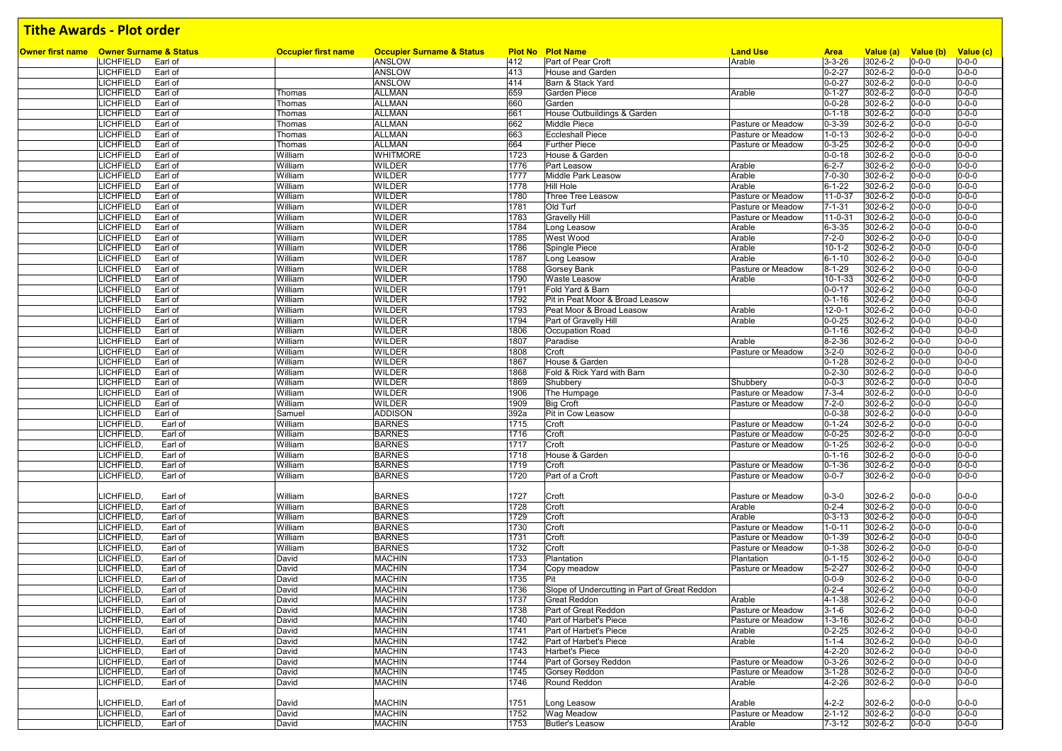| <b>Owner first name</b> Owner Surname & Status |                            | <b>Occupier Surname &amp; Status</b> |      | <b>Plot No Plot Name</b>                      | <b>Land Use</b>   |                             |                      | Value (b)   |                          |
|------------------------------------------------|----------------------------|--------------------------------------|------|-----------------------------------------------|-------------------|-----------------------------|----------------------|-------------|--------------------------|
| <b>LICHFIELD</b><br>Earl of                    | <b>Occupier first name</b> | <b>ANSLOW</b>                        | 412  | Part of Pear Croft                            | Arable            | <b>Area</b><br>$3 - 3 - 26$ | Value (a)<br>302-6-2 | $0 - 0 - 0$ | Value (c)<br>$0 - 0 - 0$ |
| LICHFIELD<br>Earl of                           |                            | <b>ANSLOW</b>                        | 413  | <b>House and Garden</b>                       |                   | $0 - 2 - 27$                | 302-6-2              | $0 - 0 - 0$ | $0 - 0 - 0$              |
| LICHFIELD<br>Earl of                           |                            | <b>ANSLOW</b>                        | 414  | Barn & Stack Yard                             |                   | $0 - 0 - 27$                | 302-6-2              | $0 - 0 - 0$ | $0 - 0 - 0$              |
| LICHFIELD<br>Earl of                           | Thomas                     | <b>ALLMAN</b>                        | 659  | <b>Garden Piece</b>                           | Arable            | $0 - 1 - 27$                | 302-6-2              | $0 - 0 - 0$ | $0 - 0 - 0$              |
| LICHFIELD<br>Earl of                           | Thomas                     | <b>ALLMAN</b>                        | 660  | Garden                                        |                   | $0 - 0 - 28$                | 302-6-2              | $0 - 0 - 0$ | $0 - 0 - 0$              |
| LICHFIELD<br>Earl of                           | Thomas                     | <b>ALLMAN</b>                        | 661  | House Outbuildings & Garden                   |                   | $0 - 1 - 18$                | 302-6-2              | $0 - 0 - 0$ | $0 - 0 - 0$              |
| LICHFIELD<br>Earl of                           |                            | <b>ALLMAN</b>                        | 662  | Middle Piece                                  | Pasture or Meadow | $0 - 3 - 39$                | 302-6-2              | $0 - 0 - 0$ | $0 - 0 - 0$              |
| LICHFIELD<br>Earl of                           | Thomas<br>Thomas           |                                      |      |                                               | Pasture or Meadow |                             | 302-6-2              |             | $0 - 0 - 0$              |
|                                                |                            | <b>ALLMAN</b><br><b>ALLMAN</b>       | 663  | <b>Eccleshall Piece</b>                       |                   | $1 - 0 - 13$                |                      | $0 - 0 - 0$ | $0 - 0 - 0$              |
| LICHFIELD<br>Earl of                           | Thomas                     |                                      | 664  | <b>Further Piece</b>                          | Pasture or Meadow | $0 - 3 - 25$                | 302-6-2              | $0 - 0 - 0$ |                          |
| LICHFIELD<br>Earl of<br><b>LICHFIELD</b>       | William                    | <b>WHITMORE</b>                      | 1723 | House & Garden                                |                   | $0 - 0 - 18$                | 302-6-2              | $0 - 0 - 0$ | $0 - 0 - 0$              |
| Earl of                                        | William                    | <b>WILDER</b>                        | 1776 | <b>Part Leasow</b>                            | Arable            | $6 - 2 - 7$                 | $302 - 6 - 2$        | $0 - 0 - 0$ | $0 - 0 - 0$              |
| LICHFIELD<br>Earl of                           | William                    | <b>WILDER</b>                        | 1777 | Middle Park Leasow                            | Arable            | $7 - 0 - 30$                | 302-6-2              | $0 - 0 - 0$ | $0 - 0 - 0$              |
| LICHFIELD<br>Earl of                           | William                    | <b>WILDER</b>                        | 1778 | Hill Hole                                     | Arable            | $6 - 1 - 22$                | 302-6-2              | $0 - 0 - 0$ | $0 - 0 - 0$              |
| <b>LICHFIELD</b><br>Earl of                    | William                    | <b>WILDER</b>                        | 1780 | Three Tree Leasow                             | Pasture or Meadow | $11 - 0 - 37$               | 302-6-2              | $0 - 0 - 0$ | $0 - 0 - 0$              |
| <b>LICHFIELD</b><br>Earl of                    | William                    | <b>WILDER</b>                        | 1781 | Old Turf                                      | Pasture or Meadow | $7 - 1 - 31$                | 302-6-2              | $0 - 0 - 0$ | $0 - 0 - 0$              |
| LICHFIELD<br>Earl of                           | William                    | <b>WILDER</b>                        | 1783 | <b>Gravelly Hill</b>                          | Pasture or Meadow | $11 - 0 - 31$               | 302-6-2              | $0 - 0 - 0$ | $0 - 0 - 0$              |
| LICHFIELD<br>Earl of                           | William                    | <b>WILDER</b>                        | 1784 | Long Leasow                                   | Arable            | $6 - 3 - 35$                | 302-6-2              | $0 - 0 - 0$ | $0 - 0 - 0$              |
| LICHFIELD<br>Earl of                           | William                    | <b>WILDER</b>                        | 1785 | West Wood                                     | Arable            | $7 - 2 - 0$                 | 302-6-2              | $0 - 0 - 0$ | $0 - 0 - 0$              |
| LICHFIELD<br>Earl of                           | William                    | <b>WILDER</b>                        | 1786 | Spingle Piece                                 | Arable            | $10 - 1 - 2$                | 302-6-2              | $0 - 0 - 0$ | $0 - 0 - 0$              |
| LICHFIELD<br>Earl of                           | William                    | <b>WILDER</b>                        | 1787 | Long Leasow                                   | Arable            | $6 - 1 - 10$                | 302-6-2              | $0 - 0 - 0$ | $0 - 0 - 0$              |
| LICHFIELD<br>Earl of                           | William                    | <b>WILDER</b>                        | 1788 | Gorsey Bank                                   | Pasture or Meadow | $8 - 1 - 29$                | 302-6-2              | $0 - 0 - 0$ | $0 - 0 - 0$              |
| LICHFIELD<br>Earl of                           | William                    | <b>WILDER</b>                        | 1790 | Waste Leasow                                  | Arable            | 10-1-33                     | $302 - 6 - 2$        | $0 - 0 - 0$ | $0 - 0 - 0$              |
| LICHFIELD<br>Earl of                           | William                    | <b>WILDER</b>                        | 1791 | Fold Yard & Barn                              |                   | $0 - 0 - 17$                | 302-6-2              | $0 - 0 - 0$ | $0 - 0 - 0$              |
| LICHFIELD<br>Earl of                           | William                    | <b>WILDER</b>                        | 1792 | Pit in Peat Moor & Broad Leasow               |                   | $0 - 1 - 16$                | 302-6-2              | $0 - 0 - 0$ | $0 - 0 - 0$              |
| LICHFIELD<br>Earl of                           | William                    | <b>WILDER</b>                        | 1793 | Peat Moor & Broad Leasow                      | Arable            | $12 - 0 - 1$                | 302-6-2              | $0 - 0 - 0$ | $0 - 0 - 0$              |
| <b>LICHFIELD</b><br>Earl of                    | William                    | <b>WILDER</b>                        | 1794 | Part of Gravelly Hill                         | Arable            | $0 - 0 - 25$                | $302 - 6 - 2$        | $0 - 0 - 0$ | $0 - 0 - 0$              |
| LICHFIELD<br>Earl of                           | William                    | <b>WILDER</b>                        | 1806 | Occupation Road                               |                   | $0 - 1 - 16$                | 302-6-2              | $0 - 0 - 0$ | $0 - 0 - 0$              |
| LICHFIELD<br>Earl of                           | William                    | <b>WILDER</b>                        | 1807 | Paradise                                      | Arable            | $8 - 2 - 36$                | 302-6-2              | $0 - 0 - 0$ | $0 - 0 - 0$              |
| <b>LICHFIELD</b><br>Earl of                    | William                    | <b>WILDER</b>                        | 1808 | Croft                                         | Pasture or Meadow | $3 - 2 - 0$                 | 302-6-2              | $0 - 0 - 0$ | $0 - 0 - 0$              |
| LICHFIELD<br>Earl of                           | William                    | <b>WILDER</b>                        | 1867 | House & Garden                                |                   | $0 - 1 - 28$                | $302 - 6 - 2$        | $0 - 0 - 0$ | $0 - 0 - 0$              |
| LICHFIELD<br>Earl of                           | William                    | <b>WILDER</b>                        | 1868 | Fold & Rick Yard with Barn                    |                   | $0 - 2 - 30$                | 302-6-2              | $0 - 0 - 0$ | $0 - 0 - 0$              |
| <b>LICHFIELD</b><br>Earl of                    | William                    | <b>WILDER</b>                        | 1869 | Shubbery                                      | Shubbery          | $0 - 0 - 3$                 | $302 - 6 - 2$        | $0 - 0 - 0$ | $0 - 0 - 0$              |
| LICHFIELD<br>Earl of                           | William                    | <b>WILDER</b>                        | 1906 | The Humpage                                   | Pasture or Meadow | $7 - 3 - 4$                 | 302-6-2              | $0 - 0 - 0$ | $0 - 0 - 0$              |
| LICHFIELD<br>Earl of                           | William                    | <b>WILDER</b>                        | 1909 | <b>Big Croft</b>                              | Pasture or Meadow | $7 - 2 - 0$                 | 302-6-2              | $0 - 0 - 0$ | $0 - 0 - 0$              |
| LICHFIELD<br>Earl of                           | Samuel                     | <b>ADDISON</b>                       | 392a | Pit in Cow Leasow                             |                   | $0 - 0 - 38$                | 302-6-2              | $0 - 0 - 0$ | $0 - 0 - 0$              |
| <b>LICHFIELD</b><br>Earl of                    | William                    | <b>BARNES</b>                        | 1715 | Croft                                         | Pasture or Meadow | $0 - 1 - 24$                | 302-6-2              | $0 - 0 - 0$ | $0 - 0 - 0$              |
| LICHFIELD<br>Earl of                           | William                    | <b>BARNES</b>                        | 1716 | Croft                                         | Pasture or Meadow | $0 - 0 - 25$                | 302-6-2              | $0 - 0 - 0$ | $0 - 0 - 0$              |
| <b>LICHFIELD</b><br>Earl of                    | William                    | <b>BARNES</b>                        | 1717 | Croft                                         | Pasture or Meadow | $0 - 1 - 25$                | 302-6-2              | $0 - 0 - 0$ | $0 - 0 - 0$              |
| LICHFIELD<br>Earl of                           | William                    | <b>BARNES</b>                        | 1718 | House & Garden                                |                   | $\overline{0}$ -1-16        | 302-6-2              | $0 - 0 - 0$ | $0 - 0 - 0$              |
| <b>LICHFIELD</b><br>Earl of                    | William                    | <b>BARNES</b>                        | 1719 | Croft                                         | Pasture or Meadow | $0 - 1 - 36$                | 302-6-2              | $0 - 0 - 0$ | $0 - 0 - 0$              |
| LICHFIELD<br>Earl of                           | William                    | <b>BARNES</b>                        | 1720 | Part of a Croft                               | Pasture or Meadow | $0 - 0 - 7$                 | 302-6-2              | $0 - 0 - 0$ | $0 - 0 - 0$              |
|                                                |                            |                                      |      |                                               |                   |                             |                      |             |                          |
| <b>LICHFIELD</b><br>Earl of                    | William                    | <b>BARNES</b>                        | 1727 | Croft                                         | Pasture or Meadow | $0 - 3 - 0$                 | 302-6-2              | $0 - 0 - 0$ | $0 - 0 - 0$              |
| <b>LICHFIELD</b><br>Earl of                    | William                    | <b>BARNES</b>                        | 1728 | Croft                                         | Arable            | $0 - 2 - 4$                 | 302-6-2              | $0 - 0 - 0$ | $0 - 0 - 0$              |
| LICHFIELD.<br>Earl of                          | William                    | <b>BARNES</b>                        | 1729 | Croft                                         | Arable            | $0 - 3 - 13$                | 302-6-2              | $0 - 0 - 0$ | $0 - 0 - 0$              |
| <b>LICHFIELD</b><br>Earl of                    | William                    | <b>BARNES</b>                        | 1730 | Croft                                         | Pasture or Meadow | $1 - 0 - 11$                | 302-6-2              | $0 - 0 - 0$ | $0 - 0 - 0$              |
| Earl of                                        | William                    | <b>BARNES</b>                        | 1731 |                                               | Pasture or Meadow |                             | 302-6-2              | $0 - 0 - 0$ | $0 - 0 - 0$              |
| <b>LICHFIELD</b>                               |                            |                                      |      | Croft                                         |                   | $0 - 1 - 39$                |                      |             |                          |
| LICHFIELD.<br>Earl of                          | William                    | <b>BARNES</b>                        | 1732 | Croft                                         | Pasture or Meadow | $0 - 1 - 38$                | 302-6-2              | $0 - 0 - 0$ | $0 - 0 - 0$              |
| LICHFIELD<br>Earl of                           | David                      | <b>MACHIN</b>                        | 1733 | Plantation                                    | Plantation        | $0 - 1 - 15$                | 302-6-2              | $0 - 0 - 0$ | $0 - 0 - 0$              |
| LICHFIELD<br>Earl of                           | David                      | <b>MACHIN</b>                        | 1734 | Copy meadow                                   | Pasture or Meadow | $5 - 2 - 27$                | 302-6-2              | $0 - 0 - 0$ | $0 - 0 - 0$              |
| <b>LICHFIELD</b><br>Earl of                    | David                      | <b>MACHIN</b>                        | 1735 | Pit                                           |                   | $0 - 0 - 9$                 | 302-6-2              | $0 - 0 - 0$ | $0 - 0 - 0$              |
| <b>LICHFIELD</b><br>Earl of                    | David                      | <b>MACHIN</b>                        | 1736 | Slope of Undercutting in Part of Great Reddon |                   | $0 - 2 - 4$                 | 302-6-2              | $0 - 0 - 0$ | $0 - 0 - 0$              |
| LICHFIELD.<br>Earl of                          | David                      | <b>MACHIN</b>                        | 1737 | <b>Great Reddon</b>                           | Arable            | $4 - 1 - 38$                | 302-6-2              | $0 - 0 - 0$ | $0 - 0 - 0$              |
| LICHFIELD,<br>Earl of                          | David                      | <b>MACHIN</b>                        | 1738 | Part of Great Reddon                          | Pasture or Meadow | $3 - 1 - 6$                 | 302-6-2              | $0 - 0 - 0$ | $0 - 0 - 0$              |
| LICHFIELD,<br>Earl of                          | David                      | <b>MACHIN</b>                        | 1740 | Part of Harbet's Piece                        | Pasture or Meadow | $1 - 3 - 16$                | 302-6-2              | $0 - 0 - 0$ | $0 - 0 - 0$              |
| LICHFIELD,<br>Earl of                          | David                      | <b>MACHIN</b>                        | 1741 | Part of Harbet's Piece                        | Arable            | $0 - 2 - 25$                | 302-6-2              | $0 - 0 - 0$ | $0 - 0 - 0$              |
| LICHFIELD,<br>Earl of                          | David                      | <b>MACHIN</b>                        | 1742 | Part of Harbet's Piece                        | Arable            | $1 - 1 - 4$                 | 302-6-2              | $0 - 0 - 0$ | $0 - 0 - 0$              |
| LICHFIELD,<br>Earl of                          | David                      | <b>MACHIN</b>                        | 1743 | Harbet's Piece                                |                   | 4-2-20                      | 302-6-2              | $0 - 0 - 0$ | $0 - 0 - 0$              |
| LICHFIELD,<br>Earl of                          | David                      | <b>MACHIN</b>                        | 1744 | Part of Gorsey Reddon                         | Pasture or Meadow | $0 - 3 - 26$                | 302-6-2              | $0 - 0 - 0$ | $0 - 0 - 0$              |
| LICHFIELD,<br>Earl of                          | David                      | <b>MACHIN</b>                        | 1745 | Gorsey Reddon                                 | Pasture or Meadow | $3 - 1 - 28$                | $302 - 6 - 2$        | $0 - 0 - 0$ | $0 - 0 - 0$              |
| LICHFIELD,<br>Earl of                          | David                      | <b>MACHIN</b>                        | 1746 | Round Reddon                                  | Arable            | 4-2-26                      | 302-6-2              | $0 - 0 - 0$ | $0 - 0 - 0$              |
|                                                |                            |                                      |      |                                               |                   |                             |                      |             |                          |
| LICHFIELD,<br>Earl of                          | David                      | <b>MACHIN</b>                        | 1751 | Long Leasow                                   | Arable            | $4 - 2 - 2$                 | 302-6-2              | $0 - 0 - 0$ | $0 - 0 - 0$              |
| LICHFIELD,<br>Earl of                          | David                      | <b>MACHIN</b>                        | 1752 | Wag Meadow                                    | Pasture or Meadow | $2 - 1 - 12$                | 302-6-2              | $0 - 0 - 0$ | $0 - 0 - 0$              |
| LICHFIELD,<br>Earl of                          | David                      | <b>MACHIN</b>                        | 1753 | <b>Butler's Leasow</b>                        | Arable            | $7 - 3 - 12$                | 302-6-2              | $0 - 0 - 0$ | $0 - 0 - 0$              |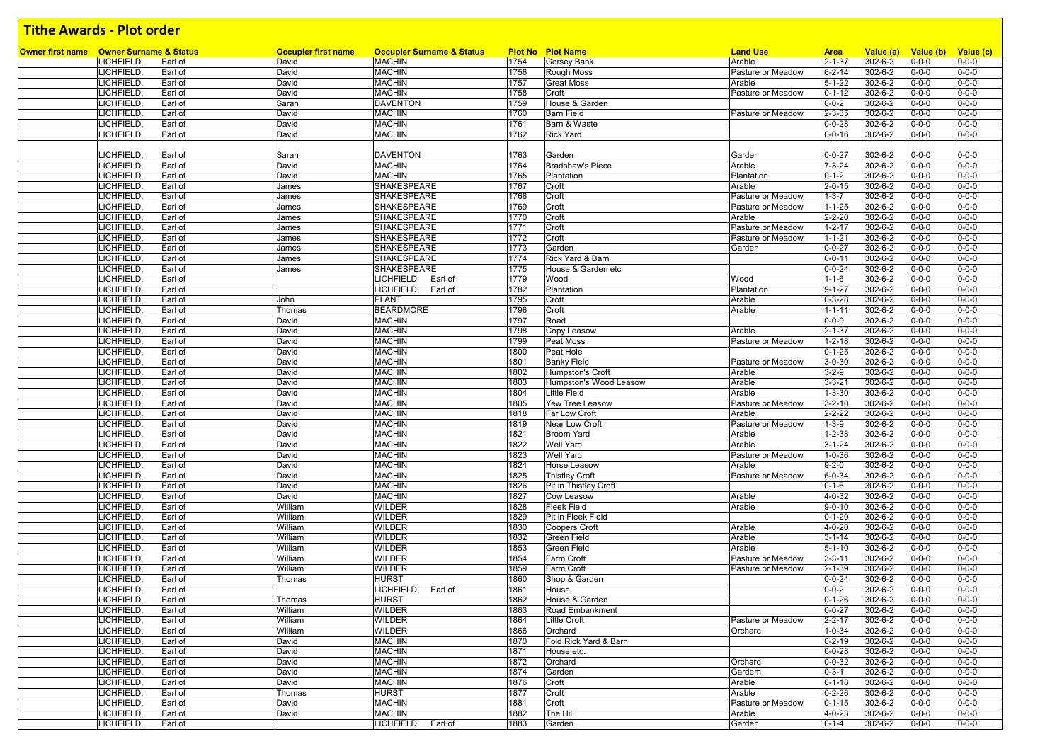| Owner first name Owner Surname & Status |                  |         | <b>Occupier first name</b> | <b>Occupier Surname &amp; Status</b> |      | <b>Plot No Plot Name</b> | <b>Land Use</b>   | <b>Area</b>  | Value (a)     | Value (b)   | Value (c)   |
|-----------------------------------------|------------------|---------|----------------------------|--------------------------------------|------|--------------------------|-------------------|--------------|---------------|-------------|-------------|
|                                         | LICHFIELD,       | Earl of | David                      | <b>MACHIN</b>                        | 1754 | <b>Gorsey Bank</b>       | Arable            | $2 - 1 - 37$ | 302-6-2       | $0 - 0 - 0$ | $0 - 0 - 0$ |
|                                         | LICHFIELD,       | Earl of | David                      | <b>MACHIN</b>                        | 1756 | Rough Moss               | Pasture or Meadow | $6 - 2 - 14$ | 302-6-2       | $0 - 0 - 0$ | $0 - 0 - 0$ |
|                                         | LICHFIELD.       | Earl of | David                      | <b>MACHIN</b>                        | 1757 | <b>Great Moss</b>        | Arable            | $5 - 1 - 22$ | 302-6-2       | $0 - 0 - 0$ | $0 - 0 - 0$ |
|                                         | <b>LICHFIELD</b> | Earl of | David                      | <b>MACHIN</b>                        | 1758 | Croft                    | Pasture or Meadow | $0 - 1 - 12$ | 302-6-2       | $0 - 0 - 0$ | $0 - 0 - 0$ |
|                                         | LICHFIELD.       | Earl of | Sarah                      | <b>DAVENTON</b>                      | 1759 | House & Garden           |                   | $0 - 0 - 2$  | 302-6-2       | $0 - 0 - 0$ | $0 - 0 - 0$ |
|                                         | LICHFIELD,       | Earl of | David                      | <b>MACHIN</b>                        | 1760 | <b>Barn Field</b>        | Pasture or Meadow | $2 - 3 - 35$ | 302-6-2       | $0 - 0 - 0$ | $0 - 0 - 0$ |
|                                         | LICHFIELD.       | Earl of | David                      | <b>MACHIN</b>                        | 1761 | Barn & Waste             |                   | $0 - 0 - 28$ | 302-6-2       | $0 - 0 - 0$ | $0 - 0 - 0$ |
|                                         | <b>LICHFIELD</b> | Earl of | David                      | <b>MACHIN</b>                        | 1762 | <b>Rick Yard</b>         |                   | $0 - 0 - 16$ | 302-6-2       | 0-0-0       | $0 - 0 - 0$ |
|                                         |                  |         |                            |                                      |      |                          |                   |              |               |             |             |
|                                         | <b>LICHFIELD</b> | Earl of | Sarah                      | <b>DAVENTON</b>                      | 1763 | Garden                   | Garden            | $0 - 0 - 27$ | 302-6-2       | 0-0-0       | $0 - 0 - 0$ |
|                                         | <b>ICHFIELD</b>  | Earl of | David                      | <b>MACHIN</b>                        | 1764 | <b>Bradshaw's Piece</b>  | Arable            | $7 - 3 - 24$ | 302-6-2       | $0 - 0 - 0$ | $0 - 0 - 0$ |
|                                         | <b>ICHFIELD</b>  | Earl of | David                      | <b>MACHIN</b>                        | 1765 | Plantation               | Plantation        | $0 - 1 - 2$  | 302-6-2       | $0 - 0 - 0$ | $0 - 0 - 0$ |
|                                         | <b>LICHFIELD</b> | Earl of | James                      | SHAKESPEARE                          | 1767 | Croft                    | Arable            | $2 - 0 - 15$ | 302-6-2       | $0 - 0 - 0$ | $0 - 0 - 0$ |
|                                         | <b>ICHFIELD</b>  | Earl of | James                      | SHAKESPEARE                          | 1768 | Croft                    | Pasture or Meadow | $1 - 3 - 7$  | 302-6-2       | 0-0-0       | $0 - 0 - 0$ |
|                                         | <b>LICHFIELD</b> | Earl of | James                      | SHAKESPEARE                          | 1769 | Croft                    | Pasture or Meadow | $1 - 1 - 25$ | 302-6-2       | $0 - 0 - 0$ | $0 - 0 - 0$ |
|                                         | <b>LICHFIELD</b> | Earl of | James                      | SHAKESPEARE                          | 1770 | Croft                    | Arable            | $2 - 2 - 20$ | 302-6-2       | $0 - 0 - 0$ | $0 - 0 - 0$ |
|                                         | LICHFIELD,       | Earl of | James                      | SHAKESPEARE                          | 1771 | Croft                    | Pasture or Meadow | $1 - 2 - 17$ | 302-6-2       | $0 - 0 - 0$ | $0 - 0 - 0$ |
|                                         | <b>LICHFIELD</b> | Earl of | James                      | SHAKESPEARE                          | 1772 | Croft                    | Pasture or Meadow | $1 - 1 - 21$ | 302-6-2       | $0 - 0 - 0$ | $0 - 0 - 0$ |
|                                         | <b>LICHFIELD</b> | Earl of | James                      | SHAKESPEARE                          | 1773 | Garden                   | Garden            | $0 - 0 - 27$ | 302-6-2       | $0 - 0 - 0$ | $0 - 0 - 0$ |
|                                         | LICHFIELD,       | Earl of | James                      | SHAKESPEARE                          | 1774 | Rick Yard & Barn         |                   | $0 - 0 - 11$ | 302-6-2       | $0 - 0 - 0$ | $0 - 0 - 0$ |
|                                         | <b>LICHFIELD</b> | Earl of | James                      | SHAKESPEARE                          | 1775 | House & Garden etc       |                   | $0 - 0 - 24$ | 302-6-2       | $0 - 0 - 0$ | $0 - 0 - 0$ |
|                                         | LICHFIELD.       | Earl of |                            | LICHFIELD,<br>Earl of                | 1779 | Wood                     | Wood              | $1 - 1 - 6$  | 302-6-2       | $0 - 0 - 0$ | $0 - 0 - 0$ |
|                                         |                  |         |                            |                                      |      |                          |                   |              |               |             |             |
|                                         | <b>LICHFIELD</b> | Earl of |                            | LICHFIELD, Earl of                   | 1782 | Plantation               | Plantation        | $9 - 1 - 27$ | 302-6-2       | $0 - 0 - 0$ | $0 - 0 - 0$ |
|                                         | <b>LICHFIELD</b> | Earl of | John                       | <b>PLANT</b>                         | 1795 | Croft                    | Arable            | $0 - 3 - 28$ | 302-6-2       | $0 - 0 - 0$ | $0 - 0 - 0$ |
|                                         | LICHFIELD.       | Earl of | Thomas                     | <b>BEARDMORE</b>                     | 1796 | Croft                    | Arable            | $1 - 1 - 11$ | 302-6-2       | $0 - 0 - 0$ | $0 - 0 - 0$ |
|                                         | LICHFIELD.       | Earl of | David                      | <b>MACHIN</b>                        | 1797 | Road                     |                   | $0 - 0 - 9$  | 302-6-2       | $0 - 0 - 0$ | $0 - 0 - 0$ |
|                                         | <b>ICHFIELD</b>  | Earl of | David                      | <b>MACHIN</b>                        | 1798 | Copy Leasow              | Arable            | $2 - 1 - 37$ | 302-6-2       | $0 - 0 - 0$ | $0 - 0 - 0$ |
|                                         | <b>LICHFIELD</b> | Earl of | David                      | <b>MACHIN</b>                        | 1799 | Peat Moss                | Pasture or Meadow | $1 - 2 - 18$ | 302-6-2       | $0 - 0 - 0$ | $0 - 0 - 0$ |
|                                         | <b>LICHFIELD</b> | Earl of | David                      | <b>MACHIN</b>                        | 1800 | Peat Hole                |                   | $0 - 1 - 25$ | 302-6-2       | $0 - 0 - 0$ | $0 - 0 - 0$ |
|                                         | <b>ICHFIELD</b>  | Earl of | David                      | <b>MACHIN</b>                        | 1801 | <b>Banky Field</b>       | Pasture or Meadow | $3 - 0 - 30$ | 302-6-2       | $0 - 0 - 0$ | $0 - 0 - 0$ |
|                                         | <b>LICHFIELD</b> | Earl of | David                      | <b>MACHIN</b>                        | 1802 | Humpston's Croft         | Arable            | $3 - 2 - 9$  | 302-6-2       | $0 - 0 - 0$ | $0 - 0 - 0$ |
|                                         | <b>LICHFIELD</b> | Earl of | David                      | <b>MACHIN</b>                        | 1803 | Humpston's Wood Leasow   | Arable            | $3 - 3 - 21$ | 302-6-2       | $0 - 0 - 0$ | $0 - 0 - 0$ |
|                                         | <b>ICHFIELD</b>  | Earl of | David                      | <b>MACHIN</b>                        | 1804 | <b>Little Field</b>      | Arable            | $1 - 3 - 30$ | 302-6-2       | $0 - 0 - 0$ | $0 - 0 - 0$ |
|                                         | LICHFIELD.       | Earl of | David                      | <b>MACHIN</b>                        | 1805 | <b>Yew Tree Leasow</b>   | Pasture or Meadow | $3 - 2 - 10$ | 302-6-2       | $0 - 0 - 0$ | $0 - 0 - 0$ |
|                                         | <b>LICHFIELD</b> | Earl of | David                      | <b>MACHIN</b>                        | 1818 | Far Low Croft            | Arable            | $2 - 2 - 22$ | 302-6-2       | $0 - 0 - 0$ | $0 - 0 - 0$ |
|                                         | LICHFIELD,       | Earl of | David                      | <b>MACHIN</b>                        | 1819 | Near Low Croft           | Pasture or Meadow | $1 - 3 - 9$  | 302-6-2       | $0 - 0 - 0$ | $0 - 0 - 0$ |
|                                         | LICHFIELD.       | Earl of | David                      | <b>MACHIN</b>                        | 1821 | <b>Broom Yard</b>        | Arable            | $1 - 2 - 38$ | 302-6-2       | $0 - 0 - 0$ | $0 - 0 - 0$ |
|                                         | <b>LICHFIELD</b> | Earl of | David                      | <b>MACHIN</b>                        | 1822 | <b>Well Yard</b>         | Arable            | $3 - 1 - 24$ | 302-6-2       | $0 - 0 - 0$ | $0 - 0 - 0$ |
|                                         | LICHFIELD,       | Earl of | David                      | <b>MACHIN</b>                        | 1823 | <b>Well Yard</b>         | Pasture or Meadow | $1 - 0 - 36$ | 302-6-2       | $0 - 0 - 0$ | $0 - 0 - 0$ |
|                                         | <b>LICHFIELD</b> | Earl of | David                      | <b>MACHIN</b>                        | 1824 | Horse Leasow             | Arable            | $9 - 2 - 0$  | 302-6-2       | $0 - 0 - 0$ | $0 - 0 - 0$ |
|                                         | LICHFIELD.       | Earl of | David                      | <b>MACHIN</b>                        | 1825 | <b>Thistley Croft</b>    | Pasture or Meadow | $6 - 0 - 34$ | 302-6-2       | $0 - 0 - 0$ | $0 - 0 - 0$ |
|                                         | <b>LICHFIELD</b> | Earl of | David                      | <b>MACHIN</b>                        | 1826 | Pit in Thistley Croft    |                   | $0 - 1 - 6$  | 302-6-2       | $0 - 0 - 0$ | $0 - 0 - 0$ |
|                                         | <b>LICHFIELD</b> | Earl of | David                      | <b>MACHIN</b>                        | 1827 | Cow Leasow               | Arable            | $4 - 0 - 32$ | 302-6-2       | $0 - 0 - 0$ | $0 - 0 - 0$ |
|                                         | <b>LICHFIELD</b> | Earl of | William                    | <b>WILDER</b>                        | 1828 | Fleek Field              | Arable            | $9 - 0 - 10$ | 302-6-2       | $0 - 0 - 0$ | $0 - 0 - 0$ |
|                                         | <b>LICHFIELD</b> | Earl of | William                    | <b>WILDER</b>                        | 1829 | Pit in Fleek Field       |                   | $0 - 1 - 20$ | 302-6-2       | $0 - 0 - 0$ | $0 - 0 - 0$ |
|                                         | <b>LICHFIELD</b> | Earl of | William                    | <b>WILDER</b>                        | 1830 | <b>Coopers Croft</b>     | Arable            | $4 - 0 - 20$ | 302-6-2       | $0 - 0 - 0$ | $0 - 0 - 0$ |
|                                         | <b>LICHFIELD</b> | Earl of | William                    | <b>WILDER</b>                        | 1832 | <b>Green Field</b>       | Arable            | $3 - 1 - 14$ | 302-6-2       | $0 - 0 - 0$ | $0 - 0 - 0$ |
|                                         | <b>LICHFIELD</b> | Earl of | William                    | <b>WILDER</b>                        | 1853 | <b>Green Field</b>       | Arable            | $5 - 1 - 10$ | 302-6-2       | $0 - 0 - 0$ | $0 - 0 - 0$ |
|                                         | LICHFIELD.       | Earl of | William                    | <b>WILDER</b>                        | 1854 | <b>Farm Croft</b>        | Pasture or Meadow | $3 - 3 - 11$ | 302-6-2       | $0 - 0 - 0$ | $0 - 0 - 0$ |
|                                         | <b>ICHFIELD</b>  | Earl of | William                    | <b>WILDER</b>                        | 1859 | Farm Croft               | Pasture or Meadow | $2 - 1 - 39$ | 302-6-2       | $0 - 0 - 0$ | $0 - 0 - 0$ |
|                                         | <b>LICHFIELD</b> | Earl of | Thomas                     | <b>HURST</b>                         | 1860 | Shop & Garden            |                   | $0 - 0 - 24$ | 302-6-2       | $0 - 0 - 0$ | $0 - 0 - 0$ |
|                                         | LICHFIELD.       | Earl of |                            | LICHFIELD,<br>Earl of                | 1861 | House                    |                   | $0 - 0 - 2$  | 302-6-2       | $0 - 0 - 0$ | $0 - 0 - 0$ |
|                                         | <b>LICHFIELD</b> | Earl of | Thomas                     | <b>HURST</b>                         | 1862 | House & Garden           |                   | $0 - 1 - 26$ | 302-6-2       | $0 - 0 - 0$ | $0 - 0 - 0$ |
|                                         | LICHFIELD,       | Earl of | William                    | <b>WILDER</b>                        | 1863 | Road Embankment          |                   | $0 - 0 - 27$ | $302 - 6 - 2$ | $0 - 0 - 0$ | $0 - 0 - 0$ |
|                                         | LICHFIELD,       | Earl of | William                    | <b>WILDER</b>                        | 1864 | Little Croft             | Pasture or Meadow | $2 - 2 - 17$ | 302-6-2       | $0 - 0 - 0$ | $0 - 0 - 0$ |
|                                         | LICHFIELD,       | Earl of | William                    | <b>WILDER</b>                        | 1866 | Orchard                  | Orchard           | $1 - 0 - 34$ | 302-6-2       | $0 - 0 - 0$ | $0 - 0 - 0$ |
|                                         | <b>LICHFIELD</b> | Earl of | David                      | <b>MACHIN</b>                        | 1870 | Fold Rick Yard & Barn    |                   | $0 - 2 - 19$ | 302-6-2       | $0 - 0 - 0$ | $0 - 0 - 0$ |
|                                         | LICHFIELD,       | Earl of | David                      | <b>MACHIN</b>                        | 1871 | House etc.               |                   | $0 - 0 - 28$ | 302-6-2       | $0 - 0 - 0$ | $0 - 0 - 0$ |
|                                         | LICHFIELD,       | Earl of | David                      | <b>MACHIN</b>                        | 1872 | Orchard                  | Orchard           | $0 - 0 - 32$ | 302-6-2       | 0-0-0       | $0 - 0 - 0$ |
|                                         | LICHFIELD.       | Earl of | David                      | <b>MACHIN</b>                        | 1874 | Garden                   | Gardem            | $0 - 3 - 1$  | 302-6-2       | $0 - 0 - 0$ | $0 - 0 - 0$ |
|                                         | <b>LICHFIELD</b> |         | David                      | <b>MACHIN</b>                        | 1876 | Croft                    | Arable            | $0 - 1 - 18$ | 302-6-2       | $0 - 0 - 0$ | $0 - 0 - 0$ |
|                                         |                  | Earl of |                            | <b>HURST</b>                         | 1877 |                          |                   | $0 - 2 - 26$ | 302-6-2       | $0 - 0 - 0$ | $0 - 0 - 0$ |
|                                         | LICHFIELD,       | Earl of | Thomas                     |                                      |      | Croft                    | Arable            |              |               |             |             |
|                                         | LICHFIELD,       | Earl of | David                      | <b>MACHIN</b>                        | 1881 | Croft                    | Pasture or Meadow | $0 - 1 - 15$ | 302-6-2       | 0-0-0       | $0 - 0 - 0$ |
|                                         | LICHFIELD.       | Earl of | David                      | <b>MACHIN</b>                        | 1882 | The Hill                 | Arable            | $4 - 0 - 23$ | 302-6-2       | $0 - 0 - 0$ | $0 - 0 - 0$ |
|                                         | LICHFIELD,       | Earl of |                            | LICHFIELD,<br>Earl of                | 1883 | Garden                   | Garden            | $0 - 1 - 4$  | 302-6-2       | $0 - 0 - 0$ | $0 - 0 - 0$ |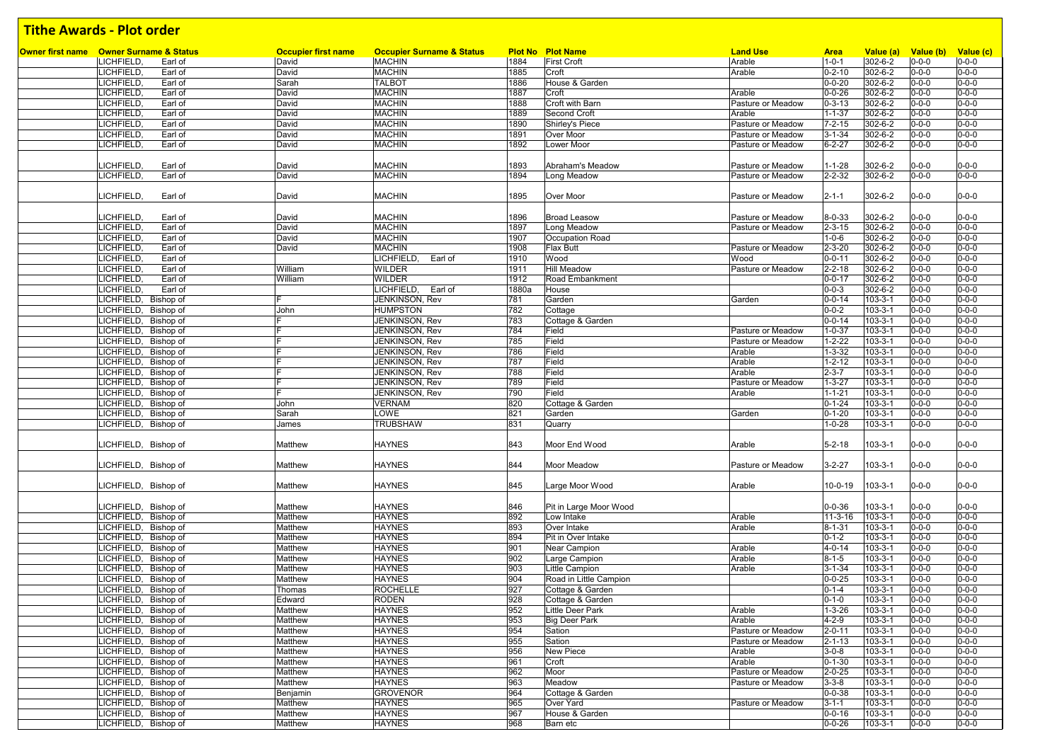| <b>Owner first name</b> Owner Surname & Status | <b>Occupier first name</b> | <b>Occupier Surname &amp; Status</b> |       | <b>Plot No Plot Name</b> | <b>Land Use</b>   | <b>Area</b>  | Value (a)     | Value (b)   | Value (c)   |
|------------------------------------------------|----------------------------|--------------------------------------|-------|--------------------------|-------------------|--------------|---------------|-------------|-------------|
| LICHFIELD,<br>Earl of                          | David                      | <b>MACHIN</b>                        | 1884  | <b>First Croft</b>       | Arable            | $1 - 0 - 1$  | 302-6-2       | $0 - 0 - 0$ | $0 - 0 - 0$ |
| <b>LICHFIELD</b><br>Earl of                    | David                      | <b>MACHIN</b>                        | 1885  | Croft                    | Arable            | $0 - 2 - 10$ | 302-6-2       | $0 - 0 - 0$ | $0 - 0 - 0$ |
| LICHFIELD,<br>Earl of                          | Sarah                      | <b>TALBOT</b>                        | 1886  | House & Garden           |                   | $0 - 0 - 20$ | 302-6-2       | $0 - 0 - 0$ | $0 - 0 - 0$ |
| LICHFIELD,<br>Earl of                          | David                      | <b>MACHIN</b>                        | 1887  | Croft                    | Arable            | $0 - 0 - 26$ | 302-6-2       | 0-0-0       | $0 - 0 - 0$ |
| <b>LICHFIELD</b><br>Earl of                    | David                      | <b>MACHIN</b>                        | 1888  | Croft with Barn          | Pasture or Meadow | $0 - 3 - 13$ | 302-6-2       | $0 - 0 - 0$ | $0 - 0 - 0$ |
| LICHFIELD.<br>Earl of                          | David                      | <b>MACHIN</b>                        | 1889  | Second Croft             | Arable            | $1 - 1 - 37$ | 302-6-2       | $0 - 0 - 0$ | $0 - 0 - 0$ |
| LICHFIELD,<br>Earl of                          | David                      | <b>MACHIN</b>                        | 1890  | Shirley's Piece          | Pasture or Meadow | $7 - 2 - 15$ | 302-6-2       | $0 - 0 - 0$ | $0 - 0 - 0$ |
|                                                |                            |                                      |       |                          |                   |              |               |             |             |
| LICHFIELD.<br>Earl of                          | David                      | <b>MACHIN</b>                        | 1891  | Over Moor                | Pasture or Meadow | $3 - 1 - 34$ | 302-6-2       | 0-0-0       | $0 - 0 - 0$ |
| LICHFIELD.<br>Earl of                          | David                      | <b>MACHIN</b>                        | 1892  | Lower Moor               | Pasture or Meadow | $6 - 2 - 27$ | 302-6-2       | 0-0-0       | $0 - 0 - 0$ |
|                                                |                            |                                      |       |                          |                   |              |               |             |             |
| LICHFIELD,<br>Earl of                          | David                      | <b>MACHIN</b>                        | 1893  | Abraham's Meadow         | Pasture or Meadow | $1 - 1 - 28$ | 302-6-2       | $0 - 0 - 0$ | $0 - 0 - 0$ |
| LICHFIELD,<br>Earl of                          | David                      | <b>MACHIN</b>                        | 1894  | Long Meadow              | Pasture or Meadow | $2 - 2 - 32$ | 302-6-2       | $0 - 0 - 0$ | $0 - 0 - 0$ |
|                                                |                            |                                      |       |                          |                   |              |               |             |             |
| LICHFIELD,<br>Earl of                          | David                      | <b>MACHIN</b>                        | 1895  | Over Moor                | Pasture or Meadow | $2 - 1 - 1$  | 302-6-2       | $0 - 0 - 0$ | $0 - 0 - 0$ |
|                                                |                            |                                      |       |                          |                   |              |               |             |             |
|                                                |                            |                                      |       |                          |                   |              |               |             |             |
| <b>LICHFIELD</b><br>Earl of                    | David                      | <b>MACHIN</b>                        | 1896  | <b>Broad Leasow</b>      | Pasture or Meadow | $8 - 0 - 33$ | 302-6-2       | 0-0-0       | $0 - 0 - 0$ |
| LICHFIELD.<br>Earl of                          | David                      | <b>MACHIN</b>                        | 1897  | Long Meadow              | Pasture or Meadow | $2 - 3 - 15$ | 302-6-2       | $0 - 0 - 0$ | $0 - 0 - 0$ |
| LICHFIELD.<br>Earl of                          | David                      | <b>MACHIN</b>                        | 1907  | Occupation Road          |                   | $1 - 0 - 6$  | 302-6-2       | $0 - 0 - 0$ | $0 - 0 - 0$ |
| LICHFIELD,<br>Earl of                          | David                      | <b>MACHIN</b>                        | 1908  | <b>Flax Butt</b>         | Pasture or Meadow | $2 - 3 - 20$ | 302-6-2       | $0 - 0 - 0$ | $0 - 0 - 0$ |
| LICHFIELD,<br>Earl of                          |                            | LICHFIELD,<br>Earl of                | 1910  | Wood                     | Wood              | $0 - 0 - 11$ | 302-6-2       | $0 - 0 - 0$ | $0 - 0 - 0$ |
| <b>LICHFIELD</b><br>Earl of                    | William                    | WILDER                               | 1911  | <b>Hill Meadow</b>       | Pasture or Meadow | $2 - 2 - 18$ | 302-6-2       | $0 - 0 - 0$ | $0 - 0 - 0$ |
| LICHFIELD,<br>Earl of                          | William                    | <b>WILDER</b>                        | 1912  | Road Embankment          |                   | $0 - 0 - 17$ | 302-6-2       | $0 - 0 - 0$ | $0 - 0 - 0$ |
| LICHFIELD,<br>Earl of                          |                            | LICHFIELD,<br>Earl of                | 1880a | House                    |                   | $0 - 0 - 3$  | 302-6-2       | 0-0-0       | $0 - 0 - 0$ |
|                                                | F                          |                                      |       |                          |                   |              |               |             |             |
| LICHFIELD, Bishop of                           |                            | JENKINSON, Rev                       | 781   | Garden                   | Garden            | $0 - 0 - 14$ | $103 - 3 - 1$ | $0 - 0 - 0$ | $0 - 0 - 0$ |
| LICHFIELD, Bishop of                           | John                       | <b>HUMPSTON</b>                      | 782   | Cottage                  |                   | $0 - 0 - 2$  | $103 - 3 - 1$ | $0 - 0 - 0$ | $0 - 0 - 0$ |
| LICHFIELD, Bishop of                           |                            | JENKINSON, Rev                       | 783   | Cottage & Garden         |                   | $0 - 0 - 14$ | $103 - 3 - 1$ | $0 - 0 - 0$ | $0 - 0 - 0$ |
| LICHFIELD, Bishop of                           | E                          | JENKINSON, Rev                       | 784   | Field                    | Pasture or Meadow | $1 - 0 - 37$ | $103 - 3 - 1$ | $0 - 0 - 0$ | $0 - 0 - 0$ |
| LICHFIELD, Bishop of                           |                            | JENKINSON, Rev                       | 785   | Field                    | Pasture or Meadow | $1 - 2 - 22$ | $103 - 3 - 1$ | $0 - 0 - 0$ | $0 - 0 - 0$ |
| LICHFIELD, Bishop of                           | E                          | JENKINSON, Rev                       | 786   | Field                    | Arable            | $1 - 3 - 32$ | $103 - 3 - 1$ | $0 - 0 - 0$ | $0 - 0 - 0$ |
| LICHFIELD, Bishop of                           |                            | JENKINSON, Rev                       | 787   | Field                    | Arable            | $1 - 2 - 12$ | $103 - 3 - 1$ | $0 - 0 - 0$ | $0 - 0 - 0$ |
| LICHFIELD, Bishop of                           |                            | JENKINSON, Rev                       | 788   |                          | Arable            | $2 - 3 - 7$  | $103 - 3 - 1$ | $0 - 0 - 0$ | $0 - 0 - 0$ |
|                                                |                            |                                      |       | Field                    |                   |              |               |             |             |
| LICHFIELD, Bishop of                           | F                          | JENKINSON, Rev                       | 789   | Field                    | Pasture or Meadow | $1 - 3 - 27$ | $103 - 3 - 1$ | $0 - 0 - 0$ | $0 - 0 - 0$ |
| LICHFIELD, Bishop of                           | IF.                        | JENKINSON, Rev                       | 790   | Field                    | Arable            | $1 - 1 - 21$ | $103 - 3 - 1$ | $0 - 0 - 0$ | $0 - 0 - 0$ |
| LICHFIELD, Bishop of                           | John                       | <b>VERNAM</b>                        | 820   | Cottage & Garden         |                   | $0 - 1 - 24$ | $103 - 3 - 1$ | $0 - 0 - 0$ | $0 - 0 - 0$ |
| LICHFIELD, Bishop of                           | Sarah                      | LOWE                                 | 821   | Garden                   | Garden            | $0 - 1 - 20$ | $103 - 3 - 1$ | $0 - 0 - 0$ | $0 - 0 - 0$ |
| LICHFIELD, Bishop of                           | James                      | <b>TRUBSHAW</b>                      | 831   | Quarry                   |                   | $1 - 0 - 28$ | $103 - 3 - 1$ | $0 - 0 - 0$ | $0 - 0 - 0$ |
|                                                |                            |                                      |       |                          |                   |              |               |             |             |
| LICHFIELD, Bishop of                           | Matthew                    | <b>HAYNES</b>                        | 843   | Moor End Wood            | Arable            | $5 - 2 - 18$ | $103 - 3 - 1$ | $0 - 0 - 0$ | $0 - 0 - 0$ |
|                                                |                            |                                      |       |                          |                   |              |               |             |             |
|                                                |                            |                                      |       |                          |                   |              |               |             |             |
| LICHFIELD, Bishop of                           | Matthew                    | <b>HAYNES</b>                        | 844   | Moor Meadow              | Pasture or Meadow | $3 - 2 - 27$ | 103-3-1       | 0-0-0       | $0 - 0 - 0$ |
|                                                |                            |                                      |       |                          |                   |              |               |             |             |
| LICHFIELD, Bishop of                           | Matthew                    | <b>HAYNES</b>                        | 845   | Large Moor Wood          | Arable            | 10-0-19      | 103-3-1       | $0 - 0 - 0$ | $0 - 0 - 0$ |
|                                                |                            |                                      |       |                          |                   |              |               |             |             |
| LICHFIELD, Bishop of                           | Matthew                    | <b>HAYNES</b>                        | 846   | Pit in Large Moor Wood   |                   | $0 - 0 - 36$ | $103 - 3 - 1$ | $0 - 0 - 0$ | $0 - 0 - 0$ |
| LICHFIELD, Bishop of                           | Matthew                    | <b>HAYNES</b>                        | 892   | Low Intake               | Arable            | $11-3-16$    | $103 - 3 - 1$ | $0 - 0 - 0$ | $0 - 0 - 0$ |
| LICHFIELD, Bishop of                           | Matthew                    | <b>HAYNES</b>                        | 893   | Over Intake              | Arable            | $8 - 1 - 31$ | $103 - 3 - 1$ | $0 - 0 - 0$ | $0 - 0 - 0$ |
| LICHFIELD, Bishop of                           | Matthew                    | <b>HAYNES</b>                        | 894   | Pit in Over Intake       |                   | $0 - 1 - 2$  | $103 - 3 - 1$ | $0 - 0 - 0$ | $0 - 0 - 0$ |
|                                                |                            |                                      |       |                          |                   |              |               |             |             |
| LICHFIELD, Bishop of                           | Matthew                    | <b>HAYNES</b>                        | 901   | Near Campion             | Arable            | $4 - 0 - 14$ | $103 - 3 - 1$ | $0 - 0 - 0$ | $0 - 0 - 0$ |
| LICHFIELD, Bishop of                           | Matthew                    | <b>HAYNES</b>                        | 902   | Large Campion            | Arable            | $8 - 1 - 5$  | $103 - 3 - 1$ | $0 - 0 - 0$ | $0 - 0 - 0$ |
| LICHFIELD, Bishop of                           | Matthew                    | <b>HAYNES</b>                        | 903   | Little Campion           | Arable            | $3 - 1 - 34$ | $103 - 3 - 1$ | $0 - 0 - 0$ | $0 - 0 - 0$ |
| LICHFIELD, Bishop of                           | Matthew                    | <b>HAYNES</b>                        | 904   | Road in Little Campion   |                   | $0 - 0 - 25$ | $103 - 3 - 1$ | $0 - 0 - 0$ | $0 - 0 - 0$ |
| LICHFIELD, Bishop of                           | Thomas                     | <b>ROCHELLE</b>                      | 927   | Cottage & Garden         |                   | $0 - 1 - 4$  | $103 - 3 - 1$ | $0 - 0 - 0$ | $0 - 0 - 0$ |
| LICHFIELD, Bishop of                           | Edward                     | <b>RODEN</b>                         | 928   | Cottage & Garden         |                   | $0 - 1 - 0$  | $103 - 3 - 1$ | $0 - 0 - 0$ | $0 - 0 - 0$ |
| LICHFIELD, Bishop of                           | Matthew                    | <b>HAYNES</b>                        | 952   | Little Deer Park         | Arable            | $1 - 3 - 26$ | 103-3-1       | $0 - 0 - 0$ | $0 - 0 - 0$ |
| LICHFIELD, Bishop of                           | Matthew                    | <b>HAYNES</b>                        | 953   | Big Deer Park            | Arable            | $4 - 2 - 9$  | $103 - 3 - 1$ | $0 - 0 - 0$ | $0 - 0 - 0$ |
|                                                |                            |                                      |       |                          |                   |              |               |             |             |
| LICHFIELD, Bishop of                           | Matthew                    | <b>HAYNES</b>                        | 954   | Sation                   | Pasture or Meadow | $2 - 0 - 11$ | $103 - 3 - 1$ | $0 - 0 - 0$ | $0 - 0 - 0$ |
| LICHFIELD, Bishop of                           | Matthew                    | <b>HAYNES</b>                        | 955   | Sation                   | Pasture or Meadow | $2 - 1 - 13$ | $103 - 3 - 1$ | $0 - 0 - 0$ | $0 - 0 - 0$ |
| LICHFIELD, Bishop of                           | Matthew                    | <b>HAYNES</b>                        | 956   | New Piece                | Arable            | $3 - 0 - 8$  | $103 - 3 - 1$ | $0 - 0 - 0$ | $0 - 0 - 0$ |
| LICHFIELD, Bishop of                           | Matthew                    | <b>HAYNES</b>                        | 961   | Croft                    | Arable            | $0 - 1 - 30$ | $103 - 3 - 1$ | $0 - 0 - 0$ | $0 - 0 - 0$ |
| LICHFIELD, Bishop of                           | Matthew                    | <b>HAYNES</b>                        | 962   | Moor                     | Pasture or Meadow | $2 - 0 - 25$ | $103 - 3 - 1$ | $0 - 0 - 0$ | $0 - 0 - 0$ |
| LICHFIELD, Bishop of                           | Matthew                    | <b>HAYNES</b>                        | 963   | Meadow                   | Pasture or Meadow | $3 - 3 - 8$  | $103 - 3 - 1$ | $0 - 0 - 0$ | $0 - 0 - 0$ |
| LICHFIELD, Bishop of                           | Benjamin                   | <b>GROVENOR</b>                      | 964   | Cottage & Garden         |                   | $0 - 0 - 38$ | $103 - 3 - 1$ | $0 - 0 - 0$ | $0 - 0 - 0$ |
| LICHFIELD, Bishop of                           |                            | <b>HAYNES</b>                        | 965   | Over Yard                |                   | $3 - 1 - 1$  | $103 - 3 - 1$ | $0 - 0 - 0$ | $0 - 0 - 0$ |
|                                                | Matthew                    |                                      |       |                          | Pasture or Meadow |              |               |             |             |
| LICHFIELD, Bishop of                           | Matthew                    | <b>HAYNES</b>                        | 967   | House & Garden           |                   | $0 - 0 - 16$ | $103 - 3 - 1$ | $0 - 0 - 0$ | $0 - 0 - 0$ |
| LICHFIELD, Bishop of                           | Matthew                    | <b>HAYNES</b>                        | 968   | Barn etc                 |                   | $0 - 0 - 26$ | $103 - 3 - 1$ | $0 - 0 - 0$ | $0 - 0 - 0$ |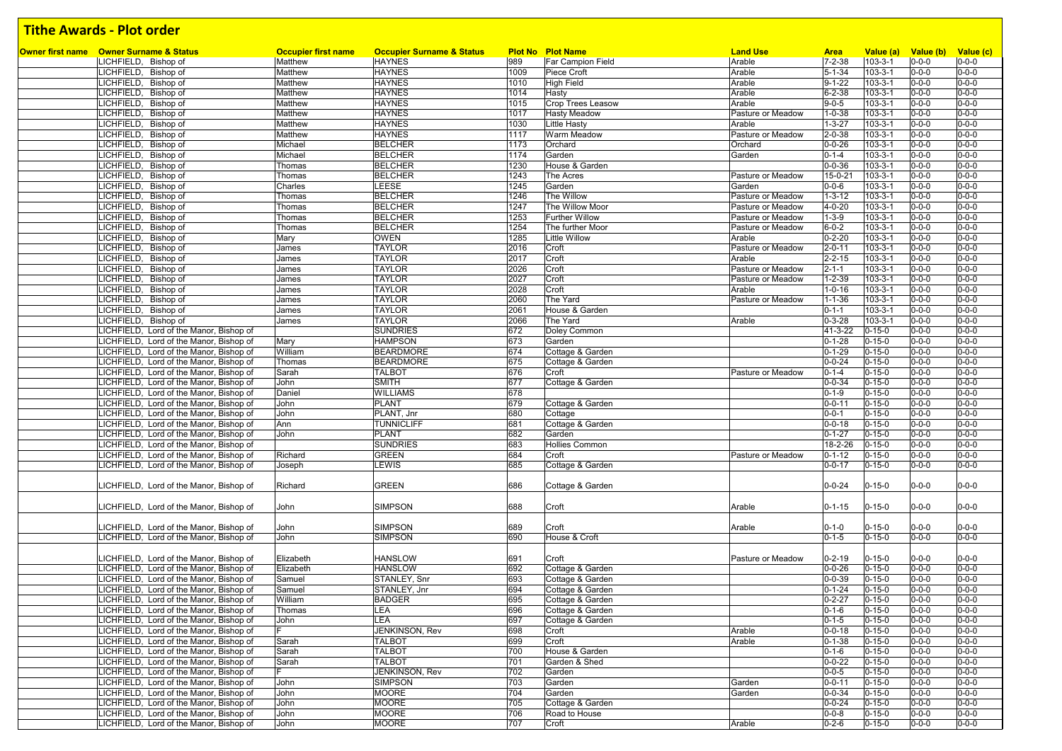| <b>Owner first name</b> Owner Surname & Status | <b>Occupier first name</b> | <b>Occupier Surname &amp; Status</b> |      | <b>Plot No Plot Name</b> | <b>Land Use</b>   | <b>Area</b>  | Value (a)     | Value (b) Value (c) |             |
|------------------------------------------------|----------------------------|--------------------------------------|------|--------------------------|-------------------|--------------|---------------|---------------------|-------------|
| LICHFIELD, Bishop of                           | Matthew                    | <b>HAYNES</b>                        | 989  | <b>Far Campion Field</b> | Arable            | $7 - 2 - 38$ | $103 - 3 - 1$ | $0 - 0 - 0$         | $0 - 0 - 0$ |
| LICHFIELD, Bishop of                           | Matthew                    | <b>HAYNES</b>                        | 1009 | Piece Croft              | Arable            | $5 - 1 - 34$ | 103-3-1       | $0 - 0 - 0$         | $0 - 0 - 0$ |
| LICHFIELD, Bishop of                           | Matthew                    | <b>HAYNES</b>                        | 1010 | <b>High Field</b>        | Arable            | $9 - 1 - 22$ | $103 - 3 - 1$ | $0 - 0 - 0$         | $0 - 0 - 0$ |
| LICHFIELD, Bishop of                           | Matthew                    | <b>HAYNES</b>                        | 1014 | Hasty                    | Arable            | $6 - 2 - 38$ | $103 - 3 - 1$ | $0 - 0 - 0$         | $0 - 0 - 0$ |
| LICHFIELD, Bishop of                           | Matthew                    | <b>HAYNES</b>                        | 1015 | <b>Crop Trees Leasow</b> | Arable            | $9 - 0 - 5$  | $103 - 3 - 1$ | $0 - 0 - 0$         | $0 - 0 - 0$ |
| LICHFIELD, Bishop of                           | Matthew                    | <b>HAYNES</b>                        | 1017 | <b>Hasty Meadow</b>      | Pasture or Meadow | $1 - 0 - 38$ | $103 - 3 - 1$ | $0 - 0 - 0$         | $0 - 0 - 0$ |
| LICHFIELD, Bishop of                           | Matthew                    | <b>HAYNES</b>                        | 1030 | <b>Little Hasty</b>      | Arable            | $1 - 3 - 27$ | $103 - 3 - 1$ | $0 - 0 - 0$         | $0 - 0 - 0$ |
| ICHFIELD, Bishop of                            | Matthew                    | <b>HAYNES</b>                        | 1117 | <b>Warm Meadow</b>       | Pasture or Meadow | $2 - 0 - 38$ | $103 - 3 - 1$ | $0 - 0 - 0$         | $0 - 0 - 0$ |
| LICHFIELD, Bishop of                           | Michael                    | <b>BELCHER</b>                       | 1173 | Orchard                  | Orchard           | $0 - 0 - 26$ | $103 - 3 - 1$ | $0 - 0 - 0$         | $0 - 0 - 0$ |
| ICHFIELD, Bishop of                            | Michael                    | <b>BELCHER</b>                       | 1174 | Garden                   | Garden            | $0 - 1 - 4$  | $103 - 3 - 1$ | $0 - 0 - 0$         | $0 - 0 - 0$ |
| ICHFIELD, Bishop of                            | Thomas                     | <b>BELCHER</b>                       | 1230 | House & Garden           |                   | $0 - 0 - 36$ | $103 - 3 - 1$ | $0 - 0 - 0$         | $0 - 0 - 0$ |
| ICHFIELD, Bishop of                            | Thomas                     | <b>BELCHER</b>                       | 1243 | The Acres                | Pasture or Meadow | 15-0-21      | $103 - 3 - 1$ | $0 - 0 - 0$         | $0 - 0 - 0$ |
| ICHFIELD, Bishop of                            | Charles                    | LEESE                                | 1245 | Garden                   | Garden            | $0 - 0 - 6$  | $103 - 3 - 1$ | $0 - 0 - 0$         | $0 - 0 - 0$ |
| LICHFIELD, Bishop of                           | Thomas                     | <b>BELCHER</b>                       | 1246 | The Willow               | Pasture or Meadow | $1 - 3 - 12$ | $103 - 3 - 1$ | $0 - 0 - 0$         | $0 - 0 - 0$ |
| ICHFIELD, Bishop of                            | Thomas                     | <b>BELCHER</b>                       | 1247 | The Willow Moor          | Pasture or Meadow | $4 - 0 - 20$ | $103 - 3 - 1$ | $0 - 0 - 0$         | $0 - 0 - 0$ |
| LICHFIELD, Bishop of                           | Thomas                     | <b>BELCHER</b>                       | 1253 | <b>Further Willow</b>    | Pasture or Meadow | $1 - 3 - 9$  | 103-3-1       | $0 - 0 - 0$         | $0 - 0 - 0$ |
| LICHFIELD, Bishop of                           | Thomas                     | <b>BELCHER</b>                       | 1254 | The further Moor         | Pasture or Meadow | $6 - 0 - 2$  | $103 - 3 - 1$ | $0 - 0 - 0$         | $0 - 0 - 0$ |
| ICHFIELD, Bishop of                            | Mary                       | <b>OWEN</b>                          | 1285 | <b>Little Willow</b>     | Arable            | $0 - 2 - 20$ | $103 - 3 - 1$ | $0 - 0 - 0$         | $0 - 0 - 0$ |
| LICHFIELD, Bishop of                           | James                      | <b>TAYLOR</b>                        | 2016 | Croft                    | Pasture or Meadow | $2 - 0 - 11$ | $103 - 3 - 1$ | $0 - 0 - 0$         | $0 - 0 - 0$ |
| LICHFIELD, Bishop of                           | James                      | <b>TAYLOR</b>                        | 2017 | Croft                    | Arable            | $2 - 2 - 15$ | $103 - 3 - 1$ | $0 - 0 - 0$         | $0 - 0 - 0$ |
| LICHFIELD, Bishop of                           | James                      | <b>TAYLOR</b>                        | 2026 | Croft                    | Pasture or Meadow | $2 - 1 - 1$  | $103 - 3 - 1$ | $0 - 0 - 0$         | $0 - 0 - 0$ |
| LICHFIELD, Bishop of                           | James                      | <b>TAYLOR</b>                        | 2027 | Croft                    | Pasture or Meadow | $1 - 2 - 39$ | $103 - 3 - 1$ | $0 - 0 - 0$         | $0 - 0 - 0$ |
| ICHFIELD, Bishop of                            | James                      | <b>TAYLOR</b>                        | 2028 | Croft                    | Arable            | $1 - 0 - 16$ | $103 - 3 - 1$ | $0 - 0 - 0$         | $0 - 0 - 0$ |
| ICHFIELD, Bishop of                            |                            | <b>TAYLOR</b>                        | 2060 | The Yard                 | Pasture or Meadow | $1 - 1 - 36$ | $103 - 3 - 1$ | $0 - 0 - 0$         | $0 - 0 - 0$ |
|                                                | James                      |                                      | 2061 | House & Garden           |                   |              |               |                     | $0 - 0 - 0$ |
| LICHFIELD, Bishop of                           | James                      | <b>TAYLOR</b>                        |      |                          |                   | $0 - 1 - 1$  | $103 - 3 - 1$ | $0 - 0 - 0$         |             |
| LICHFIELD, Bishop of                           | James                      | <b>TAYLOR</b>                        | 2066 | The Yard                 | Arable            | $0 - 3 - 28$ | $103 - 3 - 1$ | $0 - 0 - 0$         | $0 - 0 - 0$ |
| ICHFIELD, Lord of the Manor, Bishop of         |                            | <b>SUNDRIES</b>                      | 672  | Doley Common             |                   | 41-3-22      | $0 - 15 - 0$  | $0 - 0 - 0$         | $0 - 0 - 0$ |
| ICHFIELD, Lord of the Manor, Bishop of         | Mary                       | <b>HAMPSON</b>                       | 673  | Garden                   |                   | $0 - 1 - 28$ | $0 - 15 - 0$  | $0 - 0 - 0$         | $0 - 0 - 0$ |
| ICHFIELD, Lord of the Manor, Bishop of         | William                    | <b>BEARDMORE</b>                     | 674  | Cottage & Garden         |                   | $0 - 1 - 29$ | $0 - 15 - 0$  | $0 - 0 - 0$         | $0 - 0 - 0$ |
| LICHFIELD, Lord of the Manor, Bishop of        | Thomas                     | <b>BEARDMORE</b>                     | 675  | Cottage & Garden         |                   | $0 - 0 - 24$ | $0 - 15 - 0$  | $0 - 0 - 0$         | $0 - 0 - 0$ |
| ICHFIELD, Lord of the Manor, Bishop of         | Sarah                      | <b>TALBOT</b>                        | 676  | Croft                    | Pasture or Meadow | $0 - 1 - 4$  | $0 - 15 - 0$  | $0 - 0 - 0$         | $0 - 0 - 0$ |
| LICHFIELD, Lord of the Manor, Bishop of        | John                       | <b>SMITH</b>                         | 677  | Cottage & Garden         |                   | $0 - 0 - 34$ | $0 - 15 - 0$  | $0 - 0 - 0$         | $0 - 0 - 0$ |
| LICHFIELD, Lord of the Manor, Bishop of        | Daniel                     | <b>WILLIAMS</b>                      | 678  |                          |                   | $0 - 1 - 9$  | $0 - 15 - 0$  | $0 - 0 - 0$         | $0 - 0 - 0$ |
| ICHFIELD, Lord of the Manor, Bishop of         | John                       | <b>PLANT</b>                         | 679  | Cottage & Garden         |                   | $0 - 0 - 11$ | $0 - 15 - 0$  | $0 - 0 - 0$         | $0 - 0 - 0$ |
| LICHFIELD, Lord of the Manor, Bishop of        | John                       | PLANT, Jnr                           | 680  | Cottage                  |                   | $0 - 0 - 1$  | $0 - 15 - 0$  | $0 - 0 - 0$         | $0 - 0 - 0$ |
| LICHFIELD, Lord of the Manor, Bishop of        | Ann                        | <b>TUNNICLIFF</b>                    | 681  | Cottage & Garden         |                   | $0 - 0 - 18$ | $0 - 15 - 0$  | $0 - 0 - 0$         | $0 - 0 - 0$ |
| LICHFIELD, Lord of the Manor, Bishop of        | John                       | <b>PLANT</b>                         | 682  | Garden                   |                   | $0 - 1 - 27$ | $0 - 15 - 0$  | $0 - 0 - 0$         | $0 - 0 - 0$ |
| LICHFIELD, Lord of the Manor, Bishop of        |                            | <b>SUNDRIES</b>                      | 683  | Hollies Common           |                   | 18-2-26      | $0 - 15 - 0$  | $0 - 0 - 0$         | $0 - 0 - 0$ |
| LICHFIELD, Lord of the Manor, Bishop of        | Richard                    | <b>GREEN</b>                         | 684  | Croft                    | Pasture or Meadow | $0 - 1 - 12$ | $0 - 15 - 0$  | $0 - 0 - 0$         | $0 - 0 - 0$ |
| ICHFIELD, Lord of the Manor, Bishop of         | Joseph                     | LEWIS                                | 685  | Cottage & Garden         |                   | $0 - 0 - 17$ | $0 - 15 - 0$  | $0 - 0 - 0$         | $0 - 0 - 0$ |
|                                                |                            |                                      |      |                          |                   |              |               |                     |             |
| ICHFIELD, Lord of the Manor, Bishop of         | Richard                    | <b>GREEN</b>                         | 686  | Cottage & Garden         |                   | $0 - 0 - 24$ | $0 - 15 - 0$  | $0 - 0 - 0$         | $0 - 0 - 0$ |
|                                                |                            |                                      |      |                          |                   |              |               |                     |             |
| LICHFIELD, Lord of the Manor, Bishop of        | John                       | <b>SIMPSON</b>                       | 688  | Croft                    | Arable            | $0 - 1 - 15$ | $0 - 15 - 0$  | $0 - 0 - 0$         | $0 - 0 - 0$ |
|                                                |                            |                                      |      |                          |                   |              |               |                     |             |
| ICHFIELD, Lord of the Manor, Bishop of         | John                       | <b>SIMPSON</b>                       | 689  | Croft                    | Arable            | $0 - 1 - 0$  | $0 - 15 - 0$  | $0 - 0 - 0$         | $0 - 0 - 0$ |
| ICHFIELD, Lord of the Manor, Bishop of         | John                       | <b>SIMPSON</b>                       | 690  | House & Croft            |                   | $0 - 1 - 5$  | $0 - 15 - 0$  | $0 - 0 - 0$         | $0 - 0 - 0$ |
|                                                |                            |                                      |      |                          |                   |              |               |                     |             |
| ICHFIELD, Lord of the Manor, Bishop of         | Elizabeth                  | <b>HANSLOW</b>                       | 691  | Croft                    | Pasture or Meadow | $0 - 2 - 19$ | $0 - 15 - 0$  | $0 - 0 - 0$         | $0 - 0 - 0$ |
| LICHFIELD, Lord of the Manor, Bishop of        | Elizabeth                  | <b>HANSLOW</b>                       | 692  | Cottage & Garden         |                   | $0 - 0 - 26$ | $0 - 15 - 0$  | $0 - 0 - 0$         | $0 - 0 - 0$ |
| LICHFIELD, Lord of the Manor, Bishop of        | Samuel                     | STANLEY, Snr                         | 693  | Cottage & Garden         |                   | $0 - 0 - 39$ | $0 - 15 - 0$  | $0 - 0 - 0$         | $0 - 0 - 0$ |
|                                                |                            |                                      | 694  |                          |                   | $0 - 1 - 24$ | $0 - 15 - 0$  | $0 - 0 - 0$         | $0 - 0 - 0$ |
| LICHFIELD, Lord of the Manor, Bishop of        | Samuel                     | STANLEY, Jnr                         |      | Cottage & Garden         |                   |              |               |                     |             |
| LICHFIELD, Lord of the Manor, Bishop of        | William                    | <b>BADGER</b>                        | 695  | Cottage & Garden         |                   | $0 - 2 - 27$ | $0 - 15 - 0$  | $0 - 0 - 0$         | $0 - 0 - 0$ |
| LICHFIELD, Lord of the Manor, Bishop of        | Thomas                     | LEA                                  | 696  | Cottage & Garden         |                   | $0 - 1 - 6$  | $0 - 15 - 0$  | $0 - 0 - 0$         | $0 - 0 - 0$ |
| LICHFIELD, Lord of the Manor, Bishop of        | John                       | <b>LEA</b>                           | 697  | Cottage & Garden         |                   | $0 - 1 - 5$  | $0 - 15 - 0$  | $0 - 0 - 0$         | $0 - 0 - 0$ |
| LICHFIELD, Lord of the Manor, Bishop of        |                            | JENKINSON, Rev                       | 698  | Croft                    | Arable            | $0 - 0 - 18$ | $0 - 15 - 0$  | $0 - 0 - 0$         | $0 - 0 - 0$ |
| LICHFIELD, Lord of the Manor, Bishop of        | Sarah                      | <b>TALBOT</b>                        | 699  | Croft                    | Arable            | $0 - 1 - 38$ | $0 - 15 - 0$  | $0 - 0 - 0$         | $0 - 0 - 0$ |
| LICHFIELD, Lord of the Manor, Bishop of        | Sarah                      | <b>TALBOT</b>                        | 700  | House & Garden           |                   | $0 - 1 - 6$  | $0 - 15 - 0$  | $0 - 0 - 0$         | $0 - 0 - 0$ |
| LICHFIELD, Lord of the Manor, Bishop of        | Sarah                      | <b>TALBOT</b>                        | 701  | Garden & Shed            |                   | $0 - 0 - 22$ | $0 - 15 - 0$  | $0 - 0 - 0$         | $0 - 0 - 0$ |
| LICHFIELD, Lord of the Manor, Bishop of        |                            | JENKINSON, Rev                       | 702  | Garden                   |                   | $0 - 0 - 5$  | $0 - 15 - 0$  | $0 - 0 - 0$         | $0 - 0 - 0$ |
| LICHFIELD, Lord of the Manor, Bishop of        | John                       | <b>SIMPSON</b>                       | 703  | Garden                   | Garden            | $0 - 0 - 11$ | $0 - 15 - 0$  | $0 - 0 - 0$         | $0 - 0 - 0$ |
| LICHFIELD, Lord of the Manor, Bishop of        | John                       | <b>MOORE</b>                         | 704  | Garden                   | Garden            | $0 - 0 - 34$ | $0 - 15 - 0$  | $0 - 0 - 0$         | $0 - 0 - 0$ |
| LICHFIELD, Lord of the Manor, Bishop of        | John                       | <b>MOORE</b>                         | 705  | Cottage & Garden         |                   | $0 - 0 - 24$ | $0 - 15 - 0$  | $0 - 0 - 0$         | $0 - 0 - 0$ |
| LICHFIELD, Lord of the Manor, Bishop of        | John                       | <b>MOORE</b>                         | 706  | Road to House            |                   | $0 - 0 - 8$  | $0 - 15 - 0$  | $0 - 0 - 0$         | $0 - 0 - 0$ |
| LICHFIELD, Lord of the Manor, Bishop of        | John                       | <b>MOORE</b>                         | 707  | Croft                    | Arable            | $0 - 2 - 6$  | $0 - 15 - 0$  | $0 - 0 - 0$         | $0 - 0 - 0$ |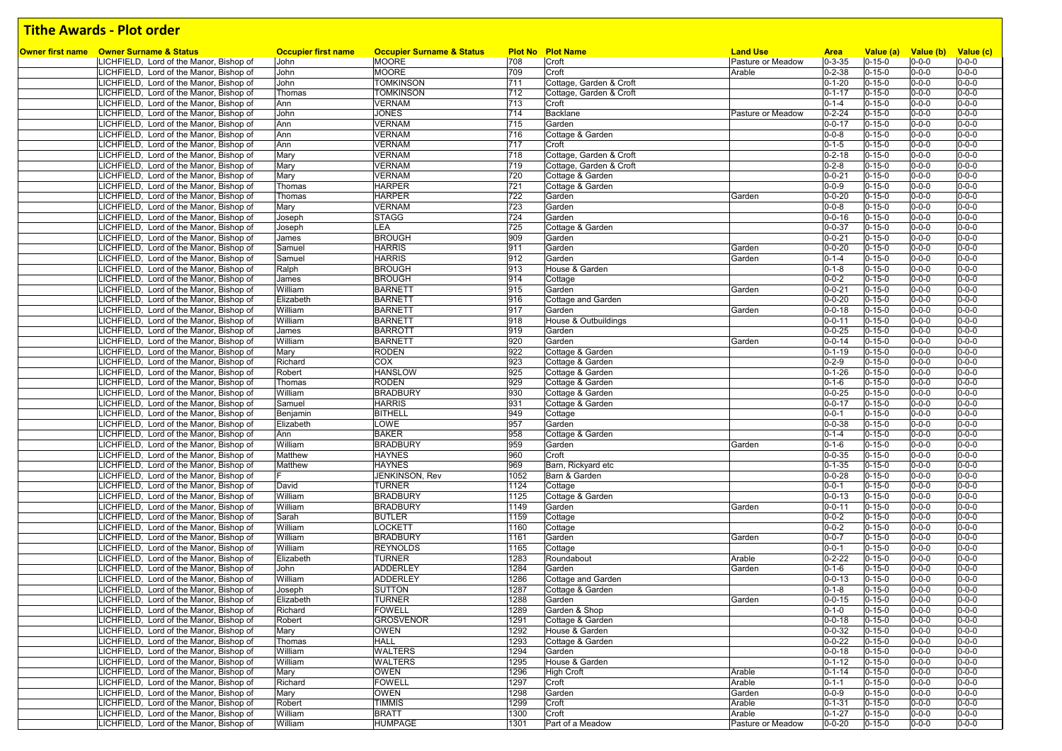| <b>Owner first name</b> Owner Surname & Status                                     | <b>Occupier first name</b> | <b>Occupier Surname &amp; Status</b> |            | <b>Plot No Plot Name</b>                           | <b>Land Use</b>   | <b>Area</b>                  | Value (a)                    |                            | Value (b) Value (c)        |
|------------------------------------------------------------------------------------|----------------------------|--------------------------------------|------------|----------------------------------------------------|-------------------|------------------------------|------------------------------|----------------------------|----------------------------|
| LICHFIELD, Lord of the Manor, Bishop of                                            | John                       | <b>MOORE</b>                         | 708        | Croft                                              | Pasture or Meadow | $0 - 3 - 35$                 | $0 - 15 - 0$                 | $0 - 0 - 0$                | $0 - 0 - 0$                |
| LICHFIELD, Lord of the Manor, Bishop of                                            | John<br>John               | <b>MOORE</b>                         | 709<br>711 | Croft                                              | Arable            | $0 - 2 - 38$<br>$0 - 1 - 20$ | $0 - 15 - 0$                 | $0 - 0 - 0$<br>$0 - 0 - 0$ | $0 - 0 - 0$<br>$0 - 0 - 0$ |
| LICHFIELD, Lord of the Manor, Bishop of                                            |                            | <b>TOMKINSON</b><br><b>TOMKINSON</b> | 712        | Cottage, Garden & Croft<br>Cottage, Garden & Croft |                   | $0 - 1 - 17$                 | $0 - 15 - 0$<br>$0 - 15 - 0$ | $0 - 0 - 0$                | $0 - 0 - 0$                |
| LICHFIELD, Lord of the Manor, Bishop of<br>LICHFIELD, Lord of the Manor, Bishop of | Thomas<br>Ann              | <b>VERNAM</b>                        | 713        | Croft                                              |                   | $0 - 1 - 4$                  | $0 - 15 - 0$                 | $0 - 0 - 0$                | $0 - 0 - 0$                |
| LICHFIELD, Lord of the Manor, Bishop of                                            | John                       | <b>JONES</b>                         | 714        | <b>Backlane</b>                                    | Pasture or Meadow | $0 - 2 - 24$                 | $0 - 15 - 0$                 | $0 - 0 - 0$                | $0 - 0 - 0$                |
|                                                                                    |                            | <b>VERNAM</b>                        |            | Garden                                             |                   | $0 - 0 - 17$                 |                              | $0 - 0 - 0$                | $0 - 0 - 0$                |
| LICHFIELD, Lord of the Manor, Bishop of                                            | Ann<br>Ann                 |                                      | 715<br>716 |                                                    |                   | $0 - 0 - 8$                  | $0 - 15 - 0$<br>$0 - 15 - 0$ | $0 - 0 - 0$                | $0 - 0 - 0$                |
| ICHFIELD, Lord of the Manor, Bishop of                                             | Ann                        | <b>VERNAM</b><br><b>VERNAM</b>       | 717        | Cottage & Garden<br>Croft                          |                   | $0 - 1 - 5$                  | $0 - 15 - 0$                 | $0 - 0 - 0$                | $0 - 0 - 0$                |
| LICHFIELD, Lord of the Manor, Bishop of<br>ICHFIELD, Lord of the Manor, Bishop of  | Mary                       | <b>VERNAM</b>                        |            | Cottage, Garden & Croft                            |                   | $0 - 2 - 18$                 | $0 - 15 - 0$                 | $0 - 0 - 0$                | $0 - 0 - 0$                |
| LICHFIELD, Lord of the Manor, Bishop of                                            | Mary                       | <b>VERNAM</b>                        | 718<br>719 | Cottage, Garden & Croft                            |                   | $0 - 2 - 8$                  | $0 - 15 - 0$                 | $0 - 0 - 0$                | $0 - 0 - 0$                |
| ICHFIELD, Lord of the Manor, Bishop of                                             | Mary                       | <b>VERNAM</b>                        | 720        | Cottage & Garden                                   |                   | $0 - 0 - 21$                 | $0 - 15 - 0$                 | $0 - 0 - 0$                | $0 - 0 - 0$                |
| ICHFIELD, Lord of the Manor, Bishop of                                             |                            | <b>HARPER</b>                        | 721        | Cottage & Garden                                   |                   | $0 - 0 - 9$                  | $0 - 15 - 0$                 | $0 - 0 - 0$                | $0 - 0 - 0$                |
| LICHFIELD, Lord of the Manor, Bishop of                                            | Thomas<br>Thomas           | <b>HARPER</b>                        | 722        | Garden                                             | Garden            | $0 - 0 - 20$                 | $0 - 15 - 0$                 | $0 - 0 - 0$                | $0 - 0 - 0$                |
| ICHFIELD, Lord of the Manor, Bishop of                                             | Mary                       | <b>VERNAM</b>                        | 723        | Garden                                             |                   | $0 - 0 - 8$                  | $0 - 15 - 0$                 | $0 - 0 - 0$                | $0 - 0 - 0$                |
| LICHFIELD, Lord of the Manor, Bishop of                                            |                            | <b>STAGG</b>                         | 724        | Garden                                             |                   | $0 - 0 - 16$                 | $0 - 15 - 0$                 | $0 - 0 - 0$                | $0 - 0 - 0$                |
| LICHFIELD, Lord of the Manor, Bishop of                                            | Joseph                     | LEA                                  | 725        | Cottage & Garden                                   |                   | $0 - 0 - 37$                 | $0 - 15 - 0$                 | $0 - 0 - 0$                | $0 - 0 - 0$                |
| ICHFIELD, Lord of the Manor, Bishop of                                             | Joseph<br>James            | <b>BROUGH</b>                        | 909        | Garden                                             |                   | $0 - 0 - 21$                 | $0 - 15 - 0$                 | $0 - 0 - 0$                | $0 - 0 - 0$                |
| LICHFIELD, Lord of the Manor, Bishop of                                            | Samuel                     | <b>HARRIS</b>                        | 911        | Garden                                             | Garden            | $0 - 0 - 20$                 | $0 - 15 - 0$                 | $0 - 0 - 0$                | $0 - 0 - 0$                |
| LICHFIELD, Lord of the Manor, Bishop of                                            | Samuel                     | <b>HARRIS</b>                        | 912        | Garden                                             | Garden            | $0 - 1 - 4$                  | $0 - 15 - 0$                 | $0 - 0 - 0$                | $0 - 0 - 0$                |
|                                                                                    |                            | <b>BROUGH</b>                        | 913        | House & Garden                                     |                   | $0 - 1 - 8$                  | $0 - 15 - 0$                 | $0 - 0 - 0$                | $0 - 0 - 0$                |
| LICHFIELD, Lord of the Manor, Bishop of                                            | Ralph                      |                                      | 914        |                                                    |                   | $0 - 0 - 2$                  |                              |                            | $0 - 0 - 0$                |
| LICHFIELD, Lord of the Manor, Bishop of                                            | James<br>William           | <b>BROUGH</b><br><b>BARNETT</b>      | 915        | Cottage                                            | Garden            |                              | $0 - 15 - 0$<br>$0 - 15 - 0$ | $0 - 0 - 0$<br>$0 - 0 - 0$ | $0 - 0 - 0$                |
| ICHFIELD, Lord of the Manor, Bishop of                                             |                            |                                      |            | Garden                                             |                   | $0 - 0 - 21$                 |                              | $0 - 0 - 0$                |                            |
| ICHFIELD, Lord of the Manor, Bishop of                                             | Elizabeth<br>William       | <b>BARNETT</b>                       | 916        | Cottage and Garden                                 |                   | $0 - 0 - 20$                 | $0 - 15 - 0$                 |                            | $0 - 0 - 0$<br>$0 - 0 - 0$ |
| LICHFIELD, Lord of the Manor, Bishop of                                            |                            | <b>BARNETT</b>                       | 917        | Garden                                             | Garden            | $0 - 0 - 18$                 | $0 - 15 - 0$                 | $0 - 0 - 0$                |                            |
| ICHFIELD, Lord of the Manor, Bishop of<br>ICHFIELD, Lord of the Manor, Bishop of   | William<br>James           | <b>BARNETT</b><br><b>BARROTT</b>     | 918<br>919 | House & Outbuildings<br>Garden                     |                   | $0 - 0 - 11$<br>$0 - 0 - 25$ | $0 - 15 - 0$<br>$0 - 15 - 0$ | $0 - 0 - 0$<br>$0 - 0 - 0$ | $0 - 0 - 0$<br>$0 - 0 - 0$ |
|                                                                                    | William                    | <b>BARNETT</b>                       | 920        | Garden                                             |                   | $0 - 0 - 14$                 | $0 - 15 - 0$                 | $0 - 0 - 0$                | $0 - 0 - 0$                |
| ICHFIELD, Lord of the Manor, Bishop of                                             |                            |                                      | 922        |                                                    | Garden            |                              |                              |                            | $0 - 0 - 0$                |
| ICHFIELD, Lord of the Manor, Bishop of                                             | Mary                       | <b>RODEN</b><br>COX                  |            | Cottage & Garden                                   |                   | $0 - 1 - 19$<br>$0 - 2 - 9$  | $0 - 15 - 0$                 | $0 - 0 - 0$<br>$0 - 0 - 0$ | $0 - 0 - 0$                |
| LICHFIELD, Lord of the Manor, Bishop of                                            | Richard                    |                                      | 923<br>925 | Cottage & Garden                                   |                   |                              | $0 - 15 - 0$<br>$0 - 15 - 0$ |                            | $0 - 0 - 0$                |
| ICHFIELD, Lord of the Manor, Bishop of                                             | Robert                     | <b>HANSLOW</b><br><b>RODEN</b>       | 929        | Cottage & Garden<br>Cottage & Garden               |                   | $0 - 1 - 26$<br>$0 - 1 - 6$  | $0 - 15 - 0$                 | $0 - 0 - 0$<br>$0 - 0 - 0$ | $0 - 0 - 0$                |
| ICHFIELD, Lord of the Manor, Bishop of                                             | Thomas<br>William          | <b>BRADBURY</b>                      | 930        |                                                    |                   | $0 - 0 - 25$                 | $0 - 15 - 0$                 | $0 - 0 - 0$                | $0 - 0 - 0$                |
| LICHFIELD, Lord of the Manor, Bishop of                                            |                            | <b>HARRIS</b>                        | 931        | Cottage & Garden<br>Cottage & Garden               |                   | $0 - 0 - 17$                 | $0 - 15 - 0$                 | $0 - 0 - 0$                | $0 - 0 - 0$                |
| ICHFIELD, Lord of the Manor, Bishop of<br>LICHFIELD, Lord of the Manor, Bishop of  | Samuel<br>Benjamin         | <b>BITHELL</b>                       | 949        | Cottage                                            |                   | $0 - 0 - 1$                  | $0 - 15 - 0$                 | $0 - 0 - 0$                | $0 - 0 - 0$                |
| LICHFIELD, Lord of the Manor, Bishop of                                            | Elizabeth                  | LOWE                                 | 957        | Garden                                             |                   | $0 - 0 - 38$                 | $0 - 15 - 0$                 | $0 - 0 - 0$                | $0 - 0 - 0$                |
| LICHFIELD, Lord of the Manor, Bishop of                                            | Ann                        | <b>BAKER</b>                         | 958        | Cottage & Garden                                   |                   | $0 - 1 - 4$                  | $0 - 15 - 0$                 | $0 - 0 - 0$                | $0 - 0 - 0$                |
| LICHFIELD, Lord of the Manor, Bishop of                                            | William                    | <b>BRADBURY</b>                      | 959        | Garden                                             | Garden            | $0 - 1 - 6$                  | $0 - 15 - 0$                 | $0 - 0 - 0$                | $0 - 0 - 0$                |
| LICHFIELD, Lord of the Manor, Bishop of                                            | Matthew                    | <b>HAYNES</b>                        | 960        | Croft                                              |                   | $0 - 0 - 35$                 | $0 - 15 - 0$                 | $0 - 0 - 0$                | $0 - 0 - 0$                |
| ICHFIELD, Lord of the Manor, Bishop of                                             | Matthew                    | <b>HAYNES</b>                        | 969        | Barn, Rickyard etc                                 |                   | $0 - 1 - 35$                 | $0 - 15 - 0$                 | $0 - 0 - 0$                | $0 - 0 - 0$                |
| LICHFIELD, Lord of the Manor, Bishop of                                            |                            | JENKINSON, Rev                       | 1052       | Barn & Garden                                      |                   | $0 - 0 - 28$                 | $0 - 15 - 0$                 | $0 - 0 - 0$                | $0 - 0 - 0$                |
| ICHFIELD, Lord of the Manor, Bishop of                                             | David                      | <b>TURNER</b>                        | 1124       | Cottage                                            |                   | $0 - 0 - 1$                  | $0 - 15 - 0$                 | $0 - 0 - 0$                | $0 - 0 - 0$                |
| ICHFIELD, Lord of the Manor, Bishop of                                             | William                    | <b>BRADBURY</b>                      | 1125       | Cottage & Garden                                   |                   | $0 - 0 - 13$                 | $0 - 15 - 0$                 | $0 - 0 - 0$                | $0 - 0 - 0$                |
| LICHFIELD, Lord of the Manor, Bishop of                                            | William                    | <b>BRADBURY</b>                      | 1149       | Garden                                             | Garden            | $0 - 0 - 11$                 | $0 - 15 - 0$                 | $0 - 0 - 0$                | $0 - 0 - 0$                |
| ICHFIELD, Lord of the Manor, Bishop of                                             | Sarah                      | <b>BUTLER</b>                        | 1159       | Cottage                                            |                   | $0 - 0 - 2$                  | $0 - 15 - 0$                 | $0 - 0 - 0$                | $0 - 0 - 0$                |
| ICHFIELD, Lord of the Manor, Bishop of                                             | William                    | <b>LOCKETT</b>                       | 1160       | Cottage                                            |                   | $0 - 0 - 2$                  | $0 - 15 - 0$                 | $0 - 0 - 0$                | $0 - 0 - 0$                |
| LICHFIELD, Lord of the Manor, Bishop of                                            | William                    | <b>BRADBURY</b>                      | 1161       | Garden                                             | Garden            | $0 - 0 - 7$                  | $0 - 15 - 0$                 | $0 - 0 - 0$                | $0 - 0 - 0$                |
| ICHFIELD, Lord of the Manor, Bishop of                                             | William                    | <b>REYNOLDS</b>                      | 1165       | Cottage                                            |                   | $0 - 0 - 1$                  | $0 - 15 - 0$                 | $0 - 0 - 0$                | $0 - 0 - 0$                |
| ICHFIELD, Lord of the Manor, Bishop of                                             | Elizabeth                  | <b>TURNER</b>                        | 1283       | Roundabout                                         | Arable            | $0 - 2 - 22$                 | $0 - 15 - 0$                 | $0 - 0 - 0$                | $0 - 0 - 0$                |
| LICHFIELD, Lord of the Manor, Bishop of                                            | John                       | <b>ADDERLEY</b>                      | 1284       | Garden                                             | Garden            | $0 - 1 - 6$                  | $0 - 15 - 0$                 | $0 - 0 - 0$                | $0 - 0 - 0$                |
| ICHFIELD, Lord of the Manor, Bishop of                                             | William                    | <b>ADDERLEY</b>                      | 1286       | Cottage and Garden                                 |                   | $0 - 0 - 13$                 | $0 - 15 - 0$                 | $0 - 0 - 0$                | $0 - 0 - 0$                |
| LICHFIELD, Lord of the Manor, Bishop of                                            | Joseph                     | <b>SUTTON</b>                        | 1287       | Cottage & Garden                                   |                   | $0 - 1 - 8$                  | $0 - 15 - 0$                 | $0 - 0 - 0$                | $0 - 0 - 0$                |
| LICHFIELD, Lord of the Manor, Bishop of                                            | Elizabeth                  | <b>TURNER</b>                        | 1288       | Garden                                             | Garden            | $0 - 0 - 15$                 | $0 - 15 - 0$                 | $0 - 0 - 0$                | $0 - 0 - 0$                |
|                                                                                    | Richard                    | <b>FOWELL</b>                        | 1289       | Garden & Shop                                      |                   | $0 - 1 - 0$                  | $0 - 15 - 0$                 | $0 - 0 - 0$                | $0 - 0 - 0$                |
| LICHFIELD, Lord of the Manor, Bishop of<br>LICHFIELD, Lord of the Manor, Bishop of | Robert                     | <b>GROSVENOR</b>                     | 1291       | Cottage & Garden                                   |                   | $0 - 0 - 18$                 | $0 - 15 - 0$                 | $0 - 0 - 0$                | $0 - 0 - 0$                |
| LICHFIELD, Lord of the Manor, Bishop of                                            | Mary                       | <b>OWEN</b>                          | 1292       | House & Garden                                     |                   | $0 - 0 - 32$                 | $0 - 15 - 0$                 | $0 - 0 - 0$                | $0 - 0 - 0$                |
| LICHFIELD, Lord of the Manor, Bishop of                                            | Thomas                     | <b>HALL</b>                          | 1293       | Cottage & Garden                                   |                   | $0 - 0 - 22$                 | $0 - 15 - 0$                 | $0 - 0 - 0$                | $0 - 0 - 0$                |
| LICHFIELD, Lord of the Manor, Bishop of                                            | William                    | <b>WALTERS</b>                       | 1294       | Garden                                             |                   | $0 - 0 - 18$                 | $0 - 15 - 0$                 | $0 - 0 - 0$                | $0 - 0 - 0$                |
| LICHFIELD, Lord of the Manor, Bishop of                                            | William                    | <b>WALTERS</b>                       | 1295       | House & Garden                                     |                   | $0 - 1 - 12$                 | $0 - 15 - 0$                 | $0 - 0 - 0$                | $0 - 0 - 0$                |
| LICHFIELD, Lord of the Manor, Bishop of                                            | Mary                       | <b>OWEN</b>                          | 1296       | <b>High Croft</b>                                  | Arable            | $0 - 1 - 14$                 | $0 - 15 - 0$                 | $0 - 0 - 0$                | $0 - 0 - 0$                |
| LICHFIELD, Lord of the Manor, Bishop of                                            | Richard                    | <b>FOWELL</b>                        | 1297       | Croft                                              | Arable            | $0 - 1 - 1$                  | $0 - 15 - 0$                 | $0 - 0 - 0$                | $0 - 0 - 0$                |
| LICHFIELD, Lord of the Manor, Bishop of                                            | Mary                       | <b>OWEN</b>                          | 1298       | Garden                                             | Garden            | $0 - 0 - 9$                  | $0 - 15 - 0$                 | $0 - 0 - 0$                | $0 - 0 - 0$                |
| LICHFIELD, Lord of the Manor, Bishop of                                            | Robert                     | <b>TIMMIS</b>                        | 1299       | Croft                                              | Arable            | $0 - 1 - 31$                 | $0 - 15 - 0$                 | $0 - 0 - 0$                | $0 - 0 - 0$                |
| LICHFIELD, Lord of the Manor, Bishop of                                            | William                    | <b>BRATT</b>                         | 1300       | Croft                                              | Arable            | $0 - 1 - 27$                 | $0 - 15 - 0$                 | $0 - 0 - 0$                | $0 - 0 - 0$                |
| LICHFIELD, Lord of the Manor, Bishop of                                            | William                    | <b>HUMPAGE</b>                       | 1301       | Part of a Meadow                                   | Pasture or Meadow | $0 - 0 - 20$                 | $0 - 15 - 0$                 | $0 - 0 - 0$                | $0 - 0 - 0$                |
|                                                                                    |                            |                                      |            |                                                    |                   |                              |                              |                            |                            |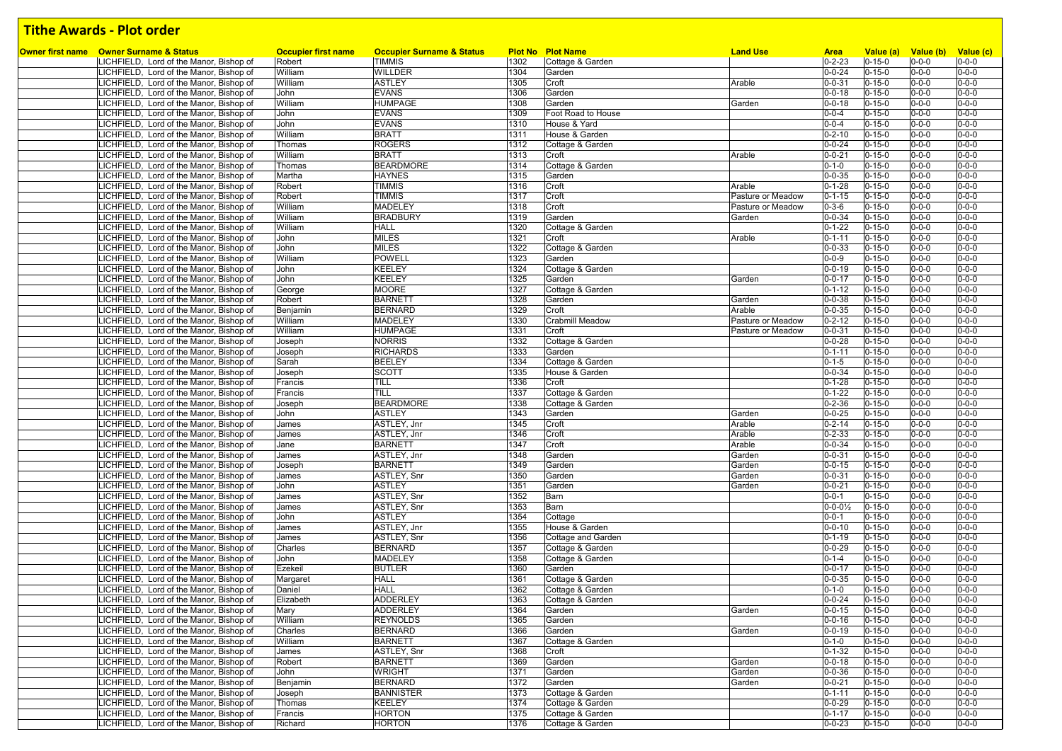| Owner first name Owner Surname & Status | <b>Occupier first name</b> | <b>Occupier Surname &amp; Status</b> |      | <b>Plot No Plot Name</b> | <b>Land Use</b>   | <b>Area</b>            | Value (a)                    | Value (b)   | Value (c)   |
|-----------------------------------------|----------------------------|--------------------------------------|------|--------------------------|-------------------|------------------------|------------------------------|-------------|-------------|
| LICHFIELD, Lord of the Manor, Bishop of | Robert                     | <b>TIMMIS</b>                        | 1302 | Cottage & Garden         |                   | $0 - 2 - 23$           | $0 - 15 - 0$                 | $0 - 0 - 0$ | $0 - 0 - 0$ |
| LICHFIELD, Lord of the Manor, Bishop of | William                    | WILLDER                              | 1304 | Garden                   |                   | $0 - 0 - 24$           | $0 - 15 - 0$                 | $0 - 0 - 0$ | $0 - 0 - 0$ |
| LICHFIELD, Lord of the Manor, Bishop of | William                    | <b>ASTLEY</b>                        | 1305 | Croft                    | Arable            | $0 - 0 - 31$           | $0 - 15 - 0$                 | $0 - 0 - 0$ | $0 - 0 - 0$ |
| LICHFIELD, Lord of the Manor, Bishop of | John                       | <b>EVANS</b>                         | 1306 | Garden                   |                   | $0 - 0 - 18$           | $0 - 15 - 0$                 | $0 - 0 - 0$ | $0 - 0 - 0$ |
| LICHFIELD, Lord of the Manor, Bishop of | William                    | <b>HUMPAGE</b>                       | 1308 | Garden                   | Garden            | $0 - 0 - 18$           | $0 - 15 - 0$                 | $0 - 0 - 0$ | $0 - 0 - 0$ |
| LICHFIELD, Lord of the Manor, Bishop of | John                       | <b>EVANS</b>                         | 1309 | Foot Road to House       |                   | $0 - 0 - 4$            | $0 - 15 - 0$                 | $0 - 0 - 0$ | $0 - 0 - 0$ |
| LICHFIELD, Lord of the Manor, Bishop of | John                       | <b>EVANS</b>                         | 1310 | House & Yard             |                   | $0 - 0 - 4$            | $0 - 15 - 0$                 | $0 - 0 - 0$ | $0 - 0 - 0$ |
| LICHFIELD, Lord of the Manor, Bishop of | William                    | <b>BRATT</b>                         | 1311 | House & Garden           |                   | $0 - 2 - 10$           | $0 - 15 - 0$                 | $0 - 0 - 0$ | $0 - 0 - 0$ |
| LICHFIELD, Lord of the Manor, Bishop of | Thomas                     | <b>ROGERS</b>                        | 1312 | Cottage & Garden         |                   | $0 - 0 - 24$           | $0 - 15 - 0$                 | $0 - 0 - 0$ | $0 - 0 - 0$ |
| LICHFIELD, Lord of the Manor, Bishop of | William                    | <b>BRATT</b>                         | 1313 | Croft                    | Arable            | $0 - 0 - 21$           | $0 - 15 - 0$                 | $0 - 0 - 0$ | $0 - 0 - 0$ |
| LICHFIELD, Lord of the Manor, Bishop of | Thomas                     | <b>BEARDMORE</b>                     | 1314 | Cottage & Garden         |                   | $0 - 1 - 0$            | $0 - 15 - 0$                 | $0 - 0 - 0$ | $0 - 0 - 0$ |
| LICHFIELD, Lord of the Manor, Bishop of | Martha                     | <b>HAYNES</b>                        | 1315 | Garden                   |                   | $0 - 0 - 35$           | $0 - 15 - 0$                 | $0 - 0 - 0$ | $0 - 0 - 0$ |
| LICHFIELD, Lord of the Manor, Bishop of | Robert                     | <b>TIMMIS</b>                        | 1316 | Croft                    | Arable            | $0 - 1 - 28$           | $0 - 15 - 0$                 | $0 - 0 - 0$ | $0 - 0 - 0$ |
| LICHFIELD, Lord of the Manor, Bishop of | Robert                     | <b>TIMMIS</b>                        | 1317 | Croft                    | Pasture or Meadow | $0 - 1 - 15$           | $0 - 15 - 0$                 | $0 - 0 - 0$ | $0 - 0 - 0$ |
| LICHFIELD, Lord of the Manor, Bishop of | William                    | <b>MADELEY</b>                       | 1318 | Croft                    | Pasture or Meadow | $0 - 3 - 6$            | $0 - 15 - 0$                 | $0 - 0 - 0$ | $0 - 0 - 0$ |
| LICHFIELD, Lord of the Manor, Bishop of | William                    | <b>BRADBURY</b>                      | 1319 | Garden                   | Garden            | $0 - 0 - 34$           | $0 - 15 - 0$                 | $0 - 0 - 0$ | $0 - 0 - 0$ |
| LICHFIELD, Lord of the Manor, Bishop of | William                    | <b>HALL</b>                          | 1320 | Cottage & Garden         |                   | $0 - 1 - 22$           | $0 - 15 - 0$                 | $0 - 0 - 0$ | $0 - 0 - 0$ |
| LICHFIELD, Lord of the Manor, Bishop of | John                       | <b>MILES</b>                         | 1321 | Croft                    | Arable            | $0 - 1 - 11$           | $0 - 15 - 0$                 | $0 - 0 - 0$ | $0 - 0 - 0$ |
| LICHFIELD, Lord of the Manor, Bishop of | John                       | <b>MILES</b>                         | 1322 | Cottage & Garden         |                   | $0 - 0 - 33$           | $0 - 15 - 0$                 | $0 - 0 - 0$ | $0 - 0 - 0$ |
| LICHFIELD, Lord of the Manor, Bishop of | William                    | <b>POWELL</b>                        | 1323 | Garden                   |                   | $0 - 0 - 9$            | $0 - 15 - 0$                 | $0 - 0 - 0$ | $0 - 0 - 0$ |
| LICHFIELD, Lord of the Manor, Bishop of | John                       | <b>KEELEY</b>                        | 1324 | Cottage & Garden         |                   | $0 - 0 - 19$           | $0 - 15 - 0$                 | $0 - 0 - 0$ | $0 - 0 - 0$ |
| LICHFIELD, Lord of the Manor, Bishop of | John                       | <b>KEELEY</b>                        | 1325 | Garden                   | Garden            | $0 - 0 - 17$           | $0 - 15 - 0$                 | $0 - 0 - 0$ | $0 - 0 - 0$ |
| LICHFIELD, Lord of the Manor, Bishop of | George                     | <b>MOORE</b>                         | 1327 | Cottage & Garden         |                   | $0 - 1 - 12$           | $0 - 15 - 0$                 | $0 - 0 - 0$ | $0 - 0 - 0$ |
| LICHFIELD, Lord of the Manor, Bishop of | Robert                     | <b>BARNETT</b>                       | 1328 | Garden                   | Garden            | $0 - 0 - 38$           | $0 - 15 - 0$                 | $0 - 0 - 0$ | $0 - 0 - 0$ |
| LICHFIELD, Lord of the Manor, Bishop of | Benjamin                   | <b>BERNARD</b>                       | 1329 | Croft                    | Arable            | $0 - 0 - 35$           | $0 - 15 - 0$                 | $0 - 0 - 0$ | $0 - 0 - 0$ |
| LICHFIELD, Lord of the Manor, Bishop of | William                    | <b>MADELEY</b>                       | 1330 | Crabmill Meadow          | Pasture or Meadow | $0 - 2 - 12$           | $0 - 15 - 0$                 | $0 - 0 - 0$ | $0 - 0 - 0$ |
| LICHFIELD, Lord of the Manor, Bishop of | William                    | <b>HUMPAGE</b>                       | 1331 | Croft                    | Pasture or Meadow | $0 - 0 - 31$           | $0 - 15 - 0$                 | $0 - 0 - 0$ | $0 - 0 - 0$ |
| LICHFIELD, Lord of the Manor, Bishop of | Joseph                     | <b>NORRIS</b>                        | 1332 | Cottage & Garden         |                   | $0 - 0 - 28$           | $0 - 15 - 0$                 | $0 - 0 - 0$ | $0 - 0 - 0$ |
| LICHFIELD, Lord of the Manor, Bishop of | Joseph                     | <b>RICHARDS</b>                      | 1333 | Garden                   |                   | $0 - 1 - 11$           | $0 - 15 - 0$                 | $0 - 0 - 0$ | $0 - 0 - 0$ |
| LICHFIELD, Lord of the Manor, Bishop of | Sarah                      | <b>BEELEY</b>                        | 1334 | Cottage & Garden         |                   | $0 - 1 - 5$            | $0 - 15 - 0$                 | $0 - 0 - 0$ | $0 - 0 - 0$ |
| LICHFIELD, Lord of the Manor, Bishop of | Joseph                     | <b>SCOTT</b>                         | 1335 | House & Garden           |                   | $0 - 0 - 34$           | $0 - 15 - 0$                 | $0 - 0 - 0$ | $0 - 0 - 0$ |
| LICHFIELD, Lord of the Manor, Bishop of | Francis                    | TILL                                 | 1336 | Croft                    |                   | $0 - 1 - 28$           | $0 - 15 - 0$                 | $0 - 0 - 0$ | $0 - 0 - 0$ |
| LICHFIELD, Lord of the Manor, Bishop of | Francis                    | <b>TILL</b>                          | 1337 | Cottage & Garden         |                   | $0 - 1 - 22$           | $0 - 15 - 0$                 | $0 - 0 - 0$ | $0 - 0 - 0$ |
| LICHFIELD, Lord of the Manor, Bishop of | Joseph                     | <b>BEARDMORE</b>                     | 1338 | Cottage & Garden         |                   | $0 - 2 - 36$           | $0 - 15 - 0$                 | $0 - 0 - 0$ | $0 - 0 - 0$ |
| LICHFIELD, Lord of the Manor, Bishop of | John                       | <b>ASTLEY</b>                        | 1343 | Garden                   | Garden            | $0 - 0 - 25$           | $0 - 15 - 0$                 | $0 - 0 - 0$ | $0 - 0 - 0$ |
| LICHFIELD, Lord of the Manor, Bishop of | James                      | ASTLEY, Jnr                          | 1345 | Croft                    | Arable            | $0 - 2 - 14$           | $0 - 15 - 0$                 | $0 - 0 - 0$ | $0 - 0 - 0$ |
| LICHFIELD, Lord of the Manor, Bishop of | James                      | ASTLEY, Jnr                          | 1346 | Croft                    | Arable            | $0 - 2 - 33$           | $0 - 15 - 0$                 | $0 - 0 - 0$ | $0 - 0 - 0$ |
| LICHFIELD, Lord of the Manor, Bishop of | Jane                       | <b>BARNETT</b>                       | 1347 | Croft                    | Arable            | $0 - 0 - 34$           | $0 - 15 - 0$                 | $0 - 0 - 0$ | $0 - 0 - 0$ |
| LICHFIELD, Lord of the Manor, Bishop of | James                      | ASTLEY, Jnr                          | 1348 | Garden                   | Garden            | $0 - 0 - 31$           | $0 - 15 - 0$                 | $0 - 0 - 0$ | $0 - 0 - 0$ |
| LICHFIELD, Lord of the Manor, Bishop of | Joseph                     | <b>BARNETT</b>                       | 1349 | Garden                   | Garden            | $0 - 0 - 15$           | $0 - 15 - 0$                 | $0 - 0 - 0$ | $0 - 0 - 0$ |
| LICHFIELD, Lord of the Manor, Bishop of | James                      | ASTLEY, Snr                          | 1350 | Garden                   | Garden            | $0 - 0 - 31$           | $0 - 15 - 0$                 | $0 - 0 - 0$ | $0 - 0 - 0$ |
| LICHFIELD, Lord of the Manor, Bishop of | John                       | <b>ASTLEY</b>                        | 1351 | Garden                   | Garden            | $0 - 0 - 21$           | $0 - 15 - 0$                 | $0 - 0 - 0$ | $0 - 0 - 0$ |
| LICHFIELD, Lord of the Manor, Bishop of | James                      | ASTLEY, Snr                          | 1352 | Barn                     |                   | $0 - 0 - 1$            | $0 - 15 - 0$                 | $0 - 0 - 0$ | $0 - 0 - 0$ |
| LICHFIELD, Lord of the Manor, Bishop of | James                      | ASTLEY, Snr                          | 1353 | Barn                     |                   | $0 - 0 - 0\frac{1}{2}$ | $0 - 15 - 0$                 | $0 - 0 - 0$ | $0 - 0 - 0$ |
| LICHFIELD, Lord of the Manor, Bishop of | John                       | <b>ASTLEY</b>                        | 1354 | Cottage                  |                   | $0 - 0 - 1$            | $0 - 15 - 0$                 | $0 - 0 - 0$ | $0 - 0 - 0$ |
| LICHFIELD, Lord of the Manor, Bishop of | James                      | ASTLEY, Jnr                          | 1355 | House & Garden           |                   | $0 - 0 - 10$           | $0 - 15 - 0$                 | $0 - 0 - 0$ | $0 - 0 - 0$ |
| LICHFIELD, Lord of the Manor, Bishop of | James                      | ASTLEY, Snr                          | 1356 | Cottage and Garden       |                   | $0 - 1 - 19$           | $0 - 15 - 0$                 | $0 - 0 - 0$ | $0 - 0 - 0$ |
| LICHFIELD, Lord of the Manor, Bishop of | Charles                    | <b>BERNARD</b>                       | 1357 | Cottage & Garden         |                   | $0 - 0 - 29$           | $0 - 15 - 0$                 | $0 - 0 - 0$ | $0 - 0 - 0$ |
| LICHFIELD, Lord of the Manor, Bishop of | John                       | <b>MADELEY</b>                       | 1358 | Cottage & Garden         |                   | $0 - 1 - 4$            | $0 - 15 - 0$                 | $0 - 0 - 0$ | $0 - 0 - 0$ |
| LICHFIELD, Lord of the Manor, Bishop of | Ezekeil                    | <b>BUTLER</b>                        | 1360 | Garden                   |                   | $0 - 0 - 17$           | $0 - 15 - 0$                 | $0 - 0 - 0$ | $0 - 0 - 0$ |
| LICHFIELD, Lord of the Manor, Bishop of |                            | <b>HALL</b>                          | 1361 | Cottage & Garden         |                   | $0 - 0 - 35$           | $0 - 15 - 0$                 | $0 - 0 - 0$ | $0 - 0 - 0$ |
| LICHFIELD, Lord of the Manor, Bishop of | Margaret<br>Daniel         | <b>HALL</b>                          | 1362 | Cottage & Garden         |                   | $0 - 1 - 0$            |                              | $0 - 0 - 0$ | $0 - 0 - 0$ |
|                                         | Elizabeth                  | <b>ADDERLEY</b>                      | 1363 |                          |                   | $0 - 0 - 24$           | $0 - 15 - 0$<br>$0 - 15 - 0$ | $0 - 0 - 0$ | $0 - 0 - 0$ |
| LICHFIELD, Lord of the Manor, Bishop of |                            |                                      |      | Cottage & Garden         |                   |                        |                              |             |             |
| LICHFIELD, Lord of the Manor, Bishop of | Mary                       | <b>ADDERLEY</b>                      | 1364 | Garden                   | Garden            | $0 - 0 - 15$           | $0 - 15 - 0$                 | $0 - 0 - 0$ | $0 - 0 - 0$ |
| LICHFIELD, Lord of the Manor, Bishop of | William                    | <b>REYNOLDS</b>                      | 1365 | Garden                   |                   | $0 - 0 - 16$           | $0 - 15 - 0$                 | $0 - 0 - 0$ | $0 - 0 - 0$ |
| LICHFIELD, Lord of the Manor, Bishop of | Charles                    | <b>BERNARD</b>                       | 1366 | Garden                   | Garden            | $0 - 0 - 19$           | $0 - 15 - 0$                 | $0 - 0 - 0$ | $0 - 0 - 0$ |
| LICHFIELD, Lord of the Manor, Bishop of | William                    | <b>BARNETT</b>                       | 1367 | Cottage & Garden         |                   | $0 - 1 - 0$            | $0 - 15 - 0$                 | $0 - 0 - 0$ | $0 - 0 - 0$ |
| LICHFIELD, Lord of the Manor, Bishop of | James                      | ASTLEY, Snr                          | 1368 | Croft                    |                   | $0 - 1 - 32$           | $0 - 15 - 0$                 | $0 - 0 - 0$ | $0 - 0 - 0$ |
| LICHFIELD, Lord of the Manor, Bishop of | Robert                     | <b>BARNETT</b>                       | 1369 | Garden                   | Garden            | $0 - 0 - 18$           | $0 - 15 - 0$                 | $0 - 0 - 0$ | $0 - 0 - 0$ |
| LICHFIELD, Lord of the Manor, Bishop of | John                       | <b>WRIGHT</b>                        | 1371 | Garden                   | Garden            | $0 - 0 - 36$           | $0 - 15 - 0$                 | $0 - 0 - 0$ | $0 - 0 - 0$ |
| LICHFIELD, Lord of the Manor, Bishop of | Benjamin                   | <b>BERNARD</b>                       | 1372 | Garden                   | Garden            | $0 - 0 - 21$           | $0 - 15 - 0$                 | $0 - 0 - 0$ | $0 - 0 - 0$ |
| LICHFIELD, Lord of the Manor, Bishop of | Joseph                     | <b>BANNISTER</b>                     | 1373 | Cottage & Garden         |                   | $0 - 1 - 11$           | $0 - 15 - 0$                 | $0 - 0 - 0$ | $0 - 0 - 0$ |
| LICHFIELD, Lord of the Manor, Bishop of | Thomas                     | <b>KEELEY</b>                        | 1374 | Cottage & Garden         |                   | $0 - 0 - 29$           | $0 - 15 - 0$                 | $0 - 0 - 0$ | $0 - 0 - 0$ |
| LICHFIELD, Lord of the Manor, Bishop of | Francis                    | <b>HORTON</b>                        | 1375 | Cottage & Garden         |                   | $0 - 1 - 17$           | $0 - 15 - 0$                 | $0 - 0 - 0$ | $0 - 0 - 0$ |
| LICHFIELD, Lord of the Manor, Bishop of | Richard                    | <b>HORTON</b>                        | 1376 | Cottage & Garden         |                   | $0 - 0 - 23$           | $0 - 15 - 0$                 | $0 - 0 - 0$ | $0 - 0 - 0$ |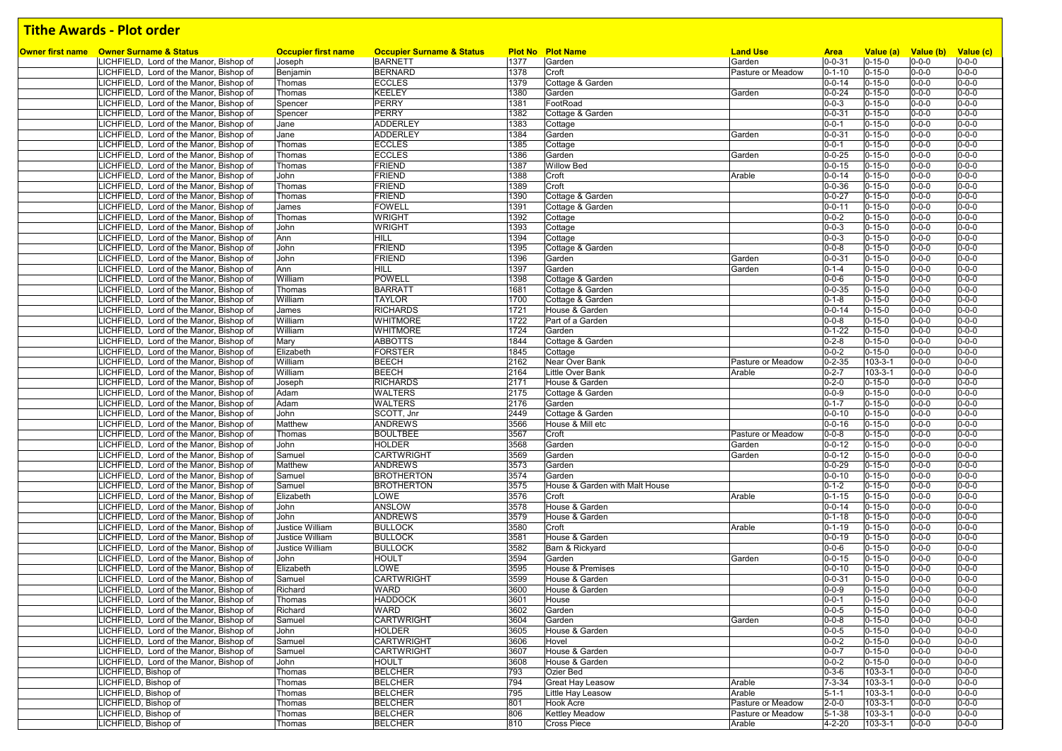| Owner first name Owner Surname & Status                                            | <b>Occupier first name</b> | <b>Occupier Surname &amp; Status</b> |              | <b>Plot No Plot Name</b>       | <b>Land Use</b>   | <b>Area</b>                  | Value (a)                    | Value (b)                  | Value (c)                  |
|------------------------------------------------------------------------------------|----------------------------|--------------------------------------|--------------|--------------------------------|-------------------|------------------------------|------------------------------|----------------------------|----------------------------|
| LICHFIELD, Lord of the Manor, Bishop of                                            | Joseph                     | <b>BARNETT</b>                       | 1377         | Garden                         | Garden            | $0 - 0 - 31$                 | $0 - 15 - 0$                 | $0 - 0 - 0$                | $0 - 0 - 0$                |
| LICHFIELD, Lord of the Manor, Bishop of                                            | Benjamin                   | <b>BERNARD</b>                       | 1378         | Croft                          | Pasture or Meadow | $0 - 1 - 10$                 | $0 - 15 - 0$                 | $0 - 0 - 0$                | $0 - 0 - 0$                |
| LICHFIELD, Lord of the Manor, Bishop of                                            | Thomas                     | <b>ECCLES</b>                        | 1379         | Cottage & Garden               |                   | $0 - 0 - 14$                 | $0 - 15 - 0$                 | $0 - 0 - 0$                | $0 - 0 - 0$                |
| LICHFIELD, Lord of the Manor, Bishop of                                            | Thomas                     | <b>KEELEY</b>                        | 1380         | Garden                         | Garden            | $0 - 0 - 24$                 | $0 - 15 - 0$                 | $0 - 0 - 0$                | $0 - 0 - 0$                |
| LICHFIELD, Lord of the Manor, Bishop of                                            | Spencer                    | <b>PERRY</b>                         | 1381         | FootRoad                       |                   | $0 - 0 - 3$                  | $0 - 15 - 0$                 | $0 - 0 - 0$                | $0 - 0 - 0$                |
| LICHFIELD, Lord of the Manor, Bishop of                                            | Spencer                    | <b>PERRY</b>                         | 1382         | Cottage & Garden               |                   | $0 - 0 - 31$                 | $0 - 15 - 0$                 | $0 - 0 - 0$                | $0 - 0 - 0$                |
| LICHFIELD, Lord of the Manor, Bishop of                                            | Jane                       | <b>ADDERLEY</b>                      | 1383         | Cottage                        |                   | $0 - 0 - 1$                  | $0 - 15 - 0$                 | $0 - 0 - 0$                | $0 - 0 - 0$                |
| LICHFIELD, Lord of the Manor, Bishop of                                            | Jane                       | <b>ADDERLEY</b>                      | 1384         | Garden                         | Garden            | $0 - 0 - 31$                 | $0 - 15 - 0$                 | $0 - 0 - 0$                | $0 - 0 - 0$                |
| LICHFIELD, Lord of the Manor, Bishop of                                            | Thomas                     | <b>ECCLES</b>                        | 1385         | Cottage                        |                   | $0 - 0 - 1$                  | $0 - 15 - 0$                 | $0 - 0 - 0$                | $0 - 0 - 0$                |
| LICHFIELD, Lord of the Manor, Bishop of                                            | Thomas                     | <b>ECCLES</b>                        | 1386         | Garden                         | Garden            | $0 - 0 - 25$                 | $0 - 15 - 0$                 | $0 - 0 - 0$                | $0 - 0 - 0$                |
| LICHFIELD, Lord of the Manor, Bishop of                                            | Thomas                     | <b>FRIEND</b>                        | 1387         | <b>Willow Bed</b>              |                   | $0 - 0 - 15$                 | $0 - 15 - 0$                 | $0 - 0 - 0$                | $0 - 0 - 0$                |
| LICHFIELD, Lord of the Manor, Bishop of                                            | John                       | <b>FRIEND</b>                        | 1388         | Croft                          | Arable            | $0 - 0 - 14$                 | $0 - 15 - 0$                 | $0 - 0 - 0$                | $0 - 0 - 0$                |
| LICHFIELD, Lord of the Manor, Bishop of                                            | Thomas                     | <b>FRIEND</b>                        | 1389         | Croft                          |                   | $0 - 0 - 36$                 | $0 - 15 - 0$                 | $0 - 0 - 0$                | $0 - 0 - 0$                |
| LICHFIELD, Lord of the Manor, Bishop of                                            | Thomas                     | <b>FRIEND</b>                        | 1390         | Cottage & Garden               |                   | $0 - 0 - 27$                 | $0 - 15 - 0$                 | $0 - 0 - 0$                | $0 - 0 - 0$                |
| LICHFIELD, Lord of the Manor, Bishop of                                            | James                      | <b>FOWELL</b>                        | 1391         | Cottage & Garden               |                   | $0 - 0 - 11$                 | $0 - 15 - 0$                 | $0 - 0 - 0$                | $0 - 0 - 0$                |
| LICHFIELD, Lord of the Manor, Bishop of                                            | Thomas                     | <b>WRIGHT</b>                        | 1392         | Cottage                        |                   | $0 - 0 - 2$                  | $0 - 15 - 0$                 | $0 - 0 - 0$                | $0 - 0 - 0$                |
| LICHFIELD, Lord of the Manor, Bishop of                                            | John                       | <b>WRIGHT</b>                        | 1393         | Cottage                        |                   | $0 - 0 - 3$                  | $0 - 15 - 0$                 | $0 - 0 - 0$                | $0 - 0 - 0$                |
| LICHFIELD, Lord of the Manor, Bishop of                                            | Ann                        | <b>HILL</b>                          | 1394         | Cottage                        |                   | $0 - 0 - 3$                  | $0 - 15 - 0$                 | $0 - 0 - 0$                | $0 - 0 - 0$                |
| LICHFIELD, Lord of the Manor, Bishop of                                            | John                       | <b>FRIEND</b>                        | 1395         | Cottage & Garden               |                   | $0 - 0 - 8$                  | $0 - 15 - 0$                 | $0 - 0 - 0$                | $0 - 0 - 0$                |
| LICHFIELD, Lord of the Manor, Bishop of                                            | John                       | <b>FRIEND</b>                        | 1396         | Garden                         | Garden            | $0 - 0 - 31$                 | $0 - 15 - 0$                 | $0 - 0 - 0$                | $0 - 0 - 0$                |
| LICHFIELD, Lord of the Manor, Bishop of                                            | Ann                        | <b>HILL</b>                          | 1397         | Garden                         | Garden            | $0 - 1 - 4$                  | $0 - 15 - 0$                 | $0 - 0 - 0$                | $0 - 0 - 0$                |
| LICHFIELD, Lord of the Manor, Bishop of                                            | William                    | <b>POWELL</b>                        | 1398         | Cottage & Garden               |                   | $0 - 0 - 6$                  | $0 - 15 - 0$                 | $0 - 0 - 0$                | $0 - 0 - 0$                |
| LICHFIELD, Lord of the Manor, Bishop of                                            | Thomas                     | <b>BARRATT</b>                       | 1681         | Cottage & Garden               |                   | $0 - 0 - 35$                 | $0 - 15 - 0$                 | $0 - 0 - 0$                | $0 - 0 - 0$                |
| LICHFIELD, Lord of the Manor, Bishop of                                            | William                    | <b>TAYLOR</b>                        | 1700         | Cottage & Garden               |                   | $0 - 1 - 8$                  | $0 - 15 - 0$                 | $0 - 0 - 0$                | $0 - 0 - 0$                |
| LICHFIELD, Lord of the Manor, Bishop of                                            | James                      | <b>RICHARDS</b>                      | 1721         | House & Garden                 |                   | $0 - 0 - 14$                 | $0 - 15 - 0$                 | $0 - 0 - 0$                | $0 - 0 - 0$                |
| LICHFIELD, Lord of the Manor, Bishop of                                            | William                    | <b>WHITMORE</b>                      | 1722         | Part of a Garden               |                   | $0 - 0 - 8$                  | $0 - 15 - 0$                 | $0 - 0 - 0$                | $0 - 0 - 0$                |
| LICHFIELD, Lord of the Manor, Bishop of                                            | William                    | <b>WHITMORE</b>                      | 1724         | Garden                         |                   | $0 - 1 - 22$                 | $0 - 15 - 0$                 | $0 - 0 - 0$                | $0 - 0 - 0$                |
| LICHFIELD, Lord of the Manor, Bishop of                                            | Mary                       | <b>ABBOTTS</b>                       | 1844         | Cottage & Garden               |                   | $0 - 2 - 8$                  | $0 - 15 - 0$                 | $0 - 0 - 0$                | $0 - 0 - 0$                |
| LICHFIELD, Lord of the Manor, Bishop of                                            | Elizabeth                  | <b>FORSTER</b>                       | 1845         | Cottage                        |                   | $0 - 0 - 2$                  | $0 - 15 - 0$                 | $0 - 0 - 0$                | $0 - 0 - 0$                |
| LICHFIELD, Lord of the Manor, Bishop of                                            | William                    | <b>BEECH</b>                         | 2162         | Near Over Bank                 | Pasture or Meadow | $0 - 2 - 35$                 | $103 - 3 - 1$                | $0 - 0 - 0$                | $0 - 0 - 0$                |
| LICHFIELD, Lord of the Manor, Bishop of                                            | William                    | <b>BEECH</b>                         | 2164         | Little Over Bank               | Arable            | $0 - 2 - 7$                  | $103 - 3 - 1$                | $0 - 0 - 0$                | $0 - 0 - 0$                |
| LICHFIELD, Lord of the Manor, Bishop of                                            | Joseph                     | <b>RICHARDS</b>                      | 2171         | House & Garden                 |                   | $0 - 2 - 0$                  | $0 - 15 - 0$                 | $0 - 0 - 0$                | $0 - 0 - 0$                |
| LICHFIELD, Lord of the Manor, Bishop of                                            | Adam                       | <b>WALTERS</b>                       | 2175         | Cottage & Garden               |                   | $0 - 0 - 9$                  | $0 - 15 - 0$                 | $0 - 0 - 0$                | $0 - 0 - 0$                |
| LICHFIELD, Lord of the Manor, Bishop of                                            | Adam                       | <b>WALTERS</b>                       | 2176         | Garden                         |                   | $0 - 1 - 7$                  | $0 - 15 - 0$                 | $0 - 0 - 0$                | $0 - 0 - 0$                |
| LICHFIELD, Lord of the Manor, Bishop of                                            | John                       | SCOTT, Jnr                           | 2449         | Cottage & Garden               |                   | $0 - 0 - 10$                 | $0 - 15 - 0$                 | $0 - 0 - 0$                | $0 - 0 - 0$                |
| LICHFIELD, Lord of the Manor, Bishop of                                            | Matthew                    | <b>ANDREWS</b>                       | 3566         | House & Mill etc               |                   | $0 - 0 - 16$                 | $0 - 15 - 0$                 | $0 - 0 - 0$                | $0 - 0 - 0$                |
| LICHFIELD, Lord of the Manor, Bishop of                                            | Thomas                     | <b>BOULTBEE</b>                      | 3567         | Croft                          | Pasture or Meadow | $0 - 0 - 8$                  | $0 - 15 - 0$                 | $0 - 0 - 0$                | $0 - 0 - 0$                |
| LICHFIELD, Lord of the Manor, Bishop of                                            | John                       | <b>HOLDER</b>                        | 3568         | Garden                         | Garden            | $0 - 0 - 12$                 | $0 - 15 - 0$                 | $0 - 0 - 0$                | $0 - 0 - 0$                |
| LICHFIELD, Lord of the Manor, Bishop of                                            | Samuel                     | <b>CARTWRIGHT</b>                    | 3569         | Garden                         | Garden            | $0 - 0 - 12$                 | $0 - 15 - 0$                 | $0 - 0 - 0$                | $0 - 0 - 0$                |
| LICHFIELD, Lord of the Manor, Bishop of                                            | Matthew                    | <b>ANDREWS</b>                       | 3573         | Garden                         |                   | $0 - 0 - 29$                 | $0 - 15 - 0$                 | $0 - 0 - 0$                | $0 - 0 - 0$                |
| LICHFIELD, Lord of the Manor, Bishop of                                            | Samuel                     | <b>BROTHERTON</b>                    | 3574         | Garden                         |                   | $0 - 0 - 10$                 | $0 - 15 - 0$                 | $0 - 0 - 0$                | $0 - 0 - 0$                |
| LICHFIELD, Lord of the Manor, Bishop of                                            | Samuel                     | <b>BROTHERTON</b>                    | 3575         | House & Garden with Malt House |                   | $0 - 1 - 2$                  | $0 - 15 - 0$                 | $0 - 0 - 0$                | $0 - 0 - 0$<br>$0 - 0 - 0$ |
| LICHFIELD, Lord of the Manor, Bishop of                                            | Elizabeth                  | LOWE<br>ANSLOW                       | 3576<br>3578 | Croft<br>House & Garden        | Arable            | $0 - 1 - 15$<br>$0 - 0 - 14$ | $0 - 15 - 0$<br>$0 - 15 - 0$ | $0 - 0 - 0$<br>$0 - 0 - 0$ | $0 - 0 - 0$                |
| LICHFIELD, Lord of the Manor, Bishop of                                            | John<br>John               | <b>ANDREWS</b>                       |              | House & Garden                 |                   |                              | $0 - 15 - 0$                 | $0 - 0 - 0$                | $0 - 0 - 0$                |
| LICHFIELD, Lord of the Manor, Bishop of<br>LICHFIELD, Lord of the Manor, Bishop of | Justice William            | <b>BULLOCK</b>                       | 3579<br>3580 | Croft                          | Arable            | $0 - 1 - 18$<br>$0 - 1 - 19$ | $0 - 15 - 0$                 | $0 - 0 - 0$                | $0 - 0 - 0$                |
| LICHFIELD, Lord of the Manor, Bishop of                                            | Justice William            | <b>BULLOCK</b>                       | 3581         | House & Garden                 |                   | $0 - 0 - 19$                 | $0 - 15 - 0$                 | $0 - 0 - 0$                | $0 - 0 - 0$                |
| LICHFIELD, Lord of the Manor, Bishop of                                            | <b>Justice William</b>     | <b>BULLOCK</b>                       | 3582         | Barn & Rickyard                |                   | $0 - 0 - 6$                  | $0 - 15 - 0$                 | $0 - 0 - 0$                | $0 - 0 - 0$                |
| LICHFIELD, Lord of the Manor, Bishop of                                            | John                       | <b>HOULT</b>                         | 3594         | Garden                         | Garden            | $0 - 0 - 15$                 | $0 - 15 - 0$                 | $0 - 0 - 0$                | $0 - 0 - 0$                |
| LICHFIELD, Lord of the Manor, Bishop of                                            | Elizabeth                  | LOWE                                 | 3595         | <b>House &amp; Premises</b>    |                   | $0 - 0 - 10$                 | $0 - 15 - 0$                 | $0 - 0 - 0$                | $0 - 0 - 0$                |
| LICHFIELD, Lord of the Manor, Bishop of                                            | Samuel                     | <b>CARTWRIGHT</b>                    | 3599         | House & Garden                 |                   | $0 - 0 - 31$                 | $0 - 15 - 0$                 | $0 - 0 - 0$                | $0 - 0 - 0$                |
| LICHFIELD, Lord of the Manor, Bishop of                                            | Richard                    | <b>WARD</b>                          | 3600         | House & Garden                 |                   | $0 - 0 - 9$                  | $0 - 15 - 0$                 | $0 - 0 - 0$                | $0 - 0 - 0$                |
| LICHFIELD, Lord of the Manor, Bishop of                                            | Thomas                     | <b>HADDOCK</b>                       | 3601         | House                          |                   | $0 - 0 - 1$                  | $0 - 15 - 0$                 | $0 - 0 - 0$                | $0 - 0 - 0$                |
| LICHFIELD, Lord of the Manor, Bishop of                                            | Richard                    | <b>WARD</b>                          | 3602         | Garden                         |                   | $0 - 0 - 5$                  | $0 - 15 - 0$                 | $0 - 0 - 0$                | $0 - 0 - 0$                |
| LICHFIELD, Lord of the Manor, Bishop of                                            | Samuel                     | <b>CARTWRIGHT</b>                    | 3604         | Garden                         | Garden            | $0 - 0 - 8$                  | $0 - 15 - 0$                 | $0 - 0 - 0$                | $0 - 0 - 0$                |
| LICHFIELD, Lord of the Manor, Bishop of                                            | John                       | <b>HOLDER</b>                        | 3605         | House & Garden                 |                   | $0 - 0 - 5$                  | $0 - 15 - 0$                 | $0 - 0 - 0$                | $0 - 0 - 0$                |
| LICHFIELD, Lord of the Manor, Bishop of                                            | Samuel                     | <b>CARTWRIGHT</b>                    | 3606         | Hovel                          |                   | $0 - 0 - 2$                  | $0 - 15 - 0$                 | $0 - 0 - 0$                | $0 - 0 - 0$                |
| LICHFIELD, Lord of the Manor, Bishop of                                            | Samuel                     | <b>CARTWRIGHT</b>                    | 3607         | House & Garden                 |                   | $0 - 0 - 7$                  | $0 - 15 - 0$                 | $0 - 0 - 0$                | $0 - 0 - 0$                |
| LICHFIELD, Lord of the Manor, Bishop of                                            | John                       | <b>HOULT</b>                         | 3608         | House & Garden                 |                   | $0 - 0 - 2$                  | $0 - 15 - 0$                 | $0 - 0 - 0$                | $0 - 0 - 0$                |
| LICHFIELD, Bishop of                                                               | Thomas                     | <b>BELCHER</b>                       | 793          | Ozier Bed                      |                   | $0 - 3 - 6$                  | $103 - 3 - 1$                | $0 - 0 - 0$                | $0 - 0 - 0$                |
| LICHFIELD, Bishop of                                                               | Thomas                     | <b>BELCHER</b>                       | 794          | Great Hay Leasow               | Arable            | $7 - 3 - 34$                 | $103 - 3 - 1$                | $0 - 0 - 0$                | $0 - 0 - 0$                |
| LICHFIELD, Bishop of                                                               | Thomas                     | <b>BELCHER</b>                       | 795          | Little Hay Leasow              | Arable            | $5 - 1 - 1$                  | $103 - 3 - 1$                | $0 - 0 - 0$                | $0 - 0 - 0$                |
| LICHFIELD, Bishop of                                                               | Thomas                     | <b>BELCHER</b>                       | 801          | <b>Hook Acre</b>               | Pasture or Meadow | $2 - 0 - 0$                  | $103 - 3 - 1$                | $0 - 0 - 0$                | $0 - 0 - 0$                |
| LICHFIELD, Bishop of                                                               | Thomas                     | <b>BELCHER</b>                       | 806          | <b>Kettley Meadow</b>          | Pasture or Meadow | $5 - 1 - 38$                 | $103 - 3 - 1$                | $0 - 0 - 0$                | $0 - 0 - 0$                |
| LICHFIELD, Bishop of                                                               | Thomas                     | <b>BELCHER</b>                       | 810          | <b>Cross Piece</b>             | Arable            | $4 - 2 - 20$                 | 103-3-1                      | $0 - 0 - 0$                | $0 - 0 - 0$                |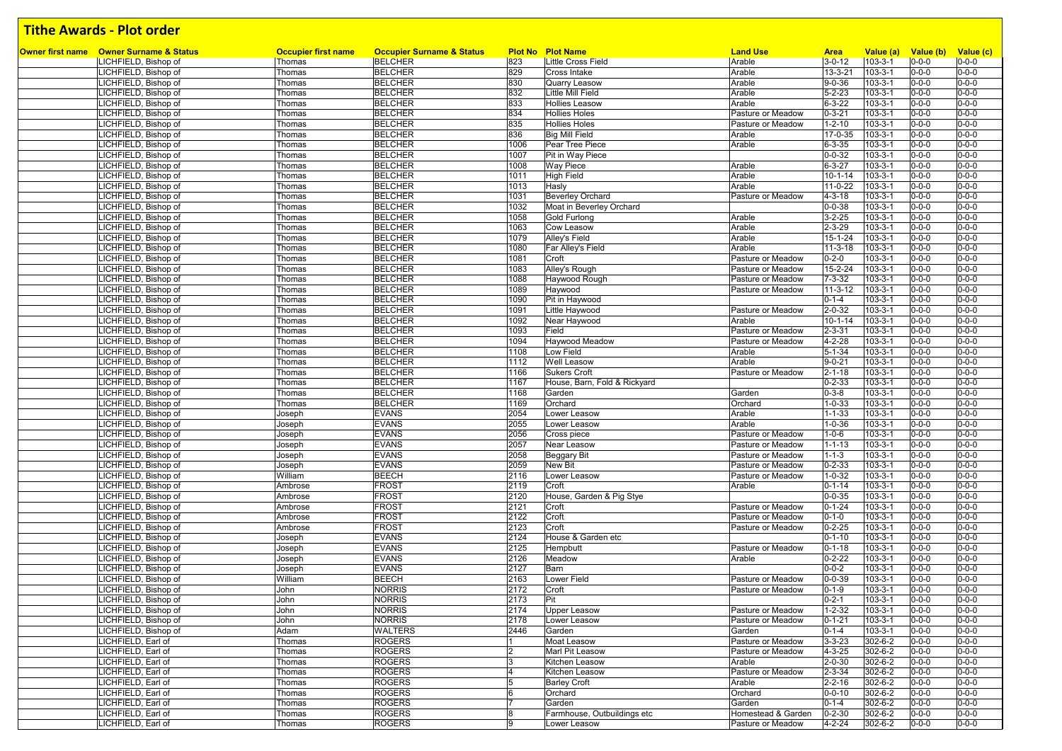| <b>Owner first name</b> Owner Surname & Status | <b>Occupier first name</b> | <b>Occupier Surname &amp; Status</b> |                | <b>Plot No Plot Name</b>     | <b>Land Use</b>    | <b>Area</b>   | Value (a)     | Value (b)   | Value (c)   |
|------------------------------------------------|----------------------------|--------------------------------------|----------------|------------------------------|--------------------|---------------|---------------|-------------|-------------|
| LICHFIELD, Bishop of                           | Thomas                     | <b>BELCHER</b>                       | 823            | <b>Little Cross Field</b>    | Arable             | $3 - 0 - 12$  | $103 - 3 - 1$ | $0 - 0 - 0$ | $0 - 0 - 0$ |
| LICHFIELD, Bishop of                           | Thomas                     | <b>BELCHER</b>                       | 829            | <b>Cross Intake</b>          | Arable             | $13 - 3 - 21$ | $103 - 3 - 1$ | $0 - 0 - 0$ | $0 - 0 - 0$ |
| LICHFIELD, Bishop of                           | Thomas                     | <b>BELCHER</b>                       | 830            | Quarry Leasow                | Arable             | $9 - 0 - 36$  | $103 - 3 - 1$ | $0 - 0 - 0$ | $0 - 0 - 0$ |
| LICHFIELD, Bishop of                           | Thomas                     | <b>BELCHER</b>                       | 832            | Little Mill Field            | Arable             | $5 - 2 - 23$  | $103 - 3 - 1$ | $0 - 0 - 0$ | $0 - 0 - 0$ |
| ICHFIELD, Bishop of                            | Thomas                     | <b>BELCHER</b>                       | 833            | <b>Hollies Leasow</b>        | Arable             | $6 - 3 - 22$  | $103 - 3 - 1$ | $0 - 0 - 0$ | $0 - 0 - 0$ |
| LICHFIELD, Bishop of                           | Thomas                     | <b>BELCHER</b>                       | 834            | <b>Hollies Holes</b>         | Pasture or Meadow  | $0 - 3 - 21$  | $103 - 3 - 1$ | $0 - 0 - 0$ | $0 - 0 - 0$ |
| ICHFIELD, Bishop of                            | Thomas                     | <b>BELCHER</b>                       | 835            | <b>Hollies Holes</b>         | Pasture or Meadow  | $1 - 2 - 10$  | $103 - 3 - 1$ | $0 - 0 - 0$ | $0 - 0 - 0$ |
| LICHFIELD, Bishop of                           | Thomas                     | <b>BELCHER</b>                       | 836            | <b>Big Mill Field</b>        | Arable             | 17-0-35       | $103 - 3 - 1$ | $0 - 0 - 0$ | $0 - 0 - 0$ |
| LICHFIELD, Bishop of                           | Thomas                     | <b>BELCHER</b>                       | 1006           | Pear Tree Piece              | Arable             | $6 - 3 - 35$  | $103 - 3 - 1$ | $0 - 0 - 0$ | $0 - 0 - 0$ |
| LICHFIELD, Bishop of                           | Thomas                     | <b>BELCHER</b>                       | 1007           | Pit in Way Piece             |                    | $0 - 0 - 32$  | $103 - 3 - 1$ | $0 - 0 - 0$ | $0 - 0 - 0$ |
| LICHFIELD, Bishop of                           | Thomas                     | <b>BELCHER</b>                       | 1008           | <b>Way Piece</b>             | Arable             | $6 - 3 - 27$  | $103 - 3 - 1$ | $0 - 0 - 0$ | $0 - 0 - 0$ |
| LICHFIELD, Bishop of                           | Thomas                     | <b>BELCHER</b>                       | 1011           | High Field                   | Arable             | $10 - 1 - 14$ | $103 - 3 - 1$ | $0 - 0 - 0$ | $0 - 0 - 0$ |
| LICHFIELD, Bishop of                           | Thomas                     | <b>BELCHER</b>                       | 1013           | Hasly                        | Arable             | $11-0-22$     | $103 - 3 - 1$ | $0 - 0 - 0$ | $0 - 0 - 0$ |
| LICHFIELD, Bishop of                           | Thomas                     | <b>BELCHER</b>                       | 1031           | <b>Beverley Orchard</b>      | Pasture or Meadow  | $4 - 3 - 18$  | $103 - 3 - 1$ | $0 - 0 - 0$ | $0 - 0 - 0$ |
| LICHFIELD, Bishop of                           | Thomas                     | <b>BELCHER</b>                       | 1032           | Moat in Beverley Orchard     |                    | $0 - 0 - 38$  | $103 - 3 - 1$ | $0 - 0 - 0$ | $0 - 0 - 0$ |
| LICHFIELD, Bishop of                           | Thomas                     | <b>BELCHER</b>                       | 1058           | <b>Gold Furlong</b>          | Arable             | $3 - 2 - 25$  | $103 - 3 - 1$ | $0 - 0 - 0$ | $0 - 0 - 0$ |
| LICHFIELD, Bishop of                           | Thomas                     | <b>BELCHER</b>                       | 1063           | Cow Leasow                   | Arable             | $2 - 3 - 29$  | $103 - 3 - 1$ | $0 - 0 - 0$ | $0 - 0 - 0$ |
| LICHFIELD, Bishop of                           | Thomas                     | <b>BELCHER</b>                       | 1079           | Alley's Field                | Arable             | 15-1-24       | $103 - 3 - 1$ | $0 - 0 - 0$ | $0 - 0 - 0$ |
| LICHFIELD, Bishop of                           | Thomas                     | <b>BELCHER</b>                       | 1080           | Far Alley's Field            | Arable             | $11-3-18$     | $103 - 3 - 1$ | $0 - 0 - 0$ | $0 - 0 - 0$ |
| LICHFIELD, Bishop of                           | Thomas                     | <b>BELCHER</b>                       | 1081           | Croft                        | Pasture or Meadow  | $0 - 2 - 0$   | $103 - 3 - 1$ | $0 - 0 - 0$ | $0 - 0 - 0$ |
| LICHFIELD, Bishop of                           | Thomas                     | <b>BELCHER</b>                       | 1083           | Alley's Rough                | Pasture or Meadow  | 15-2-24       | $103 - 3 - 1$ | $0 - 0 - 0$ | $0 - 0 - 0$ |
| LICHFIELD, Bishop of                           | Thomas                     | <b>BELCHER</b>                       | 1088           | Haywood Rough                | Pasture or Meadow  | $7 - 3 - 32$  | $103 - 3 - 1$ | $0 - 0 - 0$ | $0 - 0 - 0$ |
| LICHFIELD, Bishop of                           | Thomas                     | <b>BELCHER</b>                       | 1089           | Haywood                      | Pasture or Meadow  | $11-3-12$     | $103 - 3 - 1$ | $0 - 0 - 0$ | $0 - 0 - 0$ |
| LICHFIELD, Bishop of                           | Thomas                     | <b>BELCHER</b>                       | 1090           | Pit in Haywood               |                    | $0 - 1 - 4$   | $103 - 3 - 1$ | $0 - 0 - 0$ | $0 - 0 - 0$ |
| LICHFIELD, Bishop of                           | Thomas                     | <b>BELCHER</b>                       | 1091           | Little Haywood               | Pasture or Meadow  | $2 - 0 - 32$  | $103 - 3 - 1$ | $0 - 0 - 0$ | $0 - 0 - 0$ |
| <b>ICHFIELD, Bishop of</b>                     | Thomas                     | <b>BELCHER</b>                       | 1092           | Near Haywood                 | Arable             | $10 - 1 - 14$ | $103 - 3 - 1$ | $0 - 0 - 0$ | $0 - 0 - 0$ |
| LICHFIELD, Bishop of                           | Thomas                     | <b>BELCHER</b>                       | 1093           | Field                        | Pasture or Meadow  | $2 - 3 - 31$  | $103 - 3 - 1$ | $0 - 0 - 0$ | $0 - 0 - 0$ |
| LICHFIELD, Bishop of                           | Thomas                     | <b>BELCHER</b>                       | 1094           | Haywood Meadow               | Pasture or Meadow  | $4 - 2 - 28$  | $103 - 3 - 1$ | $0 - 0 - 0$ | $0 - 0 - 0$ |
| LICHFIELD, Bishop of                           | Thomas                     | <b>BELCHER</b>                       | 1108           | Low Field                    | Arable             | $5 - 1 - 34$  | $103 - 3 - 1$ | $0 - 0 - 0$ | $0 - 0 - 0$ |
| LICHFIELD, Bishop of                           | Thomas                     | <b>BELCHER</b>                       | 1112           | Well Leasow                  | Arable             | $9 - 0 - 21$  | $103 - 3 - 1$ | $0 - 0 - 0$ | $0 - 0 - 0$ |
| LICHFIELD, Bishop of                           | Thomas                     | <b>BELCHER</b>                       | 1166           | <b>Sukers Croft</b>          | Pasture or Meadow  | $2 - 1 - 18$  | $103 - 3 - 1$ | $0 - 0 - 0$ | $0 - 0 - 0$ |
| ICHFIELD, Bishop of                            | Thomas                     | <b>BELCHER</b>                       | 1167           | House, Barn, Fold & Rickyard |                    | $0 - 2 - 33$  | $103 - 3 - 1$ | $0 - 0 - 0$ | $0 - 0 - 0$ |
| LICHFIELD, Bishop of                           | Thomas                     | <b>BELCHER</b>                       | 1168           | Garden                       | Garden             | $0 - 3 - 8$   | $103 - 3 - 1$ | $0 - 0 - 0$ | $0 - 0 - 0$ |
| <b>ICHFIELD, Bishop of</b>                     | Thomas                     | <b>BELCHER</b>                       | 1169           | Orchard                      | Orchard            | $1 - 0 - 33$  | $103 - 3 - 1$ | $0 - 0 - 0$ | $0 - 0 - 0$ |
| LICHFIELD, Bishop of                           | Joseph                     | <b>EVANS</b>                         | 2054           | Lower Leasow                 | Arable             | $1 - 1 - 33$  | $103 - 3 - 1$ | $0 - 0 - 0$ | $0 - 0 - 0$ |
| LICHFIELD, Bishop of                           | Joseph                     | <b>EVANS</b>                         | 2055           | Lower Leasow                 | Arable             | $1 - 0 - 36$  | $103 - 3 - 1$ | $0 - 0 - 0$ | $0 - 0 - 0$ |
| LICHFIELD, Bishop of                           | Joseph                     | <b>EVANS</b>                         | 2056           | Cross piece                  | Pasture or Meadow  | $1 - 0 - 6$   | $103 - 3 - 1$ | $0 - 0 - 0$ | $0 - 0 - 0$ |
| LICHFIELD, Bishop of                           | Joseph                     | <b>EVANS</b>                         | 2057           | Near Leasow                  | Pasture or Meadow  | $1 - 1 - 13$  | $103 - 3 - 1$ | $0 - 0 - 0$ | $0 - 0 - 0$ |
| LICHFIELD, Bishop of                           | Joseph                     | <b>EVANS</b>                         | 2058           | <b>Beggary Bit</b>           | Pasture or Meadow  | $1 - 1 - 3$   | $103 - 3 - 1$ | $0 - 0 - 0$ | $0 - 0 - 0$ |
| LICHFIELD, Bishop of                           | Joseph                     | <b>EVANS</b>                         | 2059           | <b>New Bit</b>               | Pasture or Meadow  | $0 - 2 - 33$  | $103 - 3 - 1$ | $0 - 0 - 0$ | $0 - 0 - 0$ |
| LICHFIELD, Bishop of                           | William                    | <b>BEECH</b>                         | 2116           | Lower Leasow                 | Pasture or Meadow  | $1 - 0 - 32$  | $103 - 3 - 1$ | $0 - 0 - 0$ | $0 - 0 - 0$ |
| LICHFIELD, Bishop of                           | Ambrose                    | <b>FROST</b>                         | 2119           | Croft                        | Arable             | $0 - 1 - 14$  | $103 - 3 - 1$ | $0 - 0 - 0$ | $0 - 0 - 0$ |
| LICHFIELD, Bishop of                           | Ambrose                    | <b>FROST</b>                         | 2120           | House, Garden & Pig Stye     |                    | $0 - 0 - 35$  | $103 - 3 - 1$ | $0 - 0 - 0$ | $0 - 0 - 0$ |
| LICHFIELD, Bishop of                           | Ambrose                    | <b>FROST</b>                         | 2121           | Croft                        | Pasture or Meadow  | $0 - 1 - 24$  | $103 - 3 - 1$ | $0 - 0 - 0$ | $0 - 0 - 0$ |
|                                                | Ambrose                    | <b>FROST</b>                         | 2122           |                              | Pasture or Meadow  | $0 - 1 - 0$   | $103 - 3 - 1$ | $0 - 0 - 0$ | $0 - 0 - 0$ |
| LICHFIELD, Bishop of                           |                            | <b>FROST</b>                         |                | Croft<br>Croft               |                    | $0 - 2 - 25$  | $103 - 3 - 1$ | $0 - 0 - 0$ | $0 - 0 - 0$ |
| LICHFIELD, Bishop of                           | Ambrose                    | <b>EVANS</b>                         | 2123           |                              | Pasture or Meadow  |               |               |             | $0 - 0 - 0$ |
| LICHFIELD, Bishop of                           | Joseph                     |                                      | 2124           | House & Garden etc           |                    | $0 - 1 - 10$  | $103 - 3 - 1$ | $0 - 0 - 0$ |             |
| LICHFIELD, Bishop of                           | Joseph                     | <b>EVANS</b>                         | 2125           | Hempbutt                     | Pasture or Meadow  | $0 - 1 - 18$  | $103 - 3 - 1$ | $0 - 0 - 0$ | $0 - 0 - 0$ |
| LICHFIELD, Bishop of                           | Joseph                     | <b>EVANS</b>                         | 2126           | Meadow                       | Arable             | $0 - 2 - 22$  | $103 - 3 - 1$ | $0 - 0 - 0$ | $0 - 0 - 0$ |
| ICHFIELD, Bishop of                            | Joseph                     | <b>EVANS</b>                         | 2127           | Barn                         |                    | $0 - 0 - 2$   | $103 - 3 - 1$ | $0 - 0 - 0$ | $0 - 0 - 0$ |
| ICHFIELD, Bishop of                            | William                    | <b>BEECH</b>                         | 2163           | <b>Lower Field</b>           | Pasture or Meadow  | $0 - 0 - 39$  | $103 - 3 - 1$ | $0 - 0 - 0$ | $0 - 0 - 0$ |
| LICHFIELD, Bishop of                           | John                       | <b>NORRIS</b>                        | 2172           | Croft                        | Pasture or Meadow  | $0 - 1 - 9$   | $103 - 3 - 1$ | $0 - 0 - 0$ | $0 - 0 - 0$ |
| LICHFIELD, Bishop of                           | John                       | <b>NORRIS</b>                        | 2173           | Pit                          |                    | $0 - 2 - 1$   | $103 - 3 - 1$ | $0 - 0 - 0$ | $0 - 0 - 0$ |
| LICHFIELD, Bishop of                           | John                       | <b>NORRIS</b>                        | 2174           | Upper Leasow                 | Pasture or Meadow  | $1 - 2 - 32$  | 103-3-1       | $0 - 0 - 0$ | $0 - 0 - 0$ |
| LICHFIELD, Bishop of                           | John                       | <b>NORRIS</b>                        | 2178           | Lower Leasow                 | Pasture or Meadow  | $0 - 1 - 21$  | $103 - 3 - 1$ | $0 - 0 - 0$ | $0 - 0 - 0$ |
| LICHFIELD, Bishop of                           | Adam                       | <b>WALTERS</b>                       | 2446           | Garden                       | Garden             | $0 - 1 - 4$   | $103 - 3 - 1$ | $0 - 0 - 0$ | $0 - 0 - 0$ |
| LICHFIELD, Earl of                             | Thomas                     | <b>ROGERS</b>                        |                | <b>Moat Leasow</b>           | Pasture or Meadow  | $3 - 3 - 23$  | 302-6-2       | $0 - 0 - 0$ | $0 - 0 - 0$ |
| LICHFIELD, Earl of                             | Thomas                     | <b>ROGERS</b>                        | $\overline{2}$ | Marl Pit Leasow              | Pasture or Meadow  | $4 - 3 - 25$  | 302-6-2       | $0 - 0 - 0$ | $0 - 0 - 0$ |
| LICHFIELD, Earl of                             | Thomas                     | <b>ROGERS</b>                        | 3              | Kitchen Leasow               | Arable             | $2 - 0 - 30$  | 302-6-2       | $0 - 0 - 0$ | $0 - 0 - 0$ |
| LICHFIELD, Earl of                             | Thomas                     | <b>ROGERS</b>                        | $\overline{4}$ | Kitchen Leasow               | Pasture or Meadow  | $2 - 3 - 34$  | 302-6-2       | $0 - 0 - 0$ | $0 - 0 - 0$ |
| LICHFIELD, Earl of                             | Thomas                     | <b>ROGERS</b>                        | 5              | <b>Barley Croft</b>          | Arable             | $2 - 2 - 16$  | 302-6-2       | $0 - 0 - 0$ | $0 - 0 - 0$ |
| LICHFIELD, Earl of                             | Thomas                     | <b>ROGERS</b>                        | 6              | Orchard                      | Orchard            | $0 - 0 - 10$  | 302-6-2       | $0 - 0 - 0$ | $0 - 0 - 0$ |
| LICHFIELD, Earl of                             | Thomas                     | <b>ROGERS</b>                        |                | Garden                       | Garden             | $0 - 1 - 4$   | 302-6-2       | $0 - 0 - 0$ | $0 - 0 - 0$ |
| LICHFIELD, Earl of                             | Thomas                     | <b>ROGERS</b>                        | 8              | Farmhouse, Outbuildings etc  | Homestead & Garden | $0 - 2 - 30$  | 302-6-2       | $0 - 0 - 0$ | $0 - 0 - 0$ |
| LICHFIELD, Earl of                             | Thomas                     | <b>ROGERS</b>                        | l9             | Lower Leasow                 | Pasture or Meadow  | $4 - 2 - 24$  | 302-6-2       | $0 - 0 - 0$ | $0 - 0 - 0$ |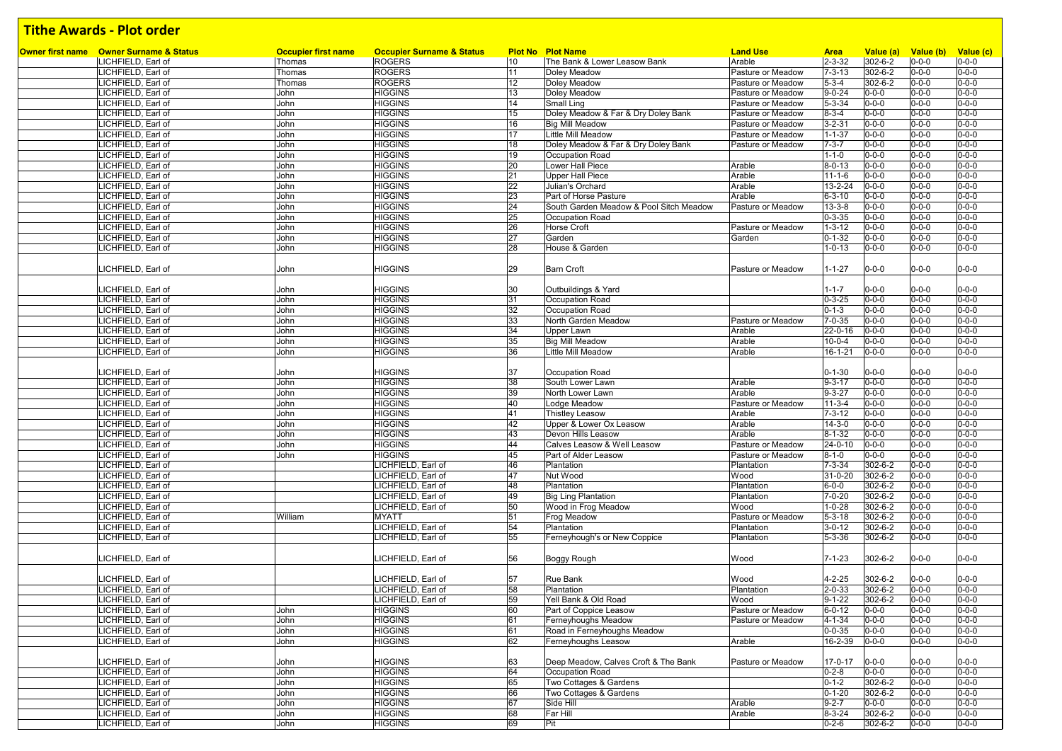| Owner first name Owner Surname & Status<br>LICHFIELD, Earl of | <b>Occupier first name</b><br>Thomas | <b>Occupier Surname &amp; Status</b><br><b>ROGERS</b> | 10       | <b>Plot No Plot Name</b><br>The Bank & Lower Leasow Bank | <b>Land Use</b><br>Arable | <b>Area</b><br>$2 - 3 - 32$ | Value (a)<br>302-6-2       | Value (b)<br>$0 - 0 - 0$   | Value (c)<br>$0 - 0 - 0$   |
|---------------------------------------------------------------|--------------------------------------|-------------------------------------------------------|----------|----------------------------------------------------------|---------------------------|-----------------------------|----------------------------|----------------------------|----------------------------|
| LICHFIELD, Earl of                                            | Thomas                               | <b>ROGERS</b>                                         | 11       | Doley Meadow                                             | Pasture or Meadow         | $7 - 3 - 13$                | 302-6-2                    | $0 - 0 - 0$                | $0 - 0 - 0$                |
| LICHFIELD, Earl of                                            | Thomas                               | <b>ROGERS</b>                                         | 12       | Doley Meadow                                             | Pasture or Meadow         | $5 - 3 - 4$                 | 302-6-2                    | $0 - 0 - 0$                | $0 - 0 - 0$                |
| LICHFIELD, Earl of                                            | John                                 | <b>HIGGINS</b>                                        | 13       | Doley Meadow                                             | Pasture or Meadow         | $9 - 0 - 24$                | $0 - 0 - 0$                | $0 - 0 - 0$                | $0 - 0 - 0$                |
| LICHFIELD, Earl of                                            | John                                 | <b>HIGGINS</b>                                        | 14       | Small Ling                                               | Pasture or Meadow         | $5 - 3 - 34$                | $0 - 0 - 0$                | $0 - 0 - 0$                | $0 - 0 - 0$                |
| LICHFIELD, Earl of                                            | John                                 | <b>HIGGINS</b>                                        | 15       | Doley Meadow & Far & Dry Doley Bank                      | Pasture or Meadow         | $8 - 3 - 4$                 | $0 - 0 - 0$                | $0 - 0 - 0$                | $0 - 0 - 0$                |
| LICHFIELD, Earl of                                            | John                                 | <b>HIGGINS</b>                                        | 16       | <b>Big Mill Meadow</b>                                   | Pasture or Meadow         | $3 - 2 - 31$                | $0 - 0 - 0$                | $0 - 0 - 0$                | $0 - 0 - 0$                |
| LICHFIELD, Earl of                                            | John                                 | <b>HIGGINS</b>                                        | 17       | Little Mill Meadow                                       | Pasture or Meadow         | $1 - 1 - 37$                | $0 - 0 - 0$                | $0 - 0 - 0$                | $0 - 0 - 0$                |
| LICHFIELD, Earl of                                            | John                                 | <b>HIGGINS</b>                                        | 18       | Doley Meadow & Far & Dry Doley Bank                      | Pasture or Meadow         | $7 - 3 - 7$                 | $0 - 0 - 0$                | $0 - 0 - 0$                | $0 - 0 - 0$                |
| LICHFIELD, Earl of                                            | John                                 | <b>HIGGINS</b>                                        | 19       | Occupation Road                                          |                           | $1 - 1 - 0$                 | $0 - 0 - 0$                | $0 - 0 - 0$                | $0 - 0 - 0$                |
| LICHFIELD, Earl of                                            | John                                 | <b>HIGGINS</b>                                        | 20       | Lower Hall Piece                                         | Arable                    | $8 - 0 - 13$                | $0 - 0 - 0$                | $0 - 0 - 0$                | $0 - 0 - 0$                |
| LICHFIELD, Earl of                                            | John                                 | <b>HIGGINS</b>                                        | 21       | <b>Upper Hall Piece</b>                                  | Arable                    | $11 - 1 - 6$                | $0 - 0 - 0$                | $0 - 0 - 0$                | $0 - 0 - 0$                |
| LICHFIELD, Earl of                                            | John                                 | <b>HIGGINS</b>                                        | 22       | Julian's Orchard                                         | Arable                    | 13-2-24                     | $0 - 0 - 0$                | $0 - 0 - 0$                | $0 - 0 - 0$                |
| LICHFIELD, Earl of                                            | John                                 | <b>HIGGINS</b>                                        | 23       | Part of Horse Pasture                                    | Arable                    | $6 - 3 - 10$                | $0 - 0 - 0$                | $0 - 0 - 0$                | $0 - 0 - 0$                |
| LICHFIELD, Earl of                                            | John                                 | <b>HIGGINS</b>                                        | 24       | South Garden Meadow & Pool Sitch Meadow                  | Pasture or Meadow         | $13 - 3 - 8$                | $0 - 0 - 0$                | $0 - 0 - 0$                | $0 - 0 - 0$                |
| LICHFIELD, Earl of                                            | John                                 | <b>HIGGINS</b>                                        | 25       | Occupation Road                                          |                           | $0 - 3 - 35$                | $0 - 0 - 0$                | $0 - 0 - 0$                | $0 - 0 - 0$                |
| LICHFIELD, Earl of                                            | John                                 | <b>HIGGINS</b>                                        | 26       | Horse Croft                                              | Pasture or Meadow         | $1 - 3 - 12$                | $0 - 0 - 0$                | $0 - 0 - 0$                | $0 - 0 - 0$                |
| LICHFIELD, Earl of                                            | John                                 | <b>HIGGINS</b>                                        | 27       | Garden                                                   | Garden                    | $0 - 1 - 32$                | $0 - 0 - 0$                | $0 - 0 - 0$                | $0 - 0 - 0$                |
| LICHFIELD, Earl of                                            | John                                 | <b>HIGGINS</b>                                        | 28       | House & Garden                                           |                           | $1 - 0 - 13$                | $0 - 0 - 0$                | $0 - 0 - 0$                | $0 - 0 - 0$                |
|                                                               |                                      |                                                       |          |                                                          |                           |                             |                            |                            |                            |
| ICHFIELD, Earl of                                             | John                                 | <b>HIGGINS</b>                                        | 29       | Barn Croft                                               | Pasture or Meadow         | $1 - 1 - 27$                | $0 - 0 - 0$                | $0 - 0 - 0$                | $0 - 0 - 0$                |
|                                                               |                                      |                                                       |          |                                                          |                           |                             |                            |                            |                            |
| LICHFIELD, Earl of                                            | John                                 | <b>HIGGINS</b>                                        | 30       | Outbuildings & Yard                                      |                           | $1 - 1 - 7$                 | $0 - 0 - 0$                | $0 - 0 - 0$                | $0 - 0 - 0$                |
| LICHFIELD, Earl of                                            | John                                 | <b>HIGGINS</b>                                        | 31       | Occupation Road                                          |                           | $0 - 3 - 25$                | $0 - 0 - 0$                | $0 - 0 - 0$                | $0 - 0 - 0$<br>$0 - 0 - 0$ |
| LICHFIELD, Earl of<br>LICHFIELD, Earl of                      | John<br>John                         | <b>HIGGINS</b><br><b>HIGGINS</b>                      | 32<br>33 | Occupation Road<br>North Garden Meadow                   | Pasture or Meadow         | $0 - 1 - 3$                 | $0 - 0 - 0$<br>$0 - 0 - 0$ | $0 - 0 - 0$<br>$0 - 0 - 0$ | $0 - 0 - 0$                |
| LICHFIELD, Earl of                                            | John                                 | <b>HIGGINS</b>                                        | 34       | Upper Lawn                                               | Arable                    | $7 - 0 - 35$<br>22-0-16     | $0 - 0 - 0$                | $0 - 0 - 0$                | $0 - 0 - 0$                |
| LICHFIELD, Earl of                                            | John                                 | <b>HIGGINS</b>                                        | 35       | <b>Big Mill Meadow</b>                                   | Arable                    | $10 - 0 - 4$                | $0 - 0 - 0$                | $0 - 0 - 0$                | $0 - 0 - 0$                |
| LICHFIELD, Earl of                                            | John                                 | <b>HIGGINS</b>                                        | 36       | Little Mill Meadow                                       | Arable                    | 16-1-21                     | $0 - 0 - 0$                | $0 - 0 - 0$                | $0 - 0 - 0$                |
|                                                               |                                      |                                                       |          |                                                          |                           |                             |                            |                            |                            |
| LICHFIELD, Earl of                                            | John                                 | <b>HIGGINS</b>                                        | 37       | Occupation Road                                          |                           | $0 - 1 - 30$                | $0 - 0 - 0$                | $0 - 0 - 0$                | $0 - 0 - 0$                |
| LICHFIELD, Earl of                                            | John                                 | <b>HIGGINS</b>                                        | 38       | South Lower Lawn                                         | Arable                    | $9 - 3 - 17$                | $0 - 0 - 0$                | $0 - 0 - 0$                | $0 - 0 - 0$                |
| LICHFIELD, Earl of                                            | John                                 | <b>HIGGINS</b>                                        | 39       | North Lower Lawn                                         | Arable                    | $9 - 3 - 27$                | $0 - 0 - 0$                | $0 - 0 - 0$                | $0 - 0 - 0$                |
| LICHFIELD, Earl of                                            | John                                 | <b>HIGGINS</b>                                        | 40       | Lodge Meadow                                             | Pasture or Meadow         | $11-3-4$                    | $0 - 0 - 0$                | $0 - 0 - 0$                | $0 - 0 - 0$                |
| LICHFIELD, Earl of                                            | John                                 | <b>HIGGINS</b>                                        | 41       | <b>Thistley Leasow</b>                                   | Arable                    | $7 - 3 - 12$                | $0 - 0 - 0$                | $0 - 0 - 0$                | $0 - 0 - 0$                |
| LICHFIELD, Earl of                                            | John                                 | <b>HIGGINS</b>                                        | 42       | Upper & Lower Ox Leasow                                  | Arable                    | $14 - 3 - 0$                | $0 - 0 - 0$                | $0 - 0 - 0$                | $0 - 0 - 0$                |
| LICHFIELD, Earl of                                            | John                                 | <b>HIGGINS</b>                                        | 43       | Devon Hills Leasow                                       | Arable                    | $8 - 1 - 32$                | $0 - 0 - 0$                | $0 - 0 - 0$                | $0 - 0 - 0$                |
| LICHFIELD, Earl of                                            | John                                 | <b>HIGGINS</b>                                        | 44       | Calves Leasow & Well Leasow                              | Pasture or Meadow         | 24-0-10                     | $0 - 0 - 0$                | $0 - 0 - 0$                | $0 - 0 - 0$                |
| LICHFIELD, Earl of                                            | John                                 | <b>HIGGINS</b>                                        | 45       | Part of Alder Leasow                                     | Pasture or Meadow         | $8 - 1 - 0$                 | $0 - 0 - 0$                | $0 - 0 - 0$                | $0 - 0 - 0$                |
| LICHFIELD, Earl of                                            |                                      | LICHFIELD, Earl of                                    | 46       | Plantation                                               | Plantation                | $7 - 3 - 34$                | 302-6-2                    | $0 - 0 - 0$                | $0 - 0 - 0$                |
| LICHFIELD, Earl of                                            |                                      | LICHFIELD, Earl of                                    | 47       | Nut Wood                                                 | Wood                      | 31-0-20                     | 302-6-2                    | $0 - 0 - 0$                | $0 - 0 - 0$                |
| ICHFIELD, Earl of                                             |                                      | LICHFIELD, Earl of                                    | 48       | Plantation                                               | Plantation                | $6 - 0 - 0$                 | 302-6-2                    | $0 - 0 - 0$                | $0 - 0 - 0$                |
| LICHFIELD, Earl of                                            |                                      | LICHFIELD, Earl of                                    | 49       | <b>Big Ling Plantation</b>                               | Plantation                | $7 - 0 - 20$                | 302-6-2                    | $0 - 0 - 0$                | $0 - 0 - 0$                |
| LICHFIELD, Earl of                                            |                                      | LICHFIELD, Earl of                                    | 50       | Wood in Frog Meadow                                      | Wood                      | $1 - 0 - 28$                | 302-6-2                    | $0 - 0 - 0$                | $0 - 0 - 0$                |
| LICHFIELD, Earl of                                            | William                              | <b>MYATT</b>                                          | 51       | Frog Meadow                                              | Pasture or Meadow         | $5 - 3 - 18$                | 302-6-2                    | $0 - 0 - 0$                | $0 - 0 - 0$                |
| LICHFIELD, Earl of                                            |                                      | LICHFIELD, Earl of                                    | 54       | Plantation                                               | Plantation                | $3 - 0 - 12$                | 302-6-2<br>$302 - 6 - 2$   | $0 - 0 - 0$                | $0 - 0 - 0$<br>$0 - 0 - 0$ |
| LICHFIELD, Earl of                                            |                                      | LICHFIELD, Earl of                                    | 55       | Ferneyhough's or New Coppice                             | Plantation                | $5 - 3 - 36$                |                            | $0 - 0 - 0$                |                            |
| LICHFIELD, Earl of                                            |                                      | LICHFIELD, Earl of                                    | 56       | Boggy Rough                                              | Wood                      | $7 - 1 - 23$                | 302-6-2                    | $0 - 0 - 0$                | $0 - 0 - 0$                |
|                                                               |                                      |                                                       |          |                                                          |                           |                             |                            |                            |                            |
| ICHFIELD, Earl of                                             |                                      | LICHFIELD, Earl of                                    | 57       | Rue Bank                                                 | Wood                      | 4-2-25                      | 302-6-2                    | $0 - 0 - 0$                | $0 - 0 - 0$                |
| LICHFIELD, Earl of                                            |                                      | LICHFIELD, Earl of                                    | 58       | Plantation                                               | Plantation                | $2 - 0 - 33$                | 302-6-2                    | $0 - 0 - 0$                | $0 - 0 - 0$                |
| LICHFIELD, Earl of                                            |                                      | LICHFIELD, Earl of                                    | 59       | Yell Bank & Old Road                                     | Wood                      | $9 - 1 - 22$                | 302-6-2                    | $0 - 0 - 0$                | $0 - 0 - 0$                |
| LICHFIELD, Earl of                                            | John                                 | <b>HIGGINS</b>                                        | 60       | Part of Coppice Leasow                                   | Pasture or Meadow         | $6 - 0 - 12$                | $0 - 0 - 0$                | $0 - 0 - 0$                | $0 - 0 - 0$                |
| LICHFIELD, Earl of                                            | John                                 | <b>HIGGINS</b>                                        | 61       | Ferneyhoughs Meadow                                      | Pasture or Meadow         | $4 - 1 - 34$                | $0 - 0 - 0$                | $0 - 0 - 0$                | $0 - 0 - 0$                |
| LICHFIELD, Earl of                                            | John                                 | <b>HIGGINS</b>                                        | 61       | Road in Ferneyhoughs Meadow                              |                           | $0 - 0 - 35$                | $0 - 0 - 0$                | $0 - 0 - 0$                | $0 - 0 - 0$                |
| LICHFIELD, Earl of                                            | John                                 | <b>HIGGINS</b>                                        | 62       | Ferneyhoughs Leasow                                      | Arable                    | 16-2-39                     | $0 - 0 - 0$                | $0 - 0 - 0$                | $0 - 0 - 0$                |
|                                                               |                                      |                                                       |          |                                                          |                           |                             |                            |                            |                            |
| LICHFIELD, Earl of                                            | John                                 | <b>HIGGINS</b>                                        | 63       | Deep Meadow, Calves Croft & The Bank                     | Pasture or Meadow         | 17-0-17                     | $0 - 0 - 0$                | $0 - 0 - 0$                | $0 - 0 - 0$                |
| LICHFIELD, Earl of                                            | John                                 | <b>HIGGINS</b>                                        | 64       | Occupation Road                                          |                           | $0 - 2 - 8$                 | $0 - 0 - 0$                | $0 - 0 - 0$                | $0 - 0 - 0$                |
| LICHFIELD, Earl of                                            | John                                 | <b>HIGGINS</b>                                        | 65       | Two Cottages & Gardens                                   |                           | $0 - 1 - 2$                 | 302-6-2                    | $0 - 0 - 0$                | $0 - 0 - 0$                |
| LICHFIELD, Earl of                                            | John                                 | <b>HIGGINS</b>                                        | 66       | Two Cottages & Gardens                                   |                           | $0 - 1 - 20$                | 302-6-2                    | $0 - 0 - 0$                | $0 - 0 - 0$                |
| LICHFIELD, Earl of                                            | John                                 | <b>HIGGINS</b>                                        | 67       | Side Hill                                                | Arable                    | $9 - 2 - 7$                 | $0 - 0 - 0$                | $0 - 0 - 0$                | $0 - 0 - 0$                |
| LICHFIELD, Earl of                                            | John                                 | <b>HIGGINS</b>                                        | 68       | Far Hill                                                 | Arable                    | $8 - 3 - 24$                | 302-6-2                    | $0 - 0 - 0$                | $0 - 0 - 0$                |
| LICHFIELD, Earl of                                            | John                                 | <b>HIGGINS</b>                                        | 69       | Pit                                                      |                           | $0 - 2 - 6$                 | 302-6-2                    | $0 - 0 - 0$                | $0 - 0 - 0$                |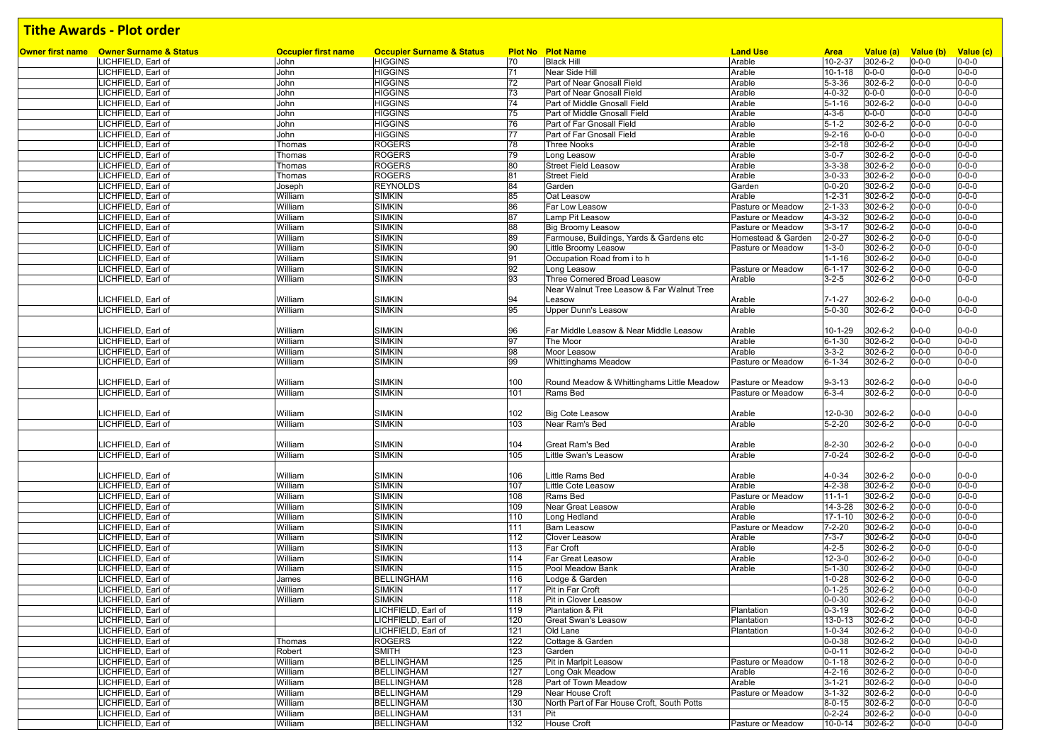| Owner first name Owner Surname & Status | <b>Occupier first name</b> | <b>Occupier Surname &amp; Status</b> |     | <b>Plot No Plot Name</b>                   | <b>Land Use</b>    | <b>Area</b>   | Value (a)     | Value (b)   | Value (c)                  |
|-----------------------------------------|----------------------------|--------------------------------------|-----|--------------------------------------------|--------------------|---------------|---------------|-------------|----------------------------|
| LICHFIELD, Earl of                      | John                       | <b>HIGGINS</b>                       | 70  | <b>Black Hill</b>                          | Arable             | $10 - 2 - 37$ | 302-6-2       | $0 - 0 - 0$ | $0 - 0 - 0$                |
| LICHFIELD, Earl of                      | John                       | <b>HIGGINS</b>                       | 71  | Near Side Hill                             | Arable             | $10 - 1 - 18$ | $0 - 0 - 0$   | $0 - 0 - 0$ | $0 - 0 - 0$                |
| LICHFIELD, Earl of                      | John                       | <b>HIGGINS</b>                       | 72  | Part of Near Gnosall Field                 | Arable             | $5 - 3 - 36$  | 302-6-2       | $0 - 0 - 0$ | $0 - 0 - 0$                |
| LICHFIELD, Earl of                      | John                       | <b>HIGGINS</b>                       | 73  | Part of Near Gnosall Field                 | Arable             | $4 - 0 - 32$  | $0 - 0 - 0$   | $0 - 0 - 0$ | $0 - 0 - 0$                |
| LICHFIELD, Earl of                      | John                       | <b>HIGGINS</b>                       | 74  | Part of Middle Gnosall Field               | Arable             | $5 - 1 - 16$  | 302-6-2       | $0 - 0 - 0$ | $0 - 0 - 0$                |
| LICHFIELD, Earl of                      | John                       | <b>HIGGINS</b>                       | 75  | Part of Middle Gnosall Field               | Arable             | $4 - 3 - 6$   | $0 - 0 - 0$   | $0 - 0 - 0$ | $0 - 0 - 0$                |
| LICHFIELD, Earl of                      | John                       | <b>HIGGINS</b>                       | 76  | Part of Far Gnosall Field                  | Arable             | $5 - 1 - 2$   | 302-6-2       | $0 - 0 - 0$ | $0 - 0 - 0$                |
| LICHFIELD, Earl of                      | John                       | <b>HIGGINS</b>                       | 77  | Part of Far Gnosall Field                  | Arable             | $9 - 2 - 16$  | $0 - 0 - 0$   | $0 - 0 - 0$ | $0 - 0 - 0$                |
| LICHFIELD, Earl of                      | Thomas                     | <b>ROGERS</b>                        | 78  | <b>Three Nooks</b>                         | Arable             | $3 - 2 - 18$  | 302-6-2       | $0 - 0 - 0$ | $0 - 0 - 0$                |
| LICHFIELD, Earl of                      | Thomas                     | <b>ROGERS</b>                        | 79  | Long Leasow                                | Arable             | $3 - 0 - 7$   | 302-6-2       | $0 - 0 - 0$ | $0 - 0 - 0$                |
| LICHFIELD, Earl of                      | Thomas                     | <b>ROGERS</b>                        | 80  | <b>Street Field Leasow</b>                 | Arable             | $3 - 3 - 38$  | 302-6-2       | $0 - 0 - 0$ | $0 - 0 - 0$                |
| LICHFIELD, Earl of                      | Thomas                     | <b>ROGERS</b>                        | 81  | <b>Street Field</b>                        | Arable             | $3 - 0 - 33$  | $302 - 6 - 2$ | $0 - 0 - 0$ | $0 - 0 - 0$                |
| LICHFIELD, Earl of                      | Joseph                     | <b>REYNOLDS</b>                      | 84  | Garden                                     | Garden             | $0 - 0 - 20$  | 302-6-2       | $0 - 0 - 0$ | $0 - 0 - 0$                |
| LICHFIELD, Earl of                      | William                    | <b>SIMKIN</b>                        | 85  | Oat Leasow                                 | Arable             | $1 - 2 - 31$  | 302-6-2       | $0 - 0 - 0$ | $0 - 0 - 0$                |
| LICHFIELD, Earl of                      | William                    | <b>SIMKIN</b>                        | 86  | Far Low Leasow                             | Pasture or Meadow  | $2 - 1 - 33$  | 302-6-2       | $0 - 0 - 0$ | $0 - 0 - 0$                |
| LICHFIELD, Earl of                      | William                    | <b>SIMKIN</b>                        | 87  | Lamp Pit Leasow                            | Pasture or Meadow  | 4-3-32        | 302-6-2       | $0 - 0 - 0$ | $0 - 0 - 0$                |
| LICHFIELD, Earl of                      | William                    | <b>SIMKIN</b>                        | 88  | <b>Big Broomy Leasow</b>                   | Pasture or Meadow  | $3 - 3 - 17$  | 302-6-2       | $0 - 0 - 0$ | $0 - 0 - 0$                |
| LICHFIELD, Earl of                      | William                    | <b>SIMKIN</b>                        | 89  | Farmouse, Buildings, Yards & Gardens etc   | Homestead & Garder | $2 - 0 - 27$  | $302 - 6 - 2$ | $0 - 0 - 0$ | $0 - 0 - 0$                |
| LICHFIELD, Earl of                      | William                    | <b>SIMKIN</b>                        | 90  | Little Broomy Leasow                       | Pasture or Meadow  | 1-3-0         | 302-6-2       | $0 - 0 - 0$ | $0 - 0 - 0$                |
| LICHFIELD, Earl of                      | William                    | <b>SIMKIN</b>                        | 91  | Occupation Road from i to h                |                    | $1 - 1 - 16$  | 302-6-2       | $0 - 0 - 0$ | $0 - 0 - 0$                |
| LICHFIELD, Earl of                      | William                    | <b>SIMKIN</b>                        | 92  | Long Leasow                                | Pasture or Meadow  | $6 - 1 - 17$  | 302-6-2       | $0 - 0 - 0$ | $0 - 0 - 0$                |
| LICHFIELD, Earl of                      | William                    | <b>SIMKIN</b>                        | 93  | Three Cornered Broad Leasow                | Arable             | $3 - 2 - 5$   | 302-6-2       | $0 - 0 - 0$ | $0 - 0 - 0$                |
|                                         |                            |                                      |     | Near Walnut Tree Leasow & Far Walnut Tree  |                    |               |               |             |                            |
| LICHFIELD, Earl of                      | William                    | <b>SIMKIN</b>                        | 94  | Leasow                                     | Arable             | 7-1-27        | 302-6-2       | $0 - 0 - 0$ | $0 - 0 - 0$                |
| LICHFIELD, Earl of                      | William                    | <b>SIMKIN</b>                        | 95  | <b>Upper Dunn's Leasow</b>                 | Arable             | $5 - 0 - 30$  | 302-6-2       | $0 - 0 - 0$ | $0 - 0 - 0$                |
|                                         |                            |                                      |     |                                            |                    |               |               |             |                            |
| LICHFIELD, Earl of                      | William                    | <b>SIMKIN</b>                        | 96  | Far Middle Leasow & Near Middle Leasow     | Arable             | $10 - 1 - 29$ | 302-6-2       | $0 - 0 - 0$ | $0 - 0 - 0$                |
| LICHFIELD, Earl of                      | William                    | <b>SIMKIN</b>                        | 97  | The Moor                                   | Arable             | $6 - 1 - 30$  | 302-6-2       | $0 - 0 - 0$ | $0 - 0 - 0$                |
| LICHFIELD, Earl of                      | William                    | <b>SIMKIN</b>                        | 98  | Moor Leasow                                | Arable             | $3 - 3 - 2$   | 302-6-2       | $0 - 0 - 0$ | $0 - 0 - 0$                |
| LICHFIELD, Earl of                      | William                    | <b>SIMKIN</b>                        | 99  | <b>Whittinghams Meadow</b>                 | Pasture or Meadow  | $6 - 1 - 34$  | 302-6-2       | $0 - 0 - 0$ | $0 - 0 - 0$                |
|                                         |                            |                                      |     |                                            |                    |               |               |             |                            |
| LICHFIELD, Earl of                      | William                    | <b>SIMKIN</b>                        | 100 | Round Meadow & Whittinghams Little Meadow  | Pasture or Meadow  | $9 - 3 - 13$  | 302-6-2       | $0 - 0 - 0$ | $0 - 0 - 0$                |
| LICHFIELD, Earl of                      | William                    | <b>SIMKIN</b>                        | 101 | Rams Bed                                   | Pasture or Meadow  | $6 - 3 - 4$   | 302-6-2       | $0 - 0 - 0$ | $0 - 0 - 0$                |
|                                         |                            |                                      |     |                                            |                    |               |               |             |                            |
| LICHFIELD, Earl of                      | William                    | <b>SIMKIN</b>                        | 102 | <b>Big Cote Leasow</b>                     | Arable             | 12-0-30       | 302-6-2       | $0 - 0 - 0$ | $0 - 0 - 0$<br>$0 - 0 - 0$ |
| LICHFIELD, Earl of                      | William                    | <b>SIMKIN</b>                        | 103 | Near Ram's Bed                             | Arable             | $5 - 2 - 20$  | 302-6-2       | $0 - 0 - 0$ |                            |
| LICHFIELD, Earl of                      | William                    | <b>SIMKIN</b>                        | 104 | <b>Great Ram's Bed</b>                     | Arable             | $8 - 2 - 30$  | 302-6-2       | $0 - 0 - 0$ | $0 - 0 - 0$                |
| LICHFIELD, Earl of                      | William                    | <b>SIMKIN</b>                        | 105 | Little Swan's Leasow                       | Arable             | 7-0-24        | 302-6-2       | $0 - 0 - 0$ | $0 - 0 - 0$                |
|                                         |                            |                                      |     |                                            |                    |               |               |             |                            |
| LICHFIELD, Earl of                      | William                    | <b>SIMKIN</b>                        | 106 | Little Rams Bed                            | Arable             | $4 - 0 - 34$  | 302-6-2       | $0 - 0 - 0$ | $0 - 0 - 0$                |
| LICHFIELD, Earl of                      | William                    | <b>SIMKIN</b>                        | 107 | Little Cote Leasow                         | Arable             | $4 - 2 - 38$  | 302-6-2       | $0 - 0 - 0$ | $0 - 0 - 0$                |
| LICHFIELD, Earl of                      | William                    | <b>SIMKIN</b>                        | 108 | Rams Bed                                   | Pasture or Meadow  | $11 - 1 - 1$  | 302-6-2       | $0 - 0 - 0$ | $0 - 0 - 0$                |
| LICHFIELD, Earl of                      | William                    | <b>SIMKIN</b>                        | 109 | Near Great Leasow                          | Arable             | 14-3-28       | 302-6-2       | $0 - 0 - 0$ | $0 - 0 - 0$                |
| LICHFIELD, Earl of                      | William                    | <b>SIMKIN</b>                        | 110 | Long Hedland                               | Arable             | $17 - 1 - 10$ | 302-6-2       | $0 - 0 - 0$ | $0 - 0 - 0$                |
| LICHFIELD, Earl of                      | William                    | <b>SIMKIN</b>                        | 111 | <b>Barn Leasow</b>                         | Pasture or Meadow  | $7 - 2 - 20$  | 302-6-2       | $0 - 0 - 0$ | $0 - 0 - 0$                |
| LICHFIELD, Earl of                      | William                    | <b>SIMKIN</b>                        | 112 | Clover Leasow                              | Arable             | $7 - 3 - 7$   | 302-6-2       | $0 - 0 - 0$ | $0 - 0 - 0$                |
| LICHFIELD, Earl of                      | William                    | <b>SIMKIN</b>                        | 113 | Far Croft                                  | Arable             | $4 - 2 - 5$   | 302-6-2       | $0 - 0 - 0$ | $0 - 0 - 0$                |
| LICHFIELD, Earl of                      | William                    | <b>SIMKIN</b>                        | 114 | Far Great Leasow                           | Arable             | $12 - 3 - 0$  | 302-6-2       | $0 - 0 - 0$ | $0 - 0 - 0$                |
| LICHFIELD, Earl of                      | William                    | <b>SIMKIN</b>                        | 115 | Pool Meadow Bank                           | Arable             | $5 - 1 - 30$  | 302-6-2       | $0 - 0 - 0$ | $0 - 0 - 0$                |
| LICHFIELD, Earl of                      | James                      | <b>BELLINGHAM</b>                    | 116 | Lodge & Garden                             |                    | $1 - 0 - 28$  | 302-6-2       | $0 - 0 - 0$ | $0 - 0 - 0$                |
| LICHFIELD, Earl of                      | William                    | <b>SIMKIN</b>                        | 117 | Pit in Far Croft                           |                    | $0 - 1 - 25$  | 302-6-2       | $0 - 0 - 0$ | $0 - 0 - 0$                |
| LICHFIELD, Earl of                      | William                    | <b>SIMKIN</b>                        | 118 | Pit in Clover Leasow                       |                    | $0 - 0 - 30$  | 302-6-2       | $0 - 0 - 0$ | $0 - 0 - 0$                |
| LICHFIELD, Earl of                      |                            | LICHFIELD, Earl of                   | 119 | Plantation & Pit                           | Plantation         | $0 - 3 - 19$  | 302-6-2       | $0 - 0 - 0$ | $0 - 0 - 0$                |
| LICHFIELD, Earl of                      |                            | LICHFIELD, Earl of                   | 120 | <b>Great Swan's Leasow</b>                 | Plantation         | 13-0-13       | 302-6-2       | $0 - 0 - 0$ | $0 - 0 - 0$                |
| LICHFIELD, Earl of                      |                            | LICHFIELD, Earl of                   | 121 | Old Lane                                   | Plantation         | $1 - 0 - 34$  | 302-6-2       | $0 - 0 - 0$ | $0 - 0 - 0$                |
| LICHFIELD, Earl of                      | Thomas                     | <b>ROGERS</b>                        | 122 | Cottage & Garden                           |                    | $0 - 0 - 38$  | 302-6-2       | $0 - 0 - 0$ | $0 - 0 - 0$                |
| LICHFIELD, Earl of                      | Robert                     | <b>SMITH</b>                         | 123 | Garden                                     |                    | $0 - 0 - 11$  | 302-6-2       | $0 - 0 - 0$ | $0 - 0 - 0$                |
| LICHFIELD, Earl of                      | William                    | <b>BELLINGHAM</b>                    | 125 | Pit in Marlpit Leasow                      | Pasture or Meadow  | $0 - 1 - 18$  | 302-6-2       | $0 - 0 - 0$ | $0 - 0 - 0$                |
| LICHFIELD, Earl of                      | William                    | <b>BELLINGHAM</b>                    | 127 | Long Oak Meadow                            | Arable             | $4 - 2 - 16$  | 302-6-2       | $0 - 0 - 0$ | $0 - 0 - 0$                |
| LICHFIELD, Earl of                      | William                    | <b>BELLINGHAM</b>                    | 128 | Part of Town Meadow                        | Arable             | $3 - 1 - 21$  | 302-6-2       | $0 - 0 - 0$ | $0 - 0 - 0$                |
| LICHFIELD, Earl of                      | William                    | <b>BELLINGHAM</b>                    | 129 | Near House Croft                           | Pasture or Meadow  | $3 - 1 - 32$  | 302-6-2       | $0 - 0 - 0$ | $0 - 0 - 0$                |
| LICHFIELD, Earl of                      | William                    | <b>BELLINGHAM</b>                    | 130 | North Part of Far House Croft, South Potts |                    | $8 - 0 - 15$  | 302-6-2       | $0 - 0 - 0$ | $0 - 0 - 0$                |
| LICHFIELD, Earl of                      | William                    | <b>BELLINGHAM</b>                    | 131 | Pit                                        |                    | $0 - 2 - 24$  | 302-6-2       | $0 - 0 - 0$ | $0 - 0 - 0$                |
| LICHFIELD, Earl of                      | William                    | <b>BELLINGHAM</b>                    | 132 | <b>House Croft</b>                         | Pasture or Meadow  | 10-0-14       | 302-6-2       | $0 - 0 - 0$ | $0 - 0 - 0$                |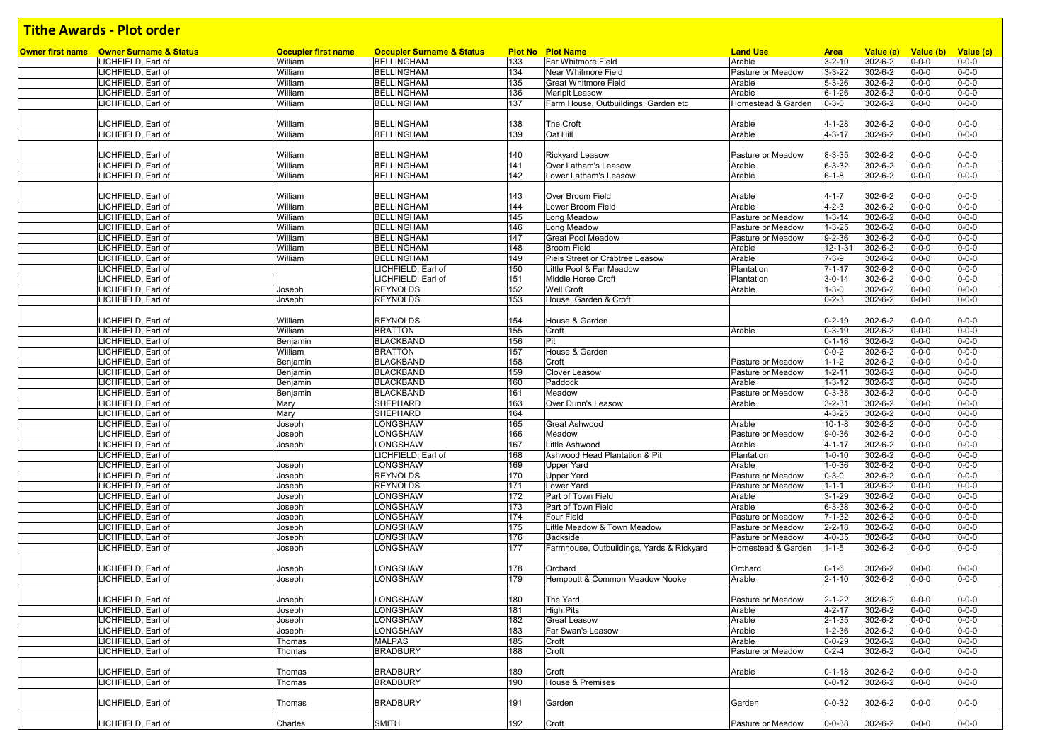| Owner first name Owner Surname & Status | <b>Occupier first name</b> | <b>Occupier Surname &amp; Status</b> |     | <b>Plot No Plot Name</b>                  | <b>Land Use</b>    | <b>Area</b>  | Value (a) | Value (b) Value (c) |             |
|-----------------------------------------|----------------------------|--------------------------------------|-----|-------------------------------------------|--------------------|--------------|-----------|---------------------|-------------|
| LICHFIELD, Earl of                      | William                    | BELLINGHAM                           | 133 | Far Whitmore Field                        | Arable             | $3 - 2 - 10$ | 302-6-2   | $0 - 0 - 0$         | $0 - 0 - 0$ |
| LICHFIELD, Earl of                      | William                    | <b>BELLINGHAM</b>                    | 134 | <b>Near Whitmore Field</b>                | Pasture or Meadow  | $3 - 3 - 22$ | 302-6-2   | $0 - 0 - 0$         | $0 - 0 - 0$ |
| LICHFIELD, Earl of                      | William                    | <b>BELLINGHAM</b>                    | 135 | <b>Great Whitmore Field</b>               | Arable             | $5 - 3 - 26$ | 302-6-2   | $0 - 0 - 0$         | $0 - 0 - 0$ |
| LICHFIELD, Earl of                      | William                    | <b>BELLINGHAM</b>                    | 136 | <b>Marlpit Leasow</b>                     | Arable             | $6 - 1 - 26$ | 302-6-2   | $0 - 0 - 0$         | $0 - 0 - 0$ |
| LICHFIELD, Earl of                      | William                    | <b>BELLINGHAM</b>                    | 137 | Farm House, Outbuildings, Garden etc      | Homestead & Garden | $0 - 3 - 0$  | 302-6-2   | $0 - 0 - 0$         | $0 - 0 - 0$ |
|                                         |                            |                                      |     |                                           |                    |              |           |                     |             |
| LICHFIELD, Earl of                      | William                    | <b>BELLINGHAM</b>                    | 138 | The Croft                                 | Arable             | 4-1-28       | 302-6-2   | $0 - 0 - 0$         | $0 - 0 - 0$ |
| LICHFIELD, Earl of                      | William                    | <b>BELLINGHAM</b>                    | 139 | Oat Hill                                  | Arable             | $4 - 3 - 17$ | 302-6-2   | $0 - 0 - 0$         | $0 - 0 - 0$ |
|                                         |                            |                                      |     |                                           |                    |              |           |                     |             |
| LICHFIELD, Earl of                      | William                    | <b>BELLINGHAM</b>                    | 140 | <b>Rickyard Leasow</b>                    | Pasture or Meadow  | $8 - 3 - 35$ | 302-6-2   | 0-0-0               | $0 - 0 - 0$ |
|                                         |                            | <b>BELLINGHAM</b>                    | 141 | Over Latham's Leasow                      |                    |              | 302-6-2   |                     | $0 - 0 - 0$ |
| LICHFIELD, Earl of                      | William                    |                                      |     |                                           | Arable             | $6 - 3 - 32$ |           | $0 - 0 - 0$         |             |
| LICHFIELD. Earl of                      | William                    | <b>BELLINGHAM</b>                    | 142 | Lower Latham's Leasow                     | Arable             | $6 - 1 - 8$  | 302-6-2   | $0 - 0 - 0$         | $0 - 0 - 0$ |
|                                         |                            |                                      |     |                                           |                    |              |           |                     |             |
| LICHFIELD, Earl of                      | William                    | <b>BELLINGHAM</b>                    | 143 | Over Broom Field                          | Arable             | $4 - 1 - 7$  | 302-6-2   | $0 - 0 - 0$         | $0 - 0 - 0$ |
| LICHFIELD. Earl of                      | William                    | <b>BELLINGHAM</b>                    | 144 | Lower Broom Field                         | Arable             | $4 - 2 - 3$  | 302-6-2   | $0 - 0 - 0$         | $0 - 0 - 0$ |
| LICHFIELD, Earl of                      | William                    | <b>BELLINGHAM</b>                    | 145 | Long Meadow                               | Pasture or Meadow  | $1 - 3 - 14$ | 302-6-2   | $0 - 0 - 0$         | $0 - 0 - 0$ |
| LICHFIELD, Earl of                      | William                    | <b>BELLINGHAM</b>                    | 146 | Long Meadow                               | Pasture or Meadow  | $1 - 3 - 25$ | 302-6-2   | $0 - 0 - 0$         | $0 - 0 - 0$ |
| LICHFIELD, Earl of                      | William                    | <b>BELLINGHAM</b>                    | 147 | <b>Great Pool Meadow</b>                  | Pasture or Meadow  | $9 - 2 - 36$ | 302-6-2   | $0 - 0 - 0$         | $0 - 0 - 0$ |
| LICHFIELD, Earl of                      | William                    | <b>BELLINGHAM</b>                    | 148 | <b>Broom Field</b>                        | Arable             | 12-1-31      | 302-6-2   | $0 - 0 - 0$         | $0 - 0 - 0$ |
| LICHFIELD, Earl of                      | William                    | <b>BELLINGHAM</b>                    | 149 | Piels Street or Crabtree Leasow           | Arable             | $7 - 3 - 9$  | 302-6-2   | $0 - 0 - 0$         | $0 - 0 - 0$ |
| LICHFIELD, Earl of                      |                            | LICHFIELD, Earl of                   | 150 | Little Pool & Far Meadow                  | Plantation         | $7 - 1 - 17$ | 302-6-2   | $0 - 0 - 0$         | $0 - 0 - 0$ |
| LICHFIELD, Earl of                      |                            | LICHFIELD, Earl of                   | 151 | Middle Horse Croft                        | Plantation         | $3 - 0 - 14$ | 302-6-2   | $0 - 0 - 0$         | $0 - 0 - 0$ |
| LICHFIELD, Earl of                      | Joseph                     | <b>REYNOLDS</b>                      | 152 | <b>Well Croft</b>                         | Arable             | $1 - 3 - 0$  | 302-6-2   | $0 - 0 - 0$         | $0 - 0 - 0$ |
| LICHFIELD, Earl of                      | Joseph                     | <b>REYNOLDS</b>                      | 153 | House, Garden & Croft                     |                    | $0 - 2 - 3$  | 302-6-2   | $0 - 0 - 0$         | $0 - 0 - 0$ |
|                                         |                            |                                      |     |                                           |                    |              |           |                     |             |
|                                         | William                    | <b>REYNOLDS</b>                      |     |                                           |                    |              |           |                     | $0 - 0 - 0$ |
| LICHFIELD, Earl of                      |                            |                                      | 154 | House & Garden                            |                    | $0 - 2 - 19$ | 302-6-2   | $0 - 0 - 0$         |             |
| LICHFIELD, Earl of                      | William                    | <b>BRATTON</b>                       | 155 | Croft                                     | Arable             | $0 - 3 - 19$ | 302-6-2   | $0 - 0 - 0$         | $0 - 0 - 0$ |
| LICHFIELD. Earl of                      | Benjamin                   | <b>BLACKBAND</b>                     | 156 | Pit                                       |                    | $0 - 1 - 16$ | 302-6-2   | $0 - 0 - 0$         | $0 - 0 - 0$ |
| LICHFIELD, Earl of                      | William                    | <b>BRATTON</b>                       | 157 | House & Garden                            |                    | $0 - 0 - 2$  | 302-6-2   | $0 - 0 - 0$         | $0 - 0 - 0$ |
| LICHFIELD, Earl of                      | Benjamin                   | <b>BLACKBAND</b>                     | 158 | Croft                                     | Pasture or Meadow  | $1 - 1 - 2$  | 302-6-2   | $0 - 0 - 0$         | $0 - 0 - 0$ |
| LICHFIELD, Earl of                      | Benjamin                   | <b>BLACKBAND</b>                     | 159 | Clover Leasow                             | Pasture or Meadow  | $1 - 2 - 11$ | 302-6-2   | 0-0-0               | $0 - 0 - 0$ |
| LICHFIELD, Earl of                      | Benjamin                   | <b>BLACKBAND</b>                     | 160 | Paddock                                   | Arable             | $1 - 3 - 12$ | 302-6-2   | $0 - 0 - 0$         | $0 - 0 - 0$ |
| LICHFIELD, Earl of                      | Benjamin                   | <b>BLACKBAND</b>                     | 161 | Meadow                                    | Pasture or Meadow  | $0 - 3 - 38$ | 302-6-2   | $0 - 0 - 0$         | $0 - 0 - 0$ |
| LICHFIELD, Earl of                      | Mary                       | <b>SHEPHARD</b>                      | 163 | Over Dunn's Leasow                        | Arable             | $3 - 2 - 31$ | 302-6-2   | $0 - 0 - 0$         | $0 - 0 - 0$ |
| LICHFIELD, Earl of                      | Mary                       | <b>SHEPHARD</b>                      | 164 |                                           |                    | 4-3-25       | 302-6-2   | $0 - 0 - 0$         | $0 - 0 - 0$ |
| LICHFIELD, Earl of                      | Joseph                     | LONGSHAW                             | 165 | <b>Great Ashwood</b>                      | Arable             | $10 - 1 - 8$ | 302-6-2   | $0 - 0 - 0$         | $0 - 0 - 0$ |
| LICHFIELD, Earl of                      | Joseph                     | LONGSHAW                             | 166 | Meadow                                    | Pasture or Meadow  | $9 - 0 - 36$ | 302-6-2   | $0 - 0 - 0$         | $0 - 0 - 0$ |
| LICHFIELD, Earl of                      | Joseph                     | LONGSHAW                             | 167 | Little Ashwood                            | Arable             | $4 - 1 - 17$ | 302-6-2   | $0 - 0 - 0$         | $0 - 0 - 0$ |
| LICHFIELD, Earl of                      |                            | LICHFIELD, Earl of                   | 168 | Ashwood Head Plantation & Pit             | Plantation         | $1 - 0 - 10$ | 302-6-2   | $0 - 0 - 0$         | $0 - 0 - 0$ |
| LICHFIELD, Earl of                      | Joseph                     | <b>LONGSHAW</b>                      | 169 | <b>Upper Yard</b>                         | Arable             | $1 - 0 - 36$ | 302-6-2   | $0 - 0 - 0$         | $0 - 0 - 0$ |
| LICHFIELD, Earl of                      |                            | <b>REYNOLDS</b>                      | 170 | <b>Upper Yard</b>                         | Pasture or Meadow  | $0 - 3 - 0$  | 302-6-2   | $0 - 0 - 0$         | $0 - 0 - 0$ |
|                                         | Joseph                     |                                      |     |                                           |                    |              |           |                     |             |
| LICHFIELD, Earl of                      | Joseph                     | <b>REYNOLDS</b>                      | 171 | Lower Yard                                | Pasture or Meadow  | $1 - 1 - 1$  | 302-6-2   | 0-0-0               | $0 - 0 - 0$ |
| LICHFIELD, Earl of                      | Joseph                     | LONGSHAW                             | 172 | Part of Town Field                        | Arable             | $3 - 1 - 29$ | 302-6-2   | $0 - 0 - 0$         | $0 - 0 - 0$ |
| LICHFIELD, Earl of                      | Joseph                     | LONGSHAW                             | 173 | Part of Town Field                        | Arable             | $6 - 3 - 38$ | 302-6-2   | 0-0-0               | $0 - 0 - 0$ |
| LICHFIELD, Earl of                      | Joseph                     | LONGSHAW                             | 174 | <b>Four Field</b>                         | Pasture or Meadow  | $7 - 1 - 32$ | 302-6-2   | $0 - 0 - 0$         | $0 - 0 - 0$ |
| LICHFIELD, Earl of                      | Joseph                     | LONGSHAW                             | 175 | Little Meadow & Town Meadow               | Pasture or Meadow  | $2 - 2 - 18$ | 302-6-2   | $0 - 0 - 0$         | $0 - 0 - 0$ |
| LICHFIELD, Earl of                      | Joseph                     | LONGSHAW                             | 176 | Backside                                  | Pasture or Meadow  | 4-0-35       | 302-6-2   | $0 - 0 - 0$         | $0 - 0 - 0$ |
| LICHFIELD, Earl of                      | Joseph                     | LONGSHAW                             | 177 | Farmhouse, Outbuildings, Yards & Rickyard | Homestead & Garden | $1 - 1 - 5$  | 302-6-2   | $0 - 0 - 0$         | $0 - 0 - 0$ |
|                                         |                            |                                      |     |                                           |                    |              |           |                     |             |
| LICHFIELD, Earl of                      | Joseph                     | LONGSHAW                             | 178 | Orchard                                   | Orchard            | $0 - 1 - 6$  | 302-6-2   | 0-0-0               | $0 - 0 - 0$ |
| LICHFIELD, Earl of                      | Joseph                     | LONGSHAW                             | 179 | Hempbutt & Common Meadow Nooke            | Arable             | $2 - 1 - 10$ | 302-6-2   | $0 - 0 - 0$         | $0 - 0 - 0$ |
|                                         |                            |                                      |     |                                           |                    |              |           |                     |             |
| LICHFIELD, Earl of                      | Joseph                     | LONGSHAW                             | 180 | The Yard                                  | Pasture or Meadow  | $2 - 1 - 22$ | 302-6-2   | $0 - 0 - 0$         | $0 - 0 - 0$ |
| LICHFIELD, Earl of                      | Joseph                     | LONGSHAW                             | 181 | <b>High Pits</b>                          | Arable             | $4 - 2 - 17$ | 302-6-2   | $0 - 0 - 0$         | $0 - 0 - 0$ |
| LICHFIELD, Earl of                      | Joseph                     | LONGSHAW                             | 182 | <b>Great Leasow</b>                       | Arable             | $2 - 1 - 35$ | 302-6-2   | $0 - 0 - 0$         | $0 - 0 - 0$ |
| LICHFIELD, Earl of                      | Joseph                     | LONGSHAW                             | 183 | Far Swan's Leasow                         | Arable             | $1 - 2 - 36$ | 302-6-2   | $0 - 0 - 0$         | $0 - 0 - 0$ |
| LICHFIELD, Earl of                      |                            | <b>MALPAS</b>                        |     |                                           | Arable             | $0 - 0 - 29$ |           |                     | $0 - 0 - 0$ |
|                                         | Thomas                     |                                      | 185 | Croft                                     |                    |              | 302-6-2   | $0 - 0 - 0$         |             |
| LICHFIELD, Earl of                      | Thomas                     | <b>BRADBURY</b>                      | 188 | Croft                                     | Pasture or Meadow  | $0 - 2 - 4$  | 302-6-2   | $0 - 0 - 0$         | $0 - 0 - 0$ |
|                                         |                            |                                      |     |                                           |                    |              |           |                     |             |
| LICHFIELD, Earl of                      | Thomas                     | <b>BRADBURY</b>                      | 189 | Croft                                     | Arable             | $0 - 1 - 18$ | 302-6-2   | $0 - 0 - 0$         | $0 - 0 - 0$ |
| LICHFIELD, Earl of                      | Thomas                     | <b>BRADBURY</b>                      | 190 | House & Premises                          |                    | $0 - 0 - 12$ | 302-6-2   | $0 - 0 - 0$         | $0 - 0 - 0$ |
|                                         |                            |                                      |     |                                           |                    |              |           |                     |             |
| LICHFIELD, Earl of                      | Thomas                     | <b>BRADBURY</b>                      | 191 | Garden                                    | Garden             | $0 - 0 - 32$ | 302-6-2   | $0 - 0 - 0$         | $0 - 0 - 0$ |
|                                         |                            |                                      |     |                                           |                    |              |           |                     |             |
| LICHFIELD, Earl of                      | Charles                    | <b>SMITH</b>                         | 192 | Croft                                     | Pasture or Meadow  | $0 - 0 - 38$ | 302-6-2   | $0 - 0 - 0$         | $0 - 0 - 0$ |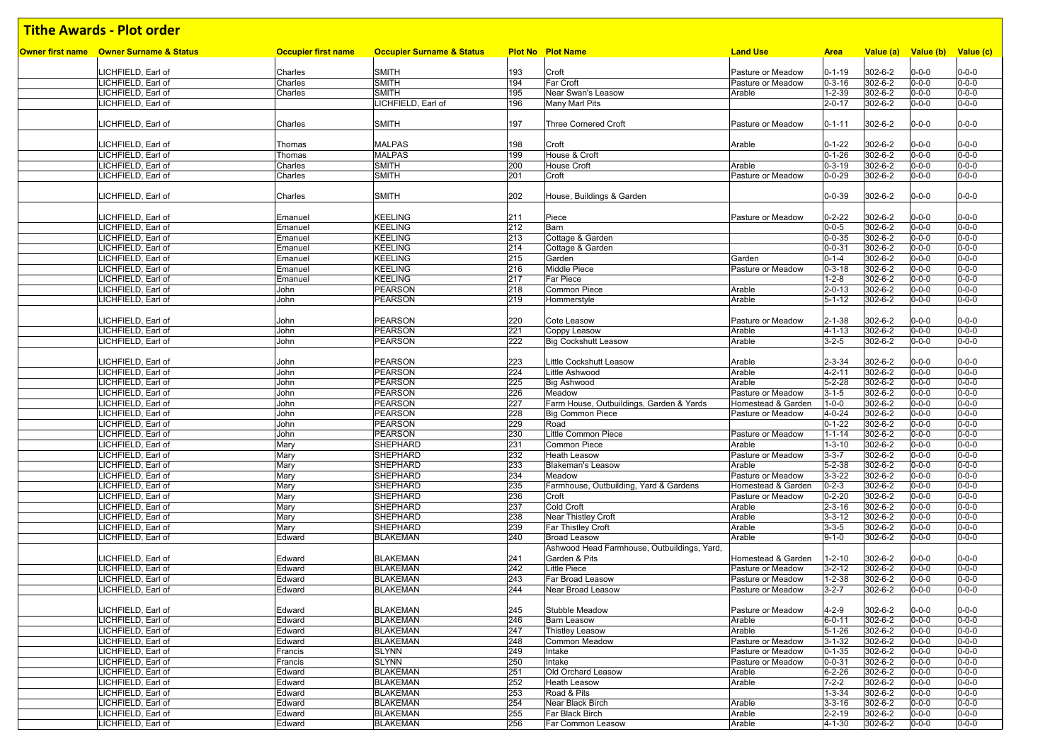| Owner first name Owner Surname & Status  | <b>Occupier first name</b> | <b>Occupier Surname &amp; Status</b> |            | <b>Plot No Plot Name</b>                    | <b>Land Use</b>    |                              |                    |                            |                            |
|------------------------------------------|----------------------------|--------------------------------------|------------|---------------------------------------------|--------------------|------------------------------|--------------------|----------------------------|----------------------------|
|                                          |                            |                                      |            |                                             |                    | <b>Area</b>                  | Value (a)          | Value (b) Value (c)        |                            |
| LICHFIELD, Earl of                       | Charles                    | <b>SMITH</b>                         | 193        | Croft                                       | Pasture or Meadow  | $0 - 1 - 19$                 | 302-6-2            | $0 - 0 - 0$                | $0 - 0 - 0$                |
| LICHFIELD. Earl of                       | Charles                    | <b>SMITH</b>                         | 194        | Far Croft                                   | Pasture or Meadow  | $0 - 3 - 16$                 | 302-6-2            | $0 - 0 - 0$                | $0 - 0 - 0$                |
| LICHFIELD, Earl of                       | Charles                    | <b>SMITH</b>                         | 195        | Near Swan's Leasow                          | Arable             | $1 - 2 - 39$                 | 302-6-2            | $0 - 0 - 0$                | $0 - 0 - 0$                |
| LICHFIELD, Earl of                       |                            | LICHFIELD, Earl of                   | 196        | Many Marl Pits                              |                    | $2 - 0 - 17$                 | 302-6-2            | $0 - 0 - 0$                | $0 - 0 - 0$                |
|                                          |                            |                                      |            |                                             |                    |                              |                    |                            |                            |
| LICHFIELD, Earl of                       | Charles                    | <b>SMITH</b>                         | 197        | <b>Three Cornered Croft</b>                 | Pasture or Meadow  | $0 - 1 - 11$                 | 302-6-2            | $0 - 0 - 0$                | $0 - 0 - 0$                |
|                                          |                            |                                      |            |                                             |                    |                              |                    |                            |                            |
| LICHFIELD, Earl of                       | Thomas                     | <b>MALPAS</b>                        | 198        | Croft                                       | Arable             | $0 - 1 - 22$                 | 302-6-2            | $0 - 0 - 0$                | $0 - 0 - 0$                |
| LICHFIELD, Earl of                       | Thomas                     | <b>MALPAS</b>                        | 199        | House & Croft                               |                    | $0 - 1 - 26$                 | 302-6-2            | $0 - 0 - 0$                | $0 - 0 - 0$                |
| LICHFIELD, Earl of                       | Charles                    | <b>SMITH</b>                         | 200        | <b>House Croft</b>                          | Arable             | $0 - 3 - 19$                 | 302-6-2            | $0 - 0 - 0$                | $0 - 0 - 0$                |
| LICHFIELD, Earl of                       | Charles                    | <b>SMITH</b>                         | 201        | Croft                                       | Pasture or Meadow  | $0 - 0 - 29$                 | $302 - 6 - 2$      | $0 - 0 - 0$                | $0 - 0 - 0$                |
|                                          |                            |                                      |            |                                             |                    |                              |                    |                            |                            |
| LICHFIELD, Earl of                       | Charles                    | <b>SMITH</b>                         | 202        | House, Buildings & Garden                   |                    | $0 - 0 - 39$                 | 302-6-2            | $0 - 0 - 0$                | $0 - 0 - 0$                |
|                                          |                            |                                      |            |                                             |                    |                              |                    |                            |                            |
| LICHFIELD, Earl of                       | Emanuel                    | <b>KEELING</b>                       | 211        | Piece                                       | Pasture or Meadow  | $0 - 2 - 22$                 | 302-6-2            | $0 - 0 - 0$                | $0 - 0 - 0$                |
| LICHFIELD, Earl of                       | Emanuel                    | <b>KEELING</b>                       | 212        | Barn                                        |                    | $0 - 0 - 5$                  | 302-6-2            | $0 - 0 - 0$                | $0 - 0 - 0$                |
| LICHFIELD, Earl of                       | Emanuel                    | <b>KEELING</b>                       | 213        | Cottage & Garden                            |                    | $0 - 0 - 35$                 | $302 - 6 - 2$      | $0 - 0 - 0$                | $0 - 0 - 0$                |
| LICHFIELD, Earl of                       | Emanuel                    | <b>KEELING</b>                       | 214        | Cottage & Garden                            |                    | $0 - 0 - 31$                 | 302-6-2            | $0 - 0 - 0$                | $0 - 0 - 0$                |
| LICHFIELD, Earl of                       | Emanuel                    | <b>KEELING</b>                       | 215        | Garden                                      | Garden             | $0 - 1 - 4$                  | 302-6-2            | $0 - 0 - 0$                | $0 - 0 - 0$                |
| LICHFIELD, Earl of                       | Emanuel                    | <b>KEELING</b>                       | 216        | <b>Middle Piece</b>                         | Pasture or Meadow  | $0 - 3 - 18$                 | 302-6-2            | $0 - 0 - 0$                | $0 - 0 - 0$                |
| LICHFIELD, Earl of                       | Emanuel                    | <b>KEELING</b>                       | 217        | Far Piece                                   |                    | $1 - 2 - 8$                  | 302-6-2            | $0 - 0 - 0$                | $0 - 0 - 0$                |
| LICHFIELD, Earl of                       | John                       | <b>PEARSON</b>                       | 218        | Common Piece                                | Arable             | $2 - 0 - 13$                 | 302-6-2            | $0 - 0 - 0$                | $0 - 0 - 0$                |
| LICHFIELD, Earl of                       | John                       | <b>PEARSON</b>                       | 219        | Hommerstyle                                 | Arable             | $5 - 1 - 12$                 | 302-6-2            | $0 - 0 - 0$                | $0 - 0 - 0$                |
|                                          |                            |                                      |            |                                             |                    |                              |                    |                            |                            |
| LICHFIELD, Earl of                       | John                       | <b>PEARSON</b>                       | 220        | Cote Leasow                                 | Pasture or Meadow  | $2 - 1 - 38$                 | 302-6-2            | $0 - 0 - 0$                | $0 - 0 - 0$                |
| LICHFIELD, Earl of                       | John                       | <b>PEARSON</b>                       | 221        | Coppy Leasow                                | Arable             | $4 - 1 - 13$                 | 302-6-2            | $0 - 0 - 0$                | $0 - 0 - 0$                |
| LICHFIELD, Earl of                       | John                       | <b>PEARSON</b>                       | 222        | <b>Big Cockshutt Leasow</b>                 | Arable             | $3 - 2 - 5$                  | 302-6-2            | $0 - 0 - 0$                | $0 - 0 - 0$                |
|                                          |                            |                                      |            |                                             |                    |                              |                    |                            |                            |
| LICHFIELD, Earl of                       | John                       | <b>PEARSON</b>                       | 223        | Little Cockshutt Leasow                     | Arable             | $2 - 3 - 34$                 | 302-6-2            | $0 - 0 - 0$                | $0 - 0 - 0$                |
| LICHFIELD, Earl of                       | John                       | <b>PEARSON</b>                       | 224        | Little Ashwood                              | Arable             | $4 - 2 - 11$                 | 302-6-2            | $0 - 0 - 0$                | $0 - 0 - 0$                |
| LICHFIELD, Earl of                       | John                       | <b>PEARSON</b>                       | 225        | <b>Big Ashwood</b>                          | Arable             | $5 - 2 - 28$                 | 302-6-2            | $0 - 0 - 0$                | $0 - 0 - 0$                |
| LICHFIELD, Earl of                       | John                       | <b>PEARSON</b>                       | 226        | Meadow                                      | Pasture or Meadow  | $3 - 1 - 5$                  | 302-6-2            | $0 - 0 - 0$                | $0 - 0 - 0$                |
| LICHFIELD, Earl of                       | John                       | <b>PEARSON</b>                       | 227        | Farm House, Outbuildings, Garden & Yards    | Homestead & Garden | $1 - 0 - 0$                  | 302-6-2            | $0 - 0 - 0$                | $0 - 0 - 0$                |
| LICHFIELD, Earl of                       | John                       | <b>PEARSON</b>                       | 228        | <b>Big Common Piece</b>                     | Pasture or Meadow  | $4 - 0 - 24$                 | 302-6-2            | $0 - 0 - 0$                | $0 - 0 - 0$                |
| LICHFIELD, Earl of                       | John                       | <b>PEARSON</b>                       | 229        | Road                                        |                    | $0 - 1 - 22$                 | 302-6-2            | $0 - 0 - 0$                | $0 - 0 - 0$                |
| LICHFIELD, Earl of                       | John                       | <b>PEARSON</b>                       | 230        | Little Common Piece                         | Pasture or Meadow  | $1 - 1 - 14$                 | 302-6-2            | $0 - 0 - 0$                | $0 - 0 - 0$                |
| LICHFIELD, Earl of                       | Mary                       | <b>SHEPHARD</b>                      | 231        | <b>Common Piece</b>                         | Arable             | $1 - 3 - 10$                 | 302-6-2            | $0 - 0 - 0$                | $0 - 0 - 0$                |
| LICHFIELD, Earl of                       | Mary                       | SHEPHARD                             | 232        | <b>Heath Leasow</b>                         | Pasture or Meadow  | $3 - 3 - 7$                  | 302-6-2            | $0 - 0 - 0$                | $0 - 0 - 0$                |
| LICHFIELD, Earl of                       | Mary                       | <b>SHEPHARD</b>                      | 233        | <b>Blakeman's Leasow</b>                    | Arable             | $5 - 2 - 38$                 | 302-6-2            | $0 - 0 - 0$                | $0 - 0 - 0$                |
| LICHFIELD, Earl of                       | Mary                       | SHEPHARD                             | 234        | Meadow                                      | Pasture or Meadow  | $3 - 3 - 22$                 | $302 - 6 - 2$      | $0 - 0 - 0$                | $0 - 0 - 0$                |
| LICHFIELD, Earl of                       | Mary                       | <b>SHEPHARD</b>                      | 235        | Farmhouse, Outbuilding, Yard & Gardens      | Homestead & Garden | $0 - 2 - 3$                  | 302-6-2            | $0 - 0 - 0$                | $0 - 0 - 0$                |
| LICHFIELD, Earl of                       | Mary                       | SHEPHARD                             | 236        | Croft                                       | Pasture or Meadow  | $0 - 2 - 20$                 | 302-6-2            | $0 - 0 - 0$                | $0 - 0 - 0$                |
| LICHFIELD, Earl of                       | Mary                       | SHEPHARD                             | 237        | Cold Croft                                  | Arable             | $2 - 3 - 16$                 | 302-6-2            | $0 - 0 - 0$                | $0 - 0 - 0$                |
| LICHFIELD, Earl of                       | Mary                       | <b>SHEPHARD</b>                      | 238        | Near Thistley Croft                         | Arable             | $3 - 3 - 12$                 | 302-6-2            | $0 - 0 - 0$                | $0 - 0 - 0$                |
| LICHFIELD, Earl of                       | Mary                       | SHEPHARD                             | 239        | Far Thistley Croft                          | Arable             | $3 - 3 - 5$                  | 302-6-2            | $0 - 0 - 0$                | $0 - 0 - 0$                |
| LICHFIELD, Earl of                       | Edward                     | <b>BLAKEMAN</b>                      | 240        | <b>Broad Leasow</b>                         | Arable             | $9 - 1 - 0$                  | 302-6-2            | $0 - 0 - 0$                | $0 - 0 - 0$                |
|                                          |                            |                                      |            | Ashwood Head Farmhouse, Outbuildings, Yard, |                    |                              |                    |                            |                            |
| LICHFIELD, Earl of                       | Edward                     | <b>BLAKEMAN</b>                      | 241        | Garden & Pits                               | Homestead & Garden | $1 - 2 - 10$                 | 302-6-2            | $0 - 0 - 0$                | $0 - 0 - 0$                |
| LICHFIELD, Earl of                       | Edward                     | <b>BLAKEMAN</b>                      | 242        | Little Piece                                | Pasture or Meadow  | $3 - 2 - 12$                 | 302-6-2            | $0 - 0 - 0$                | $0 - 0 - 0$                |
| LICHFIELD, Earl of                       | Edward                     | <b>BLAKEMAN</b>                      | 243        | Far Broad Leasow                            | Pasture or Meadow  | $1 - 2 - 38$                 | 302-6-2            | $0 - 0 - 0$                | $0 - 0 - 0$                |
| LICHFIELD. Earl of                       | Edward                     | <b>BLAKEMAN</b>                      | 244        | Near Broad Leasow                           | Pasture or Meadow  | $3 - 2 - 7$                  | 302-6-2            | $0 - 0 - 0$                | $0 - 0 - 0$                |
|                                          |                            |                                      |            |                                             |                    |                              |                    |                            |                            |
| LICHFIELD, Earl of                       | Edward                     | <b>BLAKEMAN</b>                      | 245        | Stubble Meadow                              | Pasture or Meadow  | $4 - 2 - 9$                  | 302-6-2            | $0 - 0 - 0$                | $0 - 0 - 0$                |
| LICHFIELD, Earl of<br>LICHFIELD, Earl of | Edward                     | <b>BLAKEMAN</b><br><b>BLAKEMAN</b>   | 246<br>247 | <b>Barn Leasow</b>                          | Arable<br>Arable   | $6 - 0 - 11$                 | 302-6-2<br>302-6-2 | $0 - 0 - 0$<br>$0 - 0 - 0$ | $0 - 0 - 0$<br>$0 - 0 - 0$ |
| LICHFIELD, Earl of                       | Edward<br>Edward           | <b>BLAKEMAN</b>                      |            | <b>Thistley Leasow</b><br>Common Meadow     | Pasture or Meadow  | $5 - 1 - 26$                 |                    | $0 - 0 - 0$                | $0 - 0 - 0$                |
| LICHFIELD, Earl of                       |                            | <b>SLYNN</b>                         | 248<br>249 | Intake                                      | Pasture or Meadow  | $3 - 1 - 32$<br>$0 - 1 - 35$ | 302-6-2<br>302-6-2 | $0 - 0 - 0$                | $0 - 0 - 0$                |
| LICHFIELD, Earl of                       | Francis<br>Francis         | <b>SLYNN</b>                         | 250        | Intake                                      | Pasture or Meadow  | $0 - 0 - 31$                 | 302-6-2            | $0 - 0 - 0$                | $0 - 0 - 0$                |
| LICHFIELD, Earl of                       | Edward                     | <b>BLAKEMAN</b>                      | 251        | Old Orchard Leasow                          | Arable             | $6 - 2 - 26$                 | 302-6-2            | $0 - 0 - 0$                | $0 - 0 - 0$                |
| LICHFIELD, Earl of                       | Edward                     | <b>BLAKEMAN</b>                      | 252        | <b>Heath Leasow</b>                         | Arable             | $7 - 2 - 2$                  | 302-6-2            | $0 - 0 - 0$                | $0 - 0 - 0$                |
| LICHFIELD, Earl of                       | Edward                     | <b>BLAKEMAN</b>                      | 253        | Road & Pits                                 |                    | $1 - 3 - 34$                 | 302-6-2            | $0 - 0 - 0$                | $0 - 0 - 0$                |
| LICHFIELD, Earl of                       | Edward                     | BLAKEMAN                             | 254        | Near Black Birch                            | Arable             | $3 - 3 - 16$                 | 302-6-2            | $0 - 0 - 0$                | $0 - 0 - 0$                |
| LICHFIELD, Earl of                       | Edward                     | <b>BLAKEMAN</b>                      | 255        | Far Black Birch                             | Arable             | $2 - 2 - 19$                 | 302-6-2            | $0 - 0 - 0$                | $0 - 0 - 0$                |
| LICHFIELD, Earl of                       | Edward                     | <b>BLAKEMAN</b>                      | 256        | Far Common Leasow                           | Arable             | $4 - 1 - 30$                 | 302-6-2            | $0 - 0 - 0$                | $0 - 0 - 0$                |
|                                          |                            |                                      |            |                                             |                    |                              |                    |                            |                            |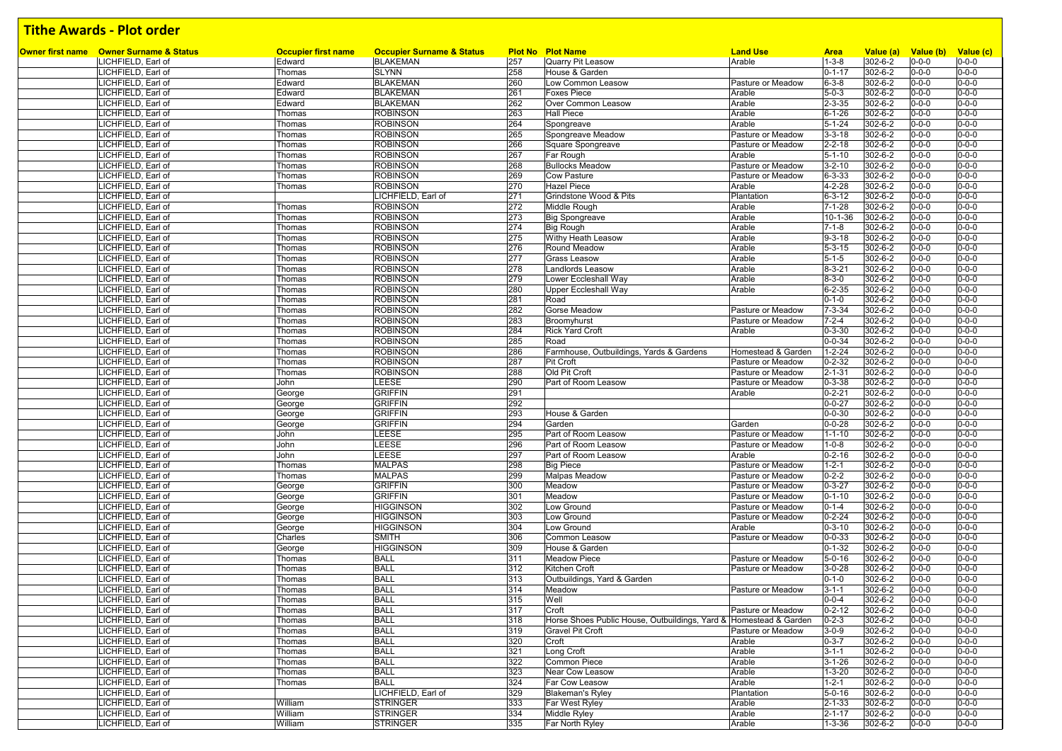| Owner first name Owner Surname & Status  | <b>Occupier first name</b> | <b>Occupier Surname &amp; Status</b> |            | <b>Plot No Plot Name</b>                                          | <b>Land Use</b>                        | <b>Area</b>                  | Value (a)          | Value (b) Value (c)        |                            |
|------------------------------------------|----------------------------|--------------------------------------|------------|-------------------------------------------------------------------|----------------------------------------|------------------------------|--------------------|----------------------------|----------------------------|
| LICHFIELD, Earl of                       | Edward                     | <b>BLAKEMAN</b>                      | 257<br>258 | Quarry Pit Leasow                                                 | Arable                                 | $1 - 3 - 8$<br>$0 - 1 - 17$  | 302-6-2            | $0 - 0 - 0$<br>$0 - 0 - 0$ | $0 - 0 - 0$<br>$0 - 0 - 0$ |
| LICHFIELD, Earl of<br>LICHFIELD, Earl of | Thomas<br>Edward           | <b>SLYNN</b><br><b>BLAKEMAN</b>      | 260        | House & Garden<br>Low Common Leasow                               | Pasture or Meadow                      | $6 - 3 - 8$                  | 302-6-2<br>302-6-2 | $0 - 0 - 0$                | $0 - 0 - 0$                |
| LICHFIELD, Earl of                       | Edward                     | <b>BLAKEMAN</b>                      | 261        | <b>Foxes Piece</b>                                                | Arable                                 | $5 - 0 - 3$                  | 302-6-2            | $0 - 0 - 0$                | $0 - 0 - 0$                |
| LICHFIELD, Earl of                       | Edward                     | <b>BLAKEMAN</b>                      | 262        | Over Common Leasow                                                | Arable                                 | $2 - 3 - 35$                 | 302-6-2            | $0 - 0 - 0$                | $0 - 0 - 0$                |
| ICHFIELD, Earl of                        | Thomas                     | <b>ROBINSON</b>                      | 263        | <b>Hall Piece</b>                                                 | Arable                                 | $6 - 1 - 26$                 | 302-6-2            | $0 - 0 - 0$                | $0 - 0 - 0$                |
| LICHFIELD, Earl of                       | Thomas                     | <b>ROBINSON</b>                      | 264        | Spongreave                                                        | Arable                                 | $5 - 1 - 24$                 | 302-6-2            | $0 - 0 - 0$                | $0 - 0 - 0$                |
| LICHFIELD, Earl of                       | Thomas                     | <b>ROBINSON</b>                      | 265        | Spongreave Meadow                                                 | Pasture or Meadow                      | $3 - 3 - 18$                 | 302-6-2            | $0 - 0 - 0$                | $0 - 0 - 0$                |
| LICHFIELD, Earl of                       | Thomas                     | <b>ROBINSON</b>                      | 266        | Square Spongreave                                                 | Pasture or Meadow                      | $2 - 2 - 18$                 | 302-6-2            | $0 - 0 - 0$                | $0 - 0 - 0$                |
| LICHFIELD, Earl of                       | Thomas                     | <b>ROBINSON</b>                      | 267        | Far Rough                                                         | Arable                                 | $5 - 1 - 10$                 | 302-6-2            | $0 - 0 - 0$                | $0 - 0 - 0$                |
| LICHFIELD, Earl of                       | Thomas                     | <b>ROBINSON</b>                      | 268        | <b>Bullocks Meadow</b>                                            | Pasture or Meadow                      | $3 - 2 - 10$                 | 302-6-2            | $0 - 0 - 0$                | $0 - 0 - 0$                |
| LICHFIELD, Earl of                       | Thomas                     | <b>ROBINSON</b>                      | 269        | <b>Cow Pasture</b>                                                | Pasture or Meadow                      | $6 - 3 - 33$                 | 302-6-2            | $0 - 0 - 0$                | $0 - 0 - 0$                |
| LICHFIELD, Earl of                       | Thomas                     | <b>ROBINSON</b>                      | 270        | <b>Hazel Piece</b>                                                | Arable                                 | $4 - 2 - 28$                 | 302-6-2            | $0 - 0 - 0$                | $0 - 0 - 0$                |
| LICHFIELD, Earl of                       |                            | LICHFIELD, Earl of                   | 271        | Grindstone Wood & Pits                                            | Plantation                             | $6 - 3 - 12$                 | 302-6-2            | $0 - 0 - 0$                | $0 - 0 - 0$                |
| LICHFIELD, Earl of                       | Thomas                     | <b>ROBINSON</b>                      | 272        | Middle Rough                                                      | Arable                                 | $7 - 1 - 28$                 | 302-6-2            | $0 - 0 - 0$                | $0 - 0 - 0$                |
| LICHFIELD, Earl of                       | Thomas                     | <b>ROBINSON</b>                      | 273        | <b>Big Spongreave</b>                                             | Arable                                 | 10-1-36                      | 302-6-2            | $0 - 0 - 0$                | $0 - 0 - 0$                |
| LICHFIELD, Earl of                       | Thomas                     | <b>ROBINSON</b>                      | 274        | Big Rough                                                         | Arable                                 | $7 - 1 - 8$                  | 302-6-2            | $0 - 0 - 0$                | $0 - 0 - 0$                |
| LICHFIELD, Earl of                       | Thomas                     | <b>ROBINSON</b>                      | 275        | Withy Heath Leasow                                                | Arable                                 | $9 - 3 - 18$                 | 302-6-2            | $0 - 0 - 0$                | $0 - 0 - 0$                |
| LICHFIELD, Earl of                       | Thomas                     | <b>ROBINSON</b>                      | 276        | Round Meadow                                                      | Arable                                 | $5 - 3 - 15$                 | 302-6-2            | $0 - 0 - 0$                | $0 - 0 - 0$                |
| LICHFIELD, Earl of                       | Thomas                     | <b>ROBINSON</b>                      | 277        | <b>Grass Leasow</b>                                               | Arable                                 | $5 - 1 - 5$                  | 302-6-2            | $0 - 0 - 0$                | $0 - 0 - 0$                |
| .ICHFIELD, Earl of                       | Thomas                     | <b>ROBINSON</b>                      | 278        | Landlords Leasow                                                  | Arable                                 | $8 - 3 - 21$                 | 302-6-2            | $0 - 0 - 0$                | $0 - 0 - 0$                |
| LICHFIELD, Earl of                       | Thomas                     | <b>ROBINSON</b>                      | 279        | Lower Eccleshall Way                                              | Arable                                 | $8 - 3 - 0$                  | 302-6-2            | $0 - 0 - 0$                | $0 - 0 - 0$                |
| ICHFIELD, Earl of                        | Thomas                     | <b>ROBINSON</b>                      | 280        | <b>Upper Eccleshall Way</b>                                       | Arable                                 | $6 - 2 - 35$                 | 302-6-2            | $0 - 0 - 0$                | $0 - 0 - 0$                |
| LICHFIELD, Earl of                       | Thomas                     | <b>ROBINSON</b>                      | 281<br>282 | Road                                                              |                                        | $0 - 1 - 0$<br>$7 - 3 - 34$  | 302-6-2<br>302-6-2 | $0 - 0 - 0$<br>$0 - 0 - 0$ | $0 - 0 - 0$<br>$0 - 0 - 0$ |
| LICHFIELD, Earl of<br>LICHFIELD, Earl of | Thomas<br>Thomas           | <b>ROBINSON</b><br><b>ROBINSON</b>   | 283        | Gorse Meadow<br>Broomyhurst                                       | Pasture or Meadow<br>Pasture or Meadow | $7 - 2 - 4$                  | 302-6-2            | $0 - 0 - 0$                | $0 - 0 - 0$                |
| LICHFIELD, Earl of                       | Thomas                     | <b>ROBINSON</b>                      | 284        | <b>Rick Yard Croft</b>                                            | Arable                                 | $0 - 3 - 30$                 | 302-6-2            | $0 - 0 - 0$                | $0 - 0 - 0$                |
| LICHFIELD, Earl of                       | Thomas                     | <b>ROBINSON</b>                      | 285        | Road                                                              |                                        | $0 - 0 - 34$                 | 302-6-2            | $0 - 0 - 0$                | $0 - 0 - 0$                |
| LICHFIELD, Earl of                       | Thomas                     | <b>ROBINSON</b>                      | 286        | Farmhouse, Outbuildings, Yards & Gardens                          | Homestead & Garden                     | $1 - 2 - 24$                 | 302-6-2            | $0 - 0 - 0$                | $0 - 0 - 0$                |
| LICHFIELD, Earl of                       | Thomas                     | <b>ROBINSON</b>                      | 287        | Pit Croft                                                         | Pasture or Meadow                      | $0 - 2 - 32$                 | 302-6-2            | $0 - 0 - 0$                | $0 - 0 - 0$                |
| LICHFIELD, Earl of                       | Thomas                     | <b>ROBINSON</b>                      | 288        | Old Pit Croft                                                     | Pasture or Meadow                      | $2 - 1 - 31$                 | 302-6-2            | $0 - 0 - 0$                | $0 - 0 - 0$                |
| LICHFIELD, Earl of                       | John                       | LEESE                                | 290        | Part of Room Leasow                                               | Pasture or Meadow                      | $0 - 3 - 38$                 | 302-6-2            | $0 - 0 - 0$                | $0 - 0 - 0$                |
| LICHFIELD, Earl of                       | George                     | <b>GRIFFIN</b>                       | 291        |                                                                   | Arable                                 | $0 - 2 - 21$                 | 302-6-2            | $0 - 0 - 0$                | $0 - 0 - 0$                |
| LICHFIELD, Earl of                       | George                     | <b>GRIFFIN</b>                       | 292        |                                                                   |                                        | $0 - 0 - 27$                 | 302-6-2            | $0 - 0 - 0$                | $0 - 0 - 0$                |
| LICHFIELD, Earl of                       | George                     | <b>GRIFFIN</b>                       | 293        | House & Garden                                                    |                                        | $0 - 0 - 30$                 | 302-6-2            | $0 - 0 - 0$                | $0 - 0 - 0$                |
| LICHFIELD, Earl of                       | George                     | <b>GRIFFIN</b>                       | 294        | Garden                                                            | Garden                                 | $0 - 0 - 28$                 | 302-6-2            | $0 - 0 - 0$                | $0 - 0 - 0$                |
| LICHFIELD, Earl of                       | John                       | LEESE                                | 295        | Part of Room Leasow                                               | Pasture or Meadow                      | $1 - 1 - 10$                 | 302-6-2            | $0 - 0 - 0$                | $0 - 0 - 0$                |
| LICHFIELD, Earl of                       | John                       | LEESE                                | 296        | Part of Room Leasow                                               | Pasture or Meadow                      | $1 - 0 - 8$                  | 302-6-2            | $0 - 0 - 0$                | $0 - 0 - 0$                |
| LICHFIELD, Earl of                       | John                       | LEESE                                | 297        | Part of Room Leasow                                               | Arable                                 | $0 - 2 - 16$                 | 302-6-2            | $0 - 0 - 0$                | $0 - 0 - 0$                |
| LICHFIELD, Earl of                       | Thomas                     | <b>MALPAS</b>                        | 298        | <b>Big Piece</b>                                                  | Pasture or Meadow                      | $1 - 2 - 1$                  | 302-6-2            | $0 - 0 - 0$                | $0 - 0 - 0$                |
| LICHFIELD, Earl of                       | Thomas                     | <b>MALPAS</b>                        | 299        | <b>Malpas Meadow</b>                                              | Pasture or Meadow                      | $0 - 2 - 2$                  | 302-6-2            | $0 - 0 - 0$                | $0 - 0 - 0$                |
| ICHFIELD, Earl of                        | George                     | <b>GRIFFIN</b>                       | 300        | Meadow                                                            | Pasture or Meadow                      | $0 - 3 - 27$                 | 302-6-2            | $0 - 0 - 0$                | $0 - 0 - 0$                |
| LICHFIELD, Earl of                       | George                     | <b>GRIFFIN</b>                       | 301        | Meadow                                                            | Pasture or Meadow                      | $0 - 1 - 10$                 | 302-6-2            | $0 - 0 - 0$                | $0 - 0 - 0$                |
| LICHFIELD, Earl of                       | George                     | <b>HIGGINSON</b>                     | 302        | Low Ground                                                        | Pasture or Meadow                      | $0 - 1 - 4$                  | 302-6-2            | $0 - 0 - 0$                | $0 - 0 - 0$                |
| LICHFIELD, Earl of                       | George                     | <b>HIGGINSON</b>                     | 303        | Low Ground                                                        | Pasture or Meadow                      | $0 - 2 - 24$                 | 302-6-2            | $0 - 0 - 0$                | $0 - 0 - 0$                |
| LICHFIELD, Earl of                       | George                     | <b>HIGGINSON</b>                     | 304        | Low Ground                                                        | Arable                                 | $0 - 3 - 10$                 | 302-6-2            | $0 - 0 - 0$                | $0 - 0 - 0$                |
| LICHFIELD, Earl of                       | Charles                    | SMITH                                | 306        | Common Leasow<br>House & Garden                                   | Pasture or Meadow                      | $0 - 0 - 33$                 | 302-6-2            | $0 - 0 - 0$                | $0 - 0 - 0$                |
| LICHFIELD, Earl of<br>LICHFIELD, Earl of | George                     | <b>HIGGINSON</b><br><b>BALL</b>      | 309<br>311 | <b>Meadow Piece</b>                                               |                                        | $0 - 1 - 32$<br>$5 - 0 - 16$ | 302-6-2<br>302-6-2 | $0 - 0 - 0$<br>0-0-0       | $0 - 0 - 0$<br>$0 - 0 - 0$ |
| ICHFIELD, Earl of                        | Thomas<br>Thomas           | <b>BALL</b>                          | 312        | Kitchen Croft                                                     | Pasture or Meadow<br>Pasture or Meadow | $3 - 0 - 28$                 | 302-6-2            | $0 - 0 - 0$                | $0 - 0 - 0$                |
| .ICHFIELD, Earl of                       | Thomas                     | <b>BALL</b>                          | 313        | Outbuildings, Yard & Garden                                       |                                        | $0 - 1 - 0$                  | 302-6-2            | $0 - 0 - 0$                | $0 - 0 - 0$                |
| LICHFIELD, Earl of                       | Thomas                     | <b>BALL</b>                          | 314        | Meadow                                                            | Pasture or Meadow                      | $3 - 1 - 1$                  | 302-6-2            | $0 - 0 - 0$                | $0 - 0 - 0$                |
| LICHFIELD, Earl of                       | Thomas                     | <b>BALL</b>                          | 315        | Well                                                              |                                        | $0 - 0 - 4$                  | 302-6-2            | $0 - 0 - 0$                | $0 - 0 - 0$                |
| LICHFIELD, Earl of                       | Thomas                     | <b>BALL</b>                          | 317        | Croft                                                             | Pasture or Meadow                      | $0 - 2 - 12$                 | 302-6-2            | $0 - 0 - 0$                | $0 - 0 - 0$                |
| LICHFIELD, Earl of                       | Thomas                     | <b>BALL</b>                          | 318        | Horse Shoes Public House, Outbuildings, Yard & Homestead & Garden |                                        | $0 - 2 - 3$                  | 302-6-2            | $0 - 0 - 0$                | $0 - 0 - 0$                |
| LICHFIELD, Earl of                       | Thomas                     | <b>BALL</b>                          | 319        | <b>Gravel Pit Croft</b>                                           | Pasture or Meadow                      | $3 - 0 - 9$                  | 302-6-2            | $0 - 0 - 0$                | $0 - 0 - 0$                |
| LICHFIELD, Earl of                       | Thomas                     | <b>BALL</b>                          | 320        | Croft                                                             | Arable                                 | $0 - 3 - 7$                  | 302-6-2            | $0 - 0 - 0$                | $0 - 0 - 0$                |
| LICHFIELD, Earl of                       | Thomas                     | <b>BALL</b>                          | 321        | Long Croft                                                        | Arable                                 | $3 - 1 - 1$                  | 302-6-2            | $0 - 0 - 0$                | $0 - 0 - 0$                |
| LICHFIELD, Earl of                       | Thomas                     | <b>BALL</b>                          | 322        | Common Piece                                                      | Arable                                 | $3 - 1 - 26$                 | 302-6-2            | $0 - 0 - 0$                | $0 - 0 - 0$                |
| LICHFIELD, Earl of                       | Thomas                     | <b>BALL</b>                          | 323        | Near Cow Leasow                                                   | Arable                                 | $1 - 3 - 20$                 | 302-6-2            | $0 - 0 - 0$                | $0 - 0 - 0$                |
| LICHFIELD, Earl of                       | Thomas                     | <b>BALL</b>                          | 324        | Far Cow Leasow                                                    | Arable                                 | $1 - 2 - 1$                  | 302-6-2            | $0 - 0 - 0$                | $0 - 0 - 0$                |
| LICHFIELD, Earl of                       |                            | LICHFIELD, Earl of                   | 329        | <b>Blakeman's Ryley</b>                                           | Plantation                             | $5 - 0 - 16$                 | 302-6-2            | $0 - 0 - 0$                | $0 - 0 - 0$                |
| LICHFIELD, Earl of                       | William                    | <b>STRINGER</b>                      | 333        | Far West Ryley                                                    | Arable                                 | $2 - 1 - 33$                 | 302-6-2            | $0 - 0 - 0$                | $0 - 0 - 0$                |
| LICHFIELD, Earl of                       | William                    | <b>STRINGER</b>                      | 334        | Middle Ryley                                                      | Arable                                 | $2 - 1 - 17$                 | 302-6-2            | $0 - 0 - 0$                | $0 - 0 - 0$                |
| LICHFIELD, Earl of                       | William                    | <b>STRINGER</b>                      | 335        | Far North Ryley                                                   | Arable                                 | $1 - 3 - 36$                 | 302-6-2            | $0 - 0 - 0$                | $0 - 0 - 0$                |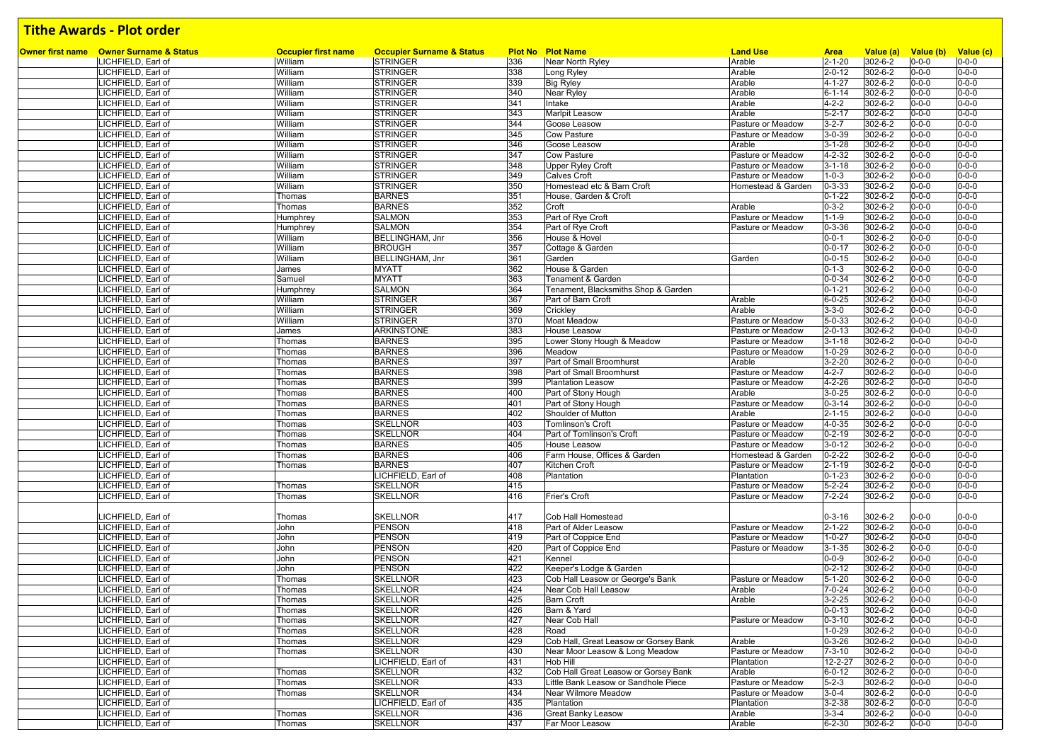| Owner first name Owner Surname & Status  |                                       | <b>Occupier Surname &amp; Status</b> |            | <b>Plot No Plot Name</b>                                                     | <b>Land Use</b>    |                              |                      |                          |                            |
|------------------------------------------|---------------------------------------|--------------------------------------|------------|------------------------------------------------------------------------------|--------------------|------------------------------|----------------------|--------------------------|----------------------------|
| LICHFIELD, Earl of                       | <b>Occupier first name</b><br>William | <b>STRINGER</b>                      | 336        | Near North Ryley                                                             | Arable             | <b>Area</b><br>$2 - 1 - 20$  | Value (a)<br>302-6-2 | Value (b)<br>$0 - 0 - 0$ | Value (c)<br>$0 - 0 - 0$   |
| LICHFIELD, Earl of                       | William                               | <b>STRINGER</b>                      | 338        | Long Ryley                                                                   | Arable             | $2 - 0 - 12$                 | 302-6-2              | $0 - 0 - 0$              | $0 - 0 - 0$                |
| LICHFIELD, Earl of                       | William                               | <b>STRINGER</b>                      | 339        | <b>Big Ryley</b>                                                             | Arable             | $4 - 1 - 27$                 | 302-6-2              | $0 - 0 - 0$              | $0 - 0 - 0$                |
| LICHFIELD, Earl of                       | William                               | <b>STRINGER</b>                      | 340        | Near Ryley                                                                   | Arable             | $6 - 1 - 14$                 | 302-6-2              | $0 - 0 - 0$              | $0 - 0 - 0$                |
| LICHFIELD, Earl of                       | William                               | <b>STRINGER</b>                      | 341        | Intake                                                                       | Arable             | $4 - 2 - 2$                  | 302-6-2              | $0 - 0 - 0$              | $0 - 0 - 0$                |
| LICHFIELD, Earl of                       | William                               | <b>STRINGER</b>                      | 343        | Marlpit Leasow                                                               | Arable             | $5 - 2 - 17$                 | 302-6-2              | $0 - 0 - 0$              | $0 - 0 - 0$                |
| LICHFIELD, Earl of                       | William                               | <b>STRINGER</b>                      | 344        | Goose Leasow                                                                 | Pasture or Meadow  | $3 - 2 - 7$                  | $302 - 6 - 2$        | $0 - 0 - 0$              | $0 - 0 - 0$                |
| LICHFIELD, Earl of                       | William                               | <b>STRINGER</b>                      | 345        | <b>Cow Pasture</b>                                                           | Pasture or Meadow  | $3 - 0 - 39$                 | 302-6-2              | $0 - 0 - 0$              | $0 - 0 - 0$                |
| LICHFIELD, Earl of                       | William                               | <b>STRINGER</b>                      | 346        | Goose Leasow                                                                 | Arable             | $3 - 1 - 28$                 | 302-6-2              | $0 - 0 - 0$              | $0 - 0 - 0$                |
| LICHFIELD, Earl of                       | William                               | <b>STRINGER</b>                      | 347        | Cow Pasture                                                                  | Pasture or Meadow  | 4-2-32                       | 302-6-2              | $0 - 0 - 0$              | $0 - 0 - 0$                |
| LICHFIELD, Earl of                       | William                               | <b>STRINGER</b>                      | 348        | <b>Upper Ryley Croft</b>                                                     | Pasture or Meadow  | $3 - 1 - 18$                 | 302-6-2              | $0 - 0 - 0$              | $0 - 0 - 0$                |
| LICHFIELD, Earl of                       | William                               | <b>STRINGER</b>                      | 349        | <b>Calves Croft</b>                                                          | Pasture or Meadow  | $1 - 0 - 3$                  | 302-6-2              | $0 - 0 - 0$              | $0 - 0 - 0$                |
| LICHFIELD, Earl of                       | William                               | <b>STRINGER</b>                      | 350        | Homestead etc & Barn Croft                                                   | Homestead & Garden | $0 - 3 - 33$                 | 302-6-2              | $0 - 0 - 0$              | $0 - 0 - 0$                |
| LICHFIELD, Earl of                       | Thomas                                | <b>BARNES</b>                        | 351        | House, Garden & Croft                                                        |                    | $0 - 1 - 22$                 | 302-6-2              | $0 - 0 - 0$              | $0 - 0 - 0$                |
| LICHFIELD, Earl of                       | Thomas                                | <b>BARNES</b>                        | 352        | Croft                                                                        | Arable             | $0 - 3 - 2$                  | 302-6-2              | $0 - 0 - 0$              | $0 - 0 - 0$                |
| LICHFIELD, Earl of                       | Humphrey                              | <b>SALMON</b>                        | 353        | Part of Rye Croft                                                            | Pasture or Meadow  | $1 - 1 - 9$                  | 302-6-2              | $0 - 0 - 0$              | $0 - 0 - 0$                |
| LICHFIELD, Earl of                       |                                       | <b>SALMON</b>                        | 354        | Part of Rye Croft                                                            | Pasture or Meadow  | $0 - 3 - 36$                 | 302-6-2              | $0 - 0 - 0$              | $0 - 0 - 0$                |
| LICHFIELD, Earl of                       | Humphrey<br>William                   | BELLINGHAM, Jnr                      | 356        | House & Hovel                                                                |                    | $0 - 0 - 1$                  | 302-6-2              | $0 - 0 - 0$              | $0 - 0 - 0$                |
| LICHFIELD, Earl of                       | William                               | <b>BROUGH</b>                        | 357        | Cottage & Garden                                                             |                    | $0 - 0 - 17$                 | 302-6-2              | $0 - 0 - 0$              | $0 - 0 - 0$                |
| LICHFIELD, Earl of                       | William                               | BELLINGHAM, Jnr                      | 361        | Garden                                                                       | Garden             | $0 - 0 - 15$                 | $302 - 6 - 2$        | $0 - 0 - 0$              | $0 - 0 - 0$                |
| LICHFIELD, Earl of                       | James                                 | <b>MYATT</b>                         | 362        | House & Garden                                                               |                    | $0 - 1 - 3$                  | 302-6-2              | $0 - 0 - 0$              | $0 - 0 - 0$                |
| LICHFIELD, Earl of                       |                                       | <b>MYATT</b>                         | 363        | Tenament & Garden                                                            |                    | $0 - 0 - 34$                 | 302-6-2              | $0 - 0 - 0$              | $0 - 0 - 0$                |
| LICHFIELD, Earl of                       | Samuel                                | <b>SALMON</b>                        | 364        |                                                                              |                    | $0 - 1 - 21$                 | 302-6-2              | $0 - 0 - 0$              | $0 - 0 - 0$                |
|                                          | Humphrey                              |                                      | 367        | Tenament, Blacksmiths Shop & Garden                                          |                    | $6 - 0 - 25$                 | 302-6-2              |                          | $0 - 0 - 0$                |
| LICHFIELD, Earl of                       | William                               | <b>STRINGER</b><br><b>STRINGER</b>   | 369        | Part of Barn Croft                                                           | Arable<br>Arable   | $3 - 3 - 0$                  | 302-6-2              | $0 - 0 - 0$              | $0 - 0 - 0$                |
| LICHFIELD, Earl of                       | William                               | <b>STRINGER</b>                      |            | Crickley                                                                     |                    |                              | $302 - 6 - 2$        | $0 - 0 - 0$              | $0 - 0 - 0$                |
| LICHFIELD, Earl of                       | William<br>James                      | <b>ARKINSTONE</b>                    | 370<br>383 | Moat Meadow<br>House Leasow                                                  | Pasture or Meadow  | $5 - 0 - 33$                 | 302-6-2              | $0 - 0 - 0$              | $0 - 0 - 0$                |
| LICHFIELD, Earl of                       |                                       | <b>BARNES</b>                        | 395        |                                                                              | Pasture or Meadow  | $2 - 0 - 13$<br>$3 - 1 - 18$ | 302-6-2              | $0 - 0 - 0$              | $0 - 0 - 0$                |
| LICHFIELD, Earl of                       | Thomas                                |                                      |            | Lower Stony Hough & Meadow                                                   | Pasture or Meadow  |                              |                      | $0 - 0 - 0$              |                            |
| LICHFIELD, Earl of                       | Thomas                                | <b>BARNES</b>                        | 396        | Meadow                                                                       | Pasture or Meadow  | $1 - 0 - 29$                 | 302-6-2              | $0 - 0 - 0$              | $0 - 0 - 0$<br>$0 - 0 - 0$ |
| LICHFIELD, Earl of                       | Thomas                                | <b>BARNES</b>                        | 397        | Part of Small Broomhurst                                                     | Arable             | $3 - 2 - 20$                 | 302-6-2              | $0 - 0 - 0$              |                            |
| LICHFIELD, Earl of                       | Thomas                                | <b>BARNES</b>                        | 398        | Part of Small Broomhurst                                                     | Pasture or Meadow  | $4 - 2 - 7$                  | 302-6-2              | $0 - 0 - 0$              | $0 - 0 - 0$                |
| LICHFIELD, Earl of                       | Thomas                                | <b>BARNES</b>                        | 399        | <b>Plantation Leasow</b>                                                     | Pasture or Meadow  | 4-2-26                       | 302-6-2              | $0 - 0 - 0$              | $0 - 0 - 0$                |
| LICHFIELD, Earl of                       | Thomas                                | <b>BARNES</b>                        | 400        | Part of Stony Hough                                                          | Arable             | $3 - 0 - 25$                 | 302-6-2              | $0 - 0 - 0$              | $0 - 0 - 0$                |
| ICHFIELD, Earl of                        | Thomas                                | <b>BARNES</b>                        | 401        | Part of Stony Hough                                                          | Pasture or Meadow  | $0 - 3 - 14$                 | 302-6-2              | $0 - 0 - 0$              | $0 - 0 - 0$<br>$0 - 0 - 0$ |
| ICHFIELD, Earl of                        | Thomas                                | <b>BARNES</b>                        | 402        | Shoulder of Mutton                                                           | Arable             | $2 - 1 - 15$                 | 302-6-2              | $0 - 0 - 0$              |                            |
| LICHFIELD, Earl of                       | Thomas                                | <b>SKELLNOR</b>                      | 403        | <b>Tomlinson's Croft</b>                                                     | Pasture or Meadow  | 4-0-35                       | 302-6-2              | $0 - 0 - 0$              | $0 - 0 - 0$                |
| ICHFIELD, Earl of                        | Thomas                                | <b>SKELLNOR</b>                      | 404        | Part of Tomlinson's Croft                                                    | Pasture or Meadow  | $0 - 2 - 19$                 | 302-6-2              | $0 - 0 - 0$              | $0 - 0 - 0$                |
| LICHFIELD, Earl of                       | Thomas                                | <b>BARNES</b>                        | 405        | House Leasow                                                                 | Pasture or Meadow  | $3 - 0 - 12$                 | 302-6-2              | $0 - 0 - 0$              | $0 - 0 - 0$                |
| LICHFIELD, Earl of                       | Thomas                                | <b>BARNES</b>                        | 406        | Farm House, Offices & Garden                                                 | Homestead & Garden | $0 - 2 - 22$                 | $302 - 6 - 2$        | $0 - 0 - 0$              | $0 - 0 - 0$                |
| LICHFIELD, Earl of                       | Thomas                                | <b>BARNES</b>                        | 407        | Kitchen Croft                                                                | Pasture or Meadow  | $2 - 1 - 19$                 | 302-6-2              | $0 - 0 - 0$              | $0 - 0 - 0$                |
| LICHFIELD, Earl of                       |                                       | LICHFIELD, Earl of                   | 408        | Plantation                                                                   | Plantation         | $0 - 1 - 23$                 | 302-6-2              | $0 - 0 - 0$              | $0 - 0 - 0$                |
| LICHFIELD, Earl of                       | Thomas                                | <b>SKELLNOR</b>                      | 415        |                                                                              | Pasture or Meadow  | $5 - 2 - 24$                 | 302-6-2              | $0 - 0 - 0$              | $0 - 0 - 0$                |
| LICHFIELD, Earl of                       | Thomas                                | <b>SKELLNOR</b>                      | 416        | Frier's Croft                                                                | Pasture or Meadow  | $7 - 2 - 24$                 | 302-6-2              | $0 - 0 - 0$              | $0 - 0 - 0$                |
|                                          |                                       |                                      |            |                                                                              |                    |                              |                      |                          |                            |
| LICHFIELD, Earl of                       | Thomas                                | <b>SKELLNOR</b>                      | 417        | Cob Hall Homestead                                                           |                    | $0 - 3 - 16$                 | 302-6-2              | $0 - 0 - 0$              | $0 - 0 - 0$<br>$0 - 0 - 0$ |
| LICHFIELD, Earl of                       | John                                  | <b>PENSON</b>                        | 418        | Part of Alder Leasow                                                         | Pasture or Meadow  | $2 - 1 - 22$                 | 302-6-2              | $0 - 0 - 0$              | $0 - 0 - 0$                |
| LICHFIELD, Earl of                       | John                                  | <b>PENSON</b>                        | 419        | Part of Coppice End                                                          | Pasture or Meadow  | $1 - 0 - 27$                 | 302-6-2              | $0 - 0 - 0$              |                            |
| LICHFIELD, Earl of                       | John                                  | <b>PENSON</b>                        | 420        | Part of Coppice End                                                          | Pasture or Meadow  | $3 - 1 - 35$                 | 302-6-2              | $0 - 0 - 0$              | $0 - 0 - 0$                |
| LICHFIELD, Earl of                       | John                                  | <b>PENSON</b>                        | 421        | Kennel                                                                       |                    | $0 - 0 - 9$                  | 302-6-2              | $0 - 0 - 0$              | $0 - 0 - 0$                |
| ICHFIELD, Earl of                        | John                                  | PENSON                               | 422<br>423 | Keeper's Lodge & Garden                                                      | Pasture or Meadow  | $0 - 2 - 12$                 | 302-6-2              | $0 - 0 - 0$              | $0 - 0 - 0$<br>$0 - 0 - 0$ |
| LICHFIELD, Earl of<br>LICHFIELD, Earl of | Thomas                                | <b>SKELLNOR</b><br><b>SKELLNOR</b>   | 424        | Cob Hall Leasow or George's Bank<br>Near Cob Hall Leasow                     |                    | $5 - 1 - 20$                 | 302-6-2<br>302-6-2   | $0 - 0 - 0$              | $0 - 0 - 0$                |
|                                          | Thomas                                |                                      |            |                                                                              | Arable             | $7 - 0 - 24$                 |                      | $0 - 0 - 0$              |                            |
| LICHFIELD, Earl of                       | Thomas                                | <b>SKELLNOR</b>                      | 425        | <b>Barn Croft</b>                                                            | Arable             | $3 - 2 - 25$                 | 302-6-2              | $0 - 0 - 0$              | $0 - 0 - 0$                |
| LICHFIELD, Earl of                       | Thomas                                | <b>SKELLNOR</b>                      | 426        | Barn & Yard                                                                  |                    | $0 - 0 - 13$                 | 302-6-2              | $0 - 0 - 0$              | $0 - 0 - 0$                |
| LICHFIELD, Earl of                       | Thomas                                | <b>SKELLNOR</b>                      | 427        | Near Cob Hall                                                                | Pasture or Meadow  | $0 - 3 - 10$                 | 302-6-2              | $0 - 0 - 0$              | $0 - 0 - 0$                |
| LICHFIELD, Earl of                       | Thomas                                | <b>SKELLNOR</b>                      | 428        | Road                                                                         |                    | $1 - 0 - 29$                 | 302-6-2              | $0 - 0 - 0$              | $0 - 0 - 0$                |
| LICHFIELD, Earl of                       | Thomas                                | <b>SKELLNOR</b>                      | 429        | Cob Hall, Great Leasow or Gorsey Bank                                        | Arable             | $0 - 3 - 26$                 | 302-6-2              | $0 - 0 - 0$              | $0 - 0 - 0$                |
| LICHFIELD, Earl of                       | Thomas                                | <b>SKELLNOR</b>                      | 430        | Near Moor Leasow & Long Meadow                                               | Pasture or Meadow  | $7 - 3 - 10$                 | 302-6-2              | $0 - 0 - 0$              | $0 - 0 - 0$                |
| LICHFIELD, Earl of                       |                                       | LICHFIELD, Earl of                   | 431        | Hob Hill                                                                     | Plantation         | 12-2-27                      | 302-6-2              | $0 - 0 - 0$              | $0 - 0 - 0$                |
| LICHFIELD, Earl of                       | Thomas                                | <b>SKELLNOR</b>                      | 432        | Cob Hall Great Leasow or Gorsey Bank<br>Little Bank Leasow or Sandhole Piece | Arable             | $6 - 0 - 12$                 | $302 - 6 - 2$        | $0 - 0 - 0$              | $0 - 0 - 0$                |
| LICHFIELD, Earl of                       | Thomas                                | <b>SKELLNOR</b>                      | 433        |                                                                              | Pasture or Meadow  | $5 - 2 - 3$                  | 302-6-2              | $0 - 0 - 0$              | $0 - 0 - 0$                |
| LICHFIELD, Earl of                       | Thomas                                | <b>SKELLNOR</b>                      | 434        | Near Wilmore Meadow                                                          | Pasture or Meadow  | $3 - 0 - 4$                  | 302-6-2              | $0 - 0 - 0$              | $0 - 0 - 0$                |
| LICHFIELD, Earl of                       |                                       | LICHFIELD, Earl of                   | 435        | Plantation                                                                   | Plantation         | $3 - 2 - 38$                 | 302-6-2              | $0 - 0 - 0$              | $0 - 0 - 0$                |
| LICHFIELD, Earl of                       | Thomas                                | <b>SKELLNOR</b>                      | 436        | <b>Great Banky Leasow</b>                                                    | Arable             | $3 - 3 - 4$                  | 302-6-2              | $0 - 0 - 0$              | $0 - 0 - 0$                |
| LICHFIELD, Earl of                       | Thomas                                | <b>SKELLNOR</b>                      | 437        | Far Moor Leasow                                                              | Arable             | $6 - 2 - 30$                 | 302-6-2              | $0 - 0 - 0$              | $0 - 0 - 0$                |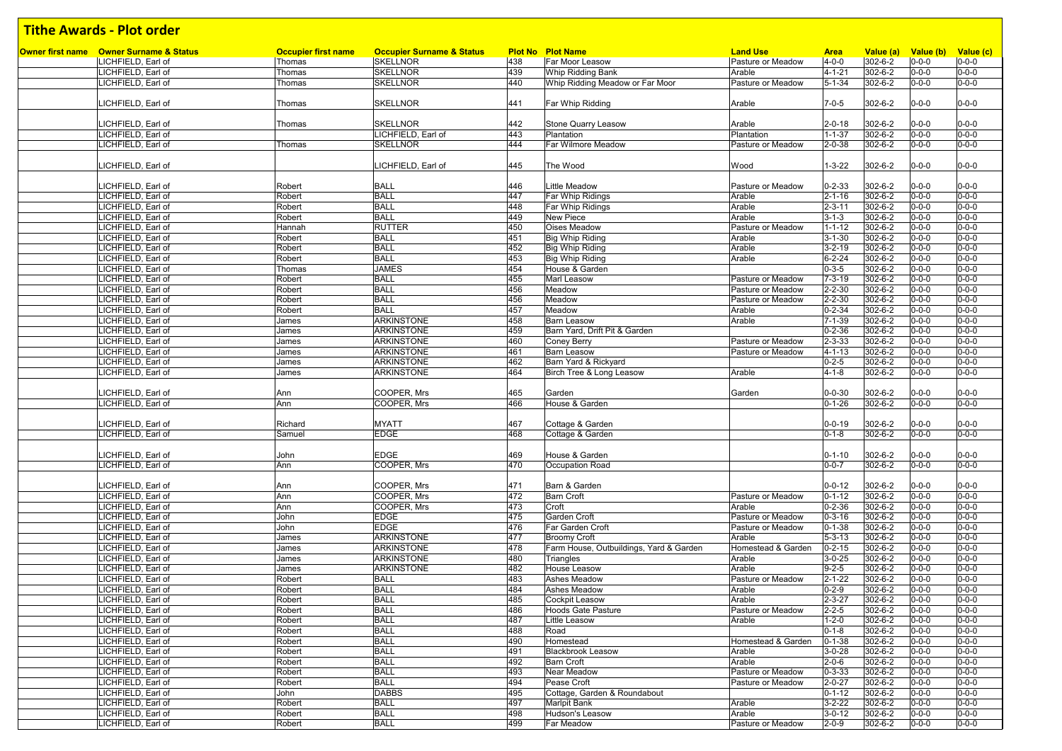| <b>Tithe Awards - Plot order</b>               |                            |                                      |            |                                                   |                             |                              |                    |                            |                            |
|------------------------------------------------|----------------------------|--------------------------------------|------------|---------------------------------------------------|-----------------------------|------------------------------|--------------------|----------------------------|----------------------------|
| <b>Owner first name</b> Owner Surname & Status | <b>Occupier first name</b> | <b>Occupier Surname &amp; Status</b> |            | <b>Plot No Plot Name</b>                          | <b>Land Use</b>             | <b>Area</b>                  | Value (a)          | Value (b)                  | Value (c)                  |
| LICHFIELD, Earl of                             | Thomas                     | <b>SKELLNOR</b>                      | 438        | Far Moor Leasow                                   | Pasture or Meadow           | $4 - 0 - 0$                  | 302-6-2            | $0 - 0 - 0$                | $0 - 0 - 0$                |
| LICHFIELD, Earl of                             | Thomas                     | <b>SKELLNOR</b>                      | 439        | Whip Ridding Bank                                 | Arable                      | $4 - 1 - 21$                 | 302-6-2            | $0 - 0 - 0$                | $0 - 0 - 0$                |
| LICHFIELD, Earl of                             | Thomas                     | <b>SKELLNOR</b>                      | 440        | Whip Ridding Meadow or Far Moor                   | Pasture or Meadow           | $5 - 1 - 34$                 | 302-6-2            | $0 - 0 - 0$                | $0 - 0 - 0$                |
|                                                |                            |                                      |            |                                                   |                             |                              |                    |                            |                            |
| LICHFIELD, Earl of                             | Thomas                     | <b>SKELLNOR</b>                      | 441        | Far Whip Ridding                                  | Arable                      | $7 - 0 - 5$                  | 302-6-2            | $0 - 0 - 0$                | $0 - 0 - 0$                |
|                                                |                            |                                      |            |                                                   |                             |                              |                    |                            |                            |
| LICHFIELD, Earl of                             | Thomas                     | <b>SKELLNOR</b>                      | 442        | <b>Stone Quarry Leasow</b>                        | Arable                      | $2 - 0 - 18$                 | 302-6-2            | $0 - 0 - 0$                | $0 - 0 - 0$                |
| LICHFIELD, Earl of                             |                            | LICHFIELD, Earl of                   | 443        | Plantation                                        | Plantation                  | $1 - 1 - 37$                 | 302-6-2            | $0 - 0 - 0$                | $0 - 0 - 0$                |
| LICHFIELD, Earl of                             | Thomas                     | <b>SKELLNOR</b>                      | 444        | Far Wilmore Meadow                                | Pasture or Meadow           | $2 - 0 - 38$                 | 302-6-2            | $0 - 0 - 0$                | $0 - 0 - 0$                |
|                                                |                            |                                      |            |                                                   |                             |                              |                    |                            |                            |
| LICHFIELD, Earl of                             |                            | LICHFIELD, Earl of                   | 445        | The Wood                                          | Wood                        | $1 - 3 - 22$                 | 302-6-2            | $0 - 0 - 0$                | $0 - 0 - 0$                |
|                                                |                            |                                      |            | Little Meadow                                     |                             |                              |                    |                            |                            |
| LICHFIELD, Earl of                             | Robert                     | <b>BALL</b><br><b>BALL</b>           | 446<br>447 |                                                   | Pasture or Meadow           | $0 - 2 - 33$                 | 302-6-2            | $0 - 0 - 0$<br>$0 - 0 - 0$ | $0 - 0 - 0$<br>$0 - 0 - 0$ |
| LICHFIELD, Earl of<br>LICHFIELD, Earl of       | Robert<br>Robert           | <b>BALL</b>                          | 448        | Far Whip Ridings                                  | Arable<br>Arable            | $2 - 1 - 16$<br>$2 - 3 - 11$ | 302-6-2<br>302-6-2 | $0 - 0 - 0$                | $0 - 0 - 0$                |
| LICHFIELD, Earl of                             | Robert                     | <b>BALL</b>                          | 449        | Far Whip Ridings<br><b>New Piece</b>              | Arable                      | $3 - 1 - 3$                  | 302-6-2            | $0 - 0 - 0$                | $0 - 0 - 0$                |
| LICHFIELD, Earl of                             | Hannah                     | <b>RUTTER</b>                        | 450        | <b>Oises Meadow</b>                               | Pasture or Meadow           | $1 - 1 - 12$                 | 302-6-2            | $0 - 0 - 0$                | $0 - 0 - 0$                |
| LICHFIELD, Earl of                             | Robert                     | <b>BALL</b>                          | 451        | <b>Big Whip Riding</b>                            | Arable                      | $3 - 1 - 30$                 | 302-6-2            | $0 - 0 - 0$                | $0 - 0 - 0$                |
| LICHFIELD, Earl of                             | Robert                     | <b>BALL</b>                          | 452        | Big Whip Riding                                   | Arable                      | $3 - 2 - 19$                 | 302-6-2            | $0 - 0 - 0$                | $0 - 0 - 0$                |
| LICHFIELD, Earl of                             | Robert                     | <b>BALL</b>                          | 453        | <b>Big Whip Riding</b>                            | Arable                      | $6 - 2 - 24$                 | 302-6-2            | $0 - 0 - 0$                | $0 - 0 - 0$                |
| LICHFIELD, Earl of                             | Thomas                     | <b>JAMES</b>                         | 454        | House & Garden                                    |                             | $0 - 3 - 5$                  | 302-6-2            | $0 - 0 - 0$                | $0 - 0 - 0$                |
| LICHFIELD, Earl of                             | Robert                     | <b>BALL</b>                          | 455        | Marl Leasow                                       | Pasture or Meadow           | $7 - 3 - 19$                 | 302-6-2            | $0 - 0 - 0$                | $0 - 0 - 0$                |
| LICHFIELD, Earl of                             | Robert                     | <b>BALL</b>                          | 456        | Meadow                                            | Pasture or Meadow           | $2 - 2 - 30$                 | 302-6-2            | $0 - 0 - 0$                | $0 - 0 - 0$                |
| LICHFIELD, Earl of                             | Robert                     | <b>BALL</b>                          | 456        | Meadow                                            | Pasture or Meadow           | $2 - 2 - 30$                 | 302-6-2            | $0 - 0 - 0$                | $0 - 0 - 0$                |
| LICHFIELD, Earl of                             | Robert                     | <b>BALL</b>                          | 457        | Meadow                                            | Arable                      | $0 - 2 - 34$                 | 302-6-2            | $0 - 0 - 0$                | $0 - 0 - 0$                |
| LICHFIELD, Earl of                             | James                      | <b>ARKINSTONE</b>                    | 458        | <b>Barn Leasow</b>                                | Arable                      | $7 - 1 - 39$                 | 302-6-2            | $0 - 0 - 0$                | $0 - 0 - 0$                |
| LICHFIELD, Earl of                             | James                      | <b>ARKINSTONE</b>                    | 459        | Barn Yard, Drift Pit & Garden                     |                             | $0 - 2 - 36$                 | 302-6-2            | $0 - 0 - 0$                | $0 - 0 - 0$                |
| LICHFIELD, Earl of                             | James                      | <b>ARKINSTONE</b>                    | 460        | Coney Berry                                       | Pasture or Meadow           | $2 - 3 - 33$                 | 302-6-2            | $0 - 0 - 0$                | $0 - 0 - 0$                |
| LICHFIELD, Earl of                             | James                      | <b>ARKINSTONE</b>                    | 461        | <b>Barn Leasow</b>                                | Pasture or Meadow           | $4 - 1 - 13$                 | 302-6-2            | $0 - 0 - 0$                | $0 - 0 - 0$                |
| LICHFIELD, Earl of                             | James                      | <b>ARKINSTONE</b>                    | 462        | Barn Yard & Rickyard                              |                             | $0 - 2 - 5$                  | 302-6-2            | $0 - 0 - 0$                | $0 - 0 - 0$                |
| LICHFIELD, Earl of                             | James                      | <b>ARKINSTONE</b>                    | 464        | Birch Tree & Long Leasow                          | Arable                      | $4 - 1 - 8$                  | 302-6-2            | $0 - 0 - 0$                | $0 - 0 - 0$                |
|                                                |                            |                                      |            |                                                   |                             |                              |                    |                            |                            |
| LICHFIELD, Earl of                             | Ann                        | COOPER, Mrs                          | 465        | Garden                                            | Garden                      | $0 - 0 - 30$                 | 302-6-2            | $0 - 0 - 0$                | $0 - 0 - 0$                |
| LICHFIELD, Earl of                             | Ann                        | COOPER, Mrs                          | 466        | House & Garden                                    |                             | $0 - 1 - 26$                 | 302-6-2            | $0 - 0 - 0$                | $0 - 0 - 0$                |
|                                                | Richard                    |                                      | 467        |                                                   |                             |                              |                    | $0 - 0 - 0$                | $0 - 0 - 0$                |
| LICHFIELD, Earl of<br>LICHFIELD, Earl of       | Samuel                     | <b>MYATT</b><br><b>EDGE</b>          | 468        | Cottage & Garden<br>Cottage & Garden              |                             | $0 - 0 - 19$<br>$0 - 1 - 8$  | 302-6-2<br>302-6-2 | $0 - 0 - 0$                | $0 - 0 - 0$                |
|                                                |                            |                                      |            |                                                   |                             |                              |                    |                            |                            |
| LICHFIELD, Earl of                             | John                       | <b>EDGE</b>                          | 469        | House & Garden                                    |                             | $0 - 1 - 10$                 | 302-6-2            | $0 - 0 - 0$                | $0 - 0 - 0$                |
| LICHFIELD, Earl of                             | Ann                        | COOPER, Mrs                          | 470        | Occupation Road                                   |                             | $0 - 0 - 7$                  | $302 - 6 - 2$      | $0 - 0 - 0$                | $0 - 0 - 0$                |
|                                                |                            |                                      |            |                                                   |                             |                              |                    |                            |                            |
| LICHFIELD, Earl of                             | Ann                        | COOPER, Mrs                          | 471        | Barn & Garden                                     |                             | $0 - 0 - 12$                 | 302-6-2            | $0 - 0 - 0$                | $0 - 0 - 0$                |
| LICHFIELD, Earl of                             | Ann                        | COOPER, Mrs                          | 472        | <b>Barn Croft</b>                                 | Pasture or Meadow           | $0 - 1 - 12$                 | 302-6-2            | $0 - 0 - 0$                | $0 - 0 - 0$                |
| LICHFIELD, Earl of                             | Ann                        | COOPER, Mrs                          | 473        | Croft                                             | Arable                      | $0 - 2 - 36$                 | 302-6-2            | $0 - 0 - 0$                | $0 - 0 - 0$                |
| LICHFIELD, Earl of                             | John                       | <b>EDGE</b>                          | 475        | Garden Croft                                      | Pasture or Meadow           | $0 - 3 - 16$                 | 302-6-2            | $0 - 0 - 0$                | $0 - 0 - 0$                |
| LICHFIELD, Earl of                             | John                       | <b>EDGE</b>                          | 476        | Far Garden Croft                                  | Pasture or Meadow           | $0 - 1 - 38$                 | 302-6-2            | $0 - 0 - 0$                | $0 - 0 - 0$                |
| LICHFIELD. Earl of                             | James                      | <b>ARKINSTONE</b>                    | 477        | <b>Broomy Croft</b>                               | Arable                      | $5 - 3 - 13$                 | 302-6-2            | $0 - 0 - 0$                | $0 - 0 - 0$                |
| LICHFIELD, Earl of                             | James                      | <b>ARKINSTONE</b>                    | 478        | Farm House, Outbuildings, Yard & Garden           | Homestead & Garden          | $0 - 2 - 15$                 | 302-6-2            | $0 - 0 - 0$                | $0 - 0 - 0$                |
| LICHFIELD, Earl of                             | James                      | <b>ARKINSTONE</b>                    | 480        | Triangles                                         | Arable                      | $3 - 0 - 25$                 | 302-6-2            | $0 - 0 - 0$                | $0 - 0 - 0$                |
| LICHFIELD, Earl of                             | James                      | <b>ARKINSTONE</b>                    | 482        | House Leasow                                      | Arable                      | $9 - 2 - 5$                  | 302-6-2            | $0 - 0 - 0$                | $0 - 0 - 0$                |
| LICHFIELD, Earl of                             | Robert                     | <b>BALL</b>                          | 483        | Ashes Meadow                                      | Pasture or Meadow           | $2 - 1 - 22$                 | $302 - 6 - 2$      | $0 - 0 - 0$                | $0 - 0 - 0$                |
| LICHFIELD, Earl of                             | Robert                     | BALL                                 | 484        | Ashes Meadow                                      | Arable                      | $0 - 2 - 9$                  | 302-6-2            | $0 - 0 - 0$                | $0 - 0 - 0$                |
| LICHFIELD, Earl of<br>LICHFIELD, Earl of       | Robert                     | <b>BALL</b><br><b>BALL</b>           | 485        | Cockpit Leasow                                    | Arable                      | $2 - 3 - 27$                 | 302-6-2            | $0 - 0 - 0$<br>$0 - 0 - 0$ | $0 - 0 - 0$<br>$0 - 0 - 0$ |
| LICHFIELD, Earl of                             | Robert<br>Robert           | <b>BALL</b>                          | 486<br>487 | <b>Hoods Gate Pasture</b><br><b>Little Leasow</b> | Pasture or Meadow<br>Arable | $2 - 2 - 5$<br>$1 - 2 - 0$   | 302-6-2<br>302-6-2 | $0 - 0 - 0$                | $0 - 0 - 0$                |
| LICHFIELD, Earl of                             | Robert                     | <b>BALL</b>                          | 488        | Road                                              |                             | $0 - 1 - 8$                  | 302-6-2            | $0 - 0 - 0$                | $0 - 0 - 0$                |
| LICHFIELD, Earl of                             | Robert                     | <b>BALL</b>                          | 490        | Homestead                                         | Homestead & Garden          | $0 - 1 - 38$                 | 302-6-2            | $0 - 0 - 0$                | $0 - 0 - 0$                |
| LICHFIELD, Earl of                             | Robert                     | <b>BALL</b>                          | 491        | <b>Blackbrook Leasow</b>                          | Arable                      | $3 - 0 - 28$                 | 302-6-2            | $0 - 0 - 0$                | $0 - 0 - 0$                |
| LICHFIELD, Earl of                             | Robert                     | <b>BALL</b>                          | 492        | <b>Barn Croft</b>                                 | Arable                      | $2 - 0 - 6$                  | 302-6-2            | $0 - 0 - 0$                | $0 - 0 - 0$                |
| LICHFIELD, Earl of                             | Robert                     | <b>BALL</b>                          | 493        | <b>Near Meadow</b>                                | Pasture or Meadow           | $0 - 3 - 33$                 | 302-6-2            | $0 - 0 - 0$                | $0 - 0 - 0$                |
| LICHFIELD, Earl of                             | Robert                     | <b>BALL</b>                          | 494        | Pease Croft                                       | Pasture or Meadow           | $2 - 0 - 27$                 | 302-6-2            | $0 - 0 - 0$                | $0 - 0 - 0$                |
| LICHFIELD, Earl of                             | John                       | <b>DABBS</b>                         | 495        | Cottage, Garden & Roundabout                      |                             | $0 - 1 - 12$                 | 302-6-2            | $0 - 0 - 0$                | $0 - 0 - 0$                |
| LICHFIELD, Earl of                             | Robert                     | <b>BALL</b>                          | 497        | <b>Marlpit Bank</b>                               | Arable                      | $3 - 2 - 22$                 | 302-6-2            | $0 - 0 - 0$                | $0 - 0 - 0$                |
| LICHFIELD, Earl of                             | Robert                     | <b>BALL</b>                          | 498        | Hudson's Leasow                                   | Arable                      | $3 - 0 - 12$                 | 302-6-2            | $0 - 0 - 0$                | $0 - 0 - 0$                |
| LICHFIELD, Earl of                             | Robert                     | <b>BALL</b>                          | 499        | Far Meadow                                        | Pasture or Meadow           | $2 - 0 - 9$                  | 302-6-2            | $0 - 0 - 0$                | $0 - 0 - 0$                |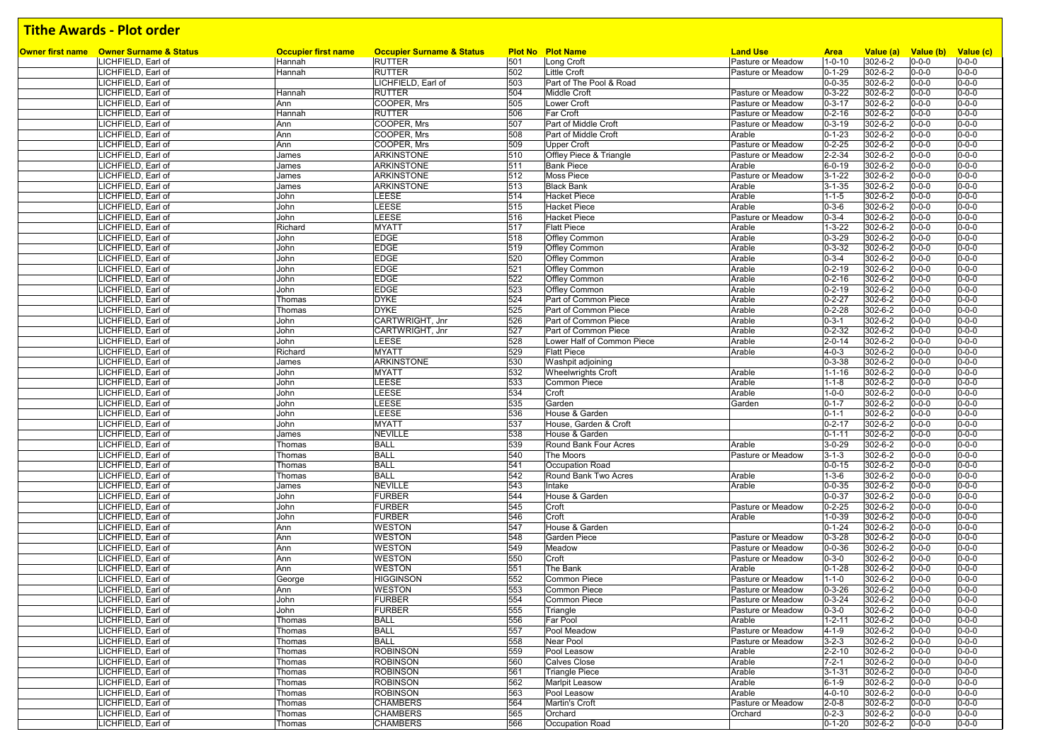| Owner first name Owner Surname & Status |                                          |                                      | <b>Occupier Surname &amp; Status</b> |            |                                        | <b>Land Use</b>   |                              |                          |                            |                                    |
|-----------------------------------------|------------------------------------------|--------------------------------------|--------------------------------------|------------|----------------------------------------|-------------------|------------------------------|--------------------------|----------------------------|------------------------------------|
|                                         | LICHFIELD, Earl of                       | <b>Occupier first name</b><br>Hannah | <b>RUTTER</b>                        | 501        | <b>Plot No Plot Name</b><br>Long Croft | Pasture or Meadow | <b>Area</b><br>$1 - 0 - 10$  | Value (a)<br>302-6-2     | $0 - 0 - 0$                | Value (b) Value (c)<br>$0 - 0 - 0$ |
|                                         | LICHFIELD, Earl of                       | Hannah                               | <b>RUTTER</b>                        | 502        | Little Croft                           | Pasture or Meadow | $0 - 1 - 29$                 | 302-6-2                  | $0 - 0 - 0$                | $0 - 0 - 0$                        |
|                                         | LICHFIELD, Earl of                       |                                      | LICHFIELD, Earl of                   | 503        | Part of The Pool & Road                |                   | $0 - 0 - 35$                 | 302-6-2                  | $0 - 0 - 0$                | $0 - 0 - 0$                        |
|                                         | LICHFIELD, Earl of                       | Hannah                               | RUTTER                               | 504        | Middle Croft                           | Pasture or Meadow | $0 - 3 - 22$                 | 302-6-2                  | $0 - 0 - 0$                | $0 - 0 - 0$                        |
|                                         | LICHFIELD, Earl of                       | Ann                                  | COOPER, Mrs                          | 505        | <b>Lower Croft</b>                     | Pasture or Meadow | $0 - 3 - 17$                 | 302-6-2                  | $0 - 0 - 0$                | $0 - 0 - 0$                        |
|                                         | LICHFIELD, Earl of                       | Hannah                               | <b>RUTTER</b>                        | 506        | Far Croft                              | Pasture or Meadow | $0 - 2 - 16$                 | 302-6-2                  | $0 - 0 - 0$                | $0 - 0 - 0$                        |
|                                         | LICHFIELD, Earl of                       | Ann                                  | COOPER, Mrs                          | 507        | Part of Middle Croft                   | Pasture or Meadow | $0 - 3 - 19$                 | 302-6-2                  | $0 - 0 - 0$                | $0 - 0 - 0$                        |
|                                         | LICHFIELD, Earl of                       | Ann                                  | COOPER, Mrs                          | 508        | Part of Middle Croft                   | Arable            | $0 - 1 - 23$                 | 302-6-2                  | $0 - 0 - 0$                | $0 - 0 - 0$                        |
|                                         | LICHFIELD, Earl of                       | Ann                                  | COOPER, Mrs                          | 509        | <b>Upper Croft</b>                     | Pasture or Meadow | $0 - 2 - 25$                 | 302-6-2                  | $0 - 0 - 0$                | $0 - 0 - 0$                        |
|                                         | LICHFIELD, Earl of                       | James                                | ARKINSTONE                           | 510        | Offley Piece & Triangle                | Pasture or Meadow | $2 - 2 - 34$                 | 302-6-2                  | $0 - 0 - 0$                | $0 - 0 - 0$                        |
|                                         | LICHFIELD, Earl of                       | James                                | ARKINSTONE                           | 511        | <b>Bank Piece</b>                      | Arable            | $6 - 0 - 19$                 | 302-6-2                  | $0 - 0 - 0$                | $0 - 0 - 0$                        |
|                                         | LICHFIELD, Earl of                       | James                                | <b>ARKINSTONE</b>                    | 512        | <b>Moss Piece</b>                      | Pasture or Meadow | $3 - 1 - 22$                 | 302-6-2                  | $0 - 0 - 0$                | $0 - 0 - 0$                        |
|                                         | LICHFIELD, Earl of                       | James                                | <b>ARKINSTONE</b>                    | 513        | <b>Black Bank</b>                      | Arable            | $3 - 1 - 35$                 | 302-6-2                  | $0 - 0 - 0$                | $0 - 0 - 0$                        |
|                                         | LICHFIELD, Earl of                       | John                                 | LEESE                                | 514        | <b>Hacket Piece</b>                    | Arable            | $1 - 1 - 5$                  | 302-6-2                  | $0 - 0 - 0$                | $0 - 0 - 0$                        |
|                                         | LICHFIELD, Earl of                       | John                                 | LEESE                                | 515        | <b>Hacket Piece</b>                    | Arable            | $0 - 3 - 6$                  | 302-6-2                  | $0 - 0 - 0$                | $0 - 0 - 0$                        |
|                                         | LICHFIELD, Earl of                       | John                                 | LEESE                                | 516        | <b>Hacket Piece</b>                    | Pasture or Meadow | $0 - 3 - 4$                  | 302-6-2                  | $0 - 0 - 0$                | $0 - 0 - 0$                        |
|                                         | LICHFIELD, Earl of                       | Richard                              | <b>MYATT</b>                         | 517        | <b>Flatt Piece</b>                     | Arable            | $1 - 3 - 22$                 | 302-6-2                  | $0 - 0 - 0$                | $0 - 0 - 0$                        |
|                                         | LICHFIELD, Earl of                       | John                                 | <b>EDGE</b>                          | 518        | Offley Common                          | Arable            | $0 - 3 - 29$                 | 302-6-2                  | $0 - 0 - 0$                | $0 - 0 - 0$                        |
|                                         | LICHFIELD, Earl of                       | John                                 | <b>EDGE</b><br><b>EDGE</b>           | 519<br>520 | Offley Common                          | Arable<br>Arable  | $0 - 3 - 32$<br>$0 - 3 - 4$  | 302-6-2<br>302-6-2       | $0 - 0 - 0$<br>$0 - 0 - 0$ | $0 - 0 - 0$<br>$0 - 0 - 0$         |
|                                         | LICHFIELD, Earl of<br>LICHFIELD, Earl of | John<br>John                         | <b>EDGE</b>                          | 521        | Offley Common<br>Offley Common         | Arable            | $0 - 2 - 19$                 | 302-6-2                  | $0 - 0 - 0$                | $0 - 0 - 0$                        |
|                                         | LICHFIELD, Earl of                       | John                                 | <b>EDGE</b>                          | 522        | Offley Common                          | Arable            | $0 - 2 - 16$                 | 302-6-2                  | $0 - 0 - 0$                | $0 - 0 - 0$                        |
|                                         | LICHFIELD, Earl of                       | John                                 | <b>EDGE</b>                          | 523        | Offley Common                          | Arable            | $0 - 2 - 19$                 | 302-6-2                  | $0 - 0 - 0$                | $0 - 0 - 0$                        |
|                                         | LICHFIELD, Earl of                       | Thomas                               | <b>DYKE</b>                          | 524        | Part of Common Piece                   | Arable            | $0 - 2 - 27$                 | 302-6-2                  | $0 - 0 - 0$                | $0 - 0 - 0$                        |
|                                         | LICHFIELD, Earl of                       | Thomas                               | <b>DYKE</b>                          | 525        | Part of Common Piece                   | Arable            | $0 - 2 - 28$                 | 302-6-2                  | $0 - 0 - 0$                | $0 - 0 - 0$                        |
|                                         | LICHFIELD, Earl of                       | John                                 | CARTWRIGHT, Jnr                      | 526        | Part of Common Piece                   | Arable            | $0 - 3 - 1$                  | 302-6-2                  | $0 - 0 - 0$                | $0 - 0 - 0$                        |
|                                         | LICHFIELD, Earl of                       | John                                 | CARTWRIGHT, Jnr                      | 527        | Part of Common Piece                   | Arable            | $0 - 2 - 32$                 | 302-6-2                  | $0 - 0 - 0$                | $0 - 0 - 0$                        |
|                                         | LICHFIELD, Earl of                       | John                                 | LEESE                                | 528        | Lower Half of Common Piece             | Arable            | $2 - 0 - 14$                 | 302-6-2                  | $0 - 0 - 0$                | $0 - 0 - 0$                        |
|                                         | LICHFIELD, Earl of                       | Richard                              | <b>MYATT</b>                         | 529        | <b>Flatt Piece</b>                     | Arable            | $4 - 0 - 3$                  | 302-6-2                  | $0 - 0 - 0$                | $0 - 0 - 0$                        |
|                                         | LICHFIELD, Earl of                       | James                                | ARKINSTONE                           | 530        | Washpit adjoining                      |                   | $0 - 3 - 38$                 | 302-6-2                  | $0 - 0 - 0$                | $0 - 0 - 0$                        |
|                                         | LICHFIELD, Earl of                       | John                                 | <b>MYATT</b>                         | 532        | <b>Wheelwrights Croft</b>              | Arable            | $1 - 1 - 16$                 | 302-6-2                  | $0 - 0 - 0$                | $0 - 0 - 0$                        |
|                                         | LICHFIELD, Earl of                       | John                                 | LEESE                                | 533        | Common Piece                           | Arable            | $1 - 1 - 8$                  | 302-6-2                  | $0 - 0 - 0$                | $0 - 0 - 0$                        |
|                                         | LICHFIELD, Earl of                       | John                                 | LEESE                                | 534        | Croft                                  | Arable            | $1 - 0 - 0$                  | 302-6-2                  | $0 - 0 - 0$                | $0 - 0 - 0$                        |
|                                         | LICHFIELD, Earl of                       | John                                 | LEESE                                | 535        | Garden                                 | Garden            | $0 - 1 - 7$                  | 302-6-2                  | $0 - 0 - 0$                | $0 - 0 - 0$                        |
|                                         | LICHFIELD, Earl of                       | John                                 | LEESE                                | 536        | House & Garden                         |                   | $0 - 1 - 1$                  | 302-6-2                  | $0 - 0 - 0$                | $0 - 0 - 0$                        |
|                                         | LICHFIELD, Earl of                       | John                                 | <b>MYATT</b>                         | 537        | House, Garden & Croft                  |                   | $0 - 2 - 17$                 | 302-6-2                  | $0 - 0 - 0$                | $0 - 0 - 0$                        |
|                                         | LICHFIELD, Earl of                       | James                                | <b>NEVILLE</b>                       | 538        | House & Garden                         |                   | $0 - 1 - 11$                 | 302-6-2                  | $0 - 0 - 0$                | $0 - 0 - 0$                        |
|                                         | LICHFIELD, Earl of                       | Thomas                               | <b>BALL</b>                          | 539        | Round Bank Four Acres                  | Arable            | $3 - 0 - 29$                 | 302-6-2                  | $0 - 0 - 0$                | $0 - 0 - 0$                        |
|                                         | LICHFIELD, Earl of                       | Thomas                               | <b>BALL</b>                          | 540        | The Moors                              | Pasture or Meadow | $3 - 1 - 3$                  | 302-6-2                  | $0 - 0 - 0$                | $0 - 0 - 0$                        |
|                                         | LICHFIELD, Earl of                       | Thomas                               | <b>BALL</b>                          | 541        | Occupation Road                        |                   | $0 - 0 - 15$                 | 302-6-2                  | $0 - 0 - 0$                | $0 - 0 - 0$                        |
|                                         | LICHFIELD, Earl of                       | Thomas                               | <b>BALL</b>                          | 542        | Round Bank Two Acres                   | Arable<br>Arable  | $1 - 3 - 6$                  | 302-6-2<br>$302 - 6 - 2$ | $0 - 0 - 0$                | $0 - 0 - 0$<br>$0 - 0 - 0$         |
|                                         | LICHFIELD, Earl of<br>LICHFIELD, Earl of | James<br>John                        | <b>NEVILLE</b><br><b>FURBER</b>      | 543<br>544 | Intake<br>House & Garden               |                   | $0 - 0 - 35$<br>$0 - 0 - 37$ | 302-6-2                  | $0 - 0 - 0$<br>$0 - 0 - 0$ | $0 - 0 - 0$                        |
|                                         | LICHFIELD, Earl of                       | John                                 | <b>FURBER</b>                        | 545        | Croft                                  | Pasture or Meadow | $0 - 2 - 25$                 | 302-6-2                  | $0 - 0 - 0$                | $0 - 0 - 0$                        |
|                                         | LICHFIELD, Earl of                       | John                                 | <b>FURBER</b>                        | 546        | Croft                                  | Arable            | $1 - 0 - 39$                 | 302-6-2                  | $0 - 0 - 0$                | $0 - 0 - 0$                        |
|                                         | LICHFIELD, Earl of                       | Ann                                  | <b>WESTON</b>                        | 547        | House & Garden                         |                   | $0 - 1 - 24$                 | 302-6-2                  | $0 - 0 - 0$                | $0 - 0 - 0$                        |
|                                         | LICHFIELD, Earl of                       | Ann                                  | <b>WESTON</b>                        | 548        | <b>Garden Piece</b>                    | Pasture or Meadow | $0 - 3 - 28$                 | 302-6-2                  | $0 - 0 - 0$                | $0 - 0 - 0$                        |
|                                         | LICHFIELD, Earl of                       | Ann                                  | <b>WESTON</b>                        | 549        | Meadow                                 | Pasture or Meadow | $0 - 0 - 36$                 | 302-6-2                  | $0 - 0 - 0$                | $0 - 0 - 0$                        |
|                                         | LICHFIELD, Earl of                       | Ann                                  | <b>WESTON</b>                        | 550        | Croft                                  | Pasture or Meadow | $0 - 3 - 0$                  | 302-6-2                  | $0 - 0 - 0$                | $0 - 0 - 0$                        |
|                                         | LICHFIELD, Earl of                       | Ann                                  | <b>WESTON</b>                        | 551        | The Bank                               | Arable            | $0 - 1 - 28$                 | 302-6-2                  | $0 - 0 - 0$                | $0 - 0 - 0$                        |
|                                         | LICHFIELD, Earl of                       | George                               | <b>HIGGINSON</b>                     | 552        | Common Piece                           | Pasture or Meadow | $1 - 1 - 0$                  | 302-6-2                  | $0 - 0 - 0$                | $0 - 0 - 0$                        |
|                                         | LICHFIELD, Earl of                       | Ann                                  | <b>WESTON</b>                        | 553        | <b>Common Piece</b>                    | Pasture or Meadow | $0 - 3 - 26$                 | 302-6-2                  | $0 - 0 - 0$                | $0 - 0 - 0$                        |
|                                         | LICHFIELD, Earl of                       | John                                 | <b>FURBER</b>                        | 554        | <b>Common Piece</b>                    | Pasture or Meadow | $0 - 3 - 24$                 | 302-6-2                  | $0 - 0 - 0$                | $0 - 0 - 0$                        |
|                                         | LICHFIELD, Earl of                       | John                                 | <b>FURBER</b>                        | 555        | Triangle                               | Pasture or Meadow | $0 - 3 - 0$                  | 302-6-2                  | $0 - 0 - 0$                | $0 - 0 - 0$                        |
|                                         | LICHFIELD, Earl of                       | Thomas                               | <b>BALL</b>                          | 556        | Far Pool                               | Arable            | $1 - 2 - 11$                 | 302-6-2                  | $0 - 0 - 0$                | $0 - 0 - 0$                        |
|                                         | LICHFIELD, Earl of                       | Thomas                               | <b>BALL</b>                          | 557        | Pool Meadow                            | Pasture or Meadow | $4 - 1 - 9$                  | 302-6-2                  | $0 - 0 - 0$                | $0 - 0 - 0$                        |
|                                         | LICHFIELD, Earl of                       | Thomas                               | <b>BALL</b>                          | 558        | Near Pool                              | Pasture or Meadow | $3 - 2 - 3$                  | 302-6-2                  | $0 - 0 - 0$                | $0 - 0 - 0$                        |
|                                         | LICHFIELD, Earl of                       | Thomas                               | <b>ROBINSON</b>                      | 559        | Pool Leasow                            | Arable            | $2 - 2 - 10$                 | 302-6-2                  | $0 - 0 - 0$                | $0 - 0 - 0$                        |
|                                         | LICHFIELD, Earl of                       | Thomas                               | <b>ROBINSON</b>                      | 560        | <b>Calves Close</b>                    | Arable            | $7 - 2 - 1$                  | 302-6-2                  | $0 - 0 - 0$                | $0 - 0 - 0$                        |
|                                         | LICHFIELD, Earl of                       | Thomas                               | <b>ROBINSON</b>                      | 561        | <b>Triangle Piece</b>                  | Arable            | $3 - 1 - 31$                 | 302-6-2                  | $0 - 0 - 0$                | $0 - 0 - 0$                        |
|                                         | LICHFIELD, Earl of                       | Thomas                               | <b>ROBINSON</b>                      | 562        | <b>Marlpit Leasow</b>                  | Arable            | $6 - 1 - 9$                  | 302-6-2                  | $0 - 0 - 0$                | $0 - 0 - 0$                        |
|                                         | LICHFIELD, Earl of<br>LICHFIELD, Earl of | Thomas                               | <b>ROBINSON</b>                      | 563        | Pool Leasow                            | Arable            | 4-0-10                       | 302-6-2                  | $0 - 0 - 0$                | $0 - 0 - 0$                        |
|                                         | LICHFIELD, Earl of                       | Thomas                               | <b>CHAMBERS</b><br><b>CHAMBERS</b>   | 564        | Martin's Croft                         | Pasture or Meadow | $2 - 0 - 8$                  | 302-6-2                  | $0 - 0 - 0$                | $0 - 0 - 0$                        |
|                                         | LICHFIELD, Earl of                       | Thomas                               | <b>CHAMBERS</b>                      | 565<br>566 | Orchard<br>Occupation Road             | Orchard           | $0 - 2 - 3$<br>$0 - 1 - 20$  | 302-6-2<br>302-6-2       | $0 - 0 - 0$<br>$0 - 0 - 0$ | $0 - 0 - 0$<br>$0 - 0 - 0$         |
|                                         |                                          | Thomas                               |                                      |            |                                        |                   |                              |                          |                            |                                    |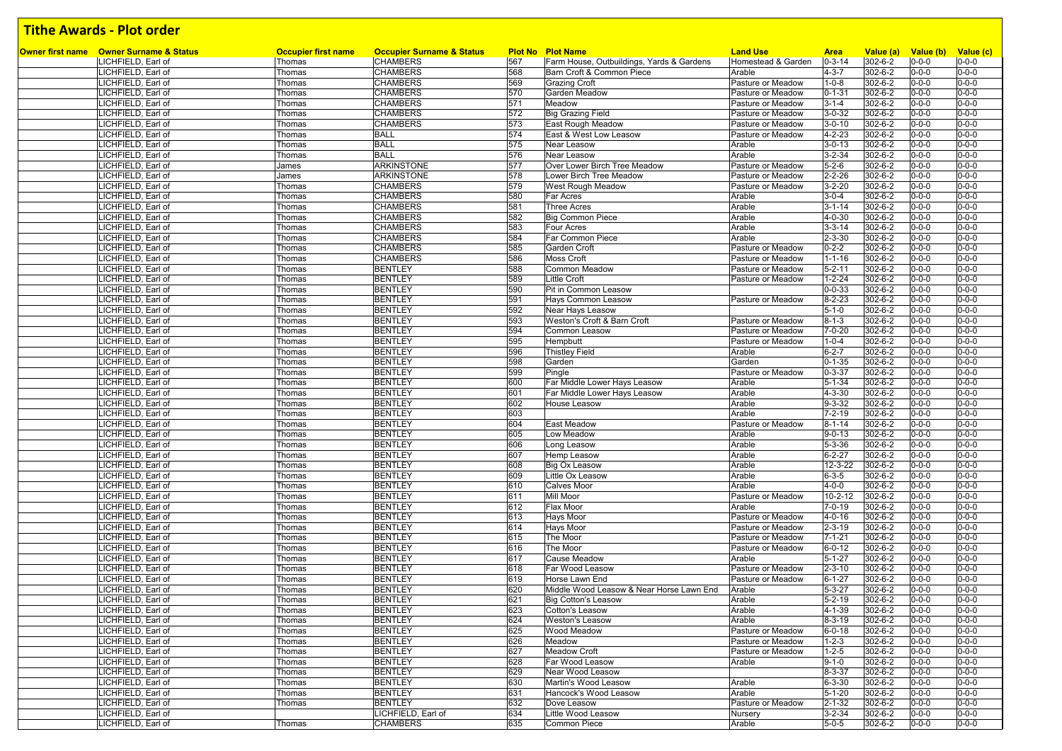|                                                               |                                      | <b>Occupier Surname &amp; Status</b> |     | <b>Plot No Plot Name</b>                  | <b>Land Use</b>    |                             |                      |                          |                          |
|---------------------------------------------------------------|--------------------------------------|--------------------------------------|-----|-------------------------------------------|--------------------|-----------------------------|----------------------|--------------------------|--------------------------|
| Owner first name Owner Surname & Status<br>LICHFIELD, Earl of | <b>Occupier first name</b><br>Thomas | <b>CHAMBERS</b>                      | 567 | Farm House, Outbuildings, Yards & Gardens | Homestead & Garden | <b>Area</b><br>$0 - 3 - 14$ | Value (a)<br>302-6-2 | Value (b)<br>$0 - 0 - 0$ | Value (c)<br>$0 - 0 - 0$ |
| LICHFIELD, Earl of                                            | Thomas                               | <b>CHAMBERS</b>                      | 568 | Barn Croft & Common Piece                 | Arable             | $4 - 3 - 7$                 | 302-6-2              | $0 - 0 - 0$              | $0 - 0 - 0$              |
| LICHFIELD, Earl of                                            | Thomas                               | <b>CHAMBERS</b>                      | 569 | <b>Grazing Croft</b>                      | Pasture or Meadow  | $1 - 0 - 8$                 | 302-6-2              | $0 - 0 - 0$              | $0 - 0 - 0$              |
| LICHFIELD, Earl of                                            | Thomas                               | <b>CHAMBERS</b>                      | 570 | <b>Garden Meadow</b>                      | Pasture or Meadow  | $0 - 1 - 31$                | 302-6-2              | $0 - 0 - 0$              | $0 - 0 - 0$              |
| LICHFIELD, Earl of                                            | Thomas                               | <b>CHAMBERS</b>                      | 571 | Meadow                                    | Pasture or Meadow  | $3 - 1 - 4$                 | 302-6-2              | $0 - 0 - 0$              | $0 - 0 - 0$              |
| LICHFIELD, Earl of                                            | Thomas                               | <b>CHAMBERS</b>                      | 572 | <b>Big Grazing Field</b>                  | Pasture or Meadow  | $3 - 0 - 32$                | 302-6-2              | $0 - 0 - 0$              | $0 - 0 - 0$              |
| LICHFIELD, Earl of                                            | Thomas                               | <b>CHAMBERS</b>                      | 573 | East Rough Meadow                         | Pasture or Meadow  | $3 - 0 - 10$                | 302-6-2              | $0 - 0 - 0$              | $0 - 0 - 0$              |
| LICHFIELD, Earl of                                            | Thomas                               | <b>BALL</b>                          | 574 | East & West Low Leasow                    | Pasture or Meadow  | $4 - 2 - 23$                | 302-6-2              | $0 - 0 - 0$              | $0 - 0 - 0$              |
| LICHFIELD, Earl of                                            | Thomas                               | <b>BALL</b>                          | 575 | Near Leasow                               | Arable             | $3 - 0 - 13$                | 302-6-2              | $0 - 0 - 0$              | $0 - 0 - 0$              |
| LICHFIELD, Earl of                                            | Thomas                               | <b>BALL</b>                          | 576 | Near Leasow                               | Arable             | $3 - 2 - 34$                | 302-6-2              | $0 - 0 - 0$              | $0 - 0 - 0$              |
| LICHFIELD, Earl of                                            | James                                | <b>ARKINSTONE</b>                    | 577 | Over Lower Birch Tree Meadow              | Pasture or Meadow  | $5 - 2 - 6$                 | 302-6-2              | $0 - 0 - 0$              | $0 - 0 - 0$              |
| LICHFIELD, Earl of                                            | James                                | <b>ARKINSTONE</b>                    | 578 | Lower Birch Tree Meadow                   | Pasture or Meadow  | $2 - 2 - 26$                | 302-6-2              | $0 - 0 - 0$              | $0 - 0 - 0$              |
| LICHFIELD, Earl of                                            | Thomas                               | <b>CHAMBERS</b>                      | 579 | West Rough Meadow                         | Pasture or Meadow  | $3 - 2 - 20$                | 302-6-2              | $0 - 0 - 0$              | $0 - 0 - 0$              |
| LICHFIELD, Earl of                                            | Thomas                               | <b>CHAMBERS</b>                      | 580 | Far Acres                                 | Arable             | $3 - 0 - 4$                 | 302-6-2              | $0 - 0 - 0$              | $0 - 0 - 0$              |
| LICHFIELD, Earl of                                            | Thomas                               | <b>CHAMBERS</b>                      | 581 | <b>Three Acres</b>                        | Arable             | $3 - 1 - 14$                | 302-6-2              | $0 - 0 - 0$              | $0 - 0 - 0$              |
| LICHFIELD, Earl of                                            | Thomas                               | <b>CHAMBERS</b>                      | 582 | <b>Big Common Piece</b>                   | Arable             | 4-0-30                      | 302-6-2              | $0 - 0 - 0$              | $0 - 0 - 0$              |
| LICHFIELD, Earl of                                            | Thomas                               | <b>CHAMBERS</b>                      | 583 | Four Acres                                | Arable             | $3 - 3 - 14$                | 302-6-2              | $0 - 0 - 0$              | $0 - 0 - 0$              |
| LICHFIELD, Earl of                                            | Thomas                               | <b>CHAMBERS</b>                      | 584 | Far Common Piece                          | Arable             | $2 - 3 - 30$                | 302-6-2              | $0 - 0 - 0$              | $0 - 0 - 0$              |
| LICHFIELD, Earl of                                            | Thomas                               | <b>CHAMBERS</b>                      | 585 | Garden Croft                              | Pasture or Meadow  | $0 - 2 - 2$                 | 302-6-2              | $0 - 0 - 0$              | $0 - 0 - 0$              |
| LICHFIELD, Earl of                                            | Thomas                               | <b>CHAMBERS</b>                      | 586 | <b>Moss Croft</b>                         | Pasture or Meadow  | $1 - 1 - 16$                | 302-6-2              | $0 - 0 - 0$              | $0 - 0 - 0$              |
| LICHFIELD, Earl of                                            | Thomas                               | <b>BENTLEY</b>                       | 588 | <b>Common Meadow</b>                      | Pasture or Meadow  | $5 - 2 - 11$                | 302-6-2              | $0 - 0 - 0$              | $0 - 0 - 0$              |
| LICHFIELD, Earl of                                            | Thomas                               | <b>BENTLEY</b>                       | 589 | <b>Little Croft</b>                       | Pasture or Meadow  | $1 - 2 - 24$                | 302-6-2              | $0 - 0 - 0$              | $0 - 0 - 0$              |
| LICHFIELD, Earl of                                            | Thomas                               | <b>BENTLEY</b>                       | 590 | Pit in Common Leasow                      |                    | $0 - 0 - 33$                | 302-6-2              | $0 - 0 - 0$              | $0 - 0 - 0$              |
| LICHFIELD, Earl of                                            | Thomas                               | <b>BENTLEY</b>                       | 591 | Hays Common Leasow                        | Pasture or Meadow  | $8 - 2 - 23$                | 302-6-2              | $0 - 0 - 0$              | $0 - 0 - 0$              |
| LICHFIELD, Earl of                                            | Thomas                               | <b>BENTLEY</b>                       | 592 | Near Hays Leasow                          |                    | $5 - 1 - 0$                 | 302-6-2              | $0 - 0 - 0$              | $0 - 0 - 0$              |
| LICHFIELD, Earl of                                            | Thomas                               | <b>BENTLEY</b>                       | 593 | Weston's Croft & Barn Croft               | Pasture or Meadow  | $8 - 1 - 3$                 | 302-6-2              | $0 - 0 - 0$              | $0 - 0 - 0$              |
| LICHFIELD, Earl of                                            | Thomas                               | <b>BENTLEY</b>                       | 594 | Common Leasow                             | Pasture or Meadow  | $7 - 0 - 20$                | 302-6-2              | $0 - 0 - 0$              | $0 - 0 - 0$              |
| LICHFIELD, Earl of                                            | Thomas                               | <b>BENTLEY</b>                       | 595 | Hempbutt                                  | Pasture or Meadow  | $1 - 0 - 4$                 | 302-6-2              | $0 - 0 - 0$              | $0 - 0 - 0$              |
| LICHFIELD, Earl of                                            | Thomas                               | <b>BENTLEY</b>                       | 596 | <b>Thistley Field</b>                     | Arable             | $6 - 2 - 7$                 | 302-6-2              | $0 - 0 - 0$              | $0 - 0 - 0$              |
| LICHFIELD. Earl of                                            | Thomas                               | <b>BENTLEY</b>                       | 598 | Garden                                    | Garden             | $0 - 1 - 35$                | 302-6-2              | $0 - 0 - 0$              | $0 - 0 - 0$              |
| LICHFIELD, Earl of                                            | Thomas                               | <b>BENTLEY</b>                       | 599 | Pingle                                    | Pasture or Meadow  | $0 - 3 - 37$                | 302-6-2              | $0 - 0 - 0$              | $0 - 0 - 0$              |
| LICHFIELD, Earl of                                            | Thomas                               | <b>BENTLEY</b>                       | 600 | Far Middle Lower Hays Leasow              | Arable             | $5 - 1 - 34$                | 302-6-2              | $0 - 0 - 0$              | $0 - 0 - 0$              |
| LICHFIELD, Earl of                                            | Thomas                               | <b>BENTLEY</b>                       | 601 | Far Middle Lower Hays Leasow              | Arable             | 4-3-30                      | 302-6-2              | $0 - 0 - 0$              | $0 - 0 - 0$              |
| LICHFIELD, Earl of                                            | Thomas                               | <b>BENTLEY</b>                       | 602 | <b>House Leasow</b>                       | Arable             | $9 - 3 - 32$                | $302 - 6 - 2$        | $0 - 0 - 0$              | $0 - 0 - 0$              |
| LICHFIELD, Earl of                                            | Thomas                               | <b>BENTLEY</b>                       | 603 |                                           | Arable             | $7 - 2 - 19$                | 302-6-2              | $0 - 0 - 0$              | $0 - 0 - 0$              |
| LICHFIELD, Earl of                                            | Thomas                               | <b>BENTLEY</b>                       | 604 | <b>East Meadow</b>                        | Pasture or Meadow  | $8 - 1 - 14$                | 302-6-2              | $0 - 0 - 0$              | $0 - 0 - 0$              |
| LICHFIELD, Earl of                                            | Thomas                               | <b>BENTLEY</b>                       | 605 | Low Meadow                                | Arable             | $9 - 0 - 13$                | 302-6-2              | $0 - 0 - 0$              | $0 - 0 - 0$              |
| LICHFIELD, Earl of                                            | Thomas                               | <b>BENTLEY</b>                       | 606 | Long Leasow                               | Arable             | $5 - 3 - 36$                | 302-6-2              | $0 - 0 - 0$              | $0 - 0 - 0$              |
| LICHFIELD, Earl of                                            | Thomas                               | <b>BENTLEY</b>                       | 607 | <b>Hemp Leasow</b>                        | Arable             | $6 - 2 - 27$                | 302-6-2              | $0 - 0 - 0$              | $0 - 0 - 0$              |
| LICHFIELD, Earl of                                            | Thomas                               | <b>BENTLEY</b>                       | 608 | <b>Big Ox Leasow</b>                      | Arable             | 12-3-22                     | 302-6-2              | $0 - 0 - 0$              | $0 - 0 - 0$              |
| LICHFIELD, Earl of                                            | Thomas                               | <b>BENTLEY</b>                       | 609 | Little Ox Leasow                          | Arable             | $6 - 3 - 5$                 | 302-6-2              | $0 - 0 - 0$              | $0 - 0 - 0$              |
| LICHFIELD, Earl of                                            | Thomas                               | <b>BENTLEY</b>                       | 610 | <b>Calves Moor</b>                        | Arable             | $4 - 0 - 0$                 | $302 - 6 - 2$        | $0 - 0 - 0$              | $0 - 0 - 0$              |
| LICHFIELD, Earl of                                            | Thomas                               | <b>BENTLEY</b>                       | 611 | Mill Moor                                 | Pasture or Meadow  | 10-2-12                     | 302-6-2              | $0 - 0 - 0$              | $0 - 0 - 0$              |
| LICHFIELD, Earl of                                            | Thomas                               | <b>BENTLEY</b>                       | 612 | <b>Flax Moor</b>                          | Arable             | $7 - 0 - 19$                | 302-6-2              | $0 - 0 - 0$              | $0 - 0 - 0$              |
| LICHFIELD, Earl of                                            | Thomas                               | <b>BENTLEY</b>                       | 613 | <b>Hays Moor</b>                          | Pasture or Meadow  | 4-0-16                      | 302-6-2              | $0 - 0 - 0$              | $0 - 0 - 0$              |
| LICHFIELD, Earl of                                            | Thomas                               | <b>BENTLEY</b>                       | 614 | <b>Hays Moor</b>                          | Pasture or Meadow  | $2 - 3 - 19$                | 302-6-2              | $0 - 0 - 0$              | $0 - 0 - 0$              |
| LICHFIELD, Earl of                                            | Thomas                               | <b>BENTLEY</b>                       | 615 | The Moor                                  | Pasture or Meadow  | $7 - 1 - 21$                | $302 - 6 - 2$        | $0 - 0 - 0$              | $0 - 0 - 0$              |
| LICHFIELD, Earl of                                            | Thomas                               | <b>BENTLEY</b>                       | 616 | The Moor                                  | Pasture or Meadow  | $6 - 0 - 12$                | 302-6-2              | $0 - 0 - 0$              | $0 - 0 - 0$              |
| LICHFIELD, Earl of                                            | Thomas                               | <b>BENTLEY</b>                       | 617 | <b>Cause Meadow</b>                       | Arable             | $5 - 1 - 27$                | 302-6-2              | $0 - 0 - 0$              | $0 - 0 - 0$              |
| LICHFIELD, Earl of                                            | Thomas                               | <b>BENTLEY</b>                       | 618 | Far Wood Leasow                           | Pasture or Meadow  | $2 - 3 - 10$                | 302-6-2              | $0 - 0 - 0$              | $0 - 0 - 0$              |
| LICHFIELD, Earl of                                            | Thomas                               | <b>BENTLEY</b>                       | 619 | Horse Lawn End                            | Pasture or Meadow  | $6 - 1 - 27$                | 302-6-2              | $0 - 0 - 0$              | $0 - 0 - 0$              |
| LICHFIELD, Earl of                                            | Thomas                               | <b>BENTLEY</b>                       | 620 | Middle Wood Leasow & Near Horse Lawn End  | Arable             | $5 - 3 - 27$                | 302-6-2              | $0 - 0 - 0$              | $0 - 0 - 0$              |
| LICHFIELD, Earl of                                            | Thomas                               | <b>BENTLEY</b>                       | 621 | <b>Big Cotton's Leasow</b>                | Arable             | $5 - 2 - 19$                | 302-6-2              | $0 - 0 - 0$              | $0 - 0 - 0$              |
| LICHFIELD, Earl of                                            | Thomas                               | <b>BENTLEY</b>                       | 623 | Cotton's Leasow                           | Arable             | 4-1-39                      | 302-6-2              | $0 - 0 - 0$              | $0 - 0 - 0$              |
| LICHFIELD, Earl of                                            | Thomas                               | <b>BENTLEY</b>                       | 624 | <b>Weston's Leasow</b>                    | Arable             | $8 - 3 - 19$                | 302-6-2              | $0 - 0 - 0$              | $0 - 0 - 0$              |
| LICHFIELD, Earl of                                            | Thomas                               | <b>BENTLEY</b>                       | 625 | Wood Meadow                               | Pasture or Meadow  | $6 - 0 - 18$                | 302-6-2              | $0 - 0 - 0$              | $0 - 0 - 0$              |
| LICHFIELD, Earl of                                            | Thomas                               | <b>BENTLEY</b>                       | 626 | Meadow                                    | Pasture or Meadow  | $1 - 2 - 3$                 | 302-6-2              | $0 - 0 - 0$              | $0 - 0 - 0$              |
| LICHFIELD, Earl of                                            | Thomas                               | <b>BENTLEY</b>                       | 627 | <b>Meadow Croft</b>                       | Pasture or Meadow  | $1 - 2 - 5$                 | 302-6-2              | $0 - 0 - 0$              | $0 - 0 - 0$              |
| LICHFIELD, Earl of                                            | Thomas                               | <b>BENTLEY</b>                       | 628 | Far Wood Leasow                           | Arable             | $9 - 1 - 0$                 | 302-6-2              | $0 - 0 - 0$              | $0 - 0 - 0$              |
| LICHFIELD, Earl of                                            | Thomas                               | <b>BENTLEY</b><br><b>BENTLEY</b>     | 629 | Near Wood Leasow                          |                    | 8-3-37                      | 302-6-2              | $0 - 0 - 0$              | $0 - 0 - 0$              |
| LICHFIELD, Earl of                                            | Thomas                               |                                      | 630 | Martin's Wood Leasow                      | Arable             | $6 - 3 - 30$                | 302-6-2              | $0 - 0 - 0$              | $0 - 0 - 0$              |
| LICHFIELD, Earl of                                            | Thomas                               | <b>BENTLEY</b>                       | 631 | Hancock's Wood Leasow                     | Arable             | $5 - 1 - 20$                | 302-6-2              | $0 - 0 - 0$              | $0 - 0 - 0$              |
| LICHFIELD, Earl of                                            | Thomas                               | <b>BENTLEY</b>                       | 632 | Dove Leasow                               | Pasture or Meadow  | $2 - 1 - 32$                | 302-6-2              | $0 - 0 - 0$              | $0 - 0 - 0$              |
| LICHFIELD, Earl of                                            |                                      | LICHFIELD, Earl of                   | 634 | Little Wood Leasow                        | Nursery            | $3 - 2 - 34$                | 302-6-2              | $0 - 0 - 0$              | $0 - 0 - 0$              |
| LICHFIELD, Earl of                                            | Thomas                               | <b>CHAMBERS</b>                      | 635 | Common Piece                              | Arable             | $5 - 0 - 5$                 | 302-6-2              | $0 - 0 - 0$              | $0 - 0 - 0$              |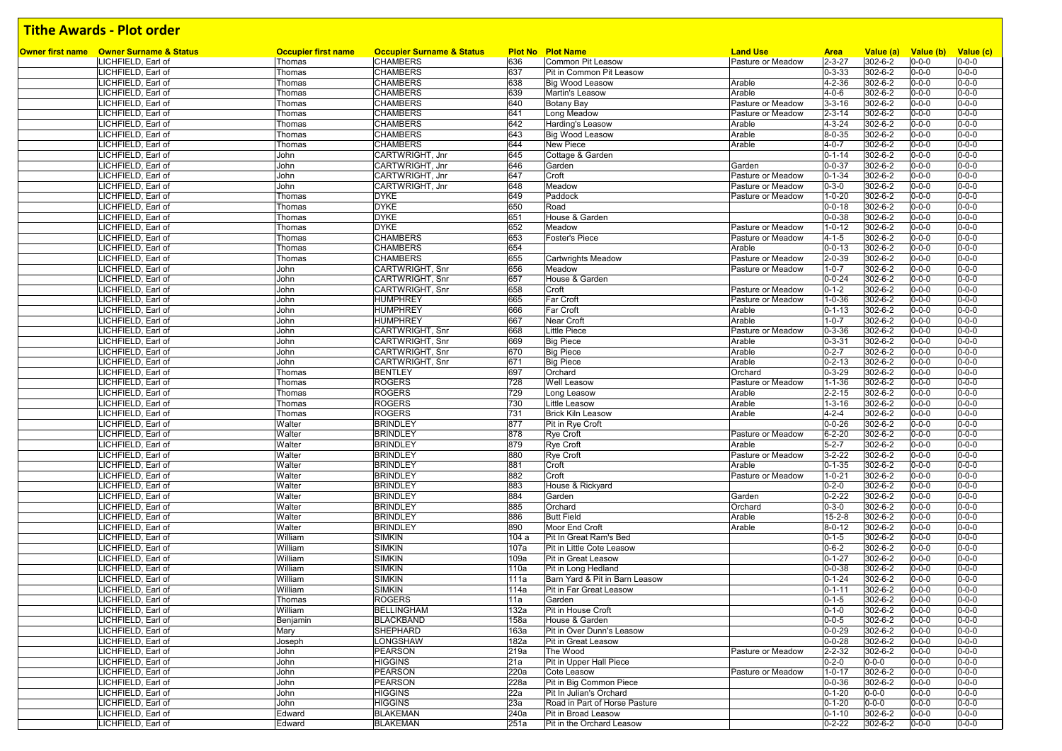|                                                               |                                      |                                                         |              |                                               | <b>Land Use</b>   |                              |                      |                            |                            |
|---------------------------------------------------------------|--------------------------------------|---------------------------------------------------------|--------------|-----------------------------------------------|-------------------|------------------------------|----------------------|----------------------------|----------------------------|
| Owner first name Owner Surname & Status<br>LICHFIELD, Earl of | <b>Occupier first name</b><br>Thomas | <b>Occupier Surname &amp; Status</b><br><b>CHAMBERS</b> | 636          | <b>Plot No Plot Name</b><br>Common Pit Leasow | Pasture or Meadow | <b>Area</b><br>$2 - 3 - 27$  | Value (a)<br>302-6-2 | Value (b) Value (c)        | $0 - 0 - 0$                |
| LICHFIELD, Earl of                                            | Thomas                               | <b>CHAMBERS</b>                                         | 637          | Pit in Common Pit Leasow                      |                   | $0 - 3 - 33$                 | 302-6-2              | $0 - 0 - 0$<br>$0 - 0 - 0$ | $0 - 0 - 0$                |
| LICHFIELD, Earl of                                            | Thomas                               | <b>CHAMBERS</b>                                         | 638          | <b>Big Wood Leasow</b>                        | Arable            | $4 - 2 - 36$                 | 302-6-2              | $0 - 0 - 0$                | $0 - 0 - 0$                |
| LICHFIELD, Earl of                                            | Thomas                               | <b>CHAMBERS</b>                                         | 639          | Martin's Leasow                               | Arable            | $4 - 0 - 6$                  | 302-6-2              | $0 - 0 - 0$                | $0 - 0 - 0$                |
| LICHFIELD, Earl of                                            | Thomas                               | <b>CHAMBERS</b>                                         | 640          | Botany Bay                                    | Pasture or Meadow | $3 - 3 - 16$                 | 302-6-2              | $0 - 0 - 0$                | $0 - 0 - 0$                |
| LICHFIELD, Earl of                                            | Thomas                               | <b>CHAMBERS</b>                                         | 641          | Long Meadow                                   | Pasture or Meadow | $2 - 3 - 14$                 | 302-6-2              | $0 - 0 - 0$                | $0 - 0 - 0$                |
| LICHFIELD, Earl of                                            | Thomas                               | <b>CHAMBERS</b>                                         | 642          | Harding's Leasow                              | Arable            | $4 - 3 - 24$                 | 302-6-2              | $0 - 0 - 0$                | $0 - 0 - 0$                |
| LICHFIELD, Earl of                                            | Thomas                               | <b>CHAMBERS</b>                                         | 643          | <b>Big Wood Leasow</b>                        | Arable            | 8-0-35                       | 302-6-2              | $0 - 0 - 0$                | $0 - 0 - 0$                |
| LICHFIELD, Earl of                                            | Thomas                               | <b>CHAMBERS</b>                                         | 644          | New Piece                                     | Arable            | $4 - 0 - 7$                  | 302-6-2              | $0 - 0 - 0$                | $0 - 0 - 0$                |
| LICHFIELD, Earl of                                            | John                                 | CARTWRIGHT, Jnr                                         | 645          | Cottage & Garden                              |                   | $0 - 1 - 14$                 | 302-6-2              | $0 - 0 - 0$                | $0 - 0 - 0$                |
| LICHFIELD, Earl of                                            | John                                 | CARTWRIGHT, Jnr                                         | 646          | Garden                                        | Garden            | $0 - 0 - 37$                 | 302-6-2              | 0-0-0                      | $0 - 0 - 0$                |
| LICHFIELD, Earl of                                            | John                                 | CARTWRIGHT, Jnr                                         | 647          | Croft                                         | Pasture or Meadow | $0 - 1 - 34$                 | 302-6-2              | $0 - 0 - 0$                | $0 - 0 - 0$                |
| LICHFIELD, Earl of                                            | John                                 | CARTWRIGHT, Jnr                                         | 648          | Meadow                                        | Pasture or Meadow | $0 - 3 - 0$                  | 302-6-2              | $0 - 0 - 0$                | $0 - 0 - 0$                |
| LICHFIELD, Earl of                                            | Thomas                               | <b>DYKE</b>                                             | 649          | Paddock                                       | Pasture or Meadow | $1 - 0 - 20$                 | 302-6-2              | $0 - 0 - 0$                | $0 - 0 - 0$                |
| LICHFIELD, Earl of                                            | Thomas                               | <b>DYKE</b>                                             | 650          | Road                                          |                   | $0 - 0 - 18$                 | 302-6-2              | $0 - 0 - 0$                | $0 - 0 - 0$                |
| LICHFIELD, Earl of                                            | Thomas                               | <b>DYKE</b>                                             | 651          | House & Garden                                |                   | $0 - 0 - 38$                 | 302-6-2              | $0 - 0 - 0$                | $0 - 0 - 0$                |
| LICHFIELD, Earl of                                            | Thomas                               | <b>DYKE</b>                                             | 652          | Meadow                                        | Pasture or Meadow | $1 - 0 - 12$                 | 302-6-2              | $0 - 0 - 0$                | $0 - 0 - 0$                |
| LICHFIELD, Earl of                                            | Thomas                               | <b>CHAMBERS</b>                                         | 653          | <b>Foster's Piece</b>                         | Pasture or Meadow | $4 - 1 - 5$                  | 302-6-2              | $0 - 0 - 0$                | $0 - 0 - 0$                |
| LICHFIELD, Earl of                                            | Thomas                               | <b>CHAMBERS</b>                                         | 654          |                                               | Arable            | $0 - 0 - 13$                 | 302-6-2              | $0 - 0 - 0$                | $0 - 0 - 0$                |
| LICHFIELD, Earl of                                            | Thomas                               | <b>CHAMBERS</b>                                         | 655          | <b>Cartwrights Meadow</b>                     | Pasture or Meadow | $2 - 0 - 39$                 | 302-6-2              | $0 - 0 - 0$                | $0 - 0 - 0$                |
| LICHFIELD, Earl of                                            | John                                 | CARTWRIGHT, Snr                                         | 656          | Meadow                                        | Pasture or Meadow | $1 - 0 - 7$                  | 302-6-2              | $0 - 0 - 0$                | $0 - 0 - 0$                |
| LICHFIELD, Earl of                                            | John                                 | CARTWRIGHT, Snr                                         | 657          | House & Garden                                |                   | $0 - 0 - 24$                 | 302-6-2              | $0 - 0 - 0$                | $0 - 0 - 0$                |
| LICHFIELD, Earl of                                            | John                                 | CARTWRIGHT, Snr                                         | 658          | Croft                                         | Pasture or Meadow | $0 - 1 - 2$                  | 302-6-2              | $0 - 0 - 0$                | $0 - 0 - 0$                |
| LICHFIELD, Earl of                                            | John                                 | <b>HUMPHREY</b>                                         | 665          | <b>Far Croft</b>                              | Pasture or Meadow | $1 - 0 - 36$                 | 302-6-2              | $0 - 0 - 0$                | $0 - 0 - 0$                |
| LICHFIELD, Earl of                                            | John                                 | <b>HUMPHREY</b>                                         | 666          | Far Croft                                     | Arable            | $0 - 1 - 13$                 | 302-6-2              | $0 - 0 - 0$                | $0 - 0 - 0$                |
| LICHFIELD, Earl of                                            | John                                 | <b>HUMPHREY</b>                                         | 667          | <b>Near Croft</b>                             | Arable            | $1 - 0 - 7$                  | 302-6-2              | 0-0-0                      | $0 - 0 - 0$                |
| LICHFIELD, Earl of                                            | John                                 | CARTWRIGHT, Snr                                         | 668          | <b>Little Piece</b>                           | Pasture or Meadow | $0 - 3 - 36$                 | 302-6-2              | $0 - 0 - 0$                | $0 - 0 - 0$                |
| LICHFIELD, Earl of                                            | John                                 | CARTWRIGHT, Snr                                         | 669          | <b>Big Piece</b>                              | Arable            | $0 - 3 - 31$                 | 302-6-2              | $0 - 0 - 0$                | $0 - 0 - 0$                |
| LICHFIELD, Earl of                                            | John                                 | CARTWRIGHT, Snr                                         | 670          | <b>Big Piece</b>                              | Arable            | $0 - 2 - 7$                  | 302-6-2              | $0 - 0 - 0$                | $0 - 0 - 0$                |
| LICHFIELD, Earl of                                            | John                                 | CARTWRIGHT, Snr                                         | 671          | <b>Big Piece</b>                              | Arable            | $0 - 2 - 13$                 | 302-6-2              | $0 - 0 - 0$                | $0 - 0 - 0$                |
| LICHFIELD, Earl of<br>LICHFIELD, Earl of                      | Thomas                               | <b>BENTLEY</b>                                          | 697<br>728   | Orchard                                       | Orchard           | $0 - 3 - 29$                 | 302-6-2              | $0 - 0 - 0$<br>$0 - 0 - 0$ | $0 - 0 - 0$<br>$0 - 0 - 0$ |
|                                                               | Thomas                               | <b>ROGERS</b><br><b>ROGERS</b>                          | 729          | <b>Well Leasow</b>                            | Pasture or Meadow | $1 - 1 - 36$                 | 302-6-2<br>302-6-2   | $0 - 0 - 0$                | $0 - 0 - 0$                |
| LICHFIELD, Earl of<br>LICHFIELD, Earl of                      | Thomas<br>Thomas                     | <b>ROGERS</b>                                           | 730          | Long Leasow<br>Little Leasow                  | Arable<br>Arable  | $2 - 2 - 15$<br>$1 - 3 - 16$ | 302-6-2              | $0 - 0 - 0$                | $0 - 0 - 0$                |
| LICHFIELD, Earl of                                            | Thomas                               | <b>ROGERS</b>                                           | 731          | <b>Brick Kiln Leasow</b>                      | Arable            | $4 - 2 - 4$                  | 302-6-2              | $0 - 0 - 0$                | $0 - 0 - 0$                |
| LICHFIELD, Earl of                                            | Walter                               | <b>BRINDLEY</b>                                         | 877          | Pit in Rye Croft                              |                   | $0 - 0 - 26$                 | 302-6-2              | $0 - 0 - 0$                | $0 - 0 - 0$                |
| LICHFIELD, Earl of                                            | Walter                               | <b>BRINDLEY</b>                                         | 878          | Rye Croft                                     | Pasture or Meadow | $6 - 2 - 20$                 | 302-6-2              | $0 - 0 - 0$                | $0 - 0 - 0$                |
| LICHFIELD, Earl of                                            | Walter                               | <b>BRINDLEY</b>                                         | 879          | <b>Rye Croft</b>                              | Arable            | $5 - 2 - 7$                  | 302-6-2              | $0 - 0 - 0$                | $0 - 0 - 0$                |
| LICHFIELD, Earl of                                            | Walter                               | <b>BRINDLEY</b>                                         | 880          | Rye Croft                                     | Pasture or Meadow | $3 - 2 - 22$                 | 302-6-2              | $0 - 0 - 0$                | $0 - 0 - 0$                |
| LICHFIELD, Earl of                                            | Walter                               | <b>BRINDLEY</b>                                         | 881          | Croft                                         | Arable            | $0 - 1 - 35$                 | 302-6-2              | $0 - 0 - 0$                | $0 - 0 - 0$                |
| LICHFIELD, Earl of                                            | Walter                               | <b>BRINDLEY</b>                                         | 882          | Croft                                         | Pasture or Meadow | $1 - 0 - 21$                 | 302-6-2              | 0-0-0                      | $0 - 0 - 0$                |
| LICHFIELD, Earl of                                            | Walter                               | <b>BRINDLEY</b>                                         | 883          | House & Rickyard                              |                   | $0 - 2 - 0$                  | 302-6-2              | 0-0-0                      | $0 - 0 - 0$                |
| LICHFIELD, Earl of                                            | Walter                               | <b>BRINDLEY</b>                                         | 884          | Garden                                        | Garden            | $0 - 2 - 22$                 | 302-6-2              | 0-0-0                      | $0 - 0 - 0$                |
| LICHFIELD, Earl of                                            | Walter                               | <b>BRINDLEY</b>                                         | 885          | Orchard                                       | Orchard           | $0 - 3 - 0$                  | 302-6-2              | $0 - 0 - 0$                | $0 - 0 - 0$                |
| LICHFIELD, Earl of                                            | Walter                               | <b>BRINDLEY</b>                                         | 886          | <b>Butt Field</b>                             | Arable            | $15 - 2 - 8$                 | 302-6-2              | $0 - 0 - 0$                | $0 - 0 - 0$                |
| LICHFIELD, Earl of                                            | Walter                               | <b>BRINDLEY</b>                                         | 890          | Moor End Croft                                | Arable            | $8 - 0 - 12$                 | 302-6-2              | $0 - 0 - 0$                | $0 - 0 - 0$                |
| LICHFIELD, Earl of                                            | William                              | <b>SIMKIN</b>                                           | 104 a        | Pit In Great Ram's Bed                        |                   | $0 - 1 - 5$                  | 302-6-2              | $0 - 0 - 0$                | $0 - 0 - 0$                |
| LICHFIELD, Earl of                                            | William                              | <b>SIMKIN</b>                                           | 107a         | Pit in Little Cote Leasow                     |                   | $0 - 6 - 2$                  | 302-6-2              | $0 - 0 - 0$                | $0 - 0 - 0$                |
| LICHFIELD, Earl of                                            | William                              | <b>SIMKIN</b>                                           | 109a         | Pit in Great Leasow                           |                   | $0 - 1 - 27$                 | 302-6-2              | $0 - 0 - 0$                | $0 - 0 - 0$                |
| LICHFIELD, Earl of                                            | William                              | <b>SIMKIN</b>                                           | 110a         | Pit in Long Hedland                           |                   | $0 - 0 - 38$                 | 302-6-2              | $0 - 0 - 0$                | $0 - 0 - 0$                |
| LICHFIELD, Earl of                                            | William                              | <b>SIMKIN</b>                                           | 111a         | Barn Yard & Pit in Barn Leasow                |                   | $0 - 1 - 24$                 | 302-6-2              | $0 - 0 - 0$                | $0 - 0 - 0$                |
| LICHFIELD, Earl of                                            | William                              | <b>SIMKIN</b>                                           | 114a         | Pit in Far Great Leasow                       |                   | $0 - 1 - 11$                 | 302-6-2              | $0 - 0 - 0$                | $0 - 0 - 0$                |
| LICHFIELD, Earl of                                            | Thomas                               | <b>ROGERS</b>                                           | 11a          | Garden                                        |                   | $0 - 1 - 5$                  | 302-6-2              | $0 - 0 - 0$                | $0 - 0 - 0$                |
| LICHFIELD, Earl of                                            | William                              | <b>BELLINGHAM</b>                                       | 132a         | Pit in House Croft                            |                   | $0 - 1 - 0$                  | 302-6-2              | $0 - 0 - 0$                | $0 - 0 - 0$                |
| LICHFIELD, Earl of                                            | Benjamin                             | <b>BLACKBAND</b>                                        | 158a         | House & Garden                                |                   | $0 - 0 - 5$                  | 302-6-2              | $0 - 0 - 0$                | $0 - 0 - 0$                |
| LICHFIELD, Earl of<br>LICHFIELD, Earl of                      | Mary                                 | SHEPHARD<br><b>LONGSHAW</b>                             | 163a         | Pit in Over Dunn's Leasow                     |                   | $0 - 0 - 29$                 | 302-6-2              | $0 - 0 - 0$                | $0 - 0 - 0$<br>$0 - 0 - 0$ |
|                                                               | Joseph<br>John                       |                                                         | 182a<br>219a | Pit in Great Leasow<br>The Wood               | Pasture or Meadow | $0 - 0 - 28$<br>$2 - 2 - 32$ | 302-6-2<br>302-6-2   | $0 - 0 - 0$<br>$0 - 0 - 0$ | $0 - 0 - 0$                |
| LICHFIELD, Earl of<br>LICHFIELD, Earl of                      | John                                 | PEARSON<br><b>HIGGINS</b>                               | 21a          | Pit in Upper Hall Piece                       |                   | $0 - 2 - 0$                  | $0 - 0 - 0$          | $0 - 0 - 0$                | $0 - 0 - 0$                |
| LICHFIELD, Earl of                                            | John                                 | <b>PEARSON</b>                                          | 220a         | Cote Leasow                                   | Pasture or Meadow | $1 - 0 - 17$                 | 302-6-2              | $0 - 0 - 0$                | $0 - 0 - 0$                |
| LICHFIELD, Earl of                                            | John                                 | <b>PEARSON</b>                                          | 228a         | Pit in Big Common Piece                       |                   | $0 - 0 - 36$                 | 302-6-2              | $0 - 0 - 0$                | $0 - 0 - 0$                |
| LICHFIELD, Earl of                                            | John                                 | <b>HIGGINS</b>                                          | 22a          | Pit In Julian's Orchard                       |                   | $0 - 1 - 20$                 | $0 - 0 - 0$          | $0 - 0 - 0$                | $0 - 0 - 0$                |
| LICHFIELD, Earl of                                            | John                                 | <b>HIGGINS</b>                                          | 23a          | Road in Part of Horse Pasture                 |                   | $0 - 1 - 20$                 | $0 - 0 - 0$          | $0 - 0 - 0$                | $0 - 0 - 0$                |
| LICHFIELD, Earl of                                            | Edward                               | <b>BLAKEMAN</b>                                         | 240a         | Pit in Broad Leasow                           |                   | $0 - 1 - 10$                 | 302-6-2              | $0 - 0 - 0$                | $0 - 0 - 0$                |
| LICHFIELD, Earl of                                            | Edward                               | <b>BLAKEMAN</b>                                         | 251a         | Pit in the Orchard Leasow                     |                   | $0 - 2 - 22$                 | 302-6-2              | $0 - 0 - 0$                | $0 - 0 - 0$                |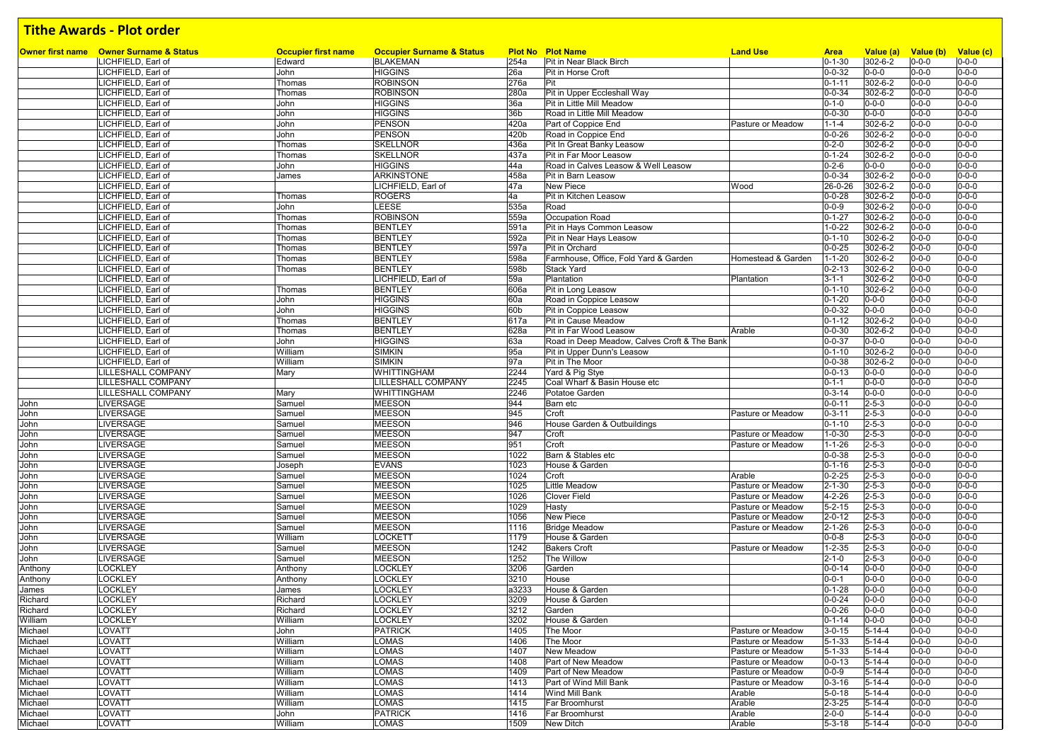|                | Owner first name Owner Surname & Status | <b>Occupier first name</b> | <b>Occupier Surname &amp; Status</b> |                 | <b>Plot No Plot Name</b>                     | <b>Land Use</b>    | <b>Area</b>  | Value (a)     | Value (b)   | Value (c)   |
|----------------|-----------------------------------------|----------------------------|--------------------------------------|-----------------|----------------------------------------------|--------------------|--------------|---------------|-------------|-------------|
|                | LICHFIELD, Earl of                      | Edward                     | <b>BLAKEMAN</b>                      | 254a            | Pit in Near Black Birch                      |                    | $0 - 1 - 30$ | 302-6-2       | $0 - 0 - 0$ | $0 - 0 - 0$ |
|                | LICHFIELD, Earl of                      | John                       | <b>HIGGINS</b>                       | 26a             | Pit in Horse Croft                           |                    | $0 - 0 - 32$ | $0 - 0 - 0$   | $0 - 0 - 0$ | $0 - 0 - 0$ |
|                | LICHFIELD, Earl of                      | Thomas                     | <b>ROBINSON</b>                      | 276a            | Pit                                          |                    | $0 - 1 - 11$ | 302-6-2       | $0 - 0 - 0$ | $0 - 0 - 0$ |
|                | LICHFIELD, Earl of                      | Thomas                     | <b>ROBINSON</b>                      | 280a            | Pit in Upper Eccleshall Way                  |                    | $0 - 0 - 34$ | 302-6-2       | $0 - 0 - 0$ | $0 - 0 - 0$ |
|                | LICHFIELD, Earl of                      | John                       | <b>HIGGINS</b>                       | 36a             | Pit in Little Mill Meadow                    |                    | $0 - 1 - 0$  | $0 - 0 - 0$   | $0 - 0 - 0$ | $0 - 0 - 0$ |
|                | LICHFIELD, Earl of                      | John                       | <b>HIGGINS</b>                       | 36 <sub>b</sub> | Road in Little Mill Meadow                   |                    | $0 - 0 - 30$ | $0 - 0 - 0$   | $0 - 0 - 0$ | $0 - 0 - 0$ |
|                | LICHFIELD, Earl of                      | John                       | <b>PENSON</b>                        | 420a            | Part of Coppice End                          | Pasture or Meadow  | $1 - 1 - 4$  | 302-6-2       | $0 - 0 - 0$ | $0 - 0 - 0$ |
|                | LICHFIELD, Earl of                      | John                       | PENSON                               | 420b            | Road in Coppice End                          |                    | $0 - 0 - 26$ | 302-6-2       | $0 - 0 - 0$ | $0 - 0 - 0$ |
|                | LICHFIELD, Earl of                      | Thomas                     | <b>SKELLNOR</b>                      | 436a            | Pit In Great Banky Leasow                    |                    | $0 - 2 - 0$  | 302-6-2       | $0 - 0 - 0$ | $0 - 0 - 0$ |
|                | ICHFIELD, Earl of                       | Thomas                     | <b>SKELLNOR</b>                      | 437a            | Pit in Far Moor Leasow                       |                    | $0 - 1 - 24$ | $302 - 6 - 2$ | $0 - 0 - 0$ | $0 - 0 - 0$ |
|                | LICHFIELD, Earl of                      | John                       | <b>HIGGINS</b>                       | 44a             | Road in Calves Leasow & Well Leasow          |                    | $0 - 2 - 6$  | $0 - 0 - 0$   | $0 - 0 - 0$ | $0 - 0 - 0$ |
|                | LICHFIELD, Earl of                      | James                      | <b>ARKINSTONE</b>                    | 458a            | Pit in Barn Leasow                           |                    | $0 - 0 - 34$ | $302 - 6 - 2$ | $0 - 0 - 0$ | $0 - 0 - 0$ |
|                | LICHFIELD, Earl of                      |                            | LICHFIELD, Earl of                   | 47a             | New Piece                                    | Wood               | 26-0-26      | 302-6-2       | $0 - 0 - 0$ | $0 - 0 - 0$ |
|                | LICHFIELD, Earl of                      | Thomas                     | <b>ROGERS</b>                        | 4a              | Pit in Kitchen Leasow                        |                    | $0 - 0 - 28$ | 302-6-2       | $0 - 0 - 0$ | $0 - 0 - 0$ |
|                | LICHFIELD, Earl of                      | John                       | LEESE                                | 535a            | Road                                         |                    | $0 - 0 - 9$  | 302-6-2       | $0 - 0 - 0$ | $0 - 0 - 0$ |
|                | LICHFIELD, Earl of                      | Thomas                     | <b>ROBINSON</b>                      | 559a            | Occupation Road                              |                    | $0 - 1 - 27$ | 302-6-2       | $0 - 0 - 0$ | $0 - 0 - 0$ |
|                | LICHFIELD, Earl of                      | Thomas                     | <b>BENTLEY</b>                       | 591a            | Pit in Hays Common Leasow                    |                    | $1 - 0 - 22$ | 302-6-2       | $0 - 0 - 0$ | $0 - 0 - 0$ |
|                | ICHFIELD, Earl of                       | Thomas                     | <b>BENTLEY</b>                       | 592a            | Pit in Near Hays Leasow                      |                    | $0 - 1 - 10$ | 302-6-2       | $0 - 0 - 0$ | $0 - 0 - 0$ |
|                | LICHFIELD, Earl of                      | Thomas                     | <b>BENTLEY</b>                       | 597a            | Pit in Orchard                               |                    | $0 - 0 - 25$ | 302-6-2       | $0 - 0 - 0$ | $0 - 0 - 0$ |
|                | LICHFIELD, Earl of                      | Thomas                     | <b>BENTLEY</b>                       | 598a            | Farmhouse, Office, Fold Yard & Garden        | Homestead & Garden | $1 - 1 - 20$ | 302-6-2       | $0 - 0 - 0$ | $0 - 0 - 0$ |
|                | ICHFIELD, Earl of                       | Thomas                     | <b>BENTLEY</b>                       | 598b            | <b>Stack Yard</b>                            |                    | $0 - 2 - 13$ | 302-6-2       | $0 - 0 - 0$ | $0 - 0 - 0$ |
|                | LICHFIELD, Earl of                      |                            | LICHFIELD, Earl of                   | 59a             | Plantation                                   | Plantation         | $3 - 1 - 1$  | 302-6-2       | $0 - 0 - 0$ | $0 - 0 - 0$ |
|                | LICHFIELD, Earl of                      | Thomas                     | <b>BENTLEY</b>                       | 606a            | Pit in Long Leasow                           |                    | $0 - 1 - 10$ | $302 - 6 - 2$ | $0 - 0 - 0$ | $0 - 0 - 0$ |
|                | LICHFIELD, Earl of                      | John                       | <b>HIGGINS</b>                       | 60a             | Road in Coppice Leasow                       |                    | $0 - 1 - 20$ | $0 - 0 - 0$   | $0 - 0 - 0$ | $0 - 0 - 0$ |
|                | LICHFIELD, Earl of                      | John                       | <b>HIGGINS</b>                       | 60b             | Pit in Coppice Leasow                        |                    | $0 - 0 - 32$ | $0 - 0 - 0$   | $0 - 0 - 0$ | $0 - 0 - 0$ |
|                | LICHFIELD, Earl of                      | Thomas                     | <b>BENTLEY</b>                       | 617a            | Pit in Cause Meadow                          |                    | $0 - 1 - 12$ | 302-6-2       | $0 - 0 - 0$ | $0 - 0 - 0$ |
|                | LICHFIELD, Earl of                      | Thomas                     | <b>BENTLEY</b>                       | 628a            | Pit in Far Wood Leasow                       | Arable             | $0 - 0 - 30$ | 302-6-2       | $0 - 0 - 0$ | $0 - 0 - 0$ |
|                | LICHFIELD, Earl of                      | John                       | <b>HIGGINS</b>                       | 63а             | Road in Deep Meadow, Calves Croft & The Bank |                    | $0 - 0 - 37$ | $0 - 0 - 0$   | $0 - 0 - 0$ | $0 - 0 - 0$ |
|                | LICHFIELD, Earl of                      | William                    | <b>SIMKIN</b>                        | 95a             | Pit in Upper Dunn's Leasow                   |                    | $0 - 1 - 10$ | $302 - 6 - 2$ | $0 - 0 - 0$ | $0 - 0 - 0$ |
|                | LICHFIELD, Earl of                      | William                    | <b>SIMKIN</b>                        | 97a             | Pit in The Moor                              |                    | $0 - 0 - 38$ | 302-6-2       | $0 - 0 - 0$ | $0 - 0 - 0$ |
|                | LILLESHALL COMPANY                      | Mary                       | <b>WHITTINGHAM</b>                   | 2244            | Yard & Pig Stye                              |                    | $0 - 0 - 13$ | $0 - 0 - 0$   | $0 - 0 - 0$ | $0 - 0 - 0$ |
|                | LILLESHALL COMPANY                      |                            | <b>LILLESHALL COMPANY</b>            | 2245            | Coal Wharf & Basin House etc                 |                    | $0 - 1 - 1$  | $0 - 0 - 0$   | $0 - 0 - 0$ | $0 - 0 - 0$ |
|                | LILLESHALL COMPANY                      | Mary                       | WHITTINGHAM                          | 2246            | Potatoe Garden                               |                    | $0 - 3 - 14$ | $0 - 0 - 0$   | $0 - 0 - 0$ | $0 - 0 - 0$ |
| John           | LIVERSAGE                               | Samuel                     | <b>MEESON</b>                        | 944             | Barn etc                                     |                    | $0 - 0 - 11$ | $2 - 5 - 3$   | $0 - 0 - 0$ | $0 - 0 - 0$ |
| John           | LIVERSAGE                               | Samuel                     | <b>MEESON</b>                        | 945             | Croft                                        | Pasture or Meadow  | $0 - 3 - 11$ | $2 - 5 - 3$   | $0 - 0 - 0$ | $0 - 0 - 0$ |
| John           | LIVERSAGE                               | Samuel                     | <b>MEESON</b>                        | 946             | House Garden & Outbuildings                  |                    | $0 - 1 - 10$ | $2 - 5 - 3$   | $0 - 0 - 0$ | $0 - 0 - 0$ |
| John           | LIVERSAGE                               | Samuel                     | <b>MEESON</b>                        | 947             | Croft                                        | Pasture or Meadow  | $1 - 0 - 30$ | $2 - 5 - 3$   | $0 - 0 - 0$ | $0 - 0 - 0$ |
| John           | LIVERSAGE                               | Samuel                     | <b>MEESON</b>                        | 951             | Croft                                        | Pasture or Meadow  | $1 - 1 - 26$ | $2 - 5 - 3$   | $0 - 0 - 0$ | $0 - 0 - 0$ |
| John           | LIVERSAGE                               | Samuel                     | <b>MEESON</b>                        | 1022            | Barn & Stables etc                           |                    | $0 - 0 - 38$ | $2 - 5 - 3$   | $0 - 0 - 0$ | $0 - 0 - 0$ |
| John           | LIVERSAGE                               | Joseph                     | <b>EVANS</b>                         | 1023            | House & Garden                               |                    | $0 - 1 - 16$ | $2 - 5 - 3$   | $0 - 0 - 0$ | $0 - 0 - 0$ |
| John           | LIVERSAGE                               | Samuel                     | <b>MEESON</b>                        | 1024            | Croft                                        | Arable             | $0 - 2 - 25$ | $2 - 5 - 3$   | $0 - 0 - 0$ | $0 - 0 - 0$ |
| John           | LIVERSAGE                               | Samuel                     | <b>MEESON</b>                        | 1025            | Little Meadow                                | Pasture or Meadow  | $2 - 1 - 30$ | $2 - 5 - 3$   | $0 - 0 - 0$ | $0 - 0 - 0$ |
| John           | LIVERSAGE                               | Samuel                     | <b>MEESON</b>                        | 1026            | Clover Field                                 | Pasture or Meadow  | $4 - 2 - 26$ | $2 - 5 - 3$   | $0 - 0 - 0$ | $0 - 0 - 0$ |
| John           | LIVERSAGE                               | Samuel                     | <b>MEESON</b>                        | 1029            | Hasty                                        | Pasture or Meadow  | $5 - 2 - 15$ | $2 - 5 - 3$   | $0 - 0 - 0$ | $0 - 0 - 0$ |
| John           | LIVERSAGE                               | Samuel                     | <b>MEESON</b>                        | 1056            | New Piece                                    | Pasture or Meadow  | $2 - 0 - 12$ | $2 - 5 - 3$   | $0 - 0 - 0$ | $0 - 0 - 0$ |
| John           | LIVERSAGE                               | Samuel                     | <b>MEESON</b>                        | 1116            | <b>Bridge Meadow</b>                         | Pasture or Meadow  | $2 - 1 - 26$ | $2 - 5 - 3$   | $0 - 0 - 0$ | $0 - 0 - 0$ |
| John           | LIVERSAGE                               | William                    | <b>LOCKETT</b>                       | 1179            | House & Garden                               |                    | $0 - 0 - 8$  | $2 - 5 - 3$   | $0 - 0 - 0$ | $0 - 0 - 0$ |
| John           | LIVERSAGE                               | Samuel                     | <b>MEESON</b>                        | 1242            | <b>Bakers Croft</b>                          | Pasture or Meadow  | $1 - 2 - 35$ | $2 - 5 - 3$   | $0 - 0 - 0$ | $0 - 0 - 0$ |
| John           | LIVERSAGE                               | Samuel                     | <b>MEESON</b>                        | 1252            | The Willow                                   |                    | $2 - 1 - 0$  | $2 - 5 - 3$   | $0 - 0 - 0$ | $0 - 0 - 0$ |
| Anthony        | LOCKLEY                                 | Anthony                    | <b>LOCKLEY</b>                       | 3206            | Garden                                       |                    | $0 - 0 - 14$ | $0 - 0 - 0$   | $0 - 0 - 0$ | $0 - 0 - 0$ |
| Anthony        | LOCKLEY                                 | Anthony                    | <b>LOCKLEY</b>                       | 3210            | House                                        |                    | $0 - 0 - 1$  | $0 - 0 - 0$   | $0 - 0 - 0$ | $0 - 0 - 0$ |
| James          | LOCKLEY                                 | James                      | <b>LOCKLEY</b>                       | a3233           | House & Garden                               |                    | $0 - 1 - 28$ | $0 - 0 - 0$   | $0 - 0 - 0$ | $0 - 0 - 0$ |
| Richard        | <b>OCKLEY</b>                           | Richard                    | <b>LOCKLEY</b>                       | 3209            | House & Garden                               |                    | $0 - 0 - 24$ | $0 - 0 - 0$   | $0 - 0 - 0$ | $0 - 0 - 0$ |
| <b>Richard</b> | LOCKLEY                                 | <b>Richard</b>             | <b>LOCKLEY</b>                       | 3212            | Garden                                       |                    | $0 - 0 - 26$ | $0 - 0 - 0$   | $0 - 0 - 0$ | $0 - 0 - 0$ |
| William        | <b>LOCKLEY</b>                          | William                    | <b>LOCKLEY</b>                       | 3202            | House & Garden                               |                    | $0 - 1 - 14$ | $0 - 0 - 0$   | $0 - 0 - 0$ | $0 - 0 - 0$ |
| Michael        | LOVATT                                  | John                       | <b>PATRICK</b>                       | 1405            | The Moor                                     | Pasture or Meadow  | $3 - 0 - 15$ | $5 - 14 - 4$  | $0 - 0 - 0$ | $0 - 0 - 0$ |
| Michael        | LOVATT                                  | William                    | <b>LOMAS</b>                         | 1406            | The Moor                                     | Pasture or Meadow  | $5 - 1 - 33$ | $5 - 14 - 4$  | $0 - 0 - 0$ | $0 - 0 - 0$ |
| Michael        | LOVATT                                  | William                    | <b>LOMAS</b>                         | 1407            | <b>New Meadow</b>                            | Pasture or Meadow  | $5 - 1 - 33$ | $5 - 14 - 4$  | $0 - 0 - 0$ | $0 - 0 - 0$ |
| Michael        | LOVATT                                  | William                    | <b>LOMAS</b>                         | 1408            | Part of New Meadow                           | Pasture or Meadow  | $0 - 0 - 13$ | $5 - 14 - 4$  | $0 - 0 - 0$ | $0 - 0 - 0$ |
| Michael        | LOVATT                                  | William                    | <b>LOMAS</b>                         | 1409            | Part of New Meadow                           | Pasture or Meadow  | $0 - 0 - 9$  | $5 - 14 - 4$  | $0 - 0 - 0$ | $0 - 0 - 0$ |
| Michael        | LOVATT                                  | William                    | <b>LOMAS</b>                         | 1413            | Part of Wind Mill Bank                       | Pasture or Meadow  | $0 - 3 - 16$ | $5 - 14 - 4$  | $0 - 0 - 0$ | $0 - 0 - 0$ |
| Michael        | LOVATT                                  | William                    | <b>LOMAS</b>                         | 1414            | Wind Mill Bank                               | Arable             | $5 - 0 - 18$ | $5 - 14 - 4$  | $0 - 0 - 0$ | $0 - 0 - 0$ |
| Michael        | LOVATT                                  | William                    | <b>LOMAS</b>                         | 1415            | Far Broomhurst                               | Arable             | $2 - 3 - 25$ | $5 - 14 - 4$  | $0 - 0 - 0$ | $0 - 0 - 0$ |
| Michael        | LOVATT                                  | John                       | <b>PATRICK</b>                       | 1416            | Far Broomhurst                               | Arable             | $2 - 0 - 0$  | $5 - 14 - 4$  | $0 - 0 - 0$ | $0 - 0 - 0$ |
| Michael        | LOVATT                                  | William                    | <b>LOMAS</b>                         | 1509            | New Ditch                                    | Arable             | $5 - 3 - 18$ | $5 - 14 - 4$  | $0 - 0 - 0$ | $0 - 0 - 0$ |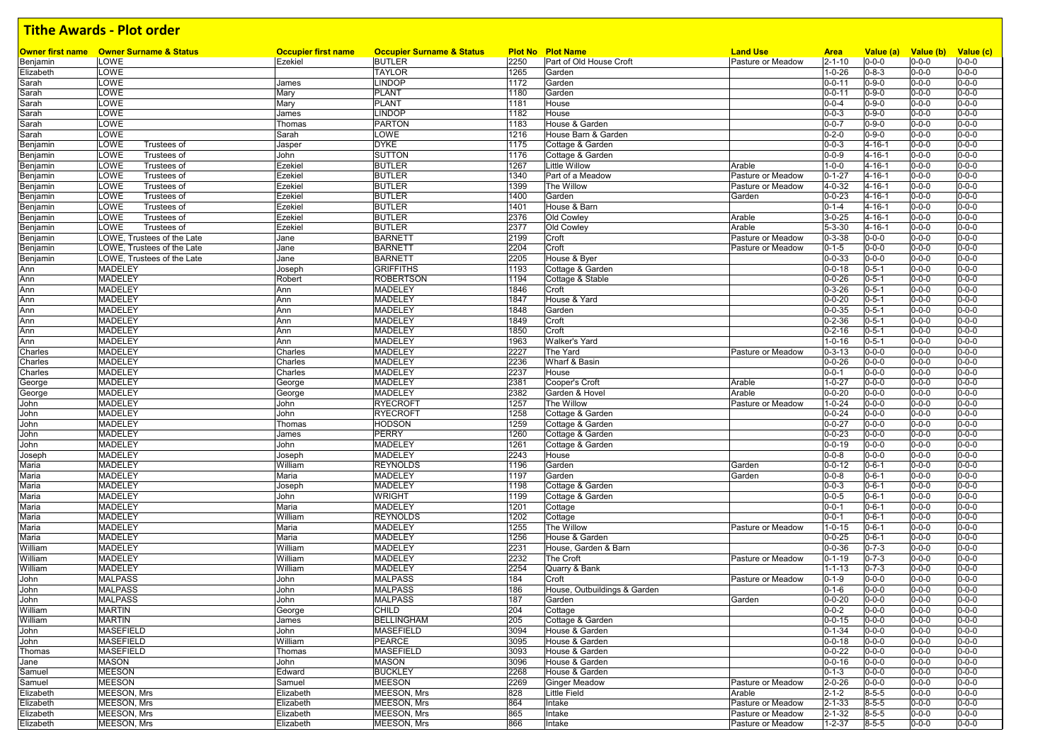|           | <b>Owner first name</b> Owner Surname & Status | <b>Occupier first name</b> | <b>Occupier Surname &amp; Status</b> |      | <b>Plot No Plot Name</b>     | <b>Land Use</b>   | <b>Area</b>  | Value (a)    | Value (b) Value (c) |             |
|-----------|------------------------------------------------|----------------------------|--------------------------------------|------|------------------------------|-------------------|--------------|--------------|---------------------|-------------|
| Benjamin  | LOWE                                           | Ezekiel                    | <b>BUTLER</b>                        | 2250 | Part of Old House Croft      | Pasture or Meadow | $2 - 1 - 10$ | $0 - 0 - 0$  | $0 - 0 - 0$         | $0 - 0 - 0$ |
| Elizabeth | LOWE                                           |                            | <b>TAYLOR</b>                        | 1265 | Garden                       |                   | $1 - 0 - 26$ | $0 - 8 - 3$  | $0 - 0 - 0$         | $0 - 0 - 0$ |
| Sarah     | LOWE                                           | James                      | <b>LINDOP</b>                        | 1172 | Garden                       |                   | $0 - 0 - 11$ | $0 - 9 - 0$  | $0 - 0 - 0$         | $0 - 0 - 0$ |
| Sarah     | LOWE                                           | Mary                       | <b>PLANT</b>                         | 1180 | Garden                       |                   | $0 - 0 - 11$ | $0 - 9 - 0$  | $0 - 0 - 0$         | $0 - 0 - 0$ |
| Sarah     | LOWE                                           | Mary                       | <b>PLANT</b>                         | 1181 | House                        |                   | $0 - 0 - 4$  | $0 - 9 - 0$  | $0 - 0 - 0$         | $0 - 0 - 0$ |
| Sarah     | LOWE                                           | James                      | <b>LINDOP</b>                        | 1182 | House                        |                   | $0 - 0 - 3$  | $0 - 9 - 0$  | $0 - 0 - 0$         | $0 - 0 - 0$ |
| Sarah     | LOWE                                           | Thomas                     | <b>PARTON</b>                        | 1183 | House & Garden               |                   | $0 - 0 - 7$  | $0 - 9 - 0$  | $0 - 0 - 0$         | $0 - 0 - 0$ |
| Sarah     | LOWE                                           | Sarah                      | LOWE                                 | 1216 | House Barn & Garden          |                   | $0 - 2 - 0$  | $0 - 9 - 0$  | $0 - 0 - 0$         | $0 - 0 - 0$ |
| Benjamin  | LOWE<br>Trustees of                            | Jasper                     | <b>DYKE</b>                          | 1175 | Cottage & Garden             |                   | $0 - 0 - 3$  | $4 - 16 - 1$ | $0 - 0 - 0$         | $0 - 0 - 0$ |
| Benjamin  | LOWE<br>Trustees of                            | John                       | SUTTON                               | 1176 | Cottage & Garden             |                   | $0 - 0 - 9$  | $4 - 16 - 1$ | $0 - 0 - 0$         | $0 - 0 - 0$ |
| Benjamin  | LOWE<br>Trustees of                            | Ezekiel                    | <b>BUTLER</b>                        | 1267 | Little Willow                | Arable            | $1 - 0 - 0$  | $4 - 16 - 1$ | $0 - 0 - 0$         | $0 - 0 - 0$ |
| Benjamin  | LOWE<br>Trustees of                            | Ezekiel                    | <b>BUTLER</b>                        | 1340 | Part of a Meadow             | Pasture or Meadow | $0 - 1 - 27$ | $4 - 16 - 1$ | $0 - 0 - 0$         | $0 - 0 - 0$ |
| Benjamin  | LOWE<br>Trustees of                            | Ezekiel                    | <b>BUTLER</b>                        | 1399 | The Willow                   | Pasture or Meadow | 4-0-32       | $4 - 16 - 1$ | $0 - 0 - 0$         | $0 - 0 - 0$ |
| Benjamin  | LOWE<br>Trustees of                            | Ezekiel                    | <b>BUTLER</b>                        | 1400 | Garden                       | Garden            | $0 - 0 - 23$ | $4 - 16 - 1$ | $0 - 0 - 0$         | $0 - 0 - 0$ |
| Benjamin  | LOWE<br>Trustees of                            | Ezekiel                    | <b>BUTLER</b>                        | 1401 | House & Barn                 |                   | $0 - 1 - 4$  | $4 - 16 - 1$ | $0 - 0 - 0$         | $0 - 0 - 0$ |
| Benjamin  | LOWE<br>Trustees of                            | Ezekiel                    | <b>BUTLER</b>                        | 2376 | Old Cowley                   | Arable            | $3 - 0 - 25$ | $4 - 16 - 1$ | $0 - 0 - 0$         | $0 - 0 - 0$ |
| Benjamin  | LOWE<br>Trustees of                            | Ezekiel                    | <b>BUTLER</b>                        | 2377 | Old Cowley                   | Arable            | $5 - 3 - 30$ | $4 - 16 - 1$ | $0 - 0 - 0$         | $0 - 0 - 0$ |
| Benjamin  | LOWE, Trustees of the Late                     | Jane                       | <b>BARNETT</b>                       | 2199 | Croft                        | Pasture or Meadow | $0 - 3 - 38$ | $0 - 0 - 0$  | $0 - 0 - 0$         | $0 - 0 - 0$ |
| Benjamin  | LOWE, Trustees of the Late                     | Jane                       | <b>BARNETT</b>                       | 2204 | Croft                        | Pasture or Meadow | $0 - 1 - 5$  | $0 - 0 - 0$  | $0 - 0 - 0$         | $0 - 0 - 0$ |
| Benjamin  | LOWE, Trustees of the Late                     | Jane                       | <b>BARNETT</b>                       | 2205 | House & Byer                 |                   | $0 - 0 - 33$ | $0 - 0 - 0$  | $0 - 0 - 0$         | $0 - 0 - 0$ |
| Ann       | <b>MADELEY</b>                                 | Joseph                     | <b>GRIFFITHS</b>                     | 1193 | Cottage & Garden             |                   | $0 - 0 - 18$ | $0 - 5 - 1$  | $0 - 0 - 0$         | $0 - 0 - 0$ |
| Ann       | <b>MADELEY</b>                                 | Robert                     | <b>ROBERTSON</b>                     | 1194 | Cottage & Stable             |                   | $0 - 0 - 26$ | $0 - 5 - 1$  | $0 - 0 - 0$         | $0 - 0 - 0$ |
| Ann       | <b>MADELEY</b>                                 | Ann                        | MADELEY                              | 1846 | Croft                        |                   | $0 - 3 - 26$ | $0 - 5 - 1$  | $0 - 0 - 0$         | $0 - 0 - 0$ |
| Ann       | <b>MADELEY</b>                                 | Ann                        | MADELEY                              | 1847 | House & Yard                 |                   | $0 - 0 - 20$ | $0 - 5 - 1$  | $0 - 0 - 0$         | $0 - 0 - 0$ |
| Ann       | <b>MADELEY</b>                                 | Ann                        | MADELEY                              | 1848 | Garden                       |                   | $0 - 0 - 35$ | $0 - 5 - 1$  | $0 - 0 - 0$         | $0 - 0 - 0$ |
| Ann       | <b>MADELEY</b>                                 | Ann                        | MADELEY                              | 1849 | Croft                        |                   | $0 - 2 - 36$ | $0 - 5 - 1$  | $0 - 0 - 0$         | $0 - 0 - 0$ |
| Ann       | <b>MADELEY</b>                                 | Ann                        | MADELEY                              | 1850 | Croft                        |                   | $0 - 2 - 16$ | $0 - 5 - 1$  | $0 - 0 - 0$         | $0 - 0 - 0$ |
| Ann       | <b>MADELEY</b>                                 | Ann                        | MADELEY                              | 1963 | Walker's Yard                |                   | $1 - 0 - 16$ | $0 - 5 - 1$  | $0 - 0 - 0$         | $0 - 0 - 0$ |
| Charles   | <b>MADELEY</b>                                 | Charles                    | MADELEY                              | 2227 | The Yard                     | Pasture or Meadow | $0 - 3 - 13$ | $0 - 0 - 0$  | $0 - 0 - 0$         | $0 - 0 - 0$ |
| Charles   | <b>MADELEY</b>                                 | Charles                    | MADELEY                              | 2236 | Wharf & Basin                |                   | $0 - 0 - 26$ | $0 - 0 - 0$  | $0 - 0 - 0$         | $0 - 0 - 0$ |
| Charles   | <b>MADELEY</b>                                 | Charles                    | <b>MADELEY</b>                       | 2237 | House                        |                   | $0 - 0 - 1$  | $0 - 0 - 0$  | $0 - 0 - 0$         | $0 - 0 - 0$ |
| George    | <b>MADELEY</b>                                 | George                     | MADELEY                              | 2381 | Cooper's Croft               | Arable            | $1 - 0 - 27$ | $0 - 0 - 0$  | $0 - 0 - 0$         | $0 - 0 - 0$ |
| George    | <b>MADELEY</b>                                 | George                     | <b>MADELEY</b>                       | 2382 | Garden & Hovel               | Arable            | $0 - 0 - 20$ | $0 - 0 - 0$  | $0 - 0 - 0$         | $0 - 0 - 0$ |
| John      | <b>MADELEY</b>                                 | John                       | <b>RYECROFT</b>                      | 1257 | The Willow                   | Pasture or Meadow | $1 - 0 - 24$ | $0 - 0 - 0$  | $0 - 0 - 0$         | $0 - 0 - 0$ |
| John      | <b>MADELEY</b>                                 | John                       | <b>RYECROFT</b>                      | 1258 | Cottage & Garden             |                   | $0 - 0 - 24$ | $0 - 0 - 0$  | $0 - 0 - 0$         | $0 - 0 - 0$ |
| John      | <b>MADELEY</b>                                 | Thomas                     | HODSON                               | 1259 | Cottage & Garden             |                   | $0 - 0 - 27$ | $0 - 0 - 0$  | $0 - 0 - 0$         | $0 - 0 - 0$ |
| John      | <b>MADELEY</b>                                 | James                      | <b>PERRY</b>                         | 1260 | Cottage & Garden             |                   | $0 - 0 - 23$ | $0 - 0 - 0$  | $0 - 0 - 0$         | $0 - 0 - 0$ |
| John      | <b>MADELEY</b>                                 | John                       | <b>MADELEY</b>                       | 1261 | Cottage & Garden             |                   | $0 - 0 - 19$ | $0 - 0 - 0$  | $0 - 0 - 0$         | $0 - 0 - 0$ |
| Joseph    | <b>MADELEY</b>                                 | Joseph                     | MADELEY                              | 2243 | House                        |                   | $0 - 0 - 8$  | $0 - 0 - 0$  | $0 - 0 - 0$         | $0 - 0 - 0$ |
| Maria     | <b>MADELEY</b>                                 | William                    | <b>REYNOLDS</b>                      | 1196 | Garden                       | Garden            | $0 - 0 - 12$ | $0 - 6 - 1$  | $0 - 0 - 0$         | $0 - 0 - 0$ |
| Maria     | <b>MADELEY</b>                                 | Maria                      | MADELEY                              | 1197 | Garden                       | Garden            | $0 - 0 - 8$  | $0 - 6 - 1$  | $0 - 0 - 0$         | $0 - 0 - 0$ |
| Maria     | <b>MADELEY</b>                                 | Joseph                     | MADELEY                              | 1198 | Cottage & Garden             |                   | $0 - 0 - 3$  | $0 - 6 - 1$  | $0 - 0 - 0$         | $0 - 0 - 0$ |
| Maria     | <b>MADELEY</b>                                 | John                       | WRIGHT                               | 1199 | Cottage & Garden             |                   | $0 - 0 - 5$  | $0 - 6 - 1$  | $0 - 0 - 0$         | $0 - 0 - 0$ |
| Maria     | <b>MADELEY</b>                                 | Maria                      | MADELEY                              | 1201 | Cottage                      |                   | $0 - 0 - 1$  | $0 - 6 - 1$  | $0 - 0 - 0$         | $0 - 0 - 0$ |
|           | <b>MADELEY</b>                                 | William                    | <b>REYNOLDS</b>                      | 1202 | Cottage                      |                   | $0 - 0 - 1$  | $0 - 6 - 1$  | $0 - 0 - 0$         | $0 - 0 - 0$ |
| Maria     | <b>MADELEY</b>                                 | Maria                      | MADELEY                              |      | The Willow                   | Pasture or Meadow |              | $0 - 6 - 1$  | $0 - 0 - 0$         | $0 - 0 - 0$ |
| Maria     |                                                |                            |                                      | 1255 |                              |                   | $1 - 0 - 15$ |              |                     | $0 - 0 - 0$ |
| Maria     | <b>MADELEY</b>                                 | Maria                      | MADELEY                              | 1256 | House & Garden               |                   | $0 - 0 - 25$ | $0 - 6 - 1$  | $0 - 0 - 0$         |             |
| William   | <b>MADELEY</b>                                 | William                    | MADELEY                              | 2231 | House, Garden & Barn         |                   | $0 - 0 - 36$ | $0 - 7 - 3$  | $0 - 0 - 0$         | $0 - 0 - 0$ |
| William   | <b>MADELEY</b>                                 | William                    | MADELEY                              | 2232 | The Croft                    | Pasture or Meadow | $0 - 1 - 19$ | $0 - 7 - 3$  | $0 - 0 - 0$         | $0 - 0 - 0$ |
| William   | <b>MADELEY</b>                                 | William                    | <b>MADELEY</b>                       | 2254 | Quarry & Bank                |                   | $1 - 1 - 13$ | $0 - 7 - 3$  | $0 - 0 - 0$         | $0 - 0 - 0$ |
| John      | <b>MALPASS</b>                                 | John                       | <b>MALPASS</b>                       | 184  | Croft                        | Pasture or Meadow | $0 - 1 - 9$  | $0 - 0 - 0$  | $0 - 0 - 0$         | $0 - 0 - 0$ |
| John      | <b>MALPASS</b>                                 | John                       | <b>MALPASS</b>                       | 186  | House, Outbuildings & Garden |                   | $0 - 1 - 6$  | $0 - 0 - 0$  | $0 - 0 - 0$         | $0 - 0 - 0$ |
| John      | <b>MALPASS</b>                                 | John                       | <b>MALPASS</b>                       | 187  | Garden                       | Garden            | $0 - 0 - 20$ | $0 - 0 - 0$  | $0 - 0 - 0$         | $0 - 0 - 0$ |
| William   | <b>MARTIN</b>                                  | George                     | CHILD                                | 204  | Cottage                      |                   | $0 - 0 - 2$  | $0 - 0 - 0$  | $0 - 0 - 0$         | $0 - 0 - 0$ |
| William   | <b>MARTIN</b>                                  | James                      | <b>BELLINGHAM</b>                    | 205  | Cottage & Garden             |                   | $0 - 0 - 15$ | $0 - 0 - 0$  | $0 - 0 - 0$         | $0 - 0 - 0$ |
| John      | <b>MASEFIELD</b>                               | John                       | <b>MASEFIELD</b>                     | 3094 | House & Garden               |                   | $0 - 1 - 34$ | $0 - 0 - 0$  | $0 - 0 - 0$         | $0 - 0 - 0$ |
| John      | <b>MASEFIELD</b>                               | William                    | <b>PEARCE</b>                        | 3095 | House & Garden               |                   | $0 - 0 - 18$ | $0 - 0 - 0$  | $0 - 0 - 0$         | $0 - 0 - 0$ |
| Thomas    | <b>MASEFIELD</b>                               | Thomas                     | <b>MASEFIELD</b>                     | 3093 | House & Garden               |                   | $0 - 0 - 22$ | $0 - 0 - 0$  | $0 - 0 - 0$         | $0 - 0 - 0$ |
| Jane      | <b>MASON</b>                                   | John                       | <b>MASON</b>                         | 3096 | House & Garden               |                   | $0 - 0 - 16$ | $0 - 0 - 0$  | $0 - 0 - 0$         | $0 - 0 - 0$ |
| Samuel    | <b>MEESON</b>                                  | Edward                     | <b>BUCKLEY</b>                       | 2268 | House & Garden               |                   | $0 - 1 - 3$  | $0 - 0 - 0$  | $0 - 0 - 0$         | $0 - 0 - 0$ |
| Samuel    | <b>MEESON</b>                                  | Samuel                     | <b>MEESON</b>                        | 2269 | <b>Ginger Meadow</b>         | Pasture or Meadow | $2 - 0 - 26$ | $0 - 0 - 0$  | $0 - 0 - 0$         | $0 - 0 - 0$ |
| Elizabeth | MEESON, Mrs                                    | Elizabeth                  | <b>MEESON, Mrs</b>                   | 828  | Little Field                 | Arable            | $2 - 1 - 2$  | $8 - 5 - 5$  | $0 - 0 - 0$         | $0 - 0 - 0$ |
| Elizabeth | <b>MEESON, Mrs</b>                             | Elizabeth                  | MEESON, Mrs                          | 864  | Intake                       | Pasture or Meadow | $2 - 1 - 33$ | $8 - 5 - 5$  | $0 - 0 - 0$         | $0 - 0 - 0$ |
| Elizabeth | MEESON, Mrs                                    | Elizabeth                  | MEESON, Mrs                          | 865  | Intake                       | Pasture or Meadow | $2 - 1 - 32$ | $8 - 5 - 5$  | $0 - 0 - 0$         | $0 - 0 - 0$ |
| Elizabeth | MEESON, Mrs                                    | Elizabeth                  | MEESON, Mrs                          | 866  | Intake                       | Pasture or Meadow | $1 - 2 - 37$ | $8 - 5 - 5$  | $0 - 0 - 0$         | $0 - 0 - 0$ |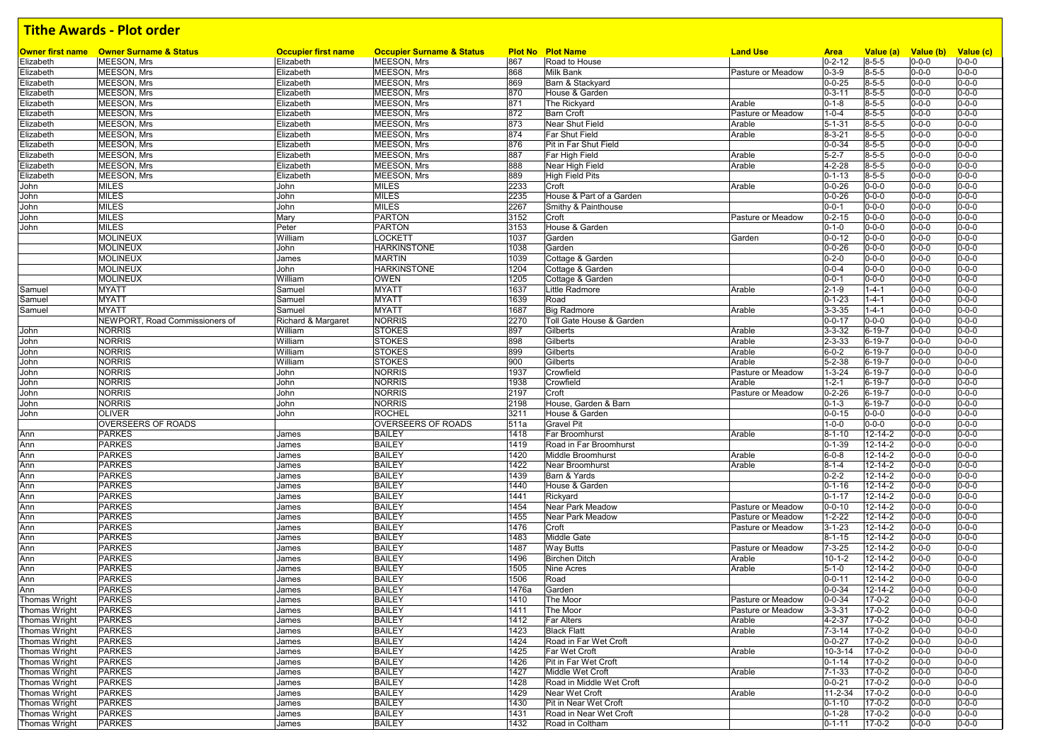| <b>Owner first name</b> | <b>Owner Surname &amp; Status</b> | <b>Occupier first name</b>    | <b>Occupier Surname &amp; Status</b>     |            | <b>Plot No Plot Name</b>                       | <b>Land Use</b>   | <b>Area</b>                  | Value (a)                   | Value (b)                  | Value (c)                  |
|-------------------------|-----------------------------------|-------------------------------|------------------------------------------|------------|------------------------------------------------|-------------------|------------------------------|-----------------------------|----------------------------|----------------------------|
| Elizabeth               | MEESON, Mrs                       | Elizabeth                     | MEESON, Mrs                              | 867        | Road to House                                  |                   | $0 - 2 - 12$                 | $8 - 5 - 5$                 | $0 - 0 - 0$                | $0 - 0 - 0$                |
| Elizabeth               | MEESON, Mrs                       | Elizabeth                     | MEESON, Mrs                              | 868        | <b>Milk Bank</b>                               | Pasture or Meadow | $0 - 3 - 9$                  | $8 - 5 - 5$                 | $0 - 0 - 0$                | $0 - 0 - 0$                |
| Elizabeth               | MEESON, Mrs                       | Elizabeth                     | <b>MEESON, Mrs</b>                       | 869        | Barn & Stackyard                               |                   | $0 - 0 - 25$                 | $8 - 5 - 5$                 | $0 - 0 - 0$                | $0 - 0 - 0$                |
| Elizabeth               | MEESON, Mrs                       | Elizabeth                     | MEESON, Mrs                              | 870        | House & Garden                                 |                   | $0 - 3 - 11$                 | $8 - 5 - 5$                 | $0 - 0 - 0$                | $0 - 0 - 0$                |
| Elizabeth               | MEESON, Mrs<br><b>MEESON, Mrs</b> | Elizabeth                     | <b>MEESON, Mrs</b>                       | 871<br>872 | The Rickyard                                   | Arable            | $0 - 1 - 8$                  | $8 - 5 - 5$<br>$8 - 5 - 5$  | $0 - 0 - 0$                | $0 - 0 - 0$<br>$0 - 0 - 0$ |
| Elizabeth               |                                   | Elizabeth                     | <b>MEESON, Mrs</b><br><b>MEESON, Mrs</b> |            | <b>Barn Croft</b>                              | Pasture or Meadow | $1 - 0 - 4$                  |                             | $0 - 0 - 0$                | $0 - 0 - 0$                |
| Elizabeth               | MEESON, Mrs                       | Elizabeth                     |                                          | 873<br>874 | Near Shut Field                                | Arable            | $5 - 1 - 31$                 | $8 - 5 - 5$                 | $0 - 0 - 0$                | $0 - 0 - 0$                |
| Elizabeth               | MEESON, Mrs                       | Elizabeth                     | <b>MEESON, Mrs</b>                       |            | Far Shut Field                                 | Arable            | $8 - 3 - 21$                 | $8 - 5 - 5$                 | $0 - 0 - 0$                | $0 - 0 - 0$                |
| Elizabeth               | MEESON, Mrs                       | Elizabeth                     | <b>MEESON, Mrs</b>                       | 876<br>887 | Pit in Far Shut Field                          |                   | $0 - 0 - 34$                 | $8 - 5 - 5$                 | $0 - 0 - 0$<br>$0 - 0 - 0$ | $0 - 0 - 0$                |
| Elizabeth               | MEESON, Mrs<br>MEESON, Mrs        | Elizabeth                     | MEESON, Mrs<br><b>MEESON, Mrs</b>        | 888        | Far High Field                                 | Arable<br>Arable  | $5 - 2 - 7$<br>4-2-28        | $8 - 5 - 5$<br>$8 - 5 - 5$  | $0 - 0 - 0$                | $0 - 0 - 0$                |
| Elizabeth               | MEESON, Mrs                       | Elizabeth                     | MEESON, Mrs                              | 889        | Near High Field<br><b>High Field Pits</b>      |                   | $0 - 1 - 13$                 | $8 - 5 - 5$                 | $0 - 0 - 0$                | $0 - 0 - 0$                |
| Elizabeth               | <b>MILES</b>                      | Elizabeth<br>John             | <b>MILES</b>                             | 2233       | Croft                                          | Arable            | $0 - 0 - 26$                 | $0 - 0 - 0$                 | $0 - 0 - 0$                | $0 - 0 - 0$                |
| John                    | <b>MILES</b>                      |                               | <b>MILES</b>                             | 2235       | House & Part of a Garden                       |                   | $0 - 0 - 26$                 | $0 - 0 - 0$                 | $0 - 0 - 0$                | $0 - 0 - 0$                |
| John                    | <b>MILES</b>                      | John<br>John                  | <b>MILES</b>                             | 2267       | Smithy & Painthouse                            |                   | $0 - 0 - 1$                  | $0 - 0 - 0$                 | $0 - 0 - 0$                | $0 - 0 - 0$                |
| John                    | <b>MILES</b>                      |                               | <b>PARTON</b>                            | 3152       | Croft                                          | Pasture or Meadow | $0 - 2 - 15$                 | $0 - 0 - 0$                 | $0 - 0 - 0$                | $0 - 0 - 0$                |
| John                    | <b>MILES</b>                      | Mary<br>Peter                 | <b>PARTON</b>                            | 3153       | House & Garden                                 |                   | $0 - 1 - 0$                  | $0 - 0 - 0$                 | $0 - 0 - 0$                | $0 - 0 - 0$                |
| John                    | <b>MOLINEUX</b>                   | William                       |                                          | 1037       |                                                |                   |                              | $0 - 0 - 0$                 | $0 - 0 - 0$                | $0 - 0 - 0$                |
|                         | <b>MOLINEUX</b>                   | John                          | <b>LOCKETT</b><br><b>HARKINSTONE</b>     | 1038       | Garden<br>Garden                               | Garden            | $0 - 0 - 12$<br>$0 - 0 - 26$ | $0 - 0 - 0$                 | $0 - 0 - 0$                | $0 - 0 - 0$                |
|                         | <b>MOLINEUX</b>                   |                               | <b>MARTIN</b>                            | 1039       | Cottage & Garden                               |                   | $0 - 2 - 0$                  | $0 - 0 - 0$                 | $0 - 0 - 0$                | $0 - 0 - 0$                |
|                         | <b>MOLINEUX</b>                   | James<br>John                 | <b>HARKINSTONE</b>                       | 1204       | Cottage & Garden                               |                   | $0 - 0 - 4$                  | $0 - 0 - 0$                 | $0 - 0 - 0$                | $0 - 0 - 0$                |
|                         | <b>MOLINEUX</b>                   | William                       |                                          | 1205       | Cottage & Garden                               |                   | $0 - 0 - 1$                  | $0 - 0 - 0$                 | $0 - 0 - 0$                | $0 - 0 - 0$                |
|                         | <b>MYATT</b>                      | Samuel                        | <b>OWEN</b><br><b>MYATT</b>              | 1637       | Little Radmore                                 | Arable            | $2 - 1 - 9$                  | $1 - 4 - 1$                 | $0 - 0 - 0$                | $0 - 0 - 0$                |
| Samuel                  | <b>MYATT</b>                      |                               | <b>MYATT</b>                             | 1639       | Road                                           |                   | $0 - 1 - 23$                 | $1 - 4 - 1$                 | $0 - 0 - 0$                | $0 - 0 - 0$                |
| Samuel                  | <b>MYATT</b>                      | Samuel                        | <b>MYATT</b>                             | 1687       |                                                | Arable            | $3 - 3 - 35$                 | $1 - 4 - 1$                 | $0 - 0 - 0$                | $0 - 0 - 0$                |
| Samuel                  | NEWPORT, Road Commissioners of    | Samuel                        | <b>NORRIS</b>                            | 2270       | <b>Big Radmore</b><br>Toll Gate House & Garden |                   |                              |                             | $0 - 0 - 0$                | $0 - 0 - 0$                |
|                         | <b>NORRIS</b>                     | Richard & Margaret<br>William | <b>STOKES</b>                            | 897        | Gilberts                                       | Arable            | $0 - 0 - 17$<br>$3 - 3 - 32$ | $0 - 0 - 0$<br>$6 - 19 - 7$ | $0 - 0 - 0$                | $0 - 0 - 0$                |
| John<br>John            | <b>NORRIS</b>                     | William                       | <b>STOKES</b>                            | 898        | Gilberts                                       | Arable            | $2 - 3 - 33$                 | $6 - 19 - 7$                | $0 - 0 - 0$                | $0 - 0 - 0$                |
| John                    | <b>NORRIS</b>                     | William                       | <b>STOKES</b>                            | 899        | Gilberts                                       | Arable            | $6 - 0 - 2$                  | $6 - 19 - 7$                | $0 - 0 - 0$                | $0 - 0 - 0$                |
|                         | <b>NORRIS</b>                     | William                       | <b>STOKES</b>                            | 900        | Gilberts                                       | Arable            | $5 - 2 - 38$                 | $6 - 19 - 7$                | $0 - 0 - 0$                | $0 - 0 - 0$                |
| John<br>John            | <b>NORRIS</b>                     | John                          | <b>NORRIS</b>                            | 1937       | Crowfield                                      | Pasture or Meadow | $1 - 3 - 24$                 | $6 - 19 - 7$                | $0 - 0 - 0$                | $0 - 0 - 0$                |
| John                    | <b>NORRIS</b>                     | John                          | <b>NORRIS</b>                            | 1938       | Crowfield                                      | Arable            | $1 - 2 - 1$                  | $6 - 19 - 7$                | $0 - 0 - 0$                | $0 - 0 - 0$                |
| John                    | <b>NORRIS</b>                     | John                          | <b>NORRIS</b>                            | 2197       | Croft                                          | Pasture or Meadow | $0 - 2 - 26$                 | $6 - 19 - 7$                | $0 - 0 - 0$                | $0 - 0 - 0$                |
| John                    | <b>NORRIS</b>                     | John                          | <b>NORRIS</b>                            | 2198       | House, Garden & Barn                           |                   | $0 - 1 - 3$                  | 6-19-7                      | $0 - 0 - 0$                | $0 - 0 - 0$                |
| John                    | <b>OLIVER</b>                     | John                          | <b>ROCHEL</b>                            | 3211       | House & Garden                                 |                   | $0 - 0 - 15$                 | $0 - 0 - 0$                 | $0 - 0 - 0$                | $0 - 0 - 0$                |
|                         | <b>OVERSEERS OF ROADS</b>         |                               | <b>OVERSEERS OF ROADS</b>                | 511a       | <b>Gravel Pit</b>                              |                   | $1 - 0 - 0$                  | $0 - 0 - 0$                 | $0 - 0 - 0$                | $0 - 0 - 0$                |
| Ann                     | <b>PARKES</b>                     | James                         | <b>BAILEY</b>                            | 1418       | Far Broomhurst                                 | Arable            | $8 - 1 - 10$                 | $12 - 14 - 2$               | $0 - 0 - 0$                | $0 - 0 - 0$                |
| Ann                     | <b>PARKES</b>                     | James                         | <b>BAILEY</b>                            | 1419       | Road in Far Broomhurst                         |                   | $0 - 1 - 39$                 | $12 - 14 - 2$               | $0 - 0 - 0$                | $0 - 0 - 0$                |
| Ann                     | <b>PARKES</b>                     | James                         | <b>BAILEY</b>                            | 1420       | Middle Broomhurst                              | Arable            | $6 - 0 - 8$                  | $12 - 14 - 2$               | $0 - 0 - 0$                | $0 - 0 - 0$                |
| Ann                     | <b>PARKES</b>                     | James                         | <b>BAILEY</b>                            | 1422       | Near Broomhurst                                | Arable            | $8 - 1 - 4$                  | 12-14-2                     | $0 - 0 - 0$                | $0 - 0 - 0$                |
| Ann                     | <b>PARKES</b>                     | James                         | <b>BAILEY</b>                            | 1439       | Barn & Yards                                   |                   | $0 - 2 - 2$                  | $12 - 14 - 2$               | $0 - 0 - 0$                | $0 - 0 - 0$                |
| Ann                     | <b>PARKES</b>                     | James                         | <b>BAILEY</b>                            | 1440       | House & Garden                                 |                   | $0 - 1 - 16$                 | $12 - 14 - 2$               | $0 - 0 - 0$                | $0 - 0 - 0$                |
| Ann                     | <b>PARKES</b>                     | James                         | <b>BAILEY</b>                            | 1441       | Rickyard                                       |                   | $0 - 1 - 17$                 | $12 - 14 - 2$               | $0 - 0 - 0$                | $0 - 0 - 0$                |
| Ann                     | <b>PARKES</b>                     | James                         | <b>BAILEY</b>                            | 1454       | Near Park Meadow                               | Pasture or Meadow | $0 - 0 - 10$                 | $12 - 14 - 2$               | $0 - 0 - 0$                | $0 - 0 - 0$                |
| Ann                     | <b>PARKES</b>                     | James                         | <b>BAILEY</b>                            | 1455       | <b>Near Park Meadow</b>                        | Pasture or Meadow | $1 - 2 - 22$                 | $12 - 14 - 2$               | $0 - 0 - 0$                | $0 - 0 - 0$                |
| Ann                     | <b>PARKES</b>                     | James                         | <b>BAILEY</b>                            | 1476       | Croft                                          | Pasture or Meadow | $3 - 1 - 23$                 | $12 - 14 - 2$               | $0 - 0 - 0$                | $0 - 0 - 0$                |
| Ann                     | <b>PARKES</b>                     | James                         | <b>BAILEY</b>                            | 1483       | <b>Middle Gate</b>                             |                   | $8 - 1 - 15$                 | $12 - 14 - 2$               | $0 - 0 - 0$                | $0 - 0 - 0$                |
| Ann                     | <b>PARKES</b>                     | James                         | <b>BAILEY</b>                            | 1487       | <b>Way Butts</b>                               | Pasture or Meadow | $7 - 3 - 25$                 | 12-14-2                     | $0 - 0 - 0$                | $0 - 0 - 0$                |
| Ann                     | <b>PARKES</b>                     | James                         | <b>BAILEY</b>                            | 1496       | <b>Birchen Ditch</b>                           | Arable            | $10 - 1 - 2$                 | $12 - 14 - 2$               | $0 - 0 - 0$                | $0 - 0 - 0$                |
| Ann                     | <b>PARKES</b>                     | James                         | <b>BAILEY</b>                            | 1505       | <b>Nine Acres</b>                              | Arable            | $5 - 1 - 0$                  | 12-14-2                     | $0 - 0 - 0$                | $0 - 0 - 0$                |
| Ann                     | <b>PARKES</b>                     | James                         | <b>BAILEY</b>                            | 1506       | Road                                           |                   | $0 - 0 - 11$                 | 12-14-2                     | $0 - 0 - 0$                | $0 - 0 - 0$                |
| Ann                     | <b>PARKES</b>                     | James                         | <b>BAILEY</b>                            | 1476a      | Garden                                         |                   | $0 - 0 - 34$                 | $12 - 14 - 2$               | $0 - 0 - 0$                | $0 - 0 - 0$                |
| <b>Thomas Wright</b>    | <b>PARKES</b>                     | James                         | <b>BAILEY</b>                            | 1410       | The Moor                                       | Pasture or Meadow | $0 - 0 - 34$                 | $17 - 0 - 2$                | $0 - 0 - 0$                | $0 - 0 - 0$                |
| Thomas Wright           | <b>PARKES</b>                     | James                         | <b>BAILEY</b>                            | 1411       | The Moor                                       | Pasture or Meadow | $3 - 3 - 31$                 | $17 - 0 - 2$                | $0 - 0 - 0$                | $0 - 0 - 0$                |
| <b>Thomas Wright</b>    | <b>PARKES</b>                     | James                         | <b>BAILEY</b>                            | 1412       | <b>Far Alters</b>                              | Arable            | 4-2-37                       | $17 - 0 - 2$                | $0 - 0 - 0$                | $0 - 0 - 0$                |
| <b>Thomas Wright</b>    | <b>PARKES</b>                     | James                         | <b>BAILEY</b>                            | 1423       | <b>Black Flatt</b>                             | Arable            | $7 - 3 - 14$                 | $17 - 0 - 2$                | $0 - 0 - 0$                | $0 - 0 - 0$                |
| <b>Thomas Wright</b>    | <b>PARKES</b>                     | James                         | <b>BAILEY</b>                            | 1424       | Road in Far Wet Croft                          |                   | $0 - 0 - 27$                 | $17 - 0 - 2$                | $0 - 0 - 0$                | $0 - 0 - 0$                |
| <b>Thomas Wright</b>    | <b>PARKES</b>                     | James                         | <b>BAILEY</b>                            | 1425       | Far Wet Croft                                  | Arable            | 10-3-14                      | $17 - 0 - 2$                | $0 - 0 - 0$                | $0 - 0 - 0$                |
| <b>Thomas Wright</b>    | <b>PARKES</b>                     | James                         | <b>BAILEY</b>                            | 1426       | Pit in Far Wet Croft                           |                   | $0 - 1 - 14$                 | $17 - 0 - 2$                | $0 - 0 - 0$                | $0 - 0 - 0$                |
| <b>Thomas Wright</b>    | <b>PARKES</b>                     | James                         | <b>BAILEY</b>                            | 1427       | Middle Wet Croft                               | Arable            | $7 - 1 - 33$                 | $17 - 0 - 2$                | $0 - 0 - 0$                | $0 - 0 - 0$                |
| <b>Thomas Wright</b>    | <b>PARKES</b>                     | James                         | <b>BAILEY</b>                            | 1428       | Road in Middle Wet Croft                       |                   | $0 - 0 - 21$                 | $17 - 0 - 2$                | $0 - 0 - 0$                | $0 - 0 - 0$                |
| <b>Thomas Wright</b>    | <b>PARKES</b>                     | James                         | <b>BAILEY</b>                            | 1429       | Near Wet Croft                                 | Arable            | 11-2-34                      | $17 - 0 - 2$                | $0 - 0 - 0$                | $0 - 0 - 0$                |
| <b>Thomas Wright</b>    | <b>PARKES</b>                     | James                         | <b>BAILEY</b>                            | 1430       | Pit in Near Wet Croft                          |                   | $0 - 1 - 10$                 | $17 - 0 - 2$                | $0 - 0 - 0$                | $0 - 0 - 0$                |
| Thomas Wright           | <b>PARKES</b>                     | James                         | <b>BAILEY</b>                            | 1431       | Road in Near Wet Croft                         |                   | $0 - 1 - 28$                 | $17 - 0 - 2$                | $0 - 0 - 0$                | $0 - 0 - 0$                |
| <b>Thomas Wright</b>    | <b>PARKES</b>                     | James                         | <b>BAILEY</b>                            | 1432       | Road in Coltham                                |                   | $0 - 1 - 11$                 | $17 - 0 - 2$                | $0 - 0 - 0$                | $0 - 0 - 0$                |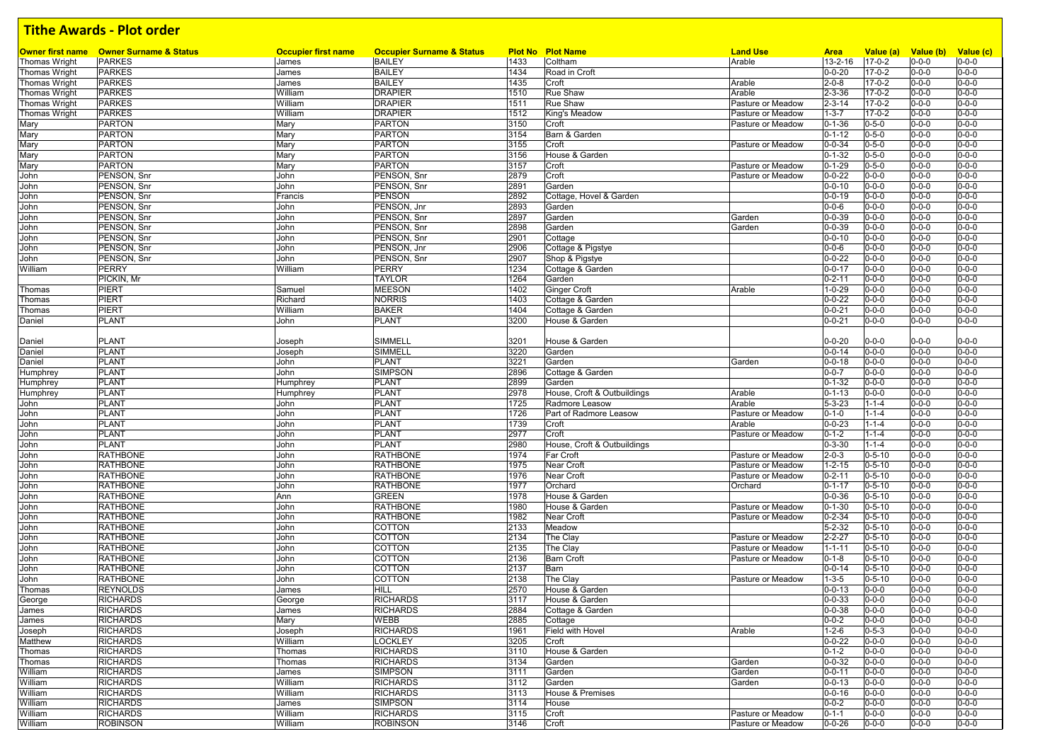| <b>Owner first name</b> | <b>Owner Surname &amp; Status</b> | <b>Occupier first name</b> | <b>Occupier Surname &amp; Status</b> |      | <b>Plot No Plot Name</b>    | <b>Land Use</b>   |                        |                           | Value (b)   |                          |
|-------------------------|-----------------------------------|----------------------------|--------------------------------------|------|-----------------------------|-------------------|------------------------|---------------------------|-------------|--------------------------|
| Thomas Wright           | <b>PARKES</b>                     | James                      | <b>BAILEY</b>                        | 1433 | Coltham                     | Arable            | <b>Area</b><br>13-2-16 | Value (a)<br>$17 - 0 - 2$ | $0 - 0 - 0$ | Value (c)<br>$0 - 0 - 0$ |
| Thomas Wright           | <b>PARKES</b>                     | James                      | <b>BAILEY</b>                        | 1434 | Road in Croft               |                   | $0 - 0 - 20$           | $17 - 0 - 2$              | $0 - 0 - 0$ | $0 - 0 - 0$              |
| Thomas Wright           | <b>PARKES</b>                     | James                      | <b>BAILEY</b>                        | 1435 | Croft                       | Arable            | $2 - 0 - 8$            | $17 - 0 - 2$              | $0 - 0 - 0$ | $0 - 0 - 0$              |
| Thomas Wright           | <b>PARKES</b>                     | William                    | <b>DRAPIER</b>                       | 1510 | <b>Rue Shaw</b>             | Arable            | $2 - 3 - 36$           | $17 - 0 - 2$              | $0 - 0 - 0$ | $0 - 0 - 0$              |
| Thomas Wright           | <b>PARKES</b>                     | William                    | <b>DRAPIER</b>                       | 1511 | <b>Rue Shaw</b>             | Pasture or Meadow | $2 - 3 - 14$           | $17 - 0 - 2$              | $0 - 0 - 0$ | $0 - 0 - 0$              |
| <b>Thomas Wright</b>    | <b>PARKES</b>                     | William                    | <b>DRAPIER</b>                       | 1512 | King's Meadow               | Pasture or Meadow | $1 - 3 - 7$            | $17 - 0 - 2$              | $0 - 0 - 0$ | $0 - 0 - 0$              |
| Mary                    | <b>PARTON</b>                     | Mary                       | <b>PARTON</b>                        | 3150 | Croft                       | Pasture or Meadow | $0 - 1 - 36$           | $0 - 5 - 0$               | $0 - 0 - 0$ | $0 - 0 - 0$              |
| Mary                    | <b>PARTON</b>                     | Mary                       | <b>PARTON</b>                        | 3154 | Barn & Garden               |                   | $0 - 1 - 12$           | $0 - 5 - 0$               | $0 - 0 - 0$ | $0 - 0 - 0$              |
| Mary                    | <b>PARTON</b>                     | Mary                       | <b>PARTON</b>                        | 3155 | Croft                       | Pasture or Meadow | $0 - 0 - 34$           | $0 - 5 - 0$               | $0 - 0 - 0$ | $0 - 0 - 0$              |
| Mary                    | <b>PARTON</b>                     | Mary                       | PARTON                               | 3156 | House & Garden              |                   | $0 - 1 - 32$           | $0 - 5 - 0$               | $0 - 0 - 0$ | $0 - 0 - 0$              |
| Mary                    | <b>PARTON</b>                     | Mary                       | <b>PARTON</b>                        | 3157 | Croft                       | Pasture or Meadow | $0 - 1 - 29$           | $0 - 5 - 0$               | $0 - 0 - 0$ | $0 - 0 - 0$              |
| John                    | PENSON, Snr                       | John                       | PENSON, Snr                          | 2879 | Croft                       | Pasture or Meadow | $0 - 0 - 22$           | $0 - 0 - 0$               | $0 - 0 - 0$ | $0 - 0 - 0$              |
| John                    | PENSON, Snr                       | John                       | PENSON, Snr                          | 2891 | Garden                      |                   | $0 - 0 - 10$           | $0 - 0 - 0$               | $0 - 0 - 0$ | $0 - 0 - 0$              |
| John                    | PENSON, Snr                       | Francis                    | PENSON                               | 2892 | Cottage, Hovel & Garden     |                   | $0 - 0 - 19$           | $0 - 0 - 0$               | $0 - 0 - 0$ | $0 - 0 - 0$              |
| John                    | PENSON, Snr                       | John                       | PENSON, Jnr                          | 2893 | Garden                      |                   | $0 - 0 - 6$            | $0 - 0 - 0$               | $0 - 0 - 0$ | $0 - 0 - 0$              |
| John                    | PENSON, Snr                       | John                       | PENSON, Snr                          | 2897 | Garden                      | Garden            | $0 - 0 - 39$           | $0 - 0 - 0$               | $0 - 0 - 0$ | $0 - 0 - 0$              |
| John                    | PENSON, Snr                       | John                       | PENSON, Snr                          | 2898 | Garden                      | Garden            | $0 - 0 - 39$           | $0 - 0 - 0$               | $0 - 0 - 0$ | $0 - 0 - 0$              |
| John                    | PENSON, Snr                       | John                       | PENSON, Snr                          | 2901 | Cottage                     |                   | $0 - 0 - 10$           | $0 - 0 - 0$               | $0 - 0 - 0$ | $0 - 0 - 0$              |
| John                    | PENSON, Snr                       | John                       | PENSON, Jnr                          | 2906 | Cottage & Pigstye           |                   | $0 - 0 - 6$            | $0 - 0 - 0$               | $0 - 0 - 0$ | $0 - 0 - 0$              |
| John                    | PENSON, Snr                       | John                       | PENSON, Snr                          | 2907 | Shop & Pigstye              |                   | $0 - 0 - 22$           | $0 - 0 - 0$               | $0 - 0 - 0$ | $0 - 0 - 0$              |
| William                 | <b>PERRY</b>                      | William                    | PERRY                                | 1234 | Cottage & Garden            |                   | $0 - 0 - 17$           | $0 - 0 - 0$               | $0 - 0 - 0$ | $0 - 0 - 0$              |
|                         | PICKIN, Mr                        |                            | <b>TAYLOR</b>                        | 1264 | Garden                      |                   | $0 - 2 - 11$           | $0 - 0 - 0$               | $0 - 0 - 0$ | $0 - 0 - 0$              |
| Thomas                  | <b>PIERT</b>                      | Samuel                     | <b>MEESON</b>                        | 1402 | <b>Ginger Croft</b>         | Arable            | $1 - 0 - 29$           | $0 - 0 - 0$               | $0 - 0 - 0$ | $0 - 0 - 0$              |
| Thomas                  | <b>PIERT</b>                      | Richard                    | NORRIS                               | 1403 | Cottage & Garden            |                   | $0 - 0 - 22$           | $0 - 0 - 0$               | $0 - 0 - 0$ | $0 - 0 - 0$              |
| Thomas                  | <b>PIERT</b>                      | William                    | <b>BAKER</b>                         | 1404 | Cottage & Garden            |                   | $0 - 0 - 21$           | $0 - 0 - 0$               | $0 - 0 - 0$ | $0 - 0 - 0$              |
| Daniel                  | PLANT                             | John                       | PLANT                                | 3200 | House & Garden              |                   | $0 - 0 - 21$           | $0 - 0 - 0$               | $0 - 0 - 0$ | $0 - 0 - 0$              |
|                         |                                   |                            |                                      |      |                             |                   |                        |                           |             |                          |
| Daniel                  | <b>PLANT</b>                      | Joseph                     | SIMMELL                              | 3201 | House & Garden              |                   | $0 - 0 - 20$           | $0 - 0 - 0$               | $0 - 0 - 0$ | $0 - 0 - 0$              |
| Daniel                  | <b>PLANT</b>                      | Joseph                     | SIMMELL                              | 3220 | Garden                      |                   | $0 - 0 - 14$           | $0 - 0 - 0$               | $0 - 0 - 0$ | $0 - 0 - 0$              |
| Daniel                  | <b>PLANT</b>                      | John                       | <b>PLANT</b>                         | 3221 | Garden                      | Garden            | $0 - 0 - 18$           | $0 - 0 - 0$               | $0 - 0 - 0$ | $0 - 0 - 0$              |
| Humphrey                | <b>PLANT</b>                      | John                       | <b>SIMPSON</b>                       | 2896 | Cottage & Garden            |                   | $0 - 0 - 7$            | $0 - 0 - 0$               | $0 - 0 - 0$ | $0 - 0 - 0$              |
| <b>Humphrey</b>         | <b>PLANT</b>                      | Humphrey                   | <b>PLANT</b>                         | 2899 | Garden                      |                   | $0 - 1 - 32$           | $0 - 0 - 0$               | $0 - 0 - 0$ | $0 - 0 - 0$              |
| Humphrey                | <b>PLANT</b>                      | Humphrey                   | <b>PLANT</b>                         | 2978 | House, Croft & Outbuildings | Arable            | $0 - 1 - 13$           | $0 - 0 - 0$               | $0 - 0 - 0$ | $0 - 0 - 0$              |
| John                    | <b>PLANT</b>                      | John                       | <b>PLANT</b>                         | 1725 | Radmore Leasow              | Arable            | $5 - 3 - 23$           | $1 - 1 - 4$               | $0 - 0 - 0$ | $0 - 0 - 0$              |
| John                    | <b>PLANT</b>                      | John                       | <b>PLANT</b>                         | 1726 | Part of Radmore Leasow      | Pasture or Meadow | $0 - 1 - 0$            | $1 - 1 - 4$               | $0 - 0 - 0$ | $0 - 0 - 0$              |
| John                    | <b>PLANT</b>                      | John                       | <b>PLANT</b>                         | 1739 | Croft                       | Arable            | $0 - 0 - 23$           | $1 - 1 - 4$               | $0 - 0 - 0$ | $0 - 0 - 0$              |
| John                    | <b>PLANT</b>                      | John                       | <b>PLANT</b>                         | 2977 | Croft                       | Pasture or Meadow | $0 - 1 - 2$            | $1 - 1 - 4$               | $0 - 0 - 0$ | $0 - 0 - 0$              |
| John                    | <b>PLANT</b>                      | John                       | <b>PLANT</b>                         | 2980 | House, Croft & Outbuildings |                   | $0 - 3 - 30$           | $1 - 1 - 4$               | $0 - 0 - 0$ | $0 - 0 - 0$              |
| John                    | <b>RATHBONE</b>                   | John                       | <b>RATHBONE</b>                      | 1974 | Far Croft                   | Pasture or Meadow | $2 - 0 - 3$            | $0 - 5 - 10$              | $0 - 0 - 0$ | $0 - 0 - 0$              |
| John                    | <b>RATHBONE</b>                   | John                       | <b>RATHBONE</b>                      | 1975 | Near Croft                  | Pasture or Meadow | $1 - 2 - 15$           | $0 - 5 - 10$              | $0 - 0 - 0$ | $0 - 0 - 0$              |
| John                    | <b>RATHBONE</b>                   | John                       | RATHBONE                             | 1976 | Near Croft                  | Pasture or Meadow | $0 - 2 - 11$           | $0 - 5 - 10$              | $0 - 0 - 0$ | $0 - 0 - 0$              |
| John                    | <b>RATHBONE</b>                   | John                       | <b>RATHBONE</b>                      | 1977 | Orchard                     | Orchard           | $0 - 1 - 17$           | $0 - 5 - 10$              | $0 - 0 - 0$ | $0 - 0 - 0$              |
| John                    | <b>RATHBONE</b>                   | Ann                        | GREEN                                | 1978 | House & Garden              |                   | $0 - 0 - 36$           | $0 - 5 - 10$              | $0 - 0 - 0$ | $0 - 0 - 0$              |
| John                    | <b>RATHBONE</b>                   | John                       | <b>RATHBONE</b>                      | 1980 | House & Garden              | Pasture or Meadow | $0 - 1 - 30$           | $0 - 5 - 10$              | $0 - 0 - 0$ | $0 - 0 - 0$              |
| John                    | <b>RATHBONE</b>                   | John                       | RATHBONE                             | 1982 | Near Croft                  | Pasture or Meadow | $0 - 2 - 34$           | $0 - 5 - 10$              | $0 - 0 - 0$ | $0 - 0 - 0$              |
| John                    | <b>RATHBONE</b>                   | John                       | COTTON                               | 2133 | Meadow                      |                   | $5 - 2 - 32$           | $0 - 5 - 10$              | $0 - 0 - 0$ | $0 - 0 - 0$              |
| John                    | <b>RATHBONE</b>                   | John                       | COTTON                               | 2134 | The Clay                    | Pasture or Meadow | $2 - 2 - 27$           | $0 - 5 - 10$              | $0 - 0 - 0$ | $0 - 0 - 0$              |
| John                    | <b>RATHBONE</b>                   | John                       | COTTON                               | 2135 | The Clay                    | Pasture or Meadow | $1 - 1 - 11$           | $0 - 5 - 10$              | $0 - 0 - 0$ | $0 - 0 - 0$              |
| John                    | <b>RATHBONE</b>                   | John                       | COTTON                               | 2136 | <b>Barn Croft</b>           | Pasture or Meadow | $0 - 1 - 8$            | $0 - 5 - 10$              | $0 - 0 - 0$ | $0 - 0 - 0$              |
| John                    | <b>RATHBONE</b>                   | John                       | <b>COTTON</b>                        | 2137 | Barn                        |                   | $0 - 0 - 14$           | $0 - 5 - 10$              | $0 - 0 - 0$ | $0 - 0 - 0$              |
| John                    | <b>RATHBONE</b>                   | John                       | COTTON                               | 2138 | The Clay                    | Pasture or Meadow | $1 - 3 - 5$            | $0 - 5 - 10$              | $0 - 0 - 0$ | $0 - 0 - 0$              |
| Thomas                  | <b>REYNOLDS</b>                   | James                      | <b>HILL</b>                          | 2570 | House & Garden              |                   | $0 - 0 - 13$           | $0 - 0 - 0$               | $0 - 0 - 0$ | $0 - 0 - 0$              |
| George                  | <b>RICHARDS</b>                   | George                     | <b>RICHARDS</b>                      | 3117 | House & Garden              |                   | $0 - 0 - 33$           | $0 - 0 - 0$               | $0 - 0 - 0$ | $0 - 0 - 0$              |
| James                   | <b>RICHARDS</b>                   | James                      | RICHARDS                             | 2884 | Cottage & Garden            |                   | $0 - 0 - 38$           | $0 - 0 - 0$               | $0 - 0 - 0$ | $0 - 0 - 0$              |
| James                   | <b>RICHARDS</b>                   | Mary                       | <b>WEBB</b>                          | 2885 | Cottage                     |                   | $0 - 0 - 2$            | $0 - 0 - 0$               | $0 - 0 - 0$ | $0 - 0 - 0$              |
| Joseph                  | <b>RICHARDS</b>                   | Joseph                     | <b>RICHARDS</b>                      | 1961 | Field with Hovel            | Arable            | $1 - 2 - 6$            | $0 - 5 - 3$               | $0 - 0 - 0$ | $0 - 0 - 0$              |
| Matthew                 | <b>RICHARDS</b>                   | William                    | <b>LOCKLEY</b>                       | 3205 | Croft                       |                   | $0 - 0 - 22$           | $0 - 0 - 0$               | $0 - 0 - 0$ | $0 - 0 - 0$              |
| Thomas                  | <b>RICHARDS</b>                   | Thomas                     | <b>RICHARDS</b>                      | 3110 | House & Garden              |                   | $0 - 1 - 2$            | $0 - 0 - 0$               | $0 - 0 - 0$ | $0 - 0 - 0$              |
| Thomas                  | <b>RICHARDS</b>                   | Thomas                     | <b>RICHARDS</b>                      | 3134 | Garden                      | Garden            | $0 - 0 - 32$           | $0 - 0 - 0$               | $0 - 0 - 0$ | $0 - 0 - 0$              |
| William                 | <b>RICHARDS</b>                   | James                      | <b>SIMPSON</b>                       | 3111 | Garden                      | Garden            | $0 - 0 - 11$           | $0 - 0 - 0$               | $0 - 0 - 0$ | $0 - 0 - 0$              |
| William                 | <b>RICHARDS</b>                   | William                    | <b>RICHARDS</b>                      | 3112 | Garden                      | Garden            | $0 - 0 - 13$           | $0 - 0 - 0$               | $0 - 0 - 0$ | $0 - 0 - 0$              |
| William                 | <b>RICHARDS</b>                   | William                    | <b>RICHARDS</b>                      | 3113 | House & Premises            |                   | $0 - 0 - 16$           | $0 - 0 - 0$               | $0 - 0 - 0$ | $0 - 0 - 0$              |
| William                 | <b>RICHARDS</b>                   | James                      | <b>SIMPSON</b>                       | 3114 | House                       |                   | $0 - 0 - 2$            | $0 - 0 - 0$               | $0 - 0 - 0$ | $0 - 0 - 0$              |
| William                 | <b>RICHARDS</b>                   | William                    | <b>RICHARDS</b>                      | 3115 | Croft                       | Pasture or Meadow | $0 - 1 - 1$            | $0 - 0 - 0$               | $0 - 0 - 0$ | $0 - 0 - 0$              |
| William                 | <b>ROBINSON</b>                   | William                    | <b>ROBINSON</b>                      | 3146 | Croft                       | Pasture or Meadow | $0 - 0 - 26$           | $0 - 0 - 0$               | $0 - 0 - 0$ | $0 - 0 - 0$              |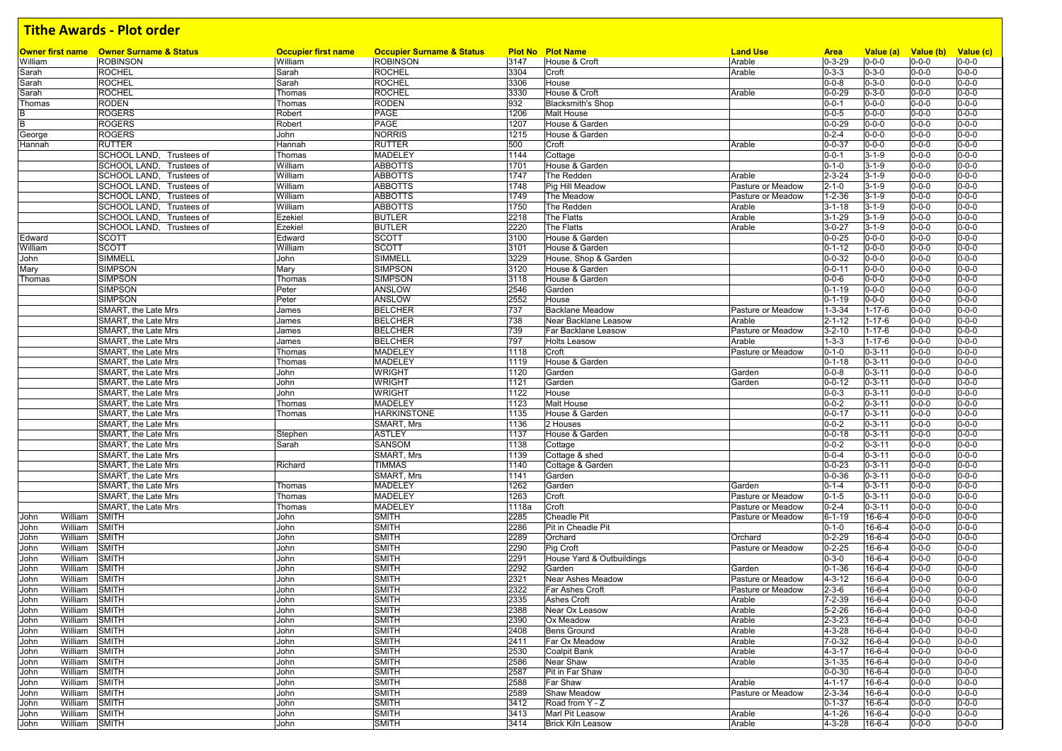| William                 | <b>Owner first name</b> Owner Surname & Status<br><b>ROBINSON</b> | <b>Occupier first name</b><br>William | <b>Occupier Surname &amp; Status</b><br><b>ROBINSON</b> | 3147  | <b>Plot No Plot Name</b><br>House & Croft | <b>Land Use</b><br>Arable | <b>Area</b><br>$0 - 3 - 29$ | Value (a)<br>$0 - 0 - 0$ | Value (b) Value (c)<br>$0 - 0 - 0$ | $0 - 0 - 0$ |
|-------------------------|-------------------------------------------------------------------|---------------------------------------|---------------------------------------------------------|-------|-------------------------------------------|---------------------------|-----------------------------|--------------------------|------------------------------------|-------------|
|                         |                                                                   |                                       |                                                         | 3304  | Croft                                     | Arable                    |                             | $0 - 3 - 0$              | $0 - 0 - 0$                        | $0 - 0 - 0$ |
| Sarah                   | <b>ROCHEL</b><br><b>ROCHEL</b>                                    | Sarah<br>Sarah                        | <b>ROCHEL</b><br><b>ROCHEL</b>                          | 3306  | House                                     |                           | $0 - 3 - 3$<br>$0 - 0 - 8$  | $0 - 3 - 0$              | $0 - 0 - 0$                        | $0 - 0 - 0$ |
| Sarah<br>Sarah          | <b>ROCHEL</b>                                                     | Thomas                                | <b>ROCHEL</b>                                           | 3330  | House & Croft                             | Arable                    | $0 - 0 - 29$                | $0 - 3 - 0$              | $0 - 0 - 0$                        | $0 - 0 - 0$ |
| Thomas                  | RODEN                                                             | Thomas                                | <b>RODEN</b>                                            | 932   | <b>Blacksmith's Shop</b>                  |                           | $0 - 0 - 1$                 | $0 - 0 - 0$              | $0 - 0 - 0$                        | $0 - 0 - 0$ |
|                         | <b>ROGERS</b>                                                     | Robert                                | PAGE                                                    | 1206  | <b>Malt House</b>                         |                           | $0 - 0 - 5$                 | $0 - 0 - 0$              | $0 - 0 - 0$                        | $0 - 0 - 0$ |
| B                       |                                                                   |                                       | PAGE                                                    |       |                                           |                           | $0 - 0 - 29$                | $0 - 0 - 0$              |                                    | $0 - 0 - 0$ |
| B                       | <b>ROGERS</b>                                                     | Robert                                |                                                         | 1207  | House & Garden                            |                           |                             |                          | $0 - 0 - 0$                        |             |
| George                  | <b>ROGERS</b>                                                     | John                                  | <b>NORRIS</b>                                           | 1215  | House & Garden                            |                           | $0 - 2 - 4$                 | $0 - 0 - 0$              | $0 - 0 - 0$                        | $0 - 0 - 0$ |
| Hannah                  | <b>RUTTER</b>                                                     | Hannah                                | <b>RUTTER</b>                                           | 500   | Croft                                     | Arable                    | $0 - 0 - 37$                | $0 - 0 - 0$              | $0 - 0 - 0$                        | $0 - 0 - 0$ |
|                         | SCHOOL LAND, Trustees of                                          | Thomas                                | <b>MADELEY</b>                                          | 1144  | Cottage                                   |                           | $0 - 0 - 1$                 | $3 - 1 - 9$              | $0 - 0 - 0$                        | $0 - 0 - 0$ |
|                         | SCHOOL LAND, Trustees of                                          | William                               | <b>ABBOTTS</b>                                          | 1701  | House & Garden                            |                           | $0 - 1 - 0$                 | $3 - 1 - 9$              | $0 - 0 - 0$                        | $0 - 0 - 0$ |
|                         | SCHOOL LAND, Trustees of                                          | William                               | <b>ABBOTTS</b>                                          | 1747  | The Redden                                | Arable                    | $2 - 3 - 24$                | $3 - 1 - 9$              | $0 - 0 - 0$                        | $0 - 0 - 0$ |
|                         | SCHOOL LAND, Trustees of                                          | William                               | <b>ABBOTTS</b>                                          | 1748  | Pig Hill Meadow                           | Pasture or Meadow         | $2 - 1 - 0$                 | $3 - 1 - 9$              | $0 - 0 - 0$                        | $0 - 0 - 0$ |
|                         | SCHOOL LAND. Trustees of                                          | William                               | <b>ABBOTTS</b>                                          | 1749  | The Meadow                                | Pasture or Meadow         | $1 - 2 - 36$                | $3 - 1 - 9$              | $0 - 0 - 0$                        | $0 - 0 - 0$ |
|                         | SCHOOL LAND, Trustees of                                          | William                               | <b>ABBOTTS</b>                                          | 1750  | The Redden                                | Arable                    | $3 - 1 - 18$                | $3 - 1 - 9$              | $0 - 0 - 0$                        | $0 - 0 - 0$ |
|                         | SCHOOL LAND, Trustees of                                          | Ezekiel                               | <b>BUTLER</b>                                           | 2218  | The Flatts                                | Arable                    | $3 - 1 - 29$                | $3 - 1 - 9$              | $0 - 0 - 0$                        | $0 - 0 - 0$ |
|                         | SCHOOL LAND, Trustees of                                          | Ezekiel                               | <b>BUTLER</b>                                           | 2220  | The Flatts                                | Arable                    | $3 - 0 - 27$                | $3 - 1 - 9$              | $0 - 0 - 0$                        | $0 - 0 - 0$ |
| Edward                  | <b>SCOTT</b>                                                      | Edward                                | <b>SCOTT</b>                                            | 3100  | House & Garden                            |                           | $0 - 0 - 25$                | $0 - 0 - 0$              | $0 - 0 - 0$                        | $0 - 0 - 0$ |
| William                 | <b>SCOTT</b>                                                      | William                               | <b>SCOTT</b>                                            | 3101  | House & Garden                            |                           | $0 - 1 - 12$                | $0 - 0 - 0$              | $0 - 0 - 0$                        | $0 - 0 - 0$ |
| John                    | SIMMELL                                                           | John                                  | SIMMELL                                                 | 3229  | House, Shop & Garden                      |                           | $0 - 0 - 32$                | $0 - 0 - 0$              | $0 - 0 - 0$                        | $0 - 0 - 0$ |
| Mary                    | <b>SIMPSON</b>                                                    | Mary                                  | <b>SIMPSON</b>                                          | 3120  | House & Garden                            |                           | $0 - 0 - 11$                | $0 - 0 - 0$              | $0 - 0 - 0$                        | $0 - 0 - 0$ |
| Thomas                  | <b>SIMPSON</b>                                                    | Thomas                                | <b>SIMPSON</b>                                          | 3118  | House & Garden                            |                           | $0 - 0 - 6$                 | $0 - 0 - 0$              | $0 - 0 - 0$                        | $0 - 0 - 0$ |
|                         | <b>SIMPSON</b>                                                    | Peter                                 | ANSLOW                                                  | 2546  | Garden                                    |                           | $0 - 1 - 19$                | $0 - 0 - 0$              | $0 - 0 - 0$                        | $0 - 0 - 0$ |
|                         | <b>SIMPSON</b>                                                    | Peter                                 | ANSLOW                                                  | 2552  | House                                     |                           | $0 - 1 - 19$                | $0 - 0 - 0$              | $0 - 0 - 0$                        | $0 - 0 - 0$ |
|                         | SMART, the Late Mrs                                               | James                                 | <b>BELCHER</b>                                          | 737   | <b>Backlane Meadow</b>                    | Pasture or Meadow         | $1 - 3 - 34$                | $1 - 17 - 6$             | $0 - 0 - 0$                        | $0 - 0 - 0$ |
|                         | SMART, the Late Mrs                                               | James                                 | <b>BELCHER</b>                                          | 738   | Near Backlane Leasow                      | Arable                    | $2 - 1 - 12$                | $1 - 17 - 6$             | $0 - 0 - 0$                        | $0 - 0 - 0$ |
|                         | SMART, the Late Mrs                                               | James                                 | <b>BELCHER</b>                                          | 739   | Far Backlane Leasow                       | Pasture or Meadow         | $3 - 2 - 10$                | $1 - 17 - 6$             | $0 - 0 - 0$                        | $0 - 0 - 0$ |
|                         | SMART, the Late Mrs                                               | James                                 | <b>BELCHER</b>                                          | 797   | <b>Holts Leasow</b>                       | Arable                    | $1 - 3 - 3$                 | $1 - 17 - 6$             | $0 - 0 - 0$                        | $0 - 0 - 0$ |
|                         | SMART, the Late Mrs                                               | Thomas                                | <b>MADELEY</b>                                          | 1118  | Croft                                     | Pasture or Meadow         | $0 - 1 - 0$                 | $0 - 3 - 11$             | $0 - 0 - 0$                        | $0 - 0 - 0$ |
|                         | SMART, the Late Mrs                                               | Thomas                                | <b>MADELEY</b>                                          | 1119  | House & Garden                            |                           | $0 - 1 - 18$                | $0 - 3 - 11$             | $0 - 0 - 0$                        | $0 - 0 - 0$ |
|                         | SMART, the Late Mrs                                               | John                                  | <b>WRIGHT</b>                                           | 1120  | Garden                                    | Garden                    | $0 - 0 - 8$                 | $0 - 3 - 11$             | $0 - 0 - 0$                        | $0 - 0 - 0$ |
|                         | SMART, the Late Mrs                                               | John                                  | <b>WRIGHT</b>                                           | 1121  | Garden                                    | Garden                    | $0 - 0 - 12$                | $0 - 3 - 11$             | $0 - 0 - 0$                        | $0 - 0 - 0$ |
|                         | SMART, the Late Mrs                                               | John                                  | <b>WRIGHT</b>                                           | 1122  | House                                     |                           | $0 - 0 - 3$                 | $0 - 3 - 11$             | $0 - 0 - 0$                        | $0 - 0 - 0$ |
|                         | SMART, the Late Mrs                                               | Thomas                                | <b>MADELEY</b>                                          | 1123  | <b>Malt House</b>                         |                           | $0 - 0 - 2$                 | $0 - 3 - 11$             | $0 - 0 - 0$                        | $0 - 0 - 0$ |
|                         | SMART, the Late Mrs                                               | Thomas                                | <b>HARKINSTONE</b>                                      | 1135  | House & Garden                            |                           | $0 - 0 - 17$                | $0 - 3 - 11$             | $0 - 0 - 0$                        | $0 - 0 - 0$ |
|                         | SMART, the Late Mrs                                               |                                       | SMART, Mrs                                              | 1136  | 2 Houses                                  |                           | $0 - 0 - 2$                 | $0 - 3 - 11$             | $0 - 0 - 0$                        | $0 - 0 - 0$ |
|                         | SMART, the Late Mrs                                               | Stephen                               | <b>ASTLEY</b>                                           | 1137  | House & Garden                            |                           | $0 - 0 - 18$                | $0 - 3 - 11$             | $0 - 0 - 0$                        | $0 - 0 - 0$ |
|                         | SMART, the Late Mrs                                               | Sarah                                 | <b>SANSOM</b>                                           | 1138  | Cottage                                   |                           | $0 - 0 - 2$                 | $0 - 3 - 11$             | $0 - 0 - 0$                        | $0 - 0 - 0$ |
|                         | SMART, the Late Mrs                                               |                                       | SMART, Mrs                                              | 1139  | Cottage & shed                            |                           | $0 - 0 - 4$                 | $0 - 3 - 11$             | $0 - 0 - 0$                        | $0 - 0 - 0$ |
|                         | SMART, the Late Mrs                                               | Richard                               | <b>TIMMAS</b>                                           | 1140  | Cottage & Garden                          |                           | $0 - 0 - 23$                | $0 - 3 - 11$             | $0 - 0 - 0$                        | $0 - 0 - 0$ |
|                         | SMART, the Late Mrs                                               |                                       | SMART, Mrs                                              | 1141  | Garden                                    |                           | $0 - 0 - 36$                | $0 - 3 - 11$             | $0 - 0 - 0$                        | $0 - 0 - 0$ |
|                         | SMART, the Late Mrs                                               | Thomas                                | <b>MADELEY</b>                                          | 1262  | Garden                                    | Garden                    | $0 - 1 - 4$                 | $0 - 3 - 11$             | $0 - 0 - 0$                        | $0 - 0 - 0$ |
|                         | SMART, the Late Mrs                                               | Thomas                                | <b>MADELEY</b>                                          | 1263  | Croft                                     | Pasture or Meadow         | $0 - 1 - 5$                 | $0 - 3 - 11$             | $0 - 0 - 0$                        | $0 - 0 - 0$ |
|                         | SMART, the Late Mrs                                               | Thomas                                | <b>MADELEY</b>                                          | 1118a | Croft                                     | Pasture or Meadow         | $0 - 2 - 4$                 | $0 - 3 - 11$             | $0 - 0 - 0$                        | $0 - 0 - 0$ |
| William                 |                                                                   |                                       |                                                         | 2285  | <b>Cheadle Pit</b>                        |                           |                             | $16-6-4$                 |                                    | $0 - 0 - 0$ |
| John<br>John<br>William | <b>SMITH</b><br><b>SMITH</b>                                      | John<br>John                          | <b>SMITH</b><br><b>SMITH</b>                            | 2286  | Pit in Cheadle Pit                        | Pasture or Meadow         | $6 - 1 - 19$<br>$0 - 1 - 0$ | 16-6-4                   | $0 - 0 - 0$<br>$0 - 0 - 0$         | $0 - 0 - 0$ |
|                         |                                                                   |                                       |                                                         |       |                                           |                           |                             |                          |                                    | $0 - 0 - 0$ |
| William<br>John         | <b>SMITH</b>                                                      | John                                  | <b>SMITH</b>                                            | 2289  | Orchard                                   | Orchard                   | $0 - 2 - 29$                | $16 - 6 - 4$             | $0 - 0 - 0$                        |             |
| William<br>John         | <b>SMITH</b>                                                      | John                                  | <b>SMITH</b>                                            | 2290  | Pig Croft                                 | Pasture or Meadow         | $0 - 2 - 25$                | 16-6-4                   | $0 - 0 - 0$                        | $0 - 0 - 0$ |
| William<br>John         | <b>SMITH</b>                                                      | John                                  | <b>SMITH</b>                                            | 2291  | House Yard & Outbuildings                 |                           | $0 - 3 - 0$                 | 16-6-4                   | $0 - 0 - 0$                        | $0 - 0 - 0$ |
| William<br>John         | <b>SMITH</b>                                                      | John                                  | <b>SMITH</b>                                            | 2292  | Garden                                    | Garden                    | $0 - 1 - 36$                | 16-6-4                   | $0 - 0 - 0$                        | $0 - 0 - 0$ |
| William<br>John         | <b>SMITH</b>                                                      | John                                  | <b>SMITH</b>                                            | 2321  | <b>Near Ashes Meadow</b>                  | Pasture or Meadow         | $4 - 3 - 12$                | 16-6-4                   | $0 - 0 - 0$                        | $0 - 0 - 0$ |
| William<br>John         | <b>SMITH</b>                                                      | John                                  | <b>SMITH</b>                                            | 2322  | Far Ashes Croft                           | Pasture or Meadow         | $2 - 3 - 6$                 | 16-6-4                   | $0 - 0 - 0$                        | $0 - 0 - 0$ |
| William<br>John         | SMITH                                                             | John                                  | <b>SMITH</b>                                            | 2335  | <b>Ashes Croft</b>                        | Arable                    | 7-2-39                      | $16-6-4$                 | $0 - 0 - 0$                        | $0 - 0 - 0$ |
| John<br>William SMITH   |                                                                   | John                                  | <b>SMITH</b>                                            | 2388  | Near Ox Leasow                            | Arable                    | $5 - 2 - 26$                | $16 - 6 - 4$             | $0 - 0 - 0$                        | $0 - 0 - 0$ |
| William<br>John         | SMITH                                                             | John                                  | <b>SMITH</b>                                            | 2390  | Ox Meadow                                 | Arable                    | $2 - 3 - 23$                | $16 - 6 - 4$             | $0 - 0 - 0$                        | $0 - 0 - 0$ |
| William<br>John         | SMITH                                                             | John                                  | <b>SMITH</b>                                            | 2408  | Bens Ground                               | Arable                    | $4 - 3 - 28$                | 16-6-4                   | $0 - 0 - 0$                        | $0 - 0 - 0$ |
| William<br>John         | <b>SMITH</b>                                                      | John                                  | <b>SMITH</b>                                            | 2411  | Far Ox Meadow                             | Arable                    | $7 - 0 - 32$                | 16-6-4                   | $0 - 0 - 0$                        | $0 - 0 - 0$ |
| William<br>John         | <b>SMITH</b>                                                      | John                                  | <b>SMITH</b>                                            | 2530  | Coalpit Bank                              | Arable                    | $4 - 3 - 17$                | 16-6-4                   | $0 - 0 - 0$                        | $0 - 0 - 0$ |
| John<br>William         | <b>SMITH</b>                                                      | John                                  | <b>SMITH</b>                                            | 2586  | Near Shaw                                 | Arable                    | $3 - 1 - 35$                | 16-6-4                   | $0 - 0 - 0$                        | $0 - 0 - 0$ |
| William<br>John         | SMITH                                                             | John                                  | <b>SMITH</b>                                            | 2587  | Pit in Far Shaw                           |                           | $0 - 0 - 30$                | 16-6-4                   | $0 - 0 - 0$                        | $0 - 0 - 0$ |
| William<br>John         | <b>SMITH</b>                                                      | John                                  | <b>SMITH</b>                                            | 2588  | Far Shaw                                  | Arable                    | $4 - 1 - 17$                | 16-6-4                   | $0 - 0 - 0$                        | $0 - 0 - 0$ |
| William<br>John         | <b>SMITH</b>                                                      | John                                  | <b>SMITH</b>                                            | 2589  | <b>Shaw Meadow</b>                        | Pasture or Meadow         | $2 - 3 - 34$                | 16-6-4                   | $0 - 0 - 0$                        | $0 - 0 - 0$ |
| William<br>John         | SMITH                                                             | John                                  | <b>SMITH</b>                                            | 3412  | Road from Y - Z                           |                           | $0 - 1 - 37$                | 16-6-4                   | $0 - 0 - 0$                        | $0 - 0 - 0$ |
| William<br>John         | <b>SMITH</b>                                                      | John                                  | <b>SMITH</b>                                            | 3413  | Marl Pit Leasow                           | Arable                    | $4 - 1 - 26$                | 16-6-4                   | $0 - 0 - 0$                        | $0 - 0 - 0$ |
|                         |                                                                   |                                       | <b>SMITH</b>                                            | 3414  | <b>Brick Kiln Leasow</b>                  | Arable                    | 4-3-28                      | $16 - 6 - 4$             | $0 - 0 - 0$                        | $0 - 0 - 0$ |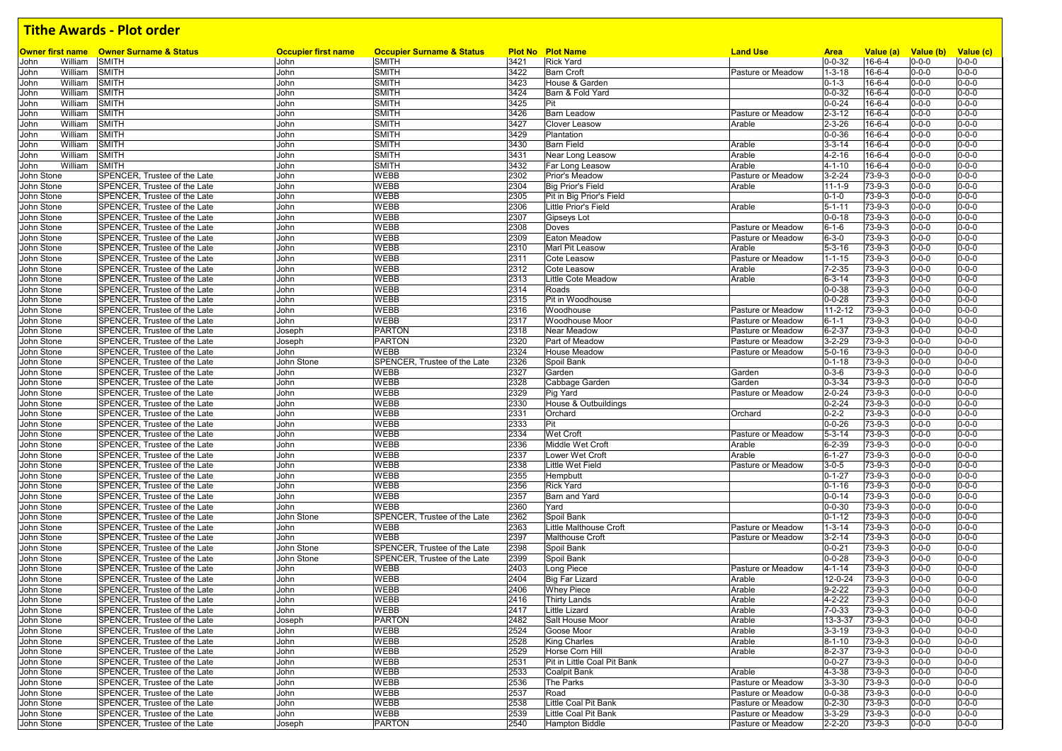|                          | <b>Owner first name</b> Owner Surname & Status               | <b>Occupier first name</b> | <b>Occupier Surname &amp; Status</b>        |      | <b>Plot No Plot Name</b>    | <b>Land Use</b>   | <b>Area</b>   | Value (a)    | Value (b) Value (c)        |             |
|--------------------------|--------------------------------------------------------------|----------------------------|---------------------------------------------|------|-----------------------------|-------------------|---------------|--------------|----------------------------|-------------|
| William<br>John          | <b>SMITH</b>                                                 | John                       | <b>SMITH</b>                                | 3421 | <b>Rick Yard</b>            |                   | $0 - 0 - 32$  | $16 - 6 - 4$ | $0 - 0 - 0$                | $0 - 0 - 0$ |
| John<br>William          | <b>SMITH</b>                                                 | John                       | <b>SMITH</b>                                | 3422 | <b>Barn Croft</b>           | Pasture or Meadow | $1 - 3 - 18$  | 16-6-4       | $0 - 0 - 0$                | $0 - 0 - 0$ |
| William<br>John          | <b>SMITH</b>                                                 | John                       | <b>SMITH</b>                                | 3423 | House & Garden              |                   | $0 - 1 - 3$   | $16 - 6 - 4$ | $0 - 0 - 0$                | $0 - 0 - 0$ |
| John<br>William          | <b>SMITH</b>                                                 | John                       | <b>SMITH</b>                                | 3424 | Barn & Fold Yard            |                   | $0 - 0 - 32$  | $16 - 6 - 4$ | $0 - 0 - 0$                | $0 - 0 - 0$ |
| William<br>John          | <b>SMITH</b>                                                 | John                       | <b>SMITH</b>                                | 3425 | Pit                         |                   | $0 - 0 - 24$  | 16-6-4       | $0 - 0 - 0$                | $0 - 0 - 0$ |
| William<br>John          | <b>SMITH</b>                                                 | John                       | SMITH                                       | 3426 | <b>Barn Leadow</b>          | Pasture or Meadow | $2 - 3 - 12$  | $16-6-4$     | $0 - 0 - 0$                | $0 - 0 - 0$ |
| William<br>John          | <b>SMITH</b>                                                 | John                       | <b>SMITH</b>                                | 3427 | Clover Leasow               | Arable            | $2 - 3 - 26$  | 16-6-4       | $0 - 0 - 0$                | $0 - 0 - 0$ |
| John<br>William          | <b>SMITH</b>                                                 | John                       | <b>SMITH</b>                                | 3429 | Plantation                  |                   | $0 - 0 - 36$  | $16-6-4$     | $0 - 0 - 0$                | $0 - 0 - 0$ |
| William<br>John          | <b>SMITH</b>                                                 | John                       | <b>SMITH</b>                                | 3430 | <b>Barn Field</b>           | Arable            | $3 - 3 - 14$  | $16 - 6 - 4$ | $0 - 0 - 0$                | $0 - 0 - 0$ |
| John<br>William          | SMITH                                                        | John                       | <b>SMITH</b>                                | 3431 | Near Long Leasow            | Arable            | $4 - 2 - 16$  | $16-6-4$     | $0 - 0 - 0$                | $0 - 0 - 0$ |
| John<br>William          | SMITH                                                        | John                       | <b>SMITH</b>                                | 3432 | Far Long Leasow             | Arable            | $4 - 1 - 10$  | 16-6-4       | $0 - 0 - 0$                | $0 - 0 - 0$ |
| John Stone               | SPENCER, Trustee of the Late                                 | John                       | WEBB                                        | 2302 | Prior's Meadow              | Pasture or Meadow | $3 - 2 - 24$  | $73-9-3$     | $0 - 0 - 0$                | $0 - 0 - 0$ |
| John Stone               | SPENCER, Trustee of the Late                                 | John                       | <b>WEBB</b>                                 | 2304 | <b>Big Prior's Field</b>    | Arable            | $11 - 1 - 9$  | 73-9-3       | $0 - 0 - 0$                | $0 - 0 - 0$ |
| John Stone               | SPENCER, Trustee of the Late                                 | John                       | <b>WEBB</b>                                 | 2305 | Pit in Big Prior's Field    |                   | $0 - 1 - 0$   | $73 - 9 - 3$ | $0 - 0 - 0$                | $0 - 0 - 0$ |
| John Stone               | SPENCER, Trustee of the Late                                 | John                       | <b>WEBB</b>                                 | 2306 | <b>Little Prior's Field</b> | Arable            | $5 - 1 - 11$  | 73-9-3       | $0 - 0 - 0$                | $0 - 0 - 0$ |
| John Stone               | SPENCER. Trustee of the Late                                 | John                       | <b>WEBB</b>                                 | 2307 | <b>Gipseys Lot</b>          |                   | $0 - 0 - 18$  | $73 - 9 - 3$ | $0 - 0 - 0$                | $0 - 0 - 0$ |
| John Stone               | SPENCER, Trustee of the Late                                 | John                       | <b>WEBB</b>                                 | 2308 | Doves                       | Pasture or Meadow | $6 - 1 - 6$   | 73-9-3       | $0 - 0 - 0$                | $0 - 0 - 0$ |
| John Stone               | SPENCER, Trustee of the Late                                 | John                       | <b>WEBB</b>                                 | 2309 | Eaton Meadow                | Pasture or Meadow | $6 - 3 - 0$   | $73 - 9 - 3$ | $0 - 0 - 0$                | $0 - 0 - 0$ |
| John Stone               | SPENCER, Trustee of the Late                                 | John                       | <b>WEBB</b>                                 | 2310 | Marl Pit Leasow             | Arable            | $5 - 3 - 16$  | 73-9-3       | $0 - 0 - 0$                | $0 - 0 - 0$ |
| John Stone               | SPENCER, Trustee of the Late                                 | John                       | <b>WEBB</b>                                 | 2311 | Cote Leasow                 | Pasture or Meadow | $1 - 1 - 15$  | 73-9-3       | $0 - 0 - 0$                | $0 - 0 - 0$ |
| John Stone               | SPENCER, Trustee of the Late                                 | John                       | <b>WEBB</b>                                 | 2312 | <b>Cote Leasow</b>          | Arable            | $7 - 2 - 35$  | 73-9-3       | $0 - 0 - 0$                | $0 - 0 - 0$ |
| John Stone               | SPENCER, Trustee of the Late                                 | John                       | <b>WEBB</b>                                 | 2313 | Little Cote Meadow          | Arable            | $6 - 3 - 14$  | $73-9-3$     | $0 - 0 - 0$                | $0 - 0 - 0$ |
| John Stone               | SPENCER. Trustee of the Late                                 | John                       | <b>WEBB</b>                                 | 2314 | Roads                       |                   | $0 - 0 - 38$  | 73-9-3       | $0 - 0 - 0$                | $0 - 0 - 0$ |
|                          |                                                              |                            |                                             |      |                             |                   |               |              |                            |             |
| John Stone               | SPENCER, Trustee of the Late                                 | John                       | <b>WEBB</b>                                 | 2315 | Pit in Woodhouse            |                   | $0 - 0 - 28$  | 73-9-3       | $0 - 0 - 0$                | $0 - 0 - 0$ |
| John Stone               | SPENCER, Trustee of the Late                                 | John                       | <b>WEBB</b>                                 | 2316 | Woodhouse                   | Pasture or Meadow | $11 - 2 - 12$ | $73 - 9 - 3$ | $0 - 0 - 0$                | $0 - 0 - 0$ |
| John Stone               | SPENCER, Trustee of the Late                                 | John                       | <b>WEBB</b>                                 | 2317 | Woodhouse Moor              | Pasture or Meadow | $6 - 1 - 1$   | 73-9-3       | $0 - 0 - 0$                | $0 - 0 - 0$ |
| John Stone               | SPENCER, Trustee of the Late                                 | Joseph                     | <b>PARTON</b>                               | 2318 | <b>Near Meadow</b>          | Pasture or Meadow | $6 - 2 - 37$  | 73-9-3       | $0 - 0 - 0$                | $0 - 0 - 0$ |
| John Stone               | SPENCER, Trustee of the Late                                 | Joseph                     | <b>PARTON</b>                               | 2320 | Part of Meadow              | Pasture or Meadow | $3 - 2 - 29$  | 73-9-3       | $0 - 0 - 0$                | $0 - 0 - 0$ |
| John Stone               | SPENCER, Trustee of the Late                                 | John                       | WEBB                                        | 2324 | <b>House Meadow</b>         | Pasture or Meadow | $5 - 0 - 16$  | 73-9-3       | $0 - 0 - 0$                | $0 - 0 - 0$ |
| John Stone               | SPENCER, Trustee of the Late                                 | John Stone                 | SPENCER, Trustee of the Late                | 2326 | Spoil Bank                  |                   | $0 - 1 - 18$  | 73-9-3       | $0 - 0 - 0$                | $0 - 0 - 0$ |
| John Stone               | SPENCER, Trustee of the Late                                 | John                       | <b>WEBB</b>                                 | 2327 | Garden                      | Garden            | $0 - 3 - 6$   | $73-9-3$     | $0 - 0 - 0$                | $0 - 0 - 0$ |
| John Stone               | SPENCER, Trustee of the Late                                 | John                       | <b>WEBB</b>                                 | 2328 | Cabbage Garden              | Garden            | $0 - 3 - 34$  | 73-9-3       | $0 - 0 - 0$                | $0 - 0 - 0$ |
| John Stone               | SPENCER, Trustee of the Late                                 | John                       | <b>WEBB</b>                                 | 2329 | Pig Yard                    | Pasture or Meadow | $2 - 0 - 24$  | $73-9-3$     | $0 - 0 - 0$                | $0 - 0 - 0$ |
| John Stone               | SPENCER, Trustee of the Late                                 | John                       | WEBB                                        | 2330 | House & Outbuildings        |                   | $0 - 2 - 24$  | $73-9-3$     | $0 - 0 - 0$                | $0 - 0 - 0$ |
| John Stone               | SPENCER, Trustee of the Late                                 | John                       | WEBB                                        | 2331 | Orchard                     | Orchard           | $0 - 2 - 2$   | 73-9-3       | $0 - 0 - 0$                | $0 - 0 - 0$ |
| John Stone               | SPENCER, Trustee of the Late                                 | John                       | <b>WEBB</b>                                 | 2333 | Pit                         |                   | $0 - 0 - 26$  | $73-9-3$     | $0 - 0 - 0$                | $0 - 0 - 0$ |
| John Stone               | SPENCER, Trustee of the Late                                 | John                       | <b>WEBB</b>                                 | 2334 | Wet Croft                   | Pasture or Meadow | $5 - 3 - 14$  | 73-9-3       | $0 - 0 - 0$                | $0 - 0 - 0$ |
| John Stone               | SPENCER, Trustee of the Late                                 | John                       | <b>WEBB</b>                                 | 2336 | Middle Wet Croft            | Arable            | $6 - 2 - 39$  | 73-9-3       | $0 - 0 - 0$                | $0 - 0 - 0$ |
| John Stone               | SPENCER, Trustee of the Late                                 | John                       | <b>WEBB</b>                                 | 2337 | Lower Wet Croft             | Arable            | $6 - 1 - 27$  | 73-9-3       | $0 - 0 - 0$                | $0 - 0 - 0$ |
| John Stone               | SPENCER, Trustee of the Late                                 | John                       | <b>WEBB</b>                                 | 2338 | Little Wet Field            | Pasture or Meadow | $3 - 0 - 5$   | 73-9-3       | $0 - 0 - 0$                | $0 - 0 - 0$ |
| John Stone               | SPENCER, Trustee of the Late                                 | John                       | <b>WEBB</b>                                 | 2355 | Hempbutt                    |                   | $0 - 1 - 27$  | 73-9-3       | $0 - 0 - 0$                | $0 - 0 - 0$ |
| John Stone               | SPENCER, Trustee of the Late                                 | John                       | <b>WEBB</b>                                 | 2356 | <b>Rick Yard</b>            |                   | $0 - 1 - 16$  | 73-9-3       | $0 - 0 - 0$                | $0 - 0 - 0$ |
| John Stone               | SPENCER, Trustee of the Late                                 | John                       | <b>WEBB</b>                                 | 2357 | Barn and Yard               |                   | $0 - 0 - 14$  | 73-9-3       | $0 - 0 - 0$                | $0 - 0 - 0$ |
| John Stone               | SPENCER, Trustee of the Late                                 | John                       | <b>WEBB</b>                                 | 2360 | Yard                        |                   | $0 - 0 - 30$  | $73 - 9 - 3$ | $0 - 0 - 0$                | $0 - 0 - 0$ |
|                          | SPENCER, Trustee of the Late                                 |                            |                                             | 2362 | Spoil Bank                  |                   | $0 - 1 - 12$  | 73-9-3       | $0 - 0 - 0$                | $0 - 0 - 0$ |
| John Stone<br>John Stone | SPENCER, Trustee of the Late                                 | John Stone<br>John         | SPENCER, Trustee of the Late<br><b>WEBB</b> | 2363 | Little Malthouse Croft      | Pasture or Meadow | 1-3-14        | $73 - 9 - 3$ | $0 - 0 - 0$                | $0 - 0 - 0$ |
|                          |                                                              |                            |                                             |      |                             |                   |               |              |                            | $0 - 0 - 0$ |
| John Stone               | SPENCER, Trustee of the Late<br>SPENCER, Trustee of the Late | John                       | <b>WEBB</b><br>SPENCER, Trustee of the Late | 2397 | <b>Malthouse Croft</b>      | Pasture or Meadow | $3 - 2 - 14$  | $73-9-3$     | $0 - 0 - 0$<br>$0 - 0 - 0$ | $0 - 0 - 0$ |
| John Stone               |                                                              | John Stone                 |                                             | 2398 | Spoil Bank                  |                   | $0 - 0 - 21$  | 73-9-3       |                            |             |
| John Stone               | SPENCER, Trustee of the Late                                 | John Stone                 | SPENCER, Trustee of the Late                | 2399 | Spoil Bank                  |                   | $0 - 0 - 28$  | 73-9-3       | $0 - 0 - 0$                | $0 - 0 - 0$ |
| John Stone               | SPENCER. Trustee of the Late                                 | John                       | <b>WEBB</b>                                 | 2403 | Long Piece                  | Pasture or Meadow | $4 - 1 - 14$  | $73-9-3$     | $0 - 0 - 0$                | $0 - 0 - 0$ |
| John Stone               | SPENCER, Trustee of the Late                                 | John                       | WEBB                                        | 2404 | <b>Big Far Lizard</b>       | Arable            | 12-0-24       | 73-9-3       | $0 - 0 - 0$                | $0 - 0 - 0$ |
| John Stone               | SPENCER, Trustee of the Late                                 | John                       | <b>WEBB</b>                                 | 2406 | <b>Whey Piece</b>           | Arable            | $9 - 2 - 22$  | 73-9-3       | $0 - 0 - 0$                | $0 - 0 - 0$ |
| John Stone               | SPENCER. Trustee of the Late                                 | John                       | <b>WEBB</b>                                 | 2416 | <b>Thirty Lands</b>         | Arable            | $4 - 2 - 22$  | 73-9-3       | $0 - 0 - 0$                | $0 - 0 - 0$ |
| John Stone               | SPENCER, Trustee of the Late                                 | John                       | WEBB                                        | 2417 | Little Lizard               | Arable            | $7 - 0 - 33$  | 73-9-3       | $0 - 0 - 0$                | $0 - 0 - 0$ |
| John Stone               | SPENCER, Trustee of the Late                                 | Joseph                     | <b>PARTON</b>                               | 2482 | Salt House Moor             | Arable            | 13-3-37       | 73-9-3       | $0 - 0 - 0$                | $0 - 0 - 0$ |
| John Stone               | SPENCER, Trustee of the Late                                 | John                       | WEBB                                        | 2524 | Goose Moor                  | Arable            | $3 - 3 - 19$  | 73-9-3       | $0 - 0 - 0$                | $0 - 0 - 0$ |
| John Stone               | SPENCER. Trustee of the Late                                 | John                       | WEBB                                        | 2528 | <b>King Charles</b>         | Arable            | $8 - 1 - 10$  | 73-9-3       | $0 - 0 - 0$                | $0 - 0 - 0$ |
| John Stone               | SPENCER, Trustee of the Late                                 | John                       | WEBB                                        | 2529 | Horse Corn Hill             | Arable            | $8 - 2 - 37$  | $73 - 9 - 3$ | $0 - 0 - 0$                | $0 - 0 - 0$ |
| John Stone               | SPENCER, Trustee of the Late                                 | John                       | WEBB                                        | 2531 | Pit in Little Coal Pit Bank |                   | $0 - 0 - 27$  | 73-9-3       | $0 - 0 - 0$                | $0 - 0 - 0$ |
| John Stone               | SPENCER, Trustee of the Late                                 | John                       | WEBB                                        | 2533 | Coalpit Bank                | Arable            | $4 - 3 - 38$  | 73-9-3       | $0 - 0 - 0$                | $0 - 0 - 0$ |
| John Stone               | SPENCER, Trustee of the Late                                 | John                       | <b>WEBB</b>                                 | 2536 | The Parks                   | Pasture or Meadow | $3 - 3 - 30$  | 73-9-3       | $0 - 0 - 0$                | $0 - 0 - 0$ |
| John Stone               | SPENCER, Trustee of the Late                                 | John                       | WEBB                                        | 2537 | Road                        | Pasture or Meadow | $0 - 0 - 38$  | 73-9-3       | $0 - 0 - 0$                | $0 - 0 - 0$ |
| John Stone               | SPENCER, Trustee of the Late                                 | John                       | <b>WEBB</b>                                 | 2538 | Little Coal Pit Bank        | Pasture or Meadow | $0 - 2 - 30$  | $73 - 9 - 3$ | $0 - 0 - 0$                | $0 - 0 - 0$ |
| John Stone               | SPENCER, Trustee of the Late                                 | John                       | WEBB                                        | 2539 | Little Coal Pit Bank        | Pasture or Meadow | $3 - 3 - 29$  | 73-9-3       | $0 - 0 - 0$                | $0 - 0 - 0$ |
| John Stone               | SPENCER, Trustee of the Late                                 | Joseph                     | <b>PARTON</b>                               | 2540 | <b>Hampton Biddle</b>       | Pasture or Meadow | $2 - 2 - 20$  | 73-9-3       | $0 - 0 - 0$                | $0 - 0 - 0$ |
|                          |                                                              |                            |                                             |      |                             |                   |               |              |                            |             |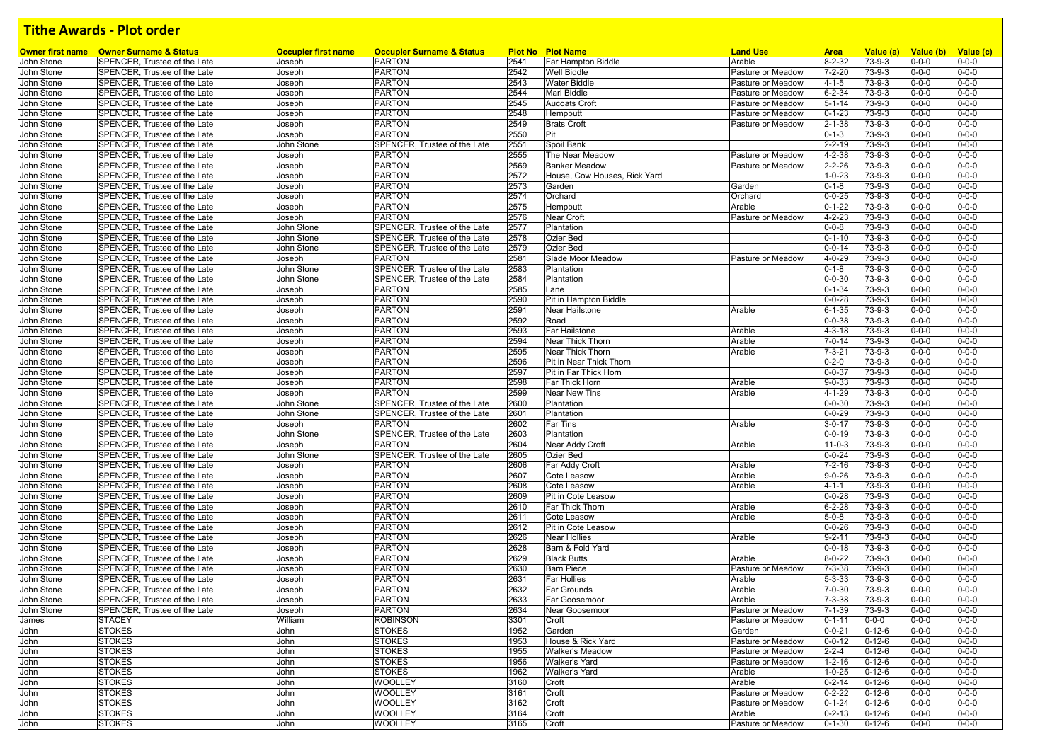| Owner first name | <b>Owner Surname &amp; Status</b>                            | <b>Occupier first name</b> | <b>Occupier Surname &amp; Status</b> |      | <b>Plot No Plot Name</b>     | <b>Land Use</b>   | <b>Area</b>  | Value (a)    | Value (b) Value (c) |             |
|------------------|--------------------------------------------------------------|----------------------------|--------------------------------------|------|------------------------------|-------------------|--------------|--------------|---------------------|-------------|
| John Stone       | SPENCER, Trustee of the Late                                 | Joseph                     | <b>PARTON</b>                        | 2541 | <b>Far Hampton Biddle</b>    | Arable            | 8-2-32       | 73-9-3       | $0 - 0 - 0$         | $0 - 0 - 0$ |
| John Stone       | SPENCER, Trustee of the Late                                 | Joseph                     | <b>PARTON</b>                        | 2542 | <b>Well Biddle</b>           | Pasture or Meadow | $7 - 2 - 20$ | 73-9-3       | $0 - 0 - 0$         | $0 - 0 - 0$ |
| John Stone       | SPENCER. Trustee of the Late                                 | Joseph                     | <b>PARTON</b>                        | 2543 | <b>Water Biddle</b>          | Pasture or Meadow | $4 - 1 - 5$  | $73 - 9 - 3$ | $0 - 0 - 0$         | $0 - 0 - 0$ |
| John Stone       | SPENCER, Trustee of the Late                                 | Joseph                     | <b>PARTON</b>                        | 2544 | Marl Biddle                  | Pasture or Meadow | $6 - 2 - 34$ | 73-9-3       | $0 - 0 - 0$         | $0 - 0 - 0$ |
| John Stone       | SPENCER, Trustee of the Late                                 | Joseph                     | <b>PARTON</b>                        | 2545 | <b>Aucoats Croft</b>         | Pasture or Meadow | $5 - 1 - 14$ | $73 - 9 - 3$ | $0 - 0 - 0$         | $0 - 0 - 0$ |
| John Stone       | SPENCER. Trustee of the Late                                 | Joseph                     | <b>PARTON</b>                        | 2548 | Hempbutt                     | Pasture or Meadow | $0 - 1 - 23$ | 73-9-3       | $0 - 0 - 0$         | $0 - 0 - 0$ |
| John Stone       | SPENCER. Trustee of the Late                                 | Joseph                     | <b>PARTON</b>                        | 2549 | <b>Brats Croft</b>           | Pasture or Meadow | $2 - 1 - 38$ | 73-9-3       | $0 - 0 - 0$         | $0 - 0 - 0$ |
| John Stone       | SPENCER, Trustee of the Late                                 | Joseph                     | PARTON                               | 2550 | Pit                          |                   | $0 - 1 - 3$  | 73-9-3       | $0 - 0 - 0$         | $0 - 0 - 0$ |
| John Stone       | SPENCER, Trustee of the Late                                 | John Stone                 | SPENCER, Trustee of the Late         | 2551 | Spoil Bank                   |                   | $2 - 2 - 19$ | 73-9-3       | $0 - 0 - 0$         | $0 - 0 - 0$ |
| John Stone       | SPENCER, Trustee of the Late                                 | Joseph                     | <b>PARTON</b>                        | 2555 | The Near Meadow              | Pasture or Meadow | 4-2-38       | $73 - 9 - 3$ | $0 - 0 - 0$         | $0 - 0 - 0$ |
| John Stone       | SPENCER, Trustee of the Late                                 | Joseph                     | <b>PARTON</b>                        | 2569 | <b>Banker Meadow</b>         | Pasture or Meadow | $2 - 2 - 26$ | $73 - 9 - 3$ | $0 - 0 - 0$         | $0 - 0 - 0$ |
|                  | SPENCER, Trustee of the Late                                 | Joseph                     | <b>PARTON</b>                        | 2572 | House, Cow Houses, Rick Yard |                   | $1 - 0 - 23$ | $73 - 9 - 3$ | $0 - 0 - 0$         | $0 - 0 - 0$ |
| John Stone       |                                                              |                            | <b>PARTON</b>                        | 2573 |                              |                   |              |              | $0 - 0 - 0$         | $0 - 0 - 0$ |
| John Stone       | SPENCER, Trustee of the Late                                 | Joseph                     |                                      |      | Garden                       | Garden            | $0 - 1 - 8$  | 73-9-3       |                     |             |
| John Stone       | SPENCER, Trustee of the Late                                 | Joseph                     | <b>PARTON</b>                        | 2574 | Orchard                      | Orchard           | $0 - 0 - 25$ | 73-9-3       | $0 - 0 - 0$         | $0 - 0 - 0$ |
| John Stone       | SPENCER, Trustee of the Late                                 | Joseph                     | <b>PARTON</b>                        | 2575 | Hempbutt                     | Arable            | $0 - 1 - 22$ | 73-9-3       | $0 - 0 - 0$         | $0 - 0 - 0$ |
| John Stone       | SPENCER, Trustee of the Late                                 | Joseph                     | <b>PARTON</b>                        | 2576 | Near Croft                   | Pasture or Meadow | 4-2-23       | 73-9-3       | $0 - 0 - 0$         | $0 - 0 - 0$ |
| John Stone       | SPENCER, Trustee of the Late                                 | John Stone                 | SPENCER, Trustee of the Late         | 2577 | Plantation                   |                   | $0 - 0 - 8$  | 73-9-3       | $0 - 0 - 0$         | $0 - 0 - 0$ |
| John Stone       | SPENCER, Trustee of the Late                                 | John Stone                 | SPENCER, Trustee of the Late         | 2578 | <b>Ozier Bed</b>             |                   | $0 - 1 - 10$ | $73 - 9 - 3$ | $0 - 0 - 0$         | $0 - 0 - 0$ |
| John Stone       | SPENCER, Trustee of the Late                                 | John Stone                 | SPENCER, Trustee of the Late         | 2579 | <b>Ozier Bed</b>             |                   | $0 - 0 - 14$ | 73-9-3       | $0 - 0 - 0$         | $0 - 0 - 0$ |
| John Stone       | SPENCER, Trustee of the Late                                 | Joseph                     | <b>PARTON</b>                        | 2581 | Slade Moor Meadow            | Pasture or Meadow | 4-0-29       | 73-9-3       | $0 - 0 - 0$         | $0 - 0 - 0$ |
| John Stone       | SPENCER, Trustee of the Late                                 | John Stone                 | SPENCER, Trustee of the Late         | 2583 | Plantation                   |                   | $0 - 1 - 8$  | 73-9-3       | $0 - 0 - 0$         | $0 - 0 - 0$ |
| John Stone       | SPENCER, Trustee of the Late                                 | John Stone                 | SPENCER, Trustee of the Late         | 2584 | Plantation                   |                   | $0 - 0 - 30$ | 73-9-3       | $0 - 0 - 0$         | $0 - 0 - 0$ |
| John Stone       | SPENCER, Trustee of the Late                                 | Joseph                     | <b>PARTON</b>                        | 2585 | Lane                         |                   | $0 - 1 - 34$ | 73-9-3       | $0 - 0 - 0$         | $0 - 0 - 0$ |
| John Stone       | SPENCER. Trustee of the Late                                 | Joseph                     | <b>PARTON</b>                        | 2590 | Pit in Hampton Biddle        |                   | $0 - 0 - 28$ | 73-9-3       | $0 - 0 - 0$         | $0 - 0 - 0$ |
| John Stone       | SPENCER, Trustee of the Late                                 | Joseph                     | <b>PARTON</b>                        | 2591 | Near Hailstone               | Arable            | $6 - 1 - 35$ | 73-9-3       | $0 - 0 - 0$         | $0 - 0 - 0$ |
| John Stone       | SPENCER. Trustee of the Late                                 | Joseph                     | <b>PARTON</b>                        | 2592 | Road                         |                   | $0 - 0 - 38$ | 73-9-3       | $0 - 0 - 0$         | $0 - 0 - 0$ |
| John Stone       | SPENCER. Trustee of the Late                                 | Joseph                     | <b>PARTON</b>                        | 2593 | Far Hailstone                | Arable            | $4 - 3 - 18$ | 73-9-3       | $0 - 0 - 0$         | $0 - 0 - 0$ |
| John Stone       | SPENCER, Trustee of the Late                                 | Joseph                     | <b>PARTON</b>                        | 2594 | Near Thick Thorn             | Arable            | $7 - 0 - 14$ | 73-9-3       | $0 - 0 - 0$         | $0 - 0 - 0$ |
|                  | SPENCER, Trustee of the Late                                 |                            | <b>PARTON</b>                        | 2595 | Near Thick Thorn             | Arable            | $7 - 3 - 21$ | 73-9-3       | $0 - 0 - 0$         | $0 - 0 - 0$ |
| John Stone       |                                                              | Joseph                     |                                      |      |                              |                   |              |              |                     |             |
| John Stone       | SPENCER, Trustee of the Late                                 | Joseph                     | <b>PARTON</b>                        | 2596 | Pit in Near Thick Thorn      |                   | $0 - 2 - 0$  | $73 - 9 - 3$ | $0 - 0 - 0$         | $0 - 0 - 0$ |
| John Stone       | SPENCER. Trustee of the Late                                 | Joseph                     | <b>PARTON</b>                        | 2597 | Pit in Far Thick Horn        |                   | $0 - 0 - 37$ | $73 - 9 - 3$ | $0 - 0 - 0$         | $0 - 0 - 0$ |
| John Stone       | SPENCER. Trustee of the Late                                 | Joseph                     | <b>PARTON</b>                        | 2598 | Far Thick Horn               | Arable            | $9 - 0 - 33$ | 73-9-3       | $0 - 0 - 0$         | $0 - 0 - 0$ |
| John Stone       | SPENCER, Trustee of the Late                                 | Joseph                     | <b>PARTON</b>                        | 2599 | <b>Near New Tins</b>         | Arable            | 4-1-29       | 73-9-3       | $0 - 0 - 0$         | $0 - 0 - 0$ |
| John Stone       | SPENCER, Trustee of the Late                                 | John Stone                 | SPENCER. Trustee of the Late         | 2600 | Plantation                   |                   | $0 - 0 - 30$ | $73 - 9 - 3$ | 0-0-0               | $0 - 0 - 0$ |
| John Stone       | SPENCER, Trustee of the Late                                 | John Stone                 | SPENCER, Trustee of the Late         | 2601 | Plantation                   |                   | $0 - 0 - 29$ | 73-9-3       | $0 - 0 - 0$         | $0 - 0 - 0$ |
| John Stone       | SPENCER, Trustee of the Late                                 | Joseph                     | <b>PARTON</b>                        | 2602 | <b>Far Tins</b>              | Arable            | $3 - 0 - 17$ | 73-9-3       | $0 - 0 - 0$         | $0 - 0 - 0$ |
| John Stone       | SPENCER, Trustee of the Late                                 | John Stone                 | SPENCER, Trustee of the Late         | 2603 | Plantation                   |                   | $0 - 0 - 19$ | 73-9-3       | $0 - 0 - 0$         | $0 - 0 - 0$ |
| John Stone       | SPENCER, Trustee of the Late                                 | Joseph                     | <b>PARTON</b>                        | 2604 | Near Addy Croft              | Arable            | $11 - 0 - 3$ | 73-9-3       | $0 - 0 - 0$         | $0 - 0 - 0$ |
| John Stone       | SPENCER, Trustee of the Late                                 | John Stone                 | SPENCER, Trustee of the Late         | 2605 | Ozier Bed                    |                   | $0 - 0 - 24$ | 73-9-3       | $0 - 0 - 0$         | $0 - 0 - 0$ |
| John Stone       | SPENCER, Trustee of the Late                                 | Joseph                     | <b>PARTON</b>                        | 2606 | Far Addy Croft               | Arable            | $7 - 2 - 16$ | 73-9-3       | $0 - 0 - 0$         | $0 - 0 - 0$ |
| John Stone       | SPENCER, Trustee of the Late                                 | Joseph                     | <b>PARTON</b>                        | 2607 | Cote Leasow                  | Arable            | $9 - 0 - 26$ | 73-9-3       | $0 - 0 - 0$         | $0 - 0 - 0$ |
| John Stone       | SPENCER, Trustee of the Late                                 | Joseph                     | <b>PARTON</b>                        | 2608 | Cote Leasow                  | Arable            | $4 - 1 - 1$  | 73-9-3       | $0 - 0 - 0$         | $0 - 0 - 0$ |
| John Stone       | SPENCER, Trustee of the Late                                 | Joseph                     | <b>PARTON</b>                        | 2609 | Pit in Cote Leasow           |                   | $0 - 0 - 28$ | 73-9-3       | $0 - 0 - 0$         | $0 - 0 - 0$ |
| John Stone       | SPENCER, Trustee of the Late                                 | Joseph                     | <b>PARTON</b>                        | 2610 | Far Thick Thorn              | Arable            | $6 - 2 - 28$ | 73-9-3       | $0 - 0 - 0$         | $0 - 0 - 0$ |
| John Stone       | SPENCER, Trustee of the Late                                 | Joseph                     | <b>PARTON</b>                        | 2611 | Cote Leasow                  | Arable            | $5 - 0 - 8$  | $73 - 9 - 3$ | $0 - 0 - 0$         | $0 - 0 - 0$ |
| John Stone       | SPENCER. Trustee of the Late                                 | Joseph                     | <b>PARTON</b>                        | 2612 | Pit in Cote Leasow           |                   | $0 - 0 - 26$ | 73-9-3       | $0 - 0 - 0$         | $0 - 0 - 0$ |
| John Stone       | SPENCER. Trustee of the Late                                 | Joseph                     | <b>PARTON</b>                        | 2626 | <b>Near Hollies</b>          | Arable            | $9 - 2 - 11$ | 73-9-3       | $0 - 0 - 0$         | $0 - 0 - 0$ |
| John Stone       | SPENCER. Trustee of the Late                                 |                            | <b>PARTON</b>                        | 2628 | Barn & Fold Yard             |                   | $0 - 0 - 18$ | 73-9-3       | $0 - 0 - 0$         | $0 - 0 - 0$ |
|                  |                                                              | Joseph                     | <b>PARTON</b>                        | 2629 |                              |                   | $8 - 0 - 22$ |              | $0 - 0 - 0$         | $0 - 0 - 0$ |
| John Stone       | SPENCER, Trustee of the Late<br>SPENCER. Trustee of the Late | Joseph                     |                                      |      | <b>Black Butts</b>           | Arable            |              | 73-9-3       |                     |             |
| John Stone       |                                                              | Joseph                     | <b>PARTON</b>                        | 2630 | <b>Barn Piece</b>            | Pasture or Meadow | $7 - 3 - 38$ | 73-9-3       | $0 - 0 - 0$         | $0 - 0 - 0$ |
| John Stone       | SPENCER, Trustee of the Late                                 | Joseph                     | <b>PARTON</b>                        | 2631 | <b>Far Hollies</b>           | Arable            | $5 - 3 - 33$ | 73-9-3       | $0 - 0 - 0$         | $0 - 0 - 0$ |
| John Stone       | SPENCER, Trustee of the Late                                 | Joseph                     | <b>PARTON</b>                        | 2632 | <b>Far Grounds</b>           | Arable            | $7 - 0 - 30$ | 73-9-3       | $0 - 0 - 0$         | $0 - 0 - 0$ |
| John Stone       | SPENCER, Trustee of the Late                                 | Joseph                     | <b>PARTON</b>                        | 2633 | Far Goosemoor                | Arable            | $7 - 3 - 38$ | 73-9-3       | $0 - 0 - 0$         | $0 - 0 - 0$ |
| John Stone       | SPENCER, Trustee of the Late                                 | Joseph                     | <b>PARTON</b>                        | 2634 | Near Goosemoor               | Pasture or Meadow | $7 - 1 - 39$ | 73-9-3       | $0 - 0 - 0$         | $0 - 0 - 0$ |
| James            | <b>STACEY</b>                                                | William                    | <b>ROBINSON</b>                      | 3301 | Croft                        | Pasture or Meadow | $0 - 1 - 11$ | $0 - 0 - 0$  | $0 - 0 - 0$         | $0 - 0 - 0$ |
| John             | <b>STOKES</b>                                                | John                       | <b>STOKES</b>                        | 1952 | Garden                       | Garden            | $0 - 0 - 21$ | $0 - 12 - 6$ | $0 - 0 - 0$         | $0 - 0 - 0$ |
| John             | <b>STOKES</b>                                                | John                       | <b>STOKES</b>                        | 1953 | House & Rick Yard            | Pasture or Meadow | $0 - 0 - 12$ | $0 - 12 - 6$ | $0 - 0 - 0$         | $0 - 0 - 0$ |
| John             | <b>STOKES</b>                                                | John                       | <b>STOKES</b>                        | 1955 | <b>Walker's Meadow</b>       | Pasture or Meadow | $2 - 2 - 4$  | $0 - 12 - 6$ | $0 - 0 - 0$         | $0 - 0 - 0$ |
| John             | <b>STOKES</b>                                                | John                       | <b>STOKES</b>                        | 1956 | Walker's Yard                | Pasture or Meadow | $1 - 2 - 16$ | $0 - 12 - 6$ | $0 - 0 - 0$         | $0 - 0 - 0$ |
| John             | <b>STOKES</b>                                                | John                       | <b>STOKES</b>                        | 1962 | Walker's Yard                | Arable            | $1 - 0 - 25$ | $0 - 12 - 6$ | $0 - 0 - 0$         | $0 - 0 - 0$ |
| John             | <b>STOKES</b>                                                | John                       | <b>WOOLLEY</b>                       | 3160 | Croft                        | Arable            | $0 - 2 - 14$ | $0 - 12 - 6$ | $0 - 0 - 0$         | $0 - 0 - 0$ |
| John             | <b>STOKES</b>                                                | John                       | <b>WOOLLEY</b>                       | 3161 | Croft                        | Pasture or Meadow | $0 - 2 - 22$ | $0 - 12 - 6$ | $0 - 0 - 0$         | $0 - 0 - 0$ |
| John             | <b>STOKES</b>                                                | John                       | <b>WOOLLEY</b>                       | 3162 | Croft                        | Pasture or Meadow | $0 - 1 - 24$ | $0 - 12 - 6$ | $0 - 0 - 0$         | $0 - 0 - 0$ |
| John             | <b>STOKES</b>                                                | John                       | <b>WOOLLEY</b>                       | 3164 | Croft                        | Arable            | $0 - 2 - 13$ | $0 - 12 - 6$ | $0 - 0 - 0$         | $0 - 0 - 0$ |
|                  | <b>STOKES</b>                                                | John                       | <b>WOOLLEY</b>                       | 3165 |                              | Pasture or Meadow | $0 - 1 - 30$ | $0 - 12 - 6$ | $0 - 0 - 0$         | $0 - 0 - 0$ |
| John             |                                                              |                            |                                      |      | Croft                        |                   |              |              |                     |             |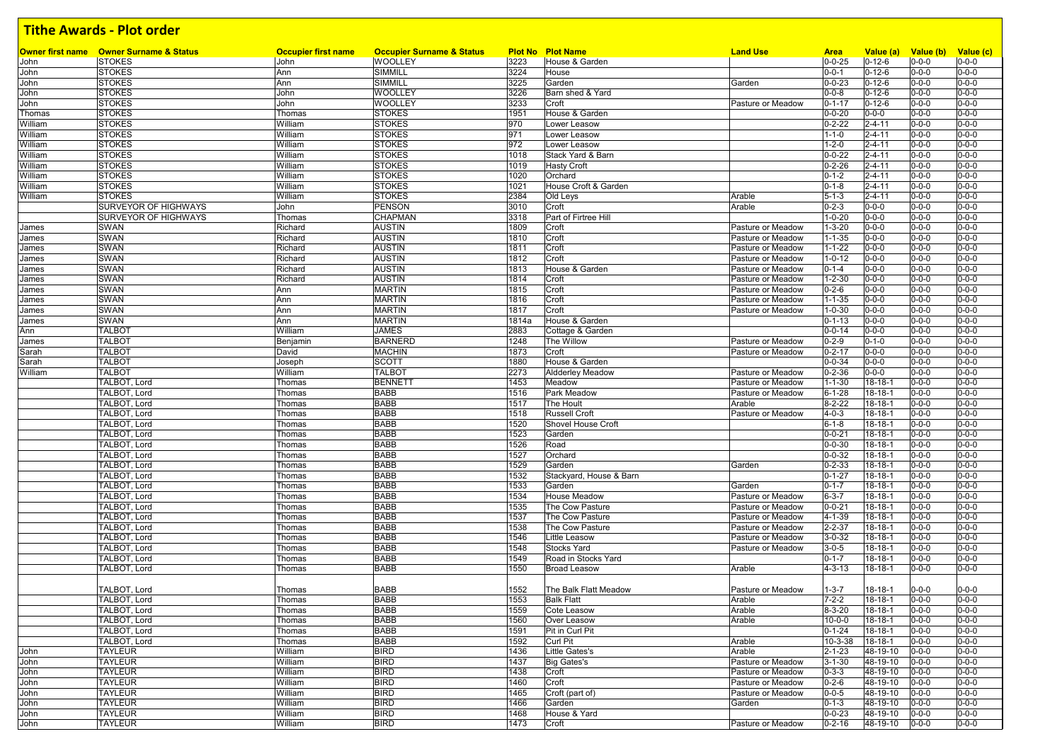|                | <b>Owner first name</b> Owner Surname & Status | <b>Occupier first name</b> | <b>Occupier Surname &amp; Status</b> |               | <b>Plot No Plot Name</b>                   | <b>Land Use</b>                        | <b>Area</b>                  | Value (a)                      | Value (b)                  | Value (c)                  |
|----------------|------------------------------------------------|----------------------------|--------------------------------------|---------------|--------------------------------------------|----------------------------------------|------------------------------|--------------------------------|----------------------------|----------------------------|
| John           | <b>STOKES</b>                                  | John                       | <b>WOOLLEY</b>                       | 3223          | House & Garden                             |                                        | $0 - 0 - 25$                 | $0 - 12 - 6$                   | $0 - 0 - 0$                | $0 - 0 - 0$                |
| John           | <b>STOKES</b><br><b>STOKES</b>                 | Ann<br>Ann                 | SIMMILL<br>SIMMILL                   | 3224<br>3225  | House<br>Garden                            |                                        | $0 - 0 - 1$<br>$0 - 0 - 23$  | $0 - 12 - 6$<br>$0 - 12 - 6$   | $0 - 0 - 0$<br>$0 - 0 - 0$ | $0 - 0 - 0$<br>$0 - 0 - 0$ |
| John<br>John   | <b>STOKES</b>                                  | John                       | WOOLLEY                              | 3226          | Barn shed & Yard                           | Garden                                 | $0 - 0 - 8$                  | $0 - 12 - 6$                   | $0 - 0 - 0$                | $0 - 0 - 0$                |
| John           | <b>STOKES</b>                                  | John                       | WOOLLEY                              | 3233          | Croft                                      | Pasture or Meadow                      | $0 - 1 - 17$                 | $0 - 12 - 6$                   | $0 - 0 - 0$                | $0 - 0 - 0$                |
| Thomas         | <b>STOKES</b>                                  | Thomas                     | <b>STOKES</b>                        | 1951          | House & Garden                             |                                        | $0 - 0 - 20$                 | $0 - 0 - 0$                    | $0 - 0 - 0$                | $0 - 0 - 0$                |
| William        | <b>STOKES</b>                                  | William                    | <b>STOKES</b>                        | 970           | Lower Leasow                               |                                        | $0 - 2 - 22$                 | $2 - 4 - 11$                   | $0 - 0 - 0$                | $0 - 0 - 0$                |
| William        | <b>STOKES</b>                                  | William                    | <b>STOKES</b>                        | 971           | Lower Leasow                               |                                        | $1 - 1 - 0$                  | $2 - 4 - 11$                   | $0 - 0 - 0$                | $0 - 0 - 0$                |
| William        | <b>STOKES</b>                                  | William                    | <b>STOKES</b>                        | 972           | Lower Leasow                               |                                        | $1 - 2 - 0$                  | $2 - 4 - 11$                   | $0 - 0 - 0$                | $0 - 0 - 0$                |
| William        | <b>STOKES</b>                                  | William                    | <b>STOKES</b>                        | 1018          | Stack Yard & Barn                          |                                        | $0 - 0 - 22$                 | $2 - 4 - 11$                   | $0 - 0 - 0$                | $0 - 0 - 0$                |
| William        | <b>STOKES</b>                                  | William                    | <b>STOKES</b>                        | 1019          | <b>Hasty Croft</b>                         |                                        | $0 - 2 - 26$                 | $2 - 4 - 11$                   | $0 - 0 - 0$                | $0 - 0 - 0$                |
| William        | <b>STOKES</b>                                  | William                    | <b>STOKES</b>                        | 1020          | Orchard                                    |                                        | $0 - 1 - 2$                  | $2 - 4 - 11$                   | $0 - 0 - 0$                | $0 - 0 - 0$                |
| William        | <b>STOKES</b>                                  | William                    | <b>STOKES</b>                        | 1021          | House Croft & Garden                       |                                        | $0 - 1 - 8$                  | $2 - 4 - 11$                   | $0 - 0 - 0$                | $0 - 0 - 0$                |
| William        | <b>STOKES</b>                                  | William                    | <b>STOKES</b>                        | 2384          | Old Leys                                   | Arable                                 | $5 - 1 - 3$                  | $2 - 4 - 11$                   | $0 - 0 - 0$                | $0 - 0 - 0$                |
|                | SURVEYOR OF HIGHWAYS                           | John                       | <b>PENSON</b>                        | 3010          | Croft                                      | Arable                                 | $0 - 2 - 3$                  | $0 - 0 - 0$                    | $0 - 0 - 0$                | $0 - 0 - 0$                |
|                | SURVEYOR OF HIGHWAYS                           | Thomas                     | CHAPMAN                              | 3318          | Part of Firtree Hill                       |                                        | $1 - 0 - 20$                 | $0 - 0 - 0$                    | $0 - 0 - 0$                | $0 - 0 - 0$                |
|                | <b>SWAN</b>                                    | Richard                    | <b>AUSTIN</b>                        | 1809          | Croft                                      | Pasture or Meadow                      | $1 - 3 - 20$                 | $0 - 0 - 0$                    | $0 - 0 - 0$                | $0 - 0 - 0$                |
| James          | <b>SWAN</b>                                    | Richard                    | <b>AUSTIN</b>                        | 1810          | Croft                                      | Pasture or Meadow                      | $1 - 1 - 35$                 | $0 - 0 - 0$                    | $0 - 0 - 0$                | $0 - 0 - 0$                |
| James<br>James | <b>SWAN</b>                                    | Richard                    | <b>AUSTIN</b>                        | 1811          | Croft                                      | Pasture or Meadow                      | $1 - 1 - 22$                 | $0 - 0 - 0$                    | $0 - 0 - 0$                | $0 - 0 - 0$                |
|                | <b>SWAN</b>                                    | Richard                    | <b>AUSTIN</b>                        | 1812          | Croft                                      | Pasture or Meadow                      | $1 - 0 - 12$                 | $0 - 0 - 0$                    | $0 - 0 - 0$                | $0 - 0 - 0$                |
| James<br>James | <b>SWAN</b>                                    | Richard                    | AUSTIN                               | 1813          | House & Garden                             | Pasture or Meadow                      | $0 - 1 - 4$                  | $0 - 0 - 0$                    | $0 - 0 - 0$                | $0 - 0 - 0$                |
|                | <b>SWAN</b>                                    | Richard                    | <b>AUSTIN</b>                        | 1814          | Croft                                      | Pasture or Meadow                      | $1 - 2 - 30$                 | $0 - 0 - 0$                    | $0 - 0 - 0$                | $0 - 0 - 0$                |
| James          |                                                |                            |                                      |               |                                            |                                        |                              | $0 - 0 - 0$                    |                            | $0 - 0 - 0$                |
| James          | <b>SWAN</b><br><b>SWAN</b>                     | Ann<br>Ann                 | MARTIN                               | 1815          | Croft<br>Croft                             | Pasture or Meadow<br>Pasture or Meadow | $0 - 2 - 6$                  |                                | $0 - 0 - 0$                | $0 - 0 - 0$                |
| James          |                                                |                            | <b>MARTIN</b>                        | 1816<br>1817  | Croft                                      |                                        | $1 - 1 - 35$<br>$1 - 0 - 30$ | $0 - 0 - 0$<br>$0 - 0 - 0$     | $0 - 0 - 0$<br>$0 - 0 - 0$ | $0 - 0 - 0$                |
| James          | <b>SWAN</b>                                    | Ann                        | <b>MARTIN</b><br><b>MARTIN</b>       |               |                                            | Pasture or Meadow                      |                              |                                |                            |                            |
| James          | <b>SWAN</b><br><b>TALBOT</b>                   | Ann<br>William             | <b>JAMES</b>                         | 1814a<br>2883 | House & Garden                             |                                        | $0 - 1 - 13$<br>$0 - 0 - 14$ | $0 - 0 - 0$<br>$0 - 0 - 0$     | $0 - 0 - 0$<br>$0 - 0 - 0$ | $0 - 0 - 0$<br>$0 - 0 - 0$ |
| Ann            | <b>TALBOT</b>                                  | Benjamin                   | <b>BARNERD</b>                       | 1248          | Cottage & Garden<br>The Willow             | Pasture or Meadow                      | $0 - 2 - 9$                  | $0 - 1 - 0$                    | $0 - 0 - 0$                | $0 - 0 - 0$                |
| James          | <b>TALBOT</b>                                  | David                      | <b>MACHIN</b>                        | 1873          | Croft                                      | Pasture or Meadow                      | $0 - 2 - 17$                 | $0 - 0 - 0$                    | $0 - 0 - 0$                | $0 - 0 - 0$                |
| Sarah          | <b>TALBOT</b>                                  |                            | <b>SCOTT</b>                         |               |                                            |                                        |                              |                                |                            | $0 - 0 - 0$                |
| Sarah          | <b>TALBOT</b>                                  | Joseph                     | <b>TALBOT</b>                        | 1880          | House & Garden                             |                                        | $0 - 0 - 34$                 | $0 - 0 - 0$                    | $0 - 0 - 0$                | $0 - 0 - 0$                |
| William        |                                                | William                    |                                      | 2273          | <b>Aldderley Meadow</b>                    | Pasture or Meadow                      | $0 - 2 - 36$                 | $0 - 0 - 0$                    | $0 - 0 - 0$                |                            |
|                | TALBOT, Lord                                   | Thomas                     | <b>BENNETT</b><br><b>BABB</b>        | 1453<br>1516  | Meadow<br>Park Meadow                      | Pasture or Meadow                      | $1 - 1 - 30$                 | $18 - 18 - 1$<br>$18 - 18 - 1$ | $0 - 0 - 0$                | $0 - 0 - 0$<br>$0 - 0 - 0$ |
|                | TALBOT, Lord<br>TALBOT. Lord                   | Thomas                     |                                      |               |                                            | Pasture or Meadow                      | $6 - 1 - 28$                 |                                | $0 - 0 - 0$                |                            |
|                |                                                | Thomas                     | <b>BABB</b><br><b>BABB</b>           | 1517          | The Hoult                                  | Arable                                 | $8 - 2 - 22$                 | 18-18-1                        | $0 - 0 - 0$                | $0 - 0 - 0$<br>$0 - 0 - 0$ |
|                | TALBOT, Lord                                   | Thomas                     | <b>BABB</b>                          | 1518          | <b>Russell Croft</b><br>Shovel House Croft | Pasture or Meadow                      | $4 - 0 - 3$<br>$6 - 1 - 8$   | 18-18-1<br>$18 - 18 - 1$       | $0 - 0 - 0$<br>$0 - 0 - 0$ | $0 - 0 - 0$                |
|                | TALBOT, Lord                                   | Thomas                     | <b>BABB</b>                          | 1520          |                                            |                                        |                              |                                |                            | $0 - 0 - 0$                |
|                | TALBOT, Lord                                   | Thomas                     | <b>BABB</b>                          | 1523          | Garden                                     |                                        | $0 - 0 - 21$                 | 18-18-1                        | $0 - 0 - 0$                | $0 - 0 - 0$                |
|                | TALBOT, Lord<br>TALBOT, Lord                   | Thomas                     | <b>BABB</b>                          | 1526<br>1527  | Road<br>Orchard                            |                                        | $0 - 0 - 30$<br>$0 - 0 - 32$ | 18-18-1<br>$18 - 18 - 1$       | $0 - 0 - 0$<br>$0 - 0 - 0$ | $0 - 0 - 0$                |
|                | TALBOT, Lord                                   | Thomas                     | <b>BABB</b>                          | 1529          | Garden                                     |                                        | $0 - 2 - 33$                 | $18 - 18 - 1$                  | $0 - 0 - 0$                | $0 - 0 - 0$                |
|                | TALBOT, Lord                                   | Thomas                     | <b>BABB</b>                          | 1532          | Stackyard, House & Barn                    | Garden                                 | $0 - 1 - 27$                 | $18 - 18 - 1$                  | $0 - 0 - 0$                | $0 - 0 - 0$                |
|                | TALBOT, Lord                                   | Thomas                     | <b>BABB</b>                          | 1533          | Garden                                     | Garden                                 | $0 - 1 - 7$                  | 18-18-1                        | $0 - 0 - 0$                | $0 - 0 - 0$                |
|                | TALBOT, Lord                                   | Thomas<br>Thomas           | <b>BABB</b>                          | 1534          | House Meadow                               | Pasture or Meadow                      | $6 - 3 - 7$                  | 18-18-1                        | $0 - 0 - 0$                | $0 - 0 - 0$                |
|                | TALBOT, Lord                                   | Thomas                     | <b>BABB</b>                          | 1535          | The Cow Pasture                            | Pasture or Meadow                      | $0 - 0 - 21$                 | $18 - 18 - 1$                  | $0 - 0 - 0$                | $0 - 0 - 0$                |
|                | TALBOT, Lord                                   | Thomas                     | <b>BABB</b>                          | 1537          | The Cow Pasture                            | Pasture or Meadow                      | 4-1-39                       | 18-18-1                        | $0 - 0 - 0$                | $0 - 0 - 0$                |
|                | TALBOT, Lord                                   | Thomas                     | <b>BABB</b>                          | 1538          | The Cow Pasture                            | Pasture or Meadow                      | $2 - 2 - 37$                 | 18-18-1                        | $0 - 0 - 0$                | $0 - 0 - 0$                |
|                | TALBOT, Lord                                   | Thomas                     | <b>BABB</b>                          | 1546          | Little Leasow                              | Pasture or Meadow                      | $3 - 0 - 32$                 | 18-18-1                        | $0 - 0 - 0$                | $0 - 0 - 0$                |
|                | TALBOT, Lord                                   | Thomas                     | <b>BABB</b>                          | 1548          | <b>Stocks Yard</b>                         | Pasture or Meadow                      | $3 - 0 - 5$                  | 18-18-1                        | $0 - 0 - 0$                | $0 - 0 - 0$                |
|                | TALBOT, Lord                                   | Thomas                     | <b>BABB</b>                          | 1549          | Road in Stocks Yard                        |                                        | $0 - 1 - 7$                  | 18-18-1                        | $0 - 0 - 0$                | $0 - 0 - 0$                |
|                | TALBOT, Lord                                   | Thomas                     | <b>BABB</b>                          | 1550          | <b>Broad Leasow</b>                        | Arable                                 | $4 - 3 - 13$                 | 18-18-1                        | $0 - 0 - 0$                | $0 - 0 - 0$                |
|                |                                                |                            |                                      |               |                                            |                                        |                              |                                |                            |                            |
|                | TALBOT, Lord                                   | Thomas                     | <b>BABB</b>                          | 1552          | The Balk Flatt Meadow                      | Pasture or Meadow                      | $1 - 3 - 7$                  | 18-18-1                        | $0 - 0 - 0$                | $0 - 0 - 0$                |
|                | TALBOT, Lord                                   | Thomas                     | <b>BABB</b>                          | 1553          | <b>Balk Flatt</b>                          | Arable                                 | $7 - 2 - 2$                  | 18-18-1                        | $0 - 0 - 0$                | $0 - 0 - 0$                |
|                | TALBOT, Lord                                   |                            | <b>BABB</b>                          | 1559          |                                            | Arable                                 | $8 - 3 - 20$                 | $18 - 18 - 1$                  | $0 - 0 - 0$                | $0 - 0 - 0$                |
|                | TALBOT, Lord                                   | Thomas<br>Thomas           | <b>BABB</b>                          | 1560          | Cote Leasow<br>Over Leasow                 | Arable                                 | $10 - 0 - 0$                 | $18 - 18 - 1$                  | $0 - 0 - 0$                | $0 - 0 - 0$                |
|                | TALBOT, Lord                                   | Thomas                     | <b>BABB</b>                          | 1591          | Pit in Curl Pit                            |                                        | $0 - 1 - 24$                 | 18-18-1                        | $0 - 0 - 0$                | $0 - 0 - 0$                |
|                | TALBOT, Lord                                   | Thomas                     | <b>BABB</b>                          | 1592          | <b>Curl Pit</b>                            | Arable                                 | $10 - 3 - 38$                | $18 - 18 - 1$                  | $0 - 0 - 0$                | $0 - 0 - 0$                |
| John           | <b>TAYLEUR</b>                                 | William                    | <b>BIRD</b>                          | 1436          | Little Gates's                             | Arable                                 | $2 - 1 - 23$                 | 48-19-10                       | $0 - 0 - 0$                | $0 - 0 - 0$                |
| John           | <b>TAYLEUR</b>                                 | William                    | <b>BIRD</b>                          | 1437          | Big Gates's                                | Pasture or Meadow                      | $3 - 1 - 30$                 | 48-19-10                       | $0 - 0 - 0$                | $0 - 0 - 0$                |
| John           | <b>TAYLEUR</b>                                 | William                    | <b>BIRD</b>                          | 1438          | Croft                                      | Pasture or Meadow                      | $0 - 3 - 3$                  | 48-19-10                       | $0 - 0 - 0$                | $0 - 0 - 0$                |
| John           | <b>TAYLEUR</b>                                 | William                    | <b>BIRD</b>                          | 1460          | Croft                                      | Pasture or Meadow                      | $0 - 2 - 6$                  | 48-19-10                       | $0 - 0 - 0$                | $0 - 0 - 0$                |
| John           | <b>TAYLEUR</b>                                 | William                    | <b>BIRD</b>                          | 1465          | Croft (part of)                            | Pasture or Meadow                      | $0 - 0 - 5$                  | 48-19-10                       | $0 - 0 - 0$                | $0 - 0 - 0$                |
| John           | <b>TAYLEUR</b>                                 | William                    | <b>BIRD</b>                          | 1466          | Garden                                     | Garden                                 | $0 - 1 - 3$                  | 48-19-10                       | $0 - 0 - 0$                | $0 - 0 - 0$                |
| John           | TAYLEUR                                        | William                    | <b>BIRD</b>                          | 1468          | House & Yard                               |                                        | $0 - 0 - 23$                 | 48-19-10                       | $0 - 0 - 0$                | $0 - 0 - 0$                |
| John           | <b>TAYLEUR</b>                                 | William                    | <b>BIRD</b>                          | 1473          | Croft                                      | Pasture or Meadow                      | $0 - 2 - 16$                 | 48-19-10                       | $0 - 0 - 0$                | $0 - 0 - 0$                |
|                |                                                |                            |                                      |               |                                            |                                        |                              |                                |                            |                            |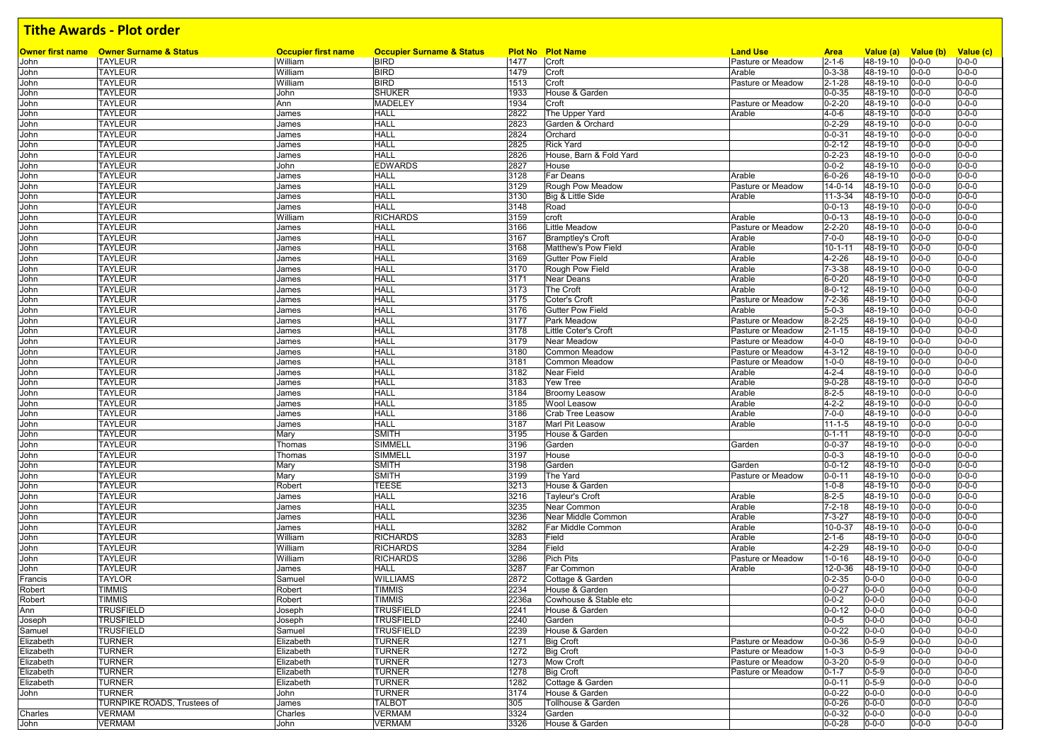|              |                                                            |                                       |                                                     |              |                                   | <b>Land Use</b>             |                              |                       |                                    |                            |
|--------------|------------------------------------------------------------|---------------------------------------|-----------------------------------------------------|--------------|-----------------------------------|-----------------------------|------------------------------|-----------------------|------------------------------------|----------------------------|
| John         | Owner first name  Owner Surname & Status<br><b>TAYLEUR</b> | <b>Occupier first name</b><br>William | <b>Occupier Surname &amp; Status</b><br><b>BIRD</b> | 1477         | <b>Plot No Plot Name</b><br>Croft | Pasture or Meadow           | <b>Area</b><br>$2 - 1 - 6$   | Value (a)<br>48-19-10 | Value (b) Value (c)<br>$0 - 0 - 0$ | $0 - 0 - 0$                |
| John         | <b>TAYLEUR</b>                                             | William                               | <b>BIRD</b>                                         | 1479         | Croft                             | Arable                      | $0 - 3 - 38$                 | 48-19-10              | $0 - 0 - 0$                        | $0 - 0 - 0$                |
| John         | <b>TAYLEUR</b>                                             | William                               | <b>BIRD</b>                                         | 1513         | Croft                             | Pasture or Meadow           | $2 - 1 - 28$                 | 48-19-10              | $0 - 0 - 0$                        | $0 - 0 - 0$                |
| John         | <b>TAYLEUR</b>                                             | John                                  | <b>SHUKER</b>                                       | 1933         | House & Garden                    |                             | $0 - 0 - 35$                 | 48-19-10              | $0 - 0 - 0$                        | $0 - 0 - 0$                |
| John         | <b>TAYLEUR</b>                                             | Ann                                   | <b>MADELEY</b>                                      | 1934         | Croft                             | Pasture or Meadow           | $0 - 2 - 20$                 | 48-19-10              | $0 - 0 - 0$                        | $0 - 0 - 0$                |
| John         | <b>TAYLEUR</b>                                             | James                                 | <b>HALL</b>                                         | 2822         | The Upper Yard                    | Arable                      | $4 - 0 - 6$                  | 48-19-10              | $0 - 0 - 0$                        | $0 - 0 - 0$                |
| John         | <b>TAYLEUR</b>                                             | James                                 | <b>HALL</b>                                         | 2823         | Garden & Orchard                  |                             | $0 - 2 - 29$                 | 48-19-10              | $0 - 0 - 0$                        | $0 - 0 - 0$                |
| John         | <b>TAYLEUR</b>                                             | James                                 | <b>HALL</b>                                         | 2824         | Orchard                           |                             | $0 - 0 - 31$                 | 48-19-10              | $0 - 0 - 0$                        | $0 - 0 - 0$                |
| John         | <b>TAYLEUR</b>                                             | James                                 | <b>HALL</b>                                         | 2825         | <b>Rick Yard</b>                  |                             | $0 - 2 - 12$                 | 48-19-10              | $0 - 0 - 0$                        | $0 - 0 - 0$                |
| John         | <b>TAYLEUR</b>                                             | James                                 | <b>HALL</b>                                         | 2826         | House, Barn & Fold Yard           |                             | $0 - 2 - 23$                 | 48-19-10              | $0 - 0 - 0$                        | $0 - 0 - 0$                |
| John         | <b>TAYLEUR</b>                                             | John                                  | <b>EDWARDS</b>                                      | 2827         | House                             |                             | $0 - 0 - 2$                  | 48-19-10              | $0 - 0 - 0$                        | $0 - 0 - 0$                |
| John         | <b>TAYLEUR</b>                                             | James                                 | <b>HALL</b>                                         | 3128         | <b>Far Deans</b>                  | Arable                      | $6 - 0 - 26$                 | 48-19-10              | $0 - 0 - 0$                        | $0 - 0 - 0$                |
| John         | <b>TAYLEUR</b>                                             | James                                 | <b>HALL</b>                                         | 3129         | Rough Pow Meadow                  | Pasture or Meadow           | $14 - 0 - 14$                | 48-19-10              | $0 - 0 - 0$                        | $0 - 0 - 0$                |
| John         | <b>TAYLEUR</b>                                             | James                                 | <b>HALL</b>                                         | 3130         | Big & Little Side                 | Arable                      | $11 - 3 - 34$                | 48-19-10              | $0 - 0 - 0$                        | $0 - 0 - 0$                |
| John         | <b>TAYLEUR</b>                                             | James                                 | <b>HALL</b>                                         | 3148         | Road                              |                             | $0 - 0 - 13$                 | 48-19-10              | $0 - 0 - 0$                        | $0 - 0 - 0$                |
| John         | <b>TAYLEUR</b>                                             | William                               | <b>RICHARDS</b>                                     | 3159         | croft                             | Arable                      | $0 - 0 - 13$                 | 48-19-10              | $0 - 0 - 0$                        | $0 - 0 - 0$                |
| John         | <b>TAYLEUR</b>                                             | James                                 | <b>HALL</b>                                         | 3166         | <b>Little Meadow</b>              | Pasture or Meadow           | $2 - 2 - 20$                 | 48-19-10              | $0 - 0 - 0$                        | $0 - 0 - 0$                |
| John         | <b>TAYLEUR</b>                                             | James                                 | <b>HALL</b>                                         | 3167         | <b>Bramptley's Croft</b>          | Arable                      | $7 - 0 - 0$                  | 48-19-10              | $0 - 0 - 0$                        | $0 - 0 - 0$                |
| John         | <b>TAYLEUR</b>                                             | James                                 | <b>HALL</b>                                         | 3168         | Matthew's Pow Field               | Arable                      | $10 - 1 - 11$                | 48-19-10              | $0 - 0 - 0$                        | $0 - 0 - 0$                |
| John         | <b>TAYLEUR</b>                                             | James                                 | <b>HALL</b>                                         | 3169         | <b>Gutter Pow Field</b>           | Arable                      | $4 - 2 - 26$                 | 48-19-10              | $0 - 0 - 0$                        | $0 - 0 - 0$                |
| John         | <b>TAYLEUR</b>                                             | James                                 | <b>HALL</b>                                         | 3170         | Rough Pow Field                   | Arable                      | $7 - 3 - 38$                 | 48-19-10              | $0 - 0 - 0$                        | $0 - 0 - 0$                |
| John         | <b>TAYLEUR</b>                                             | James                                 | <b>HALL</b>                                         | 3171         | Near Deans                        | Arable                      | $6 - 0 - 20$                 | 48-19-10              | $0 - 0 - 0$                        | $0 - 0 - 0$                |
| John         | <b>TAYLEUR</b>                                             | James                                 | <b>HALL</b>                                         | 3173         | The Croft                         | Arable                      | $8 - 0 - 12$                 | 48-19-10              | $0 - 0 - 0$                        | $0 - 0 - 0$                |
| John         | <b>TAYLEUR</b>                                             | James                                 | <b>HALL</b>                                         | 3175         | Coter's Croft                     | Pasture or Meadow           | $7 - 2 - 36$                 | 48-19-10              | $0 - 0 - 0$                        | $0 - 0 - 0$                |
| John         | <b>TAYLEUR</b>                                             | James                                 | <b>HALL</b>                                         | 3176         | <b>Gutter Pow Field</b>           | Arable                      | $5 - 0 - 3$                  | 48-19-10              | $0 - 0 - 0$                        | $0 - 0 - 0$                |
| John         | <b>TAYLEUR</b>                                             | James                                 | <b>HALL</b>                                         | 3177         | Park Meadow                       | Pasture or Meadow           | $8 - 2 - 25$                 | 48-19-10              | $0 - 0 - 0$                        | $0 - 0 - 0$                |
| John         | <b>TAYLEUR</b>                                             | James                                 | <b>HALL</b>                                         | 3178         | Little Coter's Croft              | Pasture or Meadow           | $2 - 1 - 15$                 | 48-19-10              | $0 - 0 - 0$                        | $0 - 0 - 0$                |
| John         | <b>TAYLEUR</b>                                             | James                                 | <b>HALL</b>                                         | 3179         | Near Meadow                       | Pasture or Meadow           | $4 - 0 - 0$                  | 48-19-10              | $0 - 0 - 0$                        | $0 - 0 - 0$                |
| John         | <b>TAYLEUR</b>                                             | James                                 | <b>HALL</b>                                         | 3180         | Common Meadow                     | Pasture or Meadow           | $4 - 3 - 12$                 | 48-19-10              | $0 - 0 - 0$                        | $0 - 0 - 0$                |
| John         | <b>TAYLEUR</b>                                             | James                                 | <b>HALL</b>                                         | 3181         | Common Meadow                     | Pasture or Meadow           | $1 - 0 - 0$                  | 48-19-10              | $0 - 0 - 0$                        | $0 - 0 - 0$                |
| John         | <b>TAYLEUR</b>                                             | James                                 | <b>HALL</b>                                         | 3182         | <b>Near Field</b>                 | Arable                      | $4 - 2 - 4$                  | $48 - 19 - 10$        | $0 - 0 - 0$                        | $0 - 0 - 0$                |
| John         | <b>TAYLEUR</b>                                             | James                                 | <b>HALL</b>                                         | 3183         | <b>Yew Tree</b>                   | Arable                      | $9 - 0 - 28$                 | 48-19-10              | $0 - 0 - 0$                        | $0 - 0 - 0$                |
| John         | <b>TAYLEUR</b>                                             | James                                 | <b>HALL</b>                                         | 3184         | <b>Broomy Leasow</b>              | Arable                      | $8 - 2 - 5$                  | 48-19-10              | $0 - 0 - 0$                        | $0 - 0 - 0$                |
| John         | <b>TAYLEUR</b>                                             | James                                 | <b>HALL</b>                                         | 3185         | <b>Wool Leasow</b>                | Arable                      | $4 - 2 - 2$                  | 48-19-10              | $0 - 0 - 0$                        | $0 - 0 - 0$                |
| John         | <b>TAYLEUR</b>                                             | James                                 | <b>HALL</b>                                         | 3186         | <b>Crab Tree Leasow</b>           | Arable                      | $7 - 0 - 0$                  | 48-19-10              | $0 - 0 - 0$                        | $0 - 0 - 0$                |
| John         | <b>TAYLEUR</b>                                             | James                                 | <b>HALL</b>                                         | 3187         | Marl Pit Leasow                   | Arable                      | $11 - 1 - 5$                 | 48-19-10              | $0 - 0 - 0$                        | $0 - 0 - 0$                |
| John         | <b>TAYLEUR</b>                                             | Mary                                  | <b>SMITH</b>                                        | 3195         | House & Garden                    |                             | $0 - 1 - 11$                 | 48-19-10              | $0 - 0 - 0$                        | $0 - 0 - 0$                |
| John         | <b>TAYLEUR</b>                                             | Thomas                                | <b>SIMMELL</b>                                      | 3196         | Garden                            | Garden                      | $0 - 0 - 37$                 | 48-19-10              | $0 - 0 - 0$                        | $0 - 0 - 0$                |
| John         | <b>TAYLEUR</b>                                             | Thomas                                | <b>SIMMELL</b>                                      | 3197         | House                             |                             | $0 - 0 - 3$                  | 48-19-10              | $0 - 0 - 0$                        | $0 - 0 - 0$                |
| John         | <b>TAYLEUR</b><br><b>TAYLEUR</b>                           | Mary<br>Mary                          | <b>SMITH</b><br><b>SMITH</b>                        | 3198<br>3199 | Garden<br>The Yard                | Garden<br>Pasture or Meadow | $0 - 0 - 12$<br>$0 - 0 - 11$ | 48-19-10<br>48-19-10  | $0 - 0 - 0$<br>$0 - 0 - 0$         | $0 - 0 - 0$<br>$0 - 0 - 0$ |
| John<br>John | <b>TAYLEUR</b>                                             | Robert                                | <b>TEESE</b>                                        | 3213         | House & Garden                    |                             | $1 - 0 - 8$                  | 48-19-10              | $0 - 0 - 0$                        | $0 - 0 - 0$                |
| John         | <b>TAYLEUR</b>                                             | James                                 | <b>HALL</b>                                         | 3216         | Tayleur's Croft                   | Arable                      | $8 - 2 - 5$                  | 48-19-10              | $0 - 0 - 0$                        | $0 - 0 - 0$                |
| John         | <b>TAYLEUR</b>                                             | James                                 | <b>HALL</b>                                         | 3235         | Near Common                       | Arable                      | $7 - 2 - 18$                 | 48-19-10              | $0 - 0 - 0$                        | $0 - 0 - 0$                |
| John         | <b>TAYLEUR</b>                                             | James                                 | <b>HALL</b>                                         | 3236         | Near Middle Common                | Arable                      | $7 - 3 - 27$                 | 48-19-10              | $0 - 0 - 0$                        | $0 - 0 - 0$                |
| John         | <b>TAYLEUR</b>                                             | James                                 | <b>HALL</b>                                         | 3282         | Far Middle Common                 | Arable                      | 10-0-37                      | 48-19-10              | $0 - 0 - 0$                        | $0 - 0 - 0$                |
| John         | <b>TAYLEUR</b>                                             | William                               | <b>RICHARDS</b>                                     | 3283         | Field                             | Arable                      | $2 - 1 - 6$                  | 48-19-10              | $0 - 0 - 0$                        | $0 - 0 - 0$                |
| John         | <b>TAYLEUR</b>                                             | William                               | <b>RICHARDS</b>                                     | 3284         | Field                             | Arable                      | $4 - 2 - 29$                 | 48-19-10              | $0 - 0 - 0$                        | $0 - 0 - 0$                |
| John         | <b>TAYLEUR</b>                                             | William                               | <b>RICHARDS</b>                                     | 3286         | <b>Pich Pits</b>                  | Pasture or Meadow           | $1 - 0 - 16$                 | 48-19-10              | $0 - 0 - 0$                        | $0 - 0 - 0$                |
| John         | <b>TAYLEUR</b>                                             | James                                 | <b>HALL</b>                                         | 3287         | Far Common                        | Arable                      | 12-0-36                      | 48-19-10              | $0 - 0 - 0$                        | $0 - 0 - 0$                |
| Francis      | <b>TAYLOR</b>                                              | Samuel                                | <b>WILLIAMS</b>                                     | 2872         | Cottage & Garden                  |                             | $0 - 2 - 35$                 | 0-0-0                 | $0 - 0 - 0$                        | $0 - 0 - 0$                |
| Robert       | <b>TIMMIS</b>                                              | Robert                                | <b>TIMMIS</b>                                       | 2234         | House & Garden                    |                             | $0 - 0 - 27$                 | $0 - 0 - 0$           | $0 - 0 - 0$                        | $0 - 0 - 0$                |
| Robert       | <b>TIMMIS</b>                                              | Robert                                | <b>TIMMIS</b>                                       | 2236a        | Cowhouse & Stable etc             |                             | $0 - 0 - 2$                  | $0 - 0 - 0$           | $0 - 0 - 0$                        | $0 - 0 - 0$                |
| Ann          | <b>TRUSFIELD</b>                                           | Joseph                                | <b>TRUSFIELD</b>                                    | 2241         | House & Garden                    |                             | $0 - 0 - 12$                 | $0 - 0 - 0$           | $0 - 0 - 0$                        | $0 - 0 - 0$                |
| Joseph       | <b>TRUSFIELD</b>                                           | Joseph                                | <b>TRUSFIELD</b>                                    | 2240         | Garden                            |                             | $0 - 0 - 5$                  | $0 - 0 - 0$           | $0 - 0 - 0$                        | $0 - 0 - 0$                |
| Samuel       | <b>TRUSFIELD</b>                                           | Samuel                                | <b>TRUSFIELD</b>                                    | 2239         | House & Garden                    |                             | $0 - 0 - 22$                 | $0 - 0 - 0$           | $0 - 0 - 0$                        | $0 - 0 - 0$                |
| Elizabeth    | <b>TURNER</b>                                              | Elizabeth                             | <b>TURNER</b>                                       | 1271         | <b>Big Croft</b>                  | Pasture or Meadow           | $0 - 0 - 36$                 | $0 - 5 - 9$           | $0 - 0 - 0$                        | $0 - 0 - 0$                |
| Elizabeth    | <b>TURNER</b>                                              | Elizabeth                             | <b>TURNER</b>                                       | 1272         | <b>Big Croft</b>                  | Pasture or Meadow           | $1 - 0 - 3$                  | $0 - 5 - 9$           | $0 - 0 - 0$                        | $0 - 0 - 0$                |
| Elizabeth    | <b>TURNER</b>                                              | Elizabeth                             | <b>TURNER</b>                                       | 1273         | <b>Mow Croft</b>                  | Pasture or Meadow           | $0 - 3 - 20$                 | $0 - 5 - 9$           | $0 - 0 - 0$                        | $0 - 0 - 0$                |
| Elizabeth    | <b>TURNER</b>                                              | Elizabeth                             | <b>TURNER</b>                                       | 1278         | <b>Big Croft</b>                  | Pasture or Meadow           | $0 - 1 - 7$                  | $0 - 5 - 9$           | $0 - 0 - 0$                        | $0 - 0 - 0$                |
| Elizabeth    | <b>TURNER</b>                                              | Elizabeth                             | <b>TURNER</b>                                       | 1282         | Cottage & Garden                  |                             | $0 - 0 - 11$                 | $0 - 5 - 9$           | $0 - 0 - 0$                        | $0 - 0 - 0$                |
| John         | <b>TURNER</b>                                              | John                                  | <b>TURNER</b>                                       | 3174         | House & Garden                    |                             | $0 - 0 - 22$                 | $0 - 0 - 0$           | $0 - 0 - 0$                        | $0 - 0 - 0$                |
|              | <b>TURNPIKE ROADS. Trustees of</b>                         | James                                 | <b>TALBOT</b>                                       | 305          | Tollhouse & Garden                |                             | $0 - 0 - 26$                 | $0 - 0 - 0$           | $0 - 0 - 0$                        | $0 - 0 - 0$                |
| Charles      | <b>VERMAM</b>                                              | Charles                               | <b>VERMAM</b>                                       | 3324         | Garden                            |                             | $0 - 0 - 32$                 | $0 - 0 - 0$           | $0 - 0 - 0$                        | $0 - 0 - 0$                |
| John         | <b>VERMAM</b>                                              | John                                  | <b>VERMAM</b>                                       | 3326         | House & Garden                    |                             | $0 - 0 - 28$                 | $0 - 0 - 0$           | $0 - 0 - 0$                        | $0 - 0 - 0$                |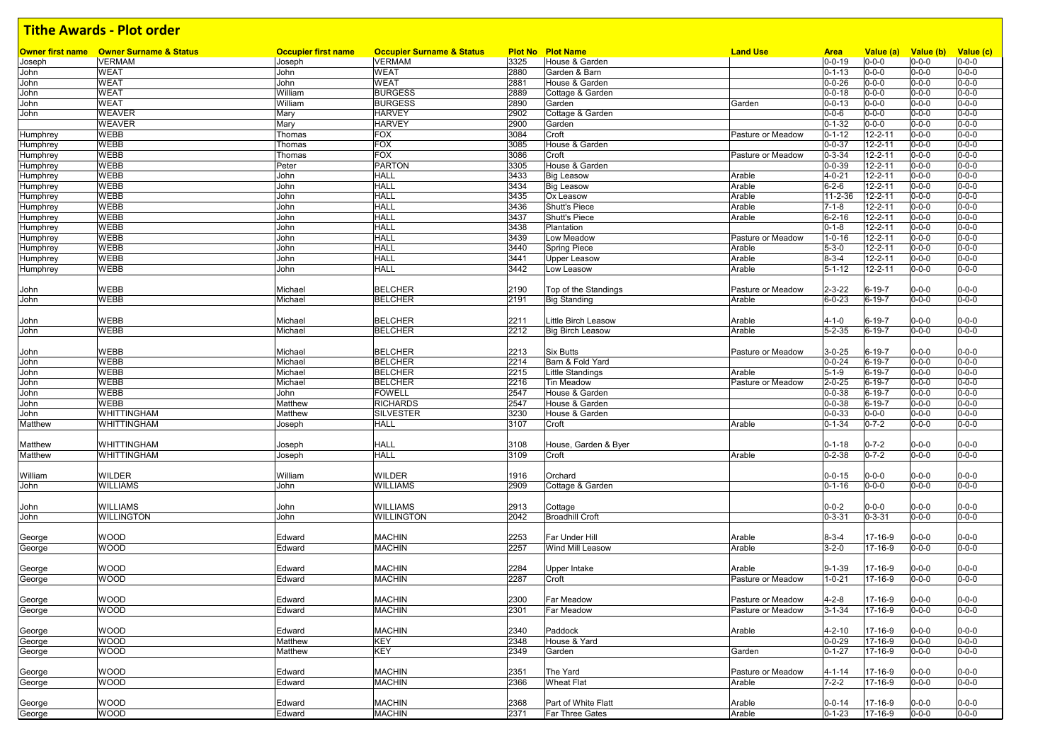|                 | <b>Owner first name</b> Owner Surname & Status | <b>Occupier first name</b> | <b>Occupier Surname &amp; Status</b> |      | <b>Plot No Plot Name</b> | <b>Land Use</b>   | <b>Area</b>   | Value (a)     | Value (b)   | Value (c)   |
|-----------------|------------------------------------------------|----------------------------|--------------------------------------|------|--------------------------|-------------------|---------------|---------------|-------------|-------------|
| Joseph          | <b>VERMAM</b>                                  | Joseph                     | <b>VERMAM</b>                        | 3325 | House & Garden           |                   | $0 - 0 - 19$  | $0 - 0 - 0$   | $0 - 0 - 0$ | $0 - 0 - 0$ |
| John            | <b>WEAT</b>                                    | John                       | <b>WEAT</b>                          | 2880 | Garden & Barn            |                   | $0 - 1 - 13$  | $0 - 0 - 0$   | $0 - 0 - 0$ | $0 - 0 - 0$ |
| John            | <b>WEAT</b>                                    | John                       | <b>WEAT</b>                          | 2881 | House & Garden           |                   | $0 - 0 - 26$  | $0 - 0 - 0$   | $0 - 0 - 0$ | $0 - 0 - 0$ |
| John            | <b>WEAT</b>                                    | William                    | <b>BURGESS</b>                       | 2889 | Cottage & Garden         |                   | $0 - 0 - 18$  | $0 - 0 - 0$   | $0 - 0 - 0$ | $0 - 0 - 0$ |
| John            | <b>WEAT</b>                                    | William                    | <b>BURGESS</b>                       | 2890 | Garden                   | Garden            | $0 - 0 - 13$  | $0 - 0 - 0$   | $0 - 0 - 0$ | $0 - 0 - 0$ |
| John            | <b>WEAVER</b>                                  | Mary                       | <b>HARVEY</b>                        | 2902 | Cottage & Garden         |                   | $0 - 0 - 6$   | $0 - 0 - 0$   | $0 - 0 - 0$ | $0 - 0 - 0$ |
|                 | <b>WEAVER</b>                                  | Mary                       | HARVEY                               | 2900 | Garden                   |                   | $0 - 1 - 32$  | $0 - 0 - 0$   | $0 - 0 - 0$ | $0 - 0 - 0$ |
| Humphrey        | <b>WEBB</b>                                    | Thomas                     | <b>FOX</b>                           | 3084 | Croft                    | Pasture or Meadow | $0 - 1 - 12$  | 12-2-11       | $0 - 0 - 0$ | $0 - 0 - 0$ |
| Humphrey        | <b>WEBB</b>                                    | Thomas                     | <b>FOX</b>                           | 3085 | House & Garden           |                   | $0 - 0 - 37$  | $12 - 2 - 11$ | $0 - 0 - 0$ | $0 - 0 - 0$ |
| Humphrey        | <b>WEBB</b>                                    | Thomas                     | <b>FOX</b>                           | 3086 | Croft                    | Pasture or Meadow | $0 - 3 - 34$  | $12 - 2 - 11$ | $0 - 0 - 0$ | $0 - 0 - 0$ |
| Humphrey        | <b>WEBB</b>                                    | Peter                      | <b>PARTON</b>                        | 3305 | House & Garden           |                   | $0 - 0 - 39$  | $12 - 2 - 11$ | $0 - 0 - 0$ | $0 - 0 - 0$ |
| Humphrey        | <b>WEBB</b>                                    | John                       | <b>HALL</b>                          | 3433 | <b>Big Leasow</b>        | Arable            | $4 - 0 - 21$  | $12 - 2 - 11$ | $0 - 0 - 0$ | $0 - 0 - 0$ |
| Humphrey        | <b>WEBB</b>                                    | John                       | <b>HALL</b>                          | 3434 | <b>Big Leasow</b>        | Arable            | $6 - 2 - 6$   | $12 - 2 - 11$ | $0 - 0 - 0$ | $0 - 0 - 0$ |
| Humphrey        | <b>WEBB</b>                                    | John                       | <b>HALL</b>                          | 3435 | Ox Leasow                | Arable            | $11 - 2 - 36$ | $12 - 2 - 11$ | $0 - 0 - 0$ | $0 - 0 - 0$ |
| Humphrey        | <b>WEBB</b>                                    | John                       | <b>HALL</b>                          | 3436 | Shutt's Piece            | Arable            | $7 - 1 - 8$   | $12 - 2 - 11$ | $0 - 0 - 0$ | $0 - 0 - 0$ |
| Humphrey        | <b>WEBB</b>                                    | John                       | <b>HALL</b>                          | 3437 | Shutt's Piece            | Arable            | $6 - 2 - 16$  | $12 - 2 - 11$ | $0 - 0 - 0$ | $0 - 0 - 0$ |
| <b>Humphrey</b> | <b>WEBB</b>                                    | John                       | <b>HALL</b>                          | 3438 | Plantation               |                   | $0 - 1 - 8$   | $12 - 2 - 11$ | 0-0-0       | $0 - 0 - 0$ |
| Humphrey        | <b>WEBB</b>                                    | John                       | <b>HALL</b>                          | 3439 | Low Meadow               | Pasture or Meadow | $1 - 0 - 16$  | $12 - 2 - 11$ | $0 - 0 - 0$ | $0 - 0 - 0$ |
| Humphrey        | <b>WEBB</b>                                    | John                       | <b>HALL</b>                          | 3440 | <b>Spring Piece</b>      | Arable            | $5 - 3 - 0$   | $12 - 2 - 11$ | $0 - 0 - 0$ | $0 - 0 - 0$ |
| Humphrey        | <b>WEBB</b>                                    | John                       | <b>HALL</b>                          | 3441 | Upper Leasow             | Arable            | $8 - 3 - 4$   | 12-2-11       | $0 - 0 - 0$ | $0 - 0 - 0$ |
|                 | <b>WEBB</b>                                    | John                       | HALL                                 | 3442 | Low Leasow               | Arable            | $5 - 1 - 12$  | 12-2-11       | $0 - 0 - 0$ | $0 - 0 - 0$ |
| Humphrey        |                                                |                            |                                      |      |                          |                   |               |               |             |             |
|                 |                                                |                            |                                      |      |                          |                   |               |               |             |             |
| John            | <b>WEBB</b>                                    | Michael                    | <b>BELCHER</b>                       | 2190 | Top of the Standings     | Pasture or Meadow | $2 - 3 - 22$  | $6 - 19 - 7$  | $0 - 0 - 0$ | $0 - 0 - 0$ |
| John            | <b>WEBB</b>                                    | Michael                    | BELCHER                              | 2191 | <b>Big Standing</b>      | Arable            | $6 - 0 - 23$  | $6 - 19 - 7$  | $0 - 0 - 0$ | $0 - 0 - 0$ |
|                 |                                                |                            |                                      |      |                          |                   |               |               |             |             |
| John            | WEBB                                           | Michael                    | <b>BELCHER</b>                       | 2211 | Little Birch Leasow      | Arable            | $4 - 1 - 0$   | 6-19-7        | $0 - 0 - 0$ | $0 - 0 - 0$ |
| John            | <b>WEBB</b>                                    | Michael                    | <b>BELCHER</b>                       | 2212 | <b>Big Birch Leasow</b>  | Arable            | $5 - 2 - 35$  | $6 - 19 - 7$  | $0 - 0 - 0$ | $0 - 0 - 0$ |
|                 |                                                |                            |                                      |      |                          |                   |               |               |             |             |
| John            | <b>WEBB</b>                                    | Michael                    | <b>BELCHER</b>                       | 2213 | <b>Six Butts</b>         | Pasture or Meadow | $3 - 0 - 25$  | $6 - 19 - 7$  | $0 - 0 - 0$ | $0 - 0 - 0$ |
| John            | <b>WEBB</b>                                    | Michael                    | <b>BELCHER</b>                       | 2214 | Barn & Fold Yard         |                   | $0 - 0 - 24$  | $6 - 19 - 7$  | $0 - 0 - 0$ | $0 - 0 - 0$ |
| John            | <b>WEBB</b>                                    | Michael                    | <b>BELCHER</b>                       | 2215 | Little Standings         | Arable            | $5 - 1 - 9$   | $6 - 19 - 7$  | $0 - 0 - 0$ | $0 - 0 - 0$ |
| John            | <b>WEBB</b>                                    | Michael                    | <b>BELCHER</b>                       | 2216 | Tin Meadow               | Pasture or Meadow | $2 - 0 - 25$  | $6 - 19 - 7$  | $0 - 0 - 0$ | $0 - 0 - 0$ |
| John            | <b>WEBB</b>                                    | John                       | <b>FOWELL</b>                        | 2547 | House & Garden           |                   | $0 - 0 - 38$  | $6 - 19 - 7$  | $0 - 0 - 0$ | $0 - 0 - 0$ |
| John            | <b>WEBB</b>                                    | Matthew                    | <b>RICHARDS</b>                      | 2547 | House & Garden           |                   | $0 - 0 - 38$  | $6 - 19 - 7$  | $0 - 0 - 0$ | $0 - 0 - 0$ |
| John            | <b>WHITTINGHAM</b>                             | Matthew                    | <b>SILVESTER</b>                     | 3230 | House & Garden           |                   | $0 - 0 - 33$  | $0 - 0 - 0$   | $0 - 0 - 0$ | $0 - 0 - 0$ |
| Matthew         | WHITTINGHAM                                    | Joseph                     | HALL                                 | 3107 | Croft                    | Arable            | $0 - 1 - 34$  | $0 - 7 - 2$   | $0 - 0 - 0$ | $0 - 0 - 0$ |
|                 |                                                |                            |                                      |      |                          |                   |               |               |             |             |
| Matthew         | <b>WHITTINGHAM</b>                             | Joseph                     | <b>HALL</b>                          | 3108 | House, Garden & Byer     |                   | $0 - 1 - 18$  | $0 - 7 - 2$   | $0 - 0 - 0$ | $0 - 0 - 0$ |
| Matthew         | <b>WHITTINGHAM</b>                             | Joseph                     | <b>HALL</b>                          | 3109 | Croft                    | Arable            | $0 - 2 - 38$  | $0 - 7 - 2$   | $0 - 0 - 0$ | $0 - 0 - 0$ |
|                 |                                                |                            |                                      |      |                          |                   |               |               |             |             |
| William         | <b>WILDER</b>                                  | William                    | WILDER                               | 1916 | Orchard                  |                   | $0 - 0 - 15$  | $0 - 0 - 0$   | $0 - 0 - 0$ | $0 - 0 - 0$ |
| John            | <b>WILLIAMS</b>                                | John                       | <b>WILLIAMS</b>                      | 2909 | Cottage & Garden         |                   | $0 - 1 - 16$  | $0 - 0 - 0$   | $0 - 0 - 0$ | $0 - 0 - 0$ |
|                 |                                                |                            |                                      |      |                          |                   |               |               |             |             |
| John            | <b>WILLIAMS</b>                                | John                       | <b>WILLIAMS</b>                      | 2913 | Cottage                  |                   | $0 - 0 - 2$   | $0 - 0 - 0$   | $0 - 0 - 0$ | $0 - 0 - 0$ |
| John            | <b>WILLINGTON</b>                              | John                       | <b>WILLINGTON</b>                    | 2042 | <b>Broadhill Croft</b>   |                   | $0 - 3 - 31$  | $0 - 3 - 31$  | $0 - 0 - 0$ | $0 - 0 - 0$ |
|                 |                                                |                            |                                      |      |                          |                   |               |               |             |             |
| George          | <b>WOOD</b>                                    | Edward                     | <b>MACHIN</b>                        | 2253 | Far Under Hill           | Arable            | $8 - 3 - 4$   | 17-16-9       | 0-0-0       | $0 - 0 - 0$ |
|                 | <b>WOOD</b>                                    |                            | MACHIN                               | 2257 | Wind Mill Leasow         | Arable            | $3 - 2 - 0$   | 17-16-9       | 0-0-0       | $0 - 0 - 0$ |
| George          |                                                | Edward                     |                                      |      |                          |                   |               |               |             |             |
|                 |                                                |                            |                                      |      |                          |                   |               |               |             |             |
| George          | <b>WOOD</b>                                    | Edward                     | <b>MACHIN</b>                        | 2284 | Upper Intake             | Arable            | $9 - 1 - 39$  | 17-16-9       | 0-0-0       | $0 - 0 - 0$ |
| George          | <b>WOOD</b>                                    | Edward                     | MACHIN                               | 2287 | Croft                    | Pasture or Meadow | 1-0-21        | 17-16-9       | $0 - 0 - 0$ | $0 - 0 - 0$ |
|                 |                                                |                            |                                      |      |                          |                   |               |               |             |             |
| George          | <b>WOOD</b>                                    | Edward                     | <b>MACHIN</b>                        | 2300 | <b>Far Meadow</b>        | Pasture or Meadow | $4 - 2 - 8$   | 17-16-9       | $0 - 0 - 0$ | $0 - 0 - 0$ |
| George          | <b>WOOD</b>                                    | Edward                     | MACHIN                               | 2301 | Far Meadow               | Pasture or Meadow | $3 - 1 - 34$  | 17-16-9       | $0 - 0 - 0$ | $0 - 0 - 0$ |
|                 |                                                |                            |                                      |      |                          |                   |               |               |             |             |
| George          | <b>WOOD</b>                                    | Edward                     | <b>MACHIN</b>                        | 2340 | Paddock                  | Arable            | $4 - 2 - 10$  | 17-16-9       | $0 - 0 - 0$ | $0 - 0 - 0$ |
| George          | <b>WOOD</b>                                    | Matthew                    | KEY                                  | 2348 | House & Yard             |                   | $0 - 0 - 29$  | 17-16-9       | $0 - 0 - 0$ | $0 - 0 - 0$ |
| George          | <b>WOOD</b>                                    | Matthew                    | KEY                                  | 2349 | Garden                   | Garden            | $0 - 1 - 27$  | 17-16-9       | $0 - 0 - 0$ | $0 - 0 - 0$ |
|                 |                                                |                            |                                      |      |                          |                   |               |               |             |             |
| George          | <b>WOOD</b>                                    | Edward                     | <b>MACHIN</b>                        | 2351 | The Yard                 | Pasture or Meadow | $4 - 1 - 14$  | 17-16-9       | $0 - 0 - 0$ | $0 - 0 - 0$ |
| George          | <b>WOOD</b>                                    | Edward                     | <b>MACHIN</b>                        | 2366 | <b>Wheat Flat</b>        | Arable            | $7 - 2 - 2$   | 17-16-9       | $0 - 0 - 0$ | $0 - 0 - 0$ |
|                 |                                                |                            |                                      |      |                          |                   |               |               |             |             |
| George          | <b>WOOD</b>                                    | Edward                     | <b>MACHIN</b>                        | 2368 | Part of White Flatt      | Arable            | $0 - 0 - 14$  | 17-16-9       | $0 - 0 - 0$ | $0 - 0 - 0$ |
| George          | <b>WOOD</b>                                    | Edward                     | <b>MACHIN</b>                        | 2371 | <b>Far Three Gates</b>   | Arable            | $0 - 1 - 23$  | $17 - 16 - 9$ | $0 - 0 - 0$ | $0 - 0 - 0$ |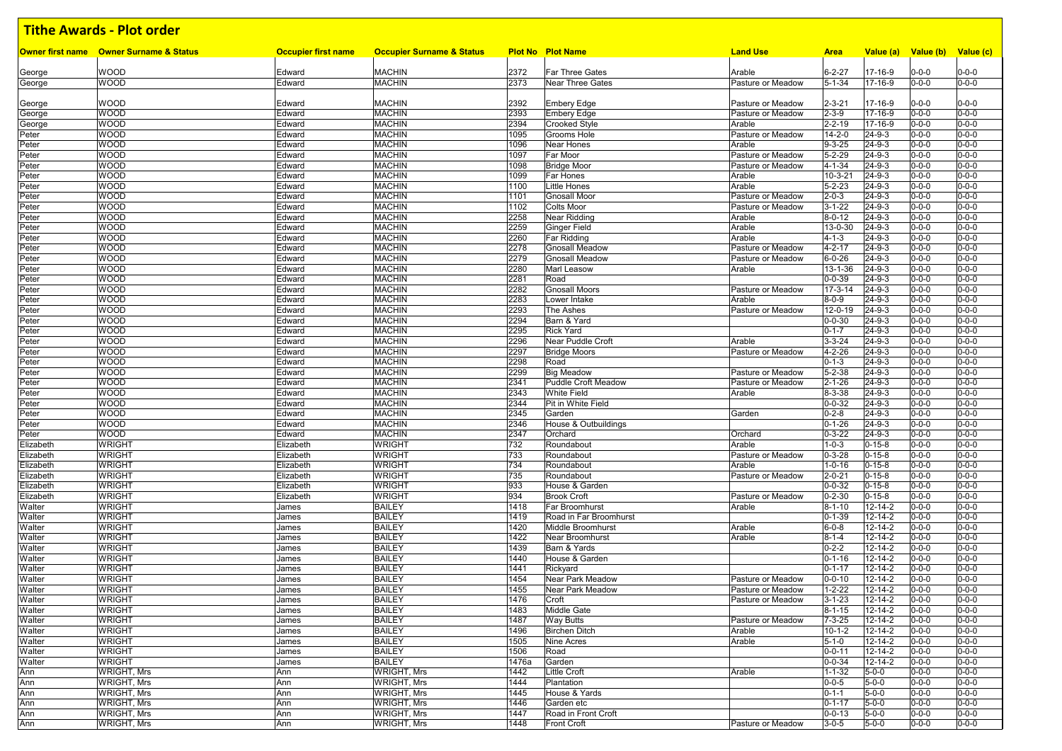|                        | Owner first name Owner Surname & Status | <b>Occupier first name</b> | <b>Occupier Surname &amp; Status</b> |              | <b>Plot No Plot Name</b>                | <b>Land Use</b>                        | <b>Area</b>                  | Value (a)                    | Value (b)                  | Value (c)                  |
|------------------------|-----------------------------------------|----------------------------|--------------------------------------|--------------|-----------------------------------------|----------------------------------------|------------------------------|------------------------------|----------------------------|----------------------------|
|                        |                                         |                            |                                      |              |                                         |                                        |                              |                              |                            |                            |
| George                 | <b>WOOD</b>                             | Edward                     | <b>MACHIN</b>                        | 2372         | <b>Far Three Gates</b>                  | Arable                                 | $6 - 2 - 27$                 | 17-16-9                      | $0 - 0 - 0$                | $0 - 0 - 0$                |
| George                 | WOOD                                    | Edward                     | <b>MACHIN</b>                        | 2373         | <b>Near Three Gates</b>                 | Pasture or Meadow                      | $5 - 1 - 34$                 | 17-16-9                      | 0-0-0                      | $0 - 0 - 0$                |
| George                 | WOOD                                    | Edward                     | <b>MACHIN</b>                        | 2392         | <b>Embery Edge</b>                      | Pasture or Meadow                      | 2-3-21                       | 17-16-9                      | $0 - 0 - 0$                | $0 - 0 - 0$                |
| George                 | <b>WOOD</b>                             | Edward                     | <b>MACHIN</b>                        | 2393         | <b>Embery Edge</b>                      | Pasture or Meadow                      | $2 - 3 - 9$                  | 17-16-9                      | $0 - 0 - 0$                | $0 - 0 - 0$                |
| George                 | <b>WOOD</b>                             | Edward                     | <b>MACHIN</b>                        | 2394         | <b>Crooked Style</b>                    | Arable                                 | $2 - 2 - 19$                 | 17-16-9                      | $0 - 0 - 0$                | $0 - 0 - 0$                |
| Peter                  | <b>WOOD</b>                             | Edward                     | <b>MACHIN</b>                        | 1095         | Grooms Hole                             | Pasture or Meadow                      | $14 - 2 - 0$                 | $24 - 9 - 3$                 | $0 - 0 - 0$                | $0 - 0 - 0$                |
| ⊃eter                  | <b>WOOD</b>                             | Edward                     | <b>MACHIN</b>                        | 1096         | <b>Near Hones</b>                       | Arable                                 | $9 - 3 - 25$                 | $24 - 9 - 3$                 | $0 - 0 - 0$                | $0 - 0 - 0$                |
| Peter                  | <b>WOOD</b>                             | Edward                     | <b>MACHIN</b>                        | 1097         | <b>Far Moor</b>                         | Pasture or Meadow                      | $5 - 2 - 29$                 | $24 - 9 - 3$                 | $0 - 0 - 0$                | $0 - 0 - 0$                |
| Peter                  | <b>WOOD</b>                             | Edward                     | <b>MACHIN</b>                        | 1098<br>1099 | <b>Bridge Moor</b>                      | Pasture or Meadow<br>Arable            | $4 - 1 - 34$                 | $24 - 9 - 3$                 | $0 - 0 - 0$                | $0 - 0 - 0$<br>$0 - 0 - 0$ |
| Peter<br>Peter         | <b>WOOD</b><br><b>WOOD</b>              | Edward<br>Edward           | <b>MACHIN</b><br><b>MACHIN</b>       | 1100         | <b>Far Hones</b><br><b>Little Hones</b> | Arable                                 | 10-3-21<br>$5 - 2 - 23$      | 24-9-3<br>$24 - 9 - 3$       | $0 - 0 - 0$<br>$0 - 0 - 0$ | $0 - 0 - 0$                |
| Peter                  | <b>WOOD</b>                             | Edward                     | <b>MACHIN</b>                        | 1101         | <b>Gnosall Moor</b>                     | Pasture or Meadow                      | $2 - 0 - 3$                  | $24 - 9 - 3$                 | $0 - 0 - 0$                | $0 - 0 - 0$                |
| Peter                  | <b>WOOD</b>                             | Edward                     | <b>MACHIN</b>                        | 1102         | <b>Colts Moor</b>                       | Pasture or Meadow                      | $3 - 1 - 22$                 | $24 - 9 - 3$                 | $0 - 0 - 0$                | $0 - 0 - 0$                |
| Peter                  | <b>WOOD</b>                             | Edward                     | <b>MACHIN</b>                        | 2258         | Near Ridding                            | Arable                                 | $8 - 0 - 12$                 | $24 - 9 - 3$                 | $0 - 0 - 0$                | $0 - 0 - 0$                |
| Peter                  | <b>WOOD</b>                             | Edward                     | <b>MACHIN</b>                        | 2259         | Ginger Field                            | Arable                                 | 13-0-30                      | 24-9-3                       | $0 - 0 - 0$                | $0 - 0 - 0$                |
| Peter                  | <b>WOOD</b>                             | Edward                     | <b>MACHIN</b>                        | 2260         | Far Ridding                             | Arable                                 | $4 - 1 - 3$                  | $24 - 9 - 3$                 | $0 - 0 - 0$                | $0 - 0 - 0$                |
| Peter                  | <b>WOOD</b>                             | Edward                     | <b>MACHIN</b>                        | 2278         | <b>Gnosall Meadow</b>                   | Pasture or Meadow                      | $4 - 2 - 17$                 | $24 - 9 - 3$                 | $0 - 0 - 0$                | $0 - 0 - 0$                |
| ⊃eter                  | <b>WOOD</b>                             | Edward                     | <b>MACHIN</b>                        | 2279         | <b>Gnosall Meadow</b>                   | Pasture or Meadow                      | $6 - 0 - 26$                 | $24 - 9 - 3$                 | $0 - 0 - 0$                | $0 - 0 - 0$                |
| Peter                  | <b>WOOD</b>                             | Edward                     | <b>MACHIN</b>                        | 2280         | <b>Marl Leasow</b>                      | Arable                                 | 13-1-36                      | $24 - 9 - 3$                 | $0 - 0 - 0$                | $0 - 0 - 0$                |
| Peter                  | <b>WOOD</b>                             | Edward                     | <b>MACHIN</b>                        | 2281         | Road                                    |                                        | $0 - 0 - 39$                 | $24 - 9 - 3$                 | $0 - 0 - 0$                | $0 - 0 - 0$                |
| Peter                  | <b>WOOD</b>                             | Edward                     | <b>MACHIN</b>                        | 2282         | <b>Gnosall Moors</b>                    | Pasture or Meadow                      | $17 - 3 - 14$                | $24 - 9 - 3$                 | $0 - 0 - 0$                | $0 - 0 - 0$                |
| ⊃eter                  | <b>WOOD</b>                             | Edward                     | <b>MACHIN</b>                        | 2283         | Lower Intake                            | Arable                                 | $8 - 0 - 9$                  | $24 - 9 - 3$                 | $0 - 0 - 0$                | $0 - 0 - 0$                |
| Peter                  | <b>WOOD</b><br><b>WOOD</b>              | Edward                     | <b>MACHIN</b><br><b>MACHIN</b>       | 2293<br>2294 | The Ashes<br>Barn & Yard                | Pasture or Meadow                      | 12-0-19                      | $24 - 9 - 3$<br>$24 - 9 - 3$ | $0 - 0 - 0$<br>$0 - 0 - 0$ | $0 - 0 - 0$<br>$0 - 0 - 0$ |
| Peter<br>Peter         | <b>WOOD</b>                             | Edward<br>Edward           | <b>MACHIN</b>                        | 2295         | <b>Rick Yard</b>                        |                                        | $0 - 0 - 30$<br>$0 - 1 - 7$  | 24-9-3                       | $0 - 0 - 0$                | $0 - 0 - 0$                |
| Peter                  | <b>WOOD</b>                             | Edward                     | <b>MACHIN</b>                        | 2296         | Near Puddle Croft                       | Arable                                 | $3 - 3 - 24$                 | $24 - 9 - 3$                 | $0 - 0 - 0$                | $0 - 0 - 0$                |
| Peter                  | <b>WOOD</b>                             | Edward                     | <b>MACHIN</b>                        | 2297         | <b>Bridge Moors</b>                     | Pasture or Meadow                      | 4-2-26                       | $24 - 9 - 3$                 | $0 - 0 - 0$                | $0 - 0 - 0$                |
| Peter                  | <b>WOOD</b>                             | Edward                     | <b>MACHIN</b>                        | 2298         | Road                                    |                                        | $0 - 1 - 3$                  | $24 - 9 - 3$                 | $0 - 0 - 0$                | $0 - 0 - 0$                |
| Peter                  | <b>WOOD</b>                             | Edward                     | <b>MACHIN</b>                        | 2299         | <b>Big Meadow</b>                       | Pasture or Meadow                      | $5 - 2 - 38$                 | $24 - 9 - 3$                 | $0 - 0 - 0$                | $0 - 0 - 0$                |
| Peter                  | <b>WOOD</b>                             | Edward                     | <b>MACHIN</b>                        | 2341         | Puddle Croft Meadow                     | Pasture or Meadow                      | $2 - 1 - 26$                 | $24 - 9 - 3$                 | $0 - 0 - 0$                | $0 - 0 - 0$                |
| Peter                  | <b>WOOD</b>                             | Edward                     | <b>MACHIN</b>                        | 2343         | <b>White Field</b>                      | Arable                                 | 8-3-38                       | $24 - 9 - 3$                 | $0 - 0 - 0$                | $0 - 0 - 0$                |
| Peter                  | <b>WOOD</b>                             | Edward                     | <b>MACHIN</b>                        | 2344         | Pit in White Field                      |                                        | $0 - 0 - 32$                 | $24 - 9 - 3$                 | $0 - 0 - 0$                | $0 - 0 - 0$                |
| Peter                  | <b>WOOD</b>                             | Edward                     | <b>MACHIN</b>                        | 2345         | Garden                                  | Garden                                 | $0 - 2 - 8$                  | $24 - 9 - 3$                 | $0 - 0 - 0$                | $0 - 0 - 0$                |
| Peter                  | <b>WOOD</b>                             | Edward                     | <b>MACHIN</b>                        | 2346         | House & Outbuildings                    |                                        | $0 - 1 - 26$                 | $24 - 9 - 3$                 | $0 - 0 - 0$                | $0 - 0 - 0$                |
| Peter                  | <b>WOOD</b>                             | Edward                     | <b>MACHIN</b>                        | 2347         | Orchard                                 | Orchard                                | $0 - 3 - 22$                 | $24 - 9 - 3$                 | $0 - 0 - 0$                | $0 - 0 - 0$                |
| Elizabeth              | <b>WRIGHT</b>                           | Elizabeth                  | <b>WRIGHT</b>                        | 732          | Roundabout                              | Arable                                 | $1 - 0 - 3$                  | $0 - 15 - 8$                 | $0 - 0 - 0$                | $0 - 0 - 0$                |
| Elizabeth<br>Elizabeth | <b>WRIGHT</b><br><b>WRIGHT</b>          | Elizabeth<br>Elizabeth     | <b>WRIGHT</b><br><b>WRIGHT</b>       | 733<br>734   | Roundabout<br>Roundabout                | Pasture or Meadow<br>Arable            | $0 - 3 - 28$<br>$1 - 0 - 16$ | $0 - 15 - 8$<br>$0 - 15 - 8$ | $0 - 0 - 0$<br>$0 - 0 - 0$ | $0 - 0 - 0$<br>$0 - 0 - 0$ |
| Elizabeth              | <b>WRIGHT</b>                           | Elizabeth                  | <b>WRIGHT</b>                        | 735          | Roundabout                              | Pasture or Meadow                      | $2 - 0 - 21$                 | $0 - 15 - 8$                 | $0 - 0 - 0$                | $0 - 0 - 0$                |
| Elizabeth              | <b>WRIGHT</b>                           | Elizabeth                  | <b>WRIGHT</b>                        | 933          | House & Garden                          |                                        | $0 - 0 - 32$                 | $0 - 15 - 8$                 | $0 - 0 - 0$                | $0 - 0 - 0$                |
| Elizabeth              | <b>WRIGHT</b>                           | Elizabeth                  | <b>WRIGHT</b>                        | 934          | <b>Brook Croft</b>                      | Pasture or Meadow                      | $0 - 2 - 30$                 | $0 - 15 - 8$                 | $0 - 0 - 0$                | $0 - 0 - 0$                |
| Walter                 | <b>WRIGHT</b>                           | James                      | <b>BAILEY</b>                        | 1418         | <b>Far Broomhurst</b>                   | Arable                                 | $8 - 1 - 10$                 | 12-14-2                      | $0 - 0 - 0$                | $0 - 0 - 0$                |
| Walter                 | <b>WRIGHT</b>                           | James                      | <b>BAILEY</b>                        | 1419         | Road in Far Broomhurst                  |                                        | $0 - 1 - 39$                 | $12 - 14 - 2$                | $0 - 0 - 0$                | $0 - 0 - 0$                |
| Walter                 | <b>WRIGHT</b>                           | James                      | <b>BAILEY</b>                        | 1420         | Middle Broomhurst                       | Arable                                 | $6 - 0 - 8$                  | 12-14-2                      | $0 - 0 - 0$                | $0 - 0 - 0$                |
| Walter                 | <b>WRIGHT</b>                           | James                      | <b>BAILEY</b>                        | 1422         | Near Broomhurst                         | Arable                                 | $8 - 1 - 4$                  | 12-14-2                      | $0 - 0 - 0$                | $0 - 0 - 0$                |
| Walter                 | <b>WRIGHT</b>                           | James                      | <b>BAILEY</b>                        | 1439         | Barn & Yards                            |                                        | $0 - 2 - 2$                  | 12-14-2                      | $0 - 0 - 0$                | $0 - 0 - 0$                |
| Walter                 | <b>WRIGHT</b>                           | James                      | <b>BAILEY</b>                        | 1440         | House & Garden                          |                                        | $0 - 1 - 16$                 | 12-14-2                      | $0 - 0 - 0$                | $0 - 0 - 0$                |
| Walter                 | <b>WRIGHT</b>                           | James                      | <b>BAILEY</b>                        | 1441         | Rickyard                                |                                        | $0 - 1 - 17$                 | 12-14-2                      | $0 - 0 - 0$                | $0 - 0 - 0$                |
| Walter                 | <b>WRIGHT</b>                           | James                      | <b>BAILEY</b>                        | 1454         | Near Park Meadow                        | Pasture or Meadow                      | $0 - 0 - 10$                 | 12-14-2                      | $0 - 0 - 0$                | $0 - 0 - 0$                |
| Walter                 | WRIGHT                                  | James                      | <b>BAILEY</b>                        | 1455         | Near Park Meadow                        | Pasture or Meadow<br>Pasture or Meadow | $1 - 2 - 22$                 | 12-14-2                      | $0 - 0 - 0$                | $0 - 0 - 0$                |
| Walter<br>Walter       | <b>WRIGHT</b>                           | James                      | <b>BAILEY</b>                        | 1476         | Croft                                   |                                        | $3 - 1 - 23$                 | $12 - 14 - 2$                | $0 - 0 - 0$                | $0 - 0 - 0$<br>$0 - 0 - 0$ |
| Walter                 | <b>WRIGHT</b><br><b>WRIGHT</b>          | James<br>James             | <b>BAILEY</b><br><b>BAILEY</b>       | 1483<br>1487 | Middle Gate<br><b>Way Butts</b>         | Pasture or Meadow                      | $8 - 1 - 15$<br>$7 - 3 - 25$ | 12-14-2<br>12-14-2           | $0 - 0 - 0$<br>$0 - 0 - 0$ | $0 - 0 - 0$                |
| Walter                 | <b>WRIGHT</b>                           | James                      | <b>BAILEY</b>                        | 1496         | <b>Birchen Ditch</b>                    | Arable                                 | $10 - 1 - 2$                 | 12-14-2                      | $0 - 0 - 0$                | $0 - 0 - 0$                |
| Walter                 | <b>WRIGHT</b>                           | James                      | <b>BAILEY</b>                        | 1505         | Nine Acres                              | Arable                                 | $5 - 1 - 0$                  | 12-14-2                      | $0 - 0 - 0$                | $0 - 0 - 0$                |
| Walter                 | <b>WRIGHT</b>                           | James                      | <b>BAILEY</b>                        | 1506         | Road                                    |                                        | $0 - 0 - 11$                 | 12-14-2                      | 0-0-0                      | $0 - 0 - 0$                |
| Walter                 | <b>WRIGHT</b>                           | James                      | <b>BAILEY</b>                        | 1476a        | Garden                                  |                                        | $0 - 0 - 34$                 | 12-14-2                      | $0 - 0 - 0$                | $0 - 0 - 0$                |
| Ann                    | WRIGHT, Mrs                             | Ann                        | <b>WRIGHT, Mrs</b>                   | 1442         | <b>Little Croft</b>                     | Arable                                 | $1 - 1 - 32$                 | $5 - 0 - 0$                  | $0 - 0 - 0$                | $0 - 0 - 0$                |
| Ann                    | <b>WRIGHT, Mrs</b>                      | Ann                        | <b>WRIGHT, Mrs</b>                   | 1444         | Plantation                              |                                        | $0 - 0 - 5$                  | $5 - 0 - 0$                  | $0 - 0 - 0$                | $0 - 0 - 0$                |
| Ann                    | <b>WRIGHT, Mrs</b>                      | Ann                        | <b>WRIGHT, Mrs</b>                   | 1445         | House & Yards                           |                                        | $0 - 1 - 1$                  | $5 - 0 - 0$                  | $0 - 0 - 0$                | $0 - 0 - 0$                |
| Ann                    | <b>WRIGHT, Mrs</b>                      | Ann                        | <b>WRIGHT, Mrs</b>                   | 1446         | Garden etc                              |                                        | $0 - 1 - 17$                 | $5 - 0 - 0$                  | $0 - 0 - 0$                | $0 - 0 - 0$                |
| Ann                    | <b>WRIGHT, Mrs</b>                      | Ann                        | <b>WRIGHT, Mrs</b>                   | 1447         | Road in Front Croft                     |                                        | $0 - 0 - 13$                 | $5 - 0 - 0$                  | $0 - 0 - 0$                | $0 - 0 - 0$                |
| Ann                    | <b>WRIGHT, Mrs</b>                      | Ann                        | <b>WRIGHT, Mrs</b>                   | 1448         | <b>Front Croft</b>                      | Pasture or Meadow                      | $3 - 0 - 5$                  | $5 - 0 - 0$                  | $0 - 0 - 0$                | $0 - 0 - 0$                |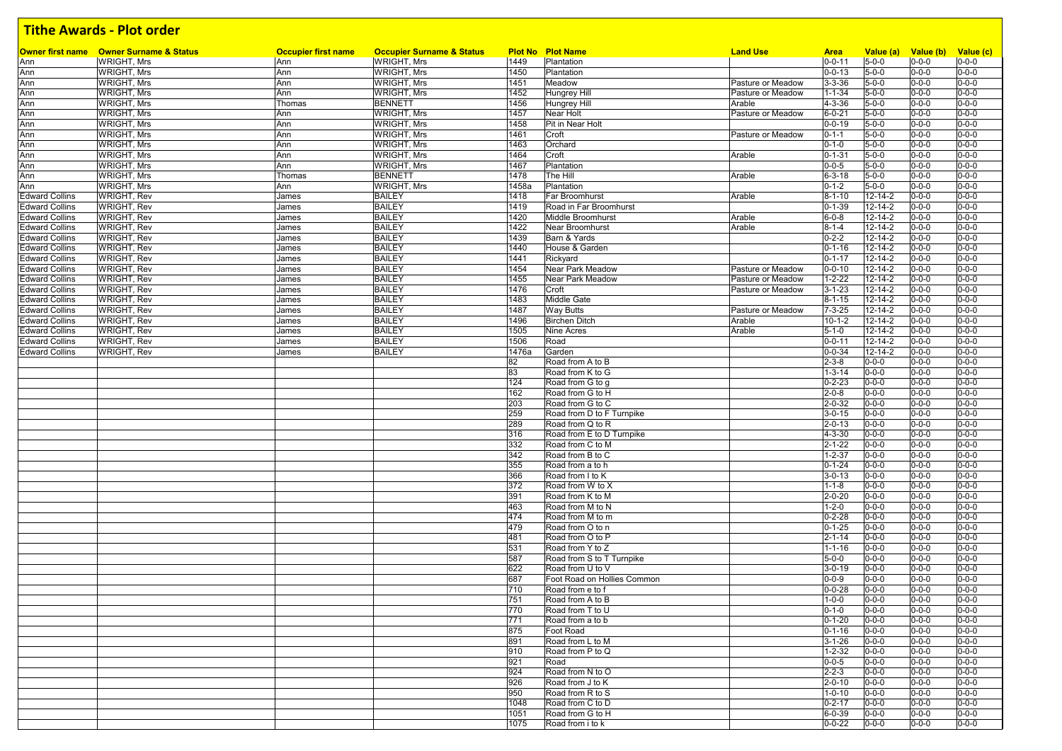|                       | <b>Owner first name</b> Owner Surname & Status | <b>Occupier first name</b> | <b>Occupier Surname &amp; Status</b> |       | <b>Plot No Plot Name</b>    | <b>Land Use</b>   | <b>Area</b>  | Value (a)     | Value (b) Value (c) |             |
|-----------------------|------------------------------------------------|----------------------------|--------------------------------------|-------|-----------------------------|-------------------|--------------|---------------|---------------------|-------------|
| Ann                   | <b>WRIGHT, Mrs</b>                             | Ann                        | <b>WRIGHT, Mrs</b>                   | 1449  | Plantation                  |                   | $0 - 0 - 11$ | $5 - 0 - 0$   | $0 - 0 - 0$         | $0 - 0 - 0$ |
| Ann                   | <b>WRIGHT, Mrs</b>                             | Ann                        | WRIGHT, Mrs                          | 1450  | Plantation                  |                   | $0 - 0 - 13$ | $5 - 0 - 0$   | $0 - 0 - 0$         | $0 - 0 - 0$ |
| Ann                   | <b>WRIGHT, Mrs</b>                             | Ann                        | <b>WRIGHT, Mrs</b>                   | 1451  | Meadow                      | Pasture or Meadow | $3 - 3 - 36$ | $5 - 0 - 0$   | $0 - 0 - 0$         | $0 - 0 - 0$ |
| Ann                   | <b>WRIGHT, Mrs</b>                             | Ann                        | <b>WRIGHT, Mrs</b>                   | 1452  | <b>Hungrey Hill</b>         | Pasture or Meadow | $1 - 1 - 34$ | $5 - 0 - 0$   | $0 - 0 - 0$         | $0 - 0 - 0$ |
| Ann                   | <b>WRIGHT, Mrs</b>                             | Thomas                     | <b>BENNETT</b>                       | 1456  | <b>Hungrey Hill</b>         | Arable            | $4 - 3 - 36$ | $5 - 0 - 0$   | $0 - 0 - 0$         | $0 - 0 - 0$ |
| Ann                   | <b>WRIGHT, Mrs</b>                             | Ann                        | <b>WRIGHT, Mrs</b>                   | 1457  | Near Holt                   | Pasture or Meadow | $6 - 0 - 21$ | $5 - 0 - 0$   | $0 - 0 - 0$         | $0 - 0 - 0$ |
| Ann                   | <b>WRIGHT, Mrs</b>                             | Ann                        | <b>WRIGHT, Mrs</b>                   | 1458  | Pit in Near Holt            |                   | $0 - 0 - 19$ | $5 - 0 - 0$   | $0 - 0 - 0$         | $0 - 0 - 0$ |
| Ann                   | <b>WRIGHT, Mrs</b>                             | Ann                        | <b>WRIGHT, Mrs</b>                   | 1461  | Croft                       | Pasture or Meadow | $0 - 1 - 1$  | $5 - 0 - 0$   | $0 - 0 - 0$         | $0 - 0 - 0$ |
| Ann                   | <b>WRIGHT, Mrs</b>                             | Ann                        | WRIGHT, Mrs                          | 1463  | Orchard                     |                   | $0 - 1 - 0$  | $5 - 0 - 0$   | $0 - 0 - 0$         | $0 - 0 - 0$ |
| Ann                   | <b>WRIGHT, Mrs</b>                             | Ann                        | <b>WRIGHT, Mrs</b>                   | 1464  | Croft                       | Arable            | $0 - 1 - 31$ | $5 - 0 - 0$   | $0 - 0 - 0$         | $0 - 0 - 0$ |
| Ann                   | <b>WRIGHT, Mrs</b>                             | Ann                        | <b>WRIGHT, Mrs</b>                   | 1467  | Plantation                  |                   | $0 - 0 - 5$  | $5 - 0 - 0$   | $0 - 0 - 0$         | $0 - 0 - 0$ |
| Ann                   | <b>WRIGHT, Mrs</b>                             | Thomas                     | <b>BENNETT</b>                       | 1478  | The Hill                    | Arable            | $6 - 3 - 18$ | $5 - 0 - 0$   | $0 - 0 - 0$         | $0 - 0 - 0$ |
| Ann                   | <b>WRIGHT, Mrs</b>                             | Ann                        | <b>WRIGHT, Mrs</b>                   | 1458a | Plantation                  |                   | $0 - 1 - 2$  | $5 - 0 - 0$   | $0 - 0 - 0$         | $0 - 0 - 0$ |
| <b>Edward Collins</b> | <b>WRIGHT, Rev</b>                             | James                      | <b>BAILEY</b>                        | 1418  | Far Broomhurst              | Arable            | $8 - 1 - 10$ | $12 - 14 - 2$ | $0 - 0 - 0$         | $0 - 0 - 0$ |
| <b>Edward Collins</b> | <b>WRIGHT, Rev</b>                             | James                      | <b>BAILEY</b>                        | 1419  | Road in Far Broomhurst      |                   | $0 - 1 - 39$ | 12-14-2       | $0 - 0 - 0$         | $0 - 0 - 0$ |
| <b>Edward Collins</b> | <b>WRIGHT, Rev</b>                             | James                      | <b>BAILEY</b>                        | 1420  | Middle Broomhurst           | Arable            | $6 - 0 - 8$  | $12 - 14 - 2$ | $0 - 0 - 0$         | $0 - 0 - 0$ |
| <b>Edward Collins</b> | <b>WRIGHT, Rev</b>                             | James                      | <b>BAILEY</b>                        | 1422  | Near Broomhurst             | Arable            | $8 - 1 - 4$  | $12 - 14 - 2$ | $0 - 0 - 0$         | $0 - 0 - 0$ |
| <b>Edward Collins</b> | <b>WRIGHT, Rev</b>                             | James                      | <b>BAILEY</b>                        | 1439  | Barn & Yards                |                   | $0 - 2 - 2$  | $12 - 14 - 2$ | $0 - 0 - 0$         | $0 - 0 - 0$ |
| <b>Edward Collins</b> | <b>WRIGHT, Rev</b>                             | James                      | <b>BAILEY</b>                        | 1440  | House & Garden              |                   | $0 - 1 - 16$ | 12-14-2       | $0 - 0 - 0$         | $0 - 0 - 0$ |
| <b>Edward Collins</b> | <b>WRIGHT, Rev</b>                             | James                      | <b>BAILEY</b>                        | 1441  | Rickyard                    |                   | $0 - 1 - 17$ | $12 - 14 - 2$ | $0 - 0 - 0$         | $0 - 0 - 0$ |
| <b>Edward Collins</b> | <b>WRIGHT, Rev</b>                             | James                      | <b>BAILEY</b>                        | 1454  | <b>Near Park Meadow</b>     | Pasture or Meadow | $0 - 0 - 10$ | 12-14-2       | $0 - 0 - 0$         | $0 - 0 - 0$ |
| <b>Edward Collins</b> | <b>WRIGHT, Rev</b>                             | James                      | <b>BAILEY</b>                        | 1455  | <b>Near Park Meadow</b>     | Pasture or Meadow | $1 - 2 - 22$ | $12 - 14 - 2$ | $0 - 0 - 0$         | $0 - 0 - 0$ |
| <b>Edward Collins</b> | <b>WRIGHT, Rev</b>                             | James                      | <b>BAILEY</b>                        | 1476  | Croft                       | Pasture or Meadow | $3 - 1 - 23$ | 12-14-2       | $0 - 0 - 0$         | $0 - 0 - 0$ |
| <b>Edward Collins</b> | <b>WRIGHT, Rev</b>                             | James                      | <b>BAILEY</b>                        | 1483  | <b>Middle Gate</b>          |                   | $8 - 1 - 15$ | $12 - 14 - 2$ | $0 - 0 - 0$         | $0 - 0 - 0$ |
| <b>Edward Collins</b> | <b>WRIGHT, Rev</b>                             | James                      | <b>BAILEY</b>                        | 1487  | <b>Way Butts</b>            | Pasture or Meadow | $7 - 3 - 25$ | $12 - 14 - 2$ | $0 - 0 - 0$         | $0 - 0 - 0$ |
| <b>Edward Collins</b> | <b>WRIGHT, Rev</b>                             | James                      | <b>BAILEY</b>                        | 1496  | <b>Birchen Ditch</b>        | Arable            | $10 - 1 - 2$ | 12-14-2       | $0 - 0 - 0$         | $0 - 0 - 0$ |
| <b>Edward Collins</b> | <b>WRIGHT, Rev</b>                             | James                      | <b>BAILEY</b>                        | 1505  | <b>Nine Acres</b>           | Arable            | $5 - 1 - 0$  | 12-14-2       | $0 - 0 - 0$         | $0 - 0 - 0$ |
| <b>Edward Collins</b> | <b>WRIGHT, Rev</b>                             | James                      | <b>BAILEY</b>                        | 1506  | Road                        |                   | $0 - 0 - 11$ | $12 - 14 - 2$ | $0 - 0 - 0$         | $0 - 0 - 0$ |
| <b>Edward Collins</b> | <b>WRIGHT, Rev</b>                             | James                      | <b>BAILEY</b>                        | 1476a | Garden                      |                   | $0 - 0 - 34$ | 12-14-2       | $0 - 0 - 0$         | $0 - 0 - 0$ |
|                       |                                                |                            |                                      | 82    | Road from A to B            |                   | $2 - 3 - 8$  | $0 - 0 - 0$   | $0 - 0 - 0$         | $0 - 0 - 0$ |
|                       |                                                |                            |                                      | 83    | Road from K to G            |                   | $1 - 3 - 14$ | $0 - 0 - 0$   | $0 - 0 - 0$         | $0 - 0 - 0$ |
|                       |                                                |                            |                                      | 124   | Road from G to g            |                   | $0 - 2 - 23$ | $0 - 0 - 0$   | $0 - 0 - 0$         | $0 - 0 - 0$ |
|                       |                                                |                            |                                      | 162   | Road from G to H            |                   | $2 - 0 - 8$  | $0 - 0 - 0$   | $0 - 0 - 0$         | $0 - 0 - 0$ |
|                       |                                                |                            |                                      | 203   | Road from G to C            |                   | $2 - 0 - 32$ | $0 - 0 - 0$   | $0 - 0 - 0$         | $0 - 0 - 0$ |
|                       |                                                |                            |                                      | 259   | Road from D to F Turnpike   |                   | $3 - 0 - 15$ | $0 - 0 - 0$   | $0 - 0 - 0$         | $0 - 0 - 0$ |
|                       |                                                |                            |                                      | 289   | Road from Q to R            |                   | $2 - 0 - 13$ | $0 - 0 - 0$   | $0 - 0 - 0$         | $0 - 0 - 0$ |
|                       |                                                |                            |                                      | 316   | Road from E to D Turnpike   |                   | $4 - 3 - 30$ | $0 - 0 - 0$   | $0 - 0 - 0$         | $0 - 0 - 0$ |
|                       |                                                |                            |                                      | 332   | Road from C to M            |                   | $2 - 1 - 22$ | $0 - 0 - 0$   | $0 - 0 - 0$         | $0 - 0 - 0$ |
|                       |                                                |                            |                                      | 342   | Road from B to C            |                   | $1 - 2 - 37$ | $0 - 0 - 0$   | $0 - 0 - 0$         | $0 - 0 - 0$ |
|                       |                                                |                            |                                      | 355   | Road from a to h            |                   | $0 - 1 - 24$ | $0 - 0 - 0$   | $0 - 0 - 0$         | $0 - 0 - 0$ |
|                       |                                                |                            |                                      | 366   | Road from I to K            |                   | $3 - 0 - 13$ | $0 - 0 - 0$   | $0 - 0 - 0$         | $0 - 0 - 0$ |
|                       |                                                |                            |                                      | 372   | Road from W to X            |                   | $1 - 1 - 8$  | $0 - 0 - 0$   | $0 - 0 - 0$         | $0 - 0 - 0$ |
|                       |                                                |                            |                                      | 391   | Road from K to M            |                   | $2 - 0 - 20$ | $0 - 0 - 0$   | $0 - 0 - 0$         | $0 - 0 - 0$ |
|                       |                                                |                            |                                      | 463   | Road from M to N            |                   | $1 - 2 - 0$  | $0 - 0 - 0$   | $0 - 0 - 0$         | $0 - 0 - 0$ |
|                       |                                                |                            |                                      | 474   | Road from M to m            |                   | $0 - 2 - 28$ | $0 - 0 - 0$   | $0 - 0 - 0$         | $0 - 0 - 0$ |
|                       |                                                |                            |                                      | 479   | Road from O to n            |                   | $0 - 1 - 25$ | $0 - 0 - 0$   | $0 - 0 - 0$         | $0 - 0 - 0$ |
|                       |                                                |                            |                                      | 481   | Road from O to P            |                   | $2 - 1 - 14$ | $0 - 0 - 0$   | $0 - 0 - 0$         | $0 - 0 - 0$ |
|                       |                                                |                            |                                      | 531   | Road from Y to Z            |                   | $1 - 1 - 16$ | $0 - 0 - 0$   | $0 - 0 - 0$         | $0 - 0 - 0$ |
|                       |                                                |                            |                                      | 587   | Road from S to T Turnpike   |                   | $5 - 0 - 0$  | $0 - 0 - 0$   | $0 - 0 - 0$         | $0 - 0 - 0$ |
|                       |                                                |                            |                                      | 622   | Road from U to V            |                   | $3 - 0 - 19$ | $0 - 0 - 0$   | $0 - 0 - 0$         | $0 - 0 - 0$ |
|                       |                                                |                            |                                      | 687   | Foot Road on Hollies Common |                   | $0 - 0 - 9$  | $0 - 0 - 0$   | $0 - 0 - 0$         | $0 - 0 - 0$ |
|                       |                                                |                            |                                      | 710   | Road from e to f            |                   | $0 - 0 - 28$ | $0 - 0 - 0$   | $0 - 0 - 0$         | $0 - 0 - 0$ |
|                       |                                                |                            |                                      | 751   | Road from A to B            |                   | $1 - 0 - 0$  | $0 - 0 - 0$   | $0 - 0 - 0$         | $0 - 0 - 0$ |
|                       |                                                |                            |                                      | 770   | Road from T to U            |                   | $0 - 1 - 0$  | $0 - 0 - 0$   | $0 - 0 - 0$         | $0 - 0 - 0$ |
|                       |                                                |                            |                                      | 771   | Road from a to b            |                   | $0 - 1 - 20$ | $0 - 0 - 0$   | $0 - 0 - 0$         | $0 - 0 - 0$ |
|                       |                                                |                            |                                      | 875   | Foot Road                   |                   | $0 - 1 - 16$ | $0 - 0 - 0$   | $0 - 0 - 0$         | $0 - 0 - 0$ |
|                       |                                                |                            |                                      | 891   | Road from L to M            |                   | $3 - 1 - 26$ | $0 - 0 - 0$   | $0 - 0 - 0$         | $0 - 0 - 0$ |
|                       |                                                |                            |                                      | 910   | Road from P to Q            |                   | $1 - 2 - 32$ | $0 - 0 - 0$   | $0 - 0 - 0$         | $0 - 0 - 0$ |
|                       |                                                |                            |                                      | 921   | Road                        |                   | $0 - 0 - 5$  | $0 - 0 - 0$   | $0 - 0 - 0$         | $0 - 0 - 0$ |
|                       |                                                |                            |                                      | 924   | Road from N to O            |                   | $2 - 2 - 3$  | $0 - 0 - 0$   | $0 - 0 - 0$         | $0 - 0 - 0$ |
|                       |                                                |                            |                                      | 926   | Road from J to K            |                   | $2 - 0 - 10$ | $0 - 0 - 0$   | $0 - 0 - 0$         | $0 - 0 - 0$ |
|                       |                                                |                            |                                      | 950   | Road from R to S            |                   | $1 - 0 - 10$ |               | $0 - 0 - 0$         | $0 - 0 - 0$ |
|                       |                                                |                            |                                      |       |                             |                   |              | $0 - 0 - 0$   |                     |             |
|                       |                                                |                            |                                      | 1048  | Road from C to D            |                   | $0 - 2 - 17$ | $0 - 0 - 0$   | $0 - 0 - 0$         | $0 - 0 - 0$ |
|                       |                                                |                            |                                      | 1051  | Road from G to H            |                   | $6 - 0 - 39$ | $0 - 0 - 0$   | $0 - 0 - 0$         | $0 - 0 - 0$ |
|                       |                                                |                            |                                      | 1075  | Road from i to k            |                   | $0 - 0 - 22$ | $0 - 0 - 0$   | $0 - 0 - 0$         | $0 - 0 - 0$ |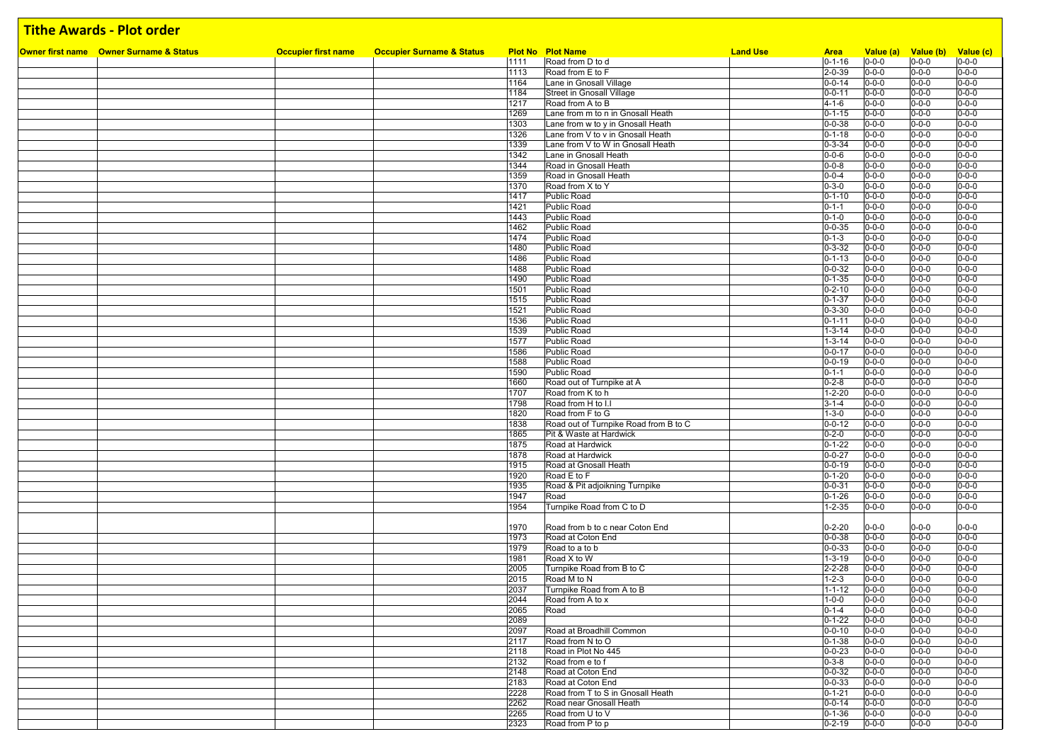#### **Owner first name Owner Surname & Status Occupier first name Occupier Surname & Status Plot No Plot Name Land Use Area Value (a) Value (b) Value (c) Tithe Awards - Plot order** 1111 Road from D to d<br>
1113 Road from E to F 2-0-39 0-0-0 0-0-0 0-0-0 0-0-0<br>
1113 Road from E to F 2-0-39 0-0-0 0-0-0 0-0-0 11 Road from E to F<br>
12-0-39 0-0-0 0-0-0 0-0-0 0-0-0 0-0-0 0-0-0 0-0-0 0-0-0 0-0-0 0-0-0 0-0-0 0-0-0 0-0-0 0-0-0 0-0-0 0-0-0 0-0-0 0-0-0 0-0-0 0-0-0 0-0-0 0-0-0 0-0-0 0-0-0 0-0-0 0-0-0 0-0-0 0-0-0 0 0-0-0 0 0-0-0 0 0-0-0 0 1164 Lane in Gnosall Village 0-0-14 0-0-0 0-0-0 0-0-0 1184 Street in Gnosall Village 1217 Road from A to B<br>1217 Road from A to B<br>1217 Road from A to B 121-6 00-0-0 0-0-0 0-0-0 0-0-0 0-0-0 0-0-0 0-0-0 0-0-0 0-0-0 0-0-0 0-0-0 0-0-0 0-0-0 0-0-0 0-0-0 0-0-0 0-0-0 0-0-0 0-0-0 0-0-0 0-0-0 0-0-0 0-0-0 0-0-0 0-0-0 0-0-0 0-0-0 0-0-0 0-0-0 0 0-0-0 0 0-0-0 0 0-0-0 0 0-0-0 0 0-0-0 0 1269 Lane from m to n in Gnosall Heath  $\begin{array}{|l|c|c|c|c|c|}\n\hline\n1303 & \text{Lane from } W \text{ to } V \text{ in Gnosall Health} \\
\hline\n\end{array}$ 1303 Lane from w to y in Gnosall Heath 1303 Lone of D-0-38 0-0-0 0-0-0 0-0-0 0-0-0<br>1326 Lane from V to y in Gnosall Heath 1990 10-0-0 0-0-0 0-0-0 0-0-0 0-0-0 0-0-0 0-0-0 0-0-0 0-0-0 0-0-0 0-0-0 1326 Lane from V to v in Gnosall Heath  $\frac{0.1-18}{0.3-34}$  0-0-0 0-0-0 0-0-0 0-0-0 0-0-0 0-0-0 0-0-0 0-0-0 0-0-0 0-0-0 0-0-0 0-0-0 0-0-0 0-0-0 0-0-0 0-0-0 0-0-0 0-0-0 0-0-0 0-0-0 0-0-0 0-0-0 0-0-0 0-0-0 0-0-0 0-0-0 0-0-0 0 1339 Lane from V to W in Gnosall Heath  $\begin{array}{|l|c|c|c|c|c|}\n\hline\n & 0-3-34 & 0-0-0 & 0-0-0 & 0-0-0 \\
\hline\n\text{1342} & \text{Lane in Grosall Heath} & & 0-0-6 & 0-0-0 & 0-0-0 \\
\hline\n\end{array}$ 1342 Lane in Gnosall Heath 0-0-6 0-0-0 0-0-0 0-0-0 1344 Road in Gnosall Heath 0-0-8 0-0-0 0-0-0 0-0-0 المسابق المسابق المسابق المسابق المسابق المسابق المسابق المسابق المسابق المسابق المسابق المسابق المسابق المساب<br>1370 Road from X to Y 1370 0-0-0 0-0-0 0-0-0 0-0-0 0-0-0 0-0-0 0-0-0 0-0-0 0-0-0 0-0-0 0-0-0 0-0-0 0-0-0 0-0-0 1370 Road from X to Y<br>
1370 Public Road<br>
1370 Public Road<br>
1370 0-0-0 0-0-0 0-0-0 0-0-0 0-0-0 0-0-0 0-0-0 0-0-0 1417 Public Road 0-1-10 0-0-0 0-0-0 0-0-0 1421 Public Road 0-1-1 0-0-0 0-0-0 0-0-0 1443 Public Road 0-1-0 0-0-0 0-0-0 0-0-0 1462 Public Road 0-0-35 0-0-0 0-0-0 0-0-0 1474 Public Road 0-1-3 0-0-0 0-0-0 0-0-0 1480 Public Road 0-3-32 0-0-0 0-0-0 0-0-0 1486 Public Road 0-1-13 0-0-0 0-0-0 0-0-0 1488 Public Road 0-0-32 0-0-0 0-0-0 0-0-0 1490 Public Road 0-1-35 0-0-0 0-0-0 0-0-0 1501 Public Road 0-2-10 0-0-0 0-0-0 0-0-0 1515 Public Road 0-1-37 0-0-0 0-0-0 0-0-0 1521 Public Road 0-3-30 0-0-0 0-0-0 0-0-0 1536 Public Road 0-1-11 0-0-0 0-0-0 0-0-0 1539 Public Road 1-3-14 0-0-0 0-0-0 0-0-0 1577 Public Road 1-3-14 0-0-0 0-0-0 0-0-0 1586 Public Road 0-0-17 0-0-0 0-0-0 0-0-0 1588 Public Road 0-0-19 0-0-0 0-0-0 0-0-0 1590 Public Road 0-1-1 0-0-0 0-0-0 0-0-0 1660 Road out of Turnpike at A<br>1707 Road from K to h<br>1707 Road from K to h 1707 Road from K to h 12-20 0-0-0 0-0-0 0-0-0 0-0-0 0-0-0 0-0-0 0-0-0 0-0-0 0-0-0 0-0-0 0-0-0 0-0-0 0-0-0 0-0-0<br>1798 Road from H to I.I 1798 Road from H to I.I 3-1-4 0-0-0 0-0-0 0-0-0 0-0-0 0-0-0 0-0-0 0-0-0 0-0-0 0-0-0 0-0-0 0-0-0 0-0-0 0-0-0 0-0-0 0-0-0 0-0-0 0-0-0 0-0-0 0-0-0 0-0-0 0-0-0 0-0-0 0-0-0 0-0-0 0-0-0 0-0-0 0-0-0 0-0-0 0 0-0-0 0 0-0-0 0 0-0-0 Proad from F to G<br>
Road out of Turnpike Road from B to C<br>
Road out of Turnpike Road from B to C<br>
Co-0-12 0-0-0 0-0-0 0-0-0 0-0-0 1838 Road out of Turnpike Road from B to C 0-0-12 0-0-12 0-0-0 0-0-0 0-0-0 0-0-0 0-0-0 0-0-0 0-0-0 0-0-0 0-0-0 0-0-0 0-0-0 0-0-0 0-0-0 0-0-0 0-0-0 0-0-0 0 0-0-0 0 0-0-0 0 0-0-0 0 0-0-0 0 0-0-0 0 0-0-0 0 0-0-0 0 0-0-0 0 0-0 1865 Pit & Waste at Hardwick 2000 Control 1990 Control 1990 Control 10-0-0 0-0-0 0-0-0 0-0-0 0-0-0 1875 Road at Hardwick 0-1-22 0-0-0 0-0-0 0-0-0 1878 Road at Hardwick 0-0-27 0-0-0 0-0-0 0-0-0 1915 Road at Gnosall Heath **1920** 1920 12:00 12:00 12:00 12:00 12:00 12:00 12:00 12:00 12:00 12:00 12:00 12:00 12:00 12:00 12:00 12:00 12:00 12:00 12:00 12:00 12:00 12:00 12:00 12:00 12:00 12:00 12:00 12:00 12:00 12:00 12: 1920 Road E to F 0-1-20 0-0-0 0-0-0 0-0-0 1935 Road & Pit adjoikning Turnpike 0-0-31 0-0-0 0-0-0 0-0-0 1947 Road 0-1-26 0-0-0 0-0-0 0-0-0 1954 Turnpike Road from C to D 1-2-35 0-0-0 0-0-0 0-0-0 0-0-0 1970 Road from b to c near Coton End 0-2-20 0-0-0 0-0-0 0-0-0 1973 Road at Coton End<br>
1979 Road to a to b<br>
1979 Road to a to b 1979 Road to a to b 0-0-33 0-0-0 0-0-0 0-0-0 1981 Road X to W 1-3-19 0-0-0 0-0-0 0-0-0 2005 Turnpike Road from B to C 2-2-28 0-0-0 0-0-0 0-0-0 0-0-0 2015 Road M to N 1-2-3 0-0-0 0-0-0 0-0-0 2037 Turnpike Road from A to B 1-1-12 0-0-0 0-0-0 0-0-0 2044 Road from A to x 1-0-0 0-0-0 0-0-0 0-0-0 0-0-0 0-0-0 2065 Road 0-1-4 0-0-0 0-0-0 0-0-0 2089 0-1-22 0-0-0 0-0-0 0-0-0 2097 Road at Broadhill Common 0-0-10 0-0-0 0-0-0 0-0-0 2117 Road from N to O 0-0-0 0-0-0 0-0-0 0-0-0 0-0-0 0-0-0 0-0-0 0-0-0 0-0-0 0-0-0 0-0-0 0-0-0 0-0-0 0-0-0 0-0-0<br>2118 Road in Plot No 445 ed a compared the comparison of the comparison of the comparison of the comparison of the comparison of the comparison of the comparison of the comparison of the comparison of the comparison of the comparison of the compar 2132 Road from e to f and the context of the context of the context of the context of the context of the context of the context of the context of the context of the context of the context of the context of the context of t 2148 Road at Coton End 0-0-32 2183 Road at Coton End 0-0-33 0-0-0 0-0-0 0-0-0 2228 Road from T to S in Gnosall Heath 0-1-21 0-0-0 0-0-0 0-0-0

Road near Gnosall Heath

2265 Road from U to V 0-1-36 0-0-0 0-0-0 0-0-0 2323 Road from P to p 0-2-19 0-0-0 0-0-0 0-0-0 0-0-0 0-0-0 0-0-0 0-0-0 0-0-0 0-0-0 0-0-0 0-0-0 0-0-0 0-0-0 0-0-0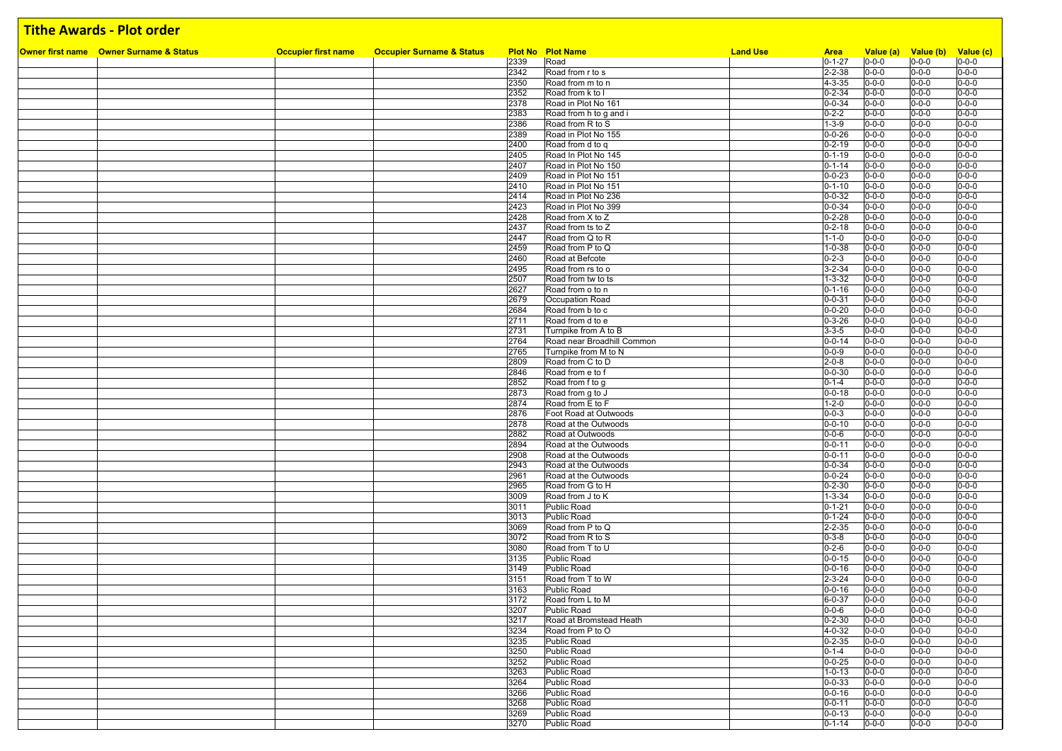| Owner first name Owner Surname & Status | <b>Occupier first name</b> | <b>Occupier Surname &amp; Status</b> |              | <b>Plot No Plot Name</b>                 | <b>Land Use</b> | <b>Area</b>                  |                            | Value (a) Value (b) Value (c) |                            |
|-----------------------------------------|----------------------------|--------------------------------------|--------------|------------------------------------------|-----------------|------------------------------|----------------------------|-------------------------------|----------------------------|
|                                         |                            |                                      | 2339         | Road                                     |                 | $0 - 1 - 27$                 | $0 - 0 - 0$                | $0 - 0 - 0$                   | $0 - 0 - 0$                |
|                                         |                            |                                      | 2342         | Road from r to s                         |                 | $2 - 2 - 38$                 | $0 - 0 - 0$                | $0 - 0 - 0$                   | $0 - 0 - 0$                |
|                                         |                            |                                      | 2350         | Road from m to n                         |                 | $4 - 3 - 35$                 | $0 - 0 - 0$                | $0 - 0 - 0$                   | $0 - 0 - 0$                |
|                                         |                            |                                      | 2352         | Road from k to I                         |                 | $0 - 2 - 34$                 | $0 - 0 - 0$                | $0 - 0 - 0$                   | $0 - 0 - 0$                |
|                                         |                            |                                      | 2378         | Road in Plot No 161                      |                 | $0 - 0 - 34$                 | $0 - 0 - 0$                | $0 - 0 - 0$                   | $0 - 0 - 0$                |
|                                         |                            |                                      | 2383         | Road from h to g and i                   |                 | $0 - 2 - 2$                  | $0 - 0 - 0$                | $0 - 0 - 0$                   | $0 - 0 - 0$                |
|                                         |                            |                                      | 2386         | Road from R to S                         |                 | $1 - 3 - 9$                  | $0 - 0 - 0$                | $0 - 0 - 0$                   | $0 - 0 - 0$                |
|                                         |                            |                                      | 2389         | Road in Plot No 155                      |                 | $0 - 0 - 26$                 | $0 - 0 - 0$                | $0 - 0 - 0$                   | $0 - 0 - 0$                |
|                                         |                            |                                      | 2400         | Road from d to q                         |                 | $0 - 2 - 19$                 | $0 - 0 - 0$                | $0 - 0 - 0$                   | $0 - 0 - 0$                |
|                                         |                            |                                      | 2405         | Road In Plot No 145                      |                 | $0 - 1 - 19$                 | $0 - 0 - 0$                | $0 - 0 - 0$                   | $0 - 0 - 0$                |
|                                         |                            |                                      | 2407         | Road in Plot No 150                      |                 | $0 - 1 - 14$                 | $0 - 0 - 0$                | $0 - 0 - 0$                   | $0 - 0 - 0$                |
|                                         |                            |                                      | 2409         | Road in Plot No 151                      |                 | $0 - 0 - 23$                 | $0 - 0 - 0$                | $0 - 0 - 0$                   | $0 - 0 - 0$                |
|                                         |                            |                                      | 2410         | Road in Plot No 151                      |                 | $0 - 1 - 10$                 | $0 - 0 - 0$                | $0 - 0 - 0$                   | $0 - 0 - 0$                |
|                                         |                            |                                      | 2414         | Road in Plot No 236                      |                 | $0 - 0 - 32$                 | $0 - 0 - 0$                | $0 - 0 - 0$                   | $0 - 0 - 0$                |
|                                         |                            |                                      | 2423         | Road in Plot No 399                      |                 | $0 - 0 - 34$                 | $0 - 0 - 0$                | $0 - 0 - 0$                   | $0 - 0 - 0$                |
|                                         |                            |                                      | 2428         | Road from X to Z                         |                 | $0 - 2 - 28$                 | $0 - 0 - 0$                | $0 - 0 - 0$                   | $0 - 0 - 0$                |
|                                         |                            |                                      | 2437         | Road from ts to Z                        |                 | $0 - 2 - 18$                 | $0 - 0 - 0$                | $0 - 0 - 0$                   | $0 - 0 - 0$                |
|                                         |                            |                                      | 2447         | Road from Q to R                         |                 | $1 - 1 - 0$                  | $0 - 0 - 0$                | $0 - 0 - 0$                   | $0 - 0 - 0$                |
|                                         |                            |                                      | 2459         | Road from P to Q                         |                 | $1 - 0 - 38$                 | $0 - 0 - 0$                | $0 - 0 - 0$                   | $0 - 0 - 0$                |
|                                         |                            |                                      | 2460         | Road at Befcote                          |                 | $0 - 2 - 3$                  | $0 - 0 - 0$                | $0 - 0 - 0$                   | $0 - 0 - 0$                |
|                                         |                            |                                      | 2495         | Road from rs to o                        |                 | $3 - 2 - 34$                 | $0 - 0 - 0$                | $0 - 0 - 0$                   | $0 - 0 - 0$                |
|                                         |                            |                                      | 2507         | Road from tw to ts                       |                 | $1 - 3 - 32$                 | $0 - 0 - 0$                | $0 - 0 - 0$                   | $0 - 0 - 0$                |
|                                         |                            |                                      | 2627         | Road from o to n                         |                 | $0 - 1 - 16$                 | $0 - 0 - 0$                | $0 - 0 - 0$                   | $0 - 0 - 0$                |
|                                         |                            |                                      | 2679         | Occupation Road                          |                 | $0 - 0 - 31$                 | $0 - 0 - 0$                | $0 - 0 - 0$                   | $0 - 0 - 0$                |
|                                         |                            |                                      | 2684         | Road from b to c                         |                 | $0 - 0 - 20$                 | $0 - 0 - 0$                | $0 - 0 - 0$                   | $0 - 0 - 0$                |
|                                         |                            |                                      | 2711         | Road from d to e                         |                 | $0 - 3 - 26$                 | $0 - 0 - 0$                | $0 - 0 - 0$                   | $0 - 0 - 0$                |
|                                         |                            |                                      | 2731         | Turnpike from A to B                     |                 | $3 - 3 - 5$                  | $0 - 0 - 0$                | $0 - 0 - 0$                   | $0 - 0 - 0$                |
|                                         |                            |                                      | 2764         | Road near Broadhill Common               |                 | $0 - 0 - 14$                 | $0 - 0 - 0$                | $0 - 0 - 0$                   | $0 - 0 - 0$                |
|                                         |                            |                                      | 2765         | Turnpike from M to N                     |                 | $0 - 0 - 9$                  | $0 - 0 - 0$                | $0 - 0 - 0$                   | $0 - 0 - 0$                |
|                                         |                            |                                      | 2809         | Road from C to D                         |                 | $2 - 0 - 8$                  | $0 - 0 - 0$                | $0 - 0 - 0$                   | $0 - 0 - 0$                |
|                                         |                            |                                      | 2846         | Road from e to f                         |                 | $0 - 0 - 30$                 | $0 - 0 - 0$                | $0 - 0 - 0$                   | $0 - 0 - 0$                |
|                                         |                            |                                      | 2852         | Road from f to g                         |                 | $0 - 1 - 4$                  | $0 - 0 - 0$                | $0 - 0 - 0$                   | $0 - 0 - 0$                |
|                                         |                            |                                      | 2873         | Road from g to J                         |                 | $0 - 0 - 18$                 | $0 - 0 - 0$                | $0 - 0 - 0$                   | $0 - 0 - 0$                |
|                                         |                            |                                      | 2874         | Road from E to F                         |                 | $1 - 2 - 0$                  | $0 - 0 - 0$                | $0 - 0 - 0$                   | $0 - 0 - 0$                |
|                                         |                            |                                      | 2876         | Foot Road at Outwoods                    |                 | $0 - 0 - 3$                  | $0 - 0 - 0$                | $0 - 0 - 0$                   | $0 - 0 - 0$                |
|                                         |                            |                                      | 2878         | Road at the Outwoods                     |                 | $0 - 0 - 10$                 | $0 - 0 - 0$                | $0 - 0 - 0$                   | $0 - 0 - 0$                |
|                                         |                            |                                      | 2882         | Road at Outwoods                         |                 | $0 - 0 - 6$                  | $0 - 0 - 0$                | $0 - 0 - 0$                   | $0 - 0 - 0$                |
|                                         |                            |                                      | 2894         | Road at the Outwoods                     |                 | $0 - 0 - 11$                 | $0 - 0 - 0$                | $0 - 0 - 0$                   | $0 - 0 - 0$<br>$0 - 0 - 0$ |
|                                         |                            |                                      | 2908         | Road at the Outwoods                     |                 | $0 - 0 - 11$                 | $0 - 0 - 0$                | $0 - 0 - 0$                   |                            |
|                                         |                            |                                      | 2943         | Road at the Outwoods                     |                 | $0 - 0 - 34$<br>$0 - 0 - 24$ | $0 - 0 - 0$                | $0 - 0 - 0$                   | $0 - 0 - 0$<br>$0 - 0 - 0$ |
|                                         |                            |                                      | 2961<br>2965 | Road at the Outwoods<br>Road from G to H |                 | $0 - 2 - 30$                 | $0 - 0 - 0$<br>$0 - 0 - 0$ | $0 - 0 - 0$<br>$0 - 0 - 0$    | $0 - 0 - 0$                |
|                                         |                            |                                      | 3009         | Road from J to K                         |                 | $1 - 3 - 34$                 | $0 - 0 - 0$                | $0 - 0 - 0$                   | $0 - 0 - 0$                |
|                                         |                            |                                      | 3011         | <b>Public Road</b>                       |                 | $0 - 1 - 21$                 | $0 - 0 - 0$                | $0 - 0 - 0$                   | $0 - 0 - 0$                |
|                                         |                            |                                      | 3013         | <b>Public Road</b>                       |                 | $0 - 1 - 24$                 | $0 - 0 - 0$                | $0 - 0 - 0$                   | $0 - 0 - 0$                |
|                                         |                            |                                      | 3069         | Road from P to Q                         |                 | $2 - 2 - 35$                 | $0 - 0 - 0$                | $0 - 0 - 0$                   | $0 - 0 - 0$                |
|                                         |                            |                                      | 3072         | Road from R to S                         |                 | $0 - 3 - 8$                  | $0 - 0 - 0$                | $0 - 0 - 0$                   | $0 - 0 - 0$                |
|                                         |                            |                                      | 3080         | Road from T to U                         |                 | $0 - 2 - 6$                  | $0 - 0 - 0$                | $0 - 0 - 0$                   | $0 - 0 - 0$                |
|                                         |                            |                                      | 3135         | Public Road                              |                 | $0 - 0 - 15$                 | $0 - 0 - 0$                | $0 - 0 - 0$                   | $0 - 0 - 0$                |
|                                         |                            |                                      | 3149         | <b>Public Road</b>                       |                 | $0 - 0 - 16$                 | $0 - 0 - 0$                | $0 - 0 - 0$                   | $0 - 0 - 0$                |
|                                         |                            |                                      | 3151         | Road from T to W                         |                 | $2 - 3 - 24$                 | $0 - 0 - 0$                | $0 - 0 - 0$                   | $0 - 0 - 0$                |
|                                         |                            |                                      | 3163         | Public Road                              |                 | $0 - 0 - 16$                 | $0 - 0 - 0$                | $0 - 0 - 0$                   | $0 - 0 - 0$                |
|                                         |                            |                                      | 3172         | Road from L to M                         |                 | 6-0-37                       | $0 - 0 - 0$                | $0 - 0 - 0$                   | $0 - 0 - 0$                |
|                                         |                            |                                      | 3207         | Public Road                              |                 | $0 - 0 - 6$                  | $0 - 0 - 0$                | $0 - 0 - 0$                   | $0 - 0 - 0$                |
|                                         |                            |                                      | 3217         | Road at Bromstead Heath                  |                 | $0 - 2 - 30$                 | $0 - 0 - 0$                | $0 - 0 - 0$                   | $0 - 0 - 0$                |
|                                         |                            |                                      | 3234         | Road from P to O                         |                 | $4 - 0 - 32$                 | $0 - 0 - 0$                | $0 - 0 - 0$                   | $0 - 0 - 0$                |
|                                         |                            |                                      | 3235         | Public Road                              |                 | $0 - 2 - 35$                 | $0 - 0 - 0$                | $0 - 0 - 0$                   | $0 - 0 - 0$                |
|                                         |                            |                                      | 3250         | <b>Public Road</b>                       |                 | $0 - 1 - 4$                  | $0 - 0 - 0$                | $0 - 0 - 0$                   | $0 - 0 - 0$                |
|                                         |                            |                                      | 3252         | Public Road                              |                 | $0 - 0 - 25$                 | $0 - 0 - 0$                | $0 - 0 - 0$                   | $0 - 0 - 0$                |
|                                         |                            |                                      | 3263         | Public Road                              |                 | $1 - 0 - 13$                 | $0 - 0 - 0$                | $0 - 0 - 0$                   | $0 - 0 - 0$                |
|                                         |                            |                                      | 3264         | <b>Public Road</b>                       |                 | $0 - 0 - 33$                 | $0 - 0 - 0$                | $0 - 0 - 0$                   | $0 - 0 - 0$                |
|                                         |                            |                                      | 3266         | Public Road                              |                 | $0 - 0 - 16$                 | $0 - 0 - 0$                | $0 - 0 - 0$                   | $0 - 0 - 0$                |
|                                         |                            |                                      | 3268         | Public Road                              |                 | $0 - 0 - 11$                 | $0 - 0 - 0$                | $0 - 0 - 0$                   | $0 - 0 - 0$                |
|                                         |                            |                                      | 3269         | <b>Public Road</b>                       |                 | $0 - 0 - 13$                 | $0 - 0 - 0$                | $0 - 0 - 0$                   | $0 - 0 - 0$                |
|                                         |                            |                                      | 3270         | Public Road                              |                 | $0 - 1 - 14$                 | $0 - 0 - 0$                | $0 - 0 - 0$                   | $0 - 0 - 0$                |